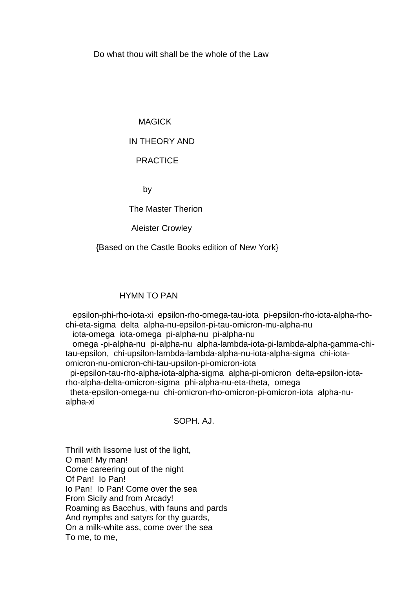Do what thou wilt shall be the whole of the Law

## **MAGICK**

## IN THEORY AND

# PRACTICE

by

The Master Therion

Aleister Crowley

{Based on the Castle Books edition of New York}

## HYMN TO PAN

 epsilon-phi-rho-iota-xi epsilon-rho-omega-tau-iota pi-epsilon-rho-iota-alpha-rhochi-eta-sigma delta alpha-nu-epsilon-pi-tau-omicron-mu-alpha-nu

iota-omega iota-omega pi-alpha-nu pi-alpha-nu

 omega -pi-alpha-nu pi-alpha-nu alpha-lambda-iota-pi-lambda-alpha-gamma-chitau-epsilon, chi-upsilon-lambda-lambda-alpha-nu-iota-alpha-sigma chi-iotaomicron-nu-omicron-chi-tau-upsilon-pi-omicron-iota

 pi-epsilon-tau-rho-alpha-iota-alpha-sigma alpha-pi-omicron delta-epsilon-iotarho-alpha-delta-omicron-sigma phi-alpha-nu-eta-theta, omega

 theta-epsilon-omega-nu chi-omicron-rho-omicron-pi-omicron-iota alpha-nualpha-xi

## SOPH. AJ.

Thrill with lissome lust of the light, O man! My man! Come careering out of the night Of Pan! Io Pan! Io Pan! Io Pan! Come over the sea From Sicily and from Arcady! Roaming as Bacchus, with fauns and pards And nymphs and satyrs for thy guards, On a milk-white ass, come over the sea To me, to me,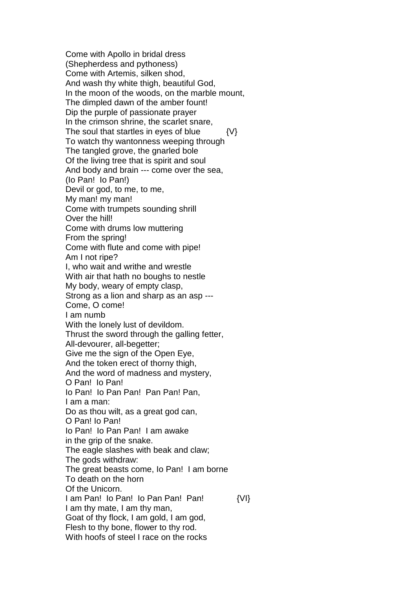Come with Apollo in bridal dress (Shepherdess and pythoness) Come with Artemis, silken shod, And wash thy white thigh, beautiful God, In the moon of the woods, on the marble mount, The dimpled dawn of the amber fount! Dip the purple of passionate prayer In the crimson shrine, the scarlet snare, The soul that startles in eyes of blue  $\{V\}$ To watch thy wantonness weeping through The tangled grove, the gnarled bole Of the living tree that is spirit and soul And body and brain --- come over the sea, (Io Pan! Io Pan!) Devil or god, to me, to me, My man! my man! Come with trumpets sounding shrill Over the hill! Come with drums low muttering From the spring! Come with flute and come with pipe! Am I not ripe? I, who wait and writhe and wrestle With air that hath no boughs to nestle My body, weary of empty clasp, Strong as a lion and sharp as an asp --- Come, O come! I am numb With the lonely lust of devildom. Thrust the sword through the galling fetter, All-devourer, all-begetter; Give me the sign of the Open Eye, And the token erect of thorny thigh, And the word of madness and mystery, O Pan! Io Pan! Io Pan! Io Pan Pan! Pan Pan! Pan, I am a man: Do as thou wilt, as a great god can, O Pan! Io Pan! Io Pan! Io Pan Pan! I am awake in the grip of the snake. The eagle slashes with beak and claw; The gods withdraw: The great beasts come, Io Pan! I am borne To death on the horn Of the Unicorn. I am Pan! Io Pan! Io Pan Pan! Pan! {VI} I am thy mate, I am thy man, Goat of thy flock, I am gold, I am god, Flesh to thy bone, flower to thy rod. With hoofs of steel I race on the rocks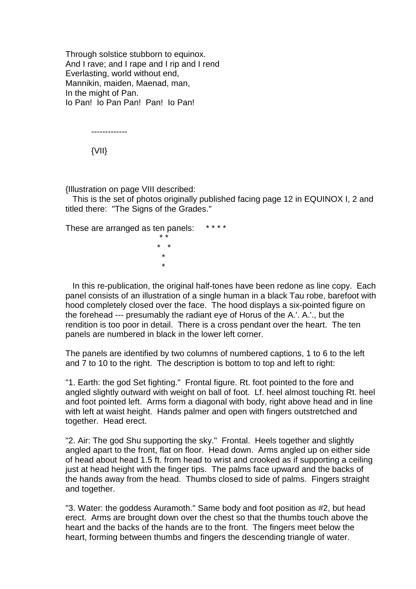Through solstice stubborn to equinox. And I rave; and I rape and I rip and I rend Everlasting, world without end, Mannikin, maiden, Maenad, man, In the might of Pan. Io Pan! Io Pan Pan! Pan! Io Pan!

-------------

{VII}

{Illustration on page VIII described:

 This is the set of photos originally published facing page 12 in EQUINOX I, 2 and titled there: "The Signs of the Grades."

These are arranged as ten panels: \*\*\*\*\*

 $\star$  \*  $\star$  $\star$  \* \*  $\star$  $\star$ 

In this re-publication, the original half-tones have been redone as line copy. Each panel consists of an illustration of a single human in a black Tau robe, barefoot with hood completely closed over the face. The hood displays a six-pointed figure on the forehead --- presumably the radiant eye of Horus of the A.'. A.'., but the rendition is too poor in detail. There is a cross pendant over the heart. The ten panels are numbered in black in the lower left corner.

The panels are identified by two columns of numbered captions, 1 to 6 to the left and 7 to 10 to the right. The description is bottom to top and left to right:

"1. Earth: the god Set fighting." Frontal figure. Rt. foot pointed to the fore and angled slightly outward with weight on ball of foot. Lf. heel almost touching Rt. heel and foot pointed left. Arms form a diagonal with body, right above head and in line with left at waist height. Hands palmer and open with fingers outstretched and together. Head erect.

"2. Air: The god Shu supporting the sky." Frontal. Heels together and slightly angled apart to the front, flat on floor. Head down. Arms angled up on either side of head about head 1.5 ft. from head to wrist and crooked as if supporting a ceiling just at head height with the finger tips. The palms face upward and the backs of the hands away from the head. Thumbs closed to side of palms. Fingers straight and together.

"3. Water: the goddess Auramoth." Same body and foot position as #2, but head erect. Arms are brought down over the chest so that the thumbs touch above the heart and the backs of the hands are to the front. The fingers meet below the heart, forming between thumbs and fingers the descending triangle of water.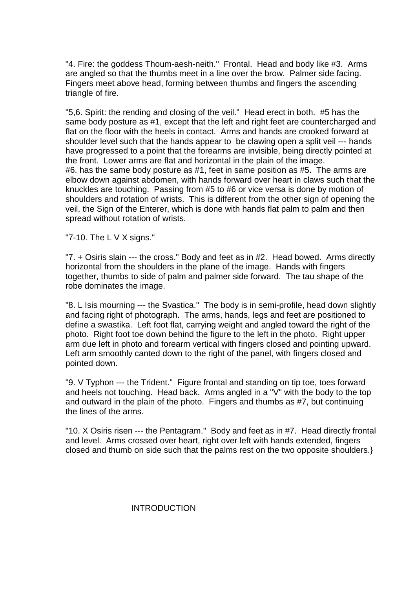"4. Fire: the goddess Thoum-aesh-neith." Frontal. Head and body like #3. Arms are angled so that the thumbs meet in a line over the brow. Palmer side facing. Fingers meet above head, forming between thumbs and fingers the ascending triangle of fire.

"5,6. Spirit: the rending and closing of the veil." Head erect in both. #5 has the same body posture as #1, except that the left and right feet are countercharged and flat on the floor with the heels in contact. Arms and hands are crooked forward at shoulder level such that the hands appear to be clawing open a split veil --- hands have progressed to a point that the forearms are invisible, being directly pointed at the front. Lower arms are flat and horizontal in the plain of the image. #6. has the same body posture as #1, feet in same position as #5. The arms are elbow down against abdomen, with hands forward over heart in claws such that the knuckles are touching. Passing from #5 to #6 or vice versa is done by motion of shoulders and rotation of wrists. This is different from the other sign of opening the veil, the Sign of the Enterer, which is done with hands flat palm to palm and then spread without rotation of wrists.

"7-10. The L V X signs."

"7. + Osiris slain --- the cross." Body and feet as in #2. Head bowed. Arms directly horizontal from the shoulders in the plane of the image. Hands with fingers together, thumbs to side of palm and palmer side forward. The tau shape of the robe dominates the image.

"8. L Isis mourning --- the Svastica." The body is in semi-profile, head down slightly and facing right of photograph. The arms, hands, legs and feet are positioned to define a swastika. Left foot flat, carrying weight and angled toward the right of the photo. Right foot toe down behind the figure to the left in the photo. Right upper arm due left in photo and forearm vertical with fingers closed and pointing upward. Left arm smoothly canted down to the right of the panel, with fingers closed and pointed down.

"9. V Typhon --- the Trident." Figure frontal and standing on tip toe, toes forward and heels not touching. Head back. Arms angled in a "V" with the body to the top and outward in the plain of the photo. Fingers and thumbs as #7, but continuing the lines of the arms.

"10. X Osiris risen --- the Pentagram." Body and feet as in #7. Head directly frontal and level. Arms crossed over heart, right over left with hands extended, fingers closed and thumb on side such that the palms rest on the two opposite shoulders.}

# INTRODUCTION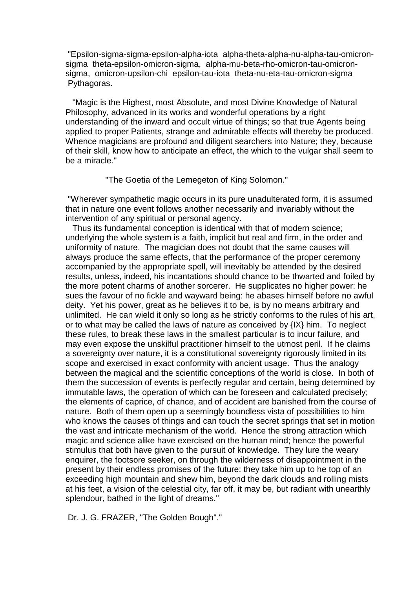"Epsilon-sigma-sigma-epsilon-alpha-iota alpha-theta-alpha-nu-alpha-tau-omicronsigma theta-epsilon-omicron-sigma, alpha-mu-beta-rho-omicron-tau-omicronsigma, omicron-upsilon-chi epsilon-tau-iota theta-nu-eta-tau-omicron-sigma Pythagoras.

 "Magic is the Highest, most Absolute, and most Divine Knowledge of Natural Philosophy, advanced in its works and wonderful operations by a right understanding of the inward and occult virtue of things; so that true Agents being applied to proper Patients, strange and admirable effects will thereby be produced. Whence magicians are profound and diligent searchers into Nature; they, because of their skill, know how to anticipate an effect, the which to the vulgar shall seem to be a miracle."

"The Goetia of the Lemegeton of King Solomon."

 "Wherever sympathetic magic occurs in its pure unadulterated form, it is assumed that in nature one event follows another necessarily and invariably without the intervention of any spiritual or personal agency.

 Thus its fundamental conception is identical with that of modern science; underlying the whole system is a faith, implicit but real and firm, in the order and uniformity of nature. The magician does not doubt that the same causes will always produce the same effects, that the performance of the proper ceremony accompanied by the appropriate spell, will inevitably be attended by the desired results, unless, indeed, his incantations should chance to be thwarted and foiled by the more potent charms of another sorcerer. He supplicates no higher power: he sues the favour of no fickle and wayward being: he abases himself before no awful deity. Yet his power, great as he believes it to be, is by no means arbitrary and unlimited. He can wield it only so long as he strictly conforms to the rules of his art, or to what may be called the laws of nature as conceived by {IX} him. To neglect these rules, to break these laws in the smallest particular is to incur failure, and may even expose the unskilful practitioner himself to the utmost peril. If he claims a sovereignty over nature, it is a constitutional sovereignty rigorously limited in its scope and exercised in exact conformity with ancient usage. Thus the analogy between the magical and the scientific conceptions of the world is close. In both of them the succession of events is perfectly regular and certain, being determined by immutable laws, the operation of which can be foreseen and calculated precisely; the elements of caprice, of chance, and of accident are banished from the course of nature. Both of them open up a seemingly boundless vista of possibilities to him who knows the causes of things and can touch the secret springs that set in motion the vast and intricate mechanism of the world. Hence the strong attraction which magic and science alike have exercised on the human mind; hence the powerful stimulus that both have given to the pursuit of knowledge. They lure the weary enquirer, the footsore seeker, on through the wilderness of disappointment in the present by their endless promises of the future: they take him up to he top of an exceeding high mountain and shew him, beyond the dark clouds and rolling mists at his feet, a vision of the celestial city, far off, it may be, but radiant with unearthly splendour, bathed in the light of dreams."

Dr. J. G. FRAZER, "The Golden Bough"."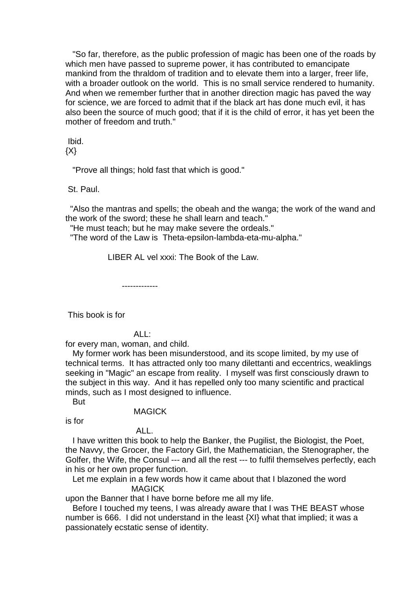"So far, therefore, as the public profession of magic has been one of the roads by which men have passed to supreme power, it has contributed to emancipate mankind from the thraldom of tradition and to elevate them into a larger, freer life, with a broader outlook on the world. This is no small service rendered to humanity. And when we remember further that in another direction magic has paved the way for science, we are forced to admit that if the black art has done much evil, it has also been the source of much good; that if it is the child of error, it has yet been the mother of freedom and truth."

Ibid.

 ${X}$ 

"Prove all things; hold fast that which is good."

St. Paul.

 "Also the mantras and spells; the obeah and the wanga; the work of the wand and the work of the sword; these he shall learn and teach."

"He must teach; but he may make severe the ordeals."

"The word of the Law is Theta-epsilon-lambda-eta-mu-alpha."

LIBER AL vel xxxi: The Book of the Law.

-------------

This book is for

 $AI$ <sup>-</sup>

for every man, woman, and child.

 My former work has been misunderstood, and its scope limited, by my use of technical terms. It has attracted only too many dilettanti and eccentrics, weaklings seeking in "Magic" an escape from reality. I myself was first consciously drawn to the subject in this way. And it has repelled only too many scientific and practical minds, such as I most designed to influence.

But

# **MAGICK**

is for

# ALL.

 I have written this book to help the Banker, the Pugilist, the Biologist, the Poet, the Navvy, the Grocer, the Factory Girl, the Mathematician, the Stenographer, the Golfer, the Wife, the Consul --- and all the rest --- to fulfil themselves perfectly, each in his or her own proper function.

 Let me explain in a few words how it came about that I blazoned the word **MAGICK** 

upon the Banner that I have borne before me all my life.

 Before I touched my teens, I was already aware that I was THE BEAST whose number is 666. I did not understand in the least {XI} what that implied; it was a passionately ecstatic sense of identity.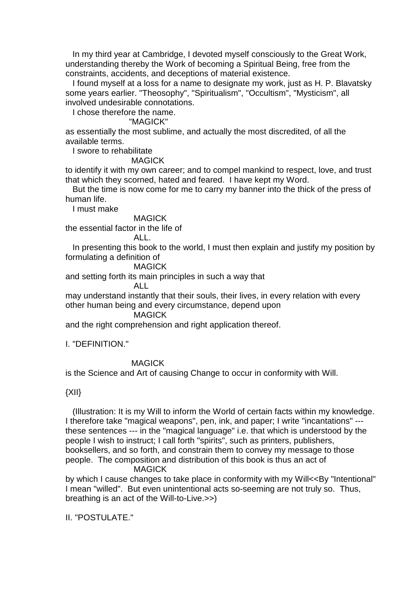In my third year at Cambridge, I devoted myself consciously to the Great Work, understanding thereby the Work of becoming a Spiritual Being, free from the constraints, accidents, and deceptions of material existence.

 I found myself at a loss for a name to designate my work, just as H. P. Blavatsky some years earlier. "Theosophy", "Spiritualism", "Occultism", "Mysticism", all involved undesirable connotations.

I chose therefore the name.

## "MAGICK"

as essentially the most sublime, and actually the most discredited, of all the available terms.

I swore to rehabilitate

# **MAGICK**

to identify it with my own career; and to compel mankind to respect, love, and trust that which they scorned, hated and feared. I have kept my Word.

 But the time is now come for me to carry my banner into the thick of the press of human life.

I must make

**MAGICK** 

the essential factor in the life of

#### ALL.

 In presenting this book to the world, I must then explain and justify my position by formulating a definition of

**MAGICK** 

and setting forth its main principles in such a way that

ALL

may understand instantly that their souls, their lives, in every relation with every other human being and every circumstance, depend upon

# **MAGICK**

and the right comprehension and right application thereof.

I. "DEFINITION."

## **MAGICK**

is the Science and Art of causing Change to occur in conformity with Will.

## {XII}

 (Illustration: It is my Will to inform the World of certain facts within my knowledge. I therefore take "magical weapons", pen, ink, and paper; I write "incantations" -- these sentences --- in the "magical language" i.e. that which is understood by the people I wish to instruct; I call forth "spirits", such as printers, publishers, booksellers, and so forth, and constrain them to convey my message to those people. The composition and distribution of this book is thus an act of

## **MAGICK**

by which I cause changes to take place in conformity with my Will<<By "Intentional" I mean "willed". But even unintentional acts so-seeming are not truly so. Thus, breathing is an act of the Will-to-Live.>>)

II. "POSTULATE."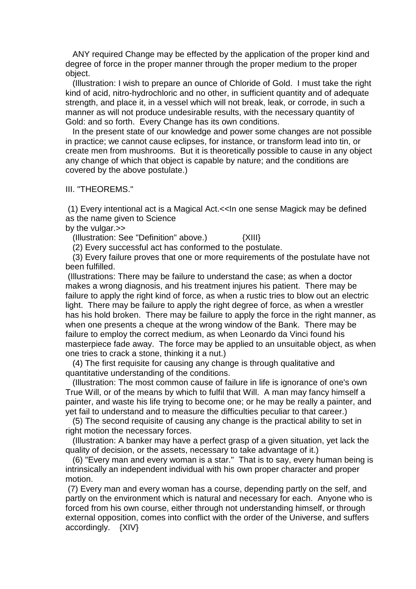ANY required Change may be effected by the application of the proper kind and degree of force in the proper manner through the proper medium to the proper object.

 (Illustration: I wish to prepare an ounce of Chloride of Gold. I must take the right kind of acid, nitro-hydrochloric and no other, in sufficient quantity and of adequate strength, and place it, in a vessel which will not break, leak, or corrode, in such a manner as will not produce undesirable results, with the necessary quantity of Gold: and so forth. Every Change has its own conditions.

 In the present state of our knowledge and power some changes are not possible in practice; we cannot cause eclipses, for instance, or transform lead into tin, or create men from mushrooms. But it is theoretically possible to cause in any object any change of which that object is capable by nature; and the conditions are covered by the above postulate.)

III. "THEOREMS."

 (1) Every intentional act is a Magical Act.<<In one sense Magick may be defined as the name given to Science

by the vulgar.>>

(Illustration: See "Definition" above.) {XIII}

(2) Every successful act has conformed to the postulate.

 (3) Every failure proves that one or more requirements of the postulate have not been fulfilled.

 (Illustrations: There may be failure to understand the case; as when a doctor makes a wrong diagnosis, and his treatment injures his patient. There may be failure to apply the right kind of force, as when a rustic tries to blow out an electric light. There may be failure to apply the right degree of force, as when a wrestler has his hold broken. There may be failure to apply the force in the right manner, as when one presents a cheque at the wrong window of the Bank. There may be failure to employ the correct medium, as when Leonardo da Vinci found his masterpiece fade away. The force may be applied to an unsuitable object, as when one tries to crack a stone, thinking it a nut.)

 (4) The first requisite for causing any change is through qualitative and quantitative understanding of the conditions.

 (Illustration: The most common cause of failure in life is ignorance of one's own True Will, or of the means by which to fulfil that Will. A man may fancy himself a painter, and waste his life trying to become one; or he may be really a painter, and yet fail to understand and to measure the difficulties peculiar to that career.)

 (5) The second requisite of causing any change is the practical ability to set in right motion the necessary forces.

 (Illustration: A banker may have a perfect grasp of a given situation, yet lack the quality of decision, or the assets, necessary to take advantage of it.)

 (6) "Every man and every woman is a star." That is to say, every human being is intrinsically an independent individual with his own proper character and proper motion.

 (7) Every man and every woman has a course, depending partly on the self, and partly on the environment which is natural and necessary for each. Anyone who is forced from his own course, either through not understanding himself, or through external opposition, comes into conflict with the order of the Universe, and suffers accordingly. {XIV}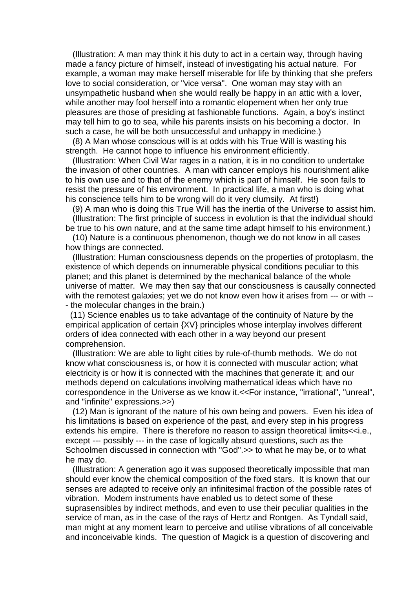(Illustration: A man may think it his duty to act in a certain way, through having made a fancy picture of himself, instead of investigating his actual nature. For example, a woman may make herself miserable for life by thinking that she prefers love to social consideration, or "vice versa". One woman may stay with an unsympathetic husband when she would really be happy in an attic with a lover, while another may fool herself into a romantic elopement when her only true pleasures are those of presiding at fashionable functions. Again, a boy's instinct may tell him to go to sea, while his parents insists on his becoming a doctor. In such a case, he will be both unsuccessful and unhappy in medicine.)

 (8) A Man whose conscious will is at odds with his True Will is wasting his strength. He cannot hope to influence his environment efficiently.

 (Illustration: When Civil War rages in a nation, it is in no condition to undertake the invasion of other countries. A man with cancer employs his nourishment alike to his own use and to that of the enemy which is part of himself. He soon fails to resist the pressure of his environment. In practical life, a man who is doing what his conscience tells him to be wrong will do it very clumsily. At first!)

 (9) A man who is doing this True Will has the inertia of the Universe to assist him. (Illustration: The first principle of success in evolution is that the individual should

be true to his own nature, and at the same time adapt himself to his environment.) (10) Nature is a continuous phenomenon, though we do not know in all cases

how things are connected.

 (Illustration: Human consciousness depends on the properties of protoplasm, the existence of which depends on innumerable physical conditions peculiar to this planet; and this planet is determined by the mechanical balance of the whole universe of matter. We may then say that our consciousness is causally connected with the remotest galaxies; yet we do not know even how it arises from --- or with --- the molecular changes in the brain.)

 (11) Science enables us to take advantage of the continuity of Nature by the empirical application of certain {XV} principles whose interplay involves different orders of idea connected with each other in a way beyond our present comprehension.

 (Illustration: We are able to light cities by rule-of-thumb methods. We do not know what consciousness is, or how it is connected with muscular action; what electricity is or how it is connected with the machines that generate it; and our methods depend on calculations involving mathematical ideas which have no correspondence in the Universe as we know it.<<For instance, "irrational", "unreal", and "infinite" expressions.>>)

 (12) Man is ignorant of the nature of his own being and powers. Even his idea of his limitations is based on experience of the past, and every step in his progress extends his empire. There is therefore no reason to assign theoretical limits<<i.e., except --- possibly --- in the case of logically absurd questions, such as the Schoolmen discussed in connection with "God".>> to what he may be, or to what he may do.

 (Illustration: A generation ago it was supposed theoretically impossible that man should ever know the chemical composition of the fixed stars. It is known that our senses are adapted to receive only an infinitesimal fraction of the possible rates of vibration. Modern instruments have enabled us to detect some of these suprasensibles by indirect methods, and even to use their peculiar qualities in the service of man, as in the case of the rays of Hertz and Rontgen. As Tyndall said, man might at any moment learn to perceive and utilise vibrations of all conceivable and inconceivable kinds. The question of Magick is a question of discovering and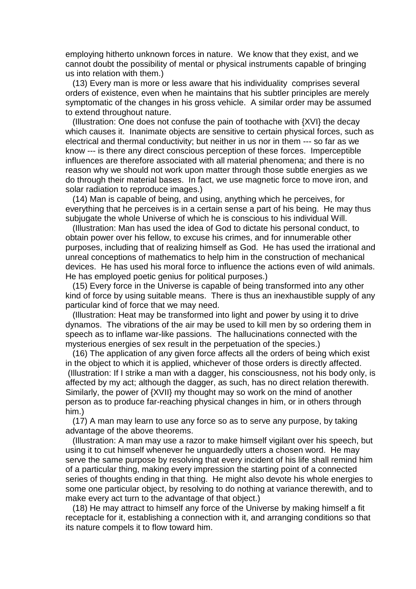employing hitherto unknown forces in nature. We know that they exist, and we cannot doubt the possibility of mental or physical instruments capable of bringing us into relation with them.)

 (13) Every man is more or less aware that his individuality comprises several orders of existence, even when he maintains that his subtler principles are merely symptomatic of the changes in his gross vehicle. A similar order may be assumed to extend throughout nature.

 (Illustration: One does not confuse the pain of toothache with {XVI} the decay which causes it. Inanimate objects are sensitive to certain physical forces, such as electrical and thermal conductivity; but neither in us nor in them --- so far as we know --- is there any direct conscious perception of these forces. Imperceptible influences are therefore associated with all material phenomena; and there is no reason why we should not work upon matter through those subtle energies as we do through their material bases. In fact, we use magnetic force to move iron, and solar radiation to reproduce images.)

 (14) Man is capable of being, and using, anything which he perceives, for everything that he perceives is in a certain sense a part of his being. He may thus subjugate the whole Universe of which he is conscious to his individual Will.

 (Illustration: Man has used the idea of God to dictate his personal conduct, to obtain power over his fellow, to excuse his crimes, and for innumerable other purposes, including that of realizing himself as God. He has used the irrational and unreal conceptions of mathematics to help him in the construction of mechanical devices. He has used his moral force to influence the actions even of wild animals. He has employed poetic genius for political purposes.)

 (15) Every force in the Universe is capable of being transformed into any other kind of force by using suitable means. There is thus an inexhaustible supply of any particular kind of force that we may need.

 (Illustration: Heat may be transformed into light and power by using it to drive dynamos. The vibrations of the air may be used to kill men by so ordering them in speech as to inflame war-like passions. The hallucinations connected with the mysterious energies of sex result in the perpetuation of the species.)

 (16) The application of any given force affects all the orders of being which exist in the object to which it is applied, whichever of those orders is directly affected. (Illustration: If I strike a man with a dagger, his consciousness, not his body only, is affected by my act; although the dagger, as such, has no direct relation therewith. Similarly, the power of {XVII} my thought may so work on the mind of another person as to produce far-reaching physical changes in him, or in others through him.)

 (17) A man may learn to use any force so as to serve any purpose, by taking advantage of the above theorems.

 (Illustration: A man may use a razor to make himself vigilant over his speech, but using it to cut himself whenever he unguardedly utters a chosen word. He may serve the same purpose by resolving that every incident of his life shall remind him of a particular thing, making every impression the starting point of a connected series of thoughts ending in that thing. He might also devote his whole energies to some one particular object, by resolving to do nothing at variance therewith, and to make every act turn to the advantage of that object.)

 (18) He may attract to himself any force of the Universe by making himself a fit receptacle for it, establishing a connection with it, and arranging conditions so that its nature compels it to flow toward him.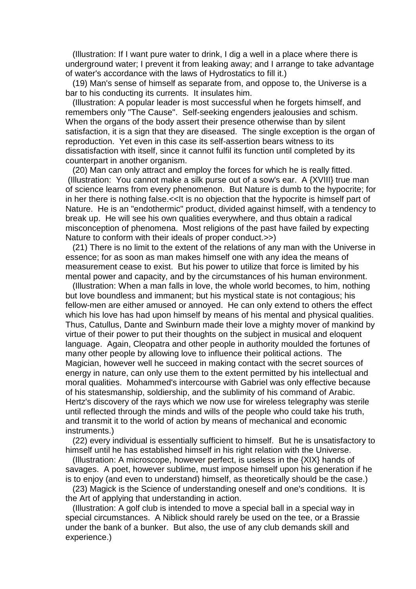(Illustration: If I want pure water to drink, I dig a well in a place where there is underground water; I prevent it from leaking away; and I arrange to take advantage of water's accordance with the laws of Hydrostatics to fill it.)

 (19) Man's sense of himself as separate from, and oppose to, the Universe is a bar to his conducting its currents. It insulates him.

 (Illustration: A popular leader is most successful when he forgets himself, and remembers only "The Cause". Self-seeking engenders jealousies and schism. When the organs of the body assert their presence otherwise than by silent satisfaction, it is a sign that they are diseased. The single exception is the organ of reproduction. Yet even in this case its self-assertion bears witness to its dissatisfaction with itself, since it cannot fulfil its function until completed by its counterpart in another organism.

 (20) Man can only attract and employ the forces for which he is really fitted. (Illustration: You cannot make a silk purse out of a sow's ear. A {XVIII} true man of science learns from every phenomenon. But Nature is dumb to the hypocrite; for in her there is nothing false.<< It is no objection that the hypocrite is himself part of Nature. He is an "endothermic" product, divided against himself, with a tendency to break up. He will see his own qualities everywhere, and thus obtain a radical misconception of phenomena. Most religions of the past have failed by expecting Nature to conform with their ideals of proper conduct.>>)

 (21) There is no limit to the extent of the relations of any man with the Universe in essence; for as soon as man makes himself one with any idea the means of measurement cease to exist. But his power to utilize that force is limited by his mental power and capacity, and by the circumstances of his human environment.

 (Illustration: When a man falls in love, the whole world becomes, to him, nothing but love boundless and immanent; but his mystical state is not contagious; his fellow-men are either amused or annoyed. He can only extend to others the effect which his love has had upon himself by means of his mental and physical qualities. Thus, Catullus, Dante and Swinburn made their love a mighty mover of mankind by virtue of their power to put their thoughts on the subject in musical and eloquent language. Again, Cleopatra and other people in authority moulded the fortunes of many other people by allowing love to influence their political actions. The Magician, however well he succeed in making contact with the secret sources of energy in nature, can only use them to the extent permitted by his intellectual and moral qualities. Mohammed's intercourse with Gabriel was only effective because of his statesmanship, soldiership, and the sublimity of his command of Arabic. Hertz's discovery of the rays which we now use for wireless telegraphy was sterile until reflected through the minds and wills of the people who could take his truth, and transmit it to the world of action by means of mechanical and economic instruments.)

 (22) every individual is essentially sufficient to himself. But he is unsatisfactory to himself until he has established himself in his right relation with the Universe.

 (Illustration: A microscope, however perfect, is useless in the {XIX} hands of savages. A poet, however sublime, must impose himself upon his generation if he is to enjoy (and even to understand) himself, as theoretically should be the case.)

 (23) Magick is the Science of understanding oneself and one's conditions. It is the Art of applying that understanding in action.

 (Illustration: A golf club is intended to move a special ball in a special way in special circumstances. A Niblick should rarely be used on the tee, or a Brassie under the bank of a bunker. But also, the use of any club demands skill and experience.)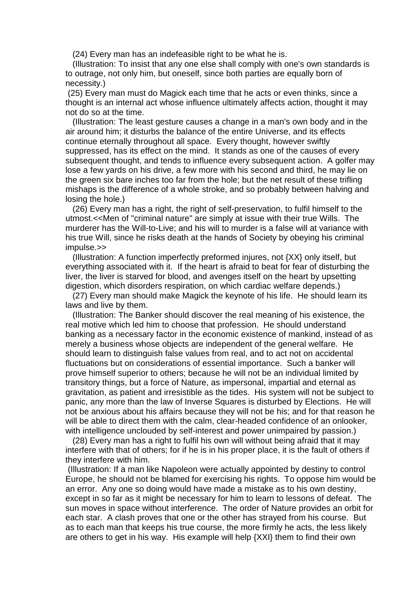(24) Every man has an indefeasible right to be what he is.

 (Illustration: To insist that any one else shall comply with one's own standards is to outrage, not only him, but oneself, since both parties are equally born of necessity.)

 (25) Every man must do Magick each time that he acts or even thinks, since a thought is an internal act whose influence ultimately affects action, thought it may not do so at the time.

 (Illustration: The least gesture causes a change in a man's own body and in the air around him; it disturbs the balance of the entire Universe, and its effects continue eternally throughout all space. Every thought, however swiftly suppressed, has its effect on the mind. It stands as one of the causes of every subsequent thought, and tends to influence every subsequent action. A golfer may lose a few yards on his drive, a few more with his second and third, he may lie on the green six bare inches too far from the hole; but the net result of these trifling mishaps is the difference of a whole stroke, and so probably between halving and losing the hole.)

 (26) Every man has a right, the right of self-preservation, to fulfil himself to the utmost.<<Men of "criminal nature" are simply at issue with their true Wills. The murderer has the Will-to-Live; and his will to murder is a false will at variance with his true Will, since he risks death at the hands of Society by obeying his criminal impulse.>>

 (Illustration: A function imperfectly preformed injures, not {XX} only itself, but everything associated with it. If the heart is afraid to beat for fear of disturbing the liver, the liver is starved for blood, and avenges itself on the heart by upsetting digestion, which disorders respiration, on which cardiac welfare depends.)

 (27) Every man should make Magick the keynote of his life. He should learn its laws and live by them.

 (Illustration: The Banker should discover the real meaning of his existence, the real motive which led him to choose that profession. He should understand banking as a necessary factor in the economic existence of mankind, instead of as merely a business whose objects are independent of the general welfare. He should learn to distinguish false values from real, and to act not on accidental fluctuations but on considerations of essential importance. Such a banker will prove himself superior to others; because he will not be an individual limited by transitory things, but a force of Nature, as impersonal, impartial and eternal as gravitation, as patient and irresistible as the tides. His system will not be subject to panic, any more than the law of Inverse Squares is disturbed by Elections. He will not be anxious about his affairs because they will not be his; and for that reason he will be able to direct them with the calm, clear-headed confidence of an onlooker, with intelligence unclouded by self-interest and power unimpaired by passion.)

 (28) Every man has a right to fulfil his own will without being afraid that it may interfere with that of others; for if he is in his proper place, it is the fault of others if they interfere with him.

 (Illustration: If a man like Napoleon were actually appointed by destiny to control Europe, he should not be blamed for exercising his rights. To oppose him would be an error. Any one so doing would have made a mistake as to his own destiny, except in so far as it might be necessary for him to learn to lessons of defeat. The sun moves in space without interference. The order of Nature provides an orbit for each star. A clash proves that one or the other has strayed from his course. But as to each man that keeps his true course, the more firmly he acts, the less likely are others to get in his way. His example will help {XXI} them to find their own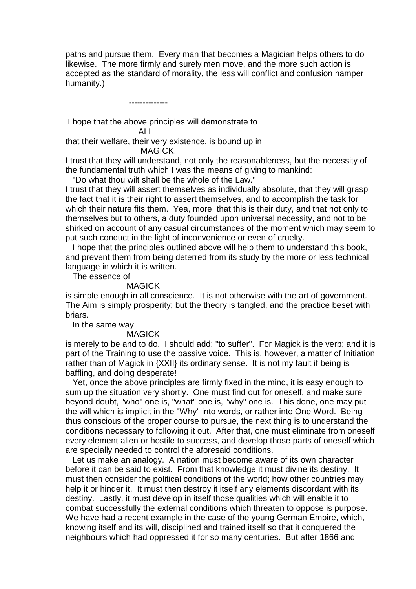paths and pursue them. Every man that becomes a Magician helps others to do likewise. The more firmly and surely men move, and the more such action is accepted as the standard of morality, the less will conflict and confusion hamper humanity.)

 I hope that the above principles will demonstrate to ALL that their welfare, their very existence, is bound up in

--------------

MAGICK.

I trust that they will understand, not only the reasonableness, but the necessity of the fundamental truth which I was the means of giving to mankind:

"Do what thou wilt shall be the whole of the Law."

I trust that they will assert themselves as individually absolute, that they will grasp the fact that it is their right to assert themselves, and to accomplish the task for which their nature fits them. Yea, more, that this is their duty, and that not only to themselves but to others, a duty founded upon universal necessity, and not to be shirked on account of any casual circumstances of the moment which may seem to put such conduct in the light of inconvenience or even of cruelty.

 I hope that the principles outlined above will help them to understand this book, and prevent them from being deterred from its study by the more or less technical language in which it is written.

The essence of

#### **MAGICK**

is simple enough in all conscience. It is not otherwise with the art of government. The Aim is simply prosperity; but the theory is tangled, and the practice beset with briars.

In the same way

## MAGICK

is merely to be and to do. I should add: "to suffer". For Magick is the verb; and it is part of the Training to use the passive voice. This is, however, a matter of Initiation rather than of Magick in {XXII} its ordinary sense. It is not my fault if being is baffling, and doing desperate!

 Yet, once the above principles are firmly fixed in the mind, it is easy enough to sum up the situation very shortly. One must find out for oneself, and make sure beyond doubt, "who" one is, "what" one is, "why" one is. This done, one may put the will which is implicit in the "Why" into words, or rather into One Word. Being thus conscious of the proper course to pursue, the next thing is to understand the conditions necessary to following it out. After that, one must eliminate from oneself every element alien or hostile to success, and develop those parts of oneself which are specially needed to control the aforesaid conditions.

 Let us make an analogy. A nation must become aware of its own character before it can be said to exist. From that knowledge it must divine its destiny. It must then consider the political conditions of the world; how other countries may help it or hinder it. It must then destroy it itself any elements discordant with its destiny. Lastly, it must develop in itself those qualities which will enable it to combat successfully the external conditions which threaten to oppose is purpose. We have had a recent example in the case of the young German Empire, which, knowing itself and its will, disciplined and trained itself so that it conquered the neighbours which had oppressed it for so many centuries. But after 1866 and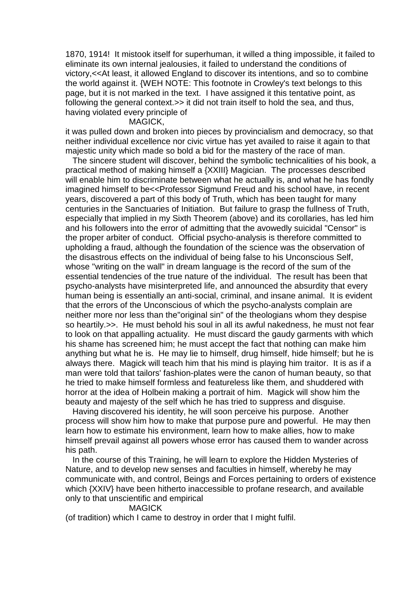1870, 1914! It mistook itself for superhuman, it willed a thing impossible, it failed to eliminate its own internal jealousies, it failed to understand the conditions of victory,<<At least, it allowed England to discover its intentions, and so to combine the world against it. {WEH NOTE: This footnote in Crowley's text belongs to this page, but it is not marked in the text. I have assigned it this tentative point, as following the general context.>> it did not train itself to hold the sea, and thus, having violated every principle of

#### MAGICK,

it was pulled down and broken into pieces by provincialism and democracy, so that neither individual excellence nor civic virtue has yet availed to raise it again to that majestic unity which made so bold a bid for the mastery of the race of man.

 The sincere student will discover, behind the symbolic technicalities of his book, a practical method of making himself a {XXIII} Magician. The processes described will enable him to discriminate between what he actually is, and what he has fondly imagined himself to be<<Professor Sigmund Freud and his school have, in recent years, discovered a part of this body of Truth, which has been taught for many centuries in the Sanctuaries of Initiation. But failure to grasp the fullness of Truth, especially that implied in my Sixth Theorem (above) and its corollaries, has led him and his followers into the error of admitting that the avowedly suicidal "Censor" is the proper arbiter of conduct. Official psycho-analysis is therefore committed to upholding a fraud, although the foundation of the science was the observation of the disastrous effects on the individual of being false to his Unconscious Self, whose "writing on the wall" in dream language is the record of the sum of the essential tendencies of the true nature of the individual. The result has been that psycho-analysts have misinterpreted life, and announced the absurdity that every human being is essentially an anti-social, criminal, and insane animal. It is evident that the errors of the Unconscious of which the psycho-analysts complain are neither more nor less than the"original sin" of the theologians whom they despise so heartily.>>. He must behold his soul in all its awful nakedness, he must not fear to look on that appalling actuality. He must discard the gaudy garments with which his shame has screened him; he must accept the fact that nothing can make him anything but what he is. He may lie to himself, drug himself, hide himself; but he is always there. Magick will teach him that his mind is playing him traitor. It is as if a man were told that tailors' fashion-plates were the canon of human beauty, so that he tried to make himself formless and featureless like them, and shuddered with horror at the idea of Holbein making a portrait of him. Magick will show him the beauty and majesty of the self which he has tried to suppress and disguise.

 Having discovered his identity, he will soon perceive his purpose. Another process will show him how to make that purpose pure and powerful. He may then learn how to estimate his environment, learn how to make allies, how to make himself prevail against all powers whose error has caused them to wander across his path.

 In the course of this Training, he will learn to explore the Hidden Mysteries of Nature, and to develop new senses and faculties in himself, whereby he may communicate with, and control, Beings and Forces pertaining to orders of existence which {XXIV} have been hitherto inaccessible to profane research, and available only to that unscientific and empirical

#### MAGICK

(of tradition) which I came to destroy in order that I might fulfil.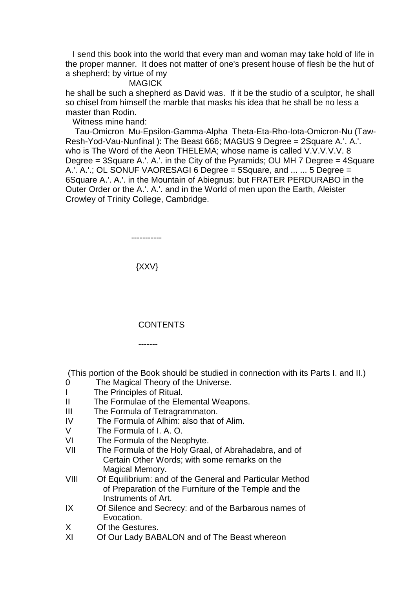I send this book into the world that every man and woman may take hold of life in the proper manner. It does not matter of one's present house of flesh be the hut of a shepherd; by virtue of my

## MAGICK

he shall be such a shepherd as David was. If it be the studio of a sculptor, he shall so chisel from himself the marble that masks his idea that he shall be no less a master than Rodin.

Witness mine hand:

 Tau-Omicron Mu-Epsilon-Gamma-Alpha Theta-Eta-Rho-Iota-Omicron-Nu (Taw-Resh-Yod-Vau-Nunfinal ): The Beast 666; MAGUS 9 Degree = 2Square A.'. A.'. who is The Word of the Aeon THELEMA; whose name is called V.V.V.V.V. 8 Degree = 3Square A.'. A.'. in the City of the Pyramids; OU MH 7 Degree = 4Square A.'. A.'.; OL SONUF VAORESAGI 6 Degree = 5Square, and ... ... 5 Degree = 6Square A.'. A.'. in the Mountain of Abiegnus: but FRATER PERDURABO in the Outer Order or the A.'. A.'. and in the World of men upon the Earth, Aleister Crowley of Trinity College, Cambridge.

-----------

{XXV}

# **CONTENTS**

-------

(This portion of the Book should be studied in connection with its Parts I. and II.)

- 0 The Magical Theory of the Universe.
- I The Principles of Ritual.
- II The Formulae of the Elemental Weapons.
- III The Formula of Tetragrammaton.
- IV The Formula of Alhim: also that of Alim.
- V The Formula of I. A. O.
- VI The Formula of the Neophyte.
- VII The Formula of the Holy Graal, of Abrahadabra, and of Certain Other Words; with some remarks on the Magical Memory.
- VIII Of Equilibrium: and of the General and Particular Method of Preparation of the Furniture of the Temple and the Instruments of Art.
- IX Of Silence and Secrecy: and of the Barbarous names of Evocation.
- X Of the Gestures.
- XI Of Our Lady BABALON and of The Beast whereon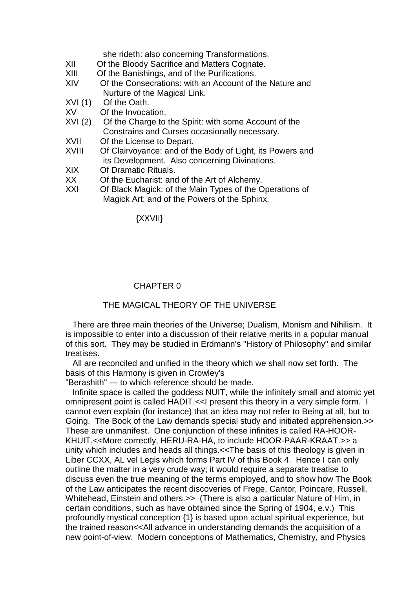she rideth: also concerning Transformations.

- XII Of the Bloody Sacrifice and Matters Cognate.
- XIII Of the Banishings, and of the Purifications.
- XIV Of the Consecrations: with an Account of the Nature and Nurture of the Magical Link.
- XVI (1) Of the Oath.
- XV Of the Invocation.
- XVI (2) Of the Charge to the Spirit: with some Account of the Constrains and Curses occasionally necessary.
- XVII Of the License to Depart.
- XVIII Of Clairvoyance: and of the Body of Light, its Powers and its Development. Also concerning Divinations.
- XIX Of Dramatic Rituals.
- XX Of the Eucharist: and of the Art of Alchemy.
- XXI Of Black Magick: of the Main Types of the Operations of Magick Art: and of the Powers of the Sphinx.

{XXVII}

## CHAPTER 0

#### THE MAGICAL THEORY OF THE UNIVERSE

 There are three main theories of the Universe; Dualism, Monism and Nihilism. It is impossible to enter into a discussion of their relative merits in a popular manual of this sort. They may be studied in Erdmann's "History of Philosophy" and similar treatises.

 All are reconciled and unified in the theory which we shall now set forth. The basis of this Harmony is given in Crowley's

"Berashith" --- to which reference should be made.

 Infinite space is called the goddess NUIT, while the infinitely small and atomic yet omnipresent point is called HADIT.<<I present this theory in a very simple form. I cannot even explain (for instance) that an idea may not refer to Being at all, but to Going. The Book of the Law demands special study and initiated apprehension.>> These are unmanifest. One conjunction of these infinites is called RA-HOOR-KHUIT,<<More correctly, HERU-RA-HA, to include HOOR-PAAR-KRAAT.>> a unity which includes and heads all things.<<The basis of this theology is given in Liber CCXX, AL vel Legis which forms Part IV of this Book 4. Hence I can only outline the matter in a very crude way; it would require a separate treatise to discuss even the true meaning of the terms employed, and to show how The Book of the Law anticipates the recent discoveries of Frege, Cantor, Poincare, Russell, Whitehead, Einstein and others.>> (There is also a particular Nature of Him, in certain conditions, such as have obtained since the Spring of 1904, e.v.) This profoundly mystical conception {1} is based upon actual spiritual experience, but the trained reason<<All advance in understanding demands the acquisition of a new point-of-view. Modern conceptions of Mathematics, Chemistry, and Physics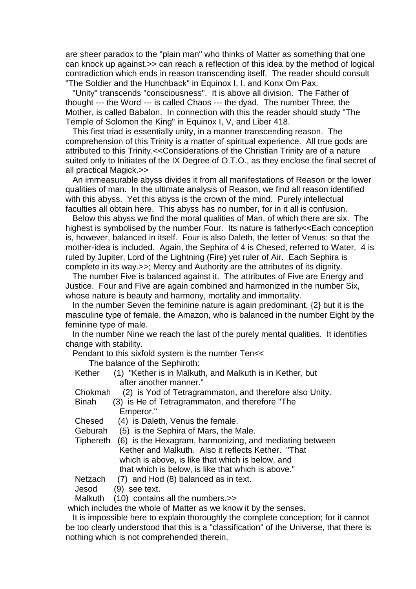are sheer paradox to the "plain man" who thinks of Matter as something that one can knock up against.>> can reach a reflection of this idea by the method of logical contradiction which ends in reason transcending itself. The reader should consult "The Soldier and the Hunchback" in Equinox I, I, and Konx Om Pax.

 "Unity" transcends "consciousness". It is above all division. The Father of thought --- the Word --- is called Chaos --- the dyad. The number Three, the Mother, is called Babalon. In connection with this the reader should study "The Temple of Solomon the King" in Equinox I, V, and Liber 418.

 This first triad is essentially unity, in a manner transcending reason. The comprehension of this Trinity is a matter of spiritual experience. All true gods are attributed to this Trinity.<<Considerations of the Christian Trinity are of a nature suited only to Initiates of the IX Degree of O.T.O., as they enclose the final secret of all practical Magick.>>

 An immeasurable abyss divides it from all manifestations of Reason or the lower qualities of man. In the ultimate analysis of Reason, we find all reason identified with this abyss. Yet this abyss is the crown of the mind. Purely intellectual faculties all obtain here. This abyss has no number, for in it all is confusion.

 Below this abyss we find the moral qualities of Man, of which there are six. The highest is symbolised by the number Four. Its nature is fatherly<<Each conception is, however, balanced in itself. Four is also Daleth, the letter of Venus; so that the mother-idea is included. Again, the Sephira of 4 is Chesed, referred to Water. 4 is ruled by Jupiter, Lord of the Lightning (Fire) yet ruler of Air. Each Sephira is complete in its way.>>; Mercy and Authority are the attributes of its dignity.

 The number Five is balanced against it. The attributes of Five are Energy and Justice. Four and Five are again combined and harmonized in the number Six, whose nature is beauty and harmony, mortality and immortality.

 In the number Seven the feminine nature is again predominant, {2} but it is the masculine type of female, the Amazon, who is balanced in the number Eight by the feminine type of male.

 In the number Nine we reach the last of the purely mental qualities. It identifies change with stability.

Pendant to this sixfold system is the number Ten<<

The balance of the Sephiroth:

 Kether (1) "Kether is in Malkuth, and Malkuth is in Kether, but after another manner."

Chokmah (2) is Yod of Tetragrammaton, and therefore also Unity.

- Binah (3) is He of Tetragrammaton, and therefore "The Emperor."
- Chesed (4) is Daleth, Venus the female.
- Geburah (5) is the Sephira of Mars, the Male.
- Tiphereth (6) is the Hexagram, harmonizing, and mediating between Kether and Malkuth. Also it reflects Kether. "That which is above, is like that which is below, and that which is below, is like that which is above."

Netzach (7) and Hod (8) balanced as in text.

Jesod (9) see text.

Malkuth (10) contains all the numbers.>>

which includes the whole of Matter as we know it by the senses.

 It is impossible here to explain thoroughly the complete conception; for it cannot be too clearly understood that this is a "classification" of the Universe, that there is nothing which is not comprehended therein.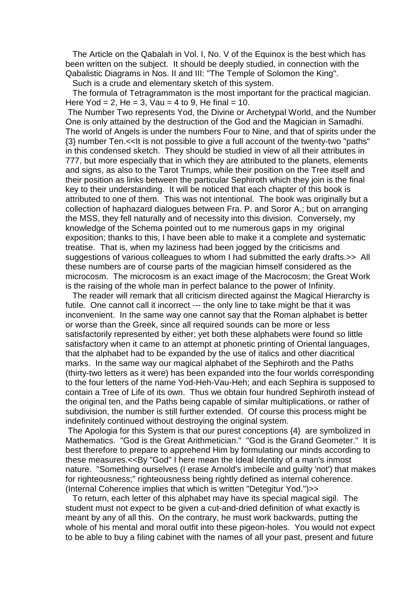The Article on the Qabalah in Vol. I, No. V of the Equinox is the best which has been written on the subject. It should be deeply studied, in connection with the Qabalistic Diagrams in Nos. II and III: "The Temple of Solomon the King".

Such is a crude and elementary sketch of this system.

 The formula of Tetragrammaton is the most important for the practical magician. Here Yod = 2, He = 3, Vau = 4 to 9, He final = 10.

 The Number Two represents Yod, the Divine or Archetypal World, and the Number One is only attained by the destruction of the God and the Magician in Samadhi. The world of Angels is under the numbers Four to Nine, and that of spirits under the {3} number Ten.<<It is not possible to give a full account of the twenty-two "paths" in this condensed sketch. They should be studied in view of all their attributes in 777, but more especially that in which they are attributed to the planets, elements and signs, as also to the Tarot Trumps, while their position on the Tree itself and their position as links between the particular Sephiroth which they join is the final key to their understanding. It will be noticed that each chapter of this book is attributed to one of them. This was not intentional. The book was originally but a collection of haphazard dialogues between Fra. P. and Soror A.; but on arranging the MSS, they fell naturally and of necessity into this division. Conversely, my knowledge of the Schema pointed out to me numerous gaps in my original exposition; thanks to this, I have been able to make it a complete and systematic treatise. That is, when my laziness had been jogged by the criticisms and suggestions of various colleagues to whom I had submitted the early drafts.>> All these numbers are of course parts of the magician himself considered as the microcosm. The microcosm is an exact image of the Macrocosm; the Great Work is the raising of the whole man in perfect balance to the power of Infinity.

 The reader will remark that all criticism directed against the Magical Hierarchy is futile. One cannot call it incorrect --- the only line to take might be that it was inconvenient. In the same way one cannot say that the Roman alphabet is better or worse than the Greek, since all required sounds can be more or less satisfactorily represented by either; yet both these alphabets were found so little satisfactory when it came to an attempt at phonetic printing of Oriental languages, that the alphabet had to be expanded by the use of italics and other diacritical marks. In the same way our magical alphabet of the Sephiroth and the Paths (thirty-two letters as it were) has been expanded into the four worlds corresponding to the four letters of the name Yod-Heh-Vau-Heh; and each Sephira is supposed to contain a Tree of Life of its own. Thus we obtain four hundred Sephiroth instead of the original ten, and the Paths being capable of similar multiplications, or rather of subdivision, the number is still further extended. Of course this process might be indefinitely continued without destroying the original system.

 The Apologia for this System is that our purest conceptions {4} are symbolized in Mathematics. "God is the Great Arithmetician." "God is the Grand Geometer." It is best therefore to prepare to apprehend Him by formulating our minds according to these measures.<<By "God" I here mean the Ideal Identity of a man's inmost nature. "Something ourselves (I erase Arnold's imbecile and guilty 'not') that makes for righteousness;" righteousness being rightly defined as internal coherence. (Internal Coherence implies that which is written "Detegitur Yod.")>>

 To return, each letter of this alphabet may have its special magical sigil. The student must not expect to be given a cut-and-dried definition of what exactly is meant by any of all this. On the contrary, he must work backwards, putting the whole of his mental and moral outfit into these pigeon-holes. You would not expect to be able to buy a filing cabinet with the names of all your past, present and future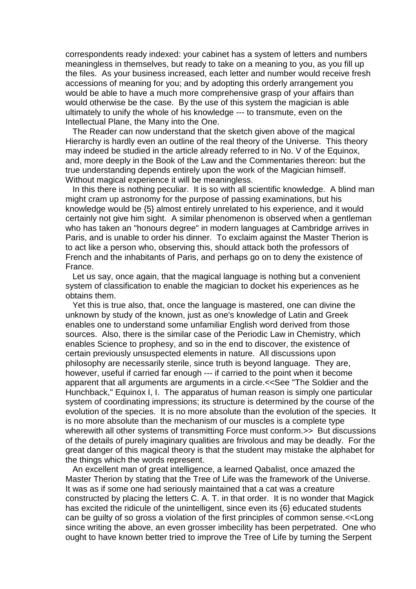correspondents ready indexed: your cabinet has a system of letters and numbers meaningless in themselves, but ready to take on a meaning to you, as you fill up the files. As your business increased, each letter and number would receive fresh accessions of meaning for you; and by adopting this orderly arrangement you would be able to have a much more comprehensive grasp of your affairs than would otherwise be the case. By the use of this system the magician is able ultimately to unify the whole of his knowledge --- to transmute, even on the Intellectual Plane, the Many into the One.

 The Reader can now understand that the sketch given above of the magical Hierarchy is hardly even an outline of the real theory of the Universe. This theory may indeed be studied in the article already referred to in No. V of the Equinox, and, more deeply in the Book of the Law and the Commentaries thereon: but the true understanding depends entirely upon the work of the Magician himself. Without magical experience it will be meaningless.

 In this there is nothing peculiar. It is so with all scientific knowledge. A blind man might cram up astronomy for the purpose of passing examinations, but his knowledge would be {5} almost entirely unrelated to his experience, and it would certainly not give him sight. A similar phenomenon is observed when a gentleman who has taken an "honours degree" in modern languages at Cambridge arrives in Paris, and is unable to order his dinner. To exclaim against the Master Therion is to act like a person who, observing this, should attack both the professors of French and the inhabitants of Paris, and perhaps go on to deny the existence of France.

 Let us say, once again, that the magical language is nothing but a convenient system of classification to enable the magician to docket his experiences as he obtains them.

 Yet this is true also, that, once the language is mastered, one can divine the unknown by study of the known, just as one's knowledge of Latin and Greek enables one to understand some unfamiliar English word derived from those sources. Also, there is the similar case of the Periodic Law in Chemistry, which enables Science to prophesy, and so in the end to discover, the existence of certain previously unsuspected elements in nature. All discussions upon philosophy are necessarily sterile, since truth is beyond language. They are, however, useful if carried far enough --- if carried to the point when it become apparent that all arguments are arguments in a circle.<<See "The Soldier and the Hunchback," Equinox I, I. The apparatus of human reason is simply one particular system of coordinating impressions; its structure is determined by the course of the evolution of the species. It is no more absolute than the evolution of the species. It is no more absolute than the mechanism of our muscles is a complete type wherewith all other systems of transmitting Force must conform.>> But discussions of the details of purely imaginary qualities are frivolous and may be deadly. For the great danger of this magical theory is that the student may mistake the alphabet for the things which the words represent.

 An excellent man of great intelligence, a learned Qabalist, once amazed the Master Therion by stating that the Tree of Life was the framework of the Universe. It was as if some one had seriously maintained that a cat was a creature constructed by placing the letters C. A. T. in that order. It is no wonder that Magick has excited the ridicule of the unintelligent, since even its {6} educated students can be guilty of so gross a violation of the first principles of common sense.<<Long since writing the above, an even grosser imbecility has been perpetrated. One who ought to have known better tried to improve the Tree of Life by turning the Serpent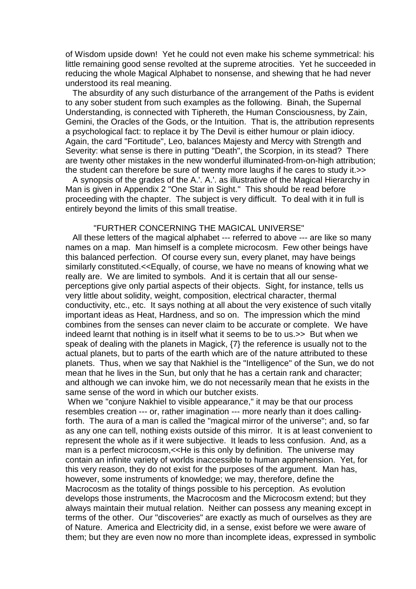of Wisdom upside down! Yet he could not even make his scheme symmetrical: his little remaining good sense revolted at the supreme atrocities. Yet he succeeded in reducing the whole Magical Alphabet to nonsense, and shewing that he had never understood its real meaning.

 The absurdity of any such disturbance of the arrangement of the Paths is evident to any sober student from such examples as the following. Binah, the Supernal Understanding, is connected with Tiphereth, the Human Consciousness, by Zain, Gemini, the Oracles of the Gods, or the Intuition. That is, the attribution represents a psychological fact: to replace it by The Devil is either humour or plain idiocy. Again, the card "Fortitude", Leo, balances Majesty and Mercy with Strength and Severity: what sense is there in putting "Death", the Scorpion, in its stead? There are twenty other mistakes in the new wonderful illuminated-from-on-high attribution; the student can therefore be sure of twenty more laughs if he cares to study it.>>

 A synopsis of the grades of the A.'. A.'. as illustrative of the Magical Hierarchy in Man is given in Appendix 2 "One Star in Sight." This should be read before proceeding with the chapter. The subject is very difficult. To deal with it in full is entirely beyond the limits of this small treatise.

## "FURTHER CONCERNING THE MAGICAL UNIVERSE"

 All these letters of the magical alphabet --- referred to above --- are like so many names on a map. Man himself is a complete microcosm. Few other beings have this balanced perfection. Of course every sun, every planet, may have beings similarly constituted.<<Equally, of course, we have no means of knowing what we really are. We are limited to symbols. And it is certain that all our senseperceptions give only partial aspects of their objects. Sight, for instance, tells us very little about solidity, weight, composition, electrical character, thermal conductivity, etc., etc. It says nothing at all about the very existence of such vitally important ideas as Heat, Hardness, and so on. The impression which the mind combines from the senses can never claim to be accurate or complete. We have indeed learnt that nothing is in itself what it seems to be to us.>> But when we speak of dealing with the planets in Magick, {7} the reference is usually not to the actual planets, but to parts of the earth which are of the nature attributed to these planets. Thus, when we say that Nakhiel is the "Intelligence" of the Sun, we do not mean that he lives in the Sun, but only that he has a certain rank and character; and although we can invoke him, we do not necessarily mean that he exists in the same sense of the word in which our butcher exists.

 When we "conjure Nakhiel to visible appearance," it may be that our process resembles creation --- or, rather imagination --- more nearly than it does callingforth. The aura of a man is called the "magical mirror of the universe"; and, so far as any one can tell, nothing exists outside of this mirror. It is at least convenient to represent the whole as if it were subjective. It leads to less confusion. And, as a man is a perfect microcosm, << He is this only by definition. The universe may contain an infinite variety of worlds inaccessible to human apprehension. Yet, for this very reason, they do not exist for the purposes of the argument. Man has, however, some instruments of knowledge; we may, therefore, define the Macrocosm as the totality of things possible to his perception. As evolution develops those instruments, the Macrocosm and the Microcosm extend; but they always maintain their mutual relation. Neither can possess any meaning except in terms of the other. Our "discoveries" are exactly as much of ourselves as they are of Nature. America and Electricity did, in a sense, exist before we were aware of them; but they are even now no more than incomplete ideas, expressed in symbolic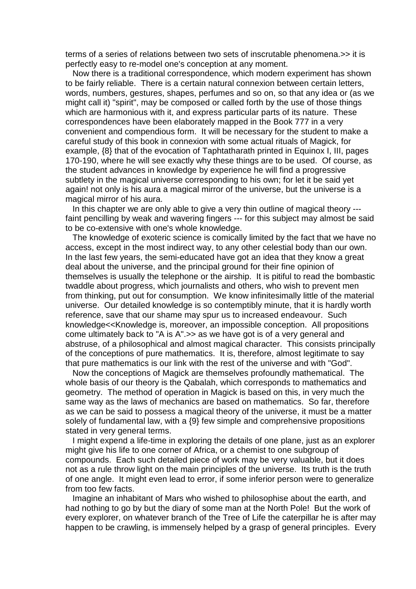terms of a series of relations between two sets of inscrutable phenomena.>> it is perfectly easy to re-model one's conception at any moment.

 Now there is a traditional correspondence, which modern experiment has shown to be fairly reliable. There is a certain natural connexion between certain letters, words, numbers, gestures, shapes, perfumes and so on, so that any idea or (as we might call it) "spirit", may be composed or called forth by the use of those things which are harmonious with it, and express particular parts of its nature. These correspondences have been elaborately mapped in the Book 777 in a very convenient and compendious form. It will be necessary for the student to make a careful study of this book in connexion with some actual rituals of Magick, for example, {8} that of the evocation of Taphtatharath printed in Equinox I, III, pages 170-190, where he will see exactly why these things are to be used. Of course, as the student advances in knowledge by experience he will find a progressive subtlety in the magical universe corresponding to his own; for let it be said yet again! not only is his aura a magical mirror of the universe, but the universe is a magical mirror of his aura.

 In this chapter we are only able to give a very thin outline of magical theory -- faint pencilling by weak and wavering fingers --- for this subject may almost be said to be co-extensive with one's whole knowledge.

 The knowledge of exoteric science is comically limited by the fact that we have no access, except in the most indirect way, to any other celestial body than our own. In the last few years, the semi-educated have got an idea that they know a great deal about the universe, and the principal ground for their fine opinion of themselves is usually the telephone or the airship. It is pitiful to read the bombastic twaddle about progress, which journalists and others, who wish to prevent men from thinking, put out for consumption. We know infinitesimally little of the material universe. Our detailed knowledge is so contemptibly minute, that it is hardly worth reference, save that our shame may spur us to increased endeavour. Such knowledge<<Knowledge is, moreover, an impossible conception. All propositions come ultimately back to "A is A".>> as we have got is of a very general and abstruse, of a philosophical and almost magical character. This consists principally of the conceptions of pure mathematics. It is, therefore, almost legitimate to say that pure mathematics is our link with the rest of the universe and with "God".

 Now the conceptions of Magick are themselves profoundly mathematical. The whole basis of our theory is the Qabalah, which corresponds to mathematics and geometry. The method of operation in Magick is based on this, in very much the same way as the laws of mechanics are based on mathematics. So far, therefore as we can be said to possess a magical theory of the universe, it must be a matter solely of fundamental law, with a {9} few simple and comprehensive propositions stated in very general terms.

 I might expend a life-time in exploring the details of one plane, just as an explorer might give his life to one corner of Africa, or a chemist to one subgroup of compounds. Each such detailed piece of work may be very valuable, but it does not as a rule throw light on the main principles of the universe. Its truth is the truth of one angle. It might even lead to error, if some inferior person were to generalize from too few facts.

 Imagine an inhabitant of Mars who wished to philosophise about the earth, and had nothing to go by but the diary of some man at the North Pole! But the work of every explorer, on whatever branch of the Tree of Life the caterpillar he is after may happen to be crawling, is immensely helped by a grasp of general principles. Every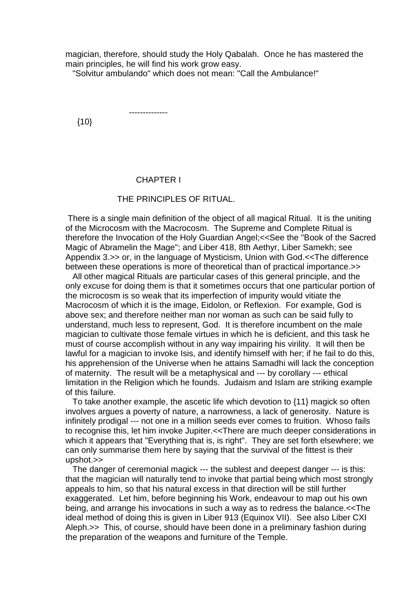magician, therefore, should study the Holy Qabalah. Once he has mastered the main principles, he will find his work grow easy.

"Solvitur ambulando" which does not mean: "Call the Ambulance!"

{10}

## CHAPTER I

--------------

#### THE PRINCIPLES OF RITUAL.

 There is a single main definition of the object of all magical Ritual. It is the uniting of the Microcosm with the Macrocosm. The Supreme and Complete Ritual is therefore the Invocation of the Holy Guardian Angel;<<See the "Book of the Sacred Magic of Abramelin the Mage"; and Liber 418, 8th Aethyr, Liber Samekh; see Appendix 3.>> or, in the language of Mysticism, Union with God.<<The difference between these operations is more of theoretical than of practical importance.>>

 All other magical Rituals are particular cases of this general principle, and the only excuse for doing them is that it sometimes occurs that one particular portion of the microcosm is so weak that its imperfection of impurity would vitiate the Macrocosm of which it is the image, Eidolon, or Reflexion. For example, God is above sex; and therefore neither man nor woman as such can be said fully to understand, much less to represent, God. It is therefore incumbent on the male magician to cultivate those female virtues in which he is deficient, and this task he must of course accomplish without in any way impairing his virility. It will then be lawful for a magician to invoke Isis, and identify himself with her; if he fail to do this, his apprehension of the Universe when he attains Samadhi will lack the conception of maternity. The result will be a metaphysical and --- by corollary --- ethical limitation in the Religion which he founds. Judaism and Islam are striking example of this failure.

 To take another example, the ascetic life which devotion to {11} magick so often involves argues a poverty of nature, a narrowness, a lack of generosity. Nature is infinitely prodigal --- not one in a million seeds ever comes to fruition. Whoso fails to recognise this, let him invoke Jupiter.<<There are much deeper considerations in which it appears that "Everything that is, is right". They are set forth elsewhere; we can only summarise them here by saying that the survival of the fittest is their upshot.>>

 The danger of ceremonial magick --- the sublest and deepest danger --- is this: that the magician will naturally tend to invoke that partial being which most strongly appeals to him, so that his natural excess in that direction will be still further exaggerated. Let him, before beginning his Work, endeavour to map out his own being, and arrange his invocations in such a way as to redress the balance.<<The ideal method of doing this is given in Liber 913 (Equinox VII). See also Liber CXI Aleph.>> This, of course, should have been done in a preliminary fashion during the preparation of the weapons and furniture of the Temple.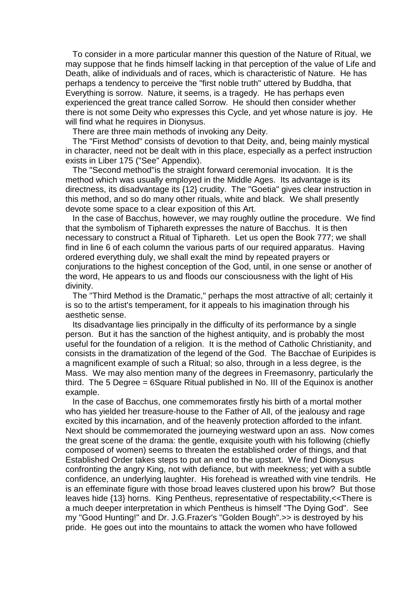To consider in a more particular manner this question of the Nature of Ritual, we may suppose that he finds himself lacking in that perception of the value of Life and Death, alike of individuals and of races, which is characteristic of Nature. He has perhaps a tendency to perceive the "first noble truth" uttered by Buddha, that Everything is sorrow. Nature, it seems, is a tragedy. He has perhaps even experienced the great trance called Sorrow. He should then consider whether there is not some Deity who expresses this Cycle, and yet whose nature is joy. He will find what he requires in Dionysus.

There are three main methods of invoking any Deity.

 The "First Method" consists of devotion to that Deity, and, being mainly mystical in character, need not be dealt with in this place, especially as a perfect instruction exists in Liber 175 ("See" Appendix).

 The "Second method"is the straight forward ceremonial invocation. It is the method which was usually employed in the Middle Ages. Its advantage is its directness, its disadvantage its {12} crudity. The "Goetia" gives clear instruction in this method, and so do many other rituals, white and black. We shall presently devote some space to a clear exposition of this Art.

 In the case of Bacchus, however, we may roughly outline the procedure. We find that the symbolism of Tiphareth expresses the nature of Bacchus. It is then necessary to construct a Ritual of Tiphareth. Let us open the Book 777; we shall find in line 6 of each column the various parts of our required apparatus. Having ordered everything duly, we shall exalt the mind by repeated prayers or conjurations to the highest conception of the God, until, in one sense or another of the word, He appears to us and floods our consciousness with the light of His divinity.

 The "Third Method is the Dramatic," perhaps the most attractive of all; certainly it is so to the artist's temperament, for it appeals to his imagination through his aesthetic sense.

 Its disadvantage lies principally in the difficulty of its performance by a single person. But it has the sanction of the highest antiquity, and is probably the most useful for the foundation of a religion. It is the method of Catholic Christianity, and consists in the dramatization of the legend of the God. The Bacchae of Euripides is a magnificent example of such a Ritual; so also, through in a less degree, is the Mass. We may also mention many of the degrees in Freemasonry, particularly the third. The 5 Degree = 6Square Ritual published in No. III of the Equinox is another example.

 In the case of Bacchus, one commemorates firstly his birth of a mortal mother who has yielded her treasure-house to the Father of All, of the jealousy and rage excited by this incarnation, and of the heavenly protection afforded to the infant. Next should be commemorated the journeying westward upon an ass. Now comes the great scene of the drama: the gentle, exquisite youth with his following (chiefly composed of women) seems to threaten the established order of things, and that Established Order takes steps to put an end to the upstart. We find Dionysus confronting the angry King, not with defiance, but with meekness; yet with a subtle confidence, an underlying laughter. His forehead is wreathed with vine tendrils. He is an effeminate figure with those broad leaves clustered upon his brow? But those leaves hide {13} horns. King Pentheus, representative of respectability,<<There is a much deeper interpretation in which Pentheus is himself "The Dying God". See my "Good Hunting!" and Dr. J.G.Frazer's "Golden Bough".>> is destroyed by his pride. He goes out into the mountains to attack the women who have followed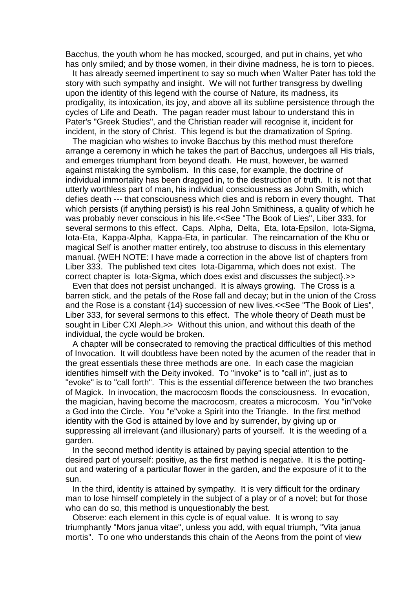Bacchus, the youth whom he has mocked, scourged, and put in chains, yet who has only smiled; and by those women, in their divine madness, he is torn to pieces.

 It has already seemed impertinent to say so much when Walter Pater has told the story with such sympathy and insight. We will not further transgress by dwelling upon the identity of this legend with the course of Nature, its madness, its prodigality, its intoxication, its joy, and above all its sublime persistence through the cycles of Life and Death. The pagan reader must labour to understand this in Pater's "Greek Studies", and the Christian reader will recognise it, incident for incident, in the story of Christ. This legend is but the dramatization of Spring.

 The magician who wishes to invoke Bacchus by this method must therefore arrange a ceremony in which he takes the part of Bacchus, undergoes all His trials, and emerges triumphant from beyond death. He must, however, be warned against mistaking the symbolism. In this case, for example, the doctrine of individual immortality has been dragged in, to the destruction of truth. It is not that utterly worthless part of man, his individual consciousness as John Smith, which defies death --- that consciousness which dies and is reborn in every thought. That which persists (if anything persist) is his real John Smithiness, a quality of which he was probably never conscious in his life.<<See "The Book of Lies", Liber 333, for several sermons to this effect. Caps. Alpha, Delta, Eta, Iota-Epsilon, Iota-Sigma, Iota-Eta, Kappa-Alpha, Kappa-Eta, in particular. The reincarnation of the Khu or magical Self is another matter entirely, too abstruse to discuss in this elementary manual. {WEH NOTE: I have made a correction in the above list of chapters from Liber 333. The published text cites Iota-Digamma, which does not exist. The correct chapter is Iota-Sigma, which does exist and discusses the subject}.>>

 Even that does not persist unchanged. It is always growing. The Cross is a barren stick, and the petals of the Rose fall and decay; but in the union of the Cross and the Rose is a constant  $\{14\}$  succession of new lives. << See "The Book of Lies", Liber 333, for several sermons to this effect. The whole theory of Death must be sought in Liber CXI Aleph.>> Without this union, and without this death of the individual, the cycle would be broken.

 A chapter will be consecrated to removing the practical difficulties of this method of Invocation. It will doubtless have been noted by the acumen of the reader that in the great essentials these three methods are one. In each case the magician identifies himself with the Deity invoked. To "invoke" is to "call in", just as to "evoke" is to "call forth". This is the essential difference between the two branches of Magick. In invocation, the macrocosm floods the consciousness. In evocation, the magician, having become the macrocosm, creates a microcosm. You "in"voke a God into the Circle. You "e"voke a Spirit into the Triangle. In the first method identity with the God is attained by love and by surrender, by giving up or suppressing all irrelevant (and illusionary) parts of yourself. It is the weeding of a garden.

 In the second method identity is attained by paying special attention to the desired part of yourself: positive, as the first method is negative. It is the pottingout and watering of a particular flower in the garden, and the exposure of it to the sun.

 In the third, identity is attained by sympathy. It is very difficult for the ordinary man to lose himself completely in the subject of a play or of a novel; but for those who can do so, this method is unquestionably the best.

 Observe: each element in this cycle is of equal value. It is wrong to say triumphantly "Mors janua vitae", unless you add, with equal triumph, "Vita janua mortis". To one who understands this chain of the Aeons from the point of view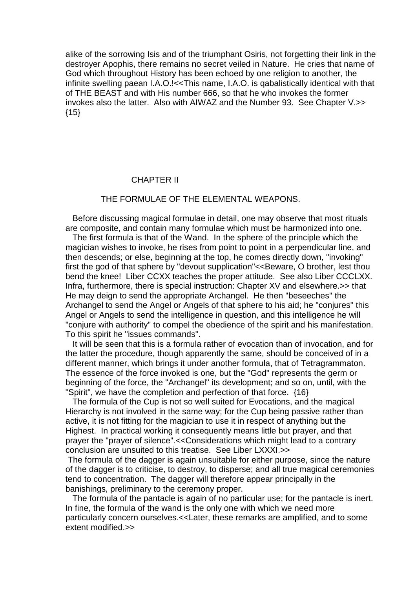alike of the sorrowing Isis and of the triumphant Osiris, not forgetting their link in the destroyer Apophis, there remains no secret veiled in Nature. He cries that name of God which throughout History has been echoed by one religion to another, the infinite swelling paean I.A.O.!<<This name, I.A.O. is qabalistically identical with that of THE BEAST and with His number 666, so that he who invokes the former invokes also the latter. Also with AIWAZ and the Number 93. See Chapter V.>> {15}

## CHAPTER II

#### THE FORMULAE OF THE ELEMENTAL WEAPONS.

 Before discussing magical formulae in detail, one may observe that most rituals are composite, and contain many formulae which must be harmonized into one.

 The first formula is that of the Wand. In the sphere of the principle which the magician wishes to invoke, he rises from point to point in a perpendicular line, and then descends; or else, beginning at the top, he comes directly down, "invoking" first the god of that sphere by "devout supplication"<<Beware, O brother, lest thou bend the knee! Liber CCXX teaches the proper attitude. See also Liber CCCLXX. Infra, furthermore, there is special instruction: Chapter XV and elsewhere.>> that He may deign to send the appropriate Archangel. He then "beseeches" the Archangel to send the Angel or Angels of that sphere to his aid; he "conjures" this Angel or Angels to send the intelligence in question, and this intelligence he will "conjure with authority" to compel the obedience of the spirit and his manifestation. To this spirit he "issues commands".

 It will be seen that this is a formula rather of evocation than of invocation, and for the latter the procedure, though apparently the same, should be conceived of in a different manner, which brings it under another formula, that of Tetragrammaton. The essence of the force invoked is one, but the "God" represents the germ or beginning of the force, the "Archangel" its development; and so on, until, with the "Spirit", we have the completion and perfection of that force. {16}

 The formula of the Cup is not so well suited for Evocations, and the magical Hierarchy is not involved in the same way; for the Cup being passive rather than active, it is not fitting for the magician to use it in respect of anything but the Highest. In practical working it consequently means little but prayer, and that prayer the "prayer of silence".<<Considerations which might lead to a contrary conclusion are unsuited to this treatise. See Liber LXXXI.>>

 The formula of the dagger is again unsuitable for either purpose, since the nature of the dagger is to criticise, to destroy, to disperse; and all true magical ceremonies tend to concentration. The dagger will therefore appear principally in the banishings, preliminary to the ceremony proper.

 The formula of the pantacle is again of no particular use; for the pantacle is inert. In fine, the formula of the wand is the only one with which we need more particularly concern ourselves.<<Later, these remarks are amplified, and to some extent modified.>>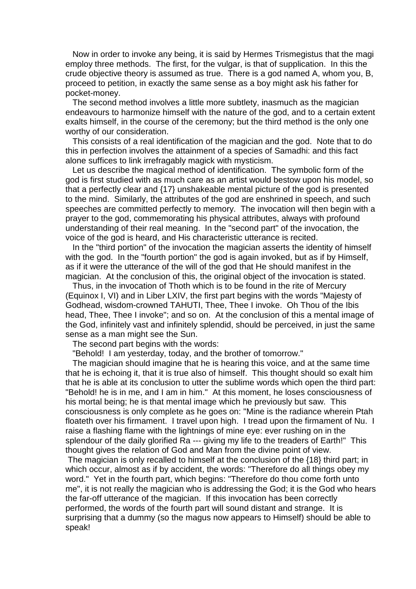Now in order to invoke any being, it is said by Hermes Trismegistus that the magi employ three methods. The first, for the vulgar, is that of supplication. In this the crude objective theory is assumed as true. There is a god named A, whom you, B, proceed to petition, in exactly the same sense as a boy might ask his father for pocket-money.

 The second method involves a little more subtlety, inasmuch as the magician endeavours to harmonize himself with the nature of the god, and to a certain extent exalts himself, in the course of the ceremony; but the third method is the only one worthy of our consideration.

 This consists of a real identification of the magician and the god. Note that to do this in perfection involves the attainment of a species of Samadhi: and this fact alone suffices to link irrefragably magick with mysticism.

 Let us describe the magical method of identification. The symbolic form of the god is first studied with as much care as an artist would bestow upon his model, so that a perfectly clear and {17} unshakeable mental picture of the god is presented to the mind. Similarly, the attributes of the god are enshrined in speech, and such speeches are committed perfectly to memory. The invocation will then begin with a prayer to the god, commemorating his physical attributes, always with profound understanding of their real meaning. In the "second part" of the invocation, the voice of the god is heard, and His characteristic utterance is recited.

 In the "third portion" of the invocation the magician asserts the identity of himself with the god. In the "fourth portion" the god is again invoked, but as if by Himself, as if it were the utterance of the will of the god that He should manifest in the magician. At the conclusion of this, the original object of the invocation is stated.

 Thus, in the invocation of Thoth which is to be found in the rite of Mercury (Equinox I, VI) and in Liber LXIV, the first part begins with the words "Majesty of Godhead, wisdom-crowned TAHUTI, Thee, Thee I invoke. Oh Thou of the Ibis head, Thee, Thee I invoke"; and so on. At the conclusion of this a mental image of the God, infinitely vast and infinitely splendid, should be perceived, in just the same sense as a man might see the Sun.

The second part begins with the words:

"Behold! I am yesterday, today, and the brother of tomorrow."

 The magician should imagine that he is hearing this voice, and at the same time that he is echoing it, that it is true also of himself. This thought should so exalt him that he is able at its conclusion to utter the sublime words which open the third part: "Behold! he is in me, and I am in him." At this moment, he loses consciousness of his mortal being; he is that mental image which he previously but saw. This consciousness is only complete as he goes on: "Mine is the radiance wherein Ptah floateth over his firmament. I travel upon high. I tread upon the firmament of Nu. I raise a flashing flame with the lightnings of mine eye: ever rushing on in the splendour of the daily glorified Ra --- giving my life to the treaders of Earth!" This thought gives the relation of God and Man from the divine point of view.

 The magician is only recalled to himself at the conclusion of the {18} third part; in which occur, almost as if by accident, the words: "Therefore do all things obey my word." Yet in the fourth part, which begins: "Therefore do thou come forth unto me", it is not really the magician who is addressing the God; it is the God who hears the far-off utterance of the magician. If this invocation has been correctly performed, the words of the fourth part will sound distant and strange. It is surprising that a dummy (so the magus now appears to Himself) should be able to speak!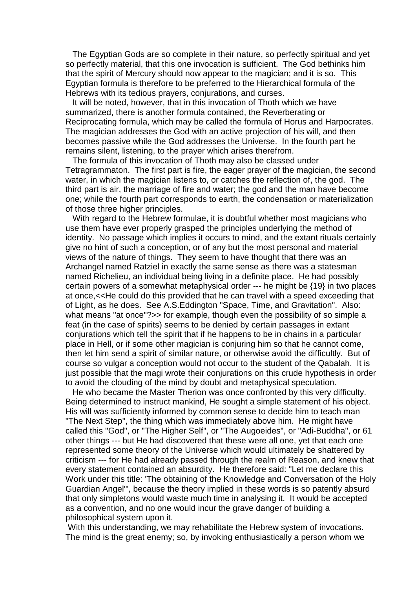The Egyptian Gods are so complete in their nature, so perfectly spiritual and yet so perfectly material, that this one invocation is sufficient. The God bethinks him that the spirit of Mercury should now appear to the magician; and it is so. This Egyptian formula is therefore to be preferred to the Hierarchical formula of the Hebrews with its tedious prayers, conjurations, and curses.

 It will be noted, however, that in this invocation of Thoth which we have summarized, there is another formula contained, the Reverberating or Reciprocating formula, which may be called the formula of Horus and Harpocrates. The magician addresses the God with an active projection of his will, and then becomes passive while the God addresses the Universe. In the fourth part he remains silent, listening, to the prayer which arises therefrom.

 The formula of this invocation of Thoth may also be classed under Tetragrammaton. The first part is fire, the eager prayer of the magician, the second water, in which the magician listens to, or catches the reflection of, the god. The third part is air, the marriage of fire and water; the god and the man have become one; while the fourth part corresponds to earth, the condensation or materialization of those three higher principles.

 With regard to the Hebrew formulae, it is doubtful whether most magicians who use them have ever properly grasped the principles underlying the method of identity. No passage which implies it occurs to mind, and the extant rituals certainly give no hint of such a conception, or of any but the most personal and material views of the nature of things. They seem to have thought that there was an Archangel named Ratziel in exactly the same sense as there was a statesman named Richelieu, an individual being living in a definite place. He had possibly certain powers of a somewhat metaphysical order --- he might be {19} in two places at once,<<He could do this provided that he can travel with a speed exceeding that of Light, as he does. See A.S.Eddington "Space, Time, and Gravitation". Also: what means "at once"?>> for example, though even the possibility of so simple a feat (in the case of spirits) seems to be denied by certain passages in extant conjurations which tell the spirit that if he happens to be in chains in a particular place in Hell, or if some other magician is conjuring him so that he cannot come, then let him send a spirit of similar nature, or otherwise avoid the difficultly. But of course so vulgar a conception would not occur to the student of the Qabalah. It is just possible that the magi wrote their conjurations on this crude hypothesis in order to avoid the clouding of the mind by doubt and metaphysical speculation.

 He who became the Master Therion was once confronted by this very difficulty. Being determined to instruct mankind, He sought a simple statement of his object. His will was sufficiently informed by common sense to decide him to teach man "The Next Step", the thing which was immediately above him. He might have called this "God", or "The Higher Self", or "The Augoeides", or "Adi-Buddha", or 61 other things --- but He had discovered that these were all one, yet that each one represented some theory of the Universe which would ultimately be shattered by criticism --- for He had already passed through the realm of Reason, and knew that every statement contained an absurdity. He therefore said: "Let me declare this Work under this title: 'The obtaining of the Knowledge and Conversation of the Holy Guardian Angel'", because the theory implied in these words is so patently absurd that only simpletons would waste much time in analysing it. It would be accepted as a convention, and no one would incur the grave danger of building a philosophical system upon it.

 With this understanding, we may rehabilitate the Hebrew system of invocations. The mind is the great enemy; so, by invoking enthusiastically a person whom we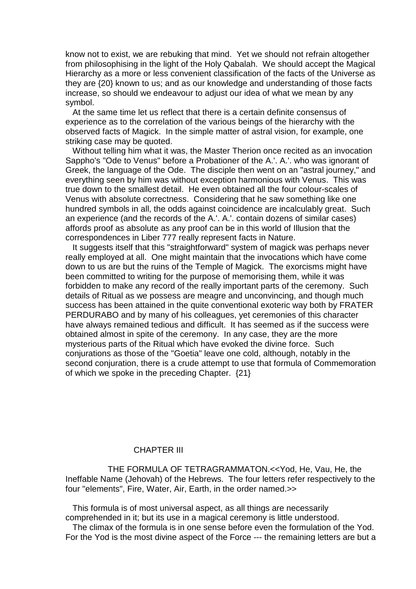know not to exist, we are rebuking that mind. Yet we should not refrain altogether from philosophising in the light of the Holy Qabalah. We should accept the Magical Hierarchy as a more or less convenient classification of the facts of the Universe as they are {20} known to us; and as our knowledge and understanding of those facts increase, so should we endeavour to adjust our idea of what we mean by any symbol.

 At the same time let us reflect that there is a certain definite consensus of experience as to the correlation of the various beings of the hierarchy with the observed facts of Magick. In the simple matter of astral vision, for example, one striking case may be quoted.

 Without telling him what it was, the Master Therion once recited as an invocation Sappho's "Ode to Venus" before a Probationer of the A.'. A.'. who was ignorant of Greek, the language of the Ode. The disciple then went on an "astral journey," and everything seen by him was without exception harmonious with Venus. This was true down to the smallest detail. He even obtained all the four colour-scales of Venus with absolute correctness. Considering that he saw something like one hundred symbols in all, the odds against coincidence are incalculably great. Such an experience (and the records of the A.'. A.'. contain dozens of similar cases) affords proof as absolute as any proof can be in this world of Illusion that the correspondences in Liber 777 really represent facts in Nature.

 It suggests itself that this "straightforward" system of magick was perhaps never really employed at all. One might maintain that the invocations which have come down to us are but the ruins of the Temple of Magick. The exorcisms might have been committed to writing for the purpose of memorising them, while it was forbidden to make any record of the really important parts of the ceremony. Such details of Ritual as we possess are meagre and unconvincing, and though much success has been attained in the quite conventional exoteric way both by FRATER PERDURABO and by many of his colleagues, yet ceremonies of this character have always remained tedious and difficult. It has seemed as if the success were obtained almost in spite of the ceremony. In any case, they are the more mysterious parts of the Ritual which have evoked the divine force. Such conjurations as those of the "Goetia" leave one cold, although, notably in the second conjuration, there is a crude attempt to use that formula of Commemoration of which we spoke in the preceding Chapter. {21}

# CHAPTER III

 THE FORMULA OF TETRAGRAMMATON.<<Yod, He, Vau, He, the Ineffable Name (Jehovah) of the Hebrews. The four letters refer respectively to the four "elements", Fire, Water, Air, Earth, in the order named.>>

 This formula is of most universal aspect, as all things are necessarily comprehended in it; but its use in a magical ceremony is little understood.

 The climax of the formula is in one sense before even the formulation of the Yod. For the Yod is the most divine aspect of the Force --- the remaining letters are but a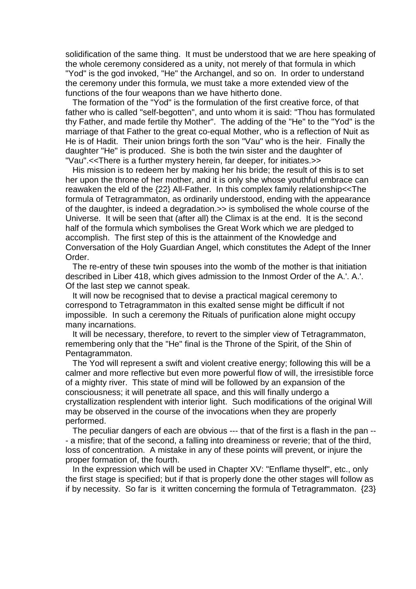solidification of the same thing. It must be understood that we are here speaking of the whole ceremony considered as a unity, not merely of that formula in which "Yod" is the god invoked, "He" the Archangel, and so on. In order to understand the ceremony under this formula, we must take a more extended view of the functions of the four weapons than we have hitherto done.

 The formation of the "Yod" is the formulation of the first creative force, of that father who is called "self-begotten", and unto whom it is said: "Thou has formulated thy Father, and made fertile thy Mother". The adding of the "He" to the "Yod" is the marriage of that Father to the great co-equal Mother, who is a reflection of Nuit as He is of Hadit. Their union brings forth the son "Vau" who is the heir. Finally the daughter "He" is produced. She is both the twin sister and the daughter of "Vau".<<There is a further mystery herein, far deeper, for initiates.>>

 His mission is to redeem her by making her his bride; the result of this is to set her upon the throne of her mother, and it is only she whose youthful embrace can reawaken the eld of the {22} All-Father. In this complex family relationship<<The formula of Tetragrammaton, as ordinarily understood, ending with the appearance of the daughter, is indeed a degradation.>> is symbolised the whole course of the Universe. It will be seen that (after all) the Climax is at the end. It is the second half of the formula which symbolises the Great Work which we are pledged to accomplish. The first step of this is the attainment of the Knowledge and Conversation of the Holy Guardian Angel, which constitutes the Adept of the Inner Order.

 The re-entry of these twin spouses into the womb of the mother is that initiation described in Liber 418, which gives admission to the Inmost Order of the A.'. A.'. Of the last step we cannot speak.

 It will now be recognised that to devise a practical magical ceremony to correspond to Tetragrammaton in this exalted sense might be difficult if not impossible. In such a ceremony the Rituals of purification alone might occupy many incarnations.

 It will be necessary, therefore, to revert to the simpler view of Tetragrammaton, remembering only that the "He" final is the Throne of the Spirit, of the Shin of Pentagrammaton.

 The Yod will represent a swift and violent creative energy; following this will be a calmer and more reflective but even more powerful flow of will, the irresistible force of a mighty river. This state of mind will be followed by an expansion of the consciousness; it will penetrate all space, and this will finally undergo a crystallization resplendent with interior light. Such modifications of the original Will may be observed in the course of the invocations when they are properly performed.

 The peculiar dangers of each are obvious --- that of the first is a flash in the pan -- - a misfire; that of the second, a falling into dreaminess or reverie; that of the third, loss of concentration. A mistake in any of these points will prevent, or injure the proper formation of, the fourth.

 In the expression which will be used in Chapter XV: "Enflame thyself", etc., only the first stage is specified; but if that is properly done the other stages will follow as if by necessity. So far is it written concerning the formula of Tetragrammaton. {23}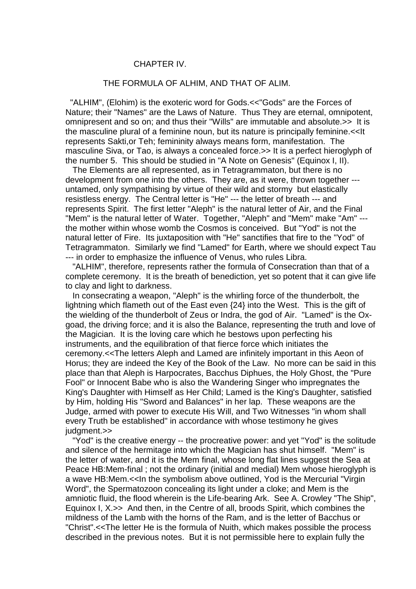#### CHAPTER IV.

#### THE FORMULA OF ALHIM, AND THAT OF ALIM.

 "ALHIM", (Elohim) is the exoteric word for Gods.<<"Gods" are the Forces of Nature; their "Names" are the Laws of Nature. Thus They are eternal, omnipotent, omnipresent and so on; and thus their "Wills" are immutable and absolute.>> It is the masculine plural of a feminine noun, but its nature is principally feminine.<<It represents Sakti,or Teh; femininity always means form, manifestation. The masculine Siva, or Tao, is always a concealed force.>> It is a perfect hieroglyph of the number 5. This should be studied in "A Note on Genesis" (Equinox I, II).

 The Elements are all represented, as in Tetragrammaton, but there is no development from one into the others. They are, as it were, thrown together -- untamed, only sympathising by virtue of their wild and stormy but elastically resistless energy. The Central letter is "He" --- the letter of breath --- and represents Spirit. The first letter "Aleph" is the natural letter of Air, and the Final "Mem" is the natural letter of Water. Together, "Aleph" and "Mem" make "Am" -- the mother within whose womb the Cosmos is conceived. But "Yod" is not the natural letter of Fire. Its juxtaposition with "He" sanctifies that fire to the "Yod" of Tetragrammaton. Similarly we find "Lamed" for Earth, where we should expect Tau --- in order to emphasize the influence of Venus, who rules Libra.

 "ALHIM", therefore, represents rather the formula of Consecration than that of a complete ceremony. It is the breath of benediction, yet so potent that it can give life to clay and light to darkness.

 In consecrating a weapon, "Aleph" is the whirling force of the thunderbolt, the lightning which flameth out of the East even {24} into the West. This is the gift of the wielding of the thunderbolt of Zeus or Indra, the god of Air. "Lamed" is the Oxgoad, the driving force; and it is also the Balance, representing the truth and love of the Magician. It is the loving care which he bestows upon perfecting his instruments, and the equilibration of that fierce force which initiates the ceremony.<<The letters Aleph and Lamed are infinitely important in this Aeon of Horus; they are indeed the Key of the Book of the Law. No more can be said in this place than that Aleph is Harpocrates, Bacchus Diphues, the Holy Ghost, the "Pure Fool" or Innocent Babe who is also the Wandering Singer who impregnates the King's Daughter with Himself as Her Child; Lamed is the King's Daughter, satisfied by Him, holding His "Sword and Balances" in her lap. These weapons are the Judge, armed with power to execute His Will, and Two Witnesses "in whom shall every Truth be established" in accordance with whose testimony he gives judgment.>>

 "Yod" is the creative energy -- the procreative power: and yet "Yod" is the solitude and silence of the hermitage into which the Magician has shut himself. "Mem" is the letter of water, and it is the Mem final, whose long flat lines suggest the Sea at Peace HB:Mem-final ; not the ordinary (initial and medial) Mem whose hieroglyph is a wave HB:Mem.<< In the symbolism above outlined, Yod is the Mercurial "Virgin Word", the Spermatozoon concealing its light under a cloke; and Mem is the amniotic fluid, the flood wherein is the Life-bearing Ark. See A. Crowley "The Ship", Equinox I, X.>> And then, in the Centre of all, broods Spirit, which combines the mildness of the Lamb with the horns of the Ram, and is the letter of Bacchus or "Christ".<<The letter He is the formula of Nuith, which makes possible the process described in the previous notes. But it is not permissible here to explain fully the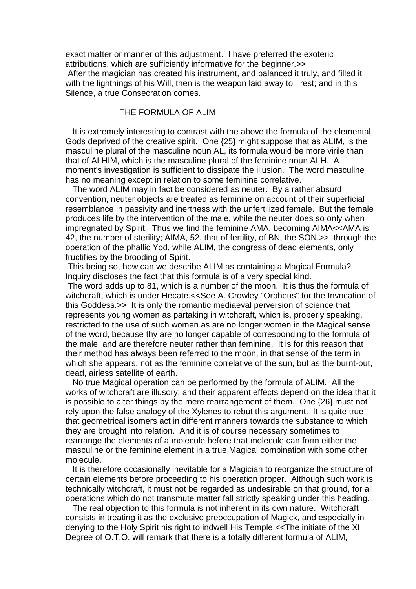exact matter or manner of this adjustment. I have preferred the exoteric attributions, which are sufficiently informative for the beginner.>> After the magician has created his instrument, and balanced it truly, and filled it with the lightnings of his Will, then is the weapon laid away to rest; and in this Silence, a true Consecration comes.

## THE FORMULA OF ALIM

 It is extremely interesting to contrast with the above the formula of the elemental Gods deprived of the creative spirit. One {25} might suppose that as ALIM, is the masculine plural of the masculine noun AL, its formula would be more virile than that of ALHIM, which is the masculine plural of the feminine noun ALH. A moment's investigation is sufficient to dissipate the illusion. The word masculine has no meaning except in relation to some feminine correlative.

 The word ALIM may in fact be considered as neuter. By a rather absurd convention, neuter objects are treated as feminine on account of their superficial resemblance in passivity and inertness with the unfertilized female. But the female produces life by the intervention of the male, while the neuter does so only when impregnated by Spirit. Thus we find the feminine AMA, becoming AIMA<<AMA is 42, the number of sterility; AIMA, 52, that of fertility, of BN, the SON.>>, through the operation of the phallic Yod, while ALIM, the congress of dead elements, only fructifies by the brooding of Spirit.

 This being so, how can we describe ALIM as containing a Magical Formula? Inquiry discloses the fact that this formula is of a very special kind.

 The word adds up to 81, which is a number of the moon. It is thus the formula of witchcraft, which is under Hecate.<<See A. Crowley "Orpheus" for the Invocation of this Goddess.>> It is only the romantic mediaeval perversion of science that represents young women as partaking in witchcraft, which is, properly speaking, restricted to the use of such women as are no longer women in the Magical sense of the word, because thy are no longer capable of corresponding to the formula of the male, and are therefore neuter rather than feminine. It is for this reason that their method has always been referred to the moon, in that sense of the term in which she appears, not as the feminine correlative of the sun, but as the burnt-out, dead, airless satellite of earth.

 No true Magical operation can be performed by the formula of ALIM. All the works of witchcraft are illusory; and their apparent effects depend on the idea that it is possible to alter things by the mere rearrangement of them. One {26} must not rely upon the false analogy of the Xylenes to rebut this argument. It is quite true that geometrical isomers act in different manners towards the substance to which they are brought into relation. And it is of course necessary sometimes to rearrange the elements of a molecule before that molecule can form either the masculine or the feminine element in a true Magical combination with some other molecule.

 It is therefore occasionally inevitable for a Magician to reorganize the structure of certain elements before proceeding to his operation proper. Although such work is technically witchcraft, it must not be regarded as undesirable on that ground, for all operations which do not transmute matter fall strictly speaking under this heading.

 The real objection to this formula is not inherent in its own nature. Witchcraft consists in treating it as the exclusive preoccupation of Magick, and especially in denying to the Holy Spirit his right to indwell His Temple.<<The initiate of the XI Degree of O.T.O. will remark that there is a totally different formula of ALIM,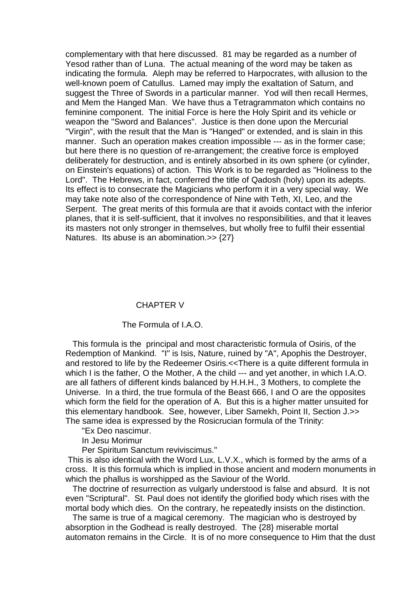complementary with that here discussed. 81 may be regarded as a number of Yesod rather than of Luna. The actual meaning of the word may be taken as indicating the formula. Aleph may be referred to Harpocrates, with allusion to the well-known poem of Catullus. Lamed may imply the exaltation of Saturn, and suggest the Three of Swords in a particular manner. Yod will then recall Hermes, and Mem the Hanged Man. We have thus a Tetragrammaton which contains no feminine component. The initial Force is here the Holy Spirit and its vehicle or weapon the "Sword and Balances". Justice is then done upon the Mercurial "Virgin", with the result that the Man is "Hanged" or extended, and is slain in this manner. Such an operation makes creation impossible --- as in the former case; but here there is no question of re-arrangement; the creative force is employed deliberately for destruction, and is entirely absorbed in its own sphere (or cylinder, on Einstein's equations) of action. This Work is to be regarded as "Holiness to the Lord". The Hebrews, in fact, conferred the title of Qadosh (holy) upon its adepts. Its effect is to consecrate the Magicians who perform it in a very special way. We may take note also of the correspondence of Nine with Teth, XI, Leo, and the Serpent. The great merits of this formula are that it avoids contact with the inferior planes, that it is self-sufficient, that it involves no responsibilities, and that it leaves its masters not only stronger in themselves, but wholly free to fulfil their essential Natures. Its abuse is an abomination.>> {27}

# CHAPTER V

## The Formula of I.A.O.

 This formula is the principal and most characteristic formula of Osiris, of the Redemption of Mankind. "I" is Isis, Nature, ruined by "A", Apophis the Destroyer, and restored to life by the Redeemer Osiris.<<There is a quite different formula in which I is the father, O the Mother, A the child --- and yet another, in which I.A.O. are all fathers of different kinds balanced by H.H.H., 3 Mothers, to complete the Universe. In a third, the true formula of the Beast 666, I and O are the opposites which form the field for the operation of A. But this is a higher matter unsuited for this elementary handbook. See, however, Liber Samekh, Point II, Section J.>> The same idea is expressed by the Rosicrucian formula of the Trinity:

"Ex Deo nascimur.

In Jesu Morimur

Per Spiritum Sanctum reviviscimus."

 This is also identical with the Word Lux, L.V.X., which is formed by the arms of a cross. It is this formula which is implied in those ancient and modern monuments in which the phallus is worshipped as the Saviour of the World.

 The doctrine of resurrection as vulgarly understood is false and absurd. It is not even "Scriptural". St. Paul does not identify the glorified body which rises with the mortal body which dies. On the contrary, he repeatedly insists on the distinction.

 The same is true of a magical ceremony. The magician who is destroyed by absorption in the Godhead is really destroyed. The {28} miserable mortal automaton remains in the Circle. It is of no more consequence to Him that the dust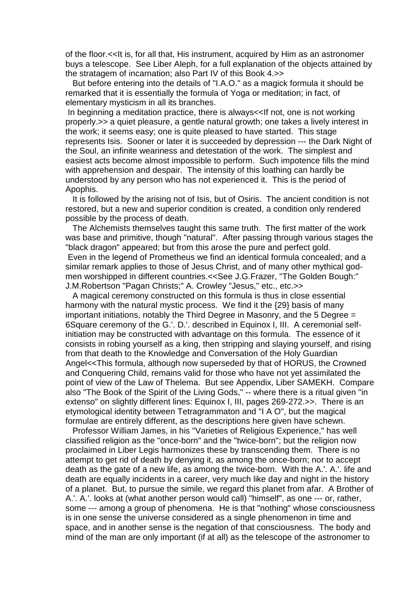of the floor.<<It is, for all that, His instrument, acquired by Him as an astronomer buys a telescope. See Liber Aleph, for a full explanation of the objects attained by the stratagem of incarnation; also Part IV of this Book 4.>>

 But before entering into the details of "I.A.O." as a magick formula it should be remarked that it is essentially the formula of Yoga or meditation; in fact, of elementary mysticism in all its branches.

In beginning a meditation practice, there is always<< If not, one is not working properly.>> a quiet pleasure, a gentle natural growth; one takes a lively interest in the work; it seems easy; one is quite pleased to have started. This stage represents Isis. Sooner or later it is succeeded by depression --- the Dark Night of the Soul, an infinite weariness and detestation of the work. The simplest and easiest acts become almost impossible to perform. Such impotence fills the mind with apprehension and despair. The intensity of this loathing can hardly be understood by any person who has not experienced it. This is the period of Apophis.

 It is followed by the arising not of Isis, but of Osiris. The ancient condition is not restored, but a new and superior condition is created, a condition only rendered possible by the process of death.

 The Alchemists themselves taught this same truth. The first matter of the work was base and primitive, though "natural". After passing through various stages the "black dragon" appeared; but from this arose the pure and perfect gold. Even in the legend of Prometheus we find an identical formula concealed; and a similar remark applies to those of Jesus Christ, and of many other mythical godmen worshipped in different countries.<<See J.G.Frazer, "The Golden Bough:" J.M.Robertson "Pagan Christs;" A. Crowley "Jesus," etc., etc.>>

 A magical ceremony constructed on this formula is thus in close essential harmony with the natural mystic process. We find it the {29} basis of many important initiations, notably the Third Degree in Masonry, and the 5 Degree = 6Square ceremony of the G.'. D.'. described in Equinox I, III. A ceremonial selfinitiation may be constructed with advantage on this formula. The essence of it consists in robing yourself as a king, then stripping and slaying yourself, and rising from that death to the Knowledge and Conversation of the Holy Guardian Angel<<This formula, although now superseded by that of HORUS, the Crowned and Conquering Child, remains valid for those who have not yet assimilated the point of view of the Law of Thelema. But see Appendix, Liber SAMEKH. Compare also "The Book of the Spirit of the Living Gods," -- where there is a ritual given "in extenso" on slightly different lines: Equinox I, III, pages 269-272.>>. There is an etymological identity between Tetragrammaton and "I A O", but the magical formulae are entirely different, as the descriptions here given have schewn.

 Professor William James, in his "Varieties of Religious Experience," has well classified religion as the "once-born" and the "twice-born"; but the religion now proclaimed in Liber Legis harmonizes these by transcending them. There is no attempt to get rid of death by denying it, as among the once-born; nor to accept death as the gate of a new life, as among the twice-born. With the A.'. A.'. life and death are equally incidents in a career, very much like day and night in the history of a planet. But, to pursue the simile, we regard this planet from afar. A Brother of A.'. A.'. looks at (what another person would call) "himself", as one --- or, rather, some --- among a group of phenomena. He is that "nothing" whose consciousness is in one sense the universe considered as a single phenomenon in time and space, and in another sense is the negation of that consciousness. The body and mind of the man are only important (if at all) as the telescope of the astronomer to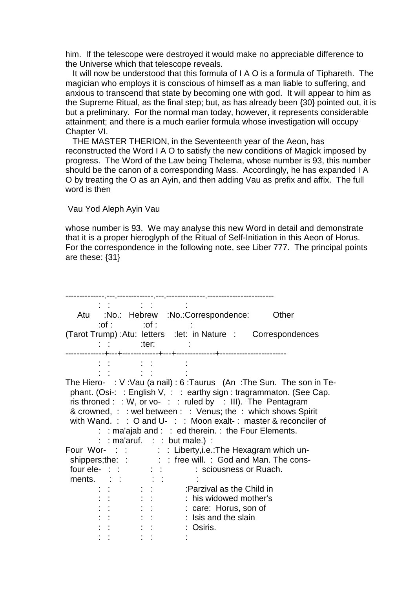him. If the telescope were destroyed it would make no appreciable difference to the Universe which that telescope reveals.

 It will now be understood that this formula of I A O is a formula of Tiphareth. The magician who employs it is conscious of himself as a man liable to suffering, and anxious to transcend that state by becoming one with god. It will appear to him as the Supreme Ritual, as the final step; but, as has already been {30} pointed out, it is but a preliminary. For the normal man today, however, it represents considerable attainment; and there is a much earlier formula whose investigation will occupy Chapter VI.

 THE MASTER THERION, in the Seventeenth year of the Aeon, has reconstructed the Word I A O to satisfy the new conditions of Magick imposed by progress. The Word of the Law being Thelema, whose number is 93, this number should be the canon of a corresponding Mass. Accordingly, he has expanded I A O by treating the O as an Ayin, and then adding Vau as prefix and affix. The full word is then

#### Vau Yod Aleph Ayin Vau

whose number is 93. We may analyse this new Word in detail and demonstrate that it is a proper hieroglyph of the Ritual of Self-Initiation in this Aeon of Horus. For the correspondence in the following note, see Liber 777. The principal points are these: {31}

| Atu :No.: Hebrew :No.:Correspondence:<br>Other                       |
|----------------------------------------------------------------------|
| $\mathsf{cof}$ : $\mathsf{cof}$ :                                    |
| (Tarot Trump): Atu: letters : let: in Nature : Correspondences       |
| :ter:                                                                |
|                                                                      |
| de de la construcción                                                |
|                                                                      |
| The Hiero- : V: Vau (a nail): 6: Taurus (An: The Sun. The son in Te- |
| phant. (Osi-: : English V, : : earthy sign : tragrammaton. (See Cap. |
| ris throned : : W, or vo-: : ruled by : III). The Pentagram          |
| & crowned, : : wel between : : Venus; the : which shows Spirit       |
| with Wand.: : O and U-: : Moon exalt-: master & reconciler of        |
| : : ma'ajab and : : ed therein. : the Four Elements.                 |
| : : ma'aruf. : : but male.) :                                        |
| Four Wor- : : : : : : Liberty,i.e.: The Hexagram which un-           |
| shippers; the: : : : : : free will. : God and Man. The cons-         |
| four ele- : : : : : : : : : : sciousness or Ruach.                   |
| ments. : :                                                           |
|                                                                      |
| : his widowed mother's                                               |
| : care: Horus, son of                                                |
| : Isis and the slain                                                 |
| : Osiris.                                                            |
|                                                                      |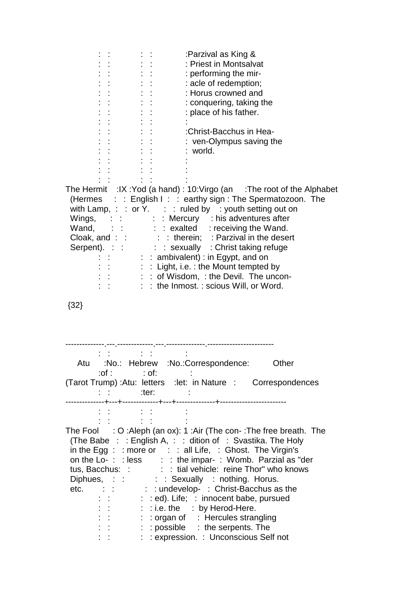|                                        | :Parzival as King &<br>: Priest in Montsalvat<br>: performing the mir-<br>: acle of redemption;<br>: Horus crowned and<br>: conquering, taking the<br>: place of his father.                                                                                                                                                                                                                                                                                                                                                                                                                                                                                        |
|----------------------------------------|---------------------------------------------------------------------------------------------------------------------------------------------------------------------------------------------------------------------------------------------------------------------------------------------------------------------------------------------------------------------------------------------------------------------------------------------------------------------------------------------------------------------------------------------------------------------------------------------------------------------------------------------------------------------|
| Cloak, and: :                          | :Christ-Bacchus in Hea-<br>: ven-Olympus saving the<br>: world.<br>The Hermit : IX: Yod (a hand): 10: Virgo (an : The root of the Alphabet<br>(Hermes : : English I : : earthy sign : The Spermatozoon. The<br>with Lamp, : : or Y. : : ruled by : youth setting out on<br>Wings, : : : : : : Mercury : his adventures after<br>Wand, : : : : : : exalted : receiving the Wand.<br>: : therein; : Parzival in the desert<br>Serpent). : : : : : sexually : Christ taking refuge<br>$\therefore$ ambivalent) : in Egypt, and on<br>: : Light, i.e. : the Mount tempted by<br>: : : : : of Wisdom, : the Devil. The uncon-<br>: : the Inmost. : scious Will, or Word. |
| ${32}$                                 |                                                                                                                                                                                                                                                                                                                                                                                                                                                                                                                                                                                                                                                                     |
| $\cdot$ of $\cdot$ $\cdot$ of $\cdot$  | Atu :No.: Hebrew :No.:Correspondence: Other<br>(Tarot Trump) :Atu: letters :let: in Nature : Correspondences                                                                                                                                                                                                                                                                                                                                                                                                                                                                                                                                                        |
| $\therefore$ $\therefore$ $\therefore$ |                                                                                                                                                                                                                                                                                                                                                                                                                                                                                                                                                                                                                                                                     |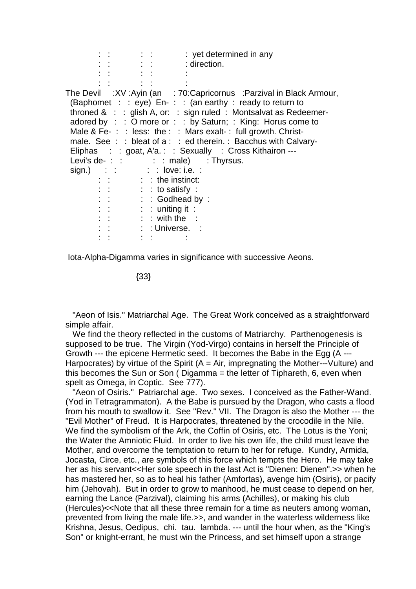**Example 2**: : : : : : : : : : : yet determined in any : : : : : : : : : : : : direction. : : : : : : : : : : : : : : The Devil :XV :Ayin (an : 70:Capricornus :Parzival in Black Armour, (Baphomet :  $: eye)$  En- :  $: (an earthy : ready to return to)$  throned & : : glish A, or: : sign ruled : Montsalvat as Redeemer adored by : : O more or : : by Saturn; : King: Horus come to Male & Fe-: : less: the : : Mars exalt-: full growth. Christmale. See : : bleat of a : : ed therein. : Bacchus with Calvary-Eliphas : : goat, A'a. : : Sexually : Cross Kithairon ---Levi's de- : :  $\check{\phantom{a}}$  : : male)  $\check{\phantom{a}}$ : Thyrsus. sign.) : : : : : : : love: i.e. : : : : : : : : : the instinct: example: : : : : : : : : : to satisfy : discovering the set of the set of the set of the set of the set of the set of the set of the set of the set of the s  $\mathbf{z} \cdot \mathbf{z} = \mathbf{z} \cdot \mathbf{z} + \mathbf{z} \cdot \mathbf{z}$  is uniting it  $\mathbf{z}$ : : : : with the : : : : : Universe. : : : : : :

Iota-Alpha-Digamma varies in significance with successive Aeons.

{33}

 "Aeon of Isis." Matriarchal Age. The Great Work conceived as a straightforward simple affair.

We find the theory reflected in the customs of Matriarchy. Parthenogenesis is supposed to be true. The Virgin (Yod-Virgo) contains in herself the Principle of Growth --- the epicene Hermetic seed. It becomes the Babe in the Egg (A --- Harpocrates) by virtue of the Spirit  $(A = Air, impregnating the Mother--Vulture)$  and this becomes the Sun or Son ( Digamma = the letter of Tiphareth, 6, even when spelt as Omega, in Coptic. See 777).

 "Aeon of Osiris." Patriarchal age. Two sexes. I conceived as the Father-Wand. (Yod in Tetragrammaton). A the Babe is pursued by the Dragon, who casts a flood from his mouth to swallow it. See "Rev." VII. The Dragon is also the Mother --- the "Evil Mother" of Freud. It is Harpocrates, threatened by the crocodile in the Nile. We find the symbolism of the Ark, the Coffin of Osiris, etc. The Lotus is the Yoni; the Water the Amniotic Fluid. In order to live his own life, the child must leave the Mother, and overcome the temptation to return to her for refuge. Kundry, Armida, Jocasta, Circe, etc., are symbols of this force which tempts the Hero. He may take her as his servant<<Her sole speech in the last Act is "Dienen: Dienen".>> when he has mastered her, so as to heal his father (Amfortas), avenge him (Osiris), or pacify him (Jehovah). But in order to grow to manhood, he must cease to depend on her, earning the Lance (Parzival), claiming his arms (Achilles), or making his club (Hercules)<<Note that all these three remain for a time as neuters among woman, prevented from living the male life.>>, and wander in the waterless wilderness like Krishna, Jesus, Oedipus, chi. tau. lambda. --- until the hour when, as the "King's Son" or knight-errant, he must win the Princess, and set himself upon a strange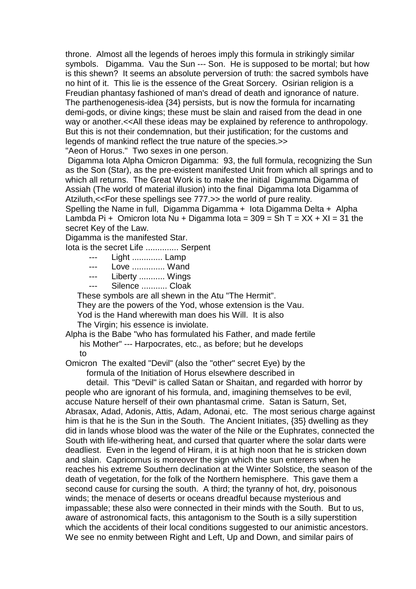throne. Almost all the legends of heroes imply this formula in strikingly similar symbols. Digamma. Vau the Sun --- Son. He is supposed to be mortal; but how is this shewn? It seems an absolute perversion of truth: the sacred symbols have no hint of it. This lie is the essence of the Great Sorcery. Osirian religion is a Freudian phantasy fashioned of man's dread of death and ignorance of nature. The parthenogenesis-idea {34} persists, but is now the formula for incarnating demi-gods, or divine kings; these must be slain and raised from the dead in one way or another.<<All these ideas may be explained by reference to anthropology. But this is not their condemnation, but their justification; for the customs and legends of mankind reflect the true nature of the species.>>

"Aeon of Horus." Two sexes in one person.

 Digamma Iota Alpha Omicron Digamma: 93, the full formula, recognizing the Sun as the Son (Star), as the pre-existent manifested Unit from which all springs and to which all returns. The Great Work is to make the initial Digamma Digamma of Assiah (The world of material illusion) into the final Digamma Iota Digamma of Atziluth,<<For these spellings see 777.>> the world of pure reality.

Spelling the Name in full, Digamma Digamma + Iota Digamma Delta + Alpha Lambda Pi + Omicron lota Nu + Digamma lota =  $309 = Sh T = XX + XI = 31$  the secret Key of the Law.

Digamma is the manifested Star.

Iota is the secret Life .............. Serpent

- --- Light ............. Lamp
- --- Love .............. Wand
- --- Liberty ........... Wings
- --- Silence ........... Cloak

These symbols are all shewn in the Atu "The Hermit".

They are the powers of the Yod, whose extension is the Vau.

Yod is the Hand wherewith man does his Will. It is also

The Virgin; his essence is inviolate.

Alpha is the Babe "who has formulated his Father, and made fertile his Mother" --- Harpocrates, etc., as before; but he develops to

Omicron The exalted "Devil" (also the "other" secret Eye) by the formula of the Initiation of Horus elsewhere described in

 detail. This "Devil" is called Satan or Shaitan, and regarded with horror by people who are ignorant of his formula, and, imagining themselves to be evil, accuse Nature herself of their own phantasmal crime. Satan is Saturn, Set, Abrasax, Adad, Adonis, Attis, Adam, Adonai, etc. The most serious charge against him is that he is the Sun in the South. The Ancient Initiates, {35} dwelling as they did in lands whose blood was the water of the Nile or the Euphrates, connected the South with life-withering heat, and cursed that quarter where the solar darts were deadliest. Even in the legend of Hiram, it is at high noon that he is stricken down and slain. Capricornus is moreover the sign which the sun enterers when he reaches his extreme Southern declination at the Winter Solstice, the season of the death of vegetation, for the folk of the Northern hemisphere. This gave them a second cause for cursing the south. A third; the tyranny of hot, dry, poisonous winds; the menace of deserts or oceans dreadful because mysterious and impassable; these also were connected in their minds with the South. But to us, aware of astronomical facts, this antagonism to the South is a silly superstition which the accidents of their local conditions suggested to our animistic ancestors. We see no enmity between Right and Left, Up and Down, and similar pairs of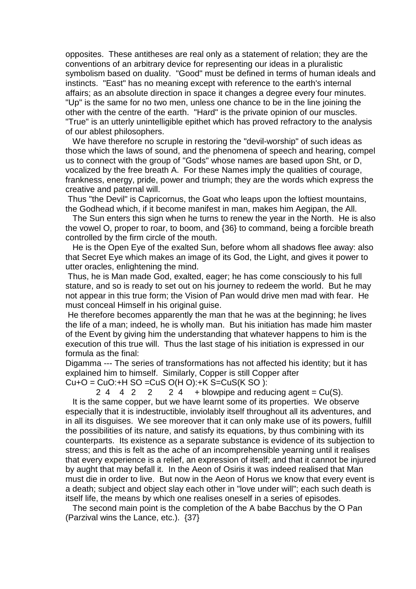opposites. These antitheses are real only as a statement of relation; they are the conventions of an arbitrary device for representing our ideas in a pluralistic symbolism based on duality. "Good" must be defined in terms of human ideals and instincts. "East" has no meaning except with reference to the earth's internal affairs; as an absolute direction in space it changes a degree every four minutes. "Up" is the same for no two men, unless one chance to be in the line joining the other with the centre of the earth. "Hard" is the private opinion of our muscles. "True" is an utterly unintelligible epithet which has proved refractory to the analysis of our ablest philosophers.

 We have therefore no scruple in restoring the "devil-worship" of such ideas as those which the laws of sound, and the phenomena of speech and hearing, compel us to connect with the group of "Gods" whose names are based upon Sht, or D, vocalized by the free breath A. For these Names imply the qualities of courage, frankness, energy, pride, power and triumph; they are the words which express the creative and paternal will.

 Thus "the Devil" is Capricornus, the Goat who leaps upon the loftiest mountains, the Godhead which, if it become manifest in man, makes him Aegipan, the All.

 The Sun enters this sign when he turns to renew the year in the North. He is also the vowel O, proper to roar, to boom, and {36} to command, being a forcible breath controlled by the firm circle of the mouth.

 He is the Open Eye of the exalted Sun, before whom all shadows flee away: also that Secret Eye which makes an image of its God, the Light, and gives it power to utter oracles, enlightening the mind.

 Thus, he is Man made God, exalted, eager; he has come consciously to his full stature, and so is ready to set out on his journey to redeem the world. But he may not appear in this true form; the Vision of Pan would drive men mad with fear. He must conceal Himself in his original guise.

 He therefore becomes apparently the man that he was at the beginning; he lives the life of a man; indeed, he is wholly man. But his initiation has made him master of the Event by giving him the understanding that whatever happens to him is the execution of this true will. Thus the last stage of his initiation is expressed in our formula as the final:

Digamma --- The series of transformations has not affected his identity; but it has explained him to himself. Similarly, Copper is still Copper after  $Cu+O = CuO: +H SO = CuS O (H O): +K S = CuS (K SO):$ 

2 4 4 2 2 2 4 + blowpipe and reducing agent =  $Cu(S)$ . It is the same copper, but we have learnt some of its properties. We observe especially that it is indestructible, inviolably itself throughout all its adventures, and in all its disguises. We see moreover that it can only make use of its powers, fulfill the possibilities of its nature, and satisfy its equations, by thus combining with its counterparts. Its existence as a separate substance is evidence of its subjection to stress; and this is felt as the ache of an incomprehensible yearning until it realises that every experience is a relief, an expression of itself; and that it cannot be injured by aught that may befall it. In the Aeon of Osiris it was indeed realised that Man must die in order to live. But now in the Aeon of Horus we know that every event is a death; subject and object slay each other in "love under will"; each such death is itself life, the means by which one realises oneself in a series of episodes.

 The second main point is the completion of the A babe Bacchus by the O Pan (Parzival wins the Lance, etc.). {37}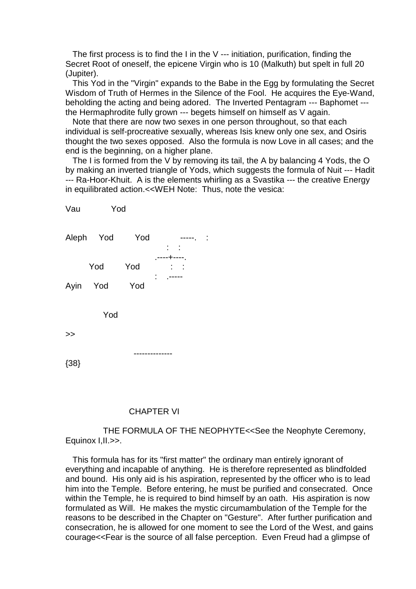The first process is to find the I in the V --- initiation, purification, finding the Secret Root of oneself, the epicene Virgin who is 10 (Malkuth) but spelt in full 20 (Jupiter).

 This Yod in the "Virgin" expands to the Babe in the Egg by formulating the Secret Wisdom of Truth of Hermes in the Silence of the Fool. He acquires the Eye-Wand, beholding the acting and being adored. The Inverted Pentagram --- Baphomet -- the Hermaphrodite fully grown --- begets himself on himself as V again.

 Note that there are now two sexes in one person throughout, so that each individual is self-procreative sexually, whereas Isis knew only one sex, and Osiris thought the two sexes opposed. Also the formula is now Love in all cases; and the end is the beginning, on a higher plane.

The I is formed from the V by removing its tail, the A by balancing 4 Yods, the O by making an inverted triangle of Yods, which suggests the formula of Nuit --- Hadit --- Ra-Hoor-Khuit. A is the elements whirling as a Svastika --- the creative Energy in equilibrated action.<<WEH Note: Thus, note the vesica:

Aleph Yod Yod -----. :  $\mathbf{r} \in \mathbb{R}^n$  .----+----. Yod Yod : : : .----- Ayin Yod Yod Yod >> -------------- {38}

Vau Yod

# CHAPTER VI

 THE FORMULA OF THE NEOPHYTE<<See the Neophyte Ceremony, Equinox I,II.>>.

 This formula has for its "first matter" the ordinary man entirely ignorant of everything and incapable of anything. He is therefore represented as blindfolded and bound. His only aid is his aspiration, represented by the officer who is to lead him into the Temple. Before entering, he must be purified and consecrated. Once within the Temple, he is required to bind himself by an oath. His aspiration is now formulated as Will. He makes the mystic circumambulation of the Temple for the reasons to be described in the Chapter on "Gesture". After further purification and consecration, he is allowed for one moment to see the Lord of the West, and gains courage<<Fear is the source of all false perception. Even Freud had a glimpse of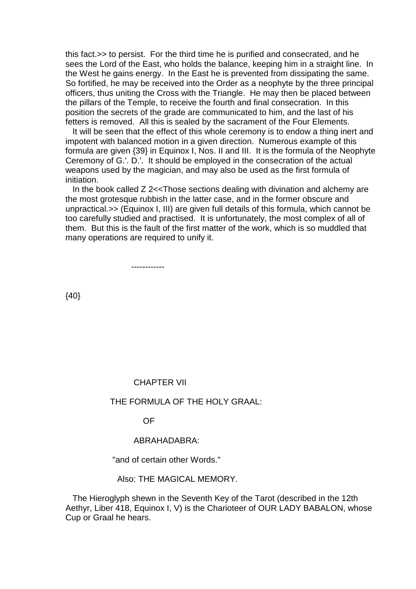this fact.>> to persist. For the third time he is purified and consecrated, and he sees the Lord of the East, who holds the balance, keeping him in a straight line. In the West he gains energy. In the East he is prevented from dissipating the same. So fortified, he may be received into the Order as a neophyte by the three principal officers, thus uniting the Cross with the Triangle. He may then be placed between the pillars of the Temple, to receive the fourth and final consecration. In this position the secrets of the grade are communicated to him, and the last of his fetters is removed. All this is sealed by the sacrament of the Four Elements.

 It will be seen that the effect of this whole ceremony is to endow a thing inert and impotent with balanced motion in a given direction. Numerous example of this formula are given {39} in Equinox I, Nos. II and III. It is the formula of the Neophyte Ceremony of G.'. D.'. It should be employed in the consecration of the actual weapons used by the magician, and may also be used as the first formula of initiation.

 In the book called Z 2<<Those sections dealing with divination and alchemy are the most grotesque rubbish in the latter case, and in the former obscure and unpractical.>> (Equinox I, III) are given full details of this formula, which cannot be too carefully studied and practised. It is unfortunately, the most complex of all of them. But this is the fault of the first matter of the work, which is so muddled that many operations are required to unify it.

{40}

--------------<br>------------

# CHAPTER VII

# THE FORMULA OF THE HOLY GRAAL:

OF

## ABRAHADABRA:

"and of certain other Words."

Also: THE MAGICAL MEMORY.

 The Hieroglyph shewn in the Seventh Key of the Tarot (described in the 12th Aethyr, Liber 418, Equinox I, V) is the Charioteer of OUR LADY BABALON, whose Cup or Graal he hears.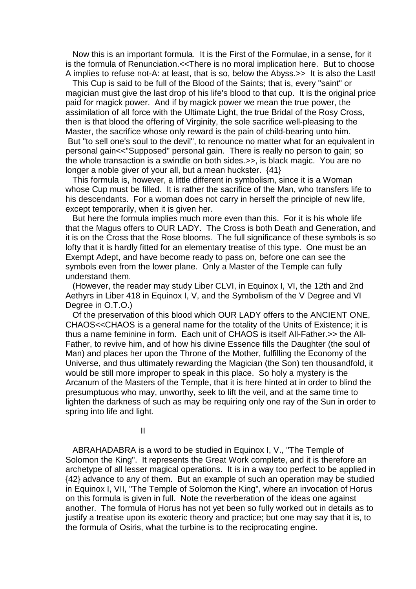Now this is an important formula. It is the First of the Formulae, in a sense, for it is the formula of Renunciation.<<There is no moral implication here. But to choose A implies to refuse not-A: at least, that is so, below the Abyss. >> It is also the Last!

 This Cup is said to be full of the Blood of the Saints; that is, every "saint" or magician must give the last drop of his life's blood to that cup. It is the original price paid for magick power. And if by magick power we mean the true power, the assimilation of all force with the Ultimate Light, the true Bridal of the Rosy Cross, then is that blood the offering of Virginity, the sole sacrifice well-pleasing to the Master, the sacrifice whose only reward is the pain of child-bearing unto him. But "to sell one's soul to the devil", to renounce no matter what for an equivalent in personal gain<<"Supposed" personal gain. There is really no person to gain; so the whole transaction is a swindle on both sides.>>, is black magic. You are no longer a noble giver of your all, but a mean huckster. {41}

 This formula is, however, a little different in symbolism, since it is a Woman whose Cup must be filled. It is rather the sacrifice of the Man, who transfers life to his descendants. For a woman does not carry in herself the principle of new life, except temporarily, when it is given her.

 But here the formula implies much more even than this. For it is his whole life that the Magus offers to OUR LADY. The Cross is both Death and Generation, and it is on the Cross that the Rose blooms. The full significance of these symbols is so lofty that it is hardly fitted for an elementary treatise of this type. One must be an Exempt Adept, and have become ready to pass on, before one can see the symbols even from the lower plane. Only a Master of the Temple can fully understand them.

 (However, the reader may study Liber CLVI, in Equinox I, VI, the 12th and 2nd Aethyrs in Liber 418 in Equinox I, V, and the Symbolism of the V Degree and VI Degree in O.T.O.)

 Of the preservation of this blood which OUR LADY offers to the ANCIENT ONE, CHAOS<<CHAOS is a general name for the totality of the Units of Existence; it is thus a name feminine in form. Each unit of CHAOS is itself All-Father.>> the All-Father, to revive him, and of how his divine Essence fills the Daughter (the soul of Man) and places her upon the Throne of the Mother, fulfilling the Economy of the Universe, and thus ultimately rewarding the Magician (the Son) ten thousandfold, it would be still more improper to speak in this place. So holy a mystery is the Arcanum of the Masters of the Temple, that it is here hinted at in order to blind the presumptuous who may, unworthy, seek to lift the veil, and at the same time to lighten the darkness of such as may be requiring only one ray of the Sun in order to spring into life and light.

**III** and the state of the III

 ABRAHADABRA is a word to be studied in Equinox I, V., "The Temple of Solomon the King". It represents the Great Work complete, and it is therefore an archetype of all lesser magical operations. It is in a way too perfect to be applied in {42} advance to any of them. But an example of such an operation may be studied in Equinox I, VII, "The Temple of Solomon the King", where an invocation of Horus on this formula is given in full. Note the reverberation of the ideas one against another. The formula of Horus has not yet been so fully worked out in details as to justify a treatise upon its exoteric theory and practice; but one may say that it is, to the formula of Osiris, what the turbine is to the reciprocating engine.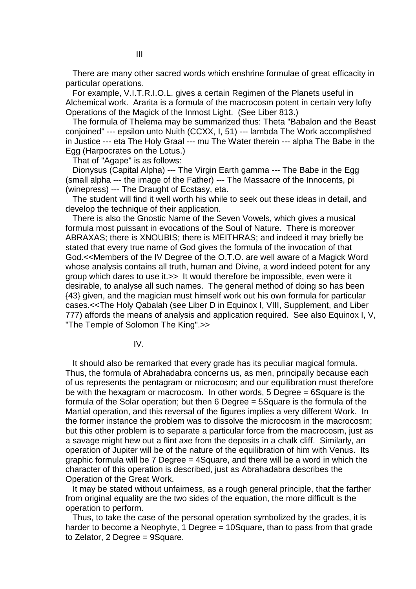There are many other sacred words which enshrine formulae of great efficacity in particular operations.

 For example, V.I.T.R.I.O.L. gives a certain Regimen of the Planets useful in Alchemical work. Ararita is a formula of the macrocosm potent in certain very lofty Operations of the Magick of the Inmost Light. (See Liber 813.)

 The formula of Thelema may be summarized thus: Theta "Babalon and the Beast conjoined" --- epsilon unto Nuith (CCXX, I, 51) --- lambda The Work accomplished in Justice --- eta The Holy Graal --- mu The Water therein --- alpha The Babe in the Egg (Harpocrates on the Lotus.)

That of "Agape" is as follows:

 Dionysus (Capital Alpha) --- The Virgin Earth gamma --- The Babe in the Egg (small alpha --- the image of the Father) --- The Massacre of the Innocents, pi (winepress) --- The Draught of Ecstasy, eta.

 The student will find it well worth his while to seek out these ideas in detail, and develop the technique of their application.

 There is also the Gnostic Name of the Seven Vowels, which gives a musical formula most puissant in evocations of the Soul of Nature. There is moreover ABRAXAS; there is XNOUBIS; there is MEITHRAS; and indeed it may briefly be stated that every true name of God gives the formula of the invocation of that God.<<Members of the IV Degree of the O.T.O. are well aware of a Magick Word whose analysis contains all truth, human and Divine, a word indeed potent for any group which dares to use it.>> It would therefore be impossible, even were it desirable, to analyse all such names. The general method of doing so has been {43} given, and the magician must himself work out his own formula for particular cases.<<The Holy Qabalah (see Liber D in Equinox I, VIII, Supplement, and Liber 777) affords the means of analysis and application required. See also Equinox I, V, "The Temple of Solomon The King".>>

IV.

 It should also be remarked that every grade has its peculiar magical formula. Thus, the formula of Abrahadabra concerns us, as men, principally because each of us represents the pentagram or microcosm; and our equilibration must therefore be with the hexagram or macrocosm. In other words, 5 Degree = 6Square is the formula of the Solar operation; but then 6 Degree = 5Square is the formula of the Martial operation, and this reversal of the figures implies a very different Work. In the former instance the problem was to dissolve the microcosm in the macrocosm; but this other problem is to separate a particular force from the macrocosm, just as a savage might hew out a flint axe from the deposits in a chalk cliff. Similarly, an operation of Jupiter will be of the nature of the equilibration of him with Venus. Its graphic formula will be 7 Degree = 4Square, and there will be a word in which the character of this operation is described, just as Abrahadabra describes the Operation of the Great Work.

 It may be stated without unfairness, as a rough general principle, that the farther from original equality are the two sides of the equation, the more difficult is the operation to perform.

 Thus, to take the case of the personal operation symbolized by the grades, it is harder to become a Neophyte, 1 Degree = 10Square, than to pass from that grade to Zelator, 2 Degree = 9Square.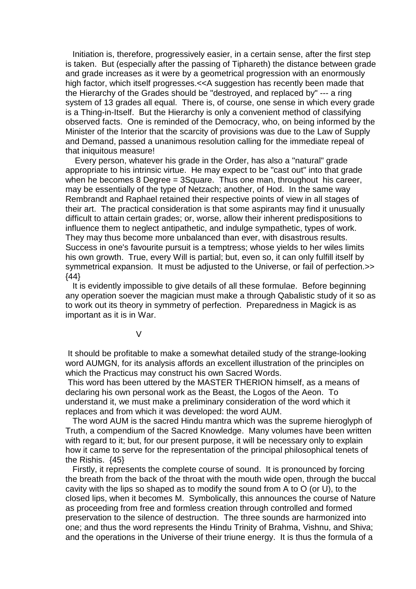Initiation is, therefore, progressively easier, in a certain sense, after the first step is taken. But (especially after the passing of Tiphareth) the distance between grade and grade increases as it were by a geometrical progression with an enormously high factor, which itself progresses.<<A suggestion has recently been made that the Hierarchy of the Grades should be "destroyed, and replaced by" --- a ring system of 13 grades all equal. There is, of course, one sense in which every grade is a Thing-in-Itself. But the Hierarchy is only a convenient method of classifying observed facts. One is reminded of the Democracy, who, on being informed by the Minister of the Interior that the scarcity of provisions was due to the Law of Supply and Demand, passed a unanimous resolution calling for the immediate repeal of that iniquitous measure!

 Every person, whatever his grade in the Order, has also a "natural" grade appropriate to his intrinsic virtue. He may expect to be "cast out" into that grade when he becomes 8 Degree = 3Square. Thus one man, throughout his career, may be essentially of the type of Netzach; another, of Hod. In the same way Rembrandt and Raphael retained their respective points of view in all stages of their art. The practical consideration is that some aspirants may find it unusually difficult to attain certain grades; or, worse, allow their inherent predispositions to influence them to neglect antipathetic, and indulge sympathetic, types of work. They may thus become more unbalanced than ever, with disastrous results. Success in one's favourite pursuit is a temptress; whose yields to her wiles limits his own growth. True, every Will is partial; but, even so, it can only fulfill itself by symmetrical expansion. It must be adjusted to the Universe, or fail of perfection.>> {44}

 It is evidently impossible to give details of all these formulae. Before beginning any operation soever the magician must make a through Qabalistic study of it so as to work out its theory in symmetry of perfection. Preparedness in Magick is as important as it is in War.

V

 It should be profitable to make a somewhat detailed study of the strange-looking word AUMGN, for its analysis affords an excellent illustration of the principles on which the Practicus may construct his own Sacred Words.

 This word has been uttered by the MASTER THERION himself, as a means of declaring his own personal work as the Beast, the Logos of the Aeon. To understand it, we must make a preliminary consideration of the word which it replaces and from which it was developed: the word AUM.

 The word AUM is the sacred Hindu mantra which was the supreme hieroglyph of Truth, a compendium of the Sacred Knowledge. Many volumes have been written with regard to it; but, for our present purpose, it will be necessary only to explain how it came to serve for the representation of the principal philosophical tenets of the Rishis. {45}

 Firstly, it represents the complete course of sound. It is pronounced by forcing the breath from the back of the throat with the mouth wide open, through the buccal cavity with the lips so shaped as to modify the sound from A to O (or U), to the closed lips, when it becomes M. Symbolically, this announces the course of Nature as proceeding from free and formless creation through controlled and formed preservation to the silence of destruction. The three sounds are harmonized into one; and thus the word represents the Hindu Trinity of Brahma, Vishnu, and Shiva; and the operations in the Universe of their triune energy. It is thus the formula of a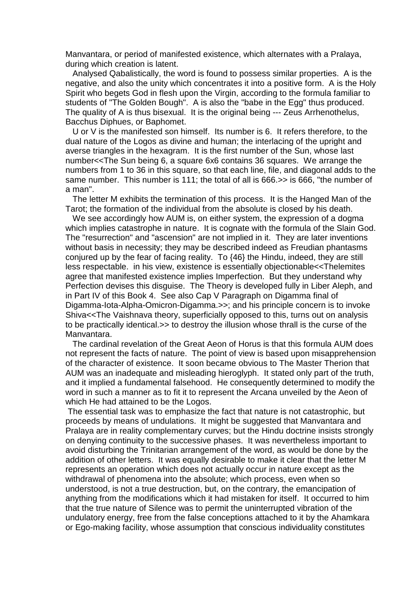Manvantara, or period of manifested existence, which alternates with a Pralaya, during which creation is latent.

 Analysed Qabalistically, the word is found to possess similar properties. A is the negative, and also the unity which concentrates it into a positive form. A is the Holy Spirit who begets God in flesh upon the Virgin, according to the formula familiar to students of "The Golden Bough". A is also the "babe in the Egg" thus produced. The quality of A is thus bisexual. It is the original being --- Zeus Arrhenothelus, Bacchus Diphues, or Baphomet.

 U or V is the manifested son himself. Its number is 6. It refers therefore, to the dual nature of the Logos as divine and human; the interlacing of the upright and averse triangles in the hexagram. It is the first number of the Sun, whose last number<<The Sun being 6, a square 6x6 contains 36 squares. We arrange the numbers from 1 to 36 in this square, so that each line, file, and diagonal adds to the same number. This number is 111; the total of all is 666.>> is 666, "the number of a man".

 The letter M exhibits the termination of this process. It is the Hanged Man of the Tarot; the formation of the individual from the absolute is closed by his death.

We see accordingly how AUM is, on either system, the expression of a dogma which implies catastrophe in nature. It is cognate with the formula of the Slain God. The "resurrection" and "ascension" are not implied in it. They are later inventions without basis in necessity; they may be described indeed as Freudian phantasms conjured up by the fear of facing reality. To {46} the Hindu, indeed, they are still less respectable. in his view, existence is essentially objectionable<<Thelemites agree that manifested existence implies Imperfection. But they understand why Perfection devises this disguise. The Theory is developed fully in Liber Aleph, and in Part IV of this Book 4. See also Cap V Paragraph on Digamma final of Digamma-Iota-Alpha-Omicron-Digamma.>>; and his principle concern is to invoke Shiva<<The Vaishnava theory, superficially opposed to this, turns out on analysis to be practically identical.>> to destroy the illusion whose thrall is the curse of the Manvantara.

 The cardinal revelation of the Great Aeon of Horus is that this formula AUM does not represent the facts of nature. The point of view is based upon misapprehension of the character of existence. It soon became obvious to The Master Therion that AUM was an inadequate and misleading hieroglyph. It stated only part of the truth, and it implied a fundamental falsehood. He consequently determined to modify the word in such a manner as to fit it to represent the Arcana unveiled by the Aeon of which He had attained to be the Logos.

 The essential task was to emphasize the fact that nature is not catastrophic, but proceeds by means of undulations. It might be suggested that Manvantara and Pralaya are in reality complementary curves; but the Hindu doctrine insists strongly on denying continuity to the successive phases. It was nevertheless important to avoid disturbing the Trinitarian arrangement of the word, as would be done by the addition of other letters. It was equally desirable to make it clear that the letter M represents an operation which does not actually occur in nature except as the withdrawal of phenomena into the absolute; which process, even when so understood, is not a true destruction, but, on the contrary, the emancipation of anything from the modifications which it had mistaken for itself. It occurred to him that the true nature of Silence was to permit the uninterrupted vibration of the undulatory energy, free from the false conceptions attached to it by the Ahamkara or Ego-making facility, whose assumption that conscious individuality constitutes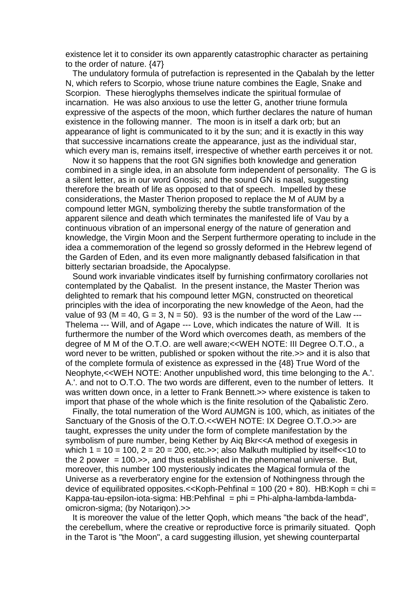existence let it to consider its own apparently catastrophic character as pertaining to the order of nature. {47}

 The undulatory formula of putrefaction is represented in the Qabalah by the letter N, which refers to Scorpio, whose triune nature combines the Eagle, Snake and Scorpion. These hieroglyphs themselves indicate the spiritual formulae of incarnation. He was also anxious to use the letter G, another triune formula expressive of the aspects of the moon, which further declares the nature of human existence in the following manner. The moon is in itself a dark orb; but an appearance of light is communicated to it by the sun; and it is exactly in this way that successive incarnations create the appearance, just as the individual star, which every man is, remains itself, irrespective of whether earth perceives it or not.

 Now it so happens that the root GN signifies both knowledge and generation combined in a single idea, in an absolute form independent of personality. The G is a silent letter, as in our word Gnosis; and the sound GN is nasal, suggesting therefore the breath of life as opposed to that of speech. Impelled by these considerations, the Master Therion proposed to replace the M of AUM by a compound letter MGN, symbolizing thereby the subtle transformation of the apparent silence and death which terminates the manifested life of Vau by a continuous vibration of an impersonal energy of the nature of generation and knowledge, the Virgin Moon and the Serpent furthermore operating to include in the idea a commemoration of the legend so grossly deformed in the Hebrew legend of the Garden of Eden, and its even more malignantly debased falsification in that bitterly sectarian broadside, the Apocalypse.

 Sound work invariable vindicates itself by furnishing confirmatory corollaries not contemplated by the Qabalist. In the present instance, the Master Therion was delighted to remark that his compound letter MGN, constructed on theoretical principles with the idea of incorporating the new knowledge of the Aeon, had the value of 93 ( $M = 40$ ,  $G = 3$ ,  $N = 50$ ). 93 is the number of the word of the Law ---Thelema --- Will, and of Agape --- Love, which indicates the nature of Will. It is furthermore the number of the Word which overcomes death, as members of the degree of M M of the O.T.O. are well aware;<<WEH NOTE: III Degree O.T.O., a word never to be written, published or spoken without the rite. >> and it is also that of the complete formula of existence as expressed in the {48} True Word of the Neophyte,<<WEH NOTE: Another unpublished word, this time belonging to the A.'. A.'. and not to O.T.O. The two words are different, even to the number of letters. It was written down once, in a letter to Frank Bennett, >> where existence is taken to import that phase of the whole which is the finite resolution of the Qabalistic Zero.

 Finally, the total numeration of the Word AUMGN is 100, which, as initiates of the Sanctuary of the Gnosis of the O.T.O.<<WEH NOTE: IX Degree O.T.O.>> are taught, expresses the unity under the form of complete manifestation by the symbolism of pure number, being Kether by Aiq Bkr<<A method of exegesis in which  $1 = 10 = 100$ ,  $2 = 20 = 200$ , etc. $>$ ; also Malkuth multiplied by itself $<< 10$  to the 2 power  $= 100.$ >>, and thus established in the phenomenal universe. But, moreover, this number 100 mysteriously indicates the Magical formula of the Universe as a reverberatory engine for the extension of Nothingness through the device of equilibrated opposites. $\lt$ Koph-Pehfinal = 100 (20 + 80). HB:Koph = chi = Kappa-tau-epsilon-iota-sigma: HB:Pehfinal = phi = Phi-alpha-lambda-lambdaomicron-sigma; (by Notariqon).>>

 It is moreover the value of the letter Qoph, which means "the back of the head", the cerebellum, where the creative or reproductive force is primarily situated. Qoph in the Tarot is "the Moon", a card suggesting illusion, yet shewing counterpartal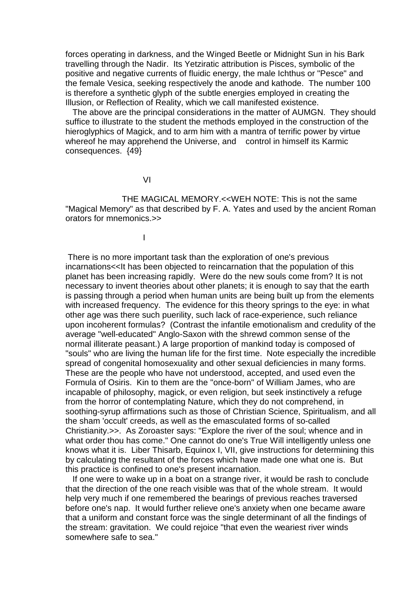forces operating in darkness, and the Winged Beetle or Midnight Sun in his Bark travelling through the Nadir. Its Yetziratic attribution is Pisces, symbolic of the positive and negative currents of fluidic energy, the male Ichthus or "Pesce" and the female Vesica, seeking respectively the anode and kathode. The number 100 is therefore a synthetic glyph of the subtle energies employed in creating the Illusion, or Reflection of Reality, which we call manifested existence.

 The above are the principal considerations in the matter of AUMGN. They should suffice to illustrate to the student the methods employed in the construction of the hieroglyphics of Magick, and to arm him with a mantra of terrific power by virtue whereof he may apprehend the Universe, and control in himself its Karmic consequences. {49}

VI

 THE MAGICAL MEMORY.<<WEH NOTE: This is not the same "Magical Memory" as that described by F. A. Yates and used by the ancient Roman orators for mnemonics.>>

**In the contract of the Contract of the Contract of the Contract of the Contract of the Contract of the Contract of the Contract of the Contract of the Contract of the Contract of the Contract of the Contract of the Contra** 

 There is no more important task than the exploration of one's previous incarnations<<It has been objected to reincarnation that the population of this planet has been increasing rapidly. Were do the new souls come from? It is not necessary to invent theories about other planets; it is enough to say that the earth is passing through a period when human units are being built up from the elements with increased frequency. The evidence for this theory springs to the eye: in what other age was there such puerility, such lack of race-experience, such reliance upon incoherent formulas? (Contrast the infantile emotionalism and credulity of the average "well-educated" Anglo-Saxon with the shrewd common sense of the normal illiterate peasant.) A large proportion of mankind today is composed of "souls" who are living the human life for the first time. Note especially the incredible spread of congenital homosexuality and other sexual deficiencies in many forms. These are the people who have not understood, accepted, and used even the Formula of Osiris. Kin to them are the "once-born" of William James, who are incapable of philosophy, magick, or even religion, but seek instinctively a refuge from the horror of contemplating Nature, which they do not comprehend, in soothing-syrup affirmations such as those of Christian Science, Spiritualism, and all the sham 'occult' creeds, as well as the emasculated forms of so-called Christianity.>>. As Zoroaster says: "Explore the river of the soul; whence and in what order thou has come." One cannot do one's True Will intelligently unless one knows what it is. Liber Thisarb, Equinox I, VII, give instructions for determining this by calculating the resultant of the forces which have made one what one is. But this practice is confined to one's present incarnation.

 If one were to wake up in a boat on a strange river, it would be rash to conclude that the direction of the one reach visible was that of the whole stream. It would help very much if one remembered the bearings of previous reaches traversed before one's nap. It would further relieve one's anxiety when one became aware that a uniform and constant force was the single determinant of all the findings of the stream: gravitation. We could rejoice "that even the weariest river winds somewhere safe to sea."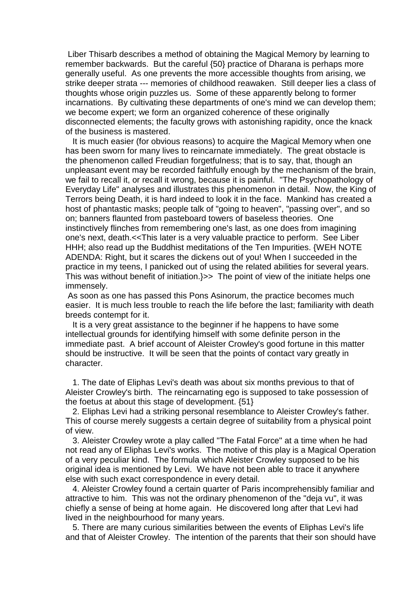Liber Thisarb describes a method of obtaining the Magical Memory by learning to remember backwards. But the careful {50} practice of Dharana is perhaps more generally useful. As one prevents the more accessible thoughts from arising, we strike deeper strata --- memories of childhood reawaken. Still deeper lies a class of thoughts whose origin puzzles us. Some of these apparently belong to former incarnations. By cultivating these departments of one's mind we can develop them; we become expert; we form an organized coherence of these originally disconnected elements; the faculty grows with astonishing rapidity, once the knack of the business is mastered.

 It is much easier (for obvious reasons) to acquire the Magical Memory when one has been sworn for many lives to reincarnate immediately. The great obstacle is the phenomenon called Freudian forgetfulness; that is to say, that, though an unpleasant event may be recorded faithfully enough by the mechanism of the brain, we fail to recall it, or recall it wrong, because it is painful. "The Psychopathology of Everyday Life" analyses and illustrates this phenomenon in detail. Now, the King of Terrors being Death, it is hard indeed to look it in the face. Mankind has created a host of phantastic masks; people talk of "going to heaven", "passing over", and so on; banners flaunted from pasteboard towers of baseless theories. One instinctively flinches from remembering one's last, as one does from imagining one's next, death.<<This later is a very valuable practice to perform. See Liber HHH; also read up the Buddhist meditations of the Ten Impurities. {WEH NOTE ADENDA: Right, but it scares the dickens out of you! When I succeeded in the practice in my teens, I panicked out of using the related abilities for several years. This was without benefit of initiation.}>> The point of view of the initiate helps one immensely.

 As soon as one has passed this Pons Asinorum, the practice becomes much easier. It is much less trouble to reach the life before the last; familiarity with death breeds contempt for it.

 It is a very great assistance to the beginner if he happens to have some intellectual grounds for identifying himself with some definite person in the immediate past. A brief account of Aleister Crowley's good fortune in this matter should be instructive. It will be seen that the points of contact vary greatly in character.

 1. The date of Eliphas Levi's death was about six months previous to that of Aleister Crowley's birth. The reincarnating ego is supposed to take possession of the foetus at about this stage of development. {51}

 2. Eliphas Levi had a striking personal resemblance to Aleister Crowley's father. This of course merely suggests a certain degree of suitability from a physical point of view.

 3. Aleister Crowley wrote a play called "The Fatal Force" at a time when he had not read any of Eliphas Levi's works. The motive of this play is a Magical Operation of a very peculiar kind. The formula which Aleister Crowley supposed to be his original idea is mentioned by Levi. We have not been able to trace it anywhere else with such exact correspondence in every detail.

 4. Aleister Crowley found a certain quarter of Paris incomprehensibly familiar and attractive to him. This was not the ordinary phenomenon of the "deja vu", it was chiefly a sense of being at home again. He discovered long after that Levi had lived in the neighbourhood for many years.

 5. There are many curious similarities between the events of Eliphas Levi's life and that of Aleister Crowley. The intention of the parents that their son should have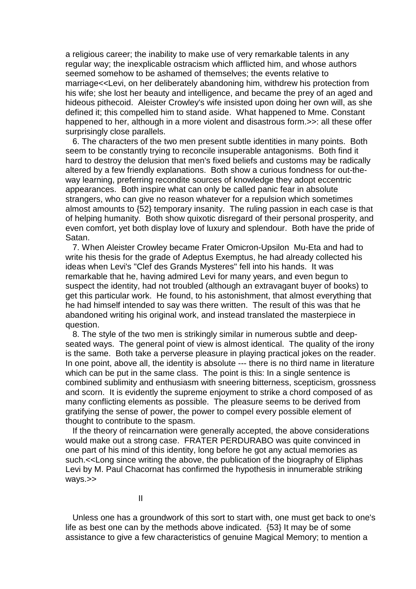a religious career; the inability to make use of very remarkable talents in any regular way; the inexplicable ostracism which afflicted him, and whose authors seemed somehow to be ashamed of themselves; the events relative to marriage<<Levi, on her deliberately abandoning him, withdrew his protection from his wife; she lost her beauty and intelligence, and became the prey of an aged and hideous pithecoid. Aleister Crowley's wife insisted upon doing her own will, as she defined it; this compelled him to stand aside. What happened to Mme. Constant happened to her, although in a more violent and disastrous form.>>: all these offer surprisingly close parallels.

 6. The characters of the two men present subtle identities in many points. Both seem to be constantly trying to reconcile insuperable antagonisms. Both find it hard to destroy the delusion that men's fixed beliefs and customs may be radically altered by a few friendly explanations. Both show a curious fondness for out-theway learning, preferring recondite sources of knowledge they adopt eccentric appearances. Both inspire what can only be called panic fear in absolute strangers, who can give no reason whatever for a repulsion which sometimes almost amounts to {52} temporary insanity. The ruling passion in each case is that of helping humanity. Both show quixotic disregard of their personal prosperity, and even comfort, yet both display love of luxury and splendour. Both have the pride of Satan.

 7. When Aleister Crowley became Frater Omicron-Upsilon Mu-Eta and had to write his thesis for the grade of Adeptus Exemptus, he had already collected his ideas when Levi's "Clef des Grands Mysteres" fell into his hands. It was remarkable that he, having admired Levi for many years, and even begun to suspect the identity, had not troubled (although an extravagant buyer of books) to get this particular work. He found, to his astonishment, that almost everything that he had himself intended to say was there written. The result of this was that he abandoned writing his original work, and instead translated the masterpiece in question.

 8. The style of the two men is strikingly similar in numerous subtle and deepseated ways. The general point of view is almost identical. The quality of the irony is the same. Both take a perverse pleasure in playing practical jokes on the reader. In one point, above all, the identity is absolute --- there is no third name in literature which can be put in the same class. The point is this: In a single sentence is combined sublimity and enthusiasm with sneering bitterness, scepticism, grossness and scorn. It is evidently the supreme enjoyment to strike a chord composed of as many conflicting elements as possible. The pleasure seems to be derived from gratifying the sense of power, the power to compel every possible element of thought to contribute to the spasm.

 If the theory of reincarnation were generally accepted, the above considerations would make out a strong case. FRATER PERDURABO was quite convinced in one part of his mind of this identity, long before he got any actual memories as such.<<Long since writing the above, the publication of the biography of Eliphas Levi by M. Paul Chacornat has confirmed the hypothesis in innumerable striking ways.>>

**III** and the state of the **III** 

 Unless one has a groundwork of this sort to start with, one must get back to one's life as best one can by the methods above indicated. {53} It may be of some assistance to give a few characteristics of genuine Magical Memory; to mention a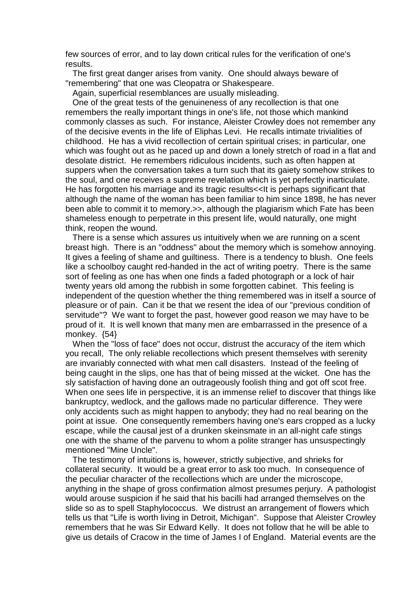few sources of error, and to lay down critical rules for the verification of one's results.

 The first great danger arises from vanity. One should always beware of "remembering" that one was Cleopatra or Shakespeare.

Again, superficial resemblances are usually misleading.

 One of the great tests of the genuineness of any recollection is that one remembers the really important things in one's life, not those which mankind commonly classes as such. For instance, Aleister Crowley does not remember any of the decisive events in the life of Eliphas Levi. He recalls intimate trivialities of childhood. He has a vivid recollection of certain spiritual crises; in particular, one which was fought out as he paced up and down a lonely stretch of road in a flat and desolate district. He remembers ridiculous incidents, such as often happen at suppers when the conversation takes a turn such that its gaiety somehow strikes to the soul, and one receives a supreme revelation which is yet perfectly inarticulate. He has forgotten his marriage and its tragic results<< It is perhaps significant that although the name of the woman has been familiar to him since 1898, he has never been able to commit it to memory.>>, although the plagiarism which Fate has been shameless enough to perpetrate in this present life, would naturally, one might think, reopen the wound.

 There is a sense which assures us intuitively when we are running on a scent breast high. There is an "oddness" about the memory which is somehow annoying. It gives a feeling of shame and guiltiness. There is a tendency to blush. One feels like a schoolboy caught red-handed in the act of writing poetry. There is the same sort of feeling as one has when one finds a faded photograph or a lock of hair twenty years old among the rubbish in some forgotten cabinet. This feeling is independent of the question whether the thing remembered was in itself a source of pleasure or of pain. Can it be that we resent the idea of our "previous condition of servitude"? We want to forget the past, however good reason we may have to be proud of it. It is well known that many men are embarrassed in the presence of a monkey. {54}

 When the "loss of face" does not occur, distrust the accuracy of the item which you recall, The only reliable recollections which present themselves with serenity are invariably connected with what men call disasters. Instead of the feeling of being caught in the slips, one has that of being missed at the wicket. One has the sly satisfaction of having done an outrageously foolish thing and got off scot free. When one sees life in perspective, it is an immense relief to discover that things like bankruptcy, wedlock, and the gallows made no particular difference. They were only accidents such as might happen to anybody; they had no real bearing on the point at issue. One consequently remembers having one's ears cropped as a lucky escape, while the causal jest of a drunken skeinsmate in an all-night cafe stings one with the shame of the parvenu to whom a polite stranger has unsuspectingly mentioned "Mine Uncle".

 The testimony of intuitions is, however, strictly subjective, and shrieks for collateral security. It would be a great error to ask too much. In consequence of the peculiar character of the recollections which are under the microscope, anything in the shape of gross confirmation almost presumes perjury. A pathologist would arouse suspicion if he said that his bacilli had arranged themselves on the slide so as to spell Staphylococcus. We distrust an arrangement of flowers which tells us that "Life is worth living in Detroit, Michigan". Suppose that Aleister Crowley remembers that he was Sir Edward Kelly. It does not follow that he will be able to give us details of Cracow in the time of James I of England. Material events are the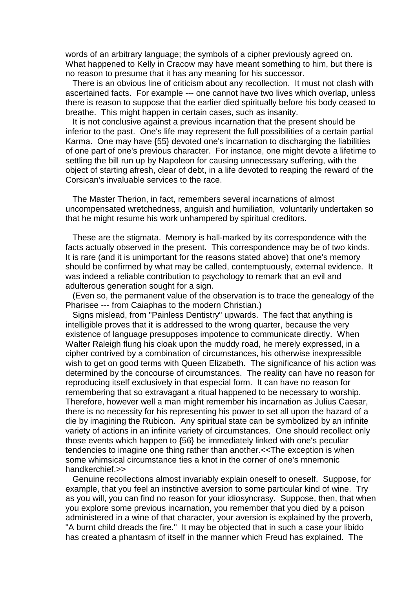words of an arbitrary language; the symbols of a cipher previously agreed on. What happened to Kelly in Cracow may have meant something to him, but there is no reason to presume that it has any meaning for his successor.

 There is an obvious line of criticism about any recollection. It must not clash with ascertained facts. For example --- one cannot have two lives which overlap, unless there is reason to suppose that the earlier died spiritually before his body ceased to breathe. This might happen in certain cases, such as insanity.

 It is not conclusive against a previous incarnation that the present should be inferior to the past. One's life may represent the full possibilities of a certain partial Karma. One may have {55} devoted one's incarnation to discharging the liabilities of one part of one's previous character. For instance, one might devote a lifetime to settling the bill run up by Napoleon for causing unnecessary suffering, with the object of starting afresh, clear of debt, in a life devoted to reaping the reward of the Corsican's invaluable services to the race.

 The Master Therion, in fact, remembers several incarnations of almost uncompensated wretchedness, anguish and humiliation, voluntarily undertaken so that he might resume his work unhampered by spiritual creditors.

 These are the stigmata. Memory is hall-marked by its correspondence with the facts actually observed in the present. This correspondence may be of two kinds. It is rare (and it is unimportant for the reasons stated above) that one's memory should be confirmed by what may be called, contemptuously, external evidence. It was indeed a reliable contribution to psychology to remark that an evil and adulterous generation sought for a sign.

 (Even so, the permanent value of the observation is to trace the genealogy of the Pharisee --- from Caiaphas to the modern Christian.)

 Signs mislead, from "Painless Dentistry" upwards. The fact that anything is intelligible proves that it is addressed to the wrong quarter, because the very existence of language presupposes impotence to communicate directly. When Walter Raleigh flung his cloak upon the muddy road, he merely expressed, in a cipher contrived by a combination of circumstances, his otherwise inexpressible wish to get on good terms with Queen Elizabeth. The significance of his action was determined by the concourse of circumstances. The reality can have no reason for reproducing itself exclusively in that especial form. It can have no reason for remembering that so extravagant a ritual happened to be necessary to worship. Therefore, however well a man might remember his incarnation as Julius Caesar, there is no necessity for his representing his power to set all upon the hazard of a die by imagining the Rubicon. Any spiritual state can be symbolized by an infinite variety of actions in an infinite variety of circumstances. One should recollect only those events which happen to {56} be immediately linked with one's peculiar tendencies to imagine one thing rather than another.<<The exception is when some whimsical circumstance ties a knot in the corner of one's mnemonic handkerchief.>>

 Genuine recollections almost invariably explain oneself to oneself. Suppose, for example, that you feel an instinctive aversion to some particular kind of wine. Try as you will, you can find no reason for your idiosyncrasy. Suppose, then, that when you explore some previous incarnation, you remember that you died by a poison administered in a wine of that character, your aversion is explained by the proverb, "A burnt child dreads the fire." It may be objected that in such a case your libido has created a phantasm of itself in the manner which Freud has explained. The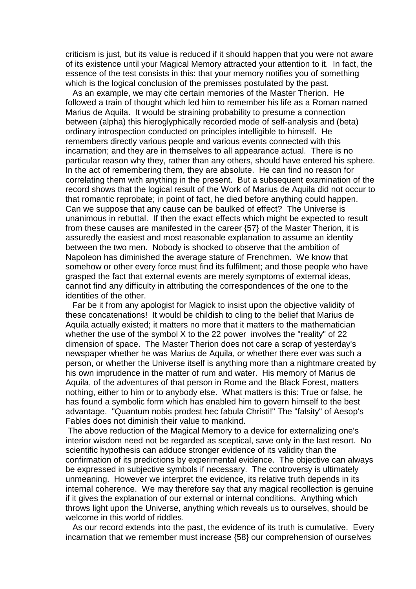criticism is just, but its value is reduced if it should happen that you were not aware of its existence until your Magical Memory attracted your attention to it. In fact, the essence of the test consists in this: that your memory notifies you of something which is the logical conclusion of the premisses postulated by the past.

 As an example, we may cite certain memories of the Master Therion. He followed a train of thought which led him to remember his life as a Roman named Marius de Aquila. It would be straining probability to presume a connection between (alpha) this hieroglyphically recorded mode of self-analysis and (beta) ordinary introspection conducted on principles intelligible to himself. He remembers directly various people and various events connected with this incarnation; and they are in themselves to all appearance actual. There is no particular reason why they, rather than any others, should have entered his sphere. In the act of remembering them, they are absolute. He can find no reason for correlating them with anything in the present. But a subsequent examination of the record shows that the logical result of the Work of Marius de Aquila did not occur to that romantic reprobate; in point of fact, he died before anything could happen. Can we suppose that any cause can be baulked of effect? The Universe is unanimous in rebuttal. If then the exact effects which might be expected to result from these causes are manifested in the career {57} of the Master Therion, it is assuredly the easiest and most reasonable explanation to assume an identity between the two men. Nobody is shocked to observe that the ambition of Napoleon has diminished the average stature of Frenchmen. We know that somehow or other every force must find its fulfilment; and those people who have grasped the fact that external events are merely symptoms of external ideas, cannot find any difficulty in attributing the correspondences of the one to the identities of the other.

 Far be it from any apologist for Magick to insist upon the objective validity of these concatenations! It would be childish to cling to the belief that Marius de Aquila actually existed; it matters no more that it matters to the mathematician whether the use of the symbol X to the 22 power involves the "reality" of 22 dimension of space. The Master Therion does not care a scrap of yesterday's newspaper whether he was Marius de Aquila, or whether there ever was such a person, or whether the Universe itself is anything more than a nightmare created by his own imprudence in the matter of rum and water. His memory of Marius de Aquila, of the adventures of that person in Rome and the Black Forest, matters nothing, either to him or to anybody else. What matters is this: True or false, he has found a symbolic form which has enabled him to govern himself to the best advantage. "Quantum nobis prodest hec fabula Christi!" The "falsity" of Aesop's Fables does not diminish their value to mankind.

 The above reduction of the Magical Memory to a device for externalizing one's interior wisdom need not be regarded as sceptical, save only in the last resort. No scientific hypothesis can adduce stronger evidence of its validity than the confirmation of its predictions by experimental evidence. The objective can always be expressed in subjective symbols if necessary. The controversy is ultimately unmeaning. However we interpret the evidence, its relative truth depends in its internal coherence. We may therefore say that any magical recollection is genuine if it gives the explanation of our external or internal conditions. Anything which throws light upon the Universe, anything which reveals us to ourselves, should be welcome in this world of riddles.

 As our record extends into the past, the evidence of its truth is cumulative. Every incarnation that we remember must increase {58} our comprehension of ourselves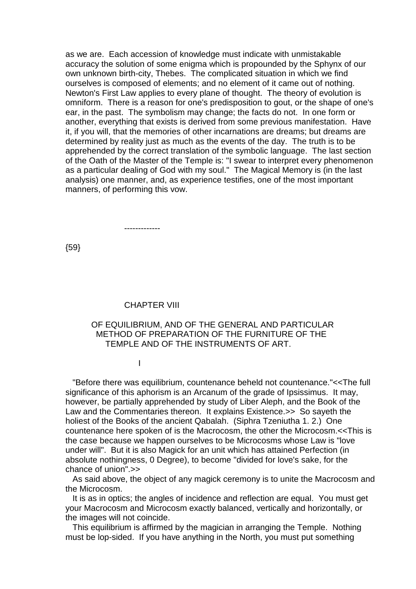as we are. Each accession of knowledge must indicate with unmistakable accuracy the solution of some enigma which is propounded by the Sphynx of our own unknown birth-city, Thebes. The complicated situation in which we find ourselves is composed of elements; and no element of it came out of nothing. Newton's First Law applies to every plane of thought. The theory of evolution is omniform. There is a reason for one's predisposition to gout, or the shape of one's ear, in the past. The symbolism may change; the facts do not. In one form or another, everything that exists is derived from some previous manifestation. Have it, if you will, that the memories of other incarnations are dreams; but dreams are determined by reality just as much as the events of the day. The truth is to be apprehended by the correct translation of the symbolic language. The last section of the Oath of the Master of the Temple is: "I swear to interpret every phenomenon as a particular dealing of God with my soul." The Magical Memory is (in the last analysis) one manner, and, as experience testifies, one of the most important manners, of performing this vow.

{59}

-------------

# CHAPTER VIII

# OF EQUILIBRIUM, AND OF THE GENERAL AND PARTICULAR METHOD OF PREPARATION OF THE FURNITURE OF THE TEMPLE AND OF THE INSTRUMENTS OF ART.

**In the contract of the Contract of the Contract of the Contract of the Contract of the Contract of the Contract of the Contract of the Contract of the Contract of the Contract of the Contract of the Contract of the Contra** 

 "Before there was equilibrium, countenance beheld not countenance."<<The full significance of this aphorism is an Arcanum of the grade of Ipsissimus. It may, however, be partially apprehended by study of Liber Aleph, and the Book of the Law and the Commentaries thereon. It explains Existence.>> So sayeth the holiest of the Books of the ancient Qabalah. (Siphra Tzeniutha 1. 2.) One countenance here spoken of is the Macrocosm, the other the Microcosm.<<This is the case because we happen ourselves to be Microcosms whose Law is "love under will". But it is also Magick for an unit which has attained Perfection (in absolute nothingness, 0 Degree), to become "divided for love's sake, for the chance of union".>>

 As said above, the object of any magick ceremony is to unite the Macrocosm and the Microcosm.

 It is as in optics; the angles of incidence and reflection are equal. You must get your Macrocosm and Microcosm exactly balanced, vertically and horizontally, or the images will not coincide.

 This equilibrium is affirmed by the magician in arranging the Temple. Nothing must be lop-sided. If you have anything in the North, you must put something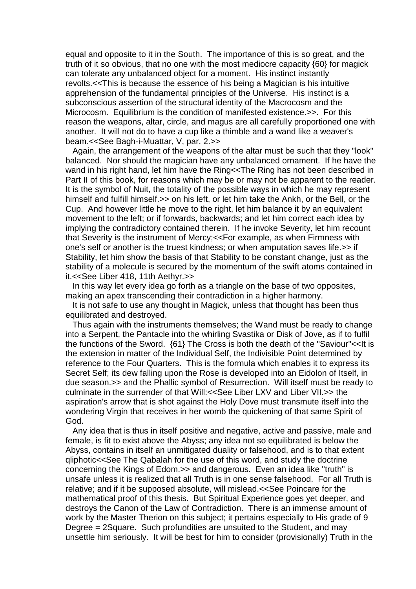equal and opposite to it in the South. The importance of this is so great, and the truth of it so obvious, that no one with the most mediocre capacity {60} for magick can tolerate any unbalanced object for a moment. His instinct instantly revolts.<<This is because the essence of his being a Magician is his intuitive apprehension of the fundamental principles of the Universe. His instinct is a subconscious assertion of the structural identity of the Macrocosm and the Microcosm. Equilibrium is the condition of manifested existence.>>. For this reason the weapons, altar, circle, and magus are all carefully proportioned one with another. It will not do to have a cup like a thimble and a wand like a weaver's beam.<<See Bagh-i-Muattar, V, par. 2.>>

 Again, the arrangement of the weapons of the altar must be such that they "look" balanced. Nor should the magician have any unbalanced ornament. If he have the wand in his right hand, let him have the Ring << The Ring has not been described in Part II of this book, for reasons which may be or may not be apparent to the reader. It is the symbol of Nuit, the totality of the possible ways in which he may represent himself and fulfill himself.>> on his left, or let him take the Ankh, or the Bell, or the Cup. And however little he move to the right, let him balance it by an equivalent movement to the left; or if forwards, backwards; and let him correct each idea by implying the contradictory contained therein. If he invoke Severity, let him recount that Severity is the instrument of Mercy;<<For example, as when Firmness with one's self or another is the truest kindness; or when amputation saves life.>> if Stability, let him show the basis of that Stability to be constant change, just as the stability of a molecule is secured by the momentum of the swift atoms contained in it.<<See Liber 418, 11th Aethyr.>>

 In this way let every idea go forth as a triangle on the base of two opposites, making an apex transcending their contradiction in a higher harmony.

 It is not safe to use any thought in Magick, unless that thought has been thus equilibrated and destroyed.

 Thus again with the instruments themselves; the Wand must be ready to change into a Serpent, the Pantacle into the whirling Svastika or Disk of Jove, as if to fulfil the functions of the Sword. {61} The Cross is both the death of the "Saviour"<<It is the extension in matter of the Individual Self, the Indivisible Point determined by reference to the Four Quarters. This is the formula which enables it to express its Secret Self; its dew falling upon the Rose is developed into an Eidolon of Itself, in due season.>> and the Phallic symbol of Resurrection. Will itself must be ready to culminate in the surrender of that Will:<<See Liber LXV and Liber VII.>> the aspiration's arrow that is shot against the Holy Dove must transmute itself into the wondering Virgin that receives in her womb the quickening of that same Spirit of God.

 Any idea that is thus in itself positive and negative, active and passive, male and female, is fit to exist above the Abyss; any idea not so equilibrated is below the Abyss, contains in itself an unmitigated duality or falsehood, and is to that extent qliphotic<<See The Qabalah for the use of this word, and study the doctrine concerning the Kings of Edom.>> and dangerous. Even an idea like "truth" is unsafe unless it is realized that all Truth is in one sense falsehood. For all Truth is relative; and if it be supposed absolute, will mislead.<<See Poincare for the mathematical proof of this thesis. But Spiritual Experience goes yet deeper, and destroys the Canon of the Law of Contradiction. There is an immense amount of work by the Master Therion on this subject; it pertains especially to His grade of 9 Degree = 2Square. Such profundities are unsuited to the Student, and may unsettle him seriously. It will be best for him to consider (provisionally) Truth in the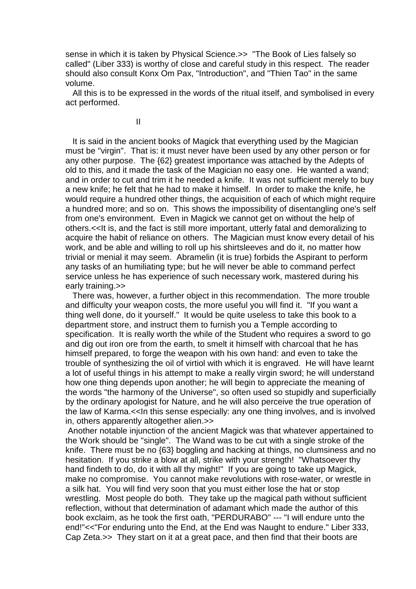sense in which it is taken by Physical Science.>> "The Book of Lies falsely so called" (Liber 333) is worthy of close and careful study in this respect. The reader should also consult Konx Om Pax, "Introduction", and "Thien Tao" in the same volume.

 All this is to be expressed in the words of the ritual itself, and symbolised in every act performed.

**III** and the state of the III

 It is said in the ancient books of Magick that everything used by the Magician must be "virgin". That is: it must never have been used by any other person or for any other purpose. The {62} greatest importance was attached by the Adepts of old to this, and it made the task of the Magician no easy one. He wanted a wand; and in order to cut and trim it he needed a knife. It was not sufficient merely to buy a new knife; he felt that he had to make it himself. In order to make the knife, he would require a hundred other things, the acquisition of each of which might require a hundred more; and so on. This shows the impossibility of disentangling one's self from one's environment. Even in Magick we cannot get on without the help of others.<<It is, and the fact is still more important, utterly fatal and demoralizing to acquire the habit of reliance on others. The Magician must know every detail of his work, and be able and willing to roll up his shirtsleeves and do it, no matter how trivial or menial it may seem. Abramelin (it is true) forbids the Aspirant to perform any tasks of an humiliating type; but he will never be able to command perfect service unless he has experience of such necessary work, mastered during his early training.>>

 There was, however, a further object in this recommendation. The more trouble and difficulty your weapon costs, the more useful you will find it. "If you want a thing well done, do it yourself." It would be quite useless to take this book to a department store, and instruct them to furnish you a Temple according to specification. It is really worth the while of the Student who requires a sword to go and dig out iron ore from the earth, to smelt it himself with charcoal that he has himself prepared, to forge the weapon with his own hand: and even to take the trouble of synthesizing the oil of virtiol with which it is engraved. He will have learnt a lot of useful things in his attempt to make a really virgin sword; he will understand how one thing depends upon another; he will begin to appreciate the meaning of the words "the harmony of the Universe", so often used so stupidly and superficially by the ordinary apologist for Nature, and he will also perceive the true operation of the law of Karma.<<In this sense especially: any one thing involves, and is involved in, others apparently altogether alien.>>

 Another notable injunction of the ancient Magick was that whatever appertained to the Work should be "single". The Wand was to be cut with a single stroke of the knife. There must be no {63} boggling and hacking at things, no clumsiness and no hesitation. If you strike a blow at all, strike with your strength! "Whatsoever thy hand findeth to do, do it with all thy might!" If you are going to take up Magick, make no compromise. You cannot make revolutions with rose-water, or wrestle in a silk hat. You will find very soon that you must either lose the hat or stop wrestling. Most people do both. They take up the magical path without sufficient reflection, without that determination of adamant which made the author of this book exclaim, as he took the first oath, "PERDURABO" --- "I will endure unto the end!"<<"For enduring unto the End, at the End was Naught to endure." Liber 333, Cap Zeta.>> They start on it at a great pace, and then find that their boots are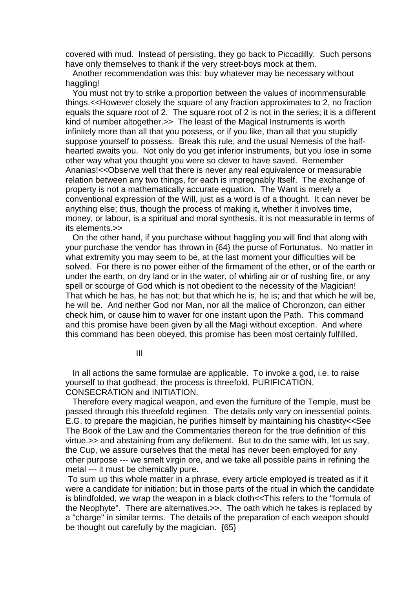covered with mud. Instead of persisting, they go back to Piccadilly. Such persons have only themselves to thank if the very street-boys mock at them.

 Another recommendation was this: buy whatever may be necessary without haggling!

 You must not try to strike a proportion between the values of incommensurable things.<<However closely the square of any fraction approximates to 2, no fraction equals the square root of 2. The square root of 2 is not in the series; it is a different kind of number altogether.>> The least of the Magical Instruments is worth infinitely more than all that you possess, or if you like, than all that you stupidly suppose yourself to possess. Break this rule, and the usual Nemesis of the halfhearted awaits you. Not only do you get inferior instruments, but you lose in some other way what you thought you were so clever to have saved. Remember Ananias!<<Observe well that there is never any real equivalence or measurable relation between any two things, for each is impregnably Itself. The exchange of property is not a mathematically accurate equation. The Want is merely a conventional expression of the Will, just as a word is of a thought. It can never be anything else; thus, though the process of making it, whether it involves time, money, or labour, is a spiritual and moral synthesis, it is not measurable in terms of its elements.>>

 On the other hand, if you purchase without haggling you will find that along with your purchase the vendor has thrown in {64} the purse of Fortunatus. No matter in what extremity you may seem to be, at the last moment your difficulties will be solved. For there is no power either of the firmament of the ether, or of the earth or under the earth, on dry land or in the water, of whirling air or of rushing fire, or any spell or scourge of God which is not obedient to the necessity of the Magician! That which he has, he has not; but that which he is, he is; and that which he will be, he will be. And neither God nor Man, nor all the malice of Choronzon, can either check him, or cause him to waver for one instant upon the Path. This command and this promise have been given by all the Magi without exception. And where this command has been obeyed, this promise has been most certainly fulfilled.

**III** and the state of the **III** 

 In all actions the same formulae are applicable. To invoke a god, i.e. to raise yourself to that godhead, the process is threefold, PURIFICATION, CONSECRATION and INITIATION.

 Therefore every magical weapon, and even the furniture of the Temple, must be passed through this threefold regimen. The details only vary on inessential points. E.G. to prepare the magician, he purifies himself by maintaining his chastity<<See The Book of the Law and the Commentaries thereon for the true definition of this virtue.>> and abstaining from any defilement. But to do the same with, let us say, the Cup, we assure ourselves that the metal has never been employed for any other purpose --- we smelt virgin ore, and we take all possible pains in refining the metal --- it must be chemically pure.

 To sum up this whole matter in a phrase, every article employed is treated as if it were a candidate for initiation; but in those parts of the ritual in which the candidate is blindfolded, we wrap the weapon in a black cloth<<This refers to the "formula of the Neophyte". There are alternatives.>>. The oath which he takes is replaced by a "charge" in similar terms. The details of the preparation of each weapon should be thought out carefully by the magician. {65}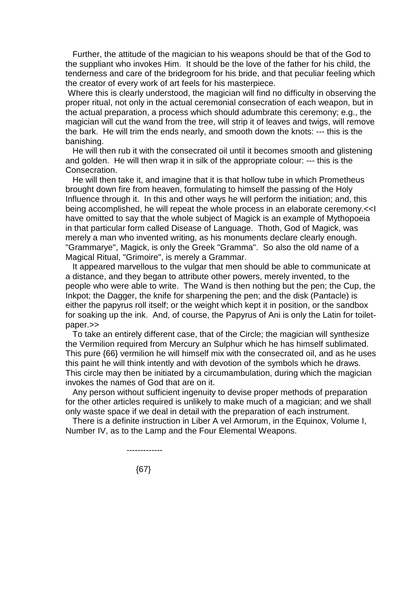Further, the attitude of the magician to his weapons should be that of the God to the suppliant who invokes Him. It should be the love of the father for his child, the tenderness and care of the bridegroom for his bride, and that peculiar feeling which the creator of every work of art feels for his masterpiece.

 Where this is clearly understood, the magician will find no difficulty in observing the proper ritual, not only in the actual ceremonial consecration of each weapon, but in the actual preparation, a process which should adumbrate this ceremony; e.g., the magician will cut the wand from the tree, will strip it of leaves and twigs, will remove the bark. He will trim the ends nearly, and smooth down the knots: --- this is the banishing.

 He will then rub it with the consecrated oil until it becomes smooth and glistening and golden. He will then wrap it in silk of the appropriate colour: --- this is the Consecration.

 He will then take it, and imagine that it is that hollow tube in which Prometheus brought down fire from heaven, formulating to himself the passing of the Holy Influence through it. In this and other ways he will perform the initiation; and, this being accomplished, he will repeat the whole process in an elaborate ceremony. have omitted to say that the whole subject of Magick is an example of Mythopoeia in that particular form called Disease of Language. Thoth, God of Magick, was merely a man who invented writing, as his monuments declare clearly enough. "Grammarye", Magick, is only the Greek "Gramma". So also the old name of a Magical Ritual, "Grimoire", is merely a Grammar.

 It appeared marvellous to the vulgar that men should be able to communicate at a distance, and they began to attribute other powers, merely invented, to the people who were able to write. The Wand is then nothing but the pen; the Cup, the Inkpot; the Dagger, the knife for sharpening the pen; and the disk (Pantacle) is either the papyrus roll itself; or the weight which kept it in position, or the sandbox for soaking up the ink. And, of course, the Papyrus of Ani is only the Latin for toiletpaper.>>

 To take an entirely different case, that of the Circle; the magician will synthesize the Vermilion required from Mercury an Sulphur which he has himself sublimated. This pure {66} vermilion he will himself mix with the consecrated oil, and as he uses this paint he will think intently and with devotion of the symbols which he draws. This circle may then be initiated by a circumambulation, during which the magician invokes the names of God that are on it.

 Any person without sufficient ingenuity to devise proper methods of preparation for the other articles required is unlikely to make much of a magician; and we shall only waste space if we deal in detail with the preparation of each instrument.

 There is a definite instruction in Liber A vel Armorum, in the Equinox, Volume I, Number IV, as to the Lamp and the Four Elemental Weapons.

-------------

{67}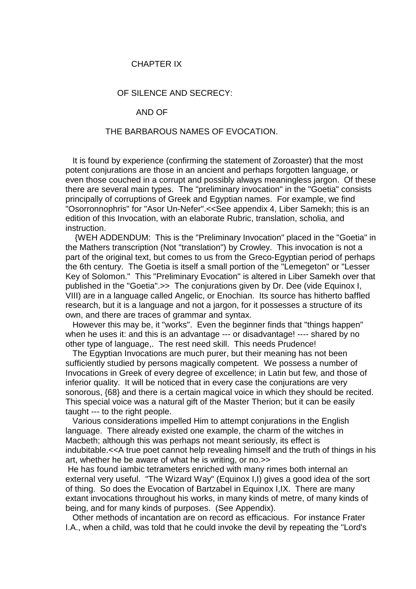# CHAPTER IX

## OF SILENCE AND SECRECY:

AND OF

## THE BARBAROUS NAMES OF EVOCATION.

 It is found by experience (confirming the statement of Zoroaster) that the most potent conjurations are those in an ancient and perhaps forgotten language, or even those couched in a corrupt and possibly always meaningless jargon. Of these there are several main types. The "preliminary invocation" in the "Goetia" consists principally of corruptions of Greek and Egyptian names. For example, we find "Osorronnophris" for "Asor Un-Nefer".<<See appendix 4, Liber Samekh; this is an edition of this Invocation, with an elaborate Rubric, translation, scholia, and instruction.

 {WEH ADDENDUM: This is the "Preliminary Invocation" placed in the "Goetia" in the Mathers transcription (Not "translation") by Crowley. This invocation is not a part of the original text, but comes to us from the Greco-Egyptian period of perhaps the 6th century. The Goetia is itself a small portion of the "Lemegeton" or "Lesser Key of Solomon." This "Preliminary Evocation" is altered in Liber Samekh over that published in the "Goetia".>> The conjurations given by Dr. Dee (vide Equinox I, VIII) are in a language called Angelic, or Enochian. Its source has hitherto baffled research, but it is a language and not a jargon, for it possesses a structure of its own, and there are traces of grammar and syntax.

 However this may be, it "works". Even the beginner finds that "things happen" when he uses it: and this is an advantage --- or disadvantage! ---- shared by no other type of language,. The rest need skill. This needs Prudence!

 The Egyptian Invocations are much purer, but their meaning has not been sufficiently studied by persons magically competent. We possess a number of Invocations in Greek of every degree of excellence; in Latin but few, and those of inferior quality. It will be noticed that in every case the conjurations are very sonorous, {68} and there is a certain magical voice in which they should be recited. This special voice was a natural gift of the Master Therion; but it can be easily taught --- to the right people.

 Various considerations impelled Him to attempt conjurations in the English language. There already existed one example, the charm of the witches in Macbeth; although this was perhaps not meant seriously, its effect is indubitable.<<A true poet cannot help revealing himself and the truth of things in his art, whether he be aware of what he is writing, or no.>>

 He has found iambic tetrameters enriched with many rimes both internal an external very useful. "The Wizard Way" (Equinox I,I) gives a good idea of the sort of thing. So does the Evocation of Bartzabel in Equinox I,IX. There are many extant invocations throughout his works, in many kinds of metre, of many kinds of being, and for many kinds of purposes. (See Appendix).

 Other methods of incantation are on record as efficacious. For instance Frater I.A., when a child, was told that he could invoke the devil by repeating the "Lord's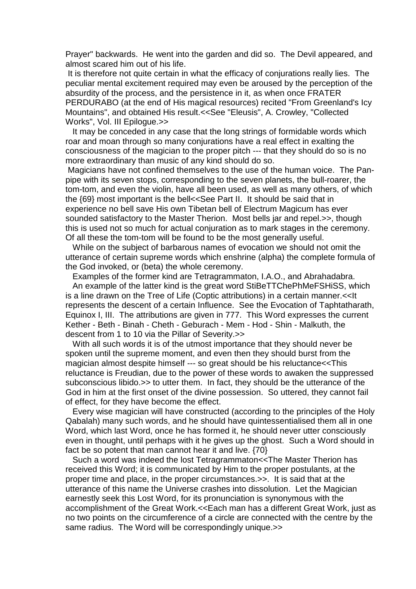Prayer" backwards. He went into the garden and did so. The Devil appeared, and almost scared him out of his life.

 It is therefore not quite certain in what the efficacy of conjurations really lies. The peculiar mental excitement required may even be aroused by the perception of the absurdity of the process, and the persistence in it, as when once FRATER PERDURABO (at the end of His magical resources) recited "From Greenland's Icy Mountains", and obtained His result.<<See "Eleusis", A. Crowley, "Collected Works", Vol. III Epilogue.>>

 It may be conceded in any case that the long strings of formidable words which roar and moan through so many conjurations have a real effect in exalting the consciousness of the magician to the proper pitch --- that they should do so is no more extraordinary than music of any kind should do so.

 Magicians have not confined themselves to the use of the human voice. The Panpipe with its seven stops, corresponding to the seven planets, the bull-roarer, the tom-tom, and even the violin, have all been used, as well as many others, of which the {69} most important is the bell<<See Part II. It should be said that in experience no bell save His own Tibetan bell of Electrum Magicum has ever sounded satisfactory to the Master Therion. Most bells jar and repel.>>, though this is used not so much for actual conjuration as to mark stages in the ceremony. Of all these the tom-tom will be found to be the most generally useful.

 While on the subject of barbarous names of evocation we should not omit the utterance of certain supreme words which enshrine (alpha) the complete formula of the God invoked, or (beta) the whole ceremony.

Examples of the former kind are Tetragrammaton, I.A.O., and Abrahadabra.

 An example of the latter kind is the great word StiBeTTChePhMeFSHiSS, which is a line drawn on the Tree of Life (Coptic attributions) in a certain manner.<<It represents the descent of a certain Influence. See the Evocation of Taphtatharath, Equinox I, III. The attributions are given in 777. This Word expresses the current Kether - Beth - Binah - Cheth - Geburach - Mem - Hod - Shin - Malkuth, the descent from 1 to 10 via the Pillar of Severity.>>

 With all such words it is of the utmost importance that they should never be spoken until the supreme moment, and even then they should burst from the magician almost despite himself --- so great should be his reluctance<<This reluctance is Freudian, due to the power of these words to awaken the suppressed subconscious libido.>> to utter them. In fact, they should be the utterance of the God in him at the first onset of the divine possession. So uttered, they cannot fail of effect, for they have become the effect.

 Every wise magician will have constructed (according to the principles of the Holy Qabalah) many such words, and he should have quintessentialised them all in one Word, which last Word, once he has formed it, he should never utter consciously even in thought, until perhaps with it he gives up the ghost. Such a Word should in fact be so potent that man cannot hear it and live. {70}

 Such a word was indeed the lost Tetragrammaton<<The Master Therion has received this Word; it is communicated by Him to the proper postulants, at the proper time and place, in the proper circumstances.>>. It is said that at the utterance of this name the Universe crashes into dissolution. Let the Magician earnestly seek this Lost Word, for its pronunciation is synonymous with the accomplishment of the Great Work.<<Each man has a different Great Work, just as no two points on the circumference of a circle are connected with the centre by the same radius. The Word will be correspondingly unique.>>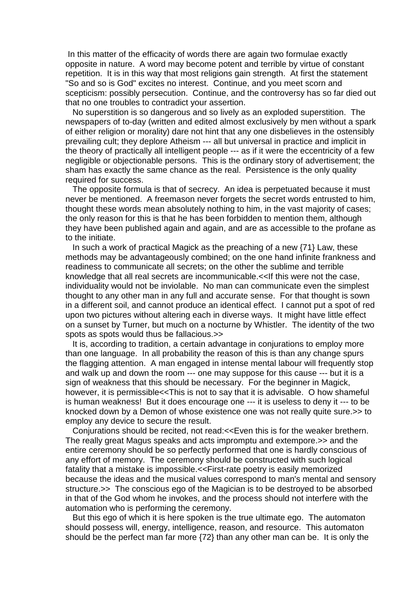In this matter of the efficacity of words there are again two formulae exactly opposite in nature. A word may become potent and terrible by virtue of constant repetition. It is in this way that most religions gain strength. At first the statement "So and so is God" excites no interest. Continue, and you meet scorn and scepticism: possibly persecution. Continue, and the controversy has so far died out that no one troubles to contradict your assertion.

 No superstition is so dangerous and so lively as an exploded superstition. The newspapers of to-day (written and edited almost exclusively by men without a spark of either religion or morality) dare not hint that any one disbelieves in the ostensibly prevailing cult; they deplore Atheism --- all but universal in practice and implicit in the theory of practically all intelligent people --- as if it were the eccentricity of a few negligible or objectionable persons. This is the ordinary story of advertisement; the sham has exactly the same chance as the real. Persistence is the only quality required for success.

 The opposite formula is that of secrecy. An idea is perpetuated because it must never be mentioned. A freemason never forgets the secret words entrusted to him, thought these words mean absolutely nothing to him, in the vast majority of cases; the only reason for this is that he has been forbidden to mention them, although they have been published again and again, and are as accessible to the profane as to the initiate.

 In such a work of practical Magick as the preaching of a new {71} Law, these methods may be advantageously combined; on the one hand infinite frankness and readiness to communicate all secrets; on the other the sublime and terrible knowledge that all real secrets are incommunicable.<< If this were not the case, individuality would not be inviolable. No man can communicate even the simplest thought to any other man in any full and accurate sense. For that thought is sown in a different soil, and cannot produce an identical effect. I cannot put a spot of red upon two pictures without altering each in diverse ways. It might have little effect on a sunset by Turner, but much on a nocturne by Whistler. The identity of the two spots as spots would thus be fallacious.>>

 It is, according to tradition, a certain advantage in conjurations to employ more than one language. In all probability the reason of this is than any change spurs the flagging attention. A man engaged in intense mental labour will frequently stop and walk up and down the room --- one may suppose for this cause --- but it is a sign of weakness that this should be necessary. For the beginner in Magick, however, it is permissible<<This is not to say that it is advisable. O how shameful is human weakness! But it does encourage one --- it is useless to deny it --- to be knocked down by a Demon of whose existence one was not really quite sure.>> to employ any device to secure the result.

 Conjurations should be recited, not read:<<Even this is for the weaker brethern. The really great Magus speaks and acts impromptu and extempore.>> and the entire ceremony should be so perfectly performed that one is hardly conscious of any effort of memory. The ceremony should be constructed with such logical fatality that a mistake is impossible.<<First-rate poetry is easily memorized because the ideas and the musical values correspond to man's mental and sensory structure.>> The conscious ego of the Magician is to be destroyed to be absorbed in that of the God whom he invokes, and the process should not interfere with the automation who is performing the ceremony.

 But this ego of which it is here spoken is the true ultimate ego. The automaton should possess will, energy, intelligence, reason, and resource. This automaton should be the perfect man far more {72} than any other man can be. It is only the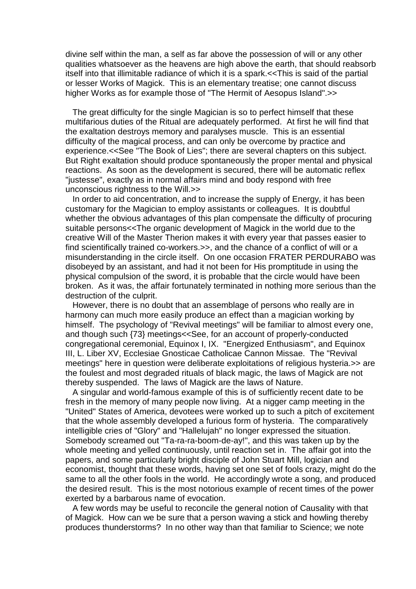divine self within the man, a self as far above the possession of will or any other qualities whatsoever as the heavens are high above the earth, that should reabsorb itself into that illimitable radiance of which it is a spark.<<This is said of the partial or lesser Works of Magick. This is an elementary treatise; one cannot discuss higher Works as for example those of "The Hermit of Aesopus Island".>>

 The great difficulty for the single Magician is so to perfect himself that these multifarious duties of the Ritual are adequately performed. At first he will find that the exaltation destroys memory and paralyses muscle. This is an essential difficulty of the magical process, and can only be overcome by practice and experience.<<See "The Book of Lies"; there are several chapters on this subject. But Right exaltation should produce spontaneously the proper mental and physical reactions. As soon as the development is secured, there will be automatic reflex "justesse", exactly as in normal affairs mind and body respond with free unconscious rightness to the Will.>>

 In order to aid concentration, and to increase the supply of Energy, it has been customary for the Magician to employ assistants or colleagues. It is doubtful whether the obvious advantages of this plan compensate the difficulty of procuring suitable persons<<The organic development of Magick in the world due to the creative Will of the Master Therion makes it with every year that passes easier to find scientifically trained co-workers.>>, and the chance of a conflict of will or a misunderstanding in the circle itself. On one occasion FRATER PERDURABO was disobeyed by an assistant, and had it not been for His promptitude in using the physical compulsion of the sword, it is probable that the circle would have been broken. As it was, the affair fortunately terminated in nothing more serious than the destruction of the culprit.

 However, there is no doubt that an assemblage of persons who really are in harmony can much more easily produce an effect than a magician working by himself. The psychology of "Revival meetings" will be familiar to almost every one, and though such {73} meetings<<See, for an account of properly-conducted congregational ceremonial, Equinox I, IX. "Energized Enthusiasm", and Equinox III, L. Liber XV, Ecclesiae Gnosticae Catholicae Cannon Missae. The "Revival meetings" here in question were deliberate exploitations of religious hysteria.>> are the foulest and most degraded rituals of black magic, the laws of Magick are not thereby suspended. The laws of Magick are the laws of Nature.

 A singular and world-famous example of this is of sufficiently recent date to be fresh in the memory of many people now living. At a nigger camp meeting in the "United" States of America, devotees were worked up to such a pitch of excitement that the whole assembly developed a furious form of hysteria. The comparatively intelligible cries of "Glory" and "Hallelujah" no longer expressed the situation. Somebody screamed out "Ta-ra-ra-boom-de-ay!", and this was taken up by the whole meeting and yelled continuously, until reaction set in. The affair got into the papers, and some particularly bright disciple of John Stuart Mill, logician and economist, thought that these words, having set one set of fools crazy, might do the same to all the other fools in the world. He accordingly wrote a song, and produced the desired result. This is the most notorious example of recent times of the power exerted by a barbarous name of evocation.

 A few words may be useful to reconcile the general notion of Causality with that of Magick. How can we be sure that a person waving a stick and howling thereby produces thunderstorms? In no other way than that familiar to Science; we note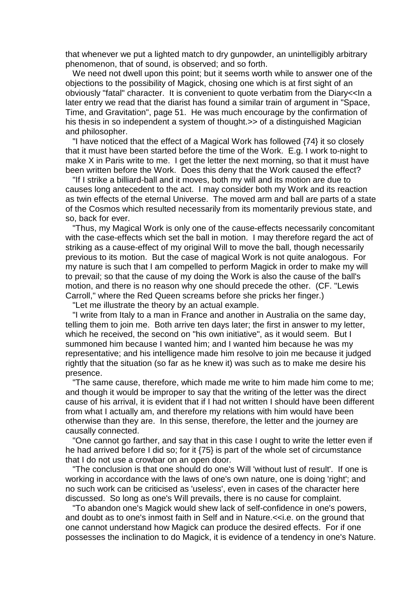that whenever we put a lighted match to dry gunpowder, an unintelligibly arbitrary phenomenon, that of sound, is observed; and so forth.

 We need not dwell upon this point; but it seems worth while to answer one of the objections to the possibility of Magick, chosing one which is at first sight of an obviously "fatal" character. It is convenient to quote verbatim from the Diary<<In a later entry we read that the diarist has found a similar train of argument in "Space, Time, and Gravitation", page 51. He was much encourage by the confirmation of his thesis in so independent a system of thought. > > of a distinguished Magician and philosopher.

 "I have noticed that the effect of a Magical Work has followed {74} it so closely that it must have been started before the time of the Work. E.g. I work to-night to make X in Paris write to me. I get the letter the next morning, so that it must have been written before the Work. Does this deny that the Work caused the effect?

 "If I strike a billiard-ball and it moves, both my will and its motion are due to causes long antecedent to the act. I may consider both my Work and its reaction as twin effects of the eternal Universe. The moved arm and ball are parts of a state of the Cosmos which resulted necessarily from its momentarily previous state, and so, back for ever.

 "Thus, my Magical Work is only one of the cause-effects necessarily concomitant with the case-effects which set the ball in motion. I may therefore regard the act of striking as a cause-effect of my original Will to move the ball, though necessarily previous to its motion. But the case of magical Work is not quite analogous. For my nature is such that I am compelled to perform Magick in order to make my will to prevail; so that the cause of my doing the Work is also the cause of the ball's motion, and there is no reason why one should precede the other. (CF. "Lewis Carroll," where the Red Queen screams before she pricks her finger.)

"Let me illustrate the theory by an actual example.

 "I write from Italy to a man in France and another in Australia on the same day, telling them to join me. Both arrive ten days later; the first in answer to my letter, which he received, the second on "his own initiative", as it would seem. But I summoned him because I wanted him; and I wanted him because he was my representative; and his intelligence made him resolve to join me because it judged rightly that the situation (so far as he knew it) was such as to make me desire his presence.

 "The same cause, therefore, which made me write to him made him come to me; and though it would be improper to say that the writing of the letter was the direct cause of his arrival, it is evident that if I had not written I should have been different from what I actually am, and therefore my relations with him would have been otherwise than they are. In this sense, therefore, the letter and the journey are causally connected.

 "One cannot go farther, and say that in this case I ought to write the letter even if he had arrived before I did so; for it {75} is part of the whole set of circumstance that I do not use a crowbar on an open door.

 "The conclusion is that one should do one's Will 'without lust of result'. If one is working in accordance with the laws of one's own nature, one is doing 'right'; and no such work can be criticised as 'useless', even in cases of the character here discussed. So long as one's Will prevails, there is no cause for complaint.

 "To abandon one's Magick would shew lack of self-confidence in one's powers, and doubt as to one's inmost faith in Self and in Nature, <<i.e. on the ground that one cannot understand how Magick can produce the desired effects. For if one possesses the inclination to do Magick, it is evidence of a tendency in one's Nature.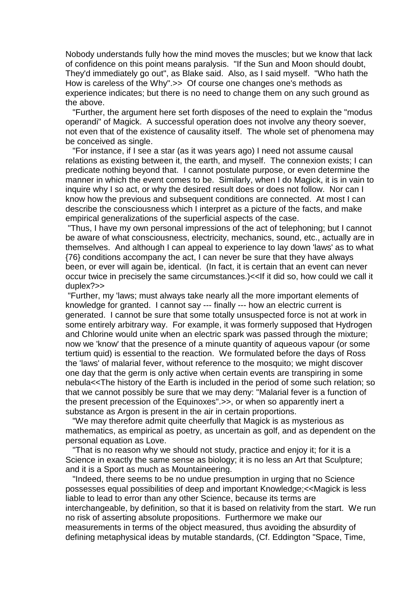Nobody understands fully how the mind moves the muscles; but we know that lack of confidence on this point means paralysis. "If the Sun and Moon should doubt, They'd immediately go out", as Blake said. Also, as I said myself. "Who hath the How is careless of the Why".>> Of course one changes one's methods as experience indicates; but there is no need to change them on any such ground as the above.

 "Further, the argument here set forth disposes of the need to explain the "modus operandi" of Magick. A successful operation does not involve any theory soever, not even that of the existence of causality itself. The whole set of phenomena may be conceived as single.

 "For instance, if I see a star (as it was years ago) I need not assume causal relations as existing between it, the earth, and myself. The connexion exists; I can predicate nothing beyond that. I cannot postulate purpose, or even determine the manner in which the event comes to be. Similarly, when I do Magick, it is in vain to inquire why I so act, or why the desired result does or does not follow. Nor can I know how the previous and subsequent conditions are connected. At most I can describe the consciousness which I interpret as a picture of the facts, and make empirical generalizations of the superficial aspects of the case.

 "Thus, I have my own personal impressions of the act of telephoning; but I cannot be aware of what consciousness, electricity, mechanics, sound, etc., actually are in themselves. And although I can appeal to experience to lay down 'laws' as to what {76} conditions accompany the act, I can never be sure that they have always been, or ever will again be, identical. (In fact, it is certain that an event can never occur twice in precisely the same circumstances.)<<If it did so, how could we call it duplex?>>

 "Further, my 'laws; must always take nearly all the more important elements of knowledge for granted. I cannot say --- finally --- how an electric current is generated. I cannot be sure that some totally unsuspected force is not at work in some entirely arbitrary way. For example, it was formerly supposed that Hydrogen and Chlorine would unite when an electric spark was passed through the mixture; now we 'know' that the presence of a minute quantity of aqueous vapour (or some tertium quid) is essential to the reaction. We formulated before the days of Ross the 'laws' of malarial fever, without reference to the mosquito; we might discover one day that the germ is only active when certain events are transpiring in some nebula<<The history of the Earth is included in the period of some such relation; so that we cannot possibly be sure that we may deny: "Malarial fever is a function of the present precession of the Equinoxes".>>, or when so apparently inert a substance as Argon is present in the air in certain proportions.

 "We may therefore admit quite cheerfully that Magick is as mysterious as mathematics, as empirical as poetry, as uncertain as golf, and as dependent on the personal equation as Love.

 "That is no reason why we should not study, practice and enjoy it; for it is a Science in exactly the same sense as biology; it is no less an Art that Sculpture; and it is a Sport as much as Mountaineering.

 "Indeed, there seems to be no undue presumption in urging that no Science possesses equal possibilities of deep and important Knowledge;<<Magick is less liable to lead to error than any other Science, because its terms are interchangeable, by definition, so that it is based on relativity from the start. We run no risk of asserting absolute propositions. Furthermore we make our measurements in terms of the object measured, thus avoiding the absurdity of defining metaphysical ideas by mutable standards, (Cf. Eddington "Space, Time,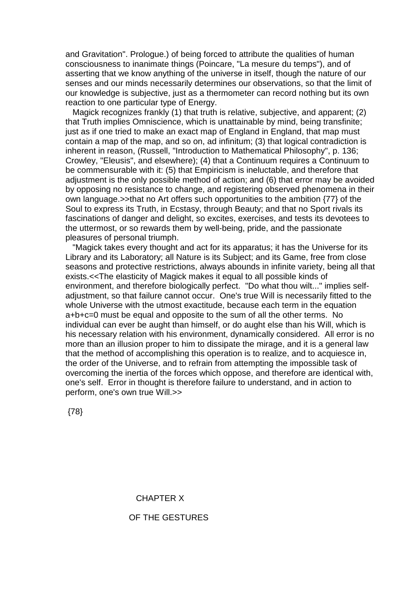and Gravitation". Prologue.) of being forced to attribute the qualities of human consciousness to inanimate things (Poincare, "La mesure du temps"), and of asserting that we know anything of the universe in itself, though the nature of our senses and our minds necessarily determines our observations, so that the limit of our knowledge is subjective, just as a thermometer can record nothing but its own reaction to one particular type of Energy.

 Magick recognizes frankly (1) that truth is relative, subjective, and apparent; (2) that Truth implies Omniscience, which is unattainable by mind, being transfinite; just as if one tried to make an exact map of England in England, that map must contain a map of the map, and so on, ad infinitum; (3) that logical contradiction is inherent in reason, (Russell, "Introduction to Mathematical Philosophy", p. 136; Crowley, "Eleusis", and elsewhere); (4) that a Continuum requires a Continuum to be commensurable with it: (5) that Empiricism is ineluctable, and therefore that adjustment is the only possible method of action; and (6) that error may be avoided by opposing no resistance to change, and registering observed phenomena in their own language.>>that no Art offers such opportunities to the ambition {77} of the Soul to express its Truth, in Ecstasy, through Beauty; and that no Sport rivals its fascinations of danger and delight, so excites, exercises, and tests its devotees to the uttermost, or so rewards them by well-being, pride, and the passionate pleasures of personal triumph.

 "Magick takes every thought and act for its apparatus; it has the Universe for its Library and its Laboratory; all Nature is its Subject; and its Game, free from close seasons and protective restrictions, always abounds in infinite variety, being all that exists.<<The elasticity of Magick makes it equal to all possible kinds of environment, and therefore biologically perfect. "Do what thou wilt..." implies selfadjustment, so that failure cannot occur. One's true Will is necessarily fitted to the whole Universe with the utmost exactitude, because each term in the equation a+b+c=0 must be equal and opposite to the sum of all the other terms. No individual can ever be aught than himself, or do aught else than his Will, which is his necessary relation with his environment, dynamically considered. All error is no more than an illusion proper to him to dissipate the mirage, and it is a general law that the method of accomplishing this operation is to realize, and to acquiesce in, the order of the Universe, and to refrain from attempting the impossible task of overcoming the inertia of the forces which oppose, and therefore are identical with, one's self. Error in thought is therefore failure to understand, and in action to perform, one's own true Will.>>

{78}

CHAPTER X

# OF THE GESTURES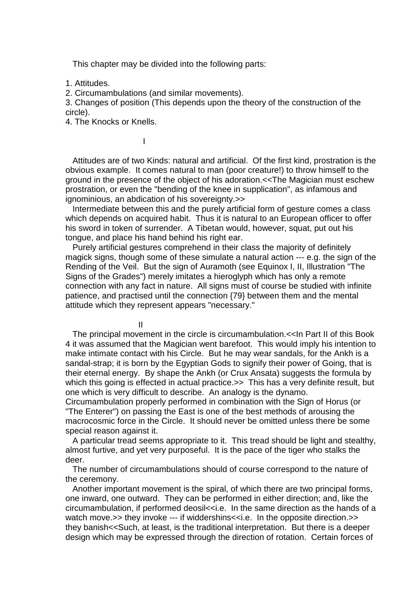This chapter may be divided into the following parts:

1. Attitudes.

2. Circumambulations (and similar movements).

3. Changes of position (This depends upon the theory of the construction of the circle).

4. The Knocks or Knells.

**In the contract of the Contract of the Contract of the Contract of the Contract of the Contract of the Contract of the Contract of the Contract of the Contract of the Contract of the Contract of the Contract of the Contra** 

 Attitudes are of two Kinds: natural and artificial. Of the first kind, prostration is the obvious example. It comes natural to man (poor creature!) to throw himself to the ground in the presence of the object of his adoration.<<The Magician must eschew prostration, or even the "bending of the knee in supplication", as infamous and ignominious, an abdication of his sovereignty.>>

 Intermediate between this and the purely artificial form of gesture comes a class which depends on acquired habit. Thus it is natural to an European officer to offer his sword in token of surrender. A Tibetan would, however, squat, put out his tongue, and place his hand behind his right ear.

 Purely artificial gestures comprehend in their class the majority of definitely magick signs, though some of these simulate a natural action --- e.g. the sign of the Rending of the Veil. But the sign of Auramoth (see Equinox I, II, Illustration "The Signs of the Grades") merely imitates a hieroglyph which has only a remote connection with any fact in nature. All signs must of course be studied with infinite patience, and practised until the connection {79} between them and the mental attitude which they represent appears "necessary."

**III** and the state of the state of

 The principal movement in the circle is circumambulation.<<In Part II of this Book 4 it was assumed that the Magician went barefoot. This would imply his intention to make intimate contact with his Circle. But he may wear sandals, for the Ankh is a sandal-strap; it is born by the Egyptian Gods to signify their power of Going, that is their eternal energy. By shape the Ankh (or Crux Ansata) suggests the formula by which this going is effected in actual practice. >> This has a very definite result, but one which is very difficult to describe. An analogy is the dynamo.

Circumambulation properly performed in combination with the Sign of Horus (or "The Enterer") on passing the East is one of the best methods of arousing the macrocosmic force in the Circle. It should never be omitted unless there be some special reason against it.

 A particular tread seems appropriate to it. This tread should be light and stealthy, almost furtive, and yet very purposeful. It is the pace of the tiger who stalks the deer.

 The number of circumambulations should of course correspond to the nature of the ceremony.

 Another important movement is the spiral, of which there are two principal forms, one inward, one outward. They can be performed in either direction; and, like the circumambulation, if performed deosil<<i.e. In the same direction as the hands of a watch move.>> they invoke --- if widdershins<<i.e. In the opposite direction.>> they banish<<Such, at least, is the traditional interpretation. But there is a deeper design which may be expressed through the direction of rotation. Certain forces of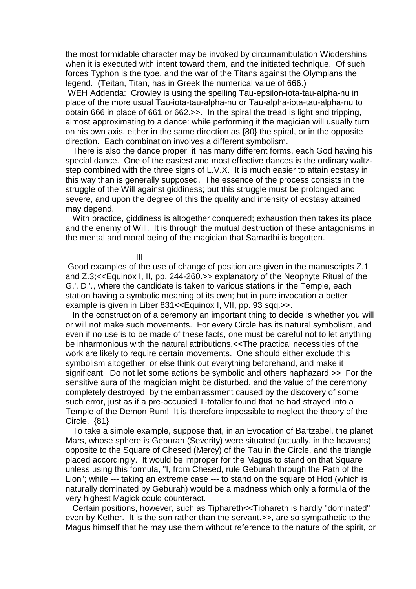the most formidable character may be invoked by circumambulation Widdershins when it is executed with intent toward them, and the initiated technique. Of such forces Typhon is the type, and the war of the Titans against the Olympians the legend. (Teitan, Titan, has in Greek the numerical value of 666.)

 WEH Addenda: Crowley is using the spelling Tau-epsilon-iota-tau-alpha-nu in place of the more usual Tau-iota-tau-alpha-nu or Tau-alpha-iota-tau-alpha-nu to obtain 666 in place of 661 or 662.>>. In the spiral the tread is light and tripping, almost approximating to a dance: while performing it the magician will usually turn on his own axis, either in the same direction as {80} the spiral, or in the opposite direction. Each combination involves a different symbolism.

 There is also the dance proper; it has many different forms, each God having his special dance. One of the easiest and most effective dances is the ordinary waltzstep combined with the three signs of L.V.X. It is much easier to attain ecstasy in this way than is generally supposed. The essence of the process consists in the struggle of the Will against giddiness; but this struggle must be prolonged and severe, and upon the degree of this the quality and intensity of ecstasy attained may depend.

 With practice, giddiness is altogether conquered; exhaustion then takes its place and the enemy of Will. It is through the mutual destruction of these antagonisms in the mental and moral being of the magician that Samadhi is begotten.

**III** and the state of the **III** 

 Good examples of the use of change of position are given in the manuscripts Z.1 and Z.3;<<Equinox I, II, pp. 244-260.>> explanatory of the Neophyte Ritual of the G.'. D.'., where the candidate is taken to various stations in the Temple, each station having a symbolic meaning of its own; but in pure invocation a better example is given in Liber 831<<Equinox I, VII, pp. 93 sqq.>>.

 In the construction of a ceremony an important thing to decide is whether you will or will not make such movements. For every Circle has its natural symbolism, and even if no use is to be made of these facts, one must be careful not to let anything be inharmonious with the natural attributions.<<The practical necessities of the work are likely to require certain movements. One should either exclude this symbolism altogether, or else think out everything beforehand, and make it significant. Do not let some actions be symbolic and others haphazard.>> For the sensitive aura of the magician might be disturbed, and the value of the ceremony completely destroyed, by the embarrassment caused by the discovery of some such error, just as if a pre-occupied T-totaller found that he had strayed into a Temple of the Demon Rum! It is therefore impossible to neglect the theory of the Circle. {81}

 To take a simple example, suppose that, in an Evocation of Bartzabel, the planet Mars, whose sphere is Geburah (Severity) were situated (actually, in the heavens) opposite to the Square of Chesed (Mercy) of the Tau in the Circle, and the triangle placed accordingly. It would be improper for the Magus to stand on that Square unless using this formula, "I, from Chesed, rule Geburah through the Path of the Lion"; while --- taking an extreme case --- to stand on the square of Hod (which is naturally dominated by Geburah) would be a madness which only a formula of the very highest Magick could counteract.

 Certain positions, however, such as Tiphareth<<Tiphareth is hardly "dominated" even by Kether. It is the son rather than the servant,  $\gg$ , are so sympathetic to the Magus himself that he may use them without reference to the nature of the spirit, or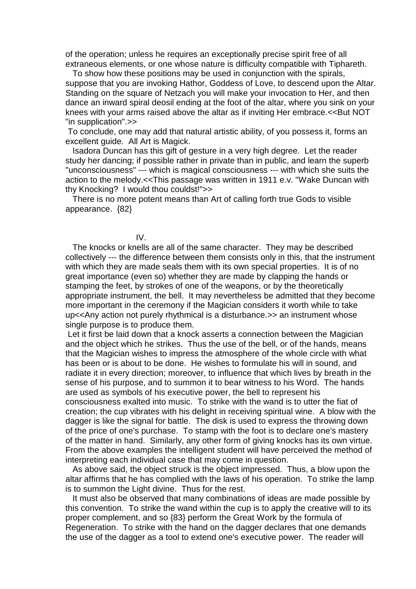of the operation; unless he requires an exceptionally precise spirit free of all extraneous elements, or one whose nature is difficulty compatible with Tiphareth.

 To show how these positions may be used in conjunction with the spirals, suppose that you are invoking Hathor, Goddess of Love, to descend upon the Altar. Standing on the square of Netzach you will make your invocation to Her, and then dance an inward spiral deosil ending at the foot of the altar, where you sink on your knees with your arms raised above the altar as if inviting Her embrace.<<But NOT "in supplication".>>

 To conclude, one may add that natural artistic ability, of you possess it, forms an excellent guide. All Art is Magick.

 Isadora Duncan has this gift of gesture in a very high degree. Let the reader study her dancing; if possible rather in private than in public, and learn the superb "unconsciousness" --- which is magical consciousness --- with which she suits the action to the melody.<<This passage was written in 1911 e.v. "Wake Duncan with thy Knocking? I would thou couldst!">>

 There is no more potent means than Art of calling forth true Gods to visible appearance. {82}

#### IV.

 The knocks or knells are all of the same character. They may be described collectively --- the difference between them consists only in this, that the instrument with which they are made seals them with its own special properties. It is of no great importance (even so) whether they are made by clapping the hands or stamping the feet, by strokes of one of the weapons, or by the theoretically appropriate instrument, the bell. It may nevertheless be admitted that they become more important in the ceremony if the Magician considers it worth while to take up<<Any action not purely rhythmical is a disturbance.>> an instrument whose single purpose is to produce them.

 Let it first be laid down that a knock asserts a connection between the Magician and the object which he strikes. Thus the use of the bell, or of the hands, means that the Magician wishes to impress the atmosphere of the whole circle with what has been or is about to be done. He wishes to formulate his will in sound, and radiate it in every direction; moreover, to influence that which lives by breath in the sense of his purpose, and to summon it to bear witness to his Word. The hands are used as symbols of his executive power, the bell to represent his consciousness exalted into music. To strike with the wand is to utter the fiat of creation; the cup vibrates with his delight in receiving spiritual wine. A blow with the dagger is like the signal for battle. The disk is used to express the throwing down of the price of one's purchase. To stamp with the foot is to declare one's mastery of the matter in hand. Similarly, any other form of giving knocks has its own virtue. From the above examples the intelligent student will have perceived the method of interpreting each individual case that may come in question.

 As above said, the object struck is the object impressed. Thus, a blow upon the altar affirms that he has complied with the laws of his operation. To strike the lamp is to summon the Light divine. Thus for the rest.

 It must also be observed that many combinations of ideas are made possible by this convention. To strike the wand within the cup is to apply the creative will to its proper complement, and so {83} perform the Great Work by the formula of Regeneration. To strike with the hand on the dagger declares that one demands the use of the dagger as a tool to extend one's executive power. The reader will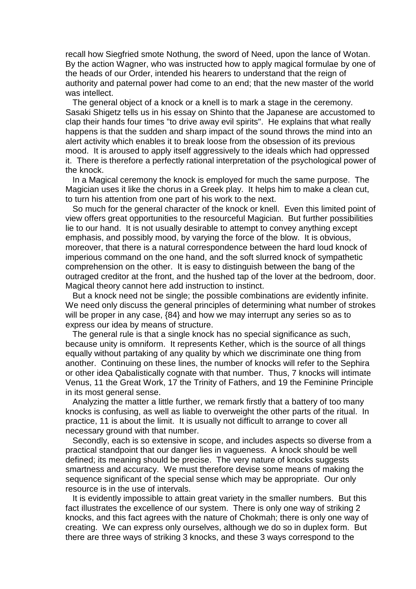recall how Siegfried smote Nothung, the sword of Need, upon the lance of Wotan. By the action Wagner, who was instructed how to apply magical formulae by one of the heads of our Order, intended his hearers to understand that the reign of authority and paternal power had come to an end; that the new master of the world was intellect.

 The general object of a knock or a knell is to mark a stage in the ceremony. Sasaki Shigetz tells us in his essay on Shinto that the Japanese are accustomed to clap their hands four times "to drive away evil spirits". He explains that what really happens is that the sudden and sharp impact of the sound throws the mind into an alert activity which enables it to break loose from the obsession of its previous mood. It is aroused to apply itself aggressively to the ideals which had oppressed it. There is therefore a perfectly rational interpretation of the psychological power of the knock.

 In a Magical ceremony the knock is employed for much the same purpose. The Magician uses it like the chorus in a Greek play. It helps him to make a clean cut, to turn his attention from one part of his work to the next.

 So much for the general character of the knock or knell. Even this limited point of view offers great opportunities to the resourceful Magician. But further possibilities lie to our hand. It is not usually desirable to attempt to convey anything except emphasis, and possibly mood, by varying the force of the blow. It is obvious, moreover, that there is a natural correspondence between the hard loud knock of imperious command on the one hand, and the soft slurred knock of sympathetic comprehension on the other. It is easy to distinguish between the bang of the outraged creditor at the front, and the hushed tap of the lover at the bedroom, door. Magical theory cannot here add instruction to instinct.

 But a knock need not be single; the possible combinations are evidently infinite. We need only discuss the general principles of determining what number of strokes will be proper in any case, {84} and how we may interrupt any series so as to express our idea by means of structure.

 The general rule is that a single knock has no special significance as such, because unity is omniform. It represents Kether, which is the source of all things equally without partaking of any quality by which we discriminate one thing from another. Continuing on these lines, the number of knocks will refer to the Sephira or other idea Qabalistically cognate with that number. Thus, 7 knocks will intimate Venus, 11 the Great Work, 17 the Trinity of Fathers, and 19 the Feminine Principle in its most general sense.

 Analyzing the matter a little further, we remark firstly that a battery of too many knocks is confusing, as well as liable to overweight the other parts of the ritual. In practice, 11 is about the limit. It is usually not difficult to arrange to cover all necessary ground with that number.

 Secondly, each is so extensive in scope, and includes aspects so diverse from a practical standpoint that our danger lies in vagueness. A knock should be well defined; its meaning should be precise. The very nature of knocks suggests smartness and accuracy. We must therefore devise some means of making the sequence significant of the special sense which may be appropriate. Our only resource is in the use of intervals.

 It is evidently impossible to attain great variety in the smaller numbers. But this fact illustrates the excellence of our system. There is only one way of striking 2 knocks, and this fact agrees with the nature of Chokmah; there is only one way of creating. We can express only ourselves, although we do so in duplex form. But there are three ways of striking 3 knocks, and these 3 ways correspond to the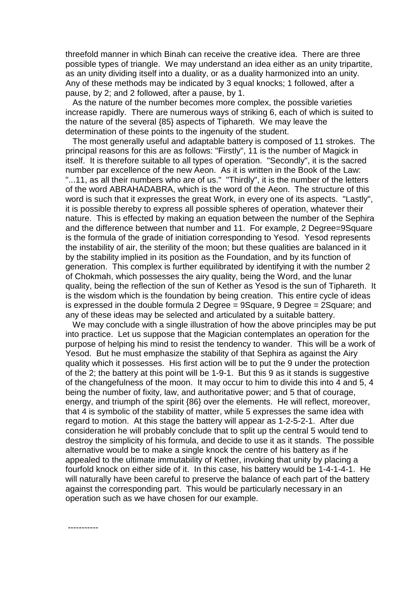threefold manner in which Binah can receive the creative idea. There are three possible types of triangle. We may understand an idea either as an unity tripartite, as an unity dividing itself into a duality, or as a duality harmonized into an unity. Any of these methods may be indicated by 3 equal knocks; 1 followed, after a pause, by 2; and 2 followed, after a pause, by 1.

 As the nature of the number becomes more complex, the possible varieties increase rapidly. There are numerous ways of striking 6, each of which is suited to the nature of the several {85} aspects of Tiphareth. We may leave the determination of these points to the ingenuity of the student.

 The most generally useful and adaptable battery is composed of 11 strokes. The principal reasons for this are as follows: "Firstly", 11 is the number of Magick in itself. It is therefore suitable to all types of operation. "Secondly", it is the sacred number par excellence of the new Aeon. As it is written in the Book of the Law: "...11, as all their numbers who are of us." "Thirdly", it is the number of the letters of the word ABRAHADABRA, which is the word of the Aeon. The structure of this word is such that it expresses the great Work, in every one of its aspects. "Lastly", it is possible thereby to express all possible spheres of operation, whatever their nature. This is effected by making an equation between the number of the Sephira and the difference between that number and 11. For example, 2 Degree=9Square is the formula of the grade of initiation corresponding to Yesod. Yesod represents the instability of air, the sterility of the moon; but these qualities are balanced in it by the stability implied in its position as the Foundation, and by its function of generation. This complex is further equilibrated by identifying it with the number 2 of Chokmah, which possesses the airy quality, being the Word, and the lunar quality, being the reflection of the sun of Kether as Yesod is the sun of Tiphareth. It is the wisdom which is the foundation by being creation. This entire cycle of ideas is expressed in the double formula 2 Degree = 9Square, 9 Degree = 2Square; and any of these ideas may be selected and articulated by a suitable battery.

We may conclude with a single illustration of how the above principles may be put into practice. Let us suppose that the Magician contemplates an operation for the purpose of helping his mind to resist the tendency to wander. This will be a work of Yesod. But he must emphasize the stability of that Sephira as against the Airy quality which it possesses. His first action will be to put the 9 under the protection of the 2; the battery at this point will be 1-9-1. But this 9 as it stands is suggestive of the changefulness of the moon. It may occur to him to divide this into 4 and 5, 4 being the number of fixity, law, and authoritative power; and 5 that of courage, energy, and triumph of the spirit {86} over the elements. He will reflect, moreover, that 4 is symbolic of the stability of matter, while 5 expresses the same idea with regard to motion. At this stage the battery will appear as 1-2-5-2-1. After due consideration he will probably conclude that to split up the central 5 would tend to destroy the simplicity of his formula, and decide to use it as it stands. The possible alternative would be to make a single knock the centre of his battery as if he appealed to the ultimate immutability of Kether, invoking that unity by placing a fourfold knock on either side of it. In this case, his battery would be 1-4-1-4-1. He will naturally have been careful to preserve the balance of each part of the battery against the corresponding part. This would be particularly necessary in an operation such as we have chosen for our example.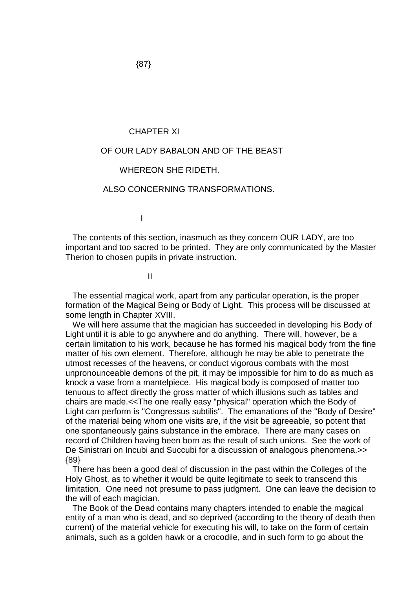{87}

# CHAPTER XI

# OF OUR LADY BABALON AND OF THE BEAST

## WHEREON SHE RIDETH.

## ALSO CONCERNING TRANSFORMATIONS.

**In the contract of the Contract of the Contract of the Contract of the Contract of the Contract of the Contract of the Contract of the Contract of the Contract of the Contract of the Contract of the Contract of the Contra** 

 The contents of this section, inasmuch as they concern OUR LADY, are too important and too sacred to be printed. They are only communicated by the Master Therion to chosen pupils in private instruction.

**III** and the state of the state of

 The essential magical work, apart from any particular operation, is the proper formation of the Magical Being or Body of Light. This process will be discussed at some length in Chapter XVIII.

 We will here assume that the magician has succeeded in developing his Body of Light until it is able to go anywhere and do anything. There will, however, be a certain limitation to his work, because he has formed his magical body from the fine matter of his own element. Therefore, although he may be able to penetrate the utmost recesses of the heavens, or conduct vigorous combats with the most unpronounceable demons of the pit, it may be impossible for him to do as much as knock a vase from a mantelpiece. His magical body is composed of matter too tenuous to affect directly the gross matter of which illusions such as tables and chairs are made.<<The one really easy "physical" operation which the Body of Light can perform is "Congressus subtilis". The emanations of the "Body of Desire" of the material being whom one visits are, if the visit be agreeable, so potent that one spontaneously gains substance in the embrace. There are many cases on record of Children having been born as the result of such unions. See the work of De Sinistrari on Incubi and Succubi for a discussion of analogous phenomena.>> {89}

 There has been a good deal of discussion in the past within the Colleges of the Holy Ghost, as to whether it would be quite legitimate to seek to transcend this limitation. One need not presume to pass judgment. One can leave the decision to the will of each magician.

 The Book of the Dead contains many chapters intended to enable the magical entity of a man who is dead, and so deprived (according to the theory of death then current) of the material vehicle for executing his will, to take on the form of certain animals, such as a golden hawk or a crocodile, and in such form to go about the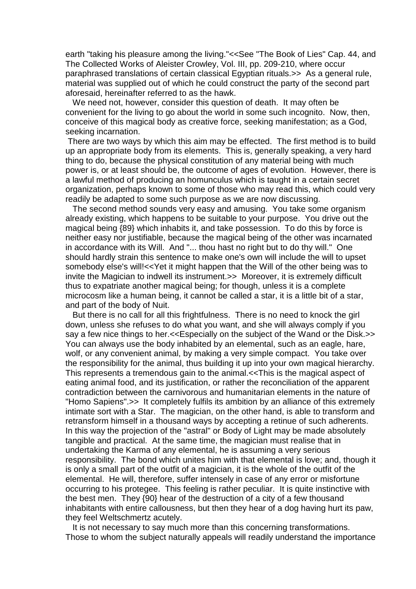earth "taking his pleasure among the living."<<See "The Book of Lies" Cap. 44, and The Collected Works of Aleister Crowley, Vol. III, pp. 209-210, where occur paraphrased translations of certain classical Egyptian rituals.>> As a general rule, material was supplied out of which he could construct the party of the second part aforesaid, hereinafter referred to as the hawk.

 We need not, however, consider this question of death. It may often be convenient for the living to go about the world in some such incognito. Now, then, conceive of this magical body as creative force, seeking manifestation; as a God, seeking incarnation.

 There are two ways by which this aim may be effected. The first method is to build up an appropriate body from its elements. This is, generally speaking, a very hard thing to do, because the physical constitution of any material being with much power is, or at least should be, the outcome of ages of evolution. However, there is a lawful method of producing an homunculus which is taught in a certain secret organization, perhaps known to some of those who may read this, which could very readily be adapted to some such purpose as we are now discussing.

 The second method sounds very easy and amusing. You take some organism already existing, which happens to be suitable to your purpose. You drive out the magical being {89} which inhabits it, and take possession. To do this by force is neither easy nor justifiable, because the magical being of the other was incarnated in accordance with its Will. And "... thou hast no right but to do thy will." One should hardly strain this sentence to make one's own will include the will to upset somebody else's will!<<Yet it might happen that the Will of the other being was to invite the Magician to indwell its instrument.>> Moreover, it is extremely difficult thus to expatriate another magical being; for though, unless it is a complete microcosm like a human being, it cannot be called a star, it is a little bit of a star, and part of the body of Nuit.

 But there is no call for all this frightfulness. There is no need to knock the girl down, unless she refuses to do what you want, and she will always comply if you say a few nice things to her.<<Especially on the subject of the Wand or the Disk.>> You can always use the body inhabited by an elemental, such as an eagle, hare, wolf, or any convenient animal, by making a very simple compact. You take over the responsibility for the animal, thus building it up into your own magical hierarchy. This represents a tremendous gain to the animal.<<This is the magical aspect of eating animal food, and its justification, or rather the reconciliation of the apparent contradiction between the carnivorous and humanitarian elements in the nature of "Homo Sapiens".>> It completely fulfils its ambition by an alliance of this extremely intimate sort with a Star. The magician, on the other hand, is able to transform and retransform himself in a thousand ways by accepting a retinue of such adherents. In this way the projection of the "astral" or Body of Light may be made absolutely tangible and practical. At the same time, the magician must realise that in undertaking the Karma of any elemental, he is assuming a very serious responsibility. The bond which unites him with that elemental is love; and, though it is only a small part of the outfit of a magician, it is the whole of the outfit of the elemental. He will, therefore, suffer intensely in case of any error or misfortune occurring to his protegee. This feeling is rather peculiar. It is quite instinctive with the best men. They {90} hear of the destruction of a city of a few thousand inhabitants with entire callousness, but then they hear of a dog having hurt its paw, they feel Weltschmertz acutely.

 It is not necessary to say much more than this concerning transformations. Those to whom the subject naturally appeals will readily understand the importance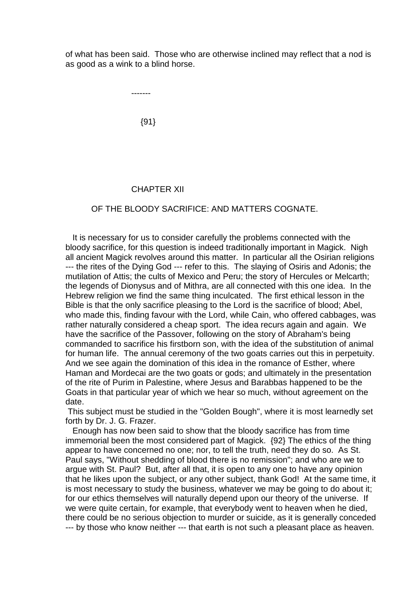of what has been said. Those who are otherwise inclined may reflect that a nod is as good as a wink to a blind horse.

-------

{91}

# CHAPTER XII

# OF THE BLOODY SACRIFICE: AND MATTERS COGNATE.

 It is necessary for us to consider carefully the problems connected with the bloody sacrifice, for this question is indeed traditionally important in Magick. Nigh all ancient Magick revolves around this matter. In particular all the Osirian religions --- the rites of the Dying God --- refer to this. The slaying of Osiris and Adonis; the mutilation of Attis; the cults of Mexico and Peru; the story of Hercules or Melcarth; the legends of Dionysus and of Mithra, are all connected with this one idea. In the Hebrew religion we find the same thing inculcated. The first ethical lesson in the Bible is that the only sacrifice pleasing to the Lord is the sacrifice of blood; Abel, who made this, finding favour with the Lord, while Cain, who offered cabbages, was rather naturally considered a cheap sport. The idea recurs again and again. We have the sacrifice of the Passover, following on the story of Abraham's being commanded to sacrifice his firstborn son, with the idea of the substitution of animal for human life. The annual ceremony of the two goats carries out this in perpetuity. And we see again the domination of this idea in the romance of Esther, where Haman and Mordecai are the two goats or gods; and ultimately in the presentation of the rite of Purim in Palestine, where Jesus and Barabbas happened to be the Goats in that particular year of which we hear so much, without agreement on the date.

 This subject must be studied in the "Golden Bough", where it is most learnedly set forth by Dr. J. G. Frazer.

 Enough has now been said to show that the bloody sacrifice has from time immemorial been the most considered part of Magick. {92} The ethics of the thing appear to have concerned no one; nor, to tell the truth, need they do so. As St. Paul says, "Without shedding of blood there is no remission"; and who are we to argue with St. Paul? But, after all that, it is open to any one to have any opinion that he likes upon the subject, or any other subject, thank God! At the same time, it is most necessary to study the business, whatever we may be going to do about it; for our ethics themselves will naturally depend upon our theory of the universe. If we were quite certain, for example, that everybody went to heaven when he died, there could be no serious objection to murder or suicide, as it is generally conceded --- by those who know neither --- that earth is not such a pleasant place as heaven.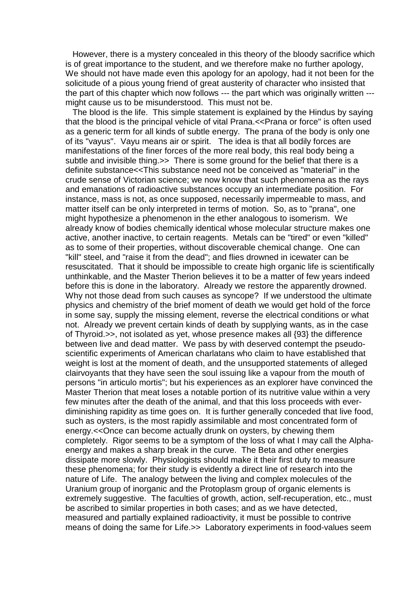However, there is a mystery concealed in this theory of the bloody sacrifice which is of great importance to the student, and we therefore make no further apology, We should not have made even this apology for an apology, had it not been for the solicitude of a pious young friend of great austerity of character who insisted that the part of this chapter which now follows --- the part which was originally written -- might cause us to be misunderstood. This must not be.

 The blood is the life. This simple statement is explained by the Hindus by saying that the blood is the principal vehicle of vital Prana.<<Prana or force" is often used as a generic term for all kinds of subtle energy. The prana of the body is only one of its "vayus". Vayu means air or spirit. The idea is that all bodily forces are manifestations of the finer forces of the more real body, this real body being a subtle and invisible thing.>> There is some ground for the belief that there is a definite substance<<This substance need not be conceived as "material" in the crude sense of Victorian science; we now know that such phenomena as the rays and emanations of radioactive substances occupy an intermediate position. For instance, mass is not, as once supposed, necessarily impermeable to mass, and matter itself can be only interpreted in terms of motion. So, as to "prana", one might hypothesize a phenomenon in the ether analogous to isomerism. We already know of bodies chemically identical whose molecular structure makes one active, another inactive, to certain reagents. Metals can be "tired" or even "killed" as to some of their properties, without discoverable chemical change. One can "kill" steel, and "raise it from the dead"; and flies drowned in icewater can be resuscitated. That it should be impossible to create high organic life is scientifically unthinkable, and the Master Therion believes it to be a matter of few years indeed before this is done in the laboratory. Already we restore the apparently drowned. Why not those dead from such causes as syncope? If we understood the ultimate physics and chemistry of the brief moment of death we would get hold of the force in some say, supply the missing element, reverse the electrical conditions or what not. Already we prevent certain kinds of death by supplying wants, as in the case of Thyroid.>>, not isolated as yet, whose presence makes all {93} the difference between live and dead matter. We pass by with deserved contempt the pseudoscientific experiments of American charlatans who claim to have established that weight is lost at the moment of death, and the unsupported statements of alleged clairvoyants that they have seen the soul issuing like a vapour from the mouth of persons "in articulo mortis"; but his experiences as an explorer have convinced the Master Therion that meat loses a notable portion of its nutritive value within a very few minutes after the death of the animal, and that this loss proceeds with everdiminishing rapidity as time goes on. It is further generally conceded that live food, such as oysters, is the most rapidly assimilable and most concentrated form of energy.<<Once can become actually drunk on oysters, by chewing them completely. Rigor seems to be a symptom of the loss of what I may call the Alphaenergy and makes a sharp break in the curve. The Beta and other energies dissipate more slowly. Physiologists should make it their first duty to measure these phenomena; for their study is evidently a direct line of research into the nature of Life. The analogy between the living and complex molecules of the Uranium group of inorganic and the Protoplasm group of organic elements is extremely suggestive. The faculties of growth, action, self-recuperation, etc., must be ascribed to similar properties in both cases; and as we have detected, measured and partially explained radioactivity, it must be possible to contrive means of doing the same for Life.>> Laboratory experiments in food-values seem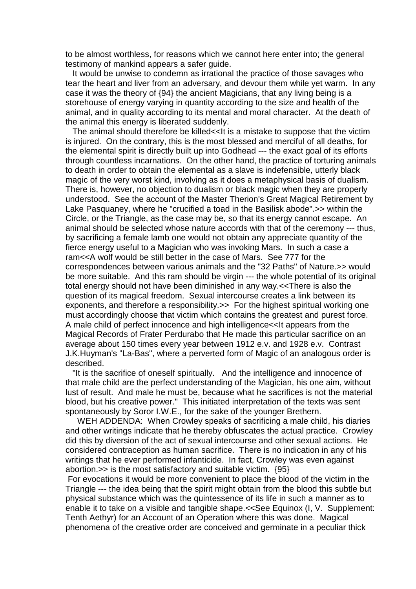to be almost worthless, for reasons which we cannot here enter into; the general testimony of mankind appears a safer guide.

 It would be unwise to condemn as irrational the practice of those savages who tear the heart and liver from an adversary, and devour them while yet warm. In any case it was the theory of {94} the ancient Magicians, that any living being is a storehouse of energy varying in quantity according to the size and health of the animal, and in quality according to its mental and moral character. At the death of the animal this energy is liberated suddenly.

The animal should therefore be killed<< It is a mistake to suppose that the victim is injured. On the contrary, this is the most blessed and merciful of all deaths, for the elemental spirit is directly built up into Godhead --- the exact goal of its efforts through countless incarnations. On the other hand, the practice of torturing animals to death in order to obtain the elemental as a slave is indefensible, utterly black magic of the very worst kind, involving as it does a metaphysical basis of dualism. There is, however, no objection to dualism or black magic when they are properly understood. See the account of the Master Therion's Great Magical Retirement by Lake Pasquaney, where he "crucified a toad in the Basilisk abode".>> within the Circle, or the Triangle, as the case may be, so that its energy cannot escape. An animal should be selected whose nature accords with that of the ceremony --- thus, by sacrificing a female lamb one would not obtain any appreciate quantity of the fierce energy useful to a Magician who was invoking Mars. In such a case a ram<<A wolf would be still better in the case of Mars. See 777 for the correspondences between various animals and the "32 Paths" of Nature.>> would be more suitable. And this ram should be virgin --- the whole potential of its original total energy should not have been diminished in any way.<<There is also the question of its magical freedom. Sexual intercourse creates a link between its exponents, and therefore a responsibility.>> For the highest spiritual working one must accordingly choose that victim which contains the greatest and purest force. A male child of perfect innocence and high intelligence<<It appears from the Magical Records of Frater Perdurabo that He made this particular sacrifice on an average about 150 times every year between 1912 e.v. and 1928 e.v. Contrast J.K.Huyman's "La-Bas", where a perverted form of Magic of an analogous order is described.

 "It is the sacrifice of oneself spiritually. And the intelligence and innocence of that male child are the perfect understanding of the Magician, his one aim, without lust of result. And male he must be, because what he sacrifices is not the material blood, but his creative power." This initiated interpretation of the texts was sent spontaneously by Soror I.W.E., for the sake of the younger Brethern.

 WEH ADDENDA: When Crowley speaks of sacrificing a male child, his diaries and other writings indicate that he thereby obfuscates the actual practice. Crowley did this by diversion of the act of sexual intercourse and other sexual actions. He considered contraception as human sacrifice. There is no indication in any of his writings that he ever performed infanticide. In fact, Crowley was even against abortion. $\gg$  is the most satisfactory and suitable victim.  $\{95\}$ 

 For evocations it would be more convenient to place the blood of the victim in the Triangle --- the idea being that the spirit might obtain from the blood this subtle but physical substance which was the quintessence of its life in such a manner as to enable it to take on a visible and tangible shape.<<See Equinox (I, V. Supplement: Tenth Aethyr) for an Account of an Operation where this was done. Magical phenomena of the creative order are conceived and germinate in a peculiar thick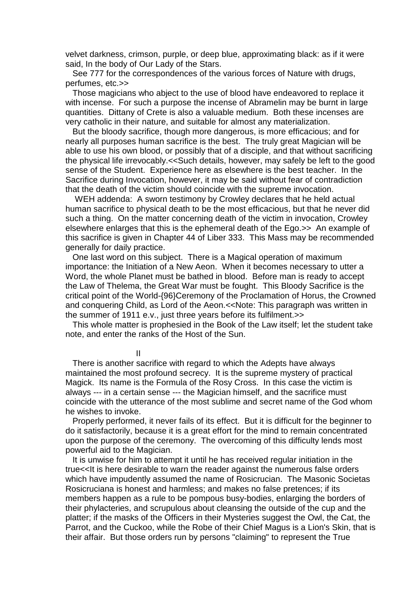velvet darkness, crimson, purple, or deep blue, approximating black: as if it were said, In the body of Our Lady of the Stars.

 See 777 for the correspondences of the various forces of Nature with drugs, perfumes, etc.>>

 Those magicians who abject to the use of blood have endeavored to replace it with incense. For such a purpose the incense of Abramelin may be burnt in large quantities. Dittany of Crete is also a valuable medium. Both these incenses are very catholic in their nature, and suitable for almost any materialization.

 But the bloody sacrifice, though more dangerous, is more efficacious; and for nearly all purposes human sacrifice is the best. The truly great Magician will be able to use his own blood, or possibly that of a disciple, and that without sacrificing the physical life irrevocably.<<Such details, however, may safely be left to the good sense of the Student. Experience here as elsewhere is the best teacher. In the Sacrifice during Invocation, however, it may be said without fear of contradiction that the death of the victim should coincide with the supreme invocation.

 WEH addenda: A sworn testimony by Crowley declares that he held actual human sacrifice to physical death to be the most efficacious, but that he never did such a thing. On the matter concerning death of the victim in invocation, Crowley elsewhere enlarges that this is the ephemeral death of the Ego.>> An example of this sacrifice is given in Chapter 44 of Liber 333. This Mass may be recommended generally for daily practice.

 One last word on this subject. There is a Magical operation of maximum importance: the Initiation of a New Aeon. When it becomes necessary to utter a Word, the whole Planet must be bathed in blood. Before man is ready to accept the Law of Thelema, the Great War must be fought. This Bloody Sacrifice is the critical point of the World-{96}Ceremony of the Proclamation of Horus, the Crowned and conquering Child, as Lord of the Aeon.<<Note: This paragraph was written in the summer of 1911 e.v., just three years before its fulfilment.>>

 This whole matter is prophesied in the Book of the Law itself; let the student take note, and enter the ranks of the Host of the Sun.

**III** and the state of the III

 There is another sacrifice with regard to which the Adepts have always maintained the most profound secrecy. It is the supreme mystery of practical Magick. Its name is the Formula of the Rosy Cross. In this case the victim is always --- in a certain sense --- the Magician himself, and the sacrifice must coincide with the utterance of the most sublime and secret name of the God whom he wishes to invoke.

 Properly performed, it never fails of its effect. But it is difficult for the beginner to do it satisfactorily, because it is a great effort for the mind to remain concentrated upon the purpose of the ceremony. The overcoming of this difficulty lends most powerful aid to the Magician.

 It is unwise for him to attempt it until he has received regular initiation in the true<<It is here desirable to warn the reader against the numerous false orders which have impudently assumed the name of Rosicrucian. The Masonic Societas Rosicruciana is honest and harmless; and makes no false pretences; if its members happen as a rule to be pompous busy-bodies, enlarging the borders of their phylacteries, and scrupulous about cleansing the outside of the cup and the platter; if the masks of the Officers in their Mysteries suggest the Owl, the Cat, the Parrot, and the Cuckoo, while the Robe of their Chief Magus is a Lion's Skin, that is their affair. But those orders run by persons "claiming" to represent the True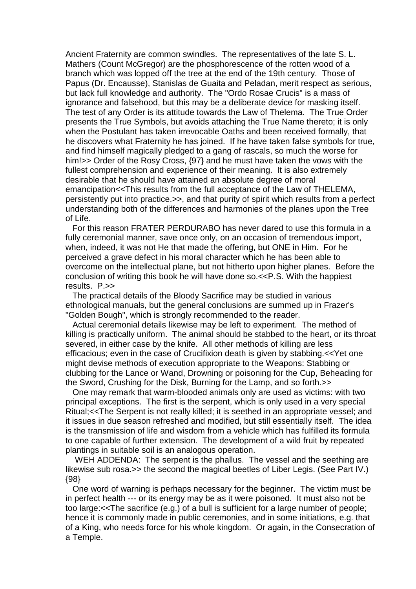Ancient Fraternity are common swindles. The representatives of the late S. L. Mathers (Count McGregor) are the phosphorescence of the rotten wood of a branch which was lopped off the tree at the end of the 19th century. Those of Papus (Dr. Encausse), Stanislas de Guaita and Peladan, merit respect as serious, but lack full knowledge and authority. The "Ordo Rosae Crucis" is a mass of ignorance and falsehood, but this may be a deliberate device for masking itself. The test of any Order is its attitude towards the Law of Thelema. The True Order presents the True Symbols, but avoids attaching the True Name thereto; it is only when the Postulant has taken irrevocable Oaths and been received formally, that he discovers what Fraternity he has joined. If he have taken false symbols for true, and find himself magically pledged to a gang of rascals, so much the worse for him!>> Order of the Rosy Cross, {97} and he must have taken the vows with the fullest comprehension and experience of their meaning. It is also extremely desirable that he should have attained an absolute degree of moral emancipation<<This results from the full acceptance of the Law of THELEMA, persistently put into practice.>>, and that purity of spirit which results from a perfect understanding both of the differences and harmonies of the planes upon the Tree of Life.

 For this reason FRATER PERDURABO has never dared to use this formula in a fully ceremonial manner, save once only, on an occasion of tremendous import, when, indeed, it was not He that made the offering, but ONE in Him. For he perceived a grave defect in his moral character which he has been able to overcome on the intellectual plane, but not hitherto upon higher planes. Before the conclusion of writing this book he will have done so.<<P.S. With the happiest results. P.>>

 The practical details of the Bloody Sacrifice may be studied in various ethnological manuals, but the general conclusions are summed up in Frazer's "Golden Bough", which is strongly recommended to the reader.

 Actual ceremonial details likewise may be left to experiment. The method of killing is practically uniform. The animal should be stabbed to the heart, or its throat severed, in either case by the knife. All other methods of killing are less efficacious; even in the case of Crucifixion death is given by stabbing.<<Yet one might devise methods of execution appropriate to the Weapons: Stabbing or clubbing for the Lance or Wand, Drowning or poisoning for the Cup, Beheading for the Sword, Crushing for the Disk, Burning for the Lamp, and so forth.>>

 One may remark that warm-blooded animals only are used as victims: with two principal exceptions. The first is the serpent, which is only used in a very special Ritual;<<The Serpent is not really killed; it is seethed in an appropriate vessel; and it issues in due season refreshed and modified, but still essentially itself. The idea is the transmission of life and wisdom from a vehicle which has fulfilled its formula to one capable of further extension. The development of a wild fruit by repeated plantings in suitable soil is an analogous operation.

 WEH ADDENDA: The serpent is the phallus. The vessel and the seething are likewise sub rosa.>> the second the magical beetles of Liber Legis. (See Part IV.) {98}

 One word of warning is perhaps necessary for the beginner. The victim must be in perfect health --- or its energy may be as it were poisoned. It must also not be too large:<<The sacrifice (e.g.) of a bull is sufficient for a large number of people; hence it is commonly made in public ceremonies, and in some initiations, e.g. that of a King, who needs force for his whole kingdom. Or again, in the Consecration of a Temple.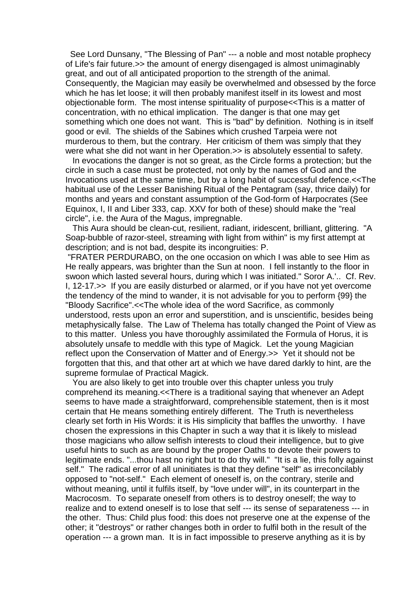See Lord Dunsany, "The Blessing of Pan" --- a noble and most notable prophecy of Life's fair future.>> the amount of energy disengaged is almost unimaginably great, and out of all anticipated proportion to the strength of the animal. Consequently, the Magician may easily be overwhelmed and obsessed by the force which he has let loose; it will then probably manifest itself in its lowest and most objectionable form. The most intense spirituality of purpose<<This is a matter of concentration, with no ethical implication. The danger is that one may get something which one does not want. This is "bad" by definition. Nothing is in itself good or evil. The shields of the Sabines which crushed Tarpeia were not murderous to them, but the contrary. Her criticism of them was simply that they were what she did not want in her Operation.>> is absolutely essential to safety.

 In evocations the danger is not so great, as the Circle forms a protection; but the circle in such a case must be protected, not only by the names of God and the Invocations used at the same time, but by a long habit of successful defence.<<The habitual use of the Lesser Banishing Ritual of the Pentagram (say, thrice daily) for months and years and constant assumption of the God-form of Harpocrates (See Equinox, I, II and Liber 333, cap. XXV for both of these) should make the "real circle", i.e. the Aura of the Magus, impregnable.

 This Aura should be clean-cut, resilient, radiant, iridescent, brilliant, glittering. "A Soap-bubble of razor-steel, streaming with light from within" is my first attempt at description; and is not bad, despite its incongruities: P.

 "FRATER PERDURABO, on the one occasion on which I was able to see Him as He really appears, was brighter than the Sun at noon. I fell instantly to the floor in swoon which lasted several hours, during which I was initiated." Soror A.'.. Cf. Rev. I, 12-17.>> If you are easily disturbed or alarmed, or if you have not yet overcome the tendency of the mind to wander, it is not advisable for you to perform {99} the "Bloody Sacrifice".<<The whole idea of the word Sacrifice, as commonly understood, rests upon an error and superstition, and is unscientific, besides being metaphysically false. The Law of Thelema has totally changed the Point of View as to this matter. Unless you have thoroughly assimilated the Formula of Horus, it is absolutely unsafe to meddle with this type of Magick. Let the young Magician reflect upon the Conservation of Matter and of Energy.>> Yet it should not be forgotten that this, and that other art at which we have dared darkly to hint, are the supreme formulae of Practical Magick.

 You are also likely to get into trouble over this chapter unless you truly comprehend its meaning.<<There is a traditional saying that whenever an Adept seems to have made a straightforward, comprehensible statement, then is it most certain that He means something entirely different. The Truth is nevertheless clearly set forth in His Words: it is His simplicity that baffles the unworthy. I have chosen the expressions in this Chapter in such a way that it is likely to mislead those magicians who allow selfish interests to cloud their intelligence, but to give useful hints to such as are bound by the proper Oaths to devote their powers to legitimate ends. "...thou hast no right but to do thy will." "It is a lie, this folly against self." The radical error of all uninitiates is that they define "self" as irreconcilably opposed to "not-self." Each element of oneself is, on the contrary, sterile and without meaning, until it fulfils itself, by "love under will", in its counterpart in the Macrocosm. To separate oneself from others is to destroy oneself; the way to realize and to extend oneself is to lose that self --- its sense of separateness --- in the other. Thus: Child plus food: this does not preserve one at the expense of the other; it "destroys" or rather changes both in order to fulfil both in the result of the operation --- a grown man. It is in fact impossible to preserve anything as it is by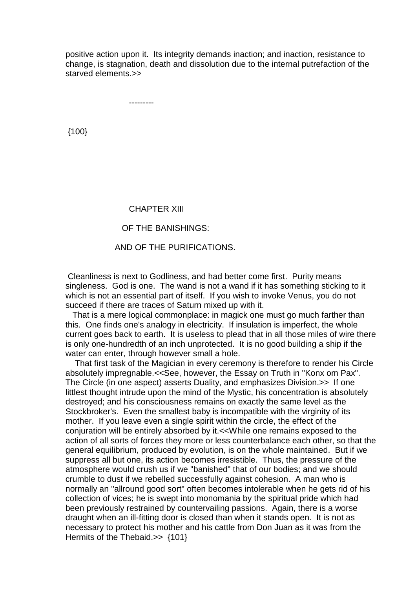positive action upon it. Its integrity demands inaction; and inaction, resistance to change, is stagnation, death and dissolution due to the internal putrefaction of the starved elements.>>

---------

{100}

CHAPTER XIII

# OF THE BANISHINGS:

AND OF THE PURIFICATIONS.

 Cleanliness is next to Godliness, and had better come first. Purity means singleness. God is one. The wand is not a wand if it has something sticking to it which is not an essential part of itself. If you wish to invoke Venus, you do not succeed if there are traces of Saturn mixed up with it.

 That is a mere logical commonplace: in magick one must go much farther than this. One finds one's analogy in electricity. If insulation is imperfect, the whole current goes back to earth. It is useless to plead that in all those miles of wire there is only one-hundredth of an inch unprotected. It is no good building a ship if the water can enter, through however small a hole.

 That first task of the Magician in every ceremony is therefore to render his Circle absolutely impregnable.<<See, however, the Essay on Truth in "Konx om Pax". The Circle (in one aspect) asserts Duality, and emphasizes Division.>> If one littlest thought intrude upon the mind of the Mystic, his concentration is absolutely destroyed; and his consciousness remains on exactly the same level as the Stockbroker's. Even the smallest baby is incompatible with the virginity of its mother. If you leave even a single spirit within the circle, the effect of the conjuration will be entirely absorbed by it.<<While one remains exposed to the action of all sorts of forces they more or less counterbalance each other, so that the general equilibrium, produced by evolution, is on the whole maintained. But if we suppress all but one, its action becomes irresistible. Thus, the pressure of the atmosphere would crush us if we "banished" that of our bodies; and we should crumble to dust if we rebelled successfully against cohesion. A man who is normally an "allround good sort" often becomes intolerable when he gets rid of his collection of vices; he is swept into monomania by the spiritual pride which had been previously restrained by countervailing passions. Again, there is a worse draught when an ill-fitting door is closed than when it stands open. It is not as necessary to protect his mother and his cattle from Don Juan as it was from the Hermits of the Thebaid.>> {101}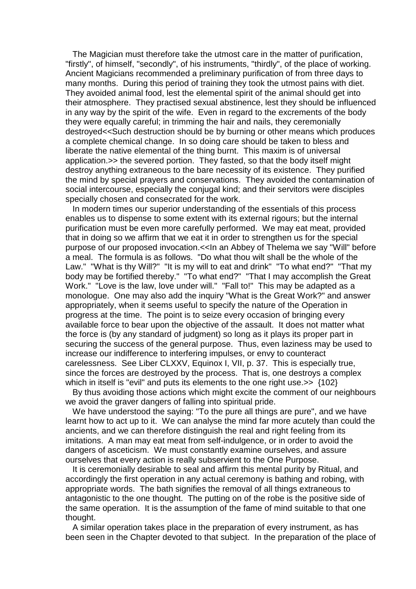The Magician must therefore take the utmost care in the matter of purification, "firstly", of himself, "secondly", of his instruments, "thirdly", of the place of working. Ancient Magicians recommended a preliminary purification of from three days to many months. During this period of training they took the utmost pains with diet. They avoided animal food, lest the elemental spirit of the animal should get into their atmosphere. They practised sexual abstinence, lest they should be influenced in any way by the spirit of the wife. Even in regard to the excrements of the body they were equally careful; in trimming the hair and nails, they ceremonially destroyed<<Such destruction should be by burning or other means which produces a complete chemical change. In so doing care should be taken to bless and liberate the native elemental of the thing burnt. This maxim is of universal application.>> the severed portion. They fasted, so that the body itself might destroy anything extraneous to the bare necessity of its existence. They purified the mind by special prayers and conservations. They avoided the contamination of social intercourse, especially the conjugal kind; and their servitors were disciples specially chosen and consecrated for the work.

 In modern times our superior understanding of the essentials of this process enables us to dispense to some extent with its external rigours; but the internal purification must be even more carefully performed. We may eat meat, provided that in doing so we affirm that we eat it in order to strengthen us for the special purpose of our proposed invocation.<<In an Abbey of Thelema we say "Will" before a meal. The formula is as follows. "Do what thou wilt shall be the whole of the Law." "What is thy Will?" "It is my will to eat and drink" "To what end?" "That my body may be fortified thereby." "To what end?" "That I may accomplish the Great Work." "Love is the law, love under will." "Fall to!" This may be adapted as a monologue. One may also add the inquiry "What is the Great Work?" and answer appropriately, when it seems useful to specify the nature of the Operation in progress at the time. The point is to seize every occasion of bringing every available force to bear upon the objective of the assault. It does not matter what the force is (by any standard of judgment) so long as it plays its proper part in securing the success of the general purpose. Thus, even laziness may be used to increase our indifference to interfering impulses, or envy to counteract carelessness. See Liber CLXXV, Equinox I, VII, p. 37. This is especially true, since the forces are destroyed by the process. That is, one destroys a complex which in itself is "evil" and puts its elements to the one right use.>> {102}

 By thus avoiding those actions which might excite the comment of our neighbours we avoid the graver dangers of falling into spiritual pride.

 We have understood the saying: "To the pure all things are pure", and we have learnt how to act up to it. We can analyse the mind far more acutely than could the ancients, and we can therefore distinguish the real and right feeling from its imitations. A man may eat meat from self-indulgence, or in order to avoid the dangers of asceticism. We must constantly examine ourselves, and assure ourselves that every action is really subservient to the One Purpose.

 It is ceremonially desirable to seal and affirm this mental purity by Ritual, and accordingly the first operation in any actual ceremony is bathing and robing, with appropriate words. The bath signifies the removal of all things extraneous to antagonistic to the one thought. The putting on of the robe is the positive side of the same operation. It is the assumption of the fame of mind suitable to that one thought.

 A similar operation takes place in the preparation of every instrument, as has been seen in the Chapter devoted to that subject. In the preparation of the place of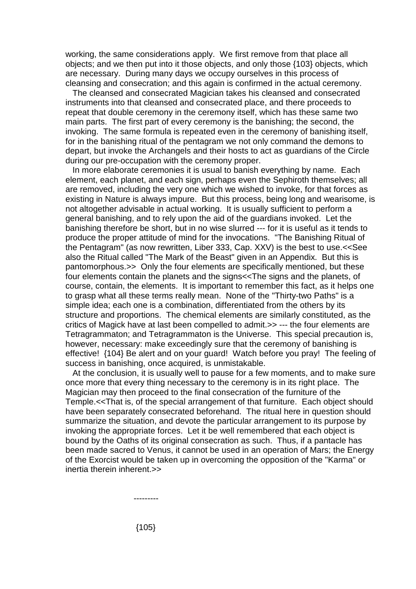working, the same considerations apply. We first remove from that place all objects; and we then put into it those objects, and only those {103} objects, which are necessary. During many days we occupy ourselves in this process of cleansing and consecration; and this again is confirmed in the actual ceremony.

 The cleansed and consecrated Magician takes his cleansed and consecrated instruments into that cleansed and consecrated place, and there proceeds to repeat that double ceremony in the ceremony itself, which has these same two main parts. The first part of every ceremony is the banishing; the second, the invoking. The same formula is repeated even in the ceremony of banishing itself, for in the banishing ritual of the pentagram we not only command the demons to depart, but invoke the Archangels and their hosts to act as guardians of the Circle during our pre-occupation with the ceremony proper.

In more elaborate ceremonies it is usual to banish everything by name. Each element, each planet, and each sign, perhaps even the Sephiroth themselves; all are removed, including the very one which we wished to invoke, for that forces as existing in Nature is always impure. But this process, being long and wearisome, is not altogether advisable in actual working. It is usually sufficient to perform a general banishing, and to rely upon the aid of the guardians invoked. Let the banishing therefore be short, but in no wise slurred --- for it is useful as it tends to produce the proper attitude of mind for the invocations. "The Banishing Ritual of the Pentagram" (as now rewritten, Liber 333, Cap. XXV) is the best to use.<<See also the Ritual called "The Mark of the Beast" given in an Appendix. But this is pantomorphous.>> Only the four elements are specifically mentioned, but these four elements contain the planets and the signs<<The signs and the planets, of course, contain, the elements. It is important to remember this fact, as it helps one to grasp what all these terms really mean. None of the "Thirty-two Paths" is a simple idea; each one is a combination, differentiated from the others by its structure and proportions. The chemical elements are similarly constituted, as the critics of Magick have at last been compelled to admit.>> --- the four elements are Tetragrammaton; and Tetragrammaton is the Universe. This special precaution is, however, necessary: make exceedingly sure that the ceremony of banishing is effective! {104} Be alert and on your guard! Watch before you pray! The feeling of success in banishing, once acquired, is unmistakable.

 At the conclusion, it is usually well to pause for a few moments, and to make sure once more that every thing necessary to the ceremony is in its right place. The Magician may then proceed to the final consecration of the furniture of the Temple.<<That is, of the special arrangement of that furniture. Each object should have been separately consecrated beforehand. The ritual here in question should summarize the situation, and devote the particular arrangement to its purpose by invoking the appropriate forces. Let it be well remembered that each object is bound by the Oaths of its original consecration as such. Thus, if a pantacle has been made sacred to Venus, it cannot be used in an operation of Mars; the Energy of the Exorcist would be taken up in overcoming the opposition of the "Karma" or inertia therein inherent.>>

{105}

---------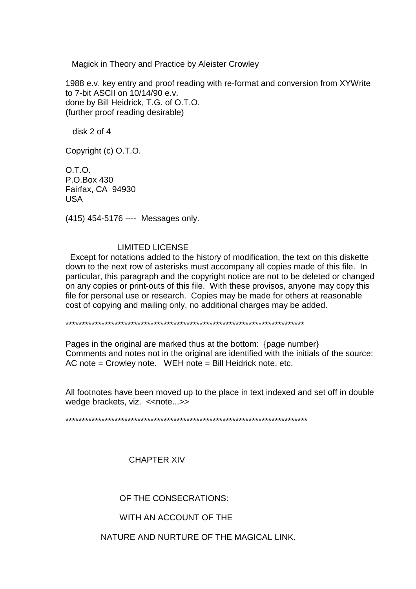Magick in Theory and Practice by Aleister Crowley

1988 e.v. key entry and proof reading with re-format and conversion from XYWrite to 7-bit ASCII on 10/14/90 e.v. done by Bill Heidrick, T.G. of O.T.O. (further proof reading desirable)

disk 2 of 4

Copyright (c) O.T.O.

O.T.O. P.O.Box 430 Fairfax, CA 94930 USA

(415) 454-5176 ---- Messages only.

# LIMITED LICENSE

 Except for notations added to the history of modification, the text on this diskette down to the next row of asterisks must accompany all copies made of this file. In particular, this paragraph and the copyright notice are not to be deleted or changed on any copies or print-outs of this file. With these provisos, anyone may copy this file for personal use or research. Copies may be made for others at reasonable cost of copying and mailing only, no additional charges may be added.

\*\*\*\*\*\*\*\*\*\*\*\*\*\*\*\*\*\*\*\*\*\*\*\*\*\*\*\*\*\*\*\*\*\*\*\*\*\*\*\*\*\*\*\*\*\*\*\*\*\*\*\*\*\*\*\*\*\*\*\*\*\*\*\*\*\*\*\*\*\*\*\*\*

Pages in the original are marked thus at the bottom: {page number} Comments and notes not in the original are identified with the initials of the source: AC note = Crowley note. WEH note = Bill Heidrick note, etc.

All footnotes have been moved up to the place in text indexed and set off in double wedge brackets, viz. << note...>>

\*\*\*\*\*\*\*\*\*\*\*\*\*\*\*\*\*\*\*\*\*\*\*\*\*\*\*\*\*\*\*\*\*\*\*\*\*\*\*\*\*\*\*\*\*\*\*\*\*\*\*\*\*\*\*\*\*\*\*\*\*\*\*\*\*\*\*\*\*\*\*\*\*\*

CHAPTER XIV

OF THE CONSECRATIONS:

WITH AN ACCOUNT OF THE

NATURE AND NURTURE OF THE MAGICAL LINK.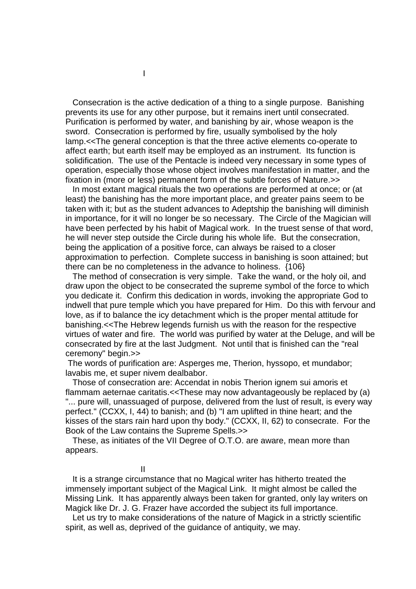Consecration is the active dedication of a thing to a single purpose. Banishing prevents its use for any other purpose, but it remains inert until consecrated. Purification is performed by water, and banishing by air, whose weapon is the sword. Consecration is performed by fire, usually symbolised by the holy lamp.<<The general conception is that the three active elements co-operate to affect earth; but earth itself may be employed as an instrument. Its function is solidification. The use of the Pentacle is indeed very necessary in some types of operation, especially those whose object involves manifestation in matter, and the fixation in (more or less) permanent form of the subtle forces of Nature.>>

 In most extant magical rituals the two operations are performed at once; or (at least) the banishing has the more important place, and greater pains seem to be taken with it; but as the student advances to Adeptship the banishing will diminish in importance, for it will no longer be so necessary. The Circle of the Magician will have been perfected by his habit of Magical work. In the truest sense of that word, he will never step outside the Circle during his whole life. But the consecration, being the application of a positive force, can always be raised to a closer approximation to perfection. Complete success in banishing is soon attained; but there can be no completeness in the advance to holiness. {106}

 The method of consecration is very simple. Take the wand, or the holy oil, and draw upon the object to be consecrated the supreme symbol of the force to which you dedicate it. Confirm this dedication in words, invoking the appropriate God to indwell that pure temple which you have prepared for Him. Do this with fervour and love, as if to balance the icy detachment which is the proper mental attitude for banishing.<<The Hebrew legends furnish us with the reason for the respective virtues of water and fire. The world was purified by water at the Deluge, and will be consecrated by fire at the last Judgment. Not until that is finished can the "real ceremony" begin.>>

 The words of purification are: Asperges me, Therion, hyssopo, et mundabor; lavabis me, et super nivem dealbabor.

 Those of consecration are: Accendat in nobis Therion ignem sui amoris et flammam aeternae caritatis.<<These may now advantageously be replaced by (a) "... pure will, unassuaged of purpose, delivered from the lust of result, is every way perfect." (CCXX, I, 44) to banish; and (b) "I am uplifted in thine heart; and the kisses of the stars rain hard upon thy body." (CCXX, II, 62) to consecrate. For the Book of the Law contains the Supreme Spells.>>

 These, as initiates of the VII Degree of O.T.O. are aware, mean more than appears.

**III** and the state of the III

 It is a strange circumstance that no Magical writer has hitherto treated the immensely important subject of the Magical Link. It might almost be called the Missing Link. It has apparently always been taken for granted, only lay writers on Magick like Dr. J. G. Frazer have accorded the subject its full importance.

 Let us try to make considerations of the nature of Magick in a strictly scientific spirit, as well as, deprived of the guidance of antiquity, we may.

**In the contract of the Contract of the Contract of the Contract of the Contract of the Contract of the Contract of the Contract of the Contract of the Contract of the Contract of the Contract of the Contract of the Contra**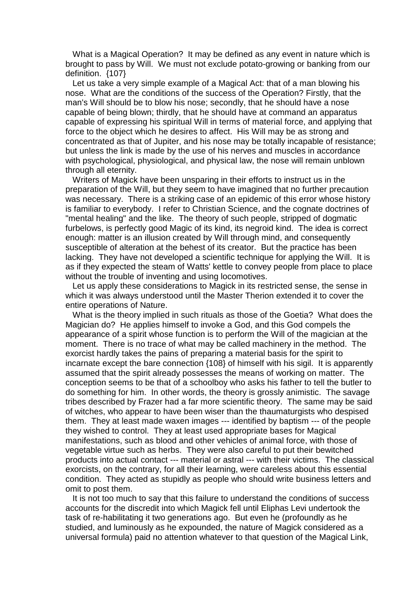What is a Magical Operation? It may be defined as any event in nature which is brought to pass by Will. We must not exclude potato-growing or banking from our definition. {107}

 Let us take a very simple example of a Magical Act: that of a man blowing his nose. What are the conditions of the success of the Operation? Firstly, that the man's Will should be to blow his nose; secondly, that he should have a nose capable of being blown; thirdly, that he should have at command an apparatus capable of expressing his spiritual Will in terms of material force, and applying that force to the object which he desires to affect. His Will may be as strong and concentrated as that of Jupiter, and his nose may be totally incapable of resistance; but unless the link is made by the use of his nerves and muscles in accordance with psychological, physiological, and physical law, the nose will remain unblown through all eternity.

 Writers of Magick have been unsparing in their efforts to instruct us in the preparation of the Will, but they seem to have imagined that no further precaution was necessary. There is a striking case of an epidemic of this error whose history is familiar to everybody. I refer to Christian Science, and the cognate doctrines of "mental healing" and the like. The theory of such people, stripped of dogmatic furbelows, is perfectly good Magic of its kind, its negroid kind. The idea is correct enough: matter is an illusion created by Will through mind, and consequently susceptible of alteration at the behest of its creator. But the practice has been lacking. They have not developed a scientific technique for applying the Will. It is as if they expected the steam of Watts' kettle to convey people from place to place without the trouble of inventing and using locomotives.

 Let us apply these considerations to Magick in its restricted sense, the sense in which it was always understood until the Master Therion extended it to cover the entire operations of Nature.

 What is the theory implied in such rituals as those of the Goetia? What does the Magician do? He applies himself to invoke a God, and this God compels the appearance of a spirit whose function is to perform the Will of the magician at the moment. There is no trace of what may be called machinery in the method. The exorcist hardly takes the pains of preparing a material basis for the spirit to incarnate except the bare connection {108} of himself with his sigil. It is apparently assumed that the spirit already possesses the means of working on matter. The conception seems to be that of a schoolboy who asks his father to tell the butler to do something for him. In other words, the theory is grossly animistic. The savage tribes described by Frazer had a far more scientific theory. The same may be said of witches, who appear to have been wiser than the thaumaturgists who despised them. They at least made waxen images --- identified by baptism --- of the people they wished to control. They at least used appropriate bases for Magical manifestations, such as blood and other vehicles of animal force, with those of vegetable virtue such as herbs. They were also careful to put their bewitched products into actual contact --- material or astral --- with their victims. The classical exorcists, on the contrary, for all their learning, were careless about this essential condition. They acted as stupidly as people who should write business letters and omit to post them.

 It is not too much to say that this failure to understand the conditions of success accounts for the discredit into which Magick fell until Eliphas Levi undertook the task of re-habilitating it two generations ago. But even he (profoundly as he studied, and luminously as he expounded, the nature of Magick considered as a universal formula) paid no attention whatever to that question of the Magical Link,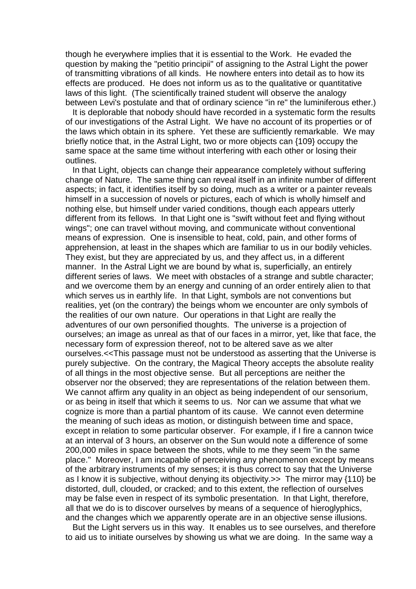though he everywhere implies that it is essential to the Work. He evaded the question by making the "petitio principii" of assigning to the Astral Light the power of transmitting vibrations of all kinds. He nowhere enters into detail as to how its effects are produced. He does not inform us as to the qualitative or quantitative laws of this light. (The scientifically trained student will observe the analogy between Levi's postulate and that of ordinary science "in re" the luminiferous ether.)

 It is deplorable that nobody should have recorded in a systematic form the results of our investigations of the Astral Light. We have no account of its properties or of the laws which obtain in its sphere. Yet these are sufficiently remarkable. We may briefly notice that, in the Astral Light, two or more objects can {109} occupy the same space at the same time without interfering with each other or losing their outlines.

 In that Light, objects can change their appearance completely without suffering change of Nature. The same thing can reveal itself in an infinite number of different aspects; in fact, it identifies itself by so doing, much as a writer or a painter reveals himself in a succession of novels or pictures, each of which is wholly himself and nothing else, but himself under varied conditions, though each appears utterly different from its fellows. In that Light one is "swift without feet and flying without wings"; one can travel without moving, and communicate without conventional means of expression. One is insensible to heat, cold, pain, and other forms of apprehension, at least in the shapes which are familiar to us in our bodily vehicles. They exist, but they are appreciated by us, and they affect us, in a different manner. In the Astral Light we are bound by what is, superficially, an entirely different series of laws. We meet with obstacles of a strange and subtle character; and we overcome them by an energy and cunning of an order entirely alien to that which serves us in earthly life. In that Light, symbols are not conventions but realities, yet (on the contrary) the beings whom we encounter are only symbols of the realities of our own nature. Our operations in that Light are really the adventures of our own personified thoughts. The universe is a projection of ourselves; an image as unreal as that of our faces in a mirror, yet, like that face, the necessary form of expression thereof, not to be altered save as we alter ourselves.<<This passage must not be understood as asserting that the Universe is purely subjective. On the contrary, the Magical Theory accepts the absolute reality of all things in the most objective sense. But all perceptions are neither the observer nor the observed; they are representations of the relation between them. We cannot affirm any quality in an object as being independent of our sensorium, or as being in itself that which it seems to us. Nor can we assume that what we cognize is more than a partial phantom of its cause. We cannot even determine the meaning of such ideas as motion, or distinguish between time and space, except in relation to some particular observer. For example, if I fire a cannon twice at an interval of 3 hours, an observer on the Sun would note a difference of some 200,000 miles in space between the shots, while to me they seem "in the same place." Moreover, I am incapable of perceiving any phenomenon except by means of the arbitrary instruments of my senses; it is thus correct to say that the Universe as I know it is subjective, without denying its objectivity.>> The mirror may {110} be distorted, dull, clouded, or cracked; and to this extent, the reflection of ourselves may be false even in respect of its symbolic presentation. In that Light, therefore, all that we do is to discover ourselves by means of a sequence of hieroglyphics, and the changes which we apparently operate are in an objective sense illusions.

 But the Light servers us in this way. It enables us to see ourselves, and therefore to aid us to initiate ourselves by showing us what we are doing. In the same way a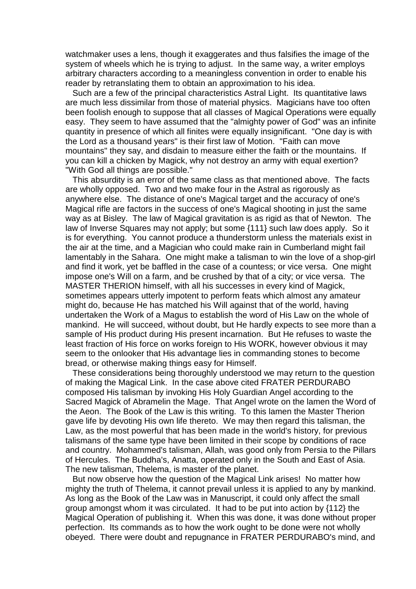watchmaker uses a lens, though it exaggerates and thus falsifies the image of the system of wheels which he is trying to adjust. In the same way, a writer employs arbitrary characters according to a meaningless convention in order to enable his reader by retranslating them to obtain an approximation to his idea.

 Such are a few of the principal characteristics Astral Light. Its quantitative laws are much less dissimilar from those of material physics. Magicians have too often been foolish enough to suppose that all classes of Magical Operations were equally easy. They seem to have assumed that the "almighty power of God" was an infinite quantity in presence of which all finites were equally insignificant. "One day is with the Lord as a thousand years" is their first law of Motion. "Faith can move mountains" they say, and disdain to measure either the faith or the mountains. If you can kill a chicken by Magick, why not destroy an army with equal exertion? "With God all things are possible."

 This absurdity is an error of the same class as that mentioned above. The facts are wholly opposed. Two and two make four in the Astral as rigorously as anywhere else. The distance of one's Magical target and the accuracy of one's Magical rifle are factors in the success of one's Magical shooting in just the same way as at Bisley. The law of Magical gravitation is as rigid as that of Newton. The law of Inverse Squares may not apply; but some {111} such law does apply. So it is for everything. You cannot produce a thunderstorm unless the materials exist in the air at the time, and a Magician who could make rain in Cumberland might fail lamentably in the Sahara. One might make a talisman to win the love of a shop-girl and find it work, yet be baffled in the case of a countess; or vice versa. One might impose one's Will on a farm, and be crushed by that of a city; or vice versa. The MASTER THERION himself, with all his successes in every kind of Magick, sometimes appears utterly impotent to perform feats which almost any amateur might do, because He has matched his Will against that of the world, having undertaken the Work of a Magus to establish the word of His Law on the whole of mankind. He will succeed, without doubt, but He hardly expects to see more than a sample of His product during His present incarnation. But He refuses to waste the least fraction of His force on works foreign to His WORK, however obvious it may seem to the onlooker that His advantage lies in commanding stones to become bread, or otherwise making things easy for Himself.

 These considerations being thoroughly understood we may return to the question of making the Magical Link. In the case above cited FRATER PERDURABO composed His talisman by invoking His Holy Guardian Angel according to the Sacred Magick of Abramelin the Mage. That Angel wrote on the lamen the Word of the Aeon. The Book of the Law is this writing. To this lamen the Master Therion gave life by devoting His own life thereto. We may then regard this talisman, the Law, as the most powerful that has been made in the world's history, for previous talismans of the same type have been limited in their scope by conditions of race and country. Mohammed's talisman, Allah, was good only from Persia to the Pillars of Hercules. The Buddha's, Anatta, operated only in the South and East of Asia. The new talisman, Thelema, is master of the planet.

 But now observe how the question of the Magical Link arises! No matter how mighty the truth of Thelema, it cannot prevail unless it is applied to any by mankind. As long as the Book of the Law was in Manuscript, it could only affect the small group amongst whom it was circulated. It had to be put into action by {112} the Magical Operation of publishing it. When this was done, it was done without proper perfection. Its commands as to how the work ought to be done were not wholly obeyed. There were doubt and repugnance in FRATER PERDURABO's mind, and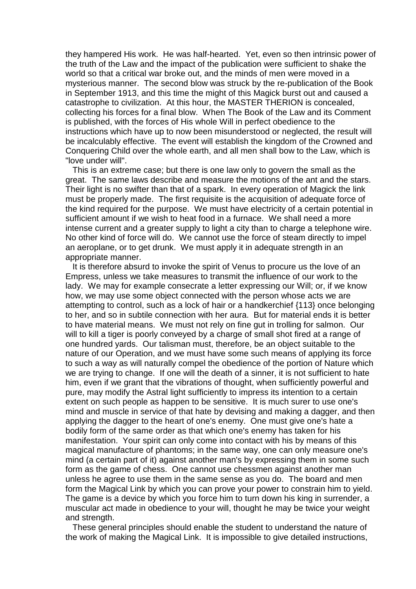they hampered His work. He was half-hearted. Yet, even so then intrinsic power of the truth of the Law and the impact of the publication were sufficient to shake the world so that a critical war broke out, and the minds of men were moved in a mysterious manner. The second blow was struck by the re-publication of the Book in September 1913, and this time the might of this Magick burst out and caused a catastrophe to civilization. At this hour, the MASTER THERION is concealed, collecting his forces for a final blow. When The Book of the Law and its Comment is published, with the forces of His whole Will in perfect obedience to the instructions which have up to now been misunderstood or neglected, the result will be incalculably effective. The event will establish the kingdom of the Crowned and Conquering Child over the whole earth, and all men shall bow to the Law, which is "love under will".

 This is an extreme case; but there is one law only to govern the small as the great. The same laws describe and measure the motions of the ant and the stars. Their light is no swifter than that of a spark. In every operation of Magick the link must be properly made. The first requisite is the acquisition of adequate force of the kind required for the purpose. We must have electricity of a certain potential in sufficient amount if we wish to heat food in a furnace. We shall need a more intense current and a greater supply to light a city than to charge a telephone wire. No other kind of force will do. We cannot use the force of steam directly to impel an aeroplane, or to get drunk. We must apply it in adequate strength in an appropriate manner.

 It is therefore absurd to invoke the spirit of Venus to procure us the love of an Empress, unless we take measures to transmit the influence of our work to the lady. We may for example consecrate a letter expressing our Will; or, if we know how, we may use some object connected with the person whose acts we are attempting to control, such as a lock of hair or a handkerchief {113} once belonging to her, and so in subtile connection with her aura. But for material ends it is better to have material means. We must not rely on fine gut in trolling for salmon. Our will to kill a tiger is poorly conveyed by a charge of small shot fired at a range of one hundred yards. Our talisman must, therefore, be an object suitable to the nature of our Operation, and we must have some such means of applying its force to such a way as will naturally compel the obedience of the portion of Nature which we are trying to change. If one will the death of a sinner, it is not sufficient to hate him, even if we grant that the vibrations of thought, when sufficiently powerful and pure, may modify the Astral light sufficiently to impress its intention to a certain extent on such people as happen to be sensitive. It is much surer to use one's mind and muscle in service of that hate by devising and making a dagger, and then applying the dagger to the heart of one's enemy. One must give one's hate a bodily form of the same order as that which one's enemy has taken for his manifestation. Your spirit can only come into contact with his by means of this magical manufacture of phantoms; in the same way, one can only measure one's mind (a certain part of it) against another man's by expressing them in some such form as the game of chess. One cannot use chessmen against another man unless he agree to use them in the same sense as you do. The board and men form the Magical Link by which you can prove your power to constrain him to yield. The game is a device by which you force him to turn down his king in surrender, a muscular act made in obedience to your will, thought he may be twice your weight and strength.

 These general principles should enable the student to understand the nature of the work of making the Magical Link. It is impossible to give detailed instructions,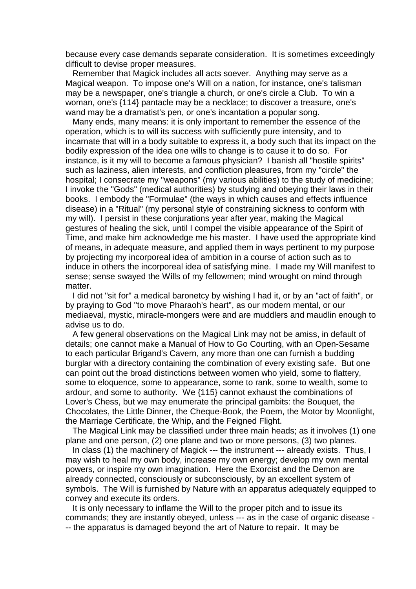because every case demands separate consideration. It is sometimes exceedingly difficult to devise proper measures.

 Remember that Magick includes all acts soever. Anything may serve as a Magical weapon. To impose one's Will on a nation, for instance, one's talisman may be a newspaper, one's triangle a church, or one's circle a Club. To win a woman, one's {114} pantacle may be a necklace; to discover a treasure, one's wand may be a dramatist's pen, or one's incantation a popular song.

 Many ends, many means: it is only important to remember the essence of the operation, which is to will its success with sufficiently pure intensity, and to incarnate that will in a body suitable to express it, a body such that its impact on the bodily expression of the idea one wills to change is to cause it to do so. For instance, is it my will to become a famous physician? I banish all "hostile spirits" such as laziness, alien interests, and confliction pleasures, from my "circle" the hospital; I consecrate my "weapons" (my various abilities) to the study of medicine; I invoke the "Gods" (medical authorities) by studying and obeying their laws in their books. I embody the "Formulae" (the ways in which causes and effects influence disease) in a "Ritual" (my personal style of constraining sickness to conform with my will). I persist in these conjurations year after year, making the Magical gestures of healing the sick, until I compel the visible appearance of the Spirit of Time, and make him acknowledge me his master. I have used the appropriate kind of means, in adequate measure, and applied them in ways pertinent to my purpose by projecting my incorporeal idea of ambition in a course of action such as to induce in others the incorporeal idea of satisfying mine. I made my Will manifest to sense; sense swayed the Wills of my fellowmen; mind wrought on mind through matter.

 I did not "sit for" a medical baronetcy by wishing I had it, or by an "act of faith", or by praying to God "to move Pharaoh's heart", as our modern mental, or our mediaeval, mystic, miracle-mongers were and are muddlers and maudlin enough to advise us to do.

 A few general observations on the Magical Link may not be amiss, in default of details; one cannot make a Manual of How to Go Courting, with an Open-Sesame to each particular Brigand's Cavern, any more than one can furnish a budding burglar with a directory containing the combination of every existing safe. But one can point out the broad distinctions between women who yield, some to flattery, some to eloquence, some to appearance, some to rank, some to wealth, some to ardour, and some to authority. We {115} cannot exhaust the combinations of Lover's Chess, but we may enumerate the principal gambits: the Bouquet, the Chocolates, the Little Dinner, the Cheque-Book, the Poem, the Motor by Moonlight, the Marriage Certificate, the Whip, and the Feigned Flight.

 The Magical Link may be classified under three main heads; as it involves (1) one plane and one person, (2) one plane and two or more persons, (3) two planes.

In class (1) the machinery of Magick --- the instrument --- already exists. Thus, I may wish to heal my own body, increase my own energy; develop my own mental powers, or inspire my own imagination. Here the Exorcist and the Demon are already connected, consciously or subconsciously, by an excellent system of symbols. The Will is furnished by Nature with an apparatus adequately equipped to convey and execute its orders.

 It is only necessary to inflame the Will to the proper pitch and to issue its commands; they are instantly obeyed, unless --- as in the case of organic disease - -- the apparatus is damaged beyond the art of Nature to repair. It may be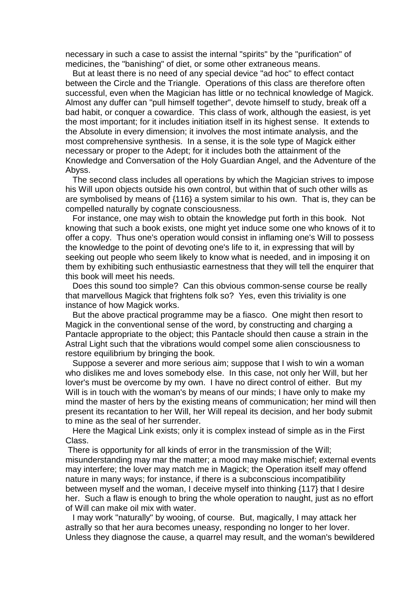necessary in such a case to assist the internal "spirits" by the "purification" of medicines, the "banishing" of diet, or some other extraneous means.

 But at least there is no need of any special device "ad hoc" to effect contact between the Circle and the Triangle. Operations of this class are therefore often successful, even when the Magician has little or no technical knowledge of Magick. Almost any duffer can "pull himself together", devote himself to study, break off a bad habit, or conquer a cowardice. This class of work, although the easiest, is yet the most important; for it includes initiation itself in its highest sense. It extends to the Absolute in every dimension; it involves the most intimate analysis, and the most comprehensive synthesis. In a sense, it is the sole type of Magick either necessary or proper to the Adept; for it includes both the attainment of the Knowledge and Conversation of the Holy Guardian Angel, and the Adventure of the Abyss.

 The second class includes all operations by which the Magician strives to impose his Will upon objects outside his own control, but within that of such other wills as are symbolised by means of {116} a system similar to his own. That is, they can be compelled naturally by cognate consciousness.

 For instance, one may wish to obtain the knowledge put forth in this book. Not knowing that such a book exists, one might yet induce some one who knows of it to offer a copy. Thus one's operation would consist in inflaming one's Will to possess the knowledge to the point of devoting one's life to it, in expressing that will by seeking out people who seem likely to know what is needed, and in imposing it on them by exhibiting such enthusiastic earnestness that they will tell the enquirer that this book will meet his needs.

 Does this sound too simple? Can this obvious common-sense course be really that marvellous Magick that frightens folk so? Yes, even this triviality is one instance of how Magick works.

 But the above practical programme may be a fiasco. One might then resort to Magick in the conventional sense of the word, by constructing and charging a Pantacle appropriate to the object; this Pantacle should then cause a strain in the Astral Light such that the vibrations would compel some alien consciousness to restore equilibrium by bringing the book.

 Suppose a severer and more serious aim; suppose that I wish to win a woman who dislikes me and loves somebody else. In this case, not only her Will, but her lover's must be overcome by my own. I have no direct control of either. But my Will is in touch with the woman's by means of our minds; I have only to make my mind the master of hers by the existing means of communication; her mind will then present its recantation to her Will, her Will repeal its decision, and her body submit to mine as the seal of her surrender.

 Here the Magical Link exists; only it is complex instead of simple as in the First Class.

 There is opportunity for all kinds of error in the transmission of the Will; misunderstanding may mar the matter; a mood may make mischief; external events may interfere; the lover may match me in Magick; the Operation itself may offend nature in many ways; for instance, if there is a subconscious incompatibility between myself and the woman, I deceive myself into thinking {117} that I desire her. Such a flaw is enough to bring the whole operation to naught, just as no effort of Will can make oil mix with water.

 I may work "naturally" by wooing, of course. But, magically, I may attack her astrally so that her aura becomes uneasy, responding no longer to her lover. Unless they diagnose the cause, a quarrel may result, and the woman's bewildered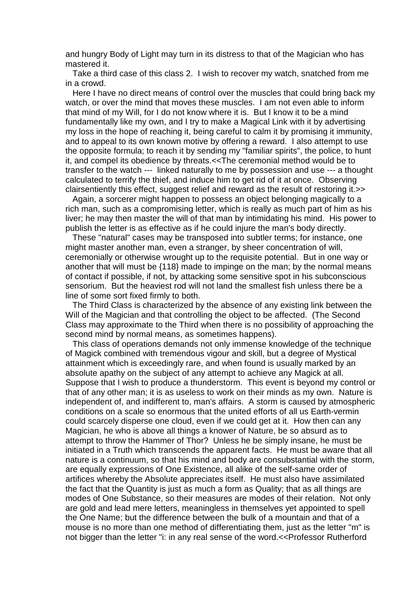and hungry Body of Light may turn in its distress to that of the Magician who has mastered it.

 Take a third case of this class 2. I wish to recover my watch, snatched from me in a crowd.

 Here I have no direct means of control over the muscles that could bring back my watch, or over the mind that moves these muscles. I am not even able to inform that mind of my Will, for I do not know where it is. But I know it to be a mind fundamentally like my own, and I try to make a Magical Link with it by advertising my loss in the hope of reaching it, being careful to calm it by promising it immunity, and to appeal to its own known motive by offering a reward. I also attempt to use the opposite formula; to reach it by sending my "familiar spirits", the police, to hunt it, and compel its obedience by threats.<<The ceremonial method would be to transfer to the watch --- linked naturally to me by possession and use --- a thought calculated to terrify the thief, and induce him to get rid of it at once. Observing clairsentiently this effect, suggest relief and reward as the result of restoring it.>>

 Again, a sorcerer might happen to possess an object belonging magically to a rich man, such as a compromising letter, which is really as much part of him as his liver; he may then master the will of that man by intimidating his mind. His power to publish the letter is as effective as if he could injure the man's body directly.

 These "natural" cases may be transposed into subtler terms; for instance, one might master another man, even a stranger, by sheer concentration of will, ceremonially or otherwise wrought up to the requisite potential. But in one way or another that will must be {118} made to impinge on the man; by the normal means of contact if possible, if not, by attacking some sensitive spot in his subconscious sensorium. But the heaviest rod will not land the smallest fish unless there be a line of some sort fixed firmly to both.

 The Third Class is characterized by the absence of any existing link between the Will of the Magician and that controlling the object to be affected. (The Second Class may approximate to the Third when there is no possibility of approaching the second mind by normal means, as sometimes happens).

 This class of operations demands not only immense knowledge of the technique of Magick combined with tremendous vigour and skill, but a degree of Mystical attainment which is exceedingly rare, and when found is usually marked by an absolute apathy on the subject of any attempt to achieve any Magick at all. Suppose that I wish to produce a thunderstorm. This event is beyond my control or that of any other man; it is as useless to work on their minds as my own. Nature is independent of, and indifferent to, man's affairs. A storm is caused by atmospheric conditions on a scale so enormous that the united efforts of all us Earth-vermin could scarcely disperse one cloud, even if we could get at it. How then can any Magician, he who is above all things a knower of Nature, be so absurd as to attempt to throw the Hammer of Thor? Unless he be simply insane, he must be initiated in a Truth which transcends the apparent facts. He must be aware that all nature is a continuum, so that his mind and body are consubstantial with the storm, are equally expressions of One Existence, all alike of the self-same order of artifices whereby the Absolute appreciates itself. He must also have assimilated the fact that the Quantity is just as much a form as Quality; that as all things are modes of One Substance, so their measures are modes of their relation. Not only are gold and lead mere letters, meaningless in themselves yet appointed to spell the One Name; but the difference between the bulk of a mountain and that of a mouse is no more than one method of differentiating them, just as the letter "m" is not bigger than the letter "i: in any real sense of the word.<<Professor Rutherford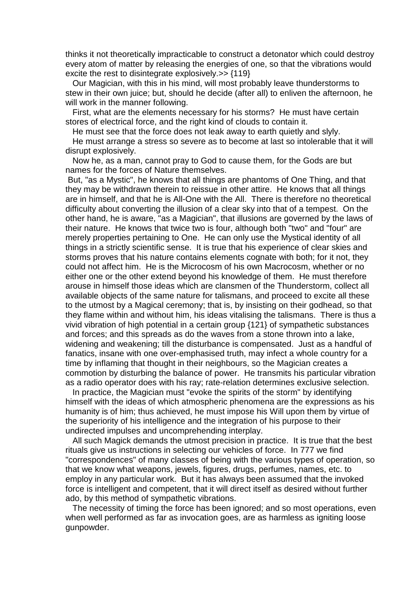thinks it not theoretically impracticable to construct a detonator which could destroy every atom of matter by releasing the energies of one, so that the vibrations would excite the rest to disintegrate explosively.>> {119}

 Our Magician, with this in his mind, will most probably leave thunderstorms to stew in their own juice; but, should he decide (after all) to enliven the afternoon, he will work in the manner following.

 First, what are the elements necessary for his storms? He must have certain stores of electrical force, and the right kind of clouds to contain it.

 He must see that the force does not leak away to earth quietly and slyly. He must arrange a stress so severe as to become at last so intolerable that it will disrupt explosively.

 Now he, as a man, cannot pray to God to cause them, for the Gods are but names for the forces of Nature themselves.

 But, "as a Mystic", he knows that all things are phantoms of One Thing, and that they may be withdrawn therein to reissue in other attire. He knows that all things are in himself, and that he is All-One with the All. There is therefore no theoretical difficulty about converting the illusion of a clear sky into that of a tempest. On the other hand, he is aware, "as a Magician", that illusions are governed by the laws of their nature. He knows that twice two is four, although both "two" and "four" are merely properties pertaining to One. He can only use the Mystical identity of all things in a strictly scientific sense. It is true that his experience of clear skies and storms proves that his nature contains elements cognate with both; for it not, they could not affect him. He is the Microcosm of his own Macrocosm, whether or no either one or the other extend beyond his knowledge of them. He must therefore arouse in himself those ideas which are clansmen of the Thunderstorm, collect all available objects of the same nature for talismans, and proceed to excite all these to the utmost by a Magical ceremony; that is, by insisting on their godhead, so that they flame within and without him, his ideas vitalising the talismans. There is thus a vivid vibration of high potential in a certain group {121} of sympathetic substances and forces; and this spreads as do the waves from a stone thrown into a lake, widening and weakening; till the disturbance is compensated. Just as a handful of fanatics, insane with one over-emphasised truth, may infect a whole country for a time by inflaming that thought in their neighbours, so the Magician creates a commotion by disturbing the balance of power. He transmits his particular vibration as a radio operator does with his ray; rate-relation determines exclusive selection.

 In practice, the Magician must "evoke the spirits of the storm" by identifying himself with the ideas of which atmospheric phenomena are the expressions as his humanity is of him; thus achieved, he must impose his Will upon them by virtue of the superiority of his intelligence and the integration of his purpose to their undirected impulses and uncomprehending interplay.

 All such Magick demands the utmost precision in practice. It is true that the best rituals give us instructions in selecting our vehicles of force. In 777 we find "correspondences" of many classes of being with the various types of operation, so that we know what weapons, jewels, figures, drugs, perfumes, names, etc. to employ in any particular work. But it has always been assumed that the invoked force is intelligent and competent, that it will direct itself as desired without further ado, by this method of sympathetic vibrations.

 The necessity of timing the force has been ignored; and so most operations, even when well performed as far as invocation goes, are as harmless as igniting loose gunpowder.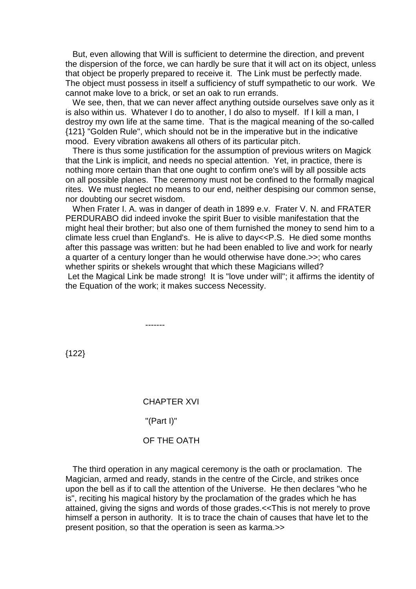But, even allowing that Will is sufficient to determine the direction, and prevent the dispersion of the force, we can hardly be sure that it will act on its object, unless that object be properly prepared to receive it. The Link must be perfectly made. The object must possess in itself a sufficiency of stuff sympathetic to our work. We cannot make love to a brick, or set an oak to run errands.

We see, then, that we can never affect anything outside ourselves save only as it is also within us. Whatever I do to another, I do also to myself. If I kill a man, I destroy my own life at the same time. That is the magical meaning of the so-called {121} "Golden Rule", which should not be in the imperative but in the indicative mood. Every vibration awakens all others of its particular pitch.

 There is thus some justification for the assumption of previous writers on Magick that the Link is implicit, and needs no special attention. Yet, in practice, there is nothing more certain than that one ought to confirm one's will by all possible acts on all possible planes. The ceremony must not be confined to the formally magical rites. We must neglect no means to our end, neither despising our common sense, nor doubting our secret wisdom.

 When Frater I. A. was in danger of death in 1899 e.v. Frater V. N. and FRATER PERDURABO did indeed invoke the spirit Buer to visible manifestation that the might heal their brother; but also one of them furnished the money to send him to a climate less cruel than England's. He is alive to day<<P.S. He died some months after this passage was written: but he had been enabled to live and work for nearly a quarter of a century longer than he would otherwise have done.>>; who cares whether spirits or shekels wrought that which these Magicians willed?

 Let the Magical Link be made strong! It is "love under will"; it affirms the identity of the Equation of the work; it makes success Necessity.

{122}

-------

CHAPTER XVI

"(Part I)"

OF THE OATH

 The third operation in any magical ceremony is the oath or proclamation. The Magician, armed and ready, stands in the centre of the Circle, and strikes once upon the bell as if to call the attention of the Universe. He then declares "who he is", reciting his magical history by the proclamation of the grades which he has attained, giving the signs and words of those grades.<<This is not merely to prove himself a person in authority. It is to trace the chain of causes that have let to the present position, so that the operation is seen as karma.>>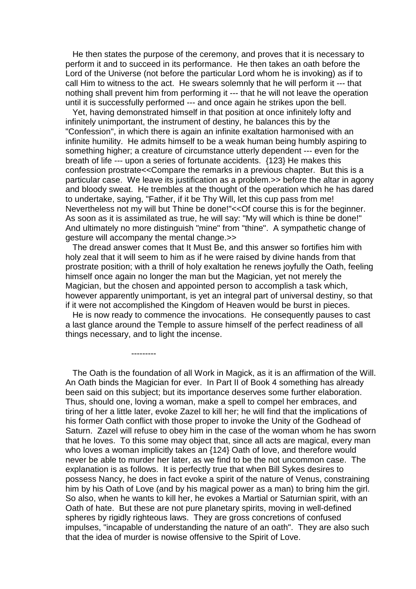He then states the purpose of the ceremony, and proves that it is necessary to perform it and to succeed in its performance. He then takes an oath before the Lord of the Universe (not before the particular Lord whom he is invoking) as if to call Him to witness to the act. He swears solemnly that he will perform it --- that nothing shall prevent him from performing it --- that he will not leave the operation until it is successfully performed --- and once again he strikes upon the bell.

 Yet, having demonstrated himself in that position at once infinitely lofty and infinitely unimportant, the instrument of destiny, he balances this by the "Confession", in which there is again an infinite exaltation harmonised with an infinite humility. He admits himself to be a weak human being humbly aspiring to something higher; a creature of circumstance utterly dependent --- even for the breath of life --- upon a series of fortunate accidents. {123} He makes this confession prostrate<<Compare the remarks in a previous chapter. But this is a particular case. We leave its justification as a problem.>> before the altar in agony and bloody sweat. He trembles at the thought of the operation which he has dared to undertake, saying, "Father, if it be Thy Will, let this cup pass from me! Nevertheless not my will but Thine be done!"<<Of course this is for the beginner. As soon as it is assimilated as true, he will say: "My will which is thine be done!" And ultimately no more distinguish "mine" from "thine". A sympathetic change of gesture will accompany the mental change.>>

 The dread answer comes that It Must Be, and this answer so fortifies him with holy zeal that it will seem to him as if he were raised by divine hands from that prostrate position; with a thrill of holy exaltation he renews joyfully the Oath, feeling himself once again no longer the man but the Magician, yet not merely the Magician, but the chosen and appointed person to accomplish a task which, however apparently unimportant, is yet an integral part of universal destiny, so that if it were not accomplished the Kingdom of Heaven would be burst in pieces.

 He is now ready to commence the invocations. He consequently pauses to cast a last glance around the Temple to assure himself of the perfect readiness of all things necessary, and to light the incense.

---------

 The Oath is the foundation of all Work in Magick, as it is an affirmation of the Will. An Oath binds the Magician for ever. In Part II of Book 4 something has already been said on this subject; but its importance deserves some further elaboration. Thus, should one, loving a woman, make a spell to compel her embraces, and tiring of her a little later, evoke Zazel to kill her; he will find that the implications of his former Oath conflict with those proper to invoke the Unity of the Godhead of Saturn. Zazel will refuse to obey him in the case of the woman whom he has sworn that he loves. To this some may object that, since all acts are magical, every man who loves a woman implicitly takes an {124} Oath of love, and therefore would never be able to murder her later, as we find to be the not uncommon case. The explanation is as follows. It is perfectly true that when Bill Sykes desires to possess Nancy, he does in fact evoke a spirit of the nature of Venus, constraining him by his Oath of Love (and by his magical power as a man) to bring him the girl. So also, when he wants to kill her, he evokes a Martial or Saturnian spirit, with an Oath of hate. But these are not pure planetary spirits, moving in well-defined spheres by rigidly righteous laws. They are gross concretions of confused impulses, "incapable of understanding the nature of an oath". They are also such that the idea of murder is nowise offensive to the Spirit of Love.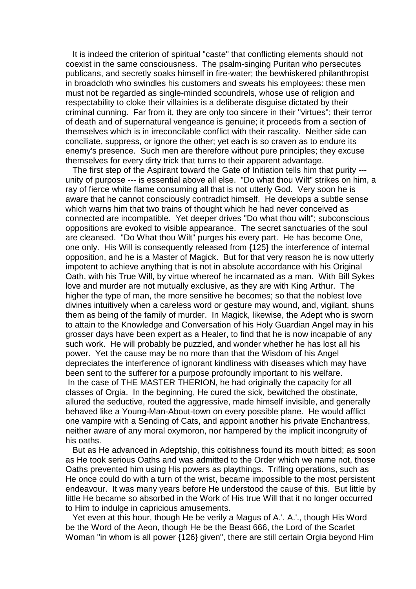It is indeed the criterion of spiritual "caste" that conflicting elements should not coexist in the same consciousness. The psalm-singing Puritan who persecutes publicans, and secretly soaks himself in fire-water; the bewhiskered philanthropist in broadcloth who swindles his customers and sweats his employees: these men must not be regarded as single-minded scoundrels, whose use of religion and respectability to cloke their villainies is a deliberate disguise dictated by their criminal cunning. Far from it, they are only too sincere in their "virtues"; their terror of death and of supernatural vengeance is genuine; it proceeds from a section of themselves which is in irreconcilable conflict with their rascality. Neither side can conciliate, suppress, or ignore the other; yet each is so craven as to endure its enemy's presence. Such men are therefore without pure principles; they excuse themselves for every dirty trick that turns to their apparent advantage.

 The first step of the Aspirant toward the Gate of Initiation tells him that purity -- unity of purpose --- is essential above all else. "Do what thou Wilt" strikes on him, a ray of fierce white flame consuming all that is not utterly God. Very soon he is aware that he cannot consciously contradict himself. He develops a subtle sense which warns him that two trains of thought which he had never conceived as connected are incompatible. Yet deeper drives "Do what thou wilt"; subconscious oppositions are evoked to visible appearance. The secret sanctuaries of the soul are cleansed. "Do What thou Wilt" purges his every part. He has become One, one only. His Will is consequently released from {125} the interference of internal opposition, and he is a Master of Magick. But for that very reason he is now utterly impotent to achieve anything that is not in absolute accordance with his Original Oath, with his True Will, by virtue whereof he incarnated as a man. With Bill Sykes love and murder are not mutually exclusive, as they are with King Arthur. The higher the type of man, the more sensitive he becomes; so that the noblest love divines intuitively when a careless word or gesture may wound, and, vigilant, shuns them as being of the family of murder. In Magick, likewise, the Adept who is sworn to attain to the Knowledge and Conversation of his Holy Guardian Angel may in his grosser days have been expert as a Healer, to find that he is now incapable of any such work. He will probably be puzzled, and wonder whether he has lost all his power. Yet the cause may be no more than that the Wisdom of his Angel depreciates the interference of ignorant kindliness with diseases which may have been sent to the sufferer for a purpose profoundly important to his welfare. In the case of THE MASTER THERION, he had originally the capacity for all classes of Orgia. In the beginning, He cured the sick, bewitched the obstinate, allured the seductive, routed the aggressive, made himself invisible, and generally behaved like a Young-Man-About-town on every possible plane. He would afflict one vampire with a Sending of Cats, and appoint another his private Enchantress, neither aware of any moral oxymoron, nor hampered by the implicit incongruity of his oaths.

 But as He advanced in Adeptship, this coltishness found its mouth bitted; as soon as He took serious Oaths and was admitted to the Order which we name not, those Oaths prevented him using His powers as playthings. Trifling operations, such as He once could do with a turn of the wrist, became impossible to the most persistent endeavour. It was many years before He understood the cause of this. But little by little He became so absorbed in the Work of His true Will that it no longer occurred to Him to indulge in capricious amusements.

 Yet even at this hour, though He be verily a Magus of A.'. A.'., though His Word be the Word of the Aeon, though He be the Beast 666, the Lord of the Scarlet Woman "in whom is all power {126} given", there are still certain Orgia beyond Him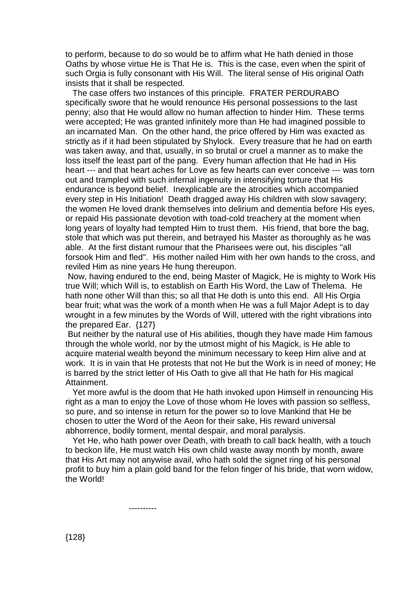to perform, because to do so would be to affirm what He hath denied in those Oaths by whose virtue He is That He is. This is the case, even when the spirit of such Orgia is fully consonant with His Will. The literal sense of His original Oath insists that it shall be respected.

 The case offers two instances of this principle. FRATER PERDURABO specifically swore that he would renounce His personal possessions to the last penny; also that He would allow no human affection to hinder Him. These terms were accepted; He was granted infinitely more than He had imagined possible to an incarnated Man. On the other hand, the price offered by Him was exacted as strictly as if it had been stipulated by Shylock. Every treasure that he had on earth was taken away, and that, usually, in so brutal or cruel a manner as to make the loss itself the least part of the pang. Every human affection that He had in His heart --- and that heart aches for Love as few hearts can ever conceive --- was torn out and trampled with such infernal ingenuity in intensifying torture that His endurance is beyond belief. Inexplicable are the atrocities which accompanied every step in His Initiation! Death dragged away His children with slow savagery; the women He loved drank themselves into delirium and dementia before His eyes, or repaid His passionate devotion with toad-cold treachery at the moment when long years of loyalty had tempted Him to trust them. His friend, that bore the bag, stole that which was put therein, and betrayed his Master as thoroughly as he was able. At the first distant rumour that the Pharisees were out, his disciples "all forsook Him and fled". His mother nailed Him with her own hands to the cross, and reviled Him as nine years He hung thereupon.

 Now, having endured to the end, being Master of Magick, He is mighty to Work His true Will; which Will is, to establish on Earth His Word, the Law of Thelema. He hath none other Will than this; so all that He doth is unto this end. All His Orgia bear fruit; what was the work of a month when He was a full Major Adept is to day wrought in a few minutes by the Words of Will, uttered with the right vibrations into the prepared Ear. {127}

 But neither by the natural use of His abilities, though they have made Him famous through the whole world, nor by the utmost might of his Magick, is He able to acquire material wealth beyond the minimum necessary to keep Him alive and at work. It is in vain that He protests that not He but the Work is in need of money; He is barred by the strict letter of His Oath to give all that He hath for His magical Attainment.

 Yet more awful is the doom that He hath invoked upon Himself in renouncing His right as a man to enjoy the Love of those whom He loves with passion so selfless, so pure, and so intense in return for the power so to love Mankind that He be chosen to utter the Word of the Aeon for their sake, His reward universal abhorrence, bodily torment, mental despair, and moral paralysis.

 Yet He, who hath power over Death, with breath to call back health, with a touch to beckon life, He must watch His own child waste away month by month, aware that His Art may not anywise avail, who hath sold the signet ring of his personal profit to buy him a plain gold band for the felon finger of his bride, that worn widow, the World!

----------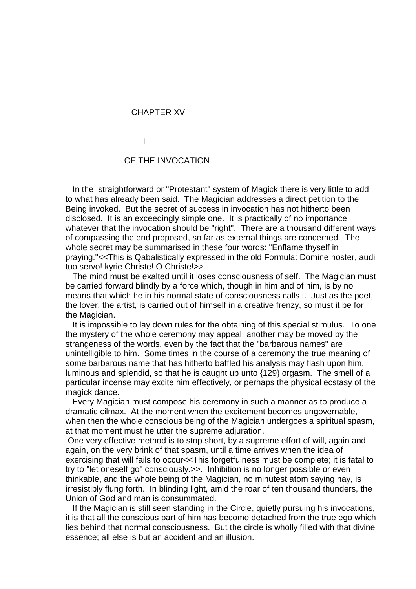# CHAPTER XV

**In the contract of the Contract of the Contract of the Contract of the Contract of the Contract of the Contract of the Contract of the Contract of the Contract of the Contract of the Contract of the Contract of the Contra** 

# OF THE INVOCATION

 In the straightforward or "Protestant" system of Magick there is very little to add to what has already been said. The Magician addresses a direct petition to the Being invoked. But the secret of success in invocation has not hitherto been disclosed. It is an exceedingly simple one. It is practically of no importance whatever that the invocation should be "right". There are a thousand different ways of compassing the end proposed, so far as external things are concerned. The whole secret may be summarised in these four words: "Enflame thyself in praying."<<This is Qabalistically expressed in the old Formula: Domine noster, audi tuo servo! kyrie Christe! O Christe!>>

 The mind must be exalted until it loses consciousness of self. The Magician must be carried forward blindly by a force which, though in him and of him, is by no means that which he in his normal state of consciousness calls I. Just as the poet, the lover, the artist, is carried out of himself in a creative frenzy, so must it be for the Magician.

 It is impossible to lay down rules for the obtaining of this special stimulus. To one the mystery of the whole ceremony may appeal; another may be moved by the strangeness of the words, even by the fact that the "barbarous names" are unintelligible to him. Some times in the course of a ceremony the true meaning of some barbarous name that has hitherto baffled his analysis may flash upon him, luminous and splendid, so that he is caught up unto {129} orgasm. The smell of a particular incense may excite him effectively, or perhaps the physical ecstasy of the magick dance.

 Every Magician must compose his ceremony in such a manner as to produce a dramatic cilmax. At the moment when the excitement becomes ungovernable, when then the whole conscious being of the Magician undergoes a spiritual spasm, at that moment must he utter the supreme adjuration.

 One very effective method is to stop short, by a supreme effort of will, again and again, on the very brink of that spasm, until a time arrives when the idea of exercising that will fails to occur<<This forgetfulness must be complete; it is fatal to try to "let oneself go" consciously.>>. Inhibition is no longer possible or even thinkable, and the whole being of the Magician, no minutest atom saying nay, is irresistibly flung forth. In blinding light, amid the roar of ten thousand thunders, the Union of God and man is consummated.

 If the Magician is still seen standing in the Circle, quietly pursuing his invocations, it is that all the conscious part of him has become detached from the true ego which lies behind that normal consciousness. But the circle is wholly filled with that divine essence; all else is but an accident and an illusion.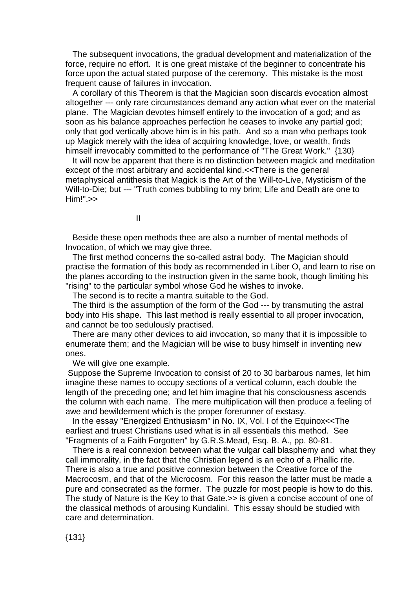The subsequent invocations, the gradual development and materialization of the force, require no effort. It is one great mistake of the beginner to concentrate his force upon the actual stated purpose of the ceremony. This mistake is the most frequent cause of failures in invocation.

 A corollary of this Theorem is that the Magician soon discards evocation almost altogether --- only rare circumstances demand any action what ever on the material plane. The Magician devotes himself entirely to the invocation of a god; and as soon as his balance approaches perfection he ceases to invoke any partial god; only that god vertically above him is in his path. And so a man who perhaps took up Magick merely with the idea of acquiring knowledge, love, or wealth, finds himself irrevocably committed to the performance of "The Great Work." {130}

 It will now be apparent that there is no distinction between magick and meditation except of the most arbitrary and accidental kind.<<There is the general metaphysical antithesis that Magick is the Art of the Will-to-Live, Mysticism of the Will-to-Die; but --- "Truth comes bubbling to my brim; Life and Death are one to Him!".>>

**III** and the state of the III

 Beside these open methods thee are also a number of mental methods of Invocation, of which we may give three.

 The first method concerns the so-called astral body. The Magician should practise the formation of this body as recommended in Liber O, and learn to rise on the planes according to the instruction given in the same book, though limiting his "rising" to the particular symbol whose God he wishes to invoke.

The second is to recite a mantra suitable to the God.

 The third is the assumption of the form of the God --- by transmuting the astral body into His shape. This last method is really essential to all proper invocation, and cannot be too sedulously practised.

 There are many other devices to aid invocation, so many that it is impossible to enumerate them; and the Magician will be wise to busy himself in inventing new ones.

We will give one example.

 Suppose the Supreme Invocation to consist of 20 to 30 barbarous names, let him imagine these names to occupy sections of a vertical column, each double the length of the preceding one; and let him imagine that his consciousness ascends the column with each name. The mere multiplication will then produce a feeling of awe and bewilderment which is the proper forerunner of exstasy.

 In the essay "Energized Enthusiasm" in No. IX, Vol. I of the Equinox<<The earliest and truest Christians used what is in all essentials this method. See "Fragments of a Faith Forgotten" by G.R.S.Mead, Esq. B. A., pp. 80-81.

 There is a real connexion between what the vulgar call blasphemy and what they call immorality, in the fact that the Christian legend is an echo of a Phallic rite. There is also a true and positive connexion between the Creative force of the Macrocosm, and that of the Microcosm. For this reason the latter must be made a pure and consecrated as the former. The puzzle for most people is how to do this. The study of Nature is the Key to that Gate.>> is given a concise account of one of the classical methods of arousing Kundalini. This essay should be studied with care and determination.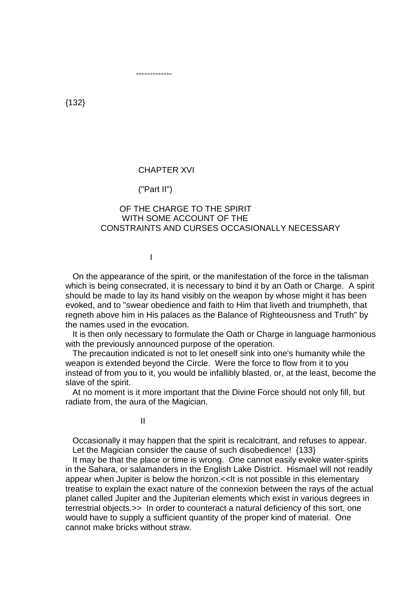{132}

# CHAPTER XVI

#### ("Part II")

-------------

# OF THE CHARGE TO THE SPIRIT WITH SOME ACCOUNT OF THE CONSTRAINTS AND CURSES OCCASIONALLY NECESSARY

**In the contract of the Contract of the Contract of the Contract of the Contract of the Contract of the Contract of the Contract of the Contract of the Contract of the Contract of the Contract of the Contract of the Contra** 

 On the appearance of the spirit, or the manifestation of the force in the talisman which is being consecrated, it is necessary to bind it by an Oath or Charge. A spirit should be made to lay its hand visibly on the weapon by whose might it has been evoked, and to "swear obedience and faith to Him that liveth and triumpheth, that regneth above him in His palaces as the Balance of Righteousness and Truth" by the names used in the evocation.

 It is then only necessary to formulate the Oath or Charge in language harmonious with the previously announced purpose of the operation.

 The precaution indicated is not to let oneself sink into one's humanity while the weapon is extended beyond the Circle. Were the force to flow from it to you instead of from you to it, you would be infallibly blasted, or, at the least, become the slave of the spirit.

 At no moment is it more important that the Divine Force should not only fill, but radiate from, the aura of the Magician.

**III** and the state of the III

 Occasionally it may happen that the spirit is recalcitrant, and refuses to appear. Let the Magician consider the cause of such disobedience! {133}

 It may be that the place or time is wrong. One cannot easily evoke water-spirits in the Sahara, or salamanders in the English Lake District. Hismael will not readily appear when Jupiter is below the horizon.<< It is not possible in this elementary treatise to explain the exact nature of the connexion between the rays of the actual planet called Jupiter and the Jupiterian elements which exist in various degrees in terrestrial objects.>> In order to counteract a natural deficiency of this sort, one would have to supply a sufficient quantity of the proper kind of material. One cannot make bricks without straw.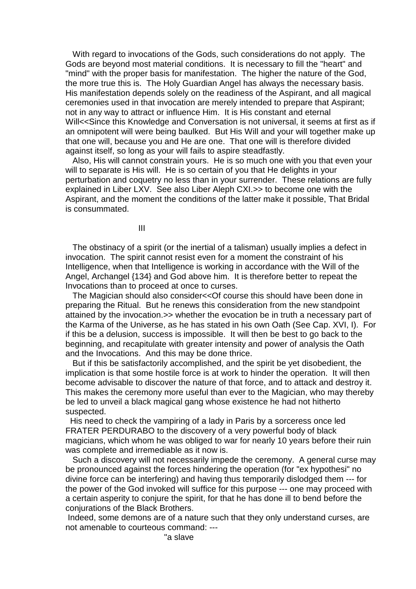With regard to invocations of the Gods, such considerations do not apply. The Gods are beyond most material conditions. It is necessary to fill the "heart" and "mind" with the proper basis for manifestation. The higher the nature of the God, the more true this is. The Holy Guardian Angel has always the necessary basis. His manifestation depends solely on the readiness of the Aspirant, and all magical ceremonies used in that invocation are merely intended to prepare that Aspirant; not in any way to attract or influence Him. It is His constant and eternal Will<<Since this Knowledge and Conversation is not universal, it seems at first as if an omnipotent will were being baulked. But His Will and your will together make up that one will, because you and He are one. That one will is therefore divided against itself, so long as your will fails to aspire steadfastly.

 Also, His will cannot constrain yours. He is so much one with you that even your will to separate is His will. He is so certain of you that He delights in your perturbation and coquetry no less than in your surrender. These relations are fully explained in Liber LXV. See also Liber Aleph CXI.>> to become one with the Aspirant, and the moment the conditions of the latter make it possible, That Bridal is consummated.

**III** and the state of the **III** 

 The obstinacy of a spirit (or the inertial of a talisman) usually implies a defect in invocation. The spirit cannot resist even for a moment the constraint of his Intelligence, when that Intelligence is working in accordance with the Will of the Angel, Archangel {134} and God above him. It is therefore better to repeat the Invocations than to proceed at once to curses.

 The Magician should also consider<<Of course this should have been done in preparing the Ritual. But he renews this consideration from the new standpoint attained by the invocation.>> whether the evocation be in truth a necessary part of the Karma of the Universe, as he has stated in his own Oath (See Cap. XVI, I). For if this be a delusion, success is impossible. It will then be best to go back to the beginning, and recapitulate with greater intensity and power of analysis the Oath and the Invocations. And this may be done thrice.

 But if this be satisfactorily accomplished, and the spirit be yet disobedient, the implication is that some hostile force is at work to hinder the operation. It will then become advisable to discover the nature of that force, and to attack and destroy it. This makes the ceremony more useful than ever to the Magician, who may thereby be led to unveil a black magical gang whose existence he had not hitherto suspected.

 His need to check the vampiring of a lady in Paris by a sorceress once led FRATER PERDURABO to the discovery of a very powerful body of black magicians, which whom he was obliged to war for nearly 10 years before their ruin was complete and irremediable as it now is.

 Such a discovery will not necessarily impede the ceremony. A general curse may be pronounced against the forces hindering the operation (for "ex hypothesi" no divine force can be interfering) and having thus temporarily dislodged them --- for the power of the God invoked will suffice for this purpose --- one may proceed with a certain asperity to conjure the spirit, for that he has done ill to bend before the conjurations of the Black Brothers.

 Indeed, some demons are of a nature such that they only understand curses, are not amenable to courteous command: ---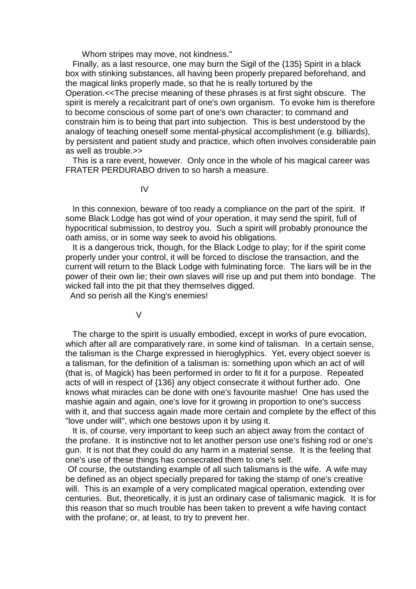Whom stripes may move, not kindness."

 Finally, as a last resource, one may burn the Sigil of the {135} Spirit in a black box with stinking substances, all having been properly prepared beforehand, and the magical links properly made, so that he is really tortured by the Operation.<<The precise meaning of these phrases is at first sight obscure. The spirit is merely a recalcitrant part of one's own organism. To evoke him is therefore to become conscious of some part of one's own character; to command and constrain him is to being that part into subjection. This is best understood by the analogy of teaching oneself some mental-physical accomplishment (e.g. billiards), by persistent and patient study and practice, which often involves considerable pain as well as trouble.>>

 This is a rare event, however. Only once in the whole of his magical career was FRATER PERDURABO driven to so harsh a measure.

**IV IV** 

 In this connexion, beware of too ready a compliance on the part of the spirit. If some Black Lodge has got wind of your operation, it may send the spirit, full of hypocritical submission, to destroy you. Such a spirit will probably pronounce the oath amiss, or in some way seek to avoid his obligations.

 It is a dangerous trick, though, for the Black Lodge to play; for if the spirit come properly under your control, it will be forced to disclose the transaction, and the current will return to the Black Lodge with fulminating force. The liars will be in the power of their own lie; their own slaves will rise up and put them into bondage. The wicked fall into the pit that they themselves digged.

And so perish all the King's enemies!

V

 The charge to the spirit is usually embodied, except in works of pure evocation, which after all are comparatively rare, in some kind of talisman. In a certain sense, the talisman is the Charge expressed in hieroglyphics. Yet, every object soever is a talisman, for the definition of a talisman is: something upon which an act of will (that is, of Magick) has been performed in order to fit it for a purpose. Repeated acts of will in respect of {136} any object consecrate it without further ado. One knows what miracles can be done with one's favourite mashie! One has used the mashie again and again, one's love for it growing in proportion to one's success with it, and that success again made more certain and complete by the effect of this "love under will", which one bestows upon it by using it.

 It is, of course, very important to keep such an abject away from the contact of the profane. It is instinctive not to let another person use one's fishing rod or one's gun. It is not that they could do any harm in a material sense. It is the feeling that one's use of these things has consecrated them to one's self.

 Of course, the outstanding example of all such talismans is the wife. A wife may be defined as an object specially prepared for taking the stamp of one's creative will. This is an example of a very complicated magical operation, extending over centuries. But, theoretically, it is just an ordinary case of talismanic magick. It is for this reason that so much trouble has been taken to prevent a wife having contact with the profane; or, at least, to try to prevent her.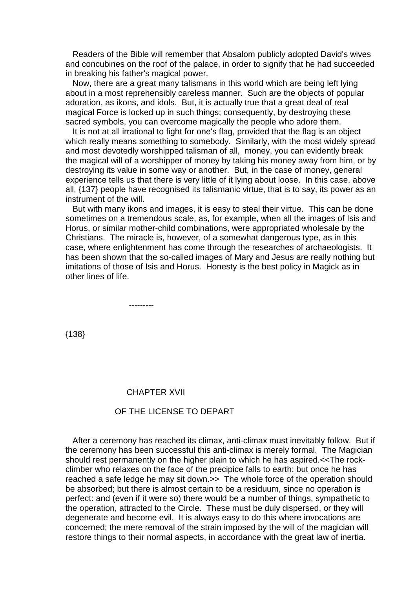Readers of the Bible will remember that Absalom publicly adopted David's wives and concubines on the roof of the palace, in order to signify that he had succeeded in breaking his father's magical power.

 Now, there are a great many talismans in this world which are being left lying about in a most reprehensibly careless manner. Such are the objects of popular adoration, as ikons, and idols. But, it is actually true that a great deal of real magical Force is locked up in such things; consequently, by destroying these sacred symbols, you can overcome magically the people who adore them.

 It is not at all irrational to fight for one's flag, provided that the flag is an object which really means something to somebody. Similarly, with the most widely spread and most devotedly worshipped talisman of all, money, you can evidently break the magical will of a worshipper of money by taking his money away from him, or by destroying its value in some way or another. But, in the case of money, general experience tells us that there is very little of it lying about loose. In this case, above all, {137} people have recognised its talismanic virtue, that is to say, its power as an instrument of the will.

 But with many ikons and images, it is easy to steal their virtue. This can be done sometimes on a tremendous scale, as, for example, when all the images of Isis and Horus, or similar mother-child combinations, were appropriated wholesale by the Christians. The miracle is, however, of a somewhat dangerous type, as in this case, where enlightenment has come through the researches of archaeologists. It has been shown that the so-called images of Mary and Jesus are really nothing but imitations of those of Isis and Horus. Honesty is the best policy in Magick as in other lines of life.

{138}

---------

#### CHAPTER XVII

#### OF THE LICENSE TO DEPART

 After a ceremony has reached its climax, anti-climax must inevitably follow. But if the ceremony has been successful this anti-climax is merely formal. The Magician should rest permanently on the higher plain to which he has aspired.<<The rockclimber who relaxes on the face of the precipice falls to earth; but once he has reached a safe ledge he may sit down. >> The whole force of the operation should be absorbed; but there is almost certain to be a residuum, since no operation is perfect: and (even if it were so) there would be a number of things, sympathetic to the operation, attracted to the Circle. These must be duly dispersed, or they will degenerate and become evil. It is always easy to do this where invocations are concerned; the mere removal of the strain imposed by the will of the magician will restore things to their normal aspects, in accordance with the great law of inertia.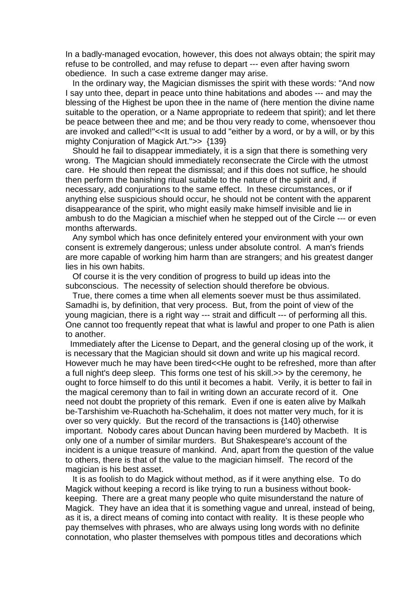In a badly-managed evocation, however, this does not always obtain; the spirit may refuse to be controlled, and may refuse to depart --- even after having sworn obedience. In such a case extreme danger may arise.

 In the ordinary way, the Magician dismisses the spirit with these words: "And now I say unto thee, depart in peace unto thine habitations and abodes --- and may the blessing of the Highest be upon thee in the name of (here mention the divine name suitable to the operation, or a Name appropriate to redeem that spirit); and let there be peace between thee and me; and be thou very ready to come, whensoever thou are invoked and called!"<< It is usual to add "either by a word, or by a will, or by this mighty Conjuration of Magick Art.">> {139}

 Should he fail to disappear immediately, it is a sign that there is something very wrong. The Magician should immediately reconsecrate the Circle with the utmost care. He should then repeat the dismissal; and if this does not suffice, he should then perform the banishing ritual suitable to the nature of the spirit and, if necessary, add conjurations to the same effect. In these circumstances, or if anything else suspicious should occur, he should not be content with the apparent disappearance of the spirit, who might easily make himself invisible and lie in ambush to do the Magician a mischief when he stepped out of the Circle --- or even months afterwards.

 Any symbol which has once definitely entered your environment with your own consent is extremely dangerous; unless under absolute control. A man's friends are more capable of working him harm than are strangers; and his greatest danger lies in his own habits.

 Of course it is the very condition of progress to build up ideas into the subconscious. The necessity of selection should therefore be obvious.

 True, there comes a time when all elements soever must be thus assimilated. Samadhi is, by definition, that very process. But, from the point of view of the young magician, there is a right way --- strait and difficult --- of performing all this. One cannot too frequently repeat that what is lawful and proper to one Path is alien to another.

 Immediately after the License to Depart, and the general closing up of the work, it is necessary that the Magician should sit down and write up his magical record. However much he may have been tired<<He ought to be refreshed, more than after a full night's deep sleep. This forms one test of his skill.>> by the ceremony, he ought to force himself to do this until it becomes a habit. Verily, it is better to fail in the magical ceremony than to fail in writing down an accurate record of it. One need not doubt the propriety of this remark. Even if one is eaten alive by Malkah be-Tarshishim ve-Ruachoth ha-Schehalim, it does not matter very much, for it is over so very quickly. But the record of the transactions is {140} otherwise important. Nobody cares about Duncan having been murdered by Macbeth. It is only one of a number of similar murders. But Shakespeare's account of the incident is a unique treasure of mankind. And, apart from the question of the value to others, there is that of the value to the magician himself. The record of the magician is his best asset.

 It is as foolish to do Magick without method, as if it were anything else. To do Magick without keeping a record is like trying to run a business without bookkeeping. There are a great many people who quite misunderstand the nature of Magick. They have an idea that it is something vague and unreal, instead of being, as it is, a direct means of coming into contact with reality. It is these people who pay themselves with phrases, who are always using long words with no definite connotation, who plaster themselves with pompous titles and decorations which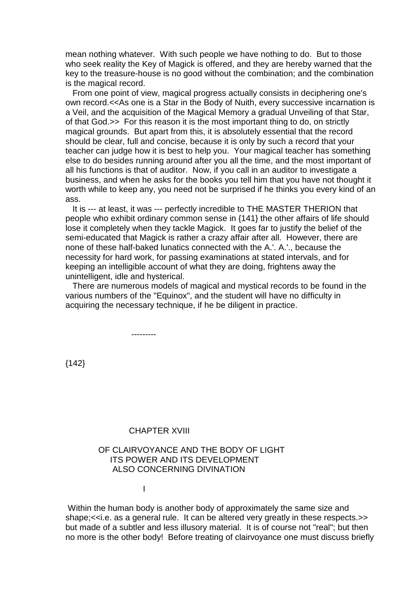mean nothing whatever. With such people we have nothing to do. But to those who seek reality the Key of Magick is offered, and they are hereby warned that the key to the treasure-house is no good without the combination; and the combination is the magical record.

 From one point of view, magical progress actually consists in deciphering one's own record.<<As one is a Star in the Body of Nuith, every successive incarnation is a Veil, and the acquisition of the Magical Memory a gradual Unveiling of that Star, of that God.>> For this reason it is the most important thing to do, on strictly magical grounds. But apart from this, it is absolutely essential that the record should be clear, full and concise, because it is only by such a record that your teacher can judge how it is best to help you. Your magical teacher has something else to do besides running around after you all the time, and the most important of all his functions is that of auditor. Now, if you call in an auditor to investigate a business, and when he asks for the books you tell him that you have not thought it worth while to keep any, you need not be surprised if he thinks you every kind of an ass.

 It is --- at least, it was --- perfectly incredible to THE MASTER THERION that people who exhibit ordinary common sense in {141} the other affairs of life should lose it completely when they tackle Magick. It goes far to justify the belief of the semi-educated that Magick is rather a crazy affair after all. However, there are none of these half-baked lunatics connected with the A.'. A.'., because the necessity for hard work, for passing examinations at stated intervals, and for keeping an intelligible account of what they are doing, frightens away the unintelligent, idle and hysterical.

 There are numerous models of magical and mystical records to be found in the various numbers of the "Equinox", and the student will have no difficulty in acquiring the necessary technique, if he be diligent in practice.

{142}

---------

# CHAPTER XVIII

# OF CLAIRVOYANCE AND THE BODY OF LIGHT ITS POWER AND ITS DEVELOPMENT ALSO CONCERNING DIVINATION

**In the contract of the Contract of the Contract of the Contract of the Contract of the Contract of the Contract of the Contract of the Contract of the Contract of the Contract of the Contract of the Contract of the Contra** 

 Within the human body is another body of approximately the same size and shape;<<i.e. as a general rule. It can be altered very greatly in these respects.>> but made of a subtler and less illusory material. It is of course not "real"; but then no more is the other body! Before treating of clairvoyance one must discuss briefly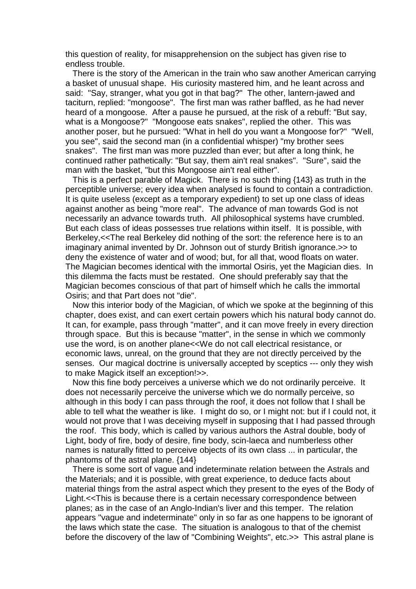this question of reality, for misapprehension on the subject has given rise to endless trouble.

 There is the story of the American in the train who saw another American carrying a basket of unusual shape. His curiosity mastered him, and he leant across and said: "Say, stranger, what you got in that bag?" The other, lantern-jawed and taciturn, replied: "mongoose". The first man was rather baffled, as he had never heard of a mongoose. After a pause he pursued, at the risk of a rebuff: "But say, what is a Mongoose?" "Mongoose eats snakes", replied the other. This was another poser, but he pursued: "What in hell do you want a Mongoose for?" "Well, you see", said the second man (in a confidential whisper) "my brother sees snakes". The first man was more puzzled than ever; but after a long think, he continued rather pathetically: "But say, them ain't real snakes". "Sure", said the man with the basket, "but this Mongoose ain't real either".

 This is a perfect parable of Magick. There is no such thing {143} as truth in the perceptible universe; every idea when analysed is found to contain a contradiction. It is quite useless (except as a temporary expedient) to set up one class of ideas against another as being "more real". The advance of man towards God is not necessarily an advance towards truth. All philosophical systems have crumbled. But each class of ideas possesses true relations within itself. It is possible, with Berkeley,<<The real Berkeley did nothing of the sort: the reference here is to an imaginary animal invented by Dr. Johnson out of sturdy British ignorance.>> to deny the existence of water and of wood; but, for all that, wood floats on water. The Magician becomes identical with the immortal Osiris, yet the Magician dies. In this dilemma the facts must be restated. One should preferably say that the Magician becomes conscious of that part of himself which he calls the immortal Osiris; and that Part does not "die".

 Now this interior body of the Magician, of which we spoke at the beginning of this chapter, does exist, and can exert certain powers which his natural body cannot do. It can, for example, pass through "matter", and it can move freely in every direction through space. But this is because "matter", in the sense in which we commonly use the word, is on another plane<<We do not call electrical resistance, or economic laws, unreal, on the ground that they are not directly perceived by the senses. Our magical doctrine is universally accepted by sceptics --- only they wish to make Magick itself an exception!>>.

 Now this fine body perceives a universe which we do not ordinarily perceive. It does not necessarily perceive the universe which we do normally perceive, so although in this body I can pass through the roof, it does not follow that I shall be able to tell what the weather is like. I might do so, or I might not: but if I could not, it would not prove that I was deceiving myself in supposing that I had passed through the roof. This body, which is called by various authors the Astral double, body of Light, body of fire, body of desire, fine body, scin-laeca and numberless other names is naturally fitted to perceive objects of its own class ... in particular, the phantoms of the astral plane. {144}

 There is some sort of vague and indeterminate relation between the Astrals and the Materials; and it is possible, with great experience, to deduce facts about material things from the astral aspect which they present to the eyes of the Body of Light.<<This is because there is a certain necessary correspondence between planes; as in the case of an Anglo-Indian's liver and this temper. The relation appears "vague and indeterminate" only in so far as one happens to be ignorant of the laws which state the case. The situation is analogous to that of the chemist before the discovery of the law of "Combining Weights", etc.>> This astral plane is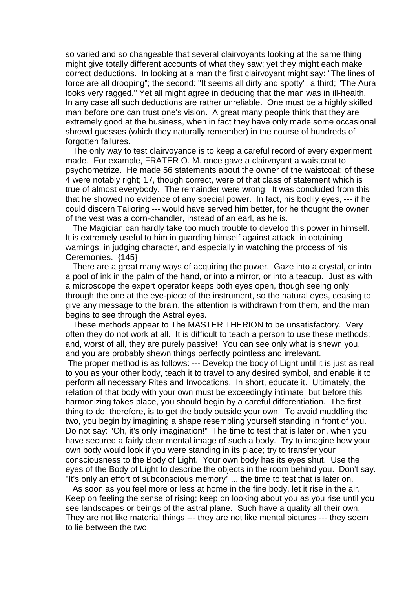so varied and so changeable that several clairvoyants looking at the same thing might give totally different accounts of what they saw; yet they might each make correct deductions. In looking at a man the first clairvoyant might say: "The lines of force are all drooping"; the second: "It seems all dirty and spotty"; a third; "The Aura looks very ragged." Yet all might agree in deducing that the man was in ill-health. In any case all such deductions are rather unreliable. One must be a highly skilled man before one can trust one's vision. A great many people think that they are extremely good at the business, when in fact they have only made some occasional shrewd guesses (which they naturally remember) in the course of hundreds of forgotten failures.

 The only way to test clairvoyance is to keep a careful record of every experiment made. For example, FRATER O. M. once gave a clairvoyant a waistcoat to psychometrize. He made 56 statements about the owner of the waistcoat; of these 4 were notably right; 17, though correct, were of that class of statement which is true of almost everybody. The remainder were wrong. It was concluded from this that he showed no evidence of any special power. In fact, his bodily eyes, --- if he could discern Tailoring --- would have served him better, for he thought the owner of the vest was a corn-chandler, instead of an earl, as he is.

 The Magician can hardly take too much trouble to develop this power in himself. It is extremely useful to him in guarding himself against attack; in obtaining warnings, in judging character, and especially in watching the process of his Ceremonies. {145}

 There are a great many ways of acquiring the power. Gaze into a crystal, or into a pool of ink in the palm of the hand, or into a mirror, or into a teacup. Just as with a microscope the expert operator keeps both eyes open, though seeing only through the one at the eye-piece of the instrument, so the natural eyes, ceasing to give any message to the brain, the attention is withdrawn from them, and the man begins to see through the Astral eyes.

 These methods appear to The MASTER THERION to be unsatisfactory. Very often they do not work at all. It is difficult to teach a person to use these methods; and, worst of all, they are purely passive! You can see only what is shewn you, and you are probably shewn things perfectly pointless and irrelevant.

 The proper method is as follows: --- Develop the body of Light until it is just as real to you as your other body, teach it to travel to any desired symbol, and enable it to perform all necessary Rites and Invocations. In short, educate it. Ultimately, the relation of that body with your own must be exceedingly intimate; but before this harmonizing takes place, you should begin by a careful differentiation. The first thing to do, therefore, is to get the body outside your own. To avoid muddling the two, you begin by imagining a shape resembling yourself standing in front of you. Do not say: "Oh, it's only imagination!" The time to test that is later on, when you have secured a fairly clear mental image of such a body. Try to imagine how your own body would look if you were standing in its place; try to transfer your consciousness to the Body of Light. Your own body has its eyes shut. Use the eyes of the Body of Light to describe the objects in the room behind you. Don't say. "It's only an effort of subconscious memory" ... the time to test that is later on.

 As soon as you feel more or less at home in the fine body, let it rise in the air. Keep on feeling the sense of rising; keep on looking about you as you rise until you see landscapes or beings of the astral plane. Such have a quality all their own. They are not like material things --- they are not like mental pictures --- they seem to lie between the two.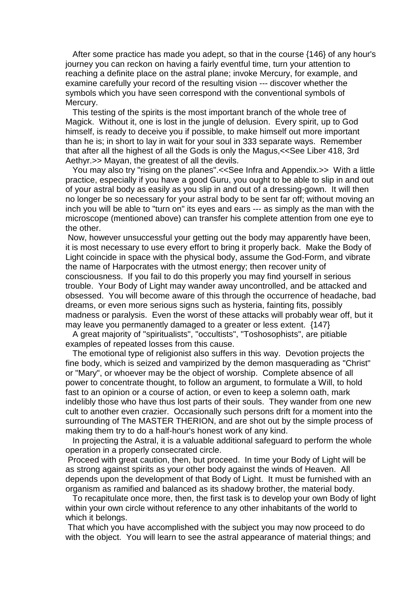After some practice has made you adept, so that in the course {146} of any hour's journey you can reckon on having a fairly eventful time, turn your attention to reaching a definite place on the astral plane; invoke Mercury, for example, and examine carefully your record of the resulting vision --- discover whether the symbols which you have seen correspond with the conventional symbols of Mercury.

 This testing of the spirits is the most important branch of the whole tree of Magick. Without it, one is lost in the jungle of delusion. Every spirit, up to God himself, is ready to deceive you if possible, to make himself out more important than he is; in short to lay in wait for your soul in 333 separate ways. Remember that after all the highest of all the Gods is only the Magus, << See Liber 418, 3rd Aethyr.>> Mayan, the greatest of all the devils.

You may also try "rising on the planes".<<See Infra and Appendix.>> With a little practice, especially if you have a good Guru, you ought to be able to slip in and out of your astral body as easily as you slip in and out of a dressing-gown. It will then no longer be so necessary for your astral body to be sent far off; without moving an inch you will be able to "turn on" its eyes and ears --- as simply as the man with the microscope (mentioned above) can transfer his complete attention from one eye to the other.

 Now, however unsuccessful your getting out the body may apparently have been, it is most necessary to use every effort to bring it properly back. Make the Body of Light coincide in space with the physical body, assume the God-Form, and vibrate the name of Harpocrates with the utmost energy; then recover unity of consciousness. If you fail to do this properly you may find yourself in serious trouble. Your Body of Light may wander away uncontrolled, and be attacked and obsessed. You will become aware of this through the occurrence of headache, bad dreams, or even more serious signs such as hysteria, fainting fits, possibly madness or paralysis. Even the worst of these attacks will probably wear off, but it may leave you permanently damaged to a greater or less extent. {147}

 A great majority of "spiritualists", "occultists", "Toshosophists", are pitiable examples of repeated losses from this cause.

 The emotional type of religionist also suffers in this way. Devotion projects the fine body, which is seized and vampirized by the demon masquerading as "Christ" or "Mary", or whoever may be the object of worship. Complete absence of all power to concentrate thought, to follow an argument, to formulate a Will, to hold fast to an opinion or a course of action, or even to keep a solemn oath, mark indelibly those who have thus lost parts of their souls. They wander from one new cult to another even crazier. Occasionally such persons drift for a moment into the surrounding of The MASTER THERION, and are shot out by the simple process of making them try to do a half-hour's honest work of any kind.

 In projecting the Astral, it is a valuable additional safeguard to perform the whole operation in a properly consecrated circle.

 Proceed with great caution, then, but proceed. In time your Body of Light will be as strong against spirits as your other body against the winds of Heaven. All depends upon the development of that Body of Light. It must be furnished with an organism as ramified and balanced as its shadowy brother, the material body.

 To recapitulate once more, then, the first task is to develop your own Body of light within your own circle without reference to any other inhabitants of the world to which it belongs.

 That which you have accomplished with the subject you may now proceed to do with the object. You will learn to see the astral appearance of material things; and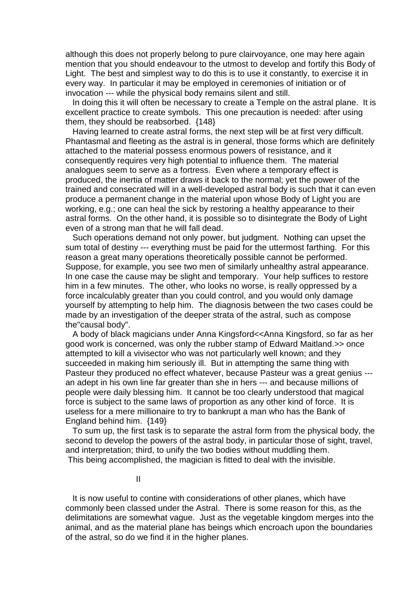although this does not properly belong to pure clairvoyance, one may here again mention that you should endeavour to the utmost to develop and fortify this Body of Light. The best and simplest way to do this is to use it constantly, to exercise it in every way. In particular it may be employed in ceremonies of initiation or of invocation --- while the physical body remains silent and still.

 In doing this it will often be necessary to create a Temple on the astral plane. It is excellent practice to create symbols. This one precaution is needed: after using them, they should be reabsorbed. {148}

 Having learned to create astral forms, the next step will be at first very difficult. Phantasmal and fleeting as the astral is in general, those forms which are definitely attached to the material possess enormous powers of resistance, and it consequently requires very high potential to influence them. The material analogues seem to serve as a fortress. Even where a temporary effect is produced, the inertia of matter draws it back to the normal; yet the power of the trained and consecrated will in a well-developed astral body is such that it can even produce a permanent change in the material upon whose Body of Light you are working, e.g.; one can heal the sick by restoring a healthy appearance to their astral forms. On the other hand, it is possible so to disintegrate the Body of Light even of a strong man that he will fall dead.

 Such operations demand not only power, but judgment. Nothing can upset the sum total of destiny --- everything must be paid for the uttermost farthing. For this reason a great many operations theoretically possible cannot be performed. Suppose, for example, you see two men of similarly unhealthy astral appearance. In one case the cause may be slight and temporary. Your help suffices to restore him in a few minutes. The other, who looks no worse, is really oppressed by a force incalculably greater than you could control, and you would only damage yourself by attempting to help him. The diagnosis between the two cases could be made by an investigation of the deeper strata of the astral, such as compose the"causal body".

 A body of black magicians under Anna Kingsford<<Anna Kingsford, so far as her good work is concerned, was only the rubber stamp of Edward Maitland.>> once attempted to kill a vivisector who was not particularly well known; and they succeeded in making him seriously ill. But in attempting the same thing with Pasteur they produced no effect whatever, because Pasteur was a great genius -- an adept in his own line far greater than she in hers --- and because millions of people were daily blessing him. It cannot be too clearly understood that magical force is subject to the same laws of proportion as any other kind of force. It is useless for a mere millionaire to try to bankrupt a man who has the Bank of England behind him. {149}

 To sum up, the first task is to separate the astral form from the physical body, the second to develop the powers of the astral body, in particular those of sight, travel, and interpretation; third, to unify the two bodies without muddling them. This being accomplished, the magician is fitted to deal with the invisible.

**III** and the state of the III

 It is now useful to contine with considerations of other planes, which have commonly been classed under the Astral. There is some reason for this, as the delimitations are somewhat vague. Just as the vegetable kingdom merges into the animal, and as the material plane has beings which encroach upon the boundaries of the astral, so do we find it in the higher planes.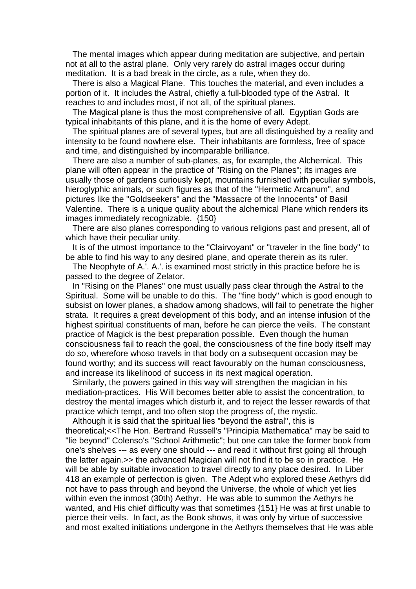The mental images which appear during meditation are subjective, and pertain not at all to the astral plane. Only very rarely do astral images occur during meditation. It is a bad break in the circle, as a rule, when they do.

 There is also a Magical Plane. This touches the material, and even includes a portion of it. It includes the Astral, chiefly a full-blooded type of the Astral. It reaches to and includes most, if not all, of the spiritual planes.

 The Magical plane is thus the most comprehensive of all. Egyptian Gods are typical inhabitants of this plane, and it is the home of every Adept.

 The spiritual planes are of several types, but are all distinguished by a reality and intensity to be found nowhere else. Their inhabitants are formless, free of space and time, and distinguished by incomparable brilliance.

 There are also a number of sub-planes, as, for example, the Alchemical. This plane will often appear in the practice of "Rising on the Planes"; its images are usually those of gardens curiously kept, mountains furnished with peculiar symbols, hieroglyphic animals, or such figures as that of the "Hermetic Arcanum", and pictures like the "Goldseekers" and the "Massacre of the Innocents" of Basil Valentine. There is a unique quality about the alchemical Plane which renders its images immediately recognizable. {150}

 There are also planes corresponding to various religions past and present, all of which have their peculiar unity.

 It is of the utmost importance to the "Clairvoyant" or "traveler in the fine body" to be able to find his way to any desired plane, and operate therein as its ruler.

 The Neophyte of A.'. A.'. is examined most strictly in this practice before he is passed to the degree of Zelator.

 In "Rising on the Planes" one must usually pass clear through the Astral to the Spiritual. Some will be unable to do this. The "fine body" which is good enough to subsist on lower planes, a shadow among shadows, will fail to penetrate the higher strata. It requires a great development of this body, and an intense infusion of the highest spiritual constituents of man, before he can pierce the veils. The constant practice of Magick is the best preparation possible. Even though the human consciousness fail to reach the goal, the consciousness of the fine body itself may do so, wherefore whoso travels in that body on a subsequent occasion may be found worthy; and its success will react favourably on the human consciousness, and increase its likelihood of success in its next magical operation.

 Similarly, the powers gained in this way will strengthen the magician in his mediation-practices. His Will becomes better able to assist the concentration, to destroy the mental images which disturb it, and to reject the lesser rewards of that practice which tempt, and too often stop the progress of, the mystic.

 Although it is said that the spiritual lies "beyond the astral", this is theoretical;<<The Hon. Bertrand Russell's "Principia Mathematica" may be said to "lie beyond" Colenso's "School Arithmetic"; but one can take the former book from one's shelves --- as every one should --- and read it without first going all through the latter again.>> the advanced Magician will not find it to be so in practice. He will be able by suitable invocation to travel directly to any place desired. In Liber 418 an example of perfection is given. The Adept who explored these Aethyrs did not have to pass through and beyond the Universe, the whole of which yet lies within even the inmost (30th) Aethyr. He was able to summon the Aethyrs he wanted, and His chief difficulty was that sometimes {151} He was at first unable to pierce their veils. In fact, as the Book shows, it was only by virtue of successive and most exalted initiations undergone in the Aethyrs themselves that He was able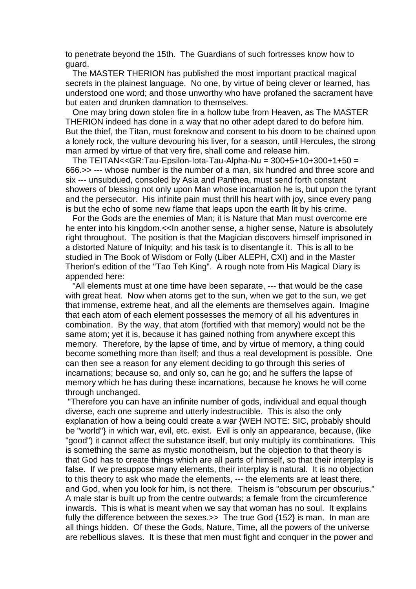to penetrate beyond the 15th. The Guardians of such fortresses know how to guard.

 The MASTER THERION has published the most important practical magical secrets in the plainest language. No one, by virtue of being clever or learned, has understood one word; and those unworthy who have profaned the sacrament have but eaten and drunken damnation to themselves.

 One may bring down stolen fire in a hollow tube from Heaven, as The MASTER THERION indeed has done in a way that no other adept dared to do before him. But the thief, the Titan, must foreknow and consent to his doom to be chained upon a lonely rock, the vulture devouring his liver, for a season, until Hercules, the strong man armed by virtue of that very fire, shall come and release him.

The TEITAN<< $GR: Tau-Epsilon$ -Iota-Tau-Alpha-Nu =  $300+5+10+300+1+50$  = 666.>> --- whose number is the number of a man, six hundred and three score and six --- unsubdued, consoled by Asia and Panthea, must send forth constant showers of blessing not only upon Man whose incarnation he is, but upon the tyrant and the persecutor. His infinite pain must thrill his heart with joy, since every pang is but the echo of some new flame that leaps upon the earth lit by his crime.

 For the Gods are the enemies of Man; it is Nature that Man must overcome ere he enter into his kingdom.<< In another sense, a higher sense, Nature is absolutely right throughout. The position is that the Magician discovers himself imprisoned in a distorted Nature of Iniquity; and his task is to disentangle it. This is all to be studied in The Book of Wisdom or Folly (Liber ALEPH, CXI) and in the Master Therion's edition of the "Tao Teh King". A rough note from His Magical Diary is appended here:

 "All elements must at one time have been separate, --- that would be the case with great heat. Now when atoms get to the sun, when we get to the sun, we get that immense, extreme heat, and all the elements are themselves again. Imagine that each atom of each element possesses the memory of all his adventures in combination. By the way, that atom (fortified with that memory) would not be the same atom; yet it is, because it has gained nothing from anywhere except this memory. Therefore, by the lapse of time, and by virtue of memory, a thing could become something more than itself; and thus a real development is possible. One can then see a reason for any element deciding to go through this series of incarnations; because so, and only so, can he go; and he suffers the lapse of memory which he has during these incarnations, because he knows he will come through unchanged.

 "Therefore you can have an infinite number of gods, individual and equal though diverse, each one supreme and utterly indestructible. This is also the only explanation of how a being could create a war {WEH NOTE: SIC, probably should be "world"} in which war, evil, etc. exist. Evil is only an appearance, because, (like "good") it cannot affect the substance itself, but only multiply its combinations. This is something the same as mystic monotheism, but the objection to that theory is that God has to create things which are all parts of himself, so that their interplay is false. If we presuppose many elements, their interplay is natural. It is no objection to this theory to ask who made the elements, --- the elements are at least there, and God, when you look for him, is not there. Theism is "obscurum per obscurius." A male star is built up from the centre outwards; a female from the circumference inwards. This is what is meant when we say that woman has no soul. It explains fully the difference between the sexes.>> The true God {152} is man. In man are all things hidden. Of these the Gods, Nature, Time, all the powers of the universe are rebellious slaves. It is these that men must fight and conquer in the power and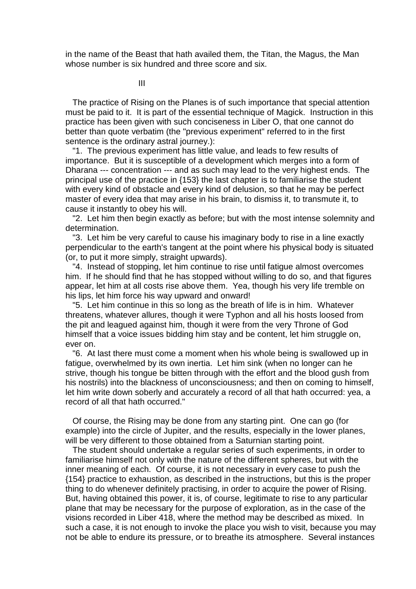in the name of the Beast that hath availed them, the Titan, the Magus, the Man whose number is six hundred and three score and six.

**III** and the state of the **III** 

 The practice of Rising on the Planes is of such importance that special attention must be paid to it. It is part of the essential technique of Magick. Instruction in this practice has been given with such conciseness in Liber O, that one cannot do better than quote verbatim (the "previous experiment" referred to in the first sentence is the ordinary astral journey.):

 "1. The previous experiment has little value, and leads to few results of importance. But it is susceptible of a development which merges into a form of Dharana --- concentration --- and as such may lead to the very highest ends. The principal use of the practice in {153} the last chapter is to familiarise the student with every kind of obstacle and every kind of delusion, so that he may be perfect master of every idea that may arise in his brain, to dismiss it, to transmute it, to cause it instantly to obey his will.

 "2. Let him then begin exactly as before; but with the most intense solemnity and determination.

 "3. Let him be very careful to cause his imaginary body to rise in a line exactly perpendicular to the earth's tangent at the point where his physical body is situated (or, to put it more simply, straight upwards).

 "4. Instead of stopping, let him continue to rise until fatigue almost overcomes him. If he should find that he has stopped without willing to do so, and that figures appear, let him at all costs rise above them. Yea, though his very life tremble on his lips, let him force his way upward and onward!

 "5. Let him continue in this so long as the breath of life is in him. Whatever threatens, whatever allures, though it were Typhon and all his hosts loosed from the pit and leagued against him, though it were from the very Throne of God himself that a voice issues bidding him stay and be content, let him struggle on, ever on.

 "6. At last there must come a moment when his whole being is swallowed up in fatigue, overwhelmed by its own inertia. Let him sink (when no longer can he strive, though his tongue be bitten through with the effort and the blood gush from his nostrils) into the blackness of unconsciousness; and then on coming to himself, let him write down soberly and accurately a record of all that hath occurred: yea, a record of all that hath occurred."

 Of course, the Rising may be done from any starting pint. One can go (for example) into the circle of Jupiter, and the results, especially in the lower planes, will be very different to those obtained from a Saturnian starting point.

 The student should undertake a regular series of such experiments, in order to familiarise himself not only with the nature of the different spheres, but with the inner meaning of each. Of course, it is not necessary in every case to push the {154} practice to exhaustion, as described in the instructions, but this is the proper thing to do whenever definitely practising, in order to acquire the power of Rising. But, having obtained this power, it is, of course, legitimate to rise to any particular plane that may be necessary for the purpose of exploration, as in the case of the visions recorded in Liber 418, where the method may be described as mixed. In such a case, it is not enough to invoke the place you wish to visit, because you may not be able to endure its pressure, or to breathe its atmosphere. Several instances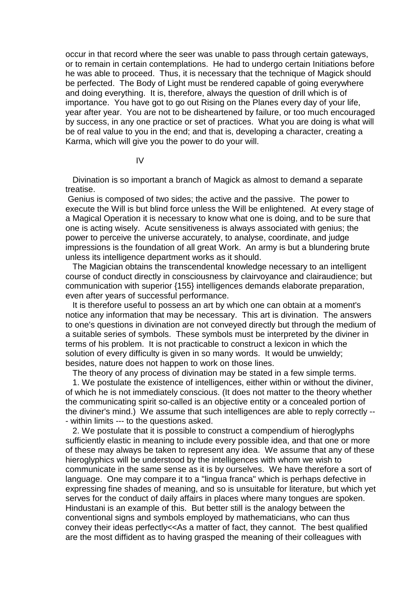occur in that record where the seer was unable to pass through certain gateways, or to remain in certain contemplations. He had to undergo certain Initiations before he was able to proceed. Thus, it is necessary that the technique of Magick should be perfected. The Body of Light must be rendered capable of going everywhere and doing everything. It is, therefore, always the question of drill which is of importance. You have got to go out Rising on the Planes every day of your life, year after year. You are not to be disheartened by failure, or too much encouraged by success, in any one practice or set of practices. What you are doing is what will be of real value to you in the end; and that is, developing a character, creating a Karma, which will give you the power to do your will.

**IV IV** 

 Divination is so important a branch of Magick as almost to demand a separate treatise.

 Genius is composed of two sides; the active and the passive. The power to execute the Will is but blind force unless the Will be enlightened. At every stage of a Magical Operation it is necessary to know what one is doing, and to be sure that one is acting wisely. Acute sensitiveness is always associated with genius; the power to perceive the universe accurately, to analyse, coordinate, and judge impressions is the foundation of all great Work. An army is but a blundering brute unless its intelligence department works as it should.

 The Magician obtains the transcendental knowledge necessary to an intelligent course of conduct directly in consciousness by clairvoyance and clairaudience; but communication with superior {155} intelligences demands elaborate preparation, even after years of successful performance.

 It is therefore useful to possess an art by which one can obtain at a moment's notice any information that may be necessary. This art is divination. The answers to one's questions in divination are not conveyed directly but through the medium of a suitable series of symbols. These symbols must be interpreted by the diviner in terms of his problem. It is not practicable to construct a lexicon in which the solution of every difficulty is given in so many words. It would be unwieldy; besides, nature does not happen to work on those lines.

The theory of any process of divination may be stated in a few simple terms.

 1. We postulate the existence of intelligences, either within or without the diviner, of which he is not immediately conscious. (It does not matter to the theory whether the communicating spirit so-called is an objective entity or a concealed portion of the diviner's mind.) We assume that such intelligences are able to reply correctly -- - within limits --- to the questions asked.

 2. We postulate that it is possible to construct a compendium of hieroglyphs sufficiently elastic in meaning to include every possible idea, and that one or more of these may always be taken to represent any idea. We assume that any of these hieroglyphics will be understood by the intelligences with whom we wish to communicate in the same sense as it is by ourselves. We have therefore a sort of language. One may compare it to a "lingua franca" which is perhaps defective in expressing fine shades of meaning, and so is unsuitable for literature, but which yet serves for the conduct of daily affairs in places where many tongues are spoken. Hindustani is an example of this. But better still is the analogy between the conventional signs and symbols employed by mathematicians, who can thus convey their ideas perfectly<<As a matter of fact, they cannot. The best qualified are the most diffident as to having grasped the meaning of their colleagues with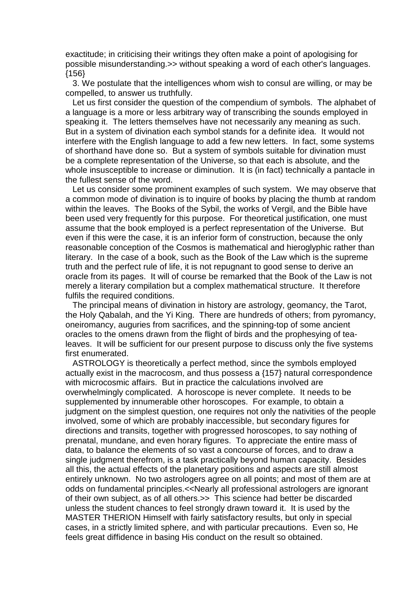exactitude; in criticising their writings they often make a point of apologising for possible misunderstanding.>> without speaking a word of each other's languages. {156}

 3. We postulate that the intelligences whom wish to consul are willing, or may be compelled, to answer us truthfully.

 Let us first consider the question of the compendium of symbols. The alphabet of a language is a more or less arbitrary way of transcribing the sounds employed in speaking it. The letters themselves have not necessarily any meaning as such. But in a system of divination each symbol stands for a definite idea. It would not interfere with the English language to add a few new letters. In fact, some systems of shorthand have done so. But a system of symbols suitable for divination must be a complete representation of the Universe, so that each is absolute, and the whole insusceptible to increase or diminution. It is (in fact) technically a pantacle in the fullest sense of the word.

 Let us consider some prominent examples of such system. We may observe that a common mode of divination is to inquire of books by placing the thumb at random within the leaves. The Books of the Sybil, the works of Vergil, and the Bible have been used very frequently for this purpose. For theoretical justification, one must assume that the book employed is a perfect representation of the Universe. But even if this were the case, it is an inferior form of construction, because the only reasonable conception of the Cosmos is mathematical and hieroglyphic rather than literary. In the case of a book, such as the Book of the Law which is the supreme truth and the perfect rule of life, it is not repugnant to good sense to derive an oracle from its pages. It will of course be remarked that the Book of the Law is not merely a literary compilation but a complex mathematical structure. It therefore fulfils the required conditions.

 The principal means of divination in history are astrology, geomancy, the Tarot, the Holy Qabalah, and the Yi King. There are hundreds of others; from pyromancy, oneiromancy, auguries from sacrifices, and the spinning-top of some ancient oracles to the omens drawn from the flight of birds and the prophesying of tealeaves. It will be sufficient for our present purpose to discuss only the five systems first enumerated.

 ASTROLOGY is theoretically a perfect method, since the symbols employed actually exist in the macrocosm, and thus possess a {157} natural correspondence with microcosmic affairs. But in practice the calculations involved are overwhelmingly complicated. A horoscope is never complete. It needs to be supplemented by innumerable other horoscopes. For example, to obtain a judgment on the simplest question, one requires not only the nativities of the people involved, some of which are probably inaccessible, but secondary figures for directions and transits, together with progressed horoscopes, to say nothing of prenatal, mundane, and even horary figures. To appreciate the entire mass of data, to balance the elements of so vast a concourse of forces, and to draw a single judgment therefrom, is a task practically beyond human capacity. Besides all this, the actual effects of the planetary positions and aspects are still almost entirely unknown. No two astrologers agree on all points; and most of them are at odds on fundamental principles.<<Nearly all professional astrologers are ignorant of their own subject, as of all others.>> This science had better be discarded unless the student chances to feel strongly drawn toward it. It is used by the MASTER THERION Himself with fairly satisfactory results, but only in special cases, in a strictly limited sphere, and with particular precautions. Even so, He feels great diffidence in basing His conduct on the result so obtained.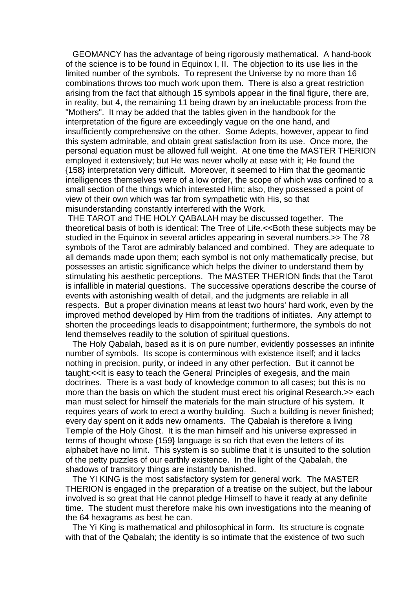GEOMANCY has the advantage of being rigorously mathematical. A hand-book of the science is to be found in Equinox I, II. The objection to its use lies in the limited number of the symbols. To represent the Universe by no more than 16 combinations throws too much work upon them. There is also a great restriction arising from the fact that although 15 symbols appear in the final figure, there are, in reality, but 4, the remaining 11 being drawn by an ineluctable process from the "Mothers". It may be added that the tables given in the handbook for the interpretation of the figure are exceedingly vague on the one hand, and insufficiently comprehensive on the other. Some Adepts, however, appear to find this system admirable, and obtain great satisfaction from its use. Once more, the personal equation must be allowed full weight. At one time the MASTER THERION employed it extensively; but He was never wholly at ease with it; He found the {158} interpretation very difficult. Moreover, it seemed to Him that the geomantic intelligences themselves were of a low order, the scope of which was confined to a small section of the things which interested Him; also, they possessed a point of view of their own which was far from sympathetic with His, so that misunderstanding constantly interfered with the Work.

 THE TAROT and THE HOLY QABALAH may be discussed together. The theoretical basis of both is identical: The Tree of Life.<<Both these subjects may be studied in the Equinox in several articles appearing in several numbers.>> The 78 symbols of the Tarot are admirably balanced and combined. They are adequate to all demands made upon them; each symbol is not only mathematically precise, but possesses an artistic significance which helps the diviner to understand them by stimulating his aesthetic perceptions. The MASTER THERION finds that the Tarot is infallible in material questions. The successive operations describe the course of events with astonishing wealth of detail, and the judgments are reliable in all respects. But a proper divination means at least two hours' hard work, even by the improved method developed by Him from the traditions of initiates. Any attempt to shorten the proceedings leads to disappointment; furthermore, the symbols do not lend themselves readily to the solution of spiritual questions.

 The Holy Qabalah, based as it is on pure number, evidently possesses an infinite number of symbols. Its scope is conterminous with existence itself; and it lacks nothing in precision, purity, or indeed in any other perfection. But it cannot be taught;<<It is easy to teach the General Principles of exegesis, and the main doctrines. There is a vast body of knowledge common to all cases; but this is no more than the basis on which the student must erect his original Research.>> each man must select for himself the materials for the main structure of his system. It requires years of work to erect a worthy building. Such a building is never finished; every day spent on it adds new ornaments. The Qabalah is therefore a living Temple of the Holy Ghost. It is the man himself and his universe expressed in terms of thought whose {159} language is so rich that even the letters of its alphabet have no limit. This system is so sublime that it is unsuited to the solution of the petty puzzles of our earthly existence. In the light of the Qabalah, the shadows of transitory things are instantly banished.

 The YI KING is the most satisfactory system for general work. The MASTER THERION is engaged in the preparation of a treatise on the subject, but the labour involved is so great that He cannot pledge Himself to have it ready at any definite time. The student must therefore make his own investigations into the meaning of the 64 hexagrams as best he can.

 The Yi King is mathematical and philosophical in form. Its structure is cognate with that of the Qabalah; the identity is so intimate that the existence of two such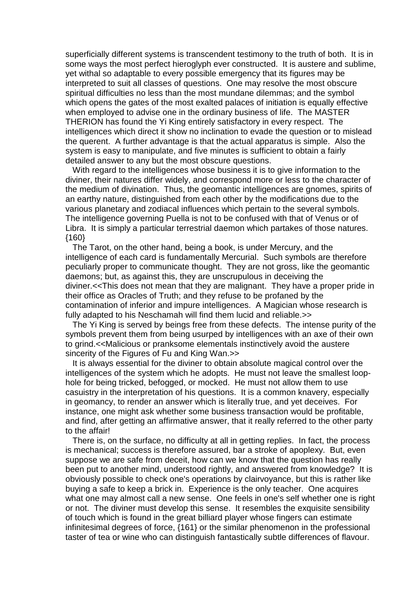superficially different systems is transcendent testimony to the truth of both. It is in some ways the most perfect hieroglyph ever constructed. It is austere and sublime, yet withal so adaptable to every possible emergency that its figures may be interpreted to suit all classes of questions. One may resolve the most obscure spiritual difficulties no less than the most mundane dilemmas; and the symbol which opens the gates of the most exalted palaces of initiation is equally effective when employed to advise one in the ordinary business of life. The MASTER THERION has found the Yi King entirely satisfactory in every respect. The intelligences which direct it show no inclination to evade the question or to mislead the querent. A further advantage is that the actual apparatus is simple. Also the system is easy to manipulate, and five minutes is sufficient to obtain a fairly detailed answer to any but the most obscure questions.

 With regard to the intelligences whose business it is to give information to the diviner, their natures differ widely, and correspond more or less to the character of the medium of divination. Thus, the geomantic intelligences are gnomes, spirits of an earthy nature, distinguished from each other by the modifications due to the various planetary and zodiacal influences which pertain to the several symbols. The intelligence governing Puella is not to be confused with that of Venus or of Libra. It is simply a particular terrestrial daemon which partakes of those natures. {160}

 The Tarot, on the other hand, being a book, is under Mercury, and the intelligence of each card is fundamentally Mercurial. Such symbols are therefore peculiarly proper to communicate thought. They are not gross, like the geomantic daemons; but, as against this, they are unscrupulous in deceiving the diviner.<<This does not mean that they are malignant. They have a proper pride in their office as Oracles of Truth; and they refuse to be profaned by the contamination of inferior and impure intelligences. A Magician whose research is fully adapted to his Neschamah will find them lucid and reliable.>>

 The Yi King is served by beings free from these defects. The intense purity of the symbols prevent them from being usurped by intelligences with an axe of their own to grind.<<Malicious or pranksome elementals instinctively avoid the austere sincerity of the Figures of Fu and King Wan.>>

 It is always essential for the diviner to obtain absolute magical control over the intelligences of the system which he adopts. He must not leave the smallest loophole for being tricked, befogged, or mocked. He must not allow them to use casuistry in the interpretation of his questions. It is a common knavery, especially in geomancy, to render an answer which is literally true, and yet deceives. For instance, one might ask whether some business transaction would be profitable, and find, after getting an affirmative answer, that it really referred to the other party to the affair!

 There is, on the surface, no difficulty at all in getting replies. In fact, the process is mechanical; success is therefore assured, bar a stroke of apoplexy. But, even suppose we are safe from deceit, how can we know that the question has really been put to another mind, understood rightly, and answered from knowledge? It is obviously possible to check one's operations by clairvoyance, but this is rather like buying a safe to keep a brick in. Experience is the only teacher. One acquires what one may almost call a new sense. One feels in one's self whether one is right or not. The diviner must develop this sense. It resembles the exquisite sensibility of touch which is found in the great billiard player whose fingers can estimate infinitesimal degrees of force, {161} or the similar phenomenon in the professional taster of tea or wine who can distinguish fantastically subtle differences of flavour.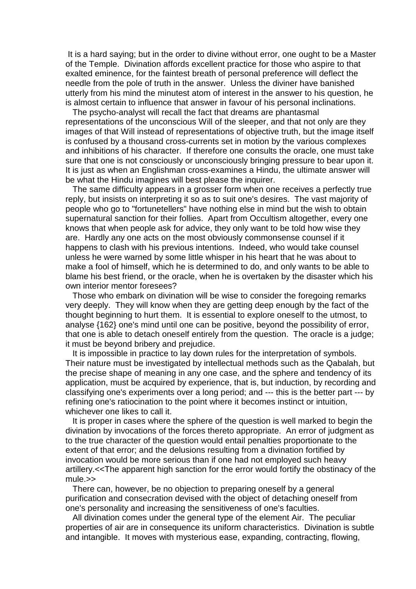It is a hard saying; but in the order to divine without error, one ought to be a Master of the Temple. Divination affords excellent practice for those who aspire to that exalted eminence, for the faintest breath of personal preference will deflect the needle from the pole of truth in the answer. Unless the diviner have banished utterly from his mind the minutest atom of interest in the answer to his question, he is almost certain to influence that answer in favour of his personal inclinations.

 The psycho-analyst will recall the fact that dreams are phantasmal representations of the unconscious Will of the sleeper, and that not only are they images of that Will instead of representations of objective truth, but the image itself is confused by a thousand cross-currents set in motion by the various complexes and inhibitions of his character. If therefore one consults the oracle, one must take sure that one is not consciously or unconsciously bringing pressure to bear upon it. It is just as when an Englishman cross-examines a Hindu, the ultimate answer will be what the Hindu imagines will best please the inquirer.

 The same difficulty appears in a grosser form when one receives a perfectly true reply, but insists on interpreting it so as to suit one's desires. The vast majority of people who go to "fortunetellers" have nothing else in mind but the wish to obtain supernatural sanction for their follies. Apart from Occultism altogether, every one knows that when people ask for advice, they only want to be told how wise they are. Hardly any one acts on the most obviously commonsense counsel if it happens to clash with his previous intentions. Indeed, who would take counsel unless he were warned by some little whisper in his heart that he was about to make a fool of himself, which he is determined to do, and only wants to be able to blame his best friend, or the oracle, when he is overtaken by the disaster which his own interior mentor foresees?

 Those who embark on divination will be wise to consider the foregoing remarks very deeply. They will know when they are getting deep enough by the fact of the thought beginning to hurt them. It is essential to explore oneself to the utmost, to analyse {162} one's mind until one can be positive, beyond the possibility of error, that one is able to detach oneself entirely from the question. The oracle is a judge; it must be beyond bribery and prejudice.

 It is impossible in practice to lay down rules for the interpretation of symbols. Their nature must be investigated by intellectual methods such as the Qabalah, but the precise shape of meaning in any one case, and the sphere and tendency of its application, must be acquired by experience, that is, but induction, by recording and classifying one's experiments over a long period; and --- this is the better part --- by refining one's ratiocination to the point where it becomes instinct or intuition, whichever one likes to call it.

 It is proper in cases where the sphere of the question is well marked to begin the divination by invocations of the forces thereto appropriate. An error of judgment as to the true character of the question would entail penalties proportionate to the extent of that error; and the delusions resulting from a divination fortified by invocation would be more serious than if one had not employed such heavy artillery.<<The apparent high sanction for the error would fortify the obstinacy of the mule.>>

 There can, however, be no objection to preparing oneself by a general purification and consecration devised with the object of detaching oneself from one's personality and increasing the sensitiveness of one's faculties.

 All divination comes under the general type of the element Air. The peculiar properties of air are in consequence its uniform characteristics. Divination is subtle and intangible. It moves with mysterious ease, expanding, contracting, flowing,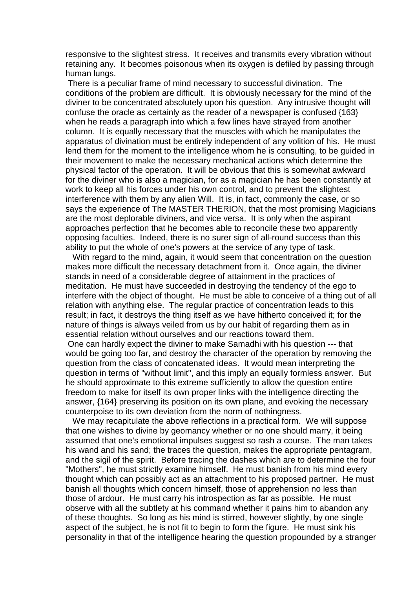responsive to the slightest stress. It receives and transmits every vibration without retaining any. It becomes poisonous when its oxygen is defiled by passing through human lungs.

 There is a peculiar frame of mind necessary to successful divination. The conditions of the problem are difficult. It is obviously necessary for the mind of the diviner to be concentrated absolutely upon his question. Any intrusive thought will confuse the oracle as certainly as the reader of a newspaper is confused {163} when he reads a paragraph into which a few lines have strayed from another column. It is equally necessary that the muscles with which he manipulates the apparatus of divination must be entirely independent of any volition of his. He must lend them for the moment to the intelligence whom he is consulting, to be guided in their movement to make the necessary mechanical actions which determine the physical factor of the operation. It will be obvious that this is somewhat awkward for the diviner who is also a magician, for as a magician he has been constantly at work to keep all his forces under his own control, and to prevent the slightest interference with them by any alien Will. It is, in fact, commonly the case, or so says the experience of The MASTER THERION, that the most promising Magicians are the most deplorable diviners, and vice versa. It is only when the aspirant approaches perfection that he becomes able to reconcile these two apparently opposing faculties. Indeed, there is no surer sign of all-round success than this ability to put the whole of one's powers at the service of any type of task.

 With regard to the mind, again, it would seem that concentration on the question makes more difficult the necessary detachment from it. Once again, the diviner stands in need of a considerable degree of attainment in the practices of meditation. He must have succeeded in destroying the tendency of the ego to interfere with the object of thought. He must be able to conceive of a thing out of all relation with anything else. The regular practice of concentration leads to this result; in fact, it destroys the thing itself as we have hitherto conceived it; for the nature of things is always veiled from us by our habit of regarding them as in essential relation without ourselves and our reactions toward them. One can hardly expect the diviner to make Samadhi with his question --- that would be going too far, and destroy the character of the operation by removing the question from the class of concatenated ideas. It would mean interpreting the question in terms of "without limit", and this imply an equally formless answer. But he should approximate to this extreme sufficiently to allow the question entire freedom to make for itself its own proper links with the intelligence directing the answer, {164} preserving its position on its own plane, and evoking the necessary counterpoise to its own deviation from the norm of nothingness.

 We may recapitulate the above reflections in a practical form. We will suppose that one wishes to divine by geomancy whether or no one should marry, it being assumed that one's emotional impulses suggest so rash a course. The man takes his wand and his sand; the traces the question, makes the appropriate pentagram, and the sigil of the spirit. Before tracing the dashes which are to determine the four "Mothers", he must strictly examine himself. He must banish from his mind every thought which can possibly act as an attachment to his proposed partner. He must banish all thoughts which concern himself, those of apprehension no less than those of ardour. He must carry his introspection as far as possible. He must observe with all the subtlety at his command whether it pains him to abandon any of these thoughts. So long as his mind is stirred, however slightly, by one single aspect of the subject, he is not fit to begin to form the figure. He must sink his personality in that of the intelligence hearing the question propounded by a stranger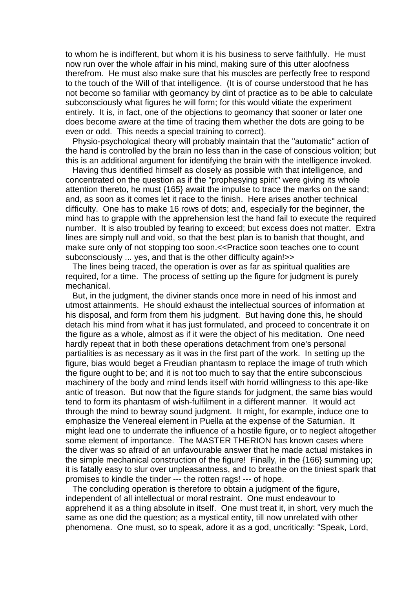to whom he is indifferent, but whom it is his business to serve faithfully. He must now run over the whole affair in his mind, making sure of this utter aloofness therefrom. He must also make sure that his muscles are perfectly free to respond to the touch of the Will of that intelligence. (It is of course understood that he has not become so familiar with geomancy by dint of practice as to be able to calculate subconsciously what figures he will form; for this would vitiate the experiment entirely. It is, in fact, one of the objections to geomancy that sooner or later one does become aware at the time of tracing them whether the dots are going to be even or odd. This needs a special training to correct).

 Physio-psychological theory will probably maintain that the "automatic" action of the hand is controlled by the brain no less than in the case of conscious volition; but this is an additional argument for identifying the brain with the intelligence invoked.

 Having thus identified himself as closely as possible with that intelligence, and concentrated on the question as if the "prophesying spirit" were giving its whole attention thereto, he must {165} await the impulse to trace the marks on the sand; and, as soon as it comes let it race to the finish. Here arises another technical difficulty. One has to make 16 rows of dots; and, especially for the beginner, the mind has to grapple with the apprehension lest the hand fail to execute the required number. It is also troubled by fearing to exceed; but excess does not matter. Extra lines are simply null and void, so that the best plan is to banish that thought, and make sure only of not stopping too soon.<<Practice soon teaches one to count subconsciously ... yes, and that is the other difficulty again!>>

 The lines being traced, the operation is over as far as spiritual qualities are required, for a time. The process of setting up the figure for judgment is purely mechanical.

 But, in the judgment, the diviner stands once more in need of his inmost and utmost attainments. He should exhaust the intellectual sources of information at his disposal, and form from them his judgment. But having done this, he should detach his mind from what it has just formulated, and proceed to concentrate it on the figure as a whole, almost as if it were the object of his meditation. One need hardly repeat that in both these operations detachment from one's personal partialities is as necessary as it was in the first part of the work. In setting up the figure, bias would beget a Freudian phantasm to replace the image of truth which the figure ought to be; and it is not too much to say that the entire subconscious machinery of the body and mind lends itself with horrid willingness to this ape-like antic of treason. But now that the figure stands for judgment, the same bias would tend to form its phantasm of wish-fulfilment in a different manner. It would act through the mind to bewray sound judgment. It might, for example, induce one to emphasize the Venereal element in Puella at the expense of the Saturnian. It might lead one to underrate the influence of a hostile figure, or to neglect altogether some element of importance. The MASTER THERION has known cases where the diver was so afraid of an unfavourable answer that he made actual mistakes in the simple mechanical construction of the figure! Finally, in the {166} summing up; it is fatally easy to slur over unpleasantness, and to breathe on the tiniest spark that promises to kindle the tinder --- the rotten rags! --- of hope.

 The concluding operation is therefore to obtain a judgment of the figure, independent of all intellectual or moral restraint. One must endeavour to apprehend it as a thing absolute in itself. One must treat it, in short, very much the same as one did the question; as a mystical entity, till now unrelated with other phenomena. One must, so to speak, adore it as a god, uncritically: "Speak, Lord,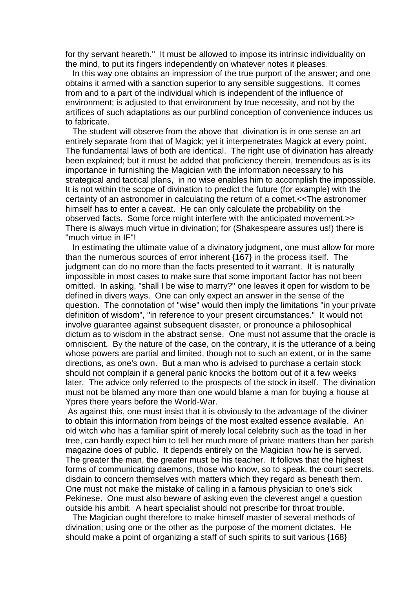for thy servant heareth." It must be allowed to impose its intrinsic individuality on the mind, to put its fingers independently on whatever notes it pleases.

In this way one obtains an impression of the true purport of the answer; and one obtains it armed with a sanction superior to any sensible suggestions. It comes from and to a part of the individual which is independent of the influence of environment; is adjusted to that environment by true necessity, and not by the artifices of such adaptations as our purblind conception of convenience induces us to fabricate.

 The student will observe from the above that divination is in one sense an art entirely separate from that of Magick; yet it interpenetrates Magick at every point. The fundamental laws of both are identical. The right use of divination has already been explained; but it must be added that proficiency therein, tremendous as is its importance in furnishing the Magician with the information necessary to his strategical and tactical plans, in no wise enables him to accomplish the impossible. It is not within the scope of divination to predict the future (for example) with the certainty of an astronomer in calculating the return of a comet.<<The astronomer himself has to enter a caveat. He can only calculate the probability on the observed facts. Some force might interfere with the anticipated movement.>> There is always much virtue in divination; for (Shakespeare assures us!) there is "much virtue in IF"!

 In estimating the ultimate value of a divinatory judgment, one must allow for more than the numerous sources of error inherent {167} in the process itself. The judgment can do no more than the facts presented to it warrant. It is naturally impossible in most cases to make sure that some important factor has not been omitted. In asking, "shall I be wise to marry?" one leaves it open for wisdom to be defined in divers ways. One can only expect an answer in the sense of the question. The connotation of "wise" would then imply the limitations "in your private definition of wisdom", "in reference to your present circumstances." It would not involve guarantee against subsequent disaster, or pronounce a philosophical dictum as to wisdom in the abstract sense. One must not assume that the oracle is omniscient. By the nature of the case, on the contrary, it is the utterance of a being whose powers are partial and limited, though not to such an extent, or in the same directions, as one's own. But a man who is advised to purchase a certain stock should not complain if a general panic knocks the bottom out of it a few weeks later. The advice only referred to the prospects of the stock in itself. The divination must not be blamed any more than one would blame a man for buying a house at Ypres there years before the World-War.

 As against this, one must insist that it is obviously to the advantage of the diviner to obtain this information from beings of the most exalted essence available. An old witch who has a familiar spirit of merely local celebrity such as the toad in her tree, can hardly expect him to tell her much more of private matters than her parish magazine does of public. It depends entirely on the Magician how he is served. The greater the man, the greater must be his teacher. It follows that the highest forms of communicating daemons, those who know, so to speak, the court secrets, disdain to concern themselves with matters which they regard as beneath them. One must not make the mistake of calling in a famous physician to one's sick Pekinese. One must also beware of asking even the cleverest angel a question outside his ambit. A heart specialist should not prescribe for throat trouble.

 The Magician ought therefore to make himself master of several methods of divination; using one or the other as the purpose of the moment dictates. He should make a point of organizing a staff of such spirits to suit various {168}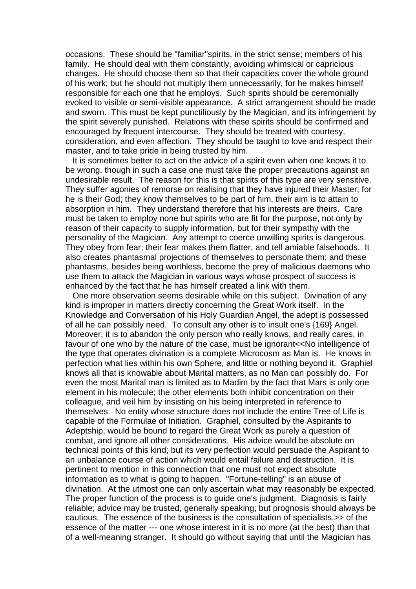occasions. These should be "familiar"spirits, in the strict sense; members of his family. He should deal with them constantly, avoiding whimsical or capricious changes. He should choose them so that their capacities cover the whole ground of his work; but he should not multiply them unnecessarily, for he makes himself responsible for each one that he employs. Such spirits should be ceremonially evoked to visible or semi-visible appearance. A strict arrangement should be made and sworn. This must be kept punctiliously by the Magician, and its infringement by the spirit severely punished. Relations with these spirits should be confirmed and encouraged by frequent intercourse. They should be treated with courtesy, consideration, and even affection. They should be taught to love and respect their master, and to take pride in being trusted by him.

 It is sometimes better to act on the advice of a spirit even when one knows it to be wrong, though in such a case one must take the proper precautions against an undesirable result. The reason for this is that spirits of this type are very sensitive. They suffer agonies of remorse on realising that they have injured their Master; for he is their God; they know themselves to be part of him, their aim is to attain to absorption in him. They understand therefore that his interests are theirs. Care must be taken to employ none but spirits who are fit for the purpose, not only by reason of their capacity to supply information, but for their sympathy with the personality of the Magician. Any attempt to coerce unwilling spirits is dangerous. They obey from fear; their fear makes them flatter, and tell amiable falsehoods. It also creates phantasmal projections of themselves to personate them; and these phantasms, besides being worthless, become the prey of malicious daemons who use them to attack the Magician in various ways whose prospect of success is enhanced by the fact that he has himself created a link with them.

 One more observation seems desirable while on this subject. Divination of any kind is improper in matters directly concerning the Great Work itself. In the Knowledge and Conversation of his Holy Guardian Angel, the adept is possessed of all he can possibly need. To consult any other is to insult one's {169} Angel. Moreover, it is to abandon the only person who really knows, and really cares, in favour of one who by the nature of the case, must be ignorant<<No intelligence of the type that operates divination is a complete Microcosm as Man is. He knows in perfection what lies within his own Sphere, and little or nothing beyond it. Graphiel knows all that is knowable about Marital matters, as no Man can possibly do. For even the most Marital man is limited as to Madim by the fact that Mars is only one element in his molecule; the other elements both inhibit concentration on their colleague, and veil him by insisting on his being interpreted in reference to themselves. No entity whose structure does not include the entire Tree of Life is capable of the Formulae of Initiation. Graphiel, consulted by the Aspirants to Adeptship, would be bound to regard the Great Work as purely a question of combat, and ignore all other considerations. His advice would be absolute on technical points of this kind; but its very perfection would persuade the Aspirant to an unbalance course of action which would entail failure and destruction. It is pertinent to mention in this connection that one must not expect absolute information as to what is going to happen. "Fortune-telling" is an abuse of divination. At the utmost one can only ascertain what may reasonably be expected. The proper function of the process is to guide one's judgment. Diagnosis is fairly reliable; advice may be trusted, generally speaking; but prognosis should always be cautious. The essence of the business is the consultation of specialists.>> of the essence of the matter --- one whose interest in it is no more (at the best) than that of a well-meaning stranger. It should go without saying that until the Magician has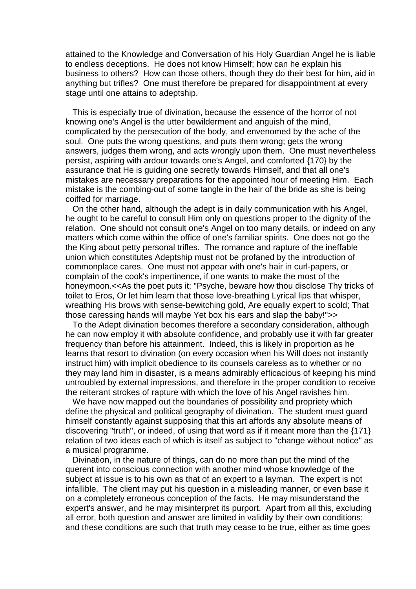attained to the Knowledge and Conversation of his Holy Guardian Angel he is liable to endless deceptions. He does not know Himself; how can he explain his business to others? How can those others, though they do their best for him, aid in anything but trifles? One must therefore be prepared for disappointment at every stage until one attains to adeptship.

 This is especially true of divination, because the essence of the horror of not knowing one's Angel is the utter bewilderment and anguish of the mind, complicated by the persecution of the body, and envenomed by the ache of the soul. One puts the wrong questions, and puts them wrong; gets the wrong answers, judges them wrong, and acts wrongly upon them. One must nevertheless persist, aspiring with ardour towards one's Angel, and comforted {170} by the assurance that He is guiding one secretly towards Himself, and that all one's mistakes are necessary preparations for the appointed hour of meeting Him. Each mistake is the combing-out of some tangle in the hair of the bride as she is being coiffed for marriage.

 On the other hand, although the adept is in daily communication with his Angel, he ought to be careful to consult Him only on questions proper to the dignity of the relation. One should not consult one's Angel on too many details, or indeed on any matters which come within the office of one's familiar spirits. One does not go the the King about petty personal trifles. The romance and rapture of the ineffable union which constitutes Adeptship must not be profaned by the introduction of commonplace cares. One must not appear with one's hair in curl-papers, or complain of the cook's impertinence, if one wants to make the most of the honeymoon.<<As the poet puts it; "Psyche, beware how thou disclose Thy tricks of toilet to Eros, Or let him learn that those love-breathing Lyrical lips that whisper, wreathing His brows with sense-bewitching gold, Are equally expert to scold; That those caressing hands will maybe Yet box his ears and slap the baby!">>

 To the Adept divination becomes therefore a secondary consideration, although he can now employ it with absolute confidence, and probably use it with far greater frequency than before his attainment. Indeed, this is likely in proportion as he learns that resort to divination (on every occasion when his Will does not instantly instruct him) with implicit obedience to its counsels careless as to whether or no they may land him in disaster, is a means admirably efficacious of keeping his mind untroubled by external impressions, and therefore in the proper condition to receive the reiterant strokes of rapture with which the love of his Angel ravishes him.

We have now mapped out the boundaries of possibility and propriety which define the physical and political geography of divination. The student must guard himself constantly against supposing that this art affords any absolute means of discovering "truth", or indeed, of using that word as if it meant more than the {171} relation of two ideas each of which is itself as subject to "change without notice" as a musical programme.

 Divination, in the nature of things, can do no more than put the mind of the querent into conscious connection with another mind whose knowledge of the subject at issue is to his own as that of an expert to a layman. The expert is not infallible. The client may put his question in a misleading manner, or even base it on a completely erroneous conception of the facts. He may misunderstand the expert's answer, and he may misinterpret its purport. Apart from all this, excluding all error, both question and answer are limited in validity by their own conditions; and these conditions are such that truth may cease to be true, either as time goes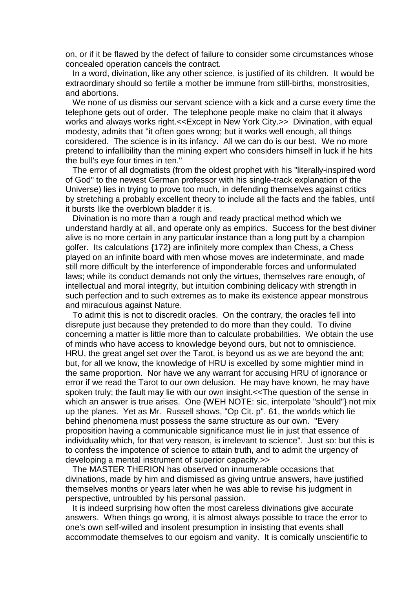on, or if it be flawed by the defect of failure to consider some circumstances whose concealed operation cancels the contract.

 In a word, divination, like any other science, is justified of its children. It would be extraordinary should so fertile a mother be immune from still-births, monstrosities, and abortions.

 We none of us dismiss our servant science with a kick and a curse every time the telephone gets out of order. The telephone people make no claim that it always works and always works right.<<Except in New York City.>> Divination, with equal modesty, admits that "it often goes wrong; but it works well enough, all things considered. The science is in its infancy. All we can do is our best. We no more pretend to infallibility than the mining expert who considers himself in luck if he hits the bull's eye four times in ten."

 The error of all dogmatists (from the oldest prophet with his "literally-inspired word of God" to the newest German professor with his single-track explanation of the Universe) lies in trying to prove too much, in defending themselves against critics by stretching a probably excellent theory to include all the facts and the fables, until it bursts like the overblown bladder it is.

 Divination is no more than a rough and ready practical method which we understand hardly at all, and operate only as empirics. Success for the best diviner alive is no more certain in any particular instance than a long putt by a champion golfer. Its calculations {172} are infinitely more complex than Chess, a Chess played on an infinite board with men whose moves are indeterminate, and made still more difficult by the interference of imponderable forces and unformulated laws; while its conduct demands not only the virtues, themselves rare enough, of intellectual and moral integrity, but intuition combining delicacy with strength in such perfection and to such extremes as to make its existence appear monstrous and miraculous against Nature.

 To admit this is not to discredit oracles. On the contrary, the oracles fell into disrepute just because they pretended to do more than they could. To divine concerning a matter is little more than to calculate probabilities. We obtain the use of minds who have access to knowledge beyond ours, but not to omniscience. HRU, the great angel set over the Tarot, is beyond us as we are beyond the ant; but, for all we know, the knowledge of HRU is excelled by some mightier mind in the same proportion. Nor have we any warrant for accusing HRU of ignorance or error if we read the Tarot to our own delusion. He may have known, he may have spoken truly; the fault may lie with our own insight.<<The question of the sense in which an answer is true arises. One {WEH NOTE: sic, interpolate "should"} not mix up the planes. Yet as Mr. Russell shows, "Op Cit. p". 61, the worlds which lie behind phenomena must possess the same structure as our own. "Every proposition having a communicable significance must lie in just that essence of individuality which, for that very reason, is irrelevant to science". Just so: but this is to confess the impotence of science to attain truth, and to admit the urgency of developing a mental instrument of superior capacity.>>

 The MASTER THERION has observed on innumerable occasions that divinations, made by him and dismissed as giving untrue answers, have justified themselves months or years later when he was able to revise his judgment in perspective, untroubled by his personal passion.

 It is indeed surprising how often the most careless divinations give accurate answers. When things go wrong, it is almost always possible to trace the error to one's own self-willed and insolent presumption in insisting that events shall accommodate themselves to our egoism and vanity. It is comically unscientific to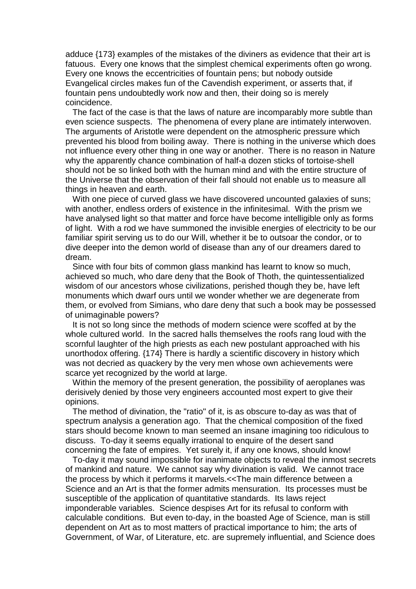adduce {173} examples of the mistakes of the diviners as evidence that their art is fatuous. Every one knows that the simplest chemical experiments often go wrong. Every one knows the eccentricities of fountain pens; but nobody outside Evangelical circles makes fun of the Cavendish experiment, or asserts that, if fountain pens undoubtedly work now and then, their doing so is merely coincidence.

 The fact of the case is that the laws of nature are incomparably more subtle than even science suspects. The phenomena of every plane are intimately interwoven. The arguments of Aristotle were dependent on the atmospheric pressure which prevented his blood from boiling away. There is nothing in the universe which does not influence every other thing in one way or another. There is no reason in Nature why the apparently chance combination of half-a dozen sticks of tortoise-shell should not be so linked both with the human mind and with the entire structure of the Universe that the observation of their fall should not enable us to measure all things in heaven and earth.

With one piece of curved glass we have discovered uncounted galaxies of suns; with another, endless orders of existence in the infinitesimal. With the prism we have analysed light so that matter and force have become intelligible only as forms of light. With a rod we have summoned the invisible energies of electricity to be our familiar spirit serving us to do our Will, whether it be to outsoar the condor, or to dive deeper into the demon world of disease than any of our dreamers dared to dream.

 Since with four bits of common glass mankind has learnt to know so much, achieved so much, who dare deny that the Book of Thoth, the quintessentialized wisdom of our ancestors whose civilizations, perished though they be, have left monuments which dwarf ours until we wonder whether we are degenerate from them, or evolved from Simians, who dare deny that such a book may be possessed of unimaginable powers?

 It is not so long since the methods of modern science were scoffed at by the whole cultured world. In the sacred halls themselves the roofs rang loud with the scornful laughter of the high priests as each new postulant approached with his unorthodox offering. {174} There is hardly a scientific discovery in history which was not decried as quackery by the very men whose own achievements were scarce yet recognized by the world at large.

 Within the memory of the present generation, the possibility of aeroplanes was derisively denied by those very engineers accounted most expert to give their opinions.

 The method of divination, the "ratio" of it, is as obscure to-day as was that of spectrum analysis a generation ago. That the chemical composition of the fixed stars should become known to man seemed an insane imagining too ridiculous to discuss. To-day it seems equally irrational to enquire of the desert sand concerning the fate of empires. Yet surely it, if any one knows, should know!

 To-day it may sound impossible for inanimate objects to reveal the inmost secrets of mankind and nature. We cannot say why divination is valid. We cannot trace the process by which it performs it marvels.<<The main difference between a Science and an Art is that the former admits mensuration. Its processes must be susceptible of the application of quantitative standards. Its laws reject imponderable variables. Science despises Art for its refusal to conform with calculable conditions. But even to-day, in the boasted Age of Science, man is still dependent on Art as to most matters of practical importance to him; the arts of Government, of War, of Literature, etc. are supremely influential, and Science does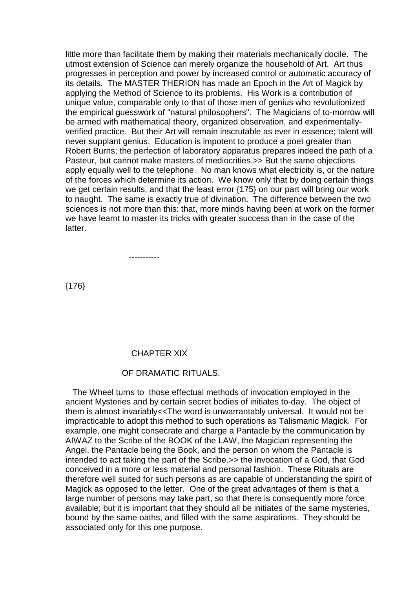little more than facilitate them by making their materials mechanically docile. The utmost extension of Science can merely organize the household of Art. Art thus progresses in perception and power by increased control or automatic accuracy of its details. The MASTER THERION has made an Epoch in the Art of Magick by applying the Method of Science to its problems. His Work is a contribution of unique value, comparable only to that of those men of genius who revolutionized the empirical guesswork of "natural philosophers". The Magicians of to-morrow will be armed with mathematical theory, organized observation, and experimentallyverified practice. But their Art will remain inscrutable as ever in essence; talent will never supplant genius. Education is impotent to produce a poet greater than Robert Burns; the perfection of laboratory apparatus prepares indeed the path of a Pasteur, but cannot make masters of mediocrities. >> But the same objections apply equally well to the telephone. No man knows what electricity is, or the nature of the forces which determine its action. We know only that by doing certain things we get certain results, and that the least error {175} on our part will bring our work to naught. The same is exactly true of divination. The difference between the two sciences is not more than this: that, more minds having been at work on the former we have learnt to master its tricks with greater success than in the case of the latter.

{176}

-----------

### CHAPTER XIX

# OF DRAMATIC RITUALS.

 The Wheel turns to those effectual methods of invocation employed in the ancient Mysteries and by certain secret bodies of initiates to-day. The object of them is almost invariably<<The word is unwarrantably universal. It would not be impracticable to adopt this method to such operations as Talismanic Magick. For example, one might consecrate and charge a Pantacle by the communication by AIWAZ to the Scribe of the BOOK of the LAW, the Magician representing the Angel, the Pantacle being the Book, and the person on whom the Pantacle is intended to act taking the part of the Scribe.>> the invocation of a God, that God conceived in a more or less material and personal fashion. These Rituals are therefore well suited for such persons as are capable of understanding the spirit of Magick as opposed to the letter. One of the great advantages of them is that a large number of persons may take part, so that there is consequently more force available; but it is important that they should all be initiates of the same mysteries, bound by the same oaths, and filled with the same aspirations. They should be associated only for this one purpose.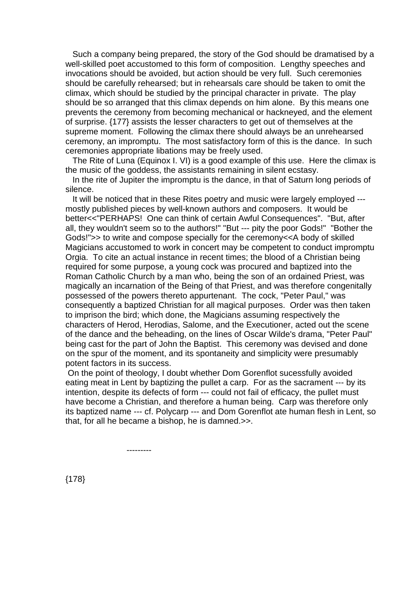Such a company being prepared, the story of the God should be dramatised by a well-skilled poet accustomed to this form of composition. Lengthy speeches and invocations should be avoided, but action should be very full. Such ceremonies should be carefully rehearsed; but in rehearsals care should be taken to omit the climax, which should be studied by the principal character in private. The play should be so arranged that this climax depends on him alone. By this means one prevents the ceremony from becoming mechanical or hackneyed, and the element of surprise. {177} assists the lesser characters to get out of themselves at the supreme moment. Following the climax there should always be an unrehearsed ceremony, an impromptu. The most satisfactory form of this is the dance. In such ceremonies appropriate libations may be freely used.

 The Rite of Luna (Equinox I. VI) is a good example of this use. Here the climax is the music of the goddess, the assistants remaining in silent ecstasy.

 In the rite of Jupiter the impromptu is the dance, in that of Saturn long periods of silence.

 It will be noticed that in these Rites poetry and music were largely employed -- mostly published pieces by well-known authors and composers. It would be better<<"PERHAPS! One can think of certain Awful Consequences". "But, after all, they wouldn't seem so to the authors!" "But --- pity the poor Gods!" "Bother the Gods!">> to write and compose specially for the ceremony<<A body of skilled Magicians accustomed to work in concert may be competent to conduct impromptu Orgia. To cite an actual instance in recent times; the blood of a Christian being required for some purpose, a young cock was procured and baptized into the Roman Catholic Church by a man who, being the son of an ordained Priest, was magically an incarnation of the Being of that Priest, and was therefore congenitally possessed of the powers thereto appurtenant. The cock, "Peter Paul," was consequently a baptized Christian for all magical purposes. Order was then taken to imprison the bird; which done, the Magicians assuming respectively the characters of Herod, Herodias, Salome, and the Executioner, acted out the scene of the dance and the beheading, on the lines of Oscar Wilde's drama, "Peter Paul" being cast for the part of John the Baptist. This ceremony was devised and done on the spur of the moment, and its spontaneity and simplicity were presumably potent factors in its success.

 On the point of theology, I doubt whether Dom Gorenflot sucessfully avoided eating meat in Lent by baptizing the pullet a carp. For as the sacrament --- by its intention, despite its defects of form --- could not fail of efficacy, the pullet must have become a Christian, and therefore a human being. Carp was therefore only its baptized name --- cf. Polycarp --- and Dom Gorenflot ate human flesh in Lent, so that, for all he became a bishop, he is damned.>>.

---------

{178}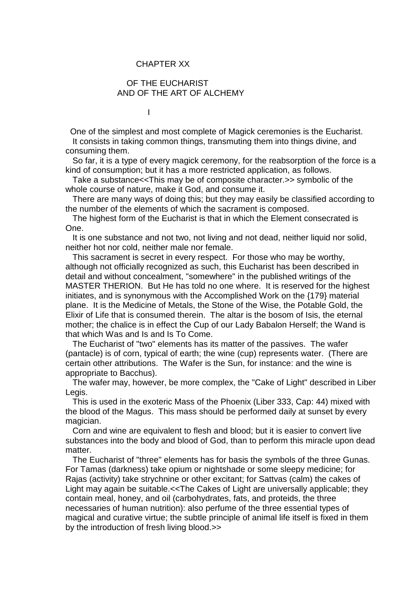### CHAPTER XX

### OF THE EUCHARIST AND OF THE ART OF ALCHEMY

**In the contract of the Contract of the Contract of the Contract of the Contract of the Contract of the Contract of the Contract of the Contract of the Contract of the Contract of the Contract of the Contract of the Contra** 

 One of the simplest and most complete of Magick ceremonies is the Eucharist. It consists in taking common things, transmuting them into things divine, and consuming them.

 So far, it is a type of every magick ceremony, for the reabsorption of the force is a kind of consumption; but it has a more restricted application, as follows.

 Take a substance<<This may be of composite character.>> symbolic of the whole course of nature, make it God, and consume it.

 There are many ways of doing this; but they may easily be classified according to the number of the elements of which the sacrament is composed.

 The highest form of the Eucharist is that in which the Element consecrated is One.

 It is one substance and not two, not living and not dead, neither liquid nor solid, neither hot nor cold, neither male nor female.

 This sacrament is secret in every respect. For those who may be worthy, although not officially recognized as such, this Eucharist has been described in detail and without concealment, "somewhere" in the published writings of the MASTER THERION. But He has told no one where. It is reserved for the highest initiates, and is synonymous with the Accomplished Work on the {179} material plane. It is the Medicine of Metals, the Stone of the Wise, the Potable Gold, the Elixir of Life that is consumed therein. The altar is the bosom of Isis, the eternal mother; the chalice is in effect the Cup of our Lady Babalon Herself; the Wand is that which Was and Is and Is To Come.

 The Eucharist of "two" elements has its matter of the passives. The wafer (pantacle) is of corn, typical of earth; the wine (cup) represents water. (There are certain other attributions. The Wafer is the Sun, for instance: and the wine is appropriate to Bacchus).

 The wafer may, however, be more complex, the "Cake of Light" described in Liber Legis.

 This is used in the exoteric Mass of the Phoenix (Liber 333, Cap: 44) mixed with the blood of the Magus. This mass should be performed daily at sunset by every magician.

 Corn and wine are equivalent to flesh and blood; but it is easier to convert live substances into the body and blood of God, than to perform this miracle upon dead matter.

 The Eucharist of "three" elements has for basis the symbols of the three Gunas. For Tamas (darkness) take opium or nightshade or some sleepy medicine; for Rajas (activity) take strychnine or other excitant; for Sattvas (calm) the cakes of Light may again be suitable.<<The Cakes of Light are universally applicable; they contain meal, honey, and oil (carbohydrates, fats, and proteids, the three necessaries of human nutrition): also perfume of the three essential types of magical and curative virtue; the subtle principle of animal life itself is fixed in them by the introduction of fresh living blood.>>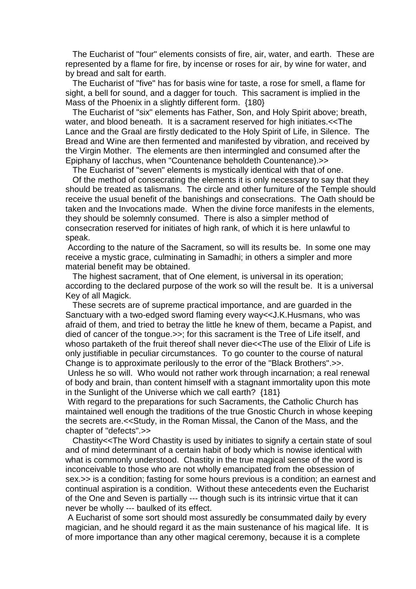The Eucharist of "four" elements consists of fire, air, water, and earth. These are represented by a flame for fire, by incense or roses for air, by wine for water, and by bread and salt for earth.

 The Eucharist of "five" has for basis wine for taste, a rose for smell, a flame for sight, a bell for sound, and a dagger for touch. This sacrament is implied in the Mass of the Phoenix in a slightly different form. {180}

 The Eucharist of "six" elements has Father, Son, and Holy Spirit above; breath, water, and blood beneath. It is a sacrament reserved for high initiates.<<The Lance and the Graal are firstly dedicated to the Holy Spirit of Life, in Silence. The Bread and Wine are then fermented and manifested by vibration, and received by the Virgin Mother. The elements are then intermingled and consumed after the Epiphany of Iacchus, when "Countenance beholdeth Countenance).>>

The Eucharist of "seven" elements is mystically identical with that of one.

 Of the method of consecrating the elements it is only necessary to say that they should be treated as talismans. The circle and other furniture of the Temple should receive the usual benefit of the banishings and consecrations. The Oath should be taken and the Invocations made. When the divine force manifests in the elements, they should be solemnly consumed. There is also a simpler method of consecration reserved for initiates of high rank, of which it is here unlawful to speak.

 According to the nature of the Sacrament, so will its results be. In some one may receive a mystic grace, culminating in Samadhi; in others a simpler and more material benefit may be obtained.

 The highest sacrament, that of One element, is universal in its operation; according to the declared purpose of the work so will the result be. It is a universal Key of all Magick.

 These secrets are of supreme practical importance, and are guarded in the Sanctuary with a two-edged sword flaming every way<<J.K.Husmans, who was afraid of them, and tried to betray the little he knew of them, became a Papist, and died of cancer of the tongue.>>; for this sacrament is the Tree of Life itself, and whoso partaketh of the fruit thereof shall never die<<The use of the Elixir of Life is only justifiable in peculiar circumstances. To go counter to the course of natural Change is to approximate perilously to the error of the "Black Brothers".>>.

 Unless he so will. Who would not rather work through incarnation; a real renewal of body and brain, than content himself with a stagnant immortality upon this mote in the Sunlight of the Universe which we call earth? {181}

 With regard to the preparations for such Sacraments, the Catholic Church has maintained well enough the traditions of the true Gnostic Church in whose keeping the secrets are.<<Study, in the Roman Missal, the Canon of the Mass, and the chapter of "defects".>>

 Chastity<<The Word Chastity is used by initiates to signify a certain state of soul and of mind determinant of a certain habit of body which is nowise identical with what is commonly understood. Chastity in the true magical sense of the word is inconceivable to those who are not wholly emancipated from the obsession of sex.>> is a condition; fasting for some hours previous is a condition; an earnest and continual aspiration is a condition. Without these antecedents even the Eucharist of the One and Seven is partially --- though such is its intrinsic virtue that it can never be wholly --- baulked of its effect.

 A Eucharist of some sort should most assuredly be consummated daily by every magician, and he should regard it as the main sustenance of his magical life. It is of more importance than any other magical ceremony, because it is a complete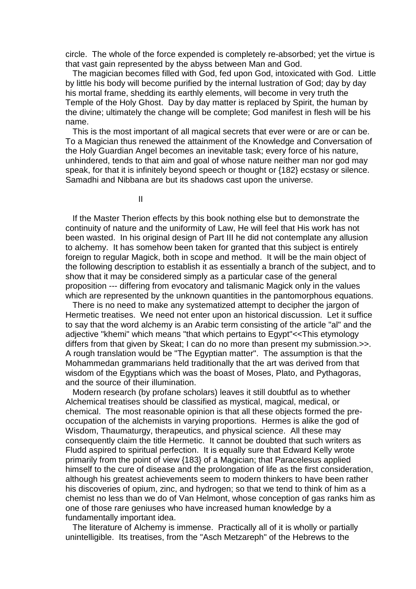circle. The whole of the force expended is completely re-absorbed; yet the virtue is that vast gain represented by the abyss between Man and God.

 The magician becomes filled with God, fed upon God, intoxicated with God. Little by little his body will become purified by the internal lustration of God; day by day his mortal frame, shedding its earthly elements, will become in very truth the Temple of the Holy Ghost. Day by day matter is replaced by Spirit, the human by the divine; ultimately the change will be complete; God manifest in flesh will be his name.

 This is the most important of all magical secrets that ever were or are or can be. To a Magician thus renewed the attainment of the Knowledge and Conversation of the Holy Guardian Angel becomes an inevitable task; every force of his nature, unhindered, tends to that aim and goal of whose nature neither man nor god may speak, for that it is infinitely beyond speech or thought or {182} ecstasy or silence. Samadhi and Nibbana are but its shadows cast upon the universe.

**III** and the state of the state of

 If the Master Therion effects by this book nothing else but to demonstrate the continuity of nature and the uniformity of Law, He will feel that His work has not been wasted. In his original design of Part III he did not contemplate any allusion to alchemy. It has somehow been taken for granted that this subject is entirely foreign to regular Magick, both in scope and method. It will be the main object of the following description to establish it as essentially a branch of the subject, and to show that it may be considered simply as a particular case of the general proposition --- differing from evocatory and talismanic Magick only in the values which are represented by the unknown quantities in the pantomorphous equations.

 There is no need to make any systematized attempt to decipher the jargon of Hermetic treatises. We need not enter upon an historical discussion. Let it suffice to say that the word alchemy is an Arabic term consisting of the article "al" and the adjective "khemi" which means "that which pertains to Egypt"<<This etymology differs from that given by Skeat; I can do no more than present my submission.>>. A rough translation would be "The Egyptian matter". The assumption is that the Mohammedan grammarians held traditionally that the art was derived from that wisdom of the Egyptians which was the boast of Moses, Plato, and Pythagoras, and the source of their illumination.

 Modern research (by profane scholars) leaves it still doubtful as to whether Alchemical treatises should be classified as mystical, magical, medical, or chemical. The most reasonable opinion is that all these objects formed the preoccupation of the alchemists in varying proportions. Hermes is alike the god of Wisdom, Thaumaturgy, therapeutics, and physical science. All these may consequently claim the title Hermetic. It cannot be doubted that such writers as Fludd aspired to spiritual perfection. It is equally sure that Edward Kelly wrote primarily from the point of view {183} of a Magician; that Paracelesus applied himself to the cure of disease and the prolongation of life as the first consideration, although his greatest achievements seem to modern thinkers to have been rather his discoveries of opium, zinc, and hydrogen; so that we tend to think of him as a chemist no less than we do of Van Helmont, whose conception of gas ranks him as one of those rare geniuses who have increased human knowledge by a fundamentally important idea.

 The literature of Alchemy is immense. Practically all of it is wholly or partially unintelligible. Its treatises, from the "Asch Metzareph" of the Hebrews to the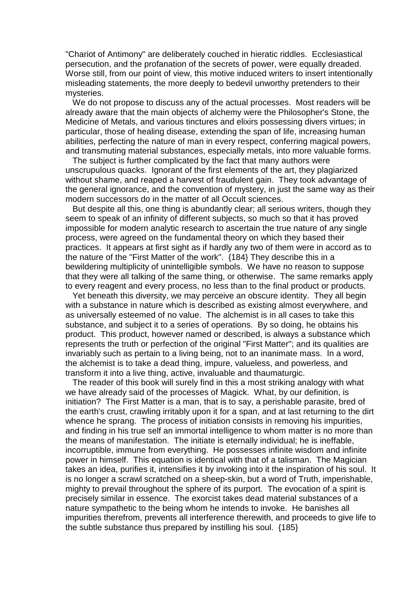"Chariot of Antimony" are deliberately couched in hieratic riddles. Ecclesiastical persecution, and the profanation of the secrets of power, were equally dreaded. Worse still, from our point of view, this motive induced writers to insert intentionally misleading statements, the more deeply to bedevil unworthy pretenders to their mysteries.

 We do not propose to discuss any of the actual processes. Most readers will be already aware that the main objects of alchemy were the Philosopher's Stone, the Medicine of Metals, and various tinctures and elixirs possessing divers virtues; in particular, those of healing disease, extending the span of life, increasing human abilities, perfecting the nature of man in every respect, conferring magical powers, and transmuting material substances, especially metals, into more valuable forms.

 The subject is further complicated by the fact that many authors were unscrupulous quacks. Ignorant of the first elements of the art, they plagiarized without shame, and reaped a harvest of fraudulent gain. They took advantage of the general ignorance, and the convention of mystery, in just the same way as their modern successors do in the matter of all Occult sciences.

 But despite all this, one thing is abundantly clear; all serious writers, though they seem to speak of an infinity of different subjects, so much so that it has proved impossible for modern analytic research to ascertain the true nature of any single process, were agreed on the fundamental theory on which they based their practices. It appears at first sight as if hardly any two of them were in accord as to the nature of the "First Matter of the work". {184} They describe this in a bewildering multiplicity of unintelligible symbols. We have no reason to suppose that they were all talking of the same thing, or otherwise. The same remarks apply to every reagent and every process, no less than to the final product or products.

 Yet beneath this diversity, we may perceive an obscure identity. They all begin with a substance in nature which is described as existing almost everywhere, and as universally esteemed of no value. The alchemist is in all cases to take this substance, and subject it to a series of operations. By so doing, he obtains his product. This product, however named or described, is always a substance which represents the truth or perfection of the original "First Matter"; and its qualities are invariably such as pertain to a living being, not to an inanimate mass. In a word, the alchemist is to take a dead thing, impure, valueless, and powerless, and transform it into a live thing, active, invaluable and thaumaturgic.

 The reader of this book will surely find in this a most striking analogy with what we have already said of the processes of Magick. What, by our definition, is initiation? The First Matter is a man, that is to say, a perishable parasite, bred of the earth's crust, crawling irritably upon it for a span, and at last returning to the dirt whence he sprang. The process of initiation consists in removing his impurities, and finding in his true self an immortal intelligence to whom matter is no more than the means of manifestation. The initiate is eternally individual; he is ineffable, incorruptible, immune from everything. He possesses infinite wisdom and infinite power in himself. This equation is identical with that of a talisman. The Magician takes an idea, purifies it, intensifies it by invoking into it the inspiration of his soul. It is no longer a scrawl scratched on a sheep-skin, but a word of Truth, imperishable, mighty to prevail throughout the sphere of its purport. The evocation of a spirit is precisely similar in essence. The exorcist takes dead material substances of a nature sympathetic to the being whom he intends to invoke. He banishes all impurities therefrom, prevents all interference therewith, and proceeds to give life to the subtle substance thus prepared by instilling his soul. {185}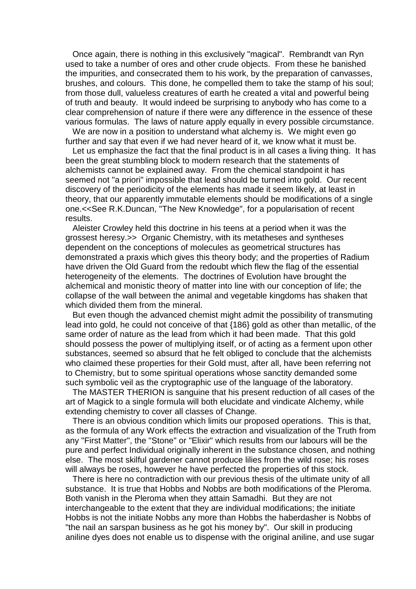Once again, there is nothing in this exclusively "magical". Rembrandt van Ryn used to take a number of ores and other crude objects. From these he banished the impurities, and consecrated them to his work, by the preparation of canvasses, brushes, and colours. This done, he compelled them to take the stamp of his soul; from those dull, valueless creatures of earth he created a vital and powerful being of truth and beauty. It would indeed be surprising to anybody who has come to a clear comprehension of nature if there were any difference in the essence of these various formulas. The laws of nature apply equally in every possible circumstance.

 We are now in a position to understand what alchemy is. We might even go further and say that even if we had never heard of it, we know what it must be.

 Let us emphasize the fact that the final product is in all cases a living thing. It has been the great stumbling block to modern research that the statements of alchemists cannot be explained away. From the chemical standpoint it has seemed not "a priori" impossible that lead should be turned into gold. Our recent discovery of the periodicity of the elements has made it seem likely, at least in theory, that our apparently immutable elements should be modifications of a single one.<<See R.K.Duncan, "The New Knowledge", for a popularisation of recent results.

 Aleister Crowley held this doctrine in his teens at a period when it was the grossest heresy.>> Organic Chemistry, with its metatheses and syntheses dependent on the conceptions of molecules as geometrical structures has demonstrated a praxis which gives this theory body; and the properties of Radium have driven the Old Guard from the redoubt which flew the flag of the essential heterogeneity of the elements. The doctrines of Evolution have brought the alchemical and monistic theory of matter into line with our conception of life; the collapse of the wall between the animal and vegetable kingdoms has shaken that which divided them from the mineral.

 But even though the advanced chemist might admit the possibility of transmuting lead into gold, he could not conceive of that {186} gold as other than metallic, of the same order of nature as the lead from which it had been made. That this gold should possess the power of multiplying itself, or of acting as a ferment upon other substances, seemed so absurd that he felt obliged to conclude that the alchemists who claimed these properties for their Gold must, after all, have been referring not to Chemistry, but to some spiritual operations whose sanctity demanded some such symbolic veil as the cryptographic use of the language of the laboratory.

 The MASTER THERION is sanguine that his present reduction of all cases of the art of Magick to a single formula will both elucidate and vindicate Alchemy, while extending chemistry to cover all classes of Change.

 There is an obvious condition which limits our proposed operations. This is that, as the formula of any Work effects the extraction and visualization of the Truth from any "First Matter", the "Stone" or "Elixir" which results from our labours will be the pure and perfect Individual originally inherent in the substance chosen, and nothing else. The most skilful gardener cannot produce lilies from the wild rose; his roses will always be roses, however he have perfected the properties of this stock.

 There is here no contradiction with our previous thesis of the ultimate unity of all substance. It is true that Hobbs and Nobbs are both modifications of the Pleroma. Both vanish in the Pleroma when they attain Samadhi. But they are not interchangeable to the extent that they are individual modifications; the initiate Hobbs is not the initiate Nobbs any more than Hobbs the haberdasher is Nobbs of "the nail an sarspan business as he got his money by". Our skill in producing aniline dyes does not enable us to dispense with the original aniline, and use sugar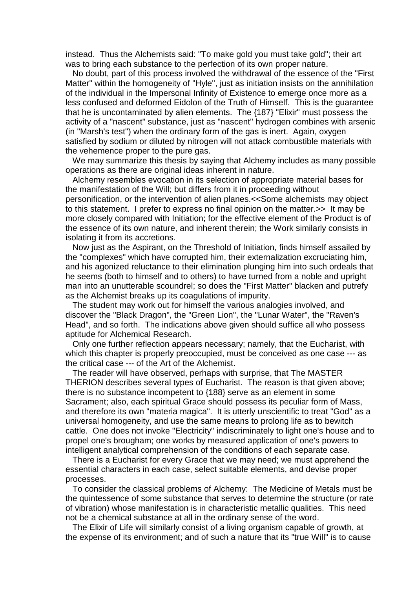instead. Thus the Alchemists said: "To make gold you must take gold"; their art was to bring each substance to the perfection of its own proper nature.

 No doubt, part of this process involved the withdrawal of the essence of the "First Matter" within the homogeneity of "Hyle", just as initiation insists on the annihilation of the individual in the Impersonal Infinity of Existence to emerge once more as a less confused and deformed Eidolon of the Truth of Himself. This is the guarantee that he is uncontaminated by alien elements. The {187} "Elixir" must possess the activity of a "nascent" substance, just as "nascent" hydrogen combines with arsenic (in "Marsh's test") when the ordinary form of the gas is inert. Again, oxygen satisfied by sodium or diluted by nitrogen will not attack combustible materials with the vehemence proper to the pure gas.

 We may summarize this thesis by saying that Alchemy includes as many possible operations as there are original ideas inherent in nature.

 Alchemy resembles evocation in its selection of appropriate material bases for the manifestation of the Will; but differs from it in proceeding without personification, or the intervention of alien planes.<<Some alchemists may object to this statement. I prefer to express no final opinion on the matter.>> It may be more closely compared with Initiation; for the effective element of the Product is of the essence of its own nature, and inherent therein; the Work similarly consists in isolating it from its accretions.

 Now just as the Aspirant, on the Threshold of Initiation, finds himself assailed by the "complexes" which have corrupted him, their externalization excruciating him, and his agonized reluctance to their elimination plunging him into such ordeals that he seems (both to himself and to others) to have turned from a noble and upright man into an unutterable scoundrel; so does the "First Matter" blacken and putrefy as the Alchemist breaks up its coagulations of impurity.

 The student may work out for himself the various analogies involved, and discover the "Black Dragon", the "Green Lion", the "Lunar Water", the "Raven's Head", and so forth. The indications above given should suffice all who possess aptitude for Alchemical Research.

 Only one further reflection appears necessary; namely, that the Eucharist, with which this chapter is properly preoccupied, must be conceived as one case --- as the critical case --- of the Art of the Alchemist.

 The reader will have observed, perhaps with surprise, that The MASTER THERION describes several types of Eucharist. The reason is that given above; there is no substance incompetent to {188} serve as an element in some Sacrament; also, each spiritual Grace should possess its peculiar form of Mass, and therefore its own "materia magica". It is utterly unscientific to treat "God" as a universal homogeneity, and use the same means to prolong life as to bewitch cattle. One does not invoke "Electricity" indiscriminately to light one's house and to propel one's brougham; one works by measured application of one's powers to intelligent analytical comprehension of the conditions of each separate case.

 There is a Eucharist for every Grace that we may need; we must apprehend the essential characters in each case, select suitable elements, and devise proper processes.

 To consider the classical problems of Alchemy: The Medicine of Metals must be the quintessence of some substance that serves to determine the structure (or rate of vibration) whose manifestation is in characteristic metallic qualities. This need not be a chemical substance at all in the ordinary sense of the word.

 The Elixir of Life will similarly consist of a living organism capable of growth, at the expense of its environment; and of such a nature that its "true Will" is to cause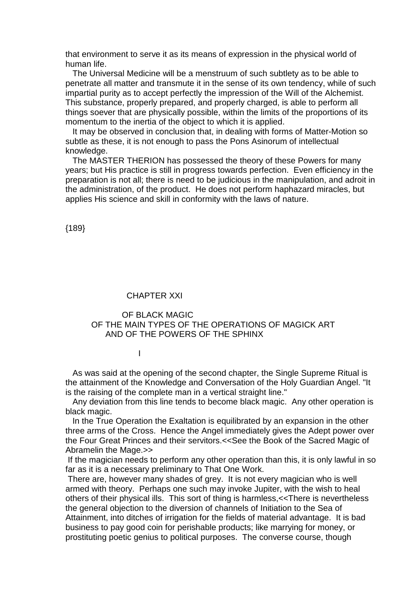that environment to serve it as its means of expression in the physical world of human life.

 The Universal Medicine will be a menstruum of such subtlety as to be able to penetrate all matter and transmute it in the sense of its own tendency, while of such impartial purity as to accept perfectly the impression of the Will of the Alchemist. This substance, properly prepared, and properly charged, is able to perform all things soever that are physically possible, within the limits of the proportions of its momentum to the inertia of the object to which it is applied.

 It may be observed in conclusion that, in dealing with forms of Matter-Motion so subtle as these, it is not enough to pass the Pons Asinorum of intellectual knowledge.

 The MASTER THERION has possessed the theory of these Powers for many years; but His practice is still in progress towards perfection. Even efficiency in the preparation is not all; there is need to be judicious in the manipulation, and adroit in the administration, of the product. He does not perform haphazard miracles, but applies His science and skill in conformity with the laws of nature.

{189}

### CHAPTER XXI

## OF BLACK MAGIC OF THE MAIN TYPES OF THE OPERATIONS OF MAGICK ART AND OF THE POWERS OF THE SPHINX

**In the contract of the Contract of the Contract of the Contract of the Contract of the Contract of the Contract of the Contract of the Contract of the Contract of the Contract of the Contract of the Contract of the Contra** 

 As was said at the opening of the second chapter, the Single Supreme Ritual is the attainment of the Knowledge and Conversation of the Holy Guardian Angel. "It is the raising of the complete man in a vertical straight line."

 Any deviation from this line tends to become black magic. Any other operation is black magic.

 In the True Operation the Exaltation is equilibrated by an expansion in the other three arms of the Cross. Hence the Angel immediately gives the Adept power over the Four Great Princes and their servitors.<<See the Book of the Sacred Magic of Abramelin the Mage.>>

 If the magician needs to perform any other operation than this, it is only lawful in so far as it is a necessary preliminary to That One Work.

 There are, however many shades of grey. It is not every magician who is well armed with theory. Perhaps one such may invoke Jupiter, with the wish to heal others of their physical ills. This sort of thing is harmless,<<There is nevertheless the general objection to the diversion of channels of Initiation to the Sea of Attainment, into ditches of irrigation for the fields of material advantage. It is bad business to pay good coin for perishable products; like marrying for money, or prostituting poetic genius to political purposes. The converse course, though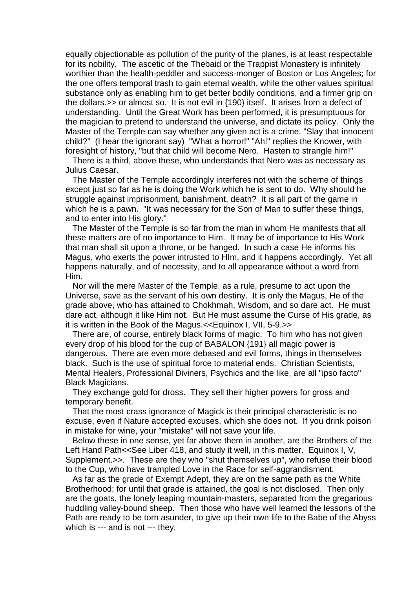equally objectionable as pollution of the purity of the planes, is at least respectable for its nobility. The ascetic of the Thebaid or the Trappist Monastery is infinitely worthier than the health-peddler and success-monger of Boston or Los Angeles; for the one offers temporal trash to gain eternal wealth, while the other values spiritual substance only as enabling him to get better bodily conditions, and a firmer grip on the dollars.>> or almost so. It is not evil in {190} itself. It arises from a defect of understanding. Until the Great Work has been performed, it is presumptuous for the magician to pretend to understand the universe, and dictate its policy. Only the Master of the Temple can say whether any given act is a crime. "Slay that innocent child?" (I hear the ignorant say) "What a horror!" "Ah!" replies the Knower, with foresight of history, "but that child will become Nero. Hasten to strangle him!"

 There is a third, above these, who understands that Nero was as necessary as Julius Caesar.

 The Master of the Temple accordingly interferes not with the scheme of things except just so far as he is doing the Work which he is sent to do. Why should he struggle against imprisonment, banishment, death? It is all part of the game in which he is a pawn. "It was necessary for the Son of Man to suffer these things, and to enter into His glory."

 The Master of the Temple is so far from the man in whom He manifests that all these matters are of no importance to Him. It may be of importance to His Work that man shall sit upon a throne, or be hanged. In such a case He informs his Magus, who exerts the power intrusted to HIm, and it happens accordingly. Yet all happens naturally, and of necessity, and to all appearance without a word from Him.

 Nor will the mere Master of the Temple, as a rule, presume to act upon the Universe, save as the servant of his own destiny. It is only the Magus, He of the grade above, who has attained to Chokhmah, Wisdom, and so dare act. He must dare act, although it like Him not. But He must assume the Curse of His grade, as it is written in the Book of the Magus.<<Equinox I, VII, 5-9.>>

 There are, of course, entirely black forms of magic. To him who has not given every drop of his blood for the cup of BABALON {191} all magic power is dangerous. There are even more debased and evil forms, things in themselves black. Such is the use of spiritual force to material ends. Christian Scientists, Mental Healers, Professional Diviners, Psychics and the like, are all "ipso facto" Black Magicians.

 They exchange gold for dross. They sell their higher powers for gross and temporary benefit.

 That the most crass ignorance of Magick is their principal characteristic is no excuse, even if Nature accepted excuses, which she does not. If you drink poison in mistake for wine, your "mistake" will not save your life.

 Below these in one sense, yet far above them in another, are the Brothers of the Left Hand Path<<See Liber 418, and study it well, in this matter. Equinox I, V, Supplement.>>. These are they who "shut themselves up", who refuse their blood to the Cup, who have trampled Love in the Race for self-aggrandisment.

 As far as the grade of Exempt Adept, they are on the same path as the White Brotherhood; for until that grade is attained, the goal is not disclosed. Then only are the goats, the lonely leaping mountain-masters, separated from the gregarious huddling valley-bound sheep. Then those who have well learned the lessons of the Path are ready to be torn asunder, to give up their own life to the Babe of the Abyss which is --- and is not --- they.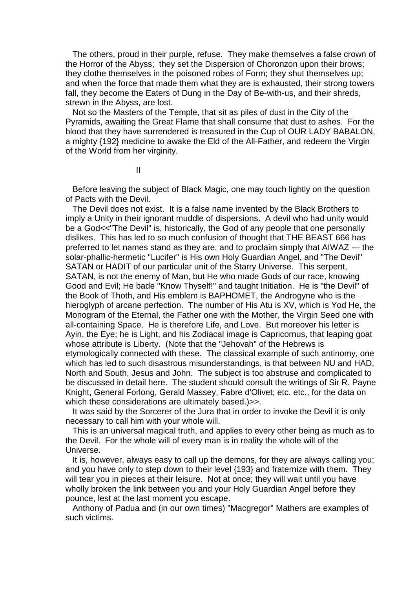The others, proud in their purple, refuse. They make themselves a false crown of the Horror of the Abyss; they set the Dispersion of Choronzon upon their brows; they clothe themselves in the poisoned robes of Form; they shut themselves up; and when the force that made them what they are is exhausted, their strong towers fall, they become the Eaters of Dung in the Day of Be-with-us, and their shreds, strewn in the Abyss, are lost.

 Not so the Masters of the Temple, that sit as piles of dust in the City of the Pyramids, awaiting the Great Flame that shall consume that dust to ashes. For the blood that they have surrendered is treasured in the Cup of OUR LADY BABALON, a mighty {192} medicine to awake the Eld of the All-Father, and redeem the Virgin of the World from her virginity.

**III** and the state of the III

 Before leaving the subject of Black Magic, one may touch lightly on the question of Pacts with the Devil.

 The Devil does not exist. It is a false name invented by the Black Brothers to imply a Unity in their ignorant muddle of dispersions. A devil who had unity would be a God<<"The Devil" is, historically, the God of any people that one personally dislikes. This has led to so much confusion of thought that THE BEAST 666 has preferred to let names stand as they are, and to proclaim simply that AIWAZ --- the solar-phallic-hermetic "Lucifer" is His own Holy Guardian Angel, and "The Devil" SATAN or HADIT of our particular unit of the Starry Universe. This serpent, SATAN, is not the enemy of Man, but He who made Gods of our race, knowing Good and Evil; He bade "Know Thyself!" and taught Initiation. He is "the Devil" of the Book of Thoth, and His emblem is BAPHOMET, the Androgyne who is the hieroglyph of arcane perfection. The number of His Atu is XV, which is Yod He, the Monogram of the Eternal, the Father one with the Mother, the Virgin Seed one with all-containing Space. He is therefore Life, and Love. But moreover his letter is Ayin, the Eye; he is Light, and his Zodiacal image is Capricornus, that leaping goat whose attribute is Liberty. (Note that the "Jehovah" of the Hebrews is etymologically connected with these. The classical example of such antinomy, one which has led to such disastrous misunderstandings, is that between NU and HAD, North and South, Jesus and John. The subject is too abstruse and complicated to be discussed in detail here. The student should consult the writings of Sir R. Payne Knight, General Forlong, Gerald Massey, Fabre d'Olivet; etc. etc., for the data on which these considerations are ultimately based.)>>.

 It was said by the Sorcerer of the Jura that in order to invoke the Devil it is only necessary to call him with your whole will.

 This is an universal magical truth, and applies to every other being as much as to the Devil. For the whole will of every man is in reality the whole will of the Universe.

 It is, however, always easy to call up the demons, for they are always calling you; and you have only to step down to their level {193} and fraternize with them. They will tear you in pieces at their leisure. Not at once; they will wait until you have wholly broken the link between you and your Holy Guardian Angel before they pounce, lest at the last moment you escape.

 Anthony of Padua and (in our own times) "Macgregor" Mathers are examples of such victims.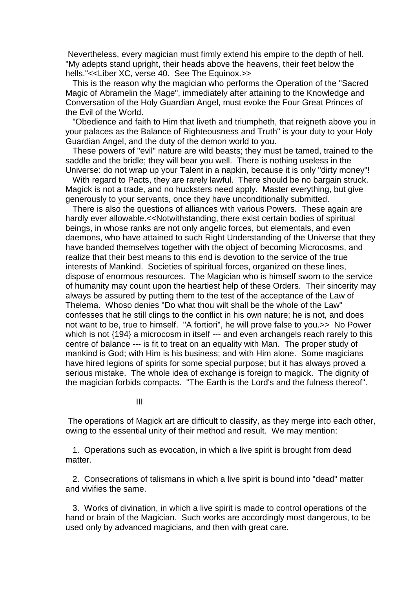Nevertheless, every magician must firmly extend his empire to the depth of hell. "My adepts stand upright, their heads above the heavens, their feet below the hells."<<Liber XC, verse 40. See The Equinox.>>

 This is the reason why the magician who performs the Operation of the "Sacred Magic of Abramelin the Mage", immediately after attaining to the Knowledge and Conversation of the Holy Guardian Angel, must evoke the Four Great Princes of the Evil of the World.

 "Obedience and faith to Him that liveth and triumpheth, that reigneth above you in your palaces as the Balance of Righteousness and Truth" is your duty to your Holy Guardian Angel, and the duty of the demon world to you.

 These powers of "evil" nature are wild beasts; they must be tamed, trained to the saddle and the bridle; they will bear you well. There is nothing useless in the Universe: do not wrap up your Talent in a napkin, because it is only "dirty money"!

 With regard to Pacts, they are rarely lawful. There should be no bargain struck. Magick is not a trade, and no hucksters need apply. Master everything, but give generously to your servants, once they have unconditionally submitted.

 There is also the questions of alliances with various Powers. These again are hardly ever allowable.<<Notwithstanding, there exist certain bodies of spiritual beings, in whose ranks are not only angelic forces, but elementals, and even daemons, who have attained to such Right Understanding of the Universe that they have banded themselves together with the object of becoming Microcosms, and realize that their best means to this end is devotion to the service of the true interests of Mankind. Societies of spiritual forces, organized on these lines, dispose of enormous resources. The Magician who is himself sworn to the service of humanity may count upon the heartiest help of these Orders. Their sincerity may always be assured by putting them to the test of the acceptance of the Law of Thelema. Whoso denies "Do what thou wilt shall be the whole of the Law" confesses that he still clings to the conflict in his own nature; he is not, and does not want to be, true to himself. "A fortiori", he will prove false to you.>> No Power which is not {194} a microcosm in itself --- and even archangels reach rarely to this centre of balance --- is fit to treat on an equality with Man. The proper study of mankind is God; with Him is his business; and with Him alone. Some magicians have hired legions of spirits for some special purpose; but it has always proved a serious mistake. The whole idea of exchange is foreign to magick. The dignity of the magician forbids compacts. "The Earth is the Lord's and the fulness thereof".

**III** and the state of the **III** 

 The operations of Magick art are difficult to classify, as they merge into each other, owing to the essential unity of their method and result. We may mention:

 1. Operations such as evocation, in which a live spirit is brought from dead matter.

 2. Consecrations of talismans in which a live spirit is bound into "dead" matter and vivifies the same.

 3. Works of divination, in which a live spirit is made to control operations of the hand or brain of the Magician. Such works are accordingly most dangerous, to be used only by advanced magicians, and then with great care.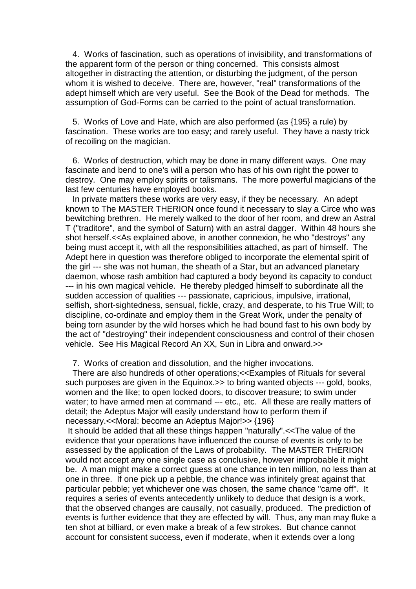4. Works of fascination, such as operations of invisibility, and transformations of the apparent form of the person or thing concerned. This consists almost altogether in distracting the attention, or disturbing the judgment, of the person whom it is wished to deceive. There are, however, "real" transformations of the adept himself which are very useful. See the Book of the Dead for methods. The assumption of God-Forms can be carried to the point of actual transformation.

 5. Works of Love and Hate, which are also performed (as {195} a rule) by fascination. These works are too easy; and rarely useful. They have a nasty trick of recoiling on the magician.

 6. Works of destruction, which may be done in many different ways. One may fascinate and bend to one's will a person who has of his own right the power to destroy. One may employ spirits or talismans. The more powerful magicians of the last few centuries have employed books.

 In private matters these works are very easy, if they be necessary. An adept known to The MASTER THERION once found it necessary to slay a Circe who was bewitching brethren. He merely walked to the door of her room, and drew an Astral T ("traditore", and the symbol of Saturn) with an astral dagger. Within 48 hours she shot herself.<<As explained above, in another connexion, he who "destroys" any being must accept it, with all the responsibilities attached, as part of himself. The Adept here in question was therefore obliged to incorporate the elemental spirit of the girl --- she was not human, the sheath of a Star, but an advanced planetary daemon, whose rash ambition had captured a body beyond its capacity to conduct --- in his own magical vehicle. He thereby pledged himself to subordinate all the sudden accession of qualities --- passionate, capricious, impulsive, irrational, selfish, short-sightedness, sensual, fickle, crazy, and desperate, to his True Will; to discipline, co-ordinate and employ them in the Great Work, under the penalty of being torn asunder by the wild horses which he had bound fast to his own body by the act of "destroying" their independent consciousness and control of their chosen vehicle. See His Magical Record An XX, Sun in Libra and onward.>>

7. Works of creation and dissolution, and the higher invocations.

 There are also hundreds of other operations;<<Examples of Rituals for several such purposes are given in the Equinox.>> to bring wanted objects --- gold, books, women and the like; to open locked doors, to discover treasure; to swim under water; to have armed men at command --- etc., etc. All these are really matters of detail; the Adeptus Major will easily understand how to perform them if necessary.<<Moral: become an Adeptus Major!>> {196}

 It should be added that all these things happen "naturally".<<The value of the evidence that your operations have influenced the course of events is only to be assessed by the application of the Laws of probability. The MASTER THERION would not accept any one single case as conclusive, however improbable it might be. A man might make a correct guess at one chance in ten million, no less than at one in three. If one pick up a pebble, the chance was infinitely great against that particular pebble; yet whichever one was chosen, the same chance "came off". It requires a series of events antecedently unlikely to deduce that design is a work, that the observed changes are causally, not casually, produced. The prediction of events is further evidence that they are effected by will. Thus, any man may fluke a ten shot at billiard, or even make a break of a few strokes. But chance cannot account for consistent success, even if moderate, when it extends over a long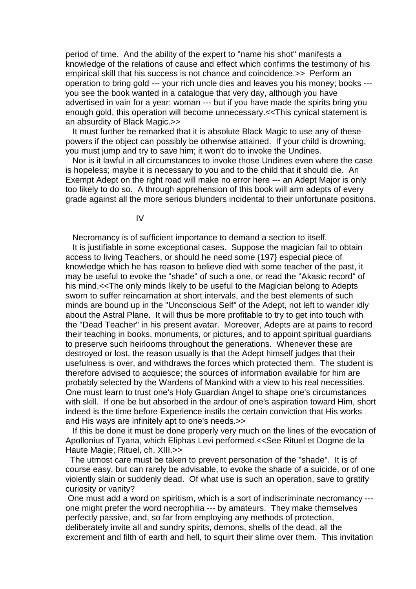period of time. And the ability of the expert to "name his shot" manifests a knowledge of the relations of cause and effect which confirms the testimony of his empirical skill that his success is not chance and coincidence.>> Perform an operation to bring gold --- your rich uncle dies and leaves you his money; books -- you see the book wanted in a catalogue that very day, although you have advertised in vain for a year; woman --- but if you have made the spirits bring you enough gold, this operation will become unnecessary.<<This cynical statement is an absurdity of Black Magic.>>

 It must further be remarked that it is absolute Black Magic to use any of these powers if the object can possibly be otherwise attained. If your child is drowning, you must jump and try to save him; it won't do to invoke the Undines.

 Nor is it lawful in all circumstances to invoke those Undines even where the case is hopeless; maybe it is necessary to you and to the child that it should die. An Exempt Adept on the right road will make no error here --- an Adept Major is only too likely to do so. A through apprehension of this book will arm adepts of every grade against all the more serious blunders incidental to their unfortunate positions.

**IV IV** 

Necromancy is of sufficient importance to demand a section to itself.

 It is justifiable in some exceptional cases. Suppose the magician fail to obtain access to living Teachers, or should he need some {197} especial piece of knowledge which he has reason to believe died with some teacher of the past, it may be useful to evoke the "shade" of such a one, or read the "Akasic record" of his mind.<<The only minds likely to be useful to the Magician belong to Adepts sworn to suffer reincarnation at short intervals, and the best elements of such minds are bound up in the "Unconscious Self" of the Adept, not left to wander idly about the Astral Plane. It will thus be more profitable to try to get into touch with the "Dead Teacher" in his present avatar. Moreover, Adepts are at pains to record their teaching in books, monuments, or pictures, and to appoint spiritual guardians to preserve such heirlooms throughout the generations. Whenever these are destroyed or lost, the reason usually is that the Adept himself judges that their usefulness is over, and withdraws the forces which protected them. The student is therefore advised to acquiesce; the sources of information available for him are probably selected by the Wardens of Mankind with a view to his real necessities. One must learn to trust one's Holy Guardian Angel to shape one's circumstances with skill. If one be but absorbed in the ardour of one's aspiration toward Him, short indeed is the time before Experience instils the certain conviction that His works and His ways are infinitely apt to one's needs.>>

 If this be done it must be done properly very much on the lines of the evocation of Apollonius of Tyana, which Eliphas Levi performed.<<See Rituel et Dogme de la Haute Magie; Rituel, ch. XIII.>>

 The utmost care must be taken to prevent personation of the "shade". It is of course easy, but can rarely be advisable, to evoke the shade of a suicide, or of one violently slain or suddenly dead. Of what use is such an operation, save to gratify curiosity or vanity?

 One must add a word on spiritism, which is a sort of indiscriminate necromancy -- one might prefer the word necrophilia --- by amateurs. They make themselves perfectly passive, and, so far from employing any methods of protection, deliberately invite all and sundry spirits, demons, shells of the dead, all the excrement and filth of earth and hell, to squirt their slime over them. This invitation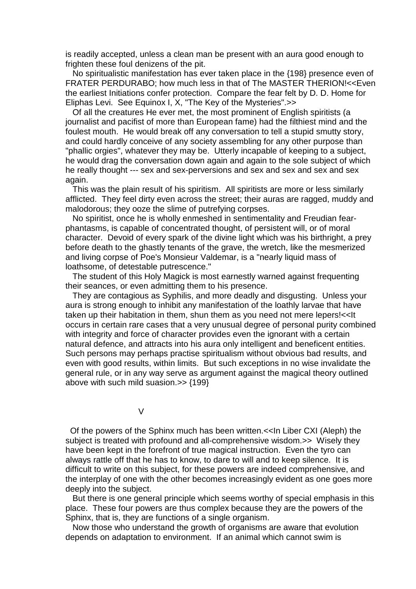is readily accepted, unless a clean man be present with an aura good enough to frighten these foul denizens of the pit.

 No spiritualistic manifestation has ever taken place in the {198} presence even of FRATER PERDURABO; how much less in that of The MASTER THERION!<<Even the earliest Initiations confer protection. Compare the fear felt by D. D. Home for Eliphas Levi. See Equinox I, X, "The Key of the Mysteries".>>

 Of all the creatures He ever met, the most prominent of English spiritists (a journalist and pacifist of more than European fame) had the filthiest mind and the foulest mouth. He would break off any conversation to tell a stupid smutty story, and could hardly conceive of any society assembling for any other purpose than "phallic orgies", whatever they may be. Utterly incapable of keeping to a subject, he would drag the conversation down again and again to the sole subject of which he really thought --- sex and sex-perversions and sex and sex and sex and sex again.

 This was the plain result of his spiritism. All spiritists are more or less similarly afflicted. They feel dirty even across the street; their auras are ragged, muddy and malodorous; they ooze the slime of putrefying corpses.

 No spiritist, once he is wholly enmeshed in sentimentality and Freudian fearphantasms, is capable of concentrated thought, of persistent will, or of moral character. Devoid of every spark of the divine light which was his birthright, a prey before death to the ghastly tenants of the grave, the wretch, like the mesmerized and living corpse of Poe's Monsieur Valdemar, is a "nearly liquid mass of loathsome, of detestable putrescence."

 The student of this Holy Magick is most earnestly warned against frequenting their seances, or even admitting them to his presence.

 They are contagious as Syphilis, and more deadly and disgusting. Unless your aura is strong enough to inhibit any manifestation of the loathly larvae that have taken up their habitation in them, shun them as you need not mere lepers!<<It occurs in certain rare cases that a very unusual degree of personal purity combined with integrity and force of character provides even the ignorant with a certain natural defence, and attracts into his aura only intelligent and beneficent entities. Such persons may perhaps practise spiritualism without obvious bad results, and even with good results, within limits. But such exceptions in no wise invalidate the general rule, or in any way serve as argument against the magical theory outlined above with such mild suasion.>> {199}

V

 Of the powers of the Sphinx much has been written.<<In Liber CXI (Aleph) the subject is treated with profound and all-comprehensive wisdom.>> Wisely they have been kept in the forefront of true magical instruction. Even the tyro can always rattle off that he has to know, to dare to will and to keep silence. It is difficult to write on this subject, for these powers are indeed comprehensive, and the interplay of one with the other becomes increasingly evident as one goes more deeply into the subject.

 But there is one general principle which seems worthy of special emphasis in this place. These four powers are thus complex because they are the powers of the Sphinx, that is, they are functions of a single organism.

 Now those who understand the growth of organisms are aware that evolution depends on adaptation to environment. If an animal which cannot swim is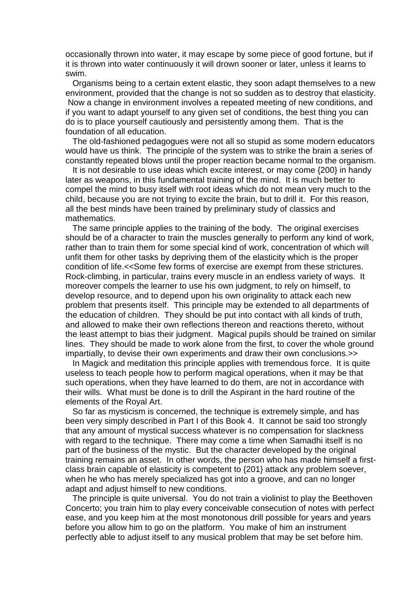occasionally thrown into water, it may escape by some piece of good fortune, but if it is thrown into water continuously it will drown sooner or later, unless it learns to swim.

 Organisms being to a certain extent elastic, they soon adapt themselves to a new environment, provided that the change is not so sudden as to destroy that elasticity. Now a change in environment involves a repeated meeting of new conditions, and if you want to adapt yourself to any given set of conditions, the best thing you can do is to place yourself cautiously and persistently among them. That is the foundation of all education.

 The old-fashioned pedagogues were not all so stupid as some modern educators would have us think. The principle of the system was to strike the brain a series of constantly repeated blows until the proper reaction became normal to the organism.

 It is not desirable to use ideas which excite interest, or may come {200} in handy later as weapons, in this fundamental training of the mind. It is much better to compel the mind to busy itself with root ideas which do not mean very much to the child, because you are not trying to excite the brain, but to drill it. For this reason, all the best minds have been trained by preliminary study of classics and mathematics.

 The same principle applies to the training of the body. The original exercises should be of a character to train the muscles generally to perform any kind of work, rather than to train them for some special kind of work, concentration of which will unfit them for other tasks by depriving them of the elasticity which is the proper condition of life.<<Some few forms of exercise are exempt from these strictures. Rock-climbing, in particular, trains every muscle in an endless variety of ways. It moreover compels the learner to use his own judgment, to rely on himself, to develop resource, and to depend upon his own originality to attack each new problem that presents itself. This principle may be extended to all departments of the education of children. They should be put into contact with all kinds of truth, and allowed to make their own reflections thereon and reactions thereto, without the least attempt to bias their judgment. Magical pupils should be trained on similar lines. They should be made to work alone from the first, to cover the whole ground impartially, to devise their own experiments and draw their own conclusions.>>

 In Magick and meditation this principle applies with tremendous force. It is quite useless to teach people how to perform magical operations, when it may be that such operations, when they have learned to do them, are not in accordance with their wills. What must be done is to drill the Aspirant in the hard routine of the elements of the Royal Art.

 So far as mysticism is concerned, the technique is extremely simple, and has been very simply described in Part I of this Book 4. It cannot be said too strongly that any amount of mystical success whatever is no compensation for slackness with regard to the technique. There may come a time when Samadhi itself is no part of the business of the mystic. But the character developed by the original training remains an asset. In other words, the person who has made himself a firstclass brain capable of elasticity is competent to {201} attack any problem soever, when he who has merely specialized has got into a groove, and can no longer adapt and adjust himself to new conditions.

 The principle is quite universal. You do not train a violinist to play the Beethoven Concerto; you train him to play every conceivable consecution of notes with perfect ease, and you keep him at the most monotonous drill possible for years and years before you allow him to go on the platform. You make of him an instrument perfectly able to adjust itself to any musical problem that may be set before him.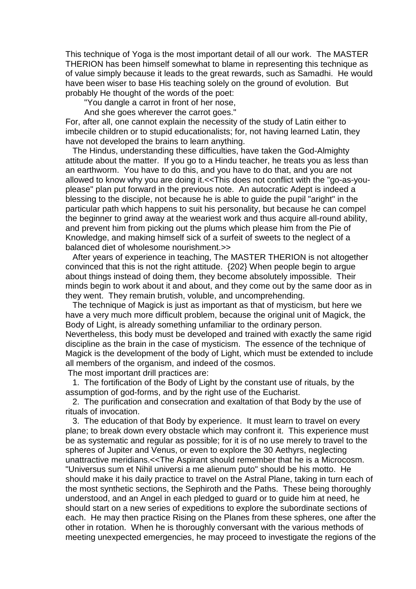This technique of Yoga is the most important detail of all our work. The MASTER THERION has been himself somewhat to blame in representing this technique as of value simply because it leads to the great rewards, such as Samadhi. He would have been wiser to base His teaching solely on the ground of evolution. But probably He thought of the words of the poet:

"You dangle a carrot in front of her nose,

And she goes wherever the carrot goes."

For, after all, one cannot explain the necessity of the study of Latin either to imbecile children or to stupid educationalists; for, not having learned Latin, they have not developed the brains to learn anything.

 The Hindus, understanding these difficulties, have taken the God-Almighty attitude about the matter. If you go to a Hindu teacher, he treats you as less than an earthworm. You have to do this, and you have to do that, and you are not allowed to know why you are doing it.<<This does not conflict with the "go-as-youplease" plan put forward in the previous note. An autocratic Adept is indeed a blessing to the disciple, not because he is able to guide the pupil "aright" in the particular path which happens to suit his personality, but because he can compel the beginner to grind away at the weariest work and thus acquire all-round ability, and prevent him from picking out the plums which please him from the Pie of Knowledge, and making himself sick of a surfeit of sweets to the neglect of a balanced diet of wholesome nourishment.>>

 After years of experience in teaching, The MASTER THERION is not altogether convinced that this is not the right attitude. {202} When people begin to argue about things instead of doing them, they become absolutely impossible. Their minds begin to work about it and about, and they come out by the same door as in they went. They remain brutish, voluble, and uncomprehending.

 The technique of Magick is just as important as that of mysticism, but here we have a very much more difficult problem, because the original unit of Magick, the Body of Light, is already something unfamiliar to the ordinary person. Nevertheless, this body must be developed and trained with exactly the same rigid discipline as the brain in the case of mysticism. The essence of the technique of Magick is the development of the body of Light, which must be extended to include all members of the organism, and indeed of the cosmos.

The most important drill practices are:

 1. The fortification of the Body of Light by the constant use of rituals, by the assumption of god-forms, and by the right use of the Eucharist.

 2. The purification and consecration and exaltation of that Body by the use of rituals of invocation.

 3. The education of that Body by experience. It must learn to travel on every plane; to break down every obstacle which may confront it. This experience must be as systematic and regular as possible; for it is of no use merely to travel to the spheres of Jupiter and Venus, or even to explore the 30 Aethyrs, neglecting unattractive meridians.<<The Aspirant should remember that he is a Microcosm. "Universus sum et Nihil universi a me alienum puto" should be his motto. He should make it his daily practice to travel on the Astral Plane, taking in turn each of the most synthetic sections, the Sephiroth and the Paths. These being thoroughly understood, and an Angel in each pledged to guard or to guide him at need, he should start on a new series of expeditions to explore the subordinate sections of each. He may then practice Rising on the Planes from these spheres, one after the other in rotation. When he is thoroughly conversant with the various methods of meeting unexpected emergencies, he may proceed to investigate the regions of the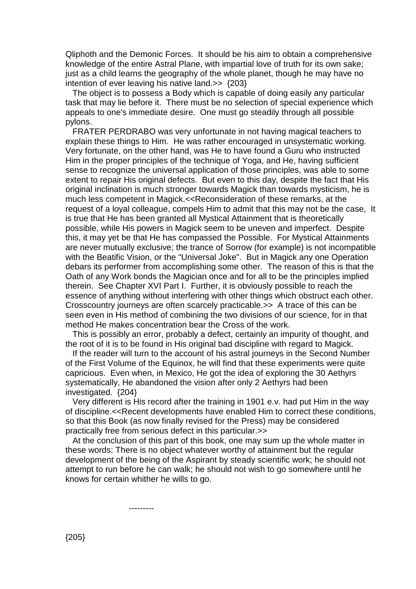Qliphoth and the Demonic Forces. It should be his aim to obtain a comprehensive knowledge of the entire Astral Plane, with impartial love of truth for its own sake; just as a child learns the geography of the whole planet, though he may have no intention of ever leaving his native land.>> {203}

 The object is to possess a Body which is capable of doing easily any particular task that may lie before it. There must be no selection of special experience which appeals to one's immediate desire. One must go steadily through all possible pylons.

 FRATER PERDRABO was very unfortunate in not having magical teachers to explain these things to Him. He was rather encouraged in unsystematic working. Very fortunate, on the other hand, was He to have found a Guru who instructed Him in the proper principles of the technique of Yoga, and He, having sufficient sense to recognize the universal application of those principles, was able to some extent to repair His original defects. But even to this day, despite the fact that His original inclination is much stronger towards Magick than towards mysticism, he is much less competent in Magick.<<Reconsideration of these remarks, at the request of a loyal colleague, compels Him to admit that this may not be the case, It is true that He has been granted all Mystical Attainment that is theoretically possible, while His powers in Magick seem to be uneven and imperfect. Despite this, it may yet be that He has compassed the Possible. For Mystical Attainments are never mutually exclusive; the trance of Sorrow (for example) is not incompatible with the Beatific Vision, or the "Universal Joke". But in Magick any one Operation debars its performer from accomplishing some other. The reason of this is that the Oath of any Work bonds the Magician once and for all to be the principles implied therein. See Chapter XVI Part I. Further, it is obviously possible to reach the essence of anything without interfering with other things which obstruct each other. Crosscountry journeys are often scarcely practicable.>> A trace of this can be seen even in His method of combining the two divisions of our science, for in that method He makes concentration bear the Cross of the work.

 This is possibly an error, probably a defect, certainly an impurity of thought, and the root of it is to be found in His original bad discipline with regard to Magick.

 If the reader will turn to the account of his astral journeys in the Second Number of the First Volume of the Equinox, he will find that these experiments were quite capricious. Even when, in Mexico, He got the idea of exploring the 30 Aethyrs systematically, He abandoned the vision after only 2 Aethyrs had been investigated. {204}

 Very different is His record after the training in 1901 e.v. had put Him in the way of discipline.<<Recent developments have enabled Him to correct these conditions, so that this Book (as now finally revised for the Press) may be considered practically free from serious defect in this particular.>>

 At the conclusion of this part of this book, one may sum up the whole matter in these words: There is no object whatever worthy of attainment but the regular development of the being of the Aspirant by steady scientific work; he should not attempt to run before he can walk; he should not wish to go somewhere until he knows for certain whither he wills to go.

---------

{205}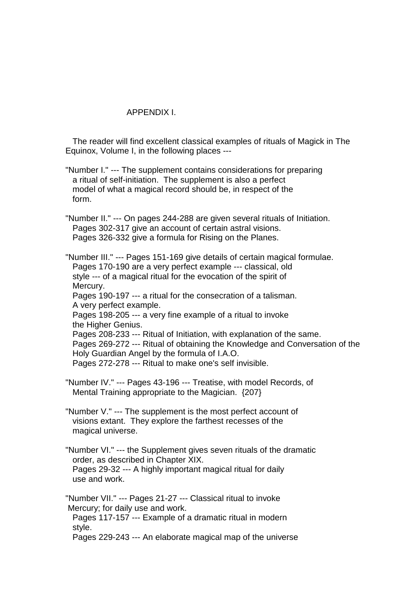## APPENDIX I.

 The reader will find excellent classical examples of rituals of Magick in The Equinox, Volume I, in the following places ---

"Number I." --- The supplement contains considerations for preparing a ritual of self-initiation. The supplement is also a perfect model of what a magical record should be, in respect of the form.

"Number II." --- On pages 244-288 are given several rituals of Initiation. Pages 302-317 give an account of certain astral visions. Pages 326-332 give a formula for Rising on the Planes.

"Number III." --- Pages 151-169 give details of certain magical formulae. Pages 170-190 are a very perfect example --- classical, old style --- of a magical ritual for the evocation of the spirit of Mercury. Pages 190-197 --- a ritual for the consecration of a talisman. A very perfect example. Pages 198-205 --- a very fine example of a ritual to invoke the Higher Genius. Pages 208-233 --- Ritual of Initiation, with explanation of the same. Pages 269-272 --- Ritual of obtaining the Knowledge and Conversation of the Holy Guardian Angel by the formula of I.A.O. Pages 272-278 --- Ritual to make one's self invisible.

"Number IV." --- Pages 43-196 --- Treatise, with model Records, of Mental Training appropriate to the Magician. {207}

"Number V." --- The supplement is the most perfect account of visions extant. They explore the farthest recesses of the magical universe.

"Number VI." --- the Supplement gives seven rituals of the dramatic order, as described in Chapter XIX. Pages 29-32 --- A highly important magical ritual for daily use and work.

"Number VII." --- Pages 21-27 --- Classical ritual to invoke Mercury; for daily use and work. Pages 117-157 --- Example of a dramatic ritual in modern style. Pages 229-243 --- An elaborate magical map of the universe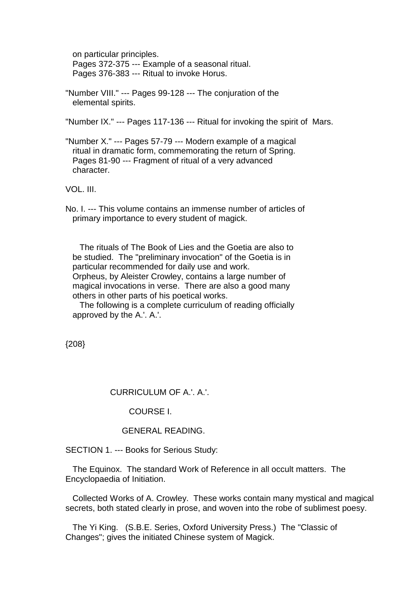on particular principles. Pages 372-375 --- Example of a seasonal ritual. Pages 376-383 --- Ritual to invoke Horus.

"Number VIII." --- Pages 99-128 --- The conjuration of the elemental spirits.

"Number IX." --- Pages 117-136 --- Ritual for invoking the spirit of Mars.

"Number X." --- Pages 57-79 --- Modern example of a magical ritual in dramatic form, commemorating the return of Spring. Pages 81-90 --- Fragment of ritual of a very advanced character.

VOL. III.

No. I. --- This volume contains an immense number of articles of primary importance to every student of magick.

 The rituals of The Book of Lies and the Goetia are also to be studied. The "preliminary invocation" of the Goetia is in particular recommended for daily use and work. Orpheus, by Aleister Crowley, contains a large number of magical invocations in verse. There are also a good many others in other parts of his poetical works.

 The following is a complete curriculum of reading officially approved by the A.'. A.'.

{208}

CURRICULUM OF A.'. A.'.

COURSE I.

# GENERAL READING.

SECTION 1. --- Books for Serious Study:

 The Equinox. The standard Work of Reference in all occult matters. The Encyclopaedia of Initiation.

 Collected Works of A. Crowley. These works contain many mystical and magical secrets, both stated clearly in prose, and woven into the robe of sublimest poesy.

 The Yi King. (S.B.E. Series, Oxford University Press.) The "Classic of Changes"; gives the initiated Chinese system of Magick.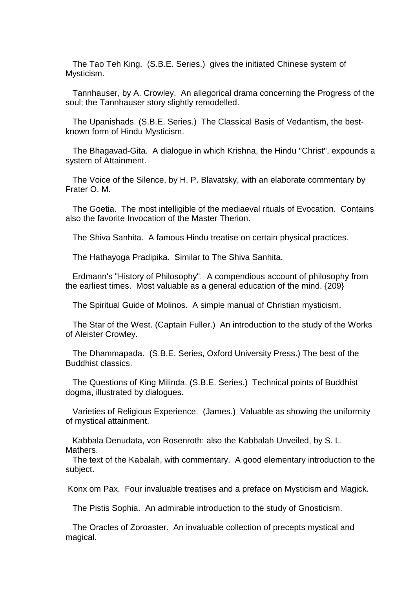The Tao Teh King. (S.B.E. Series.) gives the initiated Chinese system of Mysticism.

 Tannhauser, by A. Crowley. An allegorical drama concerning the Progress of the soul; the Tannhauser story slightly remodelled.

 The Upanishads. (S.B.E. Series.) The Classical Basis of Vedantism, the bestknown form of Hindu Mysticism.

 The Bhagavad-Gita. A dialogue in which Krishna, the Hindu "Christ", expounds a system of Attainment.

 The Voice of the Silence, by H. P. Blavatsky, with an elaborate commentary by Frater O. M.

 The Goetia. The most intelligible of the mediaeval rituals of Evocation. Contains also the favorite Invocation of the Master Therion.

The Shiva Sanhita. A famous Hindu treatise on certain physical practices.

The Hathayoga Pradipika. Similar to The Shiva Sanhita.

 Erdmann's "History of Philosophy". A compendious account of philosophy from the earliest times. Most valuable as a general education of the mind. {209}

The Spiritual Guide of Molinos. A simple manual of Christian mysticism.

 The Star of the West. (Captain Fuller.) An introduction to the study of the Works of Aleister Crowley.

 The Dhammapada. (S.B.E. Series, Oxford University Press.) The best of the Buddhist classics.

 The Questions of King Milinda. (S.B.E. Series.) Technical points of Buddhist dogma, illustrated by dialogues.

 Varieties of Religious Experience. (James.) Valuable as showing the uniformity of mystical attainment.

 Kabbala Denudata, von Rosenroth: also the Kabbalah Unveiled, by S. L. Mathers.

 The text of the Kabalah, with commentary. A good elementary introduction to the subject.

Konx om Pax. Four invaluable treatises and a preface on Mysticism and Magick.

The Pistis Sophia. An admirable introduction to the study of Gnosticism.

 The Oracles of Zoroaster. An invaluable collection of precepts mystical and magical.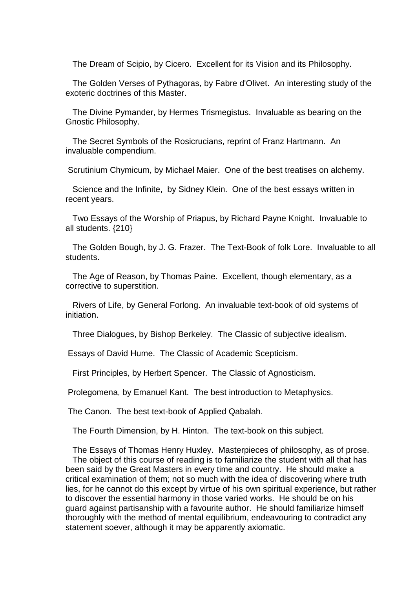The Dream of Scipio, by Cicero. Excellent for its Vision and its Philosophy.

 The Golden Verses of Pythagoras, by Fabre d'Olivet. An interesting study of the exoteric doctrines of this Master.

 The Divine Pymander, by Hermes Trismegistus. Invaluable as bearing on the Gnostic Philosophy.

 The Secret Symbols of the Rosicrucians, reprint of Franz Hartmann. An invaluable compendium.

Scrutinium Chymicum, by Michael Maier. One of the best treatises on alchemy.

 Science and the Infinite, by Sidney Klein. One of the best essays written in recent years.

 Two Essays of the Worship of Priapus, by Richard Payne Knight. Invaluable to all students. {210}

 The Golden Bough, by J. G. Frazer. The Text-Book of folk Lore. Invaluable to all students.

 The Age of Reason, by Thomas Paine. Excellent, though elementary, as a corrective to superstition.

 Rivers of Life, by General Forlong. An invaluable text-book of old systems of initiation.

Three Dialogues, by Bishop Berkeley. The Classic of subjective idealism.

Essays of David Hume. The Classic of Academic Scepticism.

First Principles, by Herbert Spencer. The Classic of Agnosticism.

Prolegomena, by Emanuel Kant. The best introduction to Metaphysics.

The Canon. The best text-book of Applied Qabalah.

The Fourth Dimension, by H. Hinton. The text-book on this subject.

 The Essays of Thomas Henry Huxley. Masterpieces of philosophy, as of prose. The object of this course of reading is to familiarize the student with all that has been said by the Great Masters in every time and country. He should make a critical examination of them; not so much with the idea of discovering where truth lies, for he cannot do this except by virtue of his own spiritual experience, but rather to discover the essential harmony in those varied works. He should be on his guard against partisanship with a favourite author. He should familiarize himself thoroughly with the method of mental equilibrium, endeavouring to contradict any statement soever, although it may be apparently axiomatic.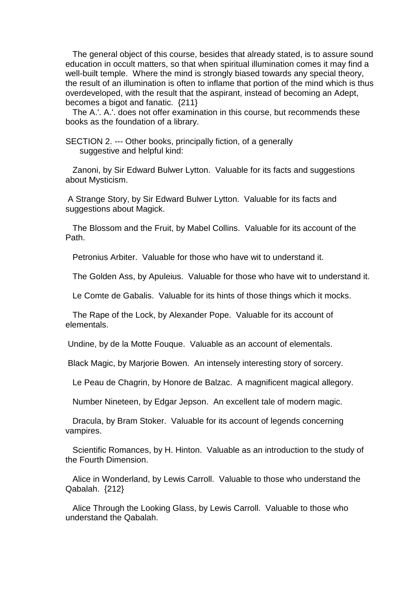The general object of this course, besides that already stated, is to assure sound education in occult matters, so that when spiritual illumination comes it may find a well-built temple. Where the mind is strongly biased towards any special theory, the result of an illumination is often to inflame that portion of the mind which is thus overdeveloped, with the result that the aspirant, instead of becoming an Adept, becomes a bigot and fanatic. {211}

 The A.'. A.'. does not offer examination in this course, but recommends these books as the foundation of a library.

SECTION 2. --- Other books, principally fiction, of a generally suggestive and helpful kind:

 Zanoni, by Sir Edward Bulwer Lytton. Valuable for its facts and suggestions about Mysticism.

 A Strange Story, by Sir Edward Bulwer Lytton. Valuable for its facts and suggestions about Magick.

 The Blossom and the Fruit, by Mabel Collins. Valuable for its account of the Path.

Petronius Arbiter. Valuable for those who have wit to understand it.

The Golden Ass, by Apuleius. Valuable for those who have wit to understand it.

Le Comte de Gabalis. Valuable for its hints of those things which it mocks.

 The Rape of the Lock, by Alexander Pope. Valuable for its account of elementals.

Undine, by de la Motte Fouque. Valuable as an account of elementals.

Black Magic, by Marjorie Bowen. An intensely interesting story of sorcery.

Le Peau de Chagrin, by Honore de Balzac. A magnificent magical allegory.

Number Nineteen, by Edgar Jepson. An excellent tale of modern magic.

 Dracula, by Bram Stoker. Valuable for its account of legends concerning vampires.

 Scientific Romances, by H. Hinton. Valuable as an introduction to the study of the Fourth Dimension.

 Alice in Wonderland, by Lewis Carroll. Valuable to those who understand the Qabalah. {212}

 Alice Through the Looking Glass, by Lewis Carroll. Valuable to those who understand the Qabalah.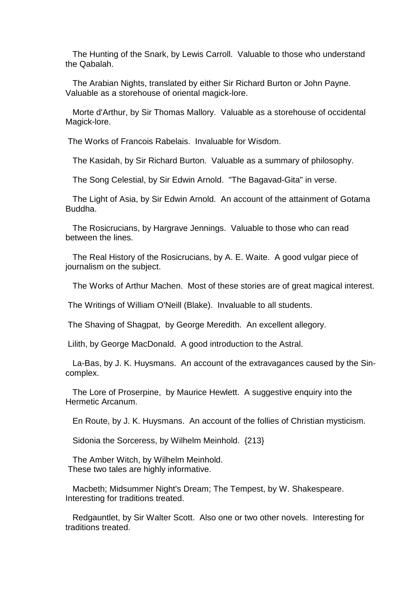The Hunting of the Snark, by Lewis Carroll. Valuable to those who understand the Qabalah.

 The Arabian Nights, translated by either Sir Richard Burton or John Payne. Valuable as a storehouse of oriental magick-lore.

 Morte d'Arthur, by Sir Thomas Mallory. Valuable as a storehouse of occidental Magick-lore.

The Works of Francois Rabelais. Invaluable for Wisdom.

The Kasidah, by Sir Richard Burton. Valuable as a summary of philosophy.

The Song Celestial, by Sir Edwin Arnold. "The Bagavad-Gita" in verse.

 The Light of Asia, by Sir Edwin Arnold. An account of the attainment of Gotama Buddha.

 The Rosicrucians, by Hargrave Jennings. Valuable to those who can read between the lines.

 The Real History of the Rosicrucians, by A. E. Waite. A good vulgar piece of journalism on the subject.

The Works of Arthur Machen. Most of these stories are of great magical interest.

The Writings of William O'Neill (Blake). Invaluable to all students.

The Shaving of Shagpat, by George Meredith. An excellent allegory.

Lilith, by George MacDonald. A good introduction to the Astral.

 La-Bas, by J. K. Huysmans. An account of the extravagances caused by the Sincomplex.

 The Lore of Proserpine, by Maurice Hewlett. A suggestive enquiry into the Hermetic Arcanum.

En Route, by J. K. Huysmans. An account of the follies of Christian mysticism.

Sidonia the Sorceress, by Wilhelm Meinhold. {213}

 The Amber Witch, by Wilhelm Meinhold. These two tales are highly informative.

 Macbeth; Midsummer Night's Dream; The Tempest, by W. Shakespeare. Interesting for traditions treated.

 Redgauntlet, by Sir Walter Scott. Also one or two other novels. Interesting for traditions treated.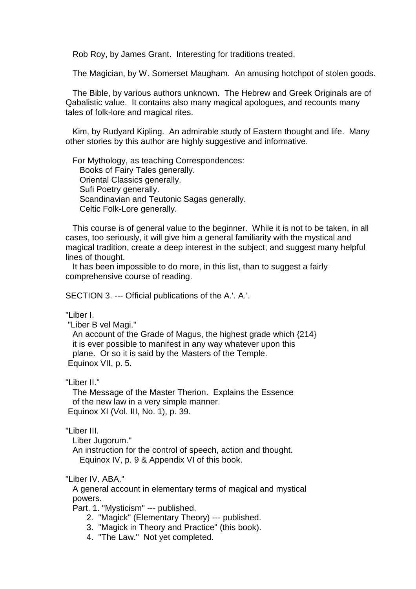Rob Roy, by James Grant. Interesting for traditions treated.

The Magician, by W. Somerset Maugham. An amusing hotchpot of stolen goods.

 The Bible, by various authors unknown. The Hebrew and Greek Originals are of Qabalistic value. It contains also many magical apologues, and recounts many tales of folk-lore and magical rites.

 Kim, by Rudyard Kipling. An admirable study of Eastern thought and life. Many other stories by this author are highly suggestive and informative.

 For Mythology, as teaching Correspondences: Books of Fairy Tales generally. Oriental Classics generally. Sufi Poetry generally. Scandinavian and Teutonic Sagas generally. Celtic Folk-Lore generally.

 This course is of general value to the beginner. While it is not to be taken, in all cases, too seriously, it will give him a general familiarity with the mystical and magical tradition, create a deep interest in the subject, and suggest many helpful lines of thought.

 It has been impossible to do more, in this list, than to suggest a fairly comprehensive course of reading.

SECTION 3. --- Official publications of the A.'. A.'.

"Liber I.

"Liber B vel Magi."

 An account of the Grade of Magus, the highest grade which {214} it is ever possible to manifest in any way whatever upon this plane. Or so it is said by the Masters of the Temple. Equinox VII, p. 5.

"Liber II."

 The Message of the Master Therion. Explains the Essence of the new law in a very simple manner. Equinox XI (Vol. III, No. 1), p. 39.

"Liber III.

Liber Jugorum."

 An instruction for the control of speech, action and thought. Equinox IV, p. 9 & Appendix VI of this book.

"Liber IV. ABA."

 A general account in elementary terms of magical and mystical powers.

Part. 1. "Mysticism" --- published.

- 2. "Magick" (Elementary Theory) --- published.
- 3. "Magick in Theory and Practice" (this book).
- 4. "The Law." Not yet completed.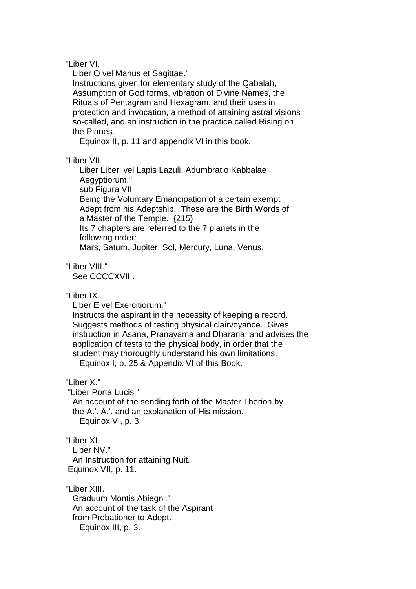"Liber VI.

Liber O vel Manus et Sagittae."

 Instructions given for elementary study of the Qabalah, Assumption of God forms, vibration of Divine Names, the Rituals of Pentagram and Hexagram, and their uses in protection and invocation, a method of attaining astral visions so-called, and an instruction in the practice called Rising on the Planes.

Equinox II, p. 11 and appendix VI in this book.

"Liber VII.

 Liber Liberi vel Lapis Lazuli, Adumbratio Kabbalae Aegyptiorum." sub Figura VII. Being the Voluntary Emancipation of a certain exempt Adept from his Adeptship. These are the Birth Words of a Master of the Temple. {215} Its 7 chapters are referred to the 7 planets in the following order: Mars, Saturn, Jupiter, Sol, Mercury, Luna, Venus.

"Liber VIII."

See CCCCXVIII.

"Liber IX.

Liber E vel Exercitiorum."

 Instructs the aspirant in the necessity of keeping a record. Suggests methods of testing physical clairvoyance. Gives instruction in Asana, Pranayama and Dharana, and advises the application of tests to the physical body, in order that the student may thoroughly understand his own limitations. Equinox I, p. 25 & Appendix VI of this Book.

"Liber X."

"Liber Porta Lucis."

 An account of the sending forth of the Master Therion by the A.'. A.'. and an explanation of His mission. Equinox VI, p. 3.

"Liber XI.

 Liber NV." An Instruction for attaining Nuit. Equinox VII, p. 11.

"Liber XIII.

 Graduum Montis Abiegni." An account of the task of the Aspirant from Probationer to Adept. Equinox III, p. 3.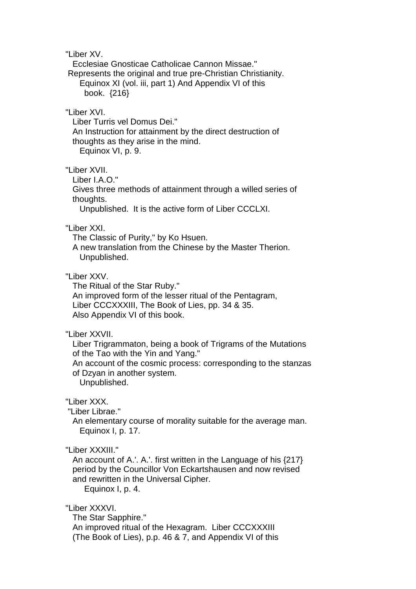"Liber XV.

 Ecclesiae Gnosticae Catholicae Cannon Missae." Represents the original and true pre-Christian Christianity. Equinox XI (vol. iii, part 1) And Appendix VI of this book. {216}

## "Liber XVI.

Liber Turris vel Domus Dei."

 An Instruction for attainment by the direct destruction of thoughts as they arise in the mind.

Equinox VI, p. 9.

"Liber XVII.

Liber I.A.O."

 Gives three methods of attainment through a willed series of thoughts.

Unpublished. It is the active form of Liber CCCLXI.

#### "Liber XXI.

The Classic of Purity," by Ko Hsuen.

 A new translation from the Chinese by the Master Therion. Unpublished.

#### "Liber XXV.

 The Ritual of the Star Ruby." An improved form of the lesser ritual of the Pentagram, Liber CCCXXXIII, The Book of Lies, pp. 34 & 35. Also Appendix VI of this book.

#### "Liber XXVII.

 Liber Trigrammaton, being a book of Trigrams of the Mutations of the Tao with the Yin and Yang."

 An account of the cosmic process: corresponding to the stanzas of Dzyan in another system.

Unpublished.

### "Liber XXX.

"Liber Librae."

 An elementary course of morality suitable for the average man. Equinox I, p. 17.

#### "Liber XXXIII."

 An account of A.'. A.'. first written in the Language of his {217} period by the Councillor Von Eckartshausen and now revised and rewritten in the Universal Cipher.

Equinox I, p. 4.

### "Liber XXXVI.

 The Star Sapphire." An improved ritual of the Hexagram. Liber CCCXXXIII

(The Book of Lies), p.p. 46 & 7, and Appendix VI of this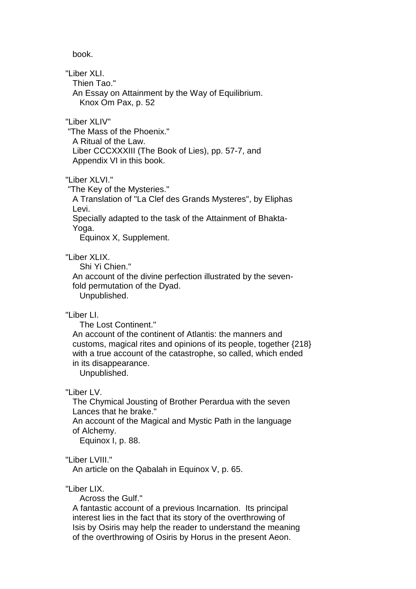book.

"Liber XLI.

 Thien Tao." An Essay on Attainment by the Way of Equilibrium. Knox Om Pax, p. 52

### "Liber XLIV"

 "The Mass of the Phoenix." A Ritual of the Law. Liber CCCXXXIII (The Book of Lies), pp. 57-7, and Appendix VI in this book.

"Liber XLVI."

"The Key of the Mysteries."

 A Translation of "La Clef des Grands Mysteres", by Eliphas Levi.

 Specially adapted to the task of the Attainment of Bhakta- Yoga.

Equinox X, Supplement.

"Liber XLIX.

Shi Yi Chien."

 An account of the divine perfection illustrated by the seven fold permutation of the Dyad. Unpublished.

#### "Liber LI.

The Lost Continent."

 An account of the continent of Atlantis: the manners and customs, magical rites and opinions of its people, together {218} with a true account of the catastrophe, so called, which ended in its disappearance.

Unpublished.

### "Liber LV.

 The Chymical Jousting of Brother Perardua with the seven Lances that he brake."

 An account of the Magical and Mystic Path in the language of Alchemy.

Equinox I, p. 88.

#### "Liber LVIII."

An article on the Qabalah in Equinox V, p. 65.

### "Liber LIX.

Across the Gulf."

 A fantastic account of a previous Incarnation. Its principal interest lies in the fact that its story of the overthrowing of Isis by Osiris may help the reader to understand the meaning of the overthrowing of Osiris by Horus in the present Aeon.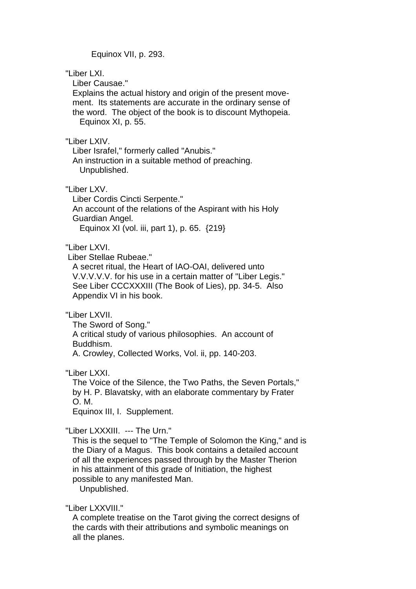Equinox VII, p. 293.

# "Liber LXI.

Liber Causae."

 Explains the actual history and origin of the present move ment. Its statements are accurate in the ordinary sense of the word. The object of the book is to discount Mythopeia. Equinox XI, p. 55.

### "Liber LXIV.

Liber Israfel," formerly called "Anubis."

 An instruction in a suitable method of preaching. Unpublished.

"Liber LXV.

Liber Cordis Cincti Serpente."

 An account of the relations of the Aspirant with his Holy Guardian Angel.

Equinox XI (vol. iii, part 1), p. 65. {219}

### "Liber LXVI.

Liber Stellae Rubeae."

 A secret ritual, the Heart of IAO-OAI, delivered unto V.V.V.V.V. for his use in a certain matter of "Liber Legis." See Liber CCCXXXIII (The Book of Lies), pp. 34-5. Also Appendix VI in his book.

"Liber LXVII.

The Sword of Song."

 A critical study of various philosophies. An account of Buddhism.

A. Crowley, Collected Works, Vol. ii, pp. 140-203.

"Liber LXXI.

 The Voice of the Silence, the Two Paths, the Seven Portals," by H. P. Blavatsky, with an elaborate commentary by Frater O. M.

Equinox III, I. Supplement.

"Liber LXXXIII. --- The Urn."

 This is the sequel to "The Temple of Solomon the King," and is the Diary of a Magus. This book contains a detailed account of all the experiences passed through by the Master Therion in his attainment of this grade of Initiation, the highest possible to any manifested Man.

Unpublished.

"Liber LXXVIII."

 A complete treatise on the Tarot giving the correct designs of the cards with their attributions and symbolic meanings on all the planes.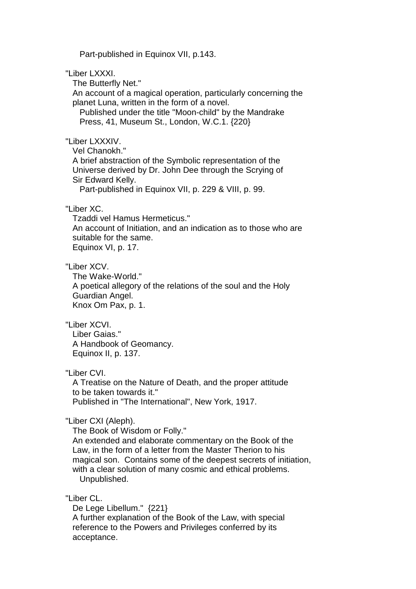Part-published in Equinox VII, p.143.

#### "Liber LXXXI.

The Butterfly Net."

 An account of a magical operation, particularly concerning the planet Luna, written in the form of a novel.

 Published under the title "Moon-child" by the Mandrake Press, 41, Museum St., London, W.C.1. {220}

"Liber LXXXIV.

Vel Chanokh."

 A brief abstraction of the Symbolic representation of the Universe derived by Dr. John Dee through the Scrying of Sir Edward Kelly.

Part-published in Equinox VII, p. 229 & VIII, p. 99.

### "Liber XC.

Tzaddi vel Hamus Hermeticus."

 An account of Initiation, and an indication as to those who are suitable for the same. Equinox VI, p. 17.

"Liber XCV.

 The Wake-World." A poetical allegory of the relations of the soul and the Holy Guardian Angel. Knox Om Pax, p. 1.

"Liber XCVI.

 Liber Gaias." A Handbook of Geomancy. Equinox II, p. 137.

#### "Liber CVI.

 A Treatise on the Nature of Death, and the proper attitude to be taken towards it." Published in "The International", New York, 1917.

#### "Liber CXI (Aleph).

The Book of Wisdom or Folly."

 An extended and elaborate commentary on the Book of the Law, in the form of a letter from the Master Therion to his magical son. Contains some of the deepest secrets of initiation, with a clear solution of many cosmic and ethical problems. Unpublished.

#### "Liber CL.

De Lege Libellum." {221}

 A further explanation of the Book of the Law, with special reference to the Powers and Privileges conferred by its acceptance.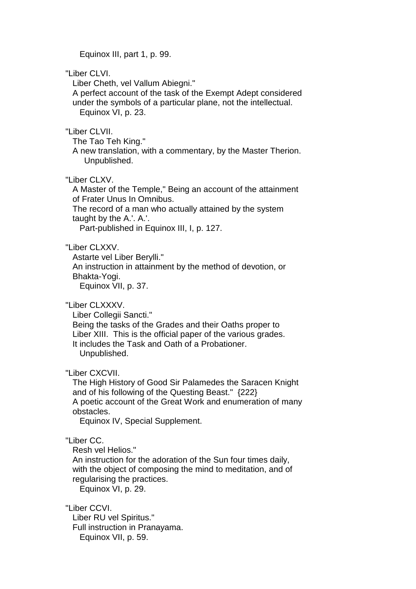Equinox III, part 1, p. 99.

"Liber CLVI.

Liber Cheth, vel Vallum Abiegni."

 A perfect account of the task of the Exempt Adept considered under the symbols of a particular plane, not the intellectual. Equinox VI, p. 23.

"Liber CLVII.

The Tao Teh King."

 A new translation, with a commentary, by the Master Therion. Unpublished.

"Liber CLXV.

 A Master of the Temple," Being an account of the attainment of Frater Unus In Omnibus. The record of a man who actually attained by the system

taught by the A.'. A.'.

Part-published in Equinox III, I, p. 127.

"Liber CLXXV.

Astarte vel Liber Berylli."

 An instruction in attainment by the method of devotion, or Bhakta-Yogi.

Equinox VII, p. 37.

"Liber CLXXXV.

Liber Collegii Sancti."

 Being the tasks of the Grades and their Oaths proper to Liber XIII. This is the official paper of the various grades. It includes the Task and Oath of a Probationer. Unpublished.

"Liber CXCVII.

 The High History of Good Sir Palamedes the Saracen Knight and of his following of the Questing Beast." {222} A poetic account of the Great Work and enumeration of many obstacles.

Equinox IV, Special Supplement.

"Liber CC.

Resh vel Helios."

 An instruction for the adoration of the Sun four times daily, with the object of composing the mind to meditation, and of regularising the practices.

Equinox VI, p. 29.

"Liber CCVI.

 Liber RU vel Spiritus." Full instruction in Pranayama. Equinox VII, p. 59.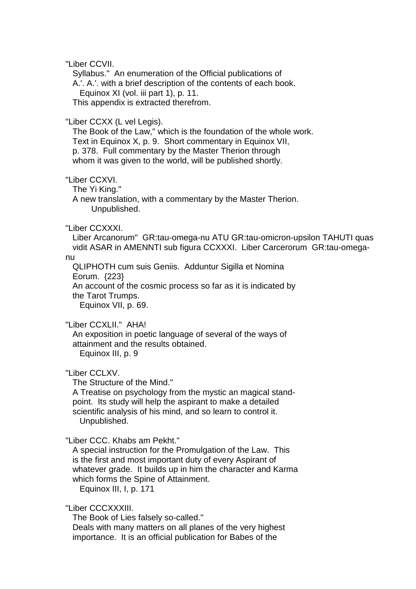### "Liber CCVII.

 Syllabus." An enumeration of the Official publications of A.'. A.'. with a brief description of the contents of each book. Equinox XI (vol. iii part 1), p. 11. This appendix is extracted therefrom.

### "Liber CCXX (L vel Legis).

 The Book of the Law," which is the foundation of the whole work. Text in Equinox X, p. 9. Short commentary in Equinox VII, p. 378. Full commentary by the Master Therion through whom it was given to the world, will be published shortly.

#### "Liber CCXVI.

The Yi King."

 A new translation, with a commentary by the Master Therion. Unpublished.

## "Liber CCXXXI.

 Liber Arcanorum" GR:tau-omega-nu ATU GR:tau-omicron-upsilon TAHUTI quas vidit ASAR in AMENNTI sub figura CCXXXI. Liber Carcerorum GR:tau-omega-

## nu

QLIPHOTH cum suis Geniis. Adduntur Sigilla et Nomina

Eorum. {223}

 An account of the cosmic process so far as it is indicated by the Tarot Trumps.

Equinox VII, p. 69.

## "Liber CCXLII." AHA!

 An exposition in poetic language of several of the ways of attainment and the results obtained.

Equinox III, p. 9

## "Liber CCLXV.

The Structure of the Mind."

 A Treatise on psychology from the mystic an magical stand point. Its study will help the aspirant to make a detailed scientific analysis of his mind, and so learn to control it. Unpublished.

"Liber CCC. Khabs am Pekht."

 A special instruction for the Promulgation of the Law. This is the first and most important duty of every Aspirant of whatever grade. It builds up in him the character and Karma which forms the Spine of Attainment.

Equinox III, I, p. 171

## "Liber CCCXXXIII.

 The Book of Lies falsely so-called." Deals with many matters on all planes of the very highest importance. It is an official publication for Babes of the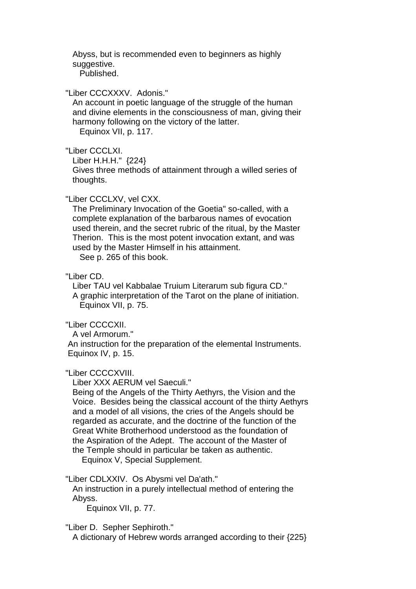Abyss, but is recommended even to beginners as highly suggestive. Published.

#### "Liber CCCXXXV. Adonis."

 An account in poetic language of the struggle of the human and divine elements in the consciousness of man, giving their harmony following on the victory of the latter. Equinox VII, p. 117.

"Liber CCCLXI.

Liber H.H.H." {224}

 Gives three methods of attainment through a willed series of thoughts.

#### "Liber CCCLXV, vel CXX.

 The Preliminary Invocation of the Goetia" so-called, with a complete explanation of the barbarous names of evocation used therein, and the secret rubric of the ritual, by the Master Therion. This is the most potent invocation extant, and was used by the Master Himself in his attainment.

See p. 265 of this book.

#### "Liber CD.

 Liber TAU vel Kabbalae Truium Literarum sub figura CD." A graphic interpretation of the Tarot on the plane of initiation. Equinox VII, p. 75.

"Liber CCCCXII.

A vel Armorum."

 An instruction for the preparation of the elemental Instruments. Equinox IV, p. 15.

#### "Liber CCCCXVIII.

Liber XXX AERUM vel Saeculi."

 Being of the Angels of the Thirty Aethyrs, the Vision and the Voice. Besides being the classical account of the thirty Aethyrs and a model of all visions, the cries of the Angels should be regarded as accurate, and the doctrine of the function of the Great White Brotherhood understood as the foundation of the Aspiration of the Adept. The account of the Master of the Temple should in particular be taken as authentic.

Equinox V, Special Supplement.

"Liber CDLXXIV. Os Abysmi vel Da'ath."

 An instruction in a purely intellectual method of entering the Abyss.

Equinox VII, p. 77.

"Liber D. Sepher Sephiroth."

A dictionary of Hebrew words arranged according to their {225}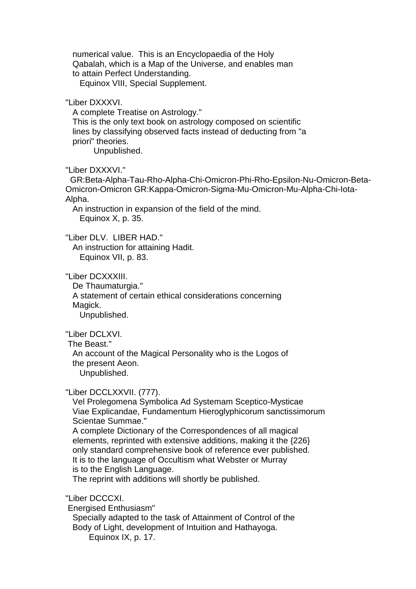numerical value. This is an Encyclopaedia of the Holy Qabalah, which is a Map of the Universe, and enables man to attain Perfect Understanding.

Equinox VIII, Special Supplement.

#### "Liber DXXXVI.

A complete Treatise on Astrology."

 This is the only text book on astrology composed on scientific lines by classifying observed facts instead of deducting from "a priori" theories.

Unpublished.

#### "Liber DXXXVI."

 GR:Beta-Alpha-Tau-Rho-Alpha-Chi-Omicron-Phi-Rho-Epsilon-Nu-Omicron-Beta-Omicron-Omicron GR:Kappa-Omicron-Sigma-Mu-Omicron-Mu-Alpha-Chi-Iota-Alpha.

 An instruction in expansion of the field of the mind. Equinox X, p. 35.

### "Liber DLV. LIBER HAD."

 An instruction for attaining Hadit. Equinox VII, p. 83.

"Liber DCXXXIII.

 De Thaumaturgia." A statement of certain ethical considerations concerning Magick. Unpublished.

"Liber DCLXVI.

The Beast."

 An account of the Magical Personality who is the Logos of the present Aeon. Unpublished.

#### "Liber DCCLXXVII. (777).

 Vel Prolegomena Symbolica Ad Systemam Sceptico-Mysticae Viae Explicandae, Fundamentum Hieroglyphicorum sanctissimorum Scientae Summae."

 A complete Dictionary of the Correspondences of all magical elements, reprinted with extensive additions, making it the {226} only standard comprehensive book of reference ever published. It is to the language of Occultism what Webster or Murray is to the English Language.

The reprint with additions will shortly be published.

"Liber DCCCXI.

Energised Enthusiasm"

 Specially adapted to the task of Attainment of Control of the Body of Light, development of Intuition and Hathayoga. Equinox IX, p. 17.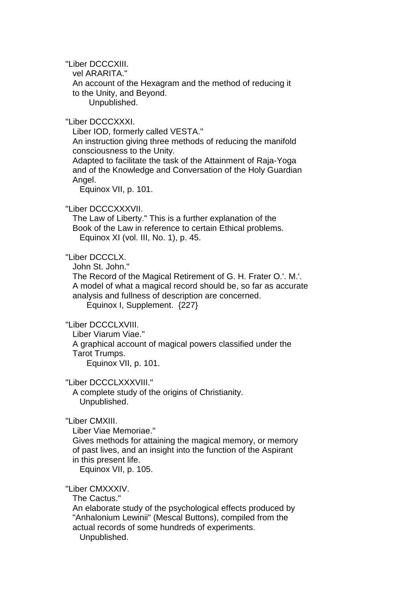"Liber DCCCXIII.

vel ARARITA."

 An account of the Hexagram and the method of reducing it to the Unity, and Beyond.

Unpublished.

"Liber DCCCXXXI.

 Liber IOD, formerly called VESTA." An instruction giving three methods of reducing the manifold consciousness to the Unity. Adapted to facilitate the task of the Attainment of Raja-Yoga and of the Knowledge and Conversation of the Holy Guardian Angel.

Equinox VII, p. 101.

"Liber DCCCXXXVII.

 The Law of Liberty." This is a further explanation of the Book of the Law in reference to certain Ethical problems. Equinox XI (vol. III, No. 1), p. 45.

"Liber DCCCLX.

John St. John."

 The Record of the Magical Retirement of G. H. Frater O.'. M.'. A model of what a magical record should be, so far as accurate analysis and fullness of description are concerned. Equinox I, Supplement. {227}

"Liber DCCCLXVIII.

Liber Viarum Viae."

 A graphical account of magical powers classified under the Tarot Trumps. Equinox VII, p. 101.

"Liber DCCCLXXXVIII."

 A complete study of the origins of Christianity. Unpublished.

"Liber CMXIII.

Liber Viae Memoriae."

 Gives methods for attaining the magical memory, or memory of past lives, and an insight into the function of the Aspirant in this present life.

Equinox VII, p. 105.

"Liber CMXXXIV.

The Cactus."

 An elaborate study of the psychological effects produced by "Anhalonium Lewinii" (Mescal Buttons), compiled from the actual records of some hundreds of experiments. Unpublished.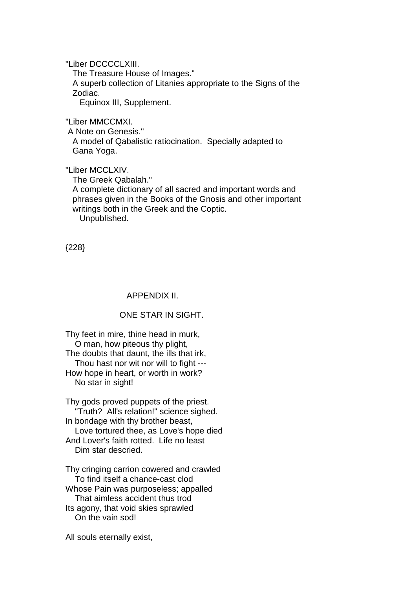"Liber DCCCCLXIII. The Treasure House of Images." A superb collection of Litanies appropriate to the Signs of the Zodiac. Equinox III, Supplement.

"Liber MMCCMXI.

A Note on Genesis."

 A model of Qabalistic ratiocination. Specially adapted to Gana Yoga.

"Liber MCCLXIV.

The Greek Qabalah."

 A complete dictionary of all sacred and important words and phrases given in the Books of the Gnosis and other important writings both in the Greek and the Coptic. Unpublished.

{228}

## APPENDIX II.

## ONE STAR IN SIGHT.

Thy feet in mire, thine head in murk, O man, how piteous thy plight, The doubts that daunt, the ills that irk, Thou hast nor wit nor will to fight --- How hope in heart, or worth in work? No star in sight!

Thy gods proved puppets of the priest. "Truth? All's relation!" science sighed. In bondage with thy brother beast, Love tortured thee, as Love's hope died And Lover's faith rotted. Life no least Dim star descried.

Thy cringing carrion cowered and crawled To find itself a chance-cast clod Whose Pain was purposeless; appalled That aimless accident thus trod Its agony, that void skies sprawled On the vain sod!

All souls eternally exist,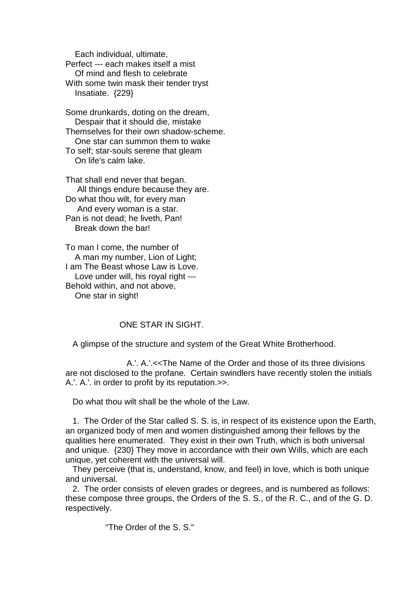Each individual, ultimate, Perfect --- each makes itself a mist Of mind and flesh to celebrate With some twin mask their tender tryst Insatiate. {229}

Some drunkards, doting on the dream, Despair that it should die, mistake Themselves for their own shadow-scheme. One star can summon them to wake To self; star-souls serene that gleam On life's calm lake.

That shall end never that began. All things endure because they are. Do what thou wilt, for every man And every woman is a star. Pan is not dead; he liveth, Pan! Break down the bar!

To man I come, the number of A man my number, Lion of Light; I am The Beast whose Law is Love. Love under will, his roval right ---Behold within, and not above, One star in sight!

## ONE STAR IN SIGHT.

A glimpse of the structure and system of the Great White Brotherhood.

 A.'. A.'.<<The Name of the Order and those of its three divisions are not disclosed to the profane. Certain swindlers have recently stolen the initials A.'. A.'. in order to profit by its reputation. >>.

Do what thou wilt shall be the whole of the Law.

 1. The Order of the Star called S. S. is, in respect of its existence upon the Earth, an organized body of men and women distinguished among their fellows by the qualities here enumerated. They exist in their own Truth, which is both universal and unique. {230} They move in accordance with their own Wills, which are each unique, yet coherent with the universal will.

 They perceive (that is, understand, know, and feel) in love, which is both unique and universal.

 2. The order consists of eleven grades or degrees, and is numbered as follows: these compose three groups, the Orders of the S. S., of the R. C., and of the G. D. respectively.

"The Order of the S. S."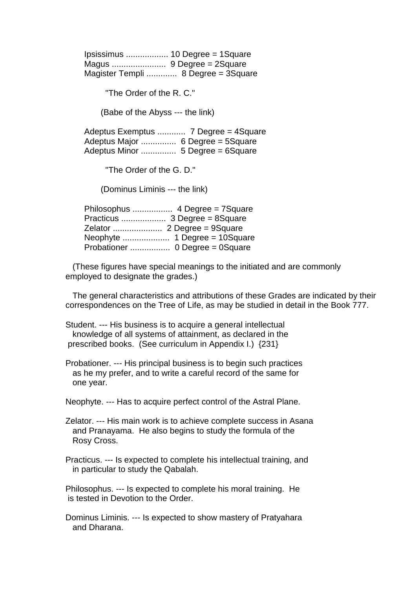Ipsissimus .................. 10 Degree = 1Square Magus ....................... 9 Degree = 2Square Magister Templi ............. 8 Degree = 3Square

"The Order of the R. C."

(Babe of the Abyss --- the link)

 Adeptus Exemptus ............ 7 Degree = 4Square Adeptus Major ................ 6 Degree = 5Square Adeptus Minor ............... 5 Degree = 6Square

"The Order of the G. D."

(Dominus Liminis --- the link)

 (These figures have special meanings to the initiated and are commonly employed to designate the grades.)

 The general characteristics and attributions of these Grades are indicated by their correspondences on the Tree of Life, as may be studied in detail in the Book 777.

Student. --- His business is to acquire a general intellectual knowledge of all systems of attainment, as declared in the prescribed books. (See curriculum in Appendix I.) {231}

Probationer. --- His principal business is to begin such practices as he my prefer, and to write a careful record of the same for one year.

Neophyte. --- Has to acquire perfect control of the Astral Plane.

Zelator. --- His main work is to achieve complete success in Asana and Pranayama. He also begins to study the formula of the Rosy Cross.

Practicus. --- Is expected to complete his intellectual training, and in particular to study the Qabalah.

Philosophus. --- Is expected to complete his moral training. He is tested in Devotion to the Order.

Dominus Liminis. --- Is expected to show mastery of Pratyahara and Dharana.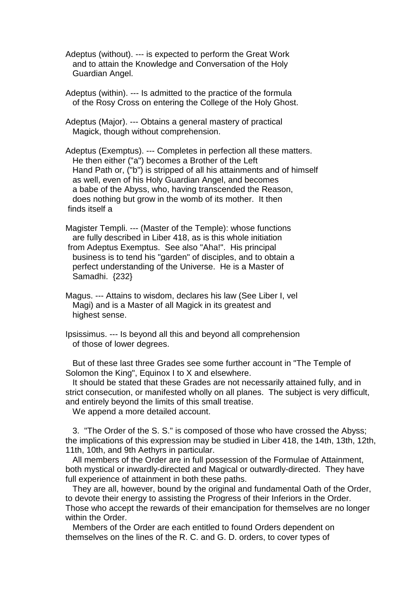Adeptus (without). --- is expected to perform the Great Work and to attain the Knowledge and Conversation of the Holy Guardian Angel.

Adeptus (within). --- Is admitted to the practice of the formula of the Rosy Cross on entering the College of the Holy Ghost.

Adeptus (Major). --- Obtains a general mastery of practical Magick, though without comprehension.

Adeptus (Exemptus). --- Completes in perfection all these matters. He then either ("a") becomes a Brother of the Left Hand Path or, ("b") is stripped of all his attainments and of himself as well, even of his Holy Guardian Angel, and becomes a babe of the Abyss, who, having transcended the Reason, does nothing but grow in the womb of its mother. It then finds itself a

Magister Templi. --- (Master of the Temple): whose functions are fully described in Liber 418, as is this whole initiation from Adeptus Exemptus. See also "Aha!". His principal business is to tend his "garden" of disciples, and to obtain a perfect understanding of the Universe. He is a Master of Samadhi. {232}

Magus. --- Attains to wisdom, declares his law (See Liber I, vel Magi) and is a Master of all Magick in its greatest and highest sense.

Ipsissimus. --- Is beyond all this and beyond all comprehension of those of lower degrees.

 But of these last three Grades see some further account in "The Temple of Solomon the King", Equinox I to X and elsewhere.

 It should be stated that these Grades are not necessarily attained fully, and in strict consecution, or manifested wholly on all planes. The subject is very difficult, and entirely beyond the limits of this small treatise.

We append a more detailed account.

 3. "The Order of the S. S." is composed of those who have crossed the Abyss; the implications of this expression may be studied in Liber 418, the 14th, 13th, 12th, 11th, 10th, and 9th Aethyrs in particular.

 All members of the Order are in full possession of the Formulae of Attainment, both mystical or inwardly-directed and Magical or outwardly-directed. They have full experience of attainment in both these paths.

 They are all, however, bound by the original and fundamental Oath of the Order, to devote their energy to assisting the Progress of their Inferiors in the Order. Those who accept the rewards of their emancipation for themselves are no longer within the Order.

 Members of the Order are each entitled to found Orders dependent on themselves on the lines of the R. C. and G. D. orders, to cover types of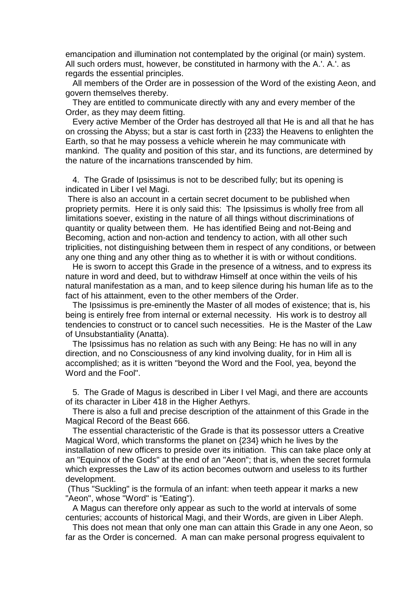emancipation and illumination not contemplated by the original (or main) system. All such orders must, however, be constituted in harmony with the A.'. A.'. as regards the essential principles.

 All members of the Order are in possession of the Word of the existing Aeon, and govern themselves thereby.

 They are entitled to communicate directly with any and every member of the Order, as they may deem fitting.

 Every active Member of the Order has destroyed all that He is and all that he has on crossing the Abyss; but a star is cast forth in {233} the Heavens to enlighten the Earth, so that he may possess a vehicle wherein he may communicate with mankind. The quality and position of this star, and its functions, are determined by the nature of the incarnations transcended by him.

 4. The Grade of Ipsissimus is not to be described fully; but its opening is indicated in Liber I vel Magi.

 There is also an account in a certain secret document to be published when propriety permits. Here it is only said this: The Ipsissimus is wholly free from all limitations soever, existing in the nature of all things without discriminations of quantity or quality between them. He has identified Being and not-Being and Becoming, action and non-action and tendency to action, with all other such triplicities, not distinguishing between them in respect of any conditions, or between any one thing and any other thing as to whether it is with or without conditions.

 He is sworn to accept this Grade in the presence of a witness, and to express its nature in word and deed, but to withdraw Himself at once within the veils of his natural manifestation as a man, and to keep silence during his human life as to the fact of his attainment, even to the other members of the Order.

 The Ipsissimus is pre-eminently the Master of all modes of existence; that is, his being is entirely free from internal or external necessity. His work is to destroy all tendencies to construct or to cancel such necessities. He is the Master of the Law of Unsubstantiality (Anatta).

 The Ipsissimus has no relation as such with any Being: He has no will in any direction, and no Consciousness of any kind involving duality, for in Him all is accomplished; as it is written "beyond the Word and the Fool, yea, beyond the Word and the Fool".

 5. The Grade of Magus is described in Liber I vel Magi, and there are accounts of its character in Liber 418 in the Higher Aethyrs.

 There is also a full and precise description of the attainment of this Grade in the Magical Record of the Beast 666.

 The essential characteristic of the Grade is that its possessor utters a Creative Magical Word, which transforms the planet on {234} which he lives by the installation of new officers to preside over its initiation. This can take place only at an "Equinox of the Gods" at the end of an "Aeon"; that is, when the secret formula which expresses the Law of its action becomes outworn and useless to its further development.

 (Thus "Suckling" is the formula of an infant: when teeth appear it marks a new "Aeon", whose "Word" is "Eating").

 A Magus can therefore only appear as such to the world at intervals of some centuries; accounts of historical Magi, and their Words, are given in Liber Aleph.

 This does not mean that only one man can attain this Grade in any one Aeon, so far as the Order is concerned. A man can make personal progress equivalent to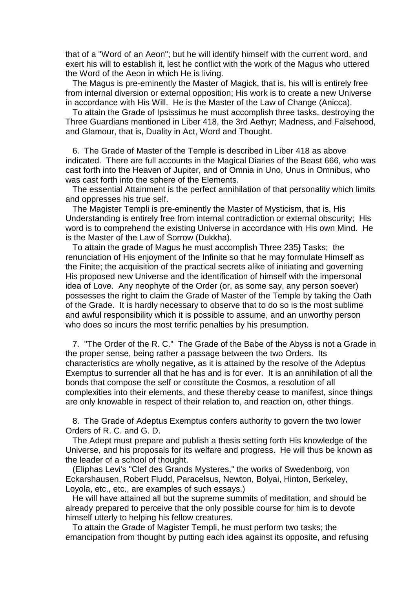that of a "Word of an Aeon"; but he will identify himself with the current word, and exert his will to establish it, lest he conflict with the work of the Magus who uttered the Word of the Aeon in which He is living.

 The Magus is pre-eminently the Master of Magick, that is, his will is entirely free from internal diversion or external opposition; His work is to create a new Universe in accordance with His Will. He is the Master of the Law of Change (Anicca).

 To attain the Grade of Ipsissimus he must accomplish three tasks, destroying the Three Guardians mentioned in Liber 418, the 3rd Aethyr; Madness, and Falsehood, and Glamour, that is, Duality in Act, Word and Thought.

 6. The Grade of Master of the Temple is described in Liber 418 as above indicated. There are full accounts in the Magical Diaries of the Beast 666, who was cast forth into the Heaven of Jupiter, and of Omnia in Uno, Unus in Omnibus, who was cast forth into the sphere of the Elements.

 The essential Attainment is the perfect annihilation of that personality which limits and oppresses his true self.

 The Magister Templi is pre-eminently the Master of Mysticism, that is, His Understanding is entirely free from internal contradiction or external obscurity; His word is to comprehend the existing Universe in accordance with His own Mind. He is the Master of the Law of Sorrow (Dukkha).

 To attain the grade of Magus he must accomplish Three 235} Tasks; the renunciation of His enjoyment of the Infinite so that he may formulate Himself as the Finite; the acquisition of the practical secrets alike of initiating and governing His proposed new Universe and the identification of himself with the impersonal idea of Love. Any neophyte of the Order (or, as some say, any person soever) possesses the right to claim the Grade of Master of the Temple by taking the Oath of the Grade. It is hardly necessary to observe that to do so is the most sublime and awful responsibility which it is possible to assume, and an unworthy person who does so incurs the most terrific penalties by his presumption.

 7. "The Order of the R. C." The Grade of the Babe of the Abyss is not a Grade in the proper sense, being rather a passage between the two Orders. Its characteristics are wholly negative, as it is attained by the resolve of the Adeptus Exemptus to surrender all that he has and is for ever. It is an annihilation of all the bonds that compose the self or constitute the Cosmos, a resolution of all complexities into their elements, and these thereby cease to manifest, since things are only knowable in respect of their relation to, and reaction on, other things.

 8. The Grade of Adeptus Exemptus confers authority to govern the two lower Orders of R. C. and G. D.

 The Adept must prepare and publish a thesis setting forth His knowledge of the Universe, and his proposals for its welfare and progress. He will thus be known as the leader of a school of thought.

 (Eliphas Levi's "Clef des Grands Mysteres," the works of Swedenborg, von Eckarshausen, Robert Fludd, Paracelsus, Newton, Bolyai, Hinton, Berkeley, Loyola, etc., etc., are examples of such essays.)

 He will have attained all but the supreme summits of meditation, and should be already prepared to perceive that the only possible course for him is to devote himself utterly to helping his fellow creatures.

 To attain the Grade of Magister Templi, he must perform two tasks; the emancipation from thought by putting each idea against its opposite, and refusing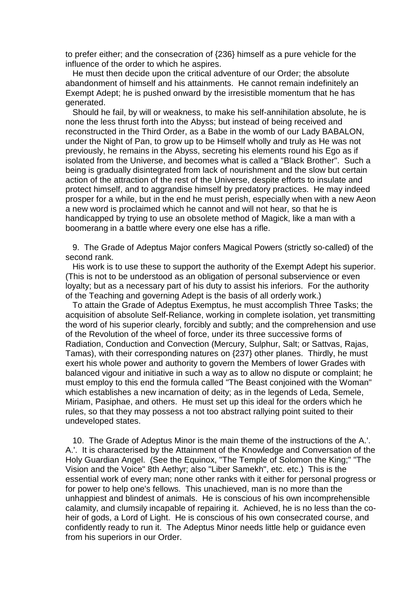to prefer either; and the consecration of {236} himself as a pure vehicle for the influence of the order to which he aspires.

 He must then decide upon the critical adventure of our Order; the absolute abandonment of himself and his attainments. He cannot remain indefinitely an Exempt Adept; he is pushed onward by the irresistible momentum that he has generated.

 Should he fail, by will or weakness, to make his self-annihilation absolute, he is none the less thrust forth into the Abyss; but instead of being received and reconstructed in the Third Order, as a Babe in the womb of our Lady BABALON, under the Night of Pan, to grow up to be Himself wholly and truly as He was not previously, he remains in the Abyss, secreting his elements round his Ego as if isolated from the Universe, and becomes what is called a "Black Brother". Such a being is gradually disintegrated from lack of nourishment and the slow but certain action of the attraction of the rest of the Universe, despite efforts to insulate and protect himself, and to aggrandise himself by predatory practices. He may indeed prosper for a while, but in the end he must perish, especially when with a new Aeon a new word is proclaimed which he cannot and will not hear, so that he is handicapped by trying to use an obsolete method of Magick, like a man with a boomerang in a battle where every one else has a rifle.

 9. The Grade of Adeptus Major confers Magical Powers (strictly so-called) of the second rank.

 His work is to use these to support the authority of the Exempt Adept his superior. (This is not to be understood as an obligation of personal subservience or even loyalty; but as a necessary part of his duty to assist his inferiors. For the authority of the Teaching and governing Adept is the basis of all orderly work.)

 To attain the Grade of Adeptus Exemptus, he must accomplish Three Tasks; the acquisition of absolute Self-Reliance, working in complete isolation, yet transmitting the word of his superior clearly, forcibly and subtly; and the comprehension and use of the Revolution of the wheel of force, under its three successive forms of Radiation, Conduction and Convection (Mercury, Sulphur, Salt; or Sattvas, Rajas, Tamas), with their corresponding natures on {237} other planes. Thirdly, he must exert his whole power and authority to govern the Members of lower Grades with balanced vigour and initiative in such a way as to allow no dispute or complaint; he must employ to this end the formula called "The Beast conjoined with the Woman" which establishes a new incarnation of deity; as in the legends of Leda, Semele, Miriam, Pasiphae, and others. He must set up this ideal for the orders which he rules, so that they may possess a not too abstract rallying point suited to their undeveloped states.

 10. The Grade of Adeptus Minor is the main theme of the instructions of the A.'. A.'. It is characterised by the Attainment of the Knowledge and Conversation of the Holy Guardian Angel. (See the Equinox, "The Temple of Solomon the King;" "The Vision and the Voice" 8th Aethyr; also "Liber Samekh", etc. etc.) This is the essential work of every man; none other ranks with it either for personal progress or for power to help one's fellows. This unachieved, man is no more than the unhappiest and blindest of animals. He is conscious of his own incomprehensible calamity, and clumsily incapable of repairing it. Achieved, he is no less than the coheir of gods, a Lord of Light. He is conscious of his own consecrated course, and confidently ready to run it. The Adeptus Minor needs little help or guidance even from his superiors in our Order.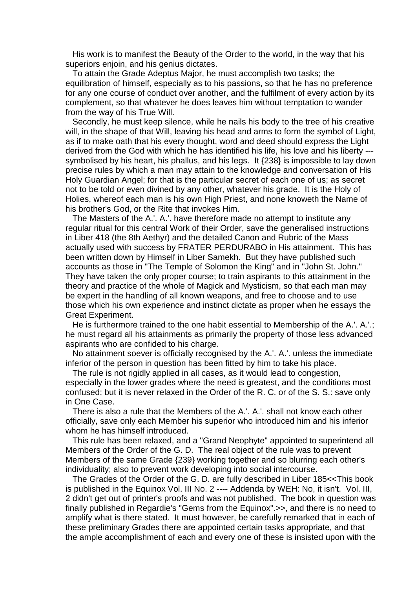His work is to manifest the Beauty of the Order to the world, in the way that his superiors enjoin, and his genius dictates.

 To attain the Grade Adeptus Major, he must accomplish two tasks; the equilibration of himself, especially as to his passions, so that he has no preference for any one course of conduct over another, and the fulfilment of every action by its complement, so that whatever he does leaves him without temptation to wander from the way of his True Will.

 Secondly, he must keep silence, while he nails his body to the tree of his creative will, in the shape of that Will, leaving his head and arms to form the symbol of Light, as if to make oath that his every thought, word and deed should express the Light derived from the God with which he has identified his life, his love and his liberty -- symbolised by his heart, his phallus, and his legs. It {238} is impossible to lay down precise rules by which a man may attain to the knowledge and conversation of His Holy Guardian Angel; for that is the particular secret of each one of us; as secret not to be told or even divined by any other, whatever his grade. It is the Holy of Holies, whereof each man is his own High Priest, and none knoweth the Name of his brother's God, or the Rite that invokes Him.

 The Masters of the A.'. A.'. have therefore made no attempt to institute any regular ritual for this central Work of their Order, save the generalised instructions in Liber 418 (the 8th Aethyr) and the detailed Canon and Rubric of the Mass actually used with success by FRATER PERDURABO in His attainment. This has been written down by Himself in Liber Samekh. But they have published such accounts as those in "The Temple of Solomon the King" and in "John St. John." They have taken the only proper course; to train aspirants to this attainment in the theory and practice of the whole of Magick and Mysticism, so that each man may be expert in the handling of all known weapons, and free to choose and to use those which his own experience and instinct dictate as proper when he essays the Great Experiment.

 He is furthermore trained to the one habit essential to Membership of the A.'. A.'.; he must regard all his attainments as primarily the property of those less advanced aspirants who are confided to his charge.

 No attainment soever is officially recognised by the A.'. A.'. unless the immediate inferior of the person in question has been fitted by him to take his place.

 The rule is not rigidly applied in all cases, as it would lead to congestion, especially in the lower grades where the need is greatest, and the conditions most confused; but it is never relaxed in the Order of the R. C. or of the S. S.: save only in One Case.

 There is also a rule that the Members of the A.'. A.'. shall not know each other officially, save only each Member his superior who introduced him and his inferior whom he has himself introduced.

 This rule has been relaxed, and a "Grand Neophyte" appointed to superintend all Members of the Order of the G. D. The real object of the rule was to prevent Members of the same Grade {239} working together and so blurring each other's individuality; also to prevent work developing into social intercourse.

 The Grades of the Order of the G. D. are fully described in Liber 185<<This book is published in the Equinox Vol. III No. 2 ---- Addenda by WEH: No, it isn't. Vol. III, 2 didn't get out of printer's proofs and was not published. The book in question was finally published in Regardie's "Gems from the Equinox".>>, and there is no need to amplify what is there stated. It must however, be carefully remarked that in each of these preliminary Grades there are appointed certain tasks appropriate, and that the ample accomplishment of each and every one of these is insisted upon with the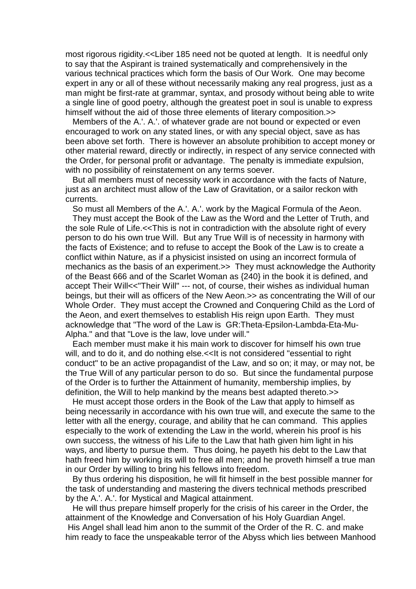most rigorous rigidity.<<Liber 185 need not be quoted at length. It is needful only to say that the Aspirant is trained systematically and comprehensively in the various technical practices which form the basis of Our Work. One may become expert in any or all of these without necessarily making any real progress, just as a man might be first-rate at grammar, syntax, and prosody without being able to write a single line of good poetry, although the greatest poet in soul is unable to express himself without the aid of those three elements of literary composition.>>

 Members of the A.'. A.'. of whatever grade are not bound or expected or even encouraged to work on any stated lines, or with any special object, save as has been above set forth. There is however an absolute prohibition to accept money or other material reward, directly or indirectly, in respect of any service connected with the Order, for personal profit or advantage. The penalty is immediate expulsion, with no possibility of reinstatement on any terms soever.

 But all members must of necessity work in accordance with the facts of Nature, just as an architect must allow of the Law of Gravitation, or a sailor reckon with currents.

So must all Members of the A.'. A.'. work by the Magical Formula of the Aeon.

 They must accept the Book of the Law as the Word and the Letter of Truth, and the sole Rule of Life.<<This is not in contradiction with the absolute right of every person to do his own true Will. But any True Will is of necessity in harmony with the facts of Existence; and to refuse to accept the Book of the Law is to create a conflict within Nature, as if a physicist insisted on using an incorrect formula of mechanics as the basis of an experiment.>> They must acknowledge the Authority of the Beast 666 and of the Scarlet Woman as {240} in the book it is defined, and accept Their Will<<"Their Will" --- not, of course, their wishes as individual human beings, but their will as officers of the New Aeon. >> as concentrating the Will of our Whole Order. They must accept the Crowned and Conquering Child as the Lord of the Aeon, and exert themselves to establish His reign upon Earth. They must acknowledge that "The word of the Law is GR:Theta-Epsilon-Lambda-Eta-Mu-Alpha." and that "Love is the law, love under will."

 Each member must make it his main work to discover for himself his own true will, and to do it, and do nothing else.<< It is not considered "essential to right conduct" to be an active propagandist of the Law, and so on; it may, or may not, be the True Will of any particular person to do so. But since the fundamental purpose of the Order is to further the Attainment of humanity, membership implies, by definition, the Will to help mankind by the means best adapted thereto.>>

 He must accept those orders in the Book of the Law that apply to himself as being necessarily in accordance with his own true will, and execute the same to the letter with all the energy, courage, and ability that he can command. This applies especially to the work of extending the Law in the world, wherein his proof is his own success, the witness of his Life to the Law that hath given him light in his ways, and liberty to pursue them. Thus doing, he payeth his debt to the Law that hath freed him by working its will to free all men; and he proveth himself a true man in our Order by willing to bring his fellows into freedom.

 By thus ordering his disposition, he will fit himself in the best possible manner for the task of understanding and mastering the divers technical methods prescribed by the A.'. A.'. for Mystical and Magical attainment.

 He will thus prepare himself properly for the crisis of his career in the Order, the attainment of the Knowledge and Conversation of his Holy Guardian Angel. His Angel shall lead him anon to the summit of the Order of the R. C. and make him ready to face the unspeakable terror of the Abyss which lies between Manhood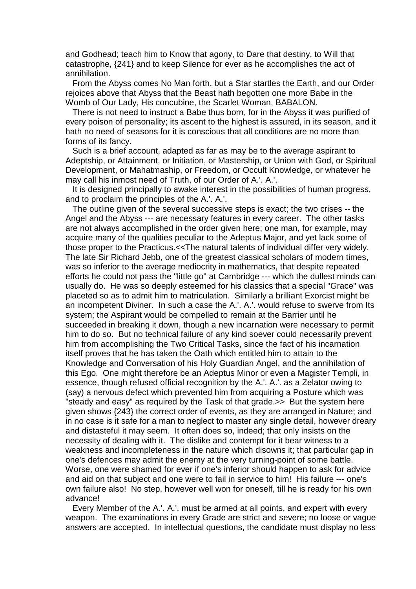and Godhead; teach him to Know that agony, to Dare that destiny, to Will that catastrophe, {241} and to keep Silence for ever as he accomplishes the act of annihilation.

 From the Abyss comes No Man forth, but a Star startles the Earth, and our Order rejoices above that Abyss that the Beast hath begotten one more Babe in the Womb of Our Lady, His concubine, the Scarlet Woman, BABALON.

 There is not need to instruct a Babe thus born, for in the Abyss it was purified of every poison of personality; its ascent to the highest is assured, in its season, and it hath no need of seasons for it is conscious that all conditions are no more than forms of its fancy.

 Such is a brief account, adapted as far as may be to the average aspirant to Adeptship, or Attainment, or Initiation, or Mastership, or Union with God, or Spiritual Development, or Mahatmaship, or Freedom, or Occult Knowledge, or whatever he may call his inmost need of Truth, of our Order of A.'. A.'.

 It is designed principally to awake interest in the possibilities of human progress, and to proclaim the principles of the A.'. A.'.

 The outline given of the several successive steps is exact; the two crises -- the Angel and the Abyss --- are necessary features in every career. The other tasks are not always accomplished in the order given here; one man, for example, may acquire many of the qualities peculiar to the Adeptus Major, and yet lack some of those proper to the Practicus.<<The natural talents of individual differ very widely. The late Sir Richard Jebb, one of the greatest classical scholars of modern times, was so inferior to the average mediocrity in mathematics, that despite repeated efforts he could not pass the "little go" at Cambridge --- which the dullest minds can usually do. He was so deeply esteemed for his classics that a special "Grace" was placeted so as to admit him to matriculation. Similarly a brilliant Exorcist might be an incompetent Diviner. In such a case the A.'. A.'. would refuse to swerve from Its system; the Aspirant would be compelled to remain at the Barrier until he succeeded in breaking it down, though a new incarnation were necessary to permit him to do so. But no technical failure of any kind soever could necessarily prevent him from accomplishing the Two Critical Tasks, since the fact of his incarnation itself proves that he has taken the Oath which entitled him to attain to the Knowledge and Conversation of his Holy Guardian Angel, and the annihilation of this Ego. One might therefore be an Adeptus Minor or even a Magister Templi, in essence, though refused official recognition by the A.'. A.'. as a Zelator owing to (say) a nervous defect which prevented him from acquiring a Posture which was "steady and easy" as required by the Task of that grade.>> But the system here given shows {243} the correct order of events, as they are arranged in Nature; and in no case is it safe for a man to neglect to master any single detail, however dreary and distasteful it may seem. It often does so, indeed; that only insists on the necessity of dealing with it. The dislike and contempt for it bear witness to a weakness and incompleteness in the nature which disowns it; that particular gap in one's defences may admit the enemy at the very turning-point of some battle. Worse, one were shamed for ever if one's inferior should happen to ask for advice and aid on that subject and one were to fail in service to him! His failure --- one's own failure also! No step, however well won for oneself, till he is ready for his own advance!

 Every Member of the A.'. A.'. must be armed at all points, and expert with every weapon. The examinations in every Grade are strict and severe; no loose or vague answers are accepted. In intellectual questions, the candidate must display no less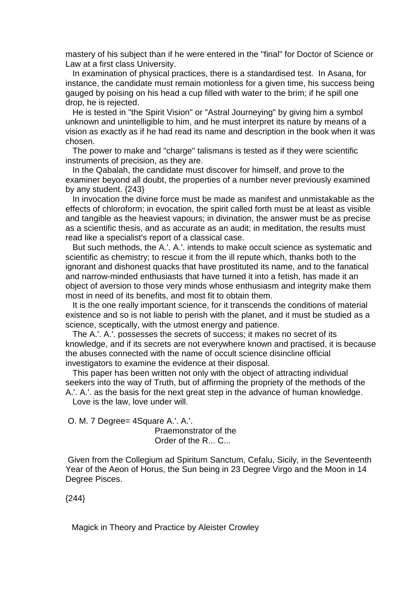mastery of his subject than if he were entered in the "final" for Doctor of Science or Law at a first class University.

 In examination of physical practices, there is a standardised test. In Asana, for instance, the candidate must remain motionless for a given time, his success being gauged by poising on his head a cup filled with water to the brim; if he spill one drop, he is rejected.

 He is tested in "the Spirit Vision" or "Astral Journeying" by giving him a symbol unknown and unintelligible to him, and he must interpret its nature by means of a vision as exactly as if he had read its name and description in the book when it was chosen.

 The power to make and "charge" talismans is tested as if they were scientific instruments of precision, as they are.

 In the Qabalah, the candidate must discover for himself, and prove to the examiner beyond all doubt, the properties of a number never previously examined by any student. {243}

 In invocation the divine force must be made as manifest and unmistakable as the effects of chloroform; in evocation, the spirit called forth must be at least as visible and tangible as the heaviest vapours; in divination, the answer must be as precise as a scientific thesis, and as accurate as an audit; in meditation, the results must read like a specialist's report of a classical case.

 But such methods, the A.'. A.'. intends to make occult science as systematic and scientific as chemistry; to rescue it from the ill repute which, thanks both to the ignorant and dishonest quacks that have prostituted its name, and to the fanatical and narrow-minded enthusiasts that have turned it into a fetish, has made it an object of aversion to those very minds whose enthusiasm and integrity make them most in need of its benefits, and most fit to obtain them.

 It is the one really important science, for it transcends the conditions of material existence and so is not liable to perish with the planet, and it must be studied as a science, sceptically, with the utmost energy and patience.

 The A.'. A.'. possesses the secrets of success; it makes no secret of its knowledge, and if its secrets are not everywhere known and practised, it is because the abuses connected with the name of occult science disincline official investigators to examine the evidence at their disposal.

 This paper has been written not only with the object of attracting individual seekers into the way of Truth, but of affirming the propriety of the methods of the A.'. A.'. as the basis for the next great step in the advance of human knowledge.

Love is the law, love under will.

 O. M. 7 Degree= 4Square A.'. A.'. Praemonstrator of the Order of the R... C...

 Given from the Collegium ad Spiritum Sanctum, Cefalu, Sicily, in the Seventeenth Year of the Aeon of Horus, the Sun being in 23 Degree Virgo and the Moon in 14 Degree Pisces.

{244}

Magick in Theory and Practice by Aleister Crowley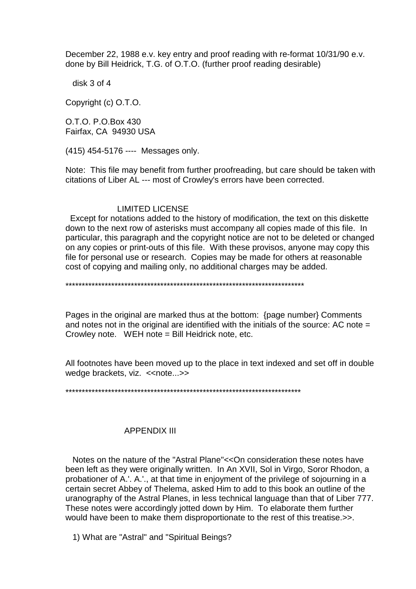December 22, 1988 e.v. key entry and proof reading with re-format 10/31/90 e.v. done by Bill Heidrick, T.G. of O.T.O. (further proof reading desirable)

disk 3 of 4

Copyright (c) O.T.O.

O.T.O. P.O.Box 430 Fairfax, CA 94930 USA

(415) 454-5176 ---- Messages only.

Note: This file may benefit from further proofreading, but care should be taken with citations of Liber AL --- most of Crowley's errors have been corrected.

### LIMITED LICENSE

 Except for notations added to the history of modification, the text on this diskette down to the next row of asterisks must accompany all copies made of this file. In particular, this paragraph and the copyright notice are not to be deleted or changed on any copies or print-outs of this file. With these provisos, anyone may copy this file for personal use or research. Copies may be made for others at reasonable cost of copying and mailing only, no additional charges may be added.

\*\*\*\*\*\*\*\*\*\*\*\*\*\*\*\*\*\*\*\*\*\*\*\*\*\*\*\*\*\*\*\*\*\*\*\*\*\*\*\*\*\*\*\*\*\*\*\*\*\*\*\*\*\*\*\*\*\*\*\*\*\*\*\*\*\*\*\*\*\*\*\*\*

Pages in the original are marked thus at the bottom: {page number} Comments and notes not in the original are identified with the initials of the source: AC note = Crowley note. WEH note = Bill Heidrick note, etc.

All footnotes have been moved up to the place in text indexed and set off in double wedge brackets, viz. << note...>>

\*\*\*\*\*\*\*\*\*\*\*\*\*\*\*\*\*\*\*\*\*\*\*\*\*\*\*\*\*\*\*\*\*\*\*\*\*\*\*\*\*\*\*\*\*\*\*\*\*\*\*\*\*\*\*\*\*\*\*\*\*\*\*\*\*\*\*\*\*\*\*\*

# APPENDIX III

 Notes on the nature of the "Astral Plane"<<On consideration these notes have been left as they were originally written. In An XVII, Sol in Virgo, Soror Rhodon, a probationer of A.'. A.'., at that time in enjoyment of the privilege of sojourning in a certain secret Abbey of Thelema, asked Him to add to this book an outline of the uranography of the Astral Planes, in less technical language than that of Liber 777. These notes were accordingly jotted down by Him. To elaborate them further would have been to make them disproportionate to the rest of this treatise.>>.

1) What are "Astral" and "Spiritual Beings?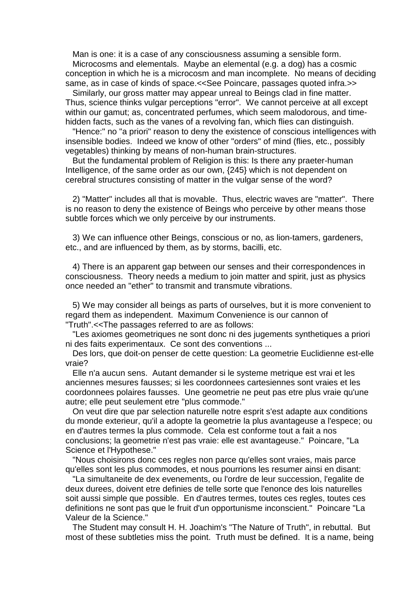Man is one: it is a case of any consciousness assuming a sensible form. Microcosms and elementals. Maybe an elemental (e.g. a dog) has a cosmic conception in which he is a microcosm and man incomplete. No means of deciding same, as in case of kinds of space.<<See Poincare, passages quoted infra.>>

 Similarly, our gross matter may appear unreal to Beings clad in fine matter. Thus, science thinks vulgar perceptions "error". We cannot perceive at all except within our gamut; as, concentrated perfumes, which seem malodorous, and timehidden facts, such as the vanes of a revolving fan, which flies can distinguish.

 "Hence:" no "a priori" reason to deny the existence of conscious intelligences with insensible bodies. Indeed we know of other "orders" of mind (flies, etc., possibly vegetables) thinking by means of non-human brain-structures.

 But the fundamental problem of Religion is this: Is there any praeter-human Intelligence, of the same order as our own, {245} which is not dependent on cerebral structures consisting of matter in the vulgar sense of the word?

 2) "Matter" includes all that is movable. Thus, electric waves are "matter". There is no reason to deny the existence of Beings who perceive by other means those subtle forces which we only perceive by our instruments.

 3) We can influence other Beings, conscious or no, as lion-tamers, gardeners, etc., and are influenced by them, as by storms, bacilli, etc.

 4) There is an apparent gap between our senses and their correspondences in consciousness. Theory needs a medium to join matter and spirit, just as physics once needed an "ether" to transmit and transmute vibrations.

 5) We may consider all beings as parts of ourselves, but it is more convenient to regard them as independent. Maximum Convenience is our cannon of "Truth".<<The passages referred to are as follows:

 "Les axiomes geometriques ne sont donc ni des jugements synthetiques a priori ni des faits experimentaux. Ce sont des conventions ...

 Des lors, que doit-on penser de cette question: La geometrie Euclidienne est-elle vraie?

 Elle n'a aucun sens. Autant demander si le systeme metrique est vrai et les anciennes mesures fausses; si les coordonnees cartesiennes sont vraies et les coordonnees polaires fausses. Une geometrie ne peut pas etre plus vraie qu'une autre; elle peut seulement etre "plus commode."

 On veut dire que par selection naturelle notre esprit s'est adapte aux conditions du monde exterieur, qu'il a adopte la geometrie la plus avantageuse a l'espece; ou en d'autres termes la plus commode. Cela est conforme tout a fait a nos conclusions; la geometrie n'est pas vraie: elle est avantageuse." Poincare, "La Science et l'Hypothese."

 "Nous choisirons donc ces regles non parce qu'elles sont vraies, mais parce qu'elles sont les plus commodes, et nous pourrions les resumer ainsi en disant:

 "La simultaneite de dex evenements, ou l'ordre de leur succession, l'egalite de deux durees, doivent etre definies de telle sorte que l'enonce des lois naturelles soit aussi simple que possible. En d'autres termes, toutes ces regles, toutes ces definitions ne sont pas que le fruit d'un opportunisme inconscient." Poincare "La Valeur de la Science."

 The Student may consult H. H. Joachim's "The Nature of Truth", in rebuttal. But most of these subtleties miss the point. Truth must be defined. It is a name, being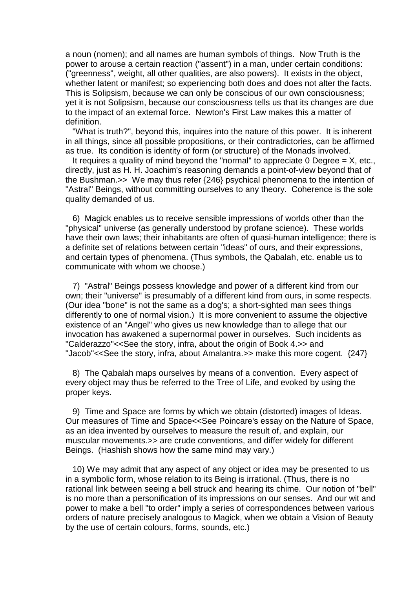a noun (nomen); and all names are human symbols of things. Now Truth is the power to arouse a certain reaction ("assent") in a man, under certain conditions: ("greenness", weight, all other qualities, are also powers). It exists in the object, whether latent or manifest; so experiencing both does and does not alter the facts. This is Solipsism, because we can only be conscious of our own consciousness; yet it is not Solipsism, because our consciousness tells us that its changes are due to the impact of an external force. Newton's First Law makes this a matter of definition.

 "What is truth?", beyond this, inquires into the nature of this power. It is inherent in all things, since all possible propositions, or their contradictories, can be affirmed as true. Its condition is identity of form (or structure) of the Monads involved.

It requires a quality of mind beyond the "normal" to appreciate 0 Degree  $= X$ , etc., directly, just as H. H. Joachim's reasoning demands a point-of-view beyond that of the Bushman.>> We may thus refer {246} psychical phenomena to the intention of "Astral" Beings, without committing ourselves to any theory. Coherence is the sole quality demanded of us.

 6) Magick enables us to receive sensible impressions of worlds other than the "physical" universe (as generally understood by profane science). These worlds have their own laws; their inhabitants are often of quasi-human intelligence; there is a definite set of relations between certain "ideas" of ours, and their expressions, and certain types of phenomena. (Thus symbols, the Qabalah, etc. enable us to communicate with whom we choose.)

 7) "Astral" Beings possess knowledge and power of a different kind from our own; their "universe" is presumably of a different kind from ours, in some respects. (Our idea "bone" is not the same as a dog's; a short-sighted man sees things differently to one of normal vision.) It is more convenient to assume the objective existence of an "Angel" who gives us new knowledge than to allege that our invocation has awakened a supernormal power in ourselves. Such incidents as "Calderazzo"<<See the story, infra, about the origin of Book 4.>> and "Jacob"<<See the story, infra, about Amalantra.>> make this more cogent. {247}

 8) The Qabalah maps ourselves by means of a convention. Every aspect of every object may thus be referred to the Tree of Life, and evoked by using the proper keys.

 9) Time and Space are forms by which we obtain (distorted) images of Ideas. Our measures of Time and Space<<See Poincare's essay on the Nature of Space, as an idea invented by ourselves to measure the result of, and explain, our muscular movements.>> are crude conventions, and differ widely for different Beings. (Hashish shows how the same mind may vary.)

 10) We may admit that any aspect of any object or idea may be presented to us in a symbolic form, whose relation to its Being is irrational. (Thus, there is no rational link between seeing a bell struck and hearing its chime. Our notion of "bell" is no more than a personification of its impressions on our senses. And our wit and power to make a bell "to order" imply a series of correspondences between various orders of nature precisely analogous to Magick, when we obtain a Vision of Beauty by the use of certain colours, forms, sounds, etc.)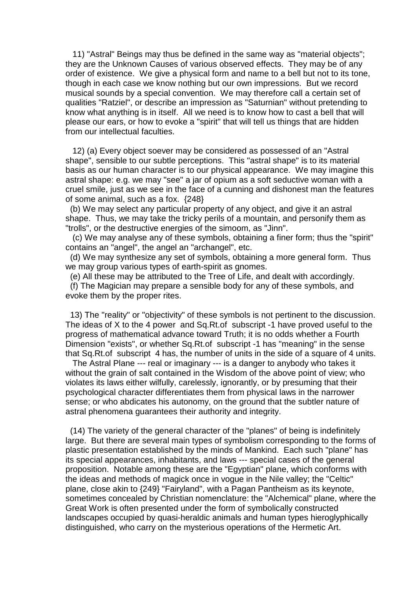11) "Astral" Beings may thus be defined in the same way as "material objects"; they are the Unknown Causes of various observed effects. They may be of any order of existence. We give a physical form and name to a bell but not to its tone, though in each case we know nothing but our own impressions. But we record musical sounds by a special convention. We may therefore call a certain set of qualities "Ratziel", or describe an impression as "Saturnian" without pretending to know what anything is in itself. All we need is to know how to cast a bell that will please our ears, or how to evoke a "spirit" that will tell us things that are hidden from our intellectual faculties.

 12) (a) Every object soever may be considered as possessed of an "Astral shape", sensible to our subtle perceptions. This "astral shape" is to its material basis as our human character is to our physical appearance. We may imagine this astral shape: e.g. we may "see" a jar of opium as a soft seductive woman with a cruel smile, just as we see in the face of a cunning and dishonest man the features of some animal, such as a fox. {248}

 (b) We may select any particular property of any object, and give it an astral shape. Thus, we may take the tricky perils of a mountain, and personify them as "trolls", or the destructive energies of the simoom, as "Jinn".

 (c) We may analyse any of these symbols, obtaining a finer form; thus the "spirit" contains an "angel", the angel an "archangel", etc.

 (d) We may synthesize any set of symbols, obtaining a more general form. Thus we may group various types of earth-spirit as gnomes.

(e) All these may be attributed to the Tree of Life, and dealt with accordingly.

 (f) The Magician may prepare a sensible body for any of these symbols, and evoke them by the proper rites.

 13) The "reality" or "objectivity" of these symbols is not pertinent to the discussion. The ideas of X to the 4 power and Sq.Rt.of subscript -1 have proved useful to the progress of mathematical advance toward Truth; it is no odds whether a Fourth Dimension "exists", or whether Sq.Rt.of subscript -1 has "meaning" in the sense that Sq.Rt.of subscript 4 has, the number of units in the side of a square of 4 units.

 The Astral Plane --- real or imaginary --- is a danger to anybody who takes it without the grain of salt contained in the Wisdom of the above point of view; who violates its laws either wilfully, carelessly, ignorantly, or by presuming that their psychological character differentiates them from physical laws in the narrower sense; or who abdicates his autonomy, on the ground that the subtler nature of astral phenomena guarantees their authority and integrity.

 (14) The variety of the general character of the "planes" of being is indefinitely large. But there are several main types of symbolism corresponding to the forms of plastic presentation established by the minds of Mankind. Each such "plane" has its special appearances, inhabitants, and laws --- special cases of the general proposition. Notable among these are the "Egyptian" plane, which conforms with the ideas and methods of magick once in vogue in the Nile valley; the "Celtic" plane, close akin to {249} "Fairyland", with a Pagan Pantheism as its keynote, sometimes concealed by Christian nomenclature: the "Alchemical" plane, where the Great Work is often presented under the form of symbolically constructed landscapes occupied by quasi-heraldic animals and human types hieroglyphically distinguished, who carry on the mysterious operations of the Hermetic Art.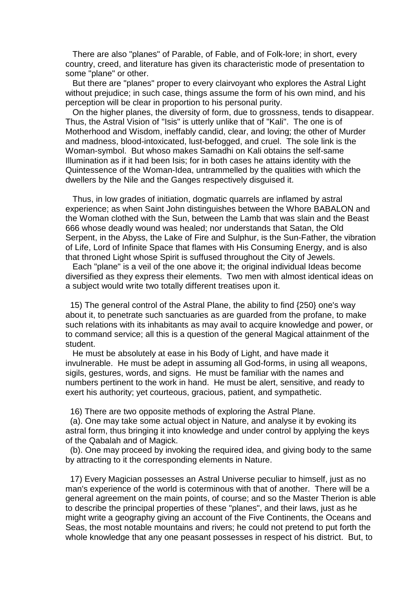There are also "planes" of Parable, of Fable, and of Folk-lore; in short, every country, creed, and literature has given its characteristic mode of presentation to some "plane" or other.

 But there are "planes" proper to every clairvoyant who explores the Astral Light without prejudice; in such case, things assume the form of his own mind, and his perception will be clear in proportion to his personal purity.

 On the higher planes, the diversity of form, due to grossness, tends to disappear. Thus, the Astral Vision of "Isis" is utterly unlike that of "Kali". The one is of Motherhood and Wisdom, ineffably candid, clear, and loving; the other of Murder and madness, blood-intoxicated, lust-befogged, and cruel. The sole link is the Woman-symbol. But whoso makes Samadhi on Kali obtains the self-same Illumination as if it had been Isis; for in both cases he attains identity with the Quintessence of the Woman-Idea, untrammelled by the qualities with which the dwellers by the Nile and the Ganges respectively disguised it.

 Thus, in low grades of initiation, dogmatic quarrels are inflamed by astral experience; as when Saint John distinguishes between the Whore BABALON and the Woman clothed with the Sun, between the Lamb that was slain and the Beast 666 whose deadly wound was healed; nor understands that Satan, the Old Serpent, in the Abyss, the Lake of Fire and Sulphur, is the Sun-Father, the vibration of Life, Lord of Infinite Space that flames with His Consuming Energy, and is also that throned Light whose Spirit is suffused throughout the City of Jewels.

 Each "plane" is a veil of the one above it; the original individual Ideas become diversified as they express their elements. Two men with almost identical ideas on a subject would write two totally different treatises upon it.

 15) The general control of the Astral Plane, the ability to find {250} one's way about it, to penetrate such sanctuaries as are guarded from the profane, to make such relations with its inhabitants as may avail to acquire knowledge and power, or to command service; all this is a question of the general Magical attainment of the student.

 He must be absolutely at ease in his Body of Light, and have made it invulnerable. He must be adept in assuming all God-forms, in using all weapons, sigils, gestures, words, and signs. He must be familiar with the names and numbers pertinent to the work in hand. He must be alert, sensitive, and ready to exert his authority; yet courteous, gracious, patient, and sympathetic.

16) There are two opposite methods of exploring the Astral Plane.

 (a). One may take some actual object in Nature, and analyse it by evoking its astral form, thus bringing it into knowledge and under control by applying the keys of the Qabalah and of Magick.

 (b). One may proceed by invoking the required idea, and giving body to the same by attracting to it the corresponding elements in Nature.

 17) Every Magician possesses an Astral Universe peculiar to himself, just as no man's experience of the world is coterminous with that of another. There will be a general agreement on the main points, of course; and so the Master Therion is able to describe the principal properties of these "planes", and their laws, just as he might write a geography giving an account of the Five Continents, the Oceans and Seas, the most notable mountains and rivers; he could not pretend to put forth the whole knowledge that any one peasant possesses in respect of his district. But, to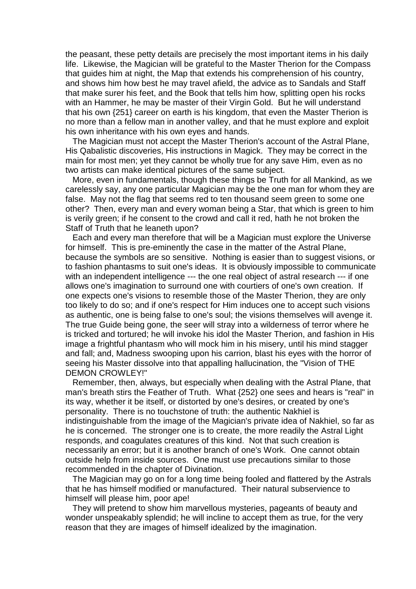the peasant, these petty details are precisely the most important items in his daily life. Likewise, the Magician will be grateful to the Master Therion for the Compass that guides him at night, the Map that extends his comprehension of his country, and shows him how best he may travel afield, the advice as to Sandals and Staff that make surer his feet, and the Book that tells him how, splitting open his rocks with an Hammer, he may be master of their Virgin Gold. But he will understand that his own {251} career on earth is his kingdom, that even the Master Therion is no more than a fellow man in another valley, and that he must explore and exploit his own inheritance with his own eyes and hands.

 The Magician must not accept the Master Therion's account of the Astral Plane, His Qabalistic discoveries, His instructions in Magick. They may be correct in the main for most men; yet they cannot be wholly true for any save Him, even as no two artists can make identical pictures of the same subject.

 More, even in fundamentals, though these things be Truth for all Mankind, as we carelessly say, any one particular Magician may be the one man for whom they are false. May not the flag that seems red to ten thousand seem green to some one other? Then, every man and every woman being a Star, that which is green to him is verily green; if he consent to the crowd and call it red, hath he not broken the Staff of Truth that he leaneth upon?

 Each and every man therefore that will be a Magician must explore the Universe for himself. This is pre-eminently the case in the matter of the Astral Plane, because the symbols are so sensitive. Nothing is easier than to suggest visions, or to fashion phantasms to suit one's ideas. It is obviously impossible to communicate with an independent intelligence --- the one real object of astral research --- if one allows one's imagination to surround one with courtiers of one's own creation. If one expects one's visions to resemble those of the Master Therion, they are only too likely to do so; and if one's respect for Him induces one to accept such visions as authentic, one is being false to one's soul; the visions themselves will avenge it. The true Guide being gone, the seer will stray into a wilderness of terror where he is tricked and tortured; he will invoke his idol the Master Therion, and fashion in His image a frightful phantasm who will mock him in his misery, until his mind stagger and fall; and, Madness swooping upon his carrion, blast his eyes with the horror of seeing his Master dissolve into that appalling hallucination, the "Vision of THE DEMON CROWLEY!"

 Remember, then, always, but especially when dealing with the Astral Plane, that man's breath stirs the Feather of Truth. What {252} one sees and hears is "real" in its way, whether it be itself, or distorted by one's desires, or created by one's personality. There is no touchstone of truth: the authentic Nakhiel is indistinguishable from the image of the Magician's private idea of Nakhiel, so far as he is concerned. The stronger one is to create, the more readily the Astral Light responds, and coagulates creatures of this kind. Not that such creation is necessarily an error; but it is another branch of one's Work. One cannot obtain outside help from inside sources. One must use precautions similar to those recommended in the chapter of Divination.

 The Magician may go on for a long time being fooled and flattered by the Astrals that he has himself modified or manufactured. Their natural subservience to himself will please him, poor ape!

 They will pretend to show him marvellous mysteries, pageants of beauty and wonder unspeakably splendid; he will incline to accept them as true, for the very reason that they are images of himself idealized by the imagination.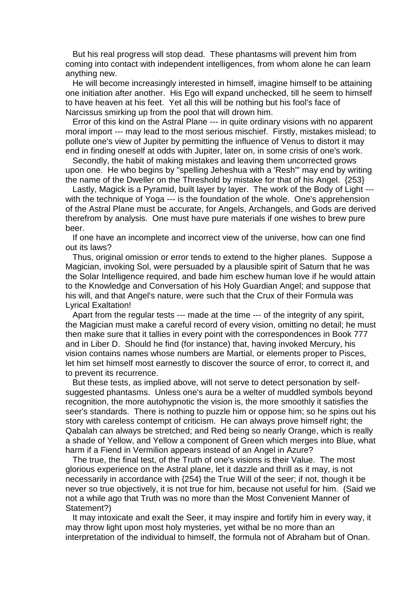But his real progress will stop dead. These phantasms will prevent him from coming into contact with independent intelligences, from whom alone he can learn anything new.

 He will become increasingly interested in himself, imagine himself to be attaining one initiation after another. His Ego will expand unchecked, till he seem to himself to have heaven at his feet. Yet all this will be nothing but his fool's face of Narcissus smirking up from the pool that will drown him.

 Error of this kind on the Astral Plane --- in quite ordinary visions with no apparent moral import --- may lead to the most serious mischief. Firstly, mistakes mislead; to pollute one's view of Jupiter by permitting the influence of Venus to distort it may end in finding oneself at odds with Jupiter, later on, in some crisis of one's work.

 Secondly, the habit of making mistakes and leaving them uncorrected grows upon one. He who begins by "spelling Jeheshua with a 'Resh'" may end by writing the name of the Dweller on the Threshold by mistake for that of his Angel. {253}

 Lastly, Magick is a Pyramid, built layer by layer. The work of the Body of Light -- with the technique of Yoga --- is the foundation of the whole. One's apprehension of the Astral Plane must be accurate, for Angels, Archangels, and Gods are derived therefrom by analysis. One must have pure materials if one wishes to brew pure beer.

 If one have an incomplete and incorrect view of the universe, how can one find out its laws?

 Thus, original omission or error tends to extend to the higher planes. Suppose a Magician, invoking Sol, were persuaded by a plausible spirit of Saturn that he was the Solar Intelligence required, and bade him eschew human love if he would attain to the Knowledge and Conversation of his Holy Guardian Angel; and suppose that his will, and that Angel's nature, were such that the Crux of their Formula was Lyrical Exaltation!

 Apart from the regular tests --- made at the time --- of the integrity of any spirit, the Magician must make a careful record of every vision, omitting no detail; he must then make sure that it tallies in every point with the correspondences in Book 777 and in Liber D. Should he find (for instance) that, having invoked Mercury, his vision contains names whose numbers are Martial, or elements proper to Pisces, let him set himself most earnestly to discover the source of error, to correct it, and to prevent its recurrence.

 But these tests, as implied above, will not serve to detect personation by selfsuggested phantasms. Unless one's aura be a welter of muddled symbols beyond recognition, the more autohypnotic the vision is, the more smoothly it satisfies the seer's standards. There is nothing to puzzle him or oppose him; so he spins out his story with careless contempt of criticism. He can always prove himself right; the Qabalah can always be stretched; and Red being so nearly Orange, which is really a shade of Yellow, and Yellow a component of Green which merges into Blue, what harm if a Fiend in Vermilion appears instead of an Angel in Azure?

 The true, the final test, of the Truth of one's visions is their Value. The most glorious experience on the Astral plane, let it dazzle and thrill as it may, is not necessarily in accordance with {254} the True Will of the seer; if not, though it be never so true objectively, it is not true for him, because not useful for him. (Said we not a while ago that Truth was no more than the Most Convenient Manner of Statement?)

 It may intoxicate and exalt the Seer, it may inspire and fortify him in every way, it may throw light upon most holy mysteries, yet withal be no more than an interpretation of the individual to himself, the formula not of Abraham but of Onan.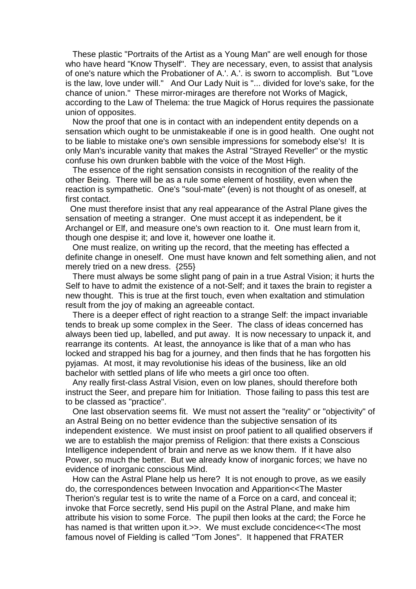These plastic "Portraits of the Artist as a Young Man" are well enough for those who have heard "Know Thyself". They are necessary, even, to assist that analysis of one's nature which the Probationer of A.'. A.'. is sworn to accomplish. But "Love is the law, love under will." And Our Lady Nuit is "... divided for love's sake, for the chance of union." These mirror-mirages are therefore not Works of Magick, according to the Law of Thelema: the true Magick of Horus requires the passionate union of opposites.

 Now the proof that one is in contact with an independent entity depends on a sensation which ought to be unmistakeable if one is in good health. One ought not to be liable to mistake one's own sensible impressions for somebody else's! It is only Man's incurable vanity that makes the Astral "Strayed Reveller" or the mystic confuse his own drunken babble with the voice of the Most High.

 The essence of the right sensation consists in recognition of the reality of the other Being. There will be as a rule some element of hostility, even when the reaction is sympathetic. One's "soul-mate" (even) is not thought of as oneself, at first contact.

 One must therefore insist that any real appearance of the Astral Plane gives the sensation of meeting a stranger. One must accept it as independent, be it Archangel or Elf, and measure one's own reaction to it. One must learn from it, though one despise it; and love it, however one loathe it.

 One must realize, on writing up the record, that the meeting has effected a definite change in oneself. One must have known and felt something alien, and not merely tried on a new dress. {255}

 There must always be some slight pang of pain in a true Astral Vision; it hurts the Self to have to admit the existence of a not-Self; and it taxes the brain to register a new thought. This is true at the first touch, even when exaltation and stimulation result from the joy of making an agreeable contact.

 There is a deeper effect of right reaction to a strange Self: the impact invariable tends to break up some complex in the Seer. The class of ideas concerned has always been tied up, labelled, and put away. It is now necessary to unpack it, and rearrange its contents. At least, the annoyance is like that of a man who has locked and strapped his bag for a journey, and then finds that he has forgotten his pyjamas. At most, it may revolutionise his ideas of the business, like an old bachelor with settled plans of life who meets a girl once too often.

 Any really first-class Astral Vision, even on low planes, should therefore both instruct the Seer, and prepare him for Initiation. Those failing to pass this test are to be classed as "practice".

 One last observation seems fit. We must not assert the "reality" or "objectivity" of an Astral Being on no better evidence than the subjective sensation of its independent existence. We must insist on proof patient to all qualified observers if we are to establish the major premiss of Religion: that there exists a Conscious Intelligence independent of brain and nerve as we know them. If it have also Power, so much the better. But we already know of inorganic forces; we have no evidence of inorganic conscious Mind.

 How can the Astral Plane help us here? It is not enough to prove, as we easily do, the correspondences between Invocation and Apparition<<The Master Therion's regular test is to write the name of a Force on a card, and conceal it; invoke that Force secretly, send His pupil on the Astral Plane, and make him attribute his vision to some Force. The pupil then looks at the card; the Force he has named is that written upon it.>>. We must exclude concidence<<The most famous novel of Fielding is called "Tom Jones". It happened that FRATER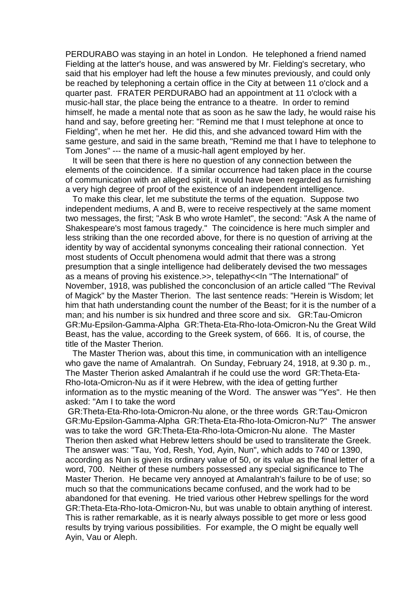PERDURABO was staying in an hotel in London. He telephoned a friend named Fielding at the latter's house, and was answered by Mr. Fielding's secretary, who said that his employer had left the house a few minutes previously, and could only be reached by telephoning a certain office in the City at between 11 o'clock and a quarter past. FRATER PERDURABO had an appointment at 11 o'clock with a music-hall star, the place being the entrance to a theatre. In order to remind himself, he made a mental note that as soon as he saw the lady, he would raise his hand and say, before greeting her: "Remind me that I must telephone at once to Fielding", when he met her. He did this, and she advanced toward Him with the same gesture, and said in the same breath, "Remind me that I have to telephone to Tom Jones" --- the name of a music-hall agent employed by her.

 It will be seen that there is here no question of any connection between the elements of the coincidence. If a similar occurrence had taken place in the course of communication with an alleged spirit, it would have been regarded as furnishing a very high degree of proof of the existence of an independent intelligence.

 To make this clear, let me substitute the terms of the equation. Suppose two independent mediums, A and B, were to receive respectively at the same moment two messages, the first; "Ask B who wrote Hamlet", the second: "Ask A the name of Shakespeare's most famous tragedy." The coincidence is here much simpler and less striking than the one recorded above, for there is no question of arriving at the identity by way of accidental synonyms concealing their rational connection. Yet most students of Occult phenomena would admit that there was a strong presumption that a single intelligence had deliberately devised the two messages as a means of proving his existence.>>, telepathy<<In "The International" of November, 1918, was published the conconclusion of an article called "The Revival of Magick" by the Master Therion. The last sentence reads: "Herein is Wisdom; let him that hath understanding count the number of the Beast; for it is the number of a man; and his number is six hundred and three score and six. GR:Tau-Omicron GR:Mu-Epsilon-Gamma-Alpha GR:Theta-Eta-Rho-Iota-Omicron-Nu the Great Wild Beast, has the value, according to the Greek system, of 666. It is, of course, the title of the Master Therion.

 The Master Therion was, about this time, in communication with an intelligence who gave the name of Amalantrah. On Sunday, February 24, 1918, at 9.30 p. m., The Master Therion asked Amalantrah if he could use the word GR:Theta-Eta-Rho-Iota-Omicron-Nu as if it were Hebrew, with the idea of getting further information as to the mystic meaning of the Word. The answer was "Yes". He then asked: "Am I to take the word

 GR:Theta-Eta-Rho-Iota-Omicron-Nu alone, or the three words GR:Tau-Omicron GR:Mu-Epsilon-Gamma-Alpha GR:Theta-Eta-Rho-Iota-Omicron-Nu?" The answer was to take the word GR:Theta-Eta-Rho-Iota-Omicron-Nu alone. The Master Therion then asked what Hebrew letters should be used to transliterate the Greek. The answer was: "Tau, Yod, Resh, Yod, Ayin, Nun", which adds to 740 or 1390, according as Nun is given its ordinary value of 50, or its value as the final letter of a word, 700. Neither of these numbers possessed any special significance to The Master Therion. He became very annoyed at Amalantrah's failure to be of use; so much so that the communications became confused, and the work had to be abandoned for that evening. He tried various other Hebrew spellings for the word GR:Theta-Eta-Rho-Iota-Omicron-Nu, but was unable to obtain anything of interest. This is rather remarkable, as it is nearly always possible to get more or less good results by trying various possibilities. For example, the O might be equally well Ayin, Vau or Aleph.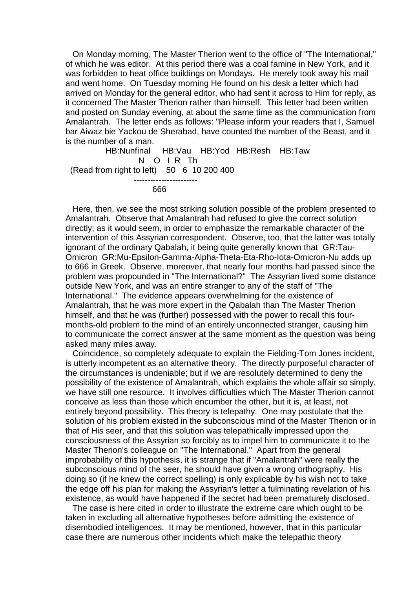On Monday morning, The Master Therion went to the office of "The International," of which he was editor. At this period there was a coal famine in New York, and it was forbidden to heat office buildings on Mondays. He merely took away his mail and went home. On Tuesday morning He found on his desk a letter which had arrived on Monday for the general editor, who had sent it across to Him for reply, as it concerned The Master Therion rather than himself. This letter had been written and posted on Sunday evening, at about the same time as the communication from Amalantrah. The letter ends as follows: "Please inform your readers that I, Samuel bar Aiwaz bie Yackou de Sherabad, have counted the number of the Beast, and it is the number of a man.

 HB:Nunfinal HB:Vau HB:Yod HB:Resh HB:Taw N O I R Th (Read from right to left) 50 6 10 200 400 ----------------------- 666

 Here, then, we see the most striking solution possible of the problem presented to Amalantrah. Observe that Amalantrah had refused to give the correct solution directly; as it would seem, in order to emphasize the remarkable character of the intervention of this Assyrian correspondent. Observe, too, that the latter was totally ignorant of the ordinary Qabalah, it being quite generally known that GR:Tau-Omicron GR:Mu-Epsilon-Gamma-Alpha-Theta-Eta-Rho-Iota-Omicron-Nu adds up to 666 in Greek. Observe, moreover, that nearly four months had passed since the problem was propounded in "The International?" The Assyrian lived some distance outside New York, and was an entire stranger to any of the staff of "The International." The evidence appears overwhelming for the existence of Amalantrah, that he was more expert in the Qabalah than The Master Therion himself, and that he was (further) possessed with the power to recall this fourmonths-old problem to the mind of an entirely unconnected stranger, causing him to communicate the correct answer at the same moment as the question was being asked many miles away.

 Coincidence, so completely adequate to explain the Fielding-Tom Jones incident, is utterly incompetent as an alternative theory. The directly purposeful character of the circumstances is undeniable; but if we are resolutely determined to deny the possibility of the existence of Amalantrah, which explains the whole affair so simply, we have still one resource. It involves difficulties which The Master Therion cannot conceive as less than those which encumber the other, but it is, at least, not entirely beyond possibility. This theory is telepathy. One may postulate that the solution of his problem existed in the subconscious mind of the Master Therion or in that of His seer, and that this solution was telepathically impressed upon the consciousness of the Assyrian so forcibly as to impel him to communicate it to the Master Therion's colleague on "The International." Apart from the general improbability of this hypothesis, it is strange that if "Amalantrah" were really the subconscious mind of the seer, he should have given a wrong orthography. His doing so (if he knew the correct spelling) is only explicable by his wish not to take the edge off his plan for making the Assyrian's letter a fulminating revelation of his existence, as would have happened if the secret had been prematurely disclosed.

 The case is here cited in order to illustrate the extreme care which ought to be taken in excluding all alternative hypotheses before admitting the existence of disembodied intelligences. It may be mentioned, however, that in this particular case there are numerous other incidents which make the telepathic theory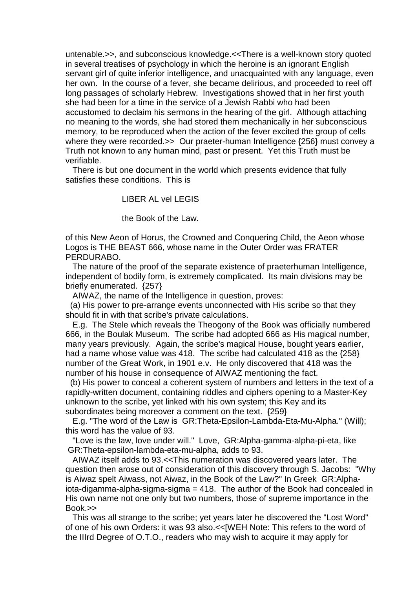untenable.>>, and subconscious knowledge.<<There is a well-known story quoted in several treatises of psychology in which the heroine is an ignorant English servant girl of quite inferior intelligence, and unacquainted with any language, even her own. In the course of a fever, she became delirious, and proceeded to reel off long passages of scholarly Hebrew. Investigations showed that in her first youth she had been for a time in the service of a Jewish Rabbi who had been accustomed to declaim his sermons in the hearing of the girl. Although attaching no meaning to the words, she had stored them mechanically in her subconscious memory, to be reproduced when the action of the fever excited the group of cells where they were recorded.>> Our praeter-human Intelligence {256} must convey a Truth not known to any human mind, past or present. Yet this Truth must be verifiable.

 There is but one document in the world which presents evidence that fully satisfies these conditions. This is

LIBER AL vel LEGIS

the Book of the Law.

of this New Aeon of Horus, the Crowned and Conquering Child, the Aeon whose Logos is THE BEAST 666, whose name in the Outer Order was FRATER PERDURABO.

 The nature of the proof of the separate existence of praeterhuman Intelligence, independent of bodily form, is extremely complicated. Its main divisions may be briefly enumerated. {257}

AIWAZ, the name of the Intelligence in question, proves:

 (a) His power to pre-arrange events unconnected with His scribe so that they should fit in with that scribe's private calculations.

 E.g. The Stele which reveals the Theogony of the Book was officially numbered 666, in the Boulak Museum. The scribe had adopted 666 as His magical number, many years previously. Again, the scribe's magical House, bought years earlier, had a name whose value was 418. The scribe had calculated 418 as the {258} number of the Great Work, in 1901 e.v. He only discovered that 418 was the number of his house in consequence of AIWAZ mentioning the fact.

 (b) His power to conceal a coherent system of numbers and letters in the text of a rapidly-written document, containing riddles and ciphers opening to a Master-Key unknown to the scribe, yet linked with his own system; this Key and its subordinates being moreover a comment on the text. {259}

 E.g. "The word of the Law is GR:Theta-Epsilon-Lambda-Eta-Mu-Alpha." (Will); this word has the value of 93.

 "Love is the law, love under will." Love, GR:Alpha-gamma-alpha-pi-eta, like GR:Theta-epsilon-lambda-eta-mu-alpha, adds to 93.

 AIWAZ itself adds to 93.<<This numeration was discovered years later. The question then arose out of consideration of this discovery through S. Jacobs: "Why is Aiwaz spelt Aiwass, not Aiwaz, in the Book of the Law?" In Greek GR:Alphaiota-digamma-alpha-sigma-sigma = 418. The author of the Book had concealed in His own name not one only but two numbers, those of supreme importance in the Book.>>

 This was all strange to the scribe; yet years later he discovered the "Lost Word" of one of his own Orders: it was 93 also.<<[WEH Note: This refers to the word of the IIIrd Degree of O.T.O., readers who may wish to acquire it may apply for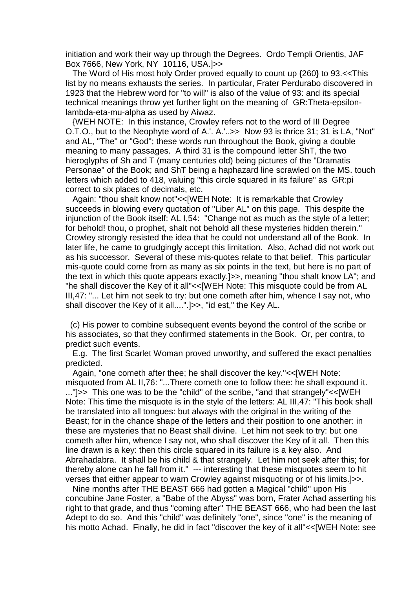initiation and work their way up through the Degrees. Ordo Templi Orientis, JAF Box 7666, New York, NY 10116, USA.]>>

 The Word of His most holy Order proved equally to count up {260} to 93.<<This list by no means exhausts the series. In particular, Frater Perdurabo discovered in 1923 that the Hebrew word for "to will" is also of the value of 93: and its special technical meanings throw yet further light on the meaning of GR:Theta-epsilonlambda-eta-mu-alpha as used by Aiwaz.

 {WEH NOTE: In this instance, Crowley refers not to the word of III Degree O.T.O., but to the Neophyte word of A.'. A.'..>> Now 93 is thrice 31; 31 is LA, "Not" and AL, "The" or "God"; these words run throughout the Book, giving a double meaning to many passages. A third 31 is the compound letter ShT, the two hieroglyphs of Sh and T (many centuries old) being pictures of the "Dramatis Personae" of the Book; and ShT being a haphazard line scrawled on the MS. touch letters which added to 418, valuing "this circle squared in its failure" as GR:pi correct to six places of decimals, etc.

 Again: "thou shalt know not"<<[WEH Note: It is remarkable that Crowley succeeds in blowing every quotation of "Liber AL" on this page. This despite the injunction of the Book itself: AL I,54: "Change not as much as the style of a letter; for behold! thou, o prophet, shalt not behold all these mysteries hidden therein." Crowley strongly resisted the idea that he could not understand all of the Book. In later life, he came to grudgingly accept this limitation. Also, Achad did not work out as his successor. Several of these mis-quotes relate to that belief. This particular mis-quote could come from as many as six points in the text, but here is no part of the text in which this quote appears exactly.]>>, meaning "thou shalt know LA"; and "he shall discover the Key of it all"<<[WEH Note: This misquote could be from AL III,47: "... Let him not seek to try: but one cometh after him, whence I say not, who shall discover the Key of it all....".]>>, "id est," the Key AL.

 (c) His power to combine subsequent events beyond the control of the scribe or his associates, so that they confirmed statements in the Book. Or, per contra, to predict such events.

 E.g. The first Scarlet Woman proved unworthy, and suffered the exact penalties predicted.

 Again, "one cometh after thee; he shall discover the key."<<[WEH Note: misquoted from AL II,76: "...There cometh one to follow thee: he shall expound it. ..."]>> This one was to be the "child" of the scribe, "and that strangely"<<[WEH Note: This time the misquote is in the style of the letters: AL III,47: "This book shall be translated into all tongues: but always with the original in the writing of the Beast; for in the chance shape of the letters and their position to one another: in these are mysteries that no Beast shall divine. Let him not seek to try: but one cometh after him, whence I say not, who shall discover the Key of it all. Then this line drawn is a key: then this circle squared in its failure is a key also. And Abrahadabra. It shall be his child & that strangely. Let him not seek after this; for thereby alone can he fall from it." --- interesting that these misquotes seem to hit verses that either appear to warn Crowley against misquoting or of his limits.]>>.

 Nine months after THE BEAST 666 had gotten a Magical "child" upon His concubine Jane Foster, a "Babe of the Abyss" was born, Frater Achad asserting his right to that grade, and thus "coming after" THE BEAST 666, who had been the last Adept to do so. And this "child" was definitely "one", since "one" is the meaning of his motto Achad. Finally, he did in fact "discover the key of it all"<<[WEH Note: see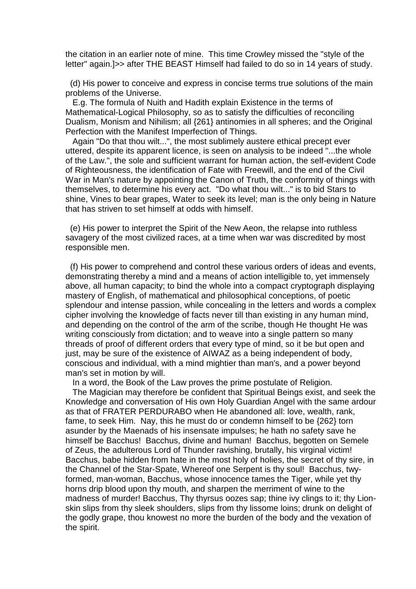the citation in an earlier note of mine. This time Crowley missed the "style of the letter" again.]>> after THE BEAST Himself had failed to do so in 14 years of study.

 (d) His power to conceive and express in concise terms true solutions of the main problems of the Universe.

 E.g. The formula of Nuith and Hadith explain Existence in the terms of Mathematical-Logical Philosophy, so as to satisfy the difficulties of reconciling Dualism, Monism and Nihilism; all {261} antinomies in all spheres; and the Original Perfection with the Manifest Imperfection of Things.

 Again "Do that thou wilt...", the most sublimely austere ethical precept ever uttered, despite its apparent licence, is seen on analysis to be indeed "...the whole of the Law.", the sole and sufficient warrant for human action, the self-evident Code of Righteousness, the identification of Fate with Freewill, and the end of the Civil War in Man's nature by appointing the Canon of Truth, the conformity of things with themselves, to determine his every act. "Do what thou wilt..." is to bid Stars to shine, Vines to bear grapes, Water to seek its level; man is the only being in Nature that has striven to set himself at odds with himself.

 (e) His power to interpret the Spirit of the New Aeon, the relapse into ruthless savagery of the most civilized races, at a time when war was discredited by most responsible men.

 (f) His power to comprehend and control these various orders of ideas and events, demonstrating thereby a mind and a means of action intelligible to, yet immensely above, all human capacity; to bind the whole into a compact cryptograph displaying mastery of English, of mathematical and philosophical conceptions, of poetic splendour and intense passion, while concealing in the letters and words a complex cipher involving the knowledge of facts never till than existing in any human mind, and depending on the control of the arm of the scribe, though He thought He was writing consciously from dictation; and to weave into a single pattern so many threads of proof of different orders that every type of mind, so it be but open and just, may be sure of the existence of AIWAZ as a being independent of body, conscious and individual, with a mind mightier than man's, and a power beyond man's set in motion by will.

In a word, the Book of the Law proves the prime postulate of Religion.

 The Magician may therefore be confident that Spiritual Beings exist, and seek the Knowledge and conversation of His own Holy Guardian Angel with the same ardour as that of FRATER PERDURABO when He abandoned all: love, wealth, rank, fame, to seek Him. Nay, this he must do or condemn himself to be {262} torn asunder by the Maenads of his insensate impulses; he hath no safety save he himself be Bacchus! Bacchus, divine and human! Bacchus, begotten on Semele of Zeus, the adulterous Lord of Thunder ravishing, brutally, his virginal victim! Bacchus, babe hidden from hate in the most holy of holies, the secret of thy sire, in the Channel of the Star-Spate, Whereof one Serpent is thy soul! Bacchus, twyformed, man-woman, Bacchus, whose innocence tames the Tiger, while yet thy horns drip blood upon thy mouth, and sharpen the merriment of wine to the madness of murder! Bacchus, Thy thyrsus oozes sap; thine ivy clings to it; thy Lionskin slips from thy sleek shoulders, slips from thy lissome loins; drunk on delight of the godly grape, thou knowest no more the burden of the body and the vexation of the spirit.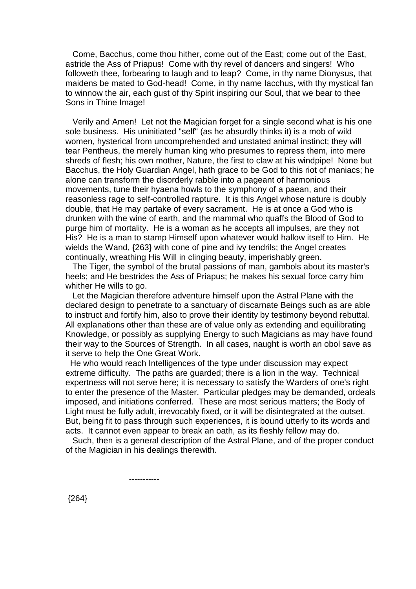Come, Bacchus, come thou hither, come out of the East; come out of the East, astride the Ass of Priapus! Come with thy revel of dancers and singers! Who followeth thee, forbearing to laugh and to leap? Come, in thy name Dionysus, that maidens be mated to God-head! Come, in thy name Iacchus, with thy mystical fan to winnow the air, each gust of thy Spirit inspiring our Soul, that we bear to thee Sons in Thine Image!

 Verily and Amen! Let not the Magician forget for a single second what is his one sole business. His uninitiated "self" (as he absurdly thinks it) is a mob of wild women, hysterical from uncomprehended and unstated animal instinct; they will tear Pentheus, the merely human king who presumes to repress them, into mere shreds of flesh; his own mother, Nature, the first to claw at his windpipe! None but Bacchus, the Holy Guardian Angel, hath grace to be God to this riot of maniacs; he alone can transform the disorderly rabble into a pageant of harmonious movements, tune their hyaena howls to the symphony of a paean, and their reasonless rage to self-controlled rapture. It is this Angel whose nature is doubly double, that He may partake of every sacrament. He is at once a God who is drunken with the wine of earth, and the mammal who quaffs the Blood of God to purge him of mortality. He is a woman as he accepts all impulses, are they not His? He is a man to stamp Himself upon whatever would hallow itself to Him. He wields the Wand, {263} with cone of pine and ivy tendrils; the Angel creates continually, wreathing His Will in clinging beauty, imperishably green.

 The Tiger, the symbol of the brutal passions of man, gambols about its master's heels; and He bestrides the Ass of Priapus; he makes his sexual force carry him whither He wills to go.

 Let the Magician therefore adventure himself upon the Astral Plane with the declared design to penetrate to a sanctuary of discarnate Beings such as are able to instruct and fortify him, also to prove their identity by testimony beyond rebuttal. All explanations other than these are of value only as extending and equilibrating Knowledge, or possibly as supplying Energy to such Magicians as may have found their way to the Sources of Strength. In all cases, naught is worth an obol save as it serve to help the One Great Work.

 He who would reach Intelligences of the type under discussion may expect extreme difficulty. The paths are guarded; there is a lion in the way. Technical expertness will not serve here; it is necessary to satisfy the Warders of one's right to enter the presence of the Master. Particular pledges may be demanded, ordeals imposed, and initiations conferred. These are most serious matters; the Body of Light must be fully adult, irrevocably fixed, or it will be disintegrated at the outset. But, being fit to pass through such experiences, it is bound utterly to its words and acts. It cannot even appear to break an oath, as its fleshly fellow may do.

 Such, then is a general description of the Astral Plane, and of the proper conduct of the Magician in his dealings therewith.

-----------

{264}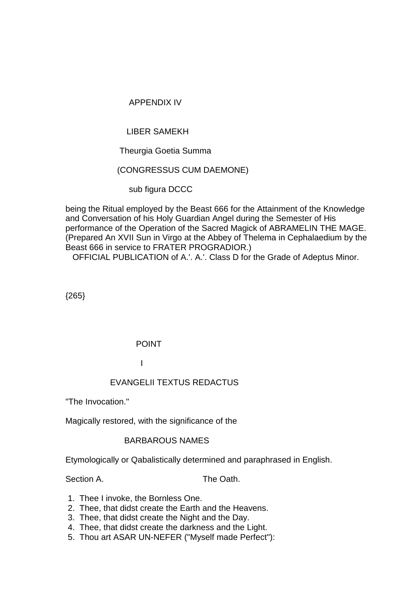APPENDIX IV

#### LIBER SAMEKH

Theurgia Goetia Summa

#### (CONGRESSUS CUM DAEMONE)

sub figura DCCC

being the Ritual employed by the Beast 666 for the Attainment of the Knowledge and Conversation of his Holy Guardian Angel during the Semester of His performance of the Operation of the Sacred Magick of ABRAMELIN THE MAGE. (Prepared An XVII Sun in Virgo at the Abbey of Thelema in Cephalaedium by the Beast 666 in service to FRATER PROGRADIOR.)

OFFICIAL PUBLICATION of A.'. A.'. Class D for the Grade of Adeptus Minor.

{265}

## POINT

**In the contract of the Contract of the Contract of the Contract of the Contract of the Contract of the Contract of the Contract of the Contract of the Contract of the Contract of the Contract of the Contract of the Contra** 

## EVANGELII TEXTUS REDACTUS

"The Invocation."

Magically restored, with the significance of the

#### BARBAROUS NAMES

Etymologically or Qabalistically determined and paraphrased in English.

Section A. The Oath.

1. Thee I invoke, the Bornless One.

- 2. Thee, that didst create the Earth and the Heavens.
- 3. Thee, that didst create the Night and the Day.
- 4. Thee, that didst create the darkness and the Light.
- 5. Thou art ASAR UN-NEFER ("Myself made Perfect"):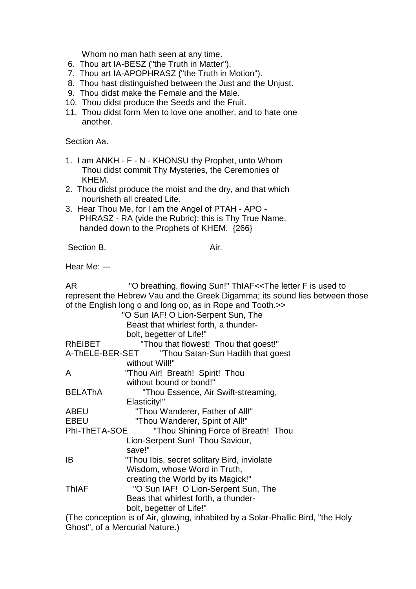Whom no man hath seen at any time.

- 6. Thou art IA-BESZ ("the Truth in Matter").
- 7. Thou art IA-APOPHRASZ ("the Truth in Motion").
- 8. Thou hast distinguished between the Just and the Unjust.
- 9. Thou didst make the Female and the Male.
- 10. Thou didst produce the Seeds and the Fruit.
- 11. Thou didst form Men to love one another, and to hate one another.

Section Aa.

- 1. I am ANKH F N KHONSU thy Prophet, unto Whom Thou didst commit Thy Mysteries, the Ceremonies of KHEM.
- 2. Thou didst produce the moist and the dry, and that which nourisheth all created Life.
- 3. Hear Thou Me, for I am the Angel of PTAH APO PHRASZ - RA (vide the Rubric): this is Thy True Name, handed down to the Prophets of KHEM. {266}

Section B. Air.

Hear Me: ---

| AR.                                                                              | "O breathing, flowing Sun!" ThIAF< <the f="" is="" letter="" th="" to<="" used=""></the> |  |  |  |
|----------------------------------------------------------------------------------|------------------------------------------------------------------------------------------|--|--|--|
| represent the Hebrew Vau and the Greek Digamma; its sound lies between those     |                                                                                          |  |  |  |
| of the English long o and long oo, as in Rope and Tooth.>>                       |                                                                                          |  |  |  |
|                                                                                  | "O Sun IAF! O Lion-Serpent Sun, The                                                      |  |  |  |
|                                                                                  | Beast that whirlest forth, a thunder-                                                    |  |  |  |
|                                                                                  | bolt, begetter of Life!"                                                                 |  |  |  |
| RhEIBET                                                                          | "Thou that flowest! Thou that goest!"                                                    |  |  |  |
| A-ThELE-BER-SET                                                                  | "Thou Satan-Sun Hadith that goest                                                        |  |  |  |
|                                                                                  | without Will!"                                                                           |  |  |  |
| A                                                                                | "Thou Air! Breath! Spirit! Thou                                                          |  |  |  |
|                                                                                  | without bound or bond!"                                                                  |  |  |  |
| <b>BELATHA</b>                                                                   | "Thou Essence, Air Swift-streaming,                                                      |  |  |  |
|                                                                                  | Elasticity!"                                                                             |  |  |  |
| ABEU                                                                             | "Thou Wanderer, Father of All!"                                                          |  |  |  |
| EBEU                                                                             | "Thou Wanderer, Spirit of All!"                                                          |  |  |  |
| PhI-ThETA-SOE                                                                    | "Thou Shining Force of Breath! Thou                                                      |  |  |  |
|                                                                                  | Lion-Serpent Sun! Thou Saviour,                                                          |  |  |  |
|                                                                                  | save!"                                                                                   |  |  |  |
| IB                                                                               | "Thou Ibis, secret solitary Bird, inviolate                                              |  |  |  |
|                                                                                  | Wisdom, whose Word in Truth,                                                             |  |  |  |
|                                                                                  | creating the World by its Magick!"                                                       |  |  |  |
| <b>ThIAF</b>                                                                     | "O Sun IAF! O Lion-Serpent Sun, The                                                      |  |  |  |
|                                                                                  | Beas that whirlest forth, a thunder-                                                     |  |  |  |
|                                                                                  | bolt, begetter of Life!"                                                                 |  |  |  |
| (The conception is of Air, glowing, inhabited by a Solar-Phallic Bird, "the Holy |                                                                                          |  |  |  |
| Ghost", of a Mercurial Nature.)                                                  |                                                                                          |  |  |  |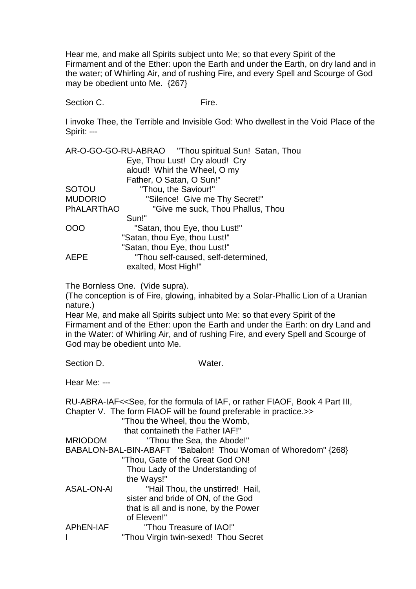Hear me, and make all Spirits subject unto Me; so that every Spirit of the Firmament and of the Ether: upon the Earth and under the Earth, on dry land and in the water; of Whirling Air, and of rushing Fire, and every Spell and Scourge of God may be obedient unto Me. {267}

Section C. **Fire.** 

I invoke Thee, the Terrible and Invisible God: Who dwellest in the Void Place of the Spirit: ---

|                                | AR-O-GO-GO-RU-ABRAO "Thou spiritual Sun! Satan, Thou |  |  |  |
|--------------------------------|------------------------------------------------------|--|--|--|
| Eye, Thou Lust! Cry aloud! Cry |                                                      |  |  |  |
|                                | aloud! Whirl the Wheel, O my                         |  |  |  |
|                                | Father, O Satan, O Sun!"                             |  |  |  |
| <b>SOTOU</b>                   | "Thou, the Saviour!"                                 |  |  |  |
| <b>MUDORIO</b>                 | "Silence! Give me Thy Secret!"                       |  |  |  |
| PhALARThAO                     | "Give me suck, Thou Phallus, Thou                    |  |  |  |
|                                | Sun!"                                                |  |  |  |
| റററ                            | "Satan, thou Eye, thou Lust!"                        |  |  |  |
|                                | "Satan, thou Eye, thou Lust!"                        |  |  |  |
|                                | "Satan, thou Eye, thou Lust!"                        |  |  |  |
| AEPE                           | "Thou self-caused, self-determined,                  |  |  |  |
|                                | exalted, Most High!"                                 |  |  |  |

The Bornless One. (Vide supra).

(The conception is of Fire, glowing, inhabited by a Solar-Phallic Lion of a Uranian nature.)

Hear Me, and make all Spirits subject unto Me: so that every Spirit of the Firmament and of the Ether: upon the Earth and under the Earth: on dry Land and in the Water: of Whirling Air, and of rushing Fire, and every Spell and Scourge of God may be obedient unto Me.

| Section D. |  |
|------------|--|
|------------|--|

Water.

Hear Me: ---

RU-ABRA-IAF<<See, for the formula of IAF, or rather FIAOF, Book 4 Part III, Chapter V. The form FIAOF will be found preferable in practice.>>

> "Thou the Wheel, thou the Womb, that containeth the Father IAF!"

|                | ulat containeul the Lather IAL:  |                            |                                                               |  |
|----------------|----------------------------------|----------------------------|---------------------------------------------------------------|--|
| <b>MRIODOM</b> |                                  | "Thou the Sea, the Abode!" |                                                               |  |
|                |                                  |                            | BABALON-BAL-BIN-ABAFT "Babalon! Thou Woman of Whoredom" {268} |  |
|                | "Thou, Gate of the Great God ON! |                            |                                                               |  |
|                |                                  |                            |                                                               |  |

 Thou Lady of the Understanding of the Ways!"

ASAL-ON-AI "Hail Thou, the unstirred! Hail,

 sister and bride of ON, of the God that is all and is none, by the Power

- of Eleven!" APhEN-IAF "Thou Treasure of IAO!"
- I "Thou Virgin twin-sexed! Thou Secret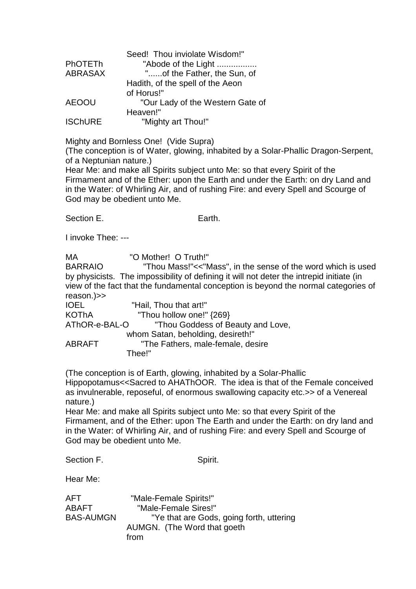|                | Seed! Thou inviolate Wisdom!"    |
|----------------|----------------------------------|
| <b>PhOTETh</b> | "Abode of the Light              |
| <b>ABRASAX</b> | "of the Father, the Sun, of      |
|                | Hadith, of the spell of the Aeon |
|                | of Horus!"                       |
| <b>AEOOU</b>   | "Our Lady of the Western Gate of |
|                | Heaven!"                         |
| <b>ISCHURE</b> | "Mighty art Thou!"               |

Mighty and Bornless One! (Vide Supra)

(The conception is of Water, glowing, inhabited by a Solar-Phallic Dragon-Serpent, of a Neptunian nature.)

Hear Me: and make all Spirits subject unto Me: so that every Spirit of the Firmament and of the Ether: upon the Earth and under the Earth: on dry Land and in the Water: of Whirling Air, and of rushing Fire: and every Spell and Scourge of God may be obedient unto Me.

Section F. **Earth.** 

I invoke Thee: ---

MA "O Mother! O Truth!" BARRAIO "Thou Mass!"<<"Mass", in the sense of the word which is used by physicists. The impossibility of defining it will not deter the intrepid initiate (in view of the fact that the fundamental conception is beyond the normal categories of reason.)>> IOEL "Hail, Thou that art!" KOThA "Thou hollow one!" {269} AThOR-e-BAL-O "Thou Goddess of Beauty and Love, whom Satan, beholding, desireth!" ABRAFT "The Fathers, male-female, desire Thee!"

(The conception is of Earth, glowing, inhabited by a Solar-Phallic Hippopotamus<<Sacred to AHAThOOR. The idea is that of the Female conceived as invulnerable, reposeful, of enormous swallowing capacity etc.>> of a Venereal nature.)

Hear Me: and make all Spirits subject unto Me: so that every Spirit of the Firmament, and of the Ether: upon The Earth and under the Earth: on dry land and in the Water: of Whirling Air, and of rushing Fire: and every Spell and Scourge of God may be obedient unto Me.

Section F. Spirit.

Hear Me:

| AFT              | "Male-Female Spirits!"                   |
|------------------|------------------------------------------|
| ABAFT            | "Male-Female Sires!"                     |
| <b>BAS-AUMGN</b> | "Ye that are Gods, going forth, uttering |
|                  | AUMGN. (The Word that goeth)             |
|                  | from                                     |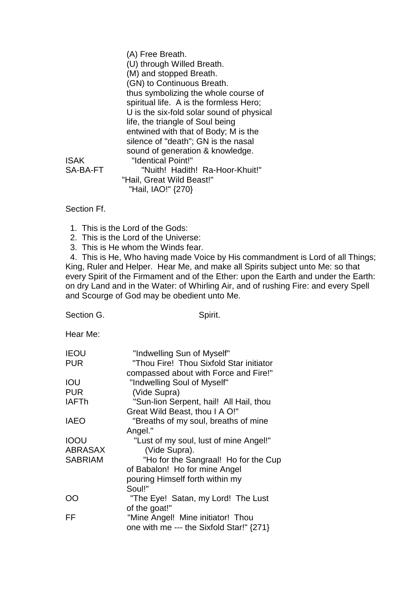| (A) Free Breath.                          |
|-------------------------------------------|
| (U) through Willed Breath.                |
| (M) and stopped Breath.                   |
| (GN) to Continuous Breath.                |
| thus symbolizing the whole course of      |
| spiritual life. A is the formless Hero;   |
| U is the six-fold solar sound of physical |
| life, the triangle of Soul being          |
| entwined with that of Body; M is the      |
| silence of "death"; GN is the nasal       |
| sound of generation & knowledge.          |
| "Identical Point!"                        |
| "Nuith! Hadith! Ra-Hoor-Khuit!"           |
| "Hail, Great Wild Beast!"                 |
| "Hail, IAO!" {270}                        |
|                                           |

Section Ff.

- 1. This is the Lord of the Gods:
- 2. This is the Lord of the Universe:
- 3. This is He whom the Winds fear.

 4. This is He, Who having made Voice by His commandment is Lord of all Things; King, Ruler and Helper. Hear Me, and make all Spirits subject unto Me: so that every Spirit of the Firmament and of the Ether: upon the Earth and under the Earth: on dry Land and in the Water: of Whirling Air, and of rushing Fire: and every Spell and Scourge of God may be obedient unto Me.

Section G. Spirit.

Hear Me:

| <b>IEOU</b>    | "Indwelling Sun of Myself"               |
|----------------|------------------------------------------|
| <b>PUR</b>     | "Thou Fire! Thou Sixfold Star initiator  |
|                | compassed about with Force and Fire!"    |
| IOU            | "Indwelling Soul of Myself"              |
| <b>PUR</b>     | (Vide Supra)                             |
| <b>IAFTh</b>   | "Sun-lion Serpent, hail! All Hail, thou  |
|                | Great Wild Beast, thou I A O!"           |
| <b>IAEO</b>    | "Breaths of my soul, breaths of mine     |
|                | Angel."                                  |
| <b>IOOU</b>    | "Lust of my soul, lust of mine Angel!"   |
| <b>ABRASAX</b> | (Vide Supra).                            |
| <b>SABRIAM</b> | "Ho for the Sangraal! Ho for the Cup     |
|                | of Babalon! Ho for mine Angel            |
|                | pouring Himself forth within my          |
|                | Soul!"                                   |
| OO             | "The Eye! Satan, my Lord! The Lust       |
|                | of the goat!"                            |
| FF             | "Mine Angel! Mine initiator! Thou        |
|                | one with me --- the Sixfold Star!" {271} |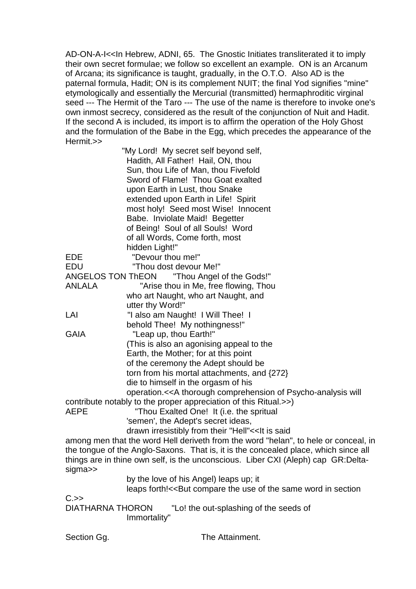AD-ON-A-I<< In Hebrew, ADNI, 65. The Gnostic Initiates transliterated it to imply their own secret formulae; we follow so excellent an example. ON is an Arcanum of Arcana; its significance is taught, gradually, in the O.T.O. Also AD is the paternal formula, Hadit; ON is its complement NUIT; the final Yod signifies "mine" etymologically and essentially the Mercurial (transmitted) hermaphroditic virginal seed --- The Hermit of the Taro --- The use of the name is therefore to invoke one's own inmost secrecy, considered as the result of the conjunction of Nuit and Hadit. If the second A is included, its import is to affirm the operation of the Holy Ghost and the formulation of the Babe in the Egg, which precedes the appearance of the Hermit.>>

 "My Lord! My secret self beyond self, Hadith, All Father! Hail, ON, thou Sun, thou Life of Man, thou Fivefold Sword of Flame! Thou Goat exalted upon Earth in Lust, thou Snake extended upon Earth in Life! Spirit most holy! Seed most Wise! Innocent Babe. Inviolate Maid! Begetter of Being! Soul of all Souls! Word of all Words, Come forth, most hidden Light!" EDE "Devour thou me!" EDU "Thou dost devour Me!" ANGELOS TON ThEON "Thou Angel of the Gods!" ANLALA "Arise thou in Me, free flowing, Thou who art Naught, who art Naught, and utter thy Word!" LAI "I also am Naught! I Will Thee! I behold Thee! My nothingness!" GAIA "Leap up, thou Earth!" (This is also an agonising appeal to the Earth, the Mother; for at this point of the ceremony the Adept should be torn from his mortal attachments, and {272} die to himself in the orgasm of his operation.<<A thorough comprehension of Psycho-analysis will contribute notably to the proper appreciation of this Ritual.>>) AEPE "Thou Exalted One! It (i.e. the spritual 'semen', the Adept's secret ideas, drawn irresistibly from their "Hell"<<It is said among men that the word Hell deriveth from the word "helan", to hele or conceal, in the tongue of the Anglo-Saxons. That is, it is the concealed place, which since all things are in thine own self, is the unconscious. Liber CXI (Aleph) cap GR:Deltasigma>> by the love of his Angel) leaps up; it leaps forth!<< But compare the use of the same word in section  $C.$ >> DIATHARNA THORON "Lo! the out-splashing of the seeds of Immortality" Section Gg. The Attainment.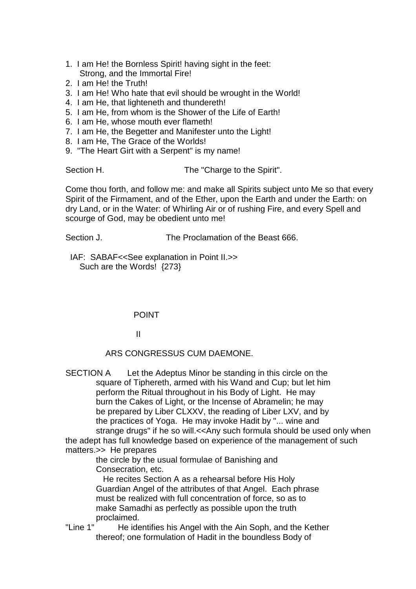- 1. I am He! the Bornless Spirit! having sight in the feet: Strong, and the Immortal Fire!
- 2. I am He! the Truth!
- 3. I am He! Who hate that evil should be wrought in the World!
- 4. I am He, that lighteneth and thundereth!
- 5. I am He, from whom is the Shower of the Life of Earth!
- 6. I am He, whose mouth ever flameth!
- 7. I am He, the Begetter and Manifester unto the Light!
- 8. I am He, The Grace of the Worlds!
- 9. "The Heart Girt with a Serpent" is my name!

Section H. The "Charge to the Spirit".

Come thou forth, and follow me: and make all Spirits subject unto Me so that every Spirit of the Firmament, and of the Ether, upon the Earth and under the Earth: on dry Land, or in the Water: of Whirling Air or of rushing Fire, and every Spell and scourge of God, may be obedient unto me!

Section J. The Proclamation of the Beast 666.

 IAF: SABAF<<See explanation in Point II.>> Such are the Words! {273}

#### POINT

**III** and the state of the III

## ARS CONGRESSUS CUM DAEMONE.

SECTION A Let the Adeptus Minor be standing in this circle on the square of Tiphereth, armed with his Wand and Cup; but let him perform the Ritual throughout in his Body of Light. He may burn the Cakes of Light, or the Incense of Abramelin; he may be prepared by Liber CLXXV, the reading of Liber LXV, and by the practices of Yoga. He may invoke Hadit by "... wine and strange drugs" if he so will.<< Any such formula should be used only when

the adept has full knowledge based on experience of the management of such matters.>> He prepares

 the circle by the usual formulae of Banishing and Consecration, etc.

 He recites Section A as a rehearsal before His Holy Guardian Angel of the attributes of that Angel. Each phrase must be realized with full concentration of force, so as to make Samadhi as perfectly as possible upon the truth

proclaimed.<br>Line 1" He ide" He identifies his Angel with the Ain Soph, and the Kether thereof; one formulation of Hadit in the boundless Body of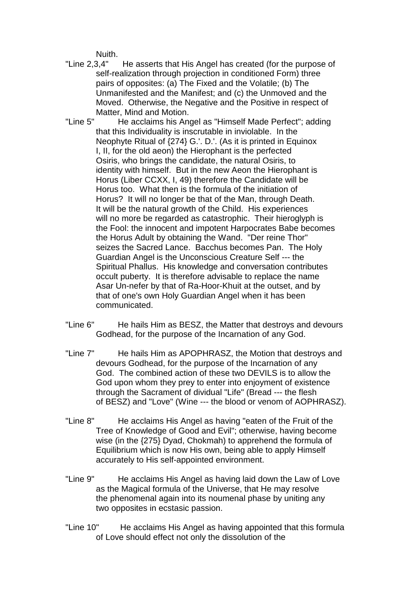Nuith.

- "Line 2,3,4" He asserts that His Angel has created (for the purpose of self-realization through projection in conditioned Form) three pairs of opposites: (a) The Fixed and the Volatile; (b) The Unmanifested and the Manifest; and (c) the Unmoved and the Moved. Otherwise, the Negative and the Positive in respect of Matter, Mind and Motion.
- "Line 5" He acclaims his Angel as "Himself Made Perfect"; adding that this Individuality is inscrutable in inviolable. In the Neophyte Ritual of {274} G.'. D.'. (As it is printed in Equinox I, II, for the old aeon) the Hierophant is the perfected Osiris, who brings the candidate, the natural Osiris, to identity with himself. But in the new Aeon the Hierophant is Horus (Liber CCXX, I, 49) therefore the Candidate will be Horus too. What then is the formula of the initiation of Horus? It will no longer be that of the Man, through Death. It will be the natural growth of the Child. His experiences will no more be regarded as catastrophic. Their hieroglyph is the Fool: the innocent and impotent Harpocrates Babe becomes the Horus Adult by obtaining the Wand. "Der reine Thor" seizes the Sacred Lance. Bacchus becomes Pan. The Holy Guardian Angel is the Unconscious Creature Self --- the Spiritual Phallus. His knowledge and conversation contributes occult puberty. It is therefore advisable to replace the name Asar Un-nefer by that of Ra-Hoor-Khuit at the outset, and by that of one's own Holy Guardian Angel when it has been communicated.
- "Line 6" He hails Him as BESZ, the Matter that destroys and devours Godhead, for the purpose of the Incarnation of any God.
- "Line 7" He hails Him as APOPHRASZ, the Motion that destroys and devours Godhead, for the purpose of the Incarnation of any God. The combined action of these two DEVILS is to allow the God upon whom they prey to enter into enjoyment of existence through the Sacrament of dividual "Life" (Bread --- the flesh of BESZ) and "Love" (Wine --- the blood or venom of AOPHRASZ).
- "Line 8" He acclaims His Angel as having "eaten of the Fruit of the Tree of Knowledge of Good and Evil"; otherwise, having become wise (in the {275} Dyad, Chokmah) to apprehend the formula of Equilibrium which is now His own, being able to apply Himself accurately to His self-appointed environment.
- "Line 9" He acclaims His Angel as having laid down the Law of Love as the Magical formula of the Universe, that He may resolve the phenomenal again into its noumenal phase by uniting any two opposites in ecstasic passion.
- "Line 10" He acclaims His Angel as having appointed that this formula of Love should effect not only the dissolution of the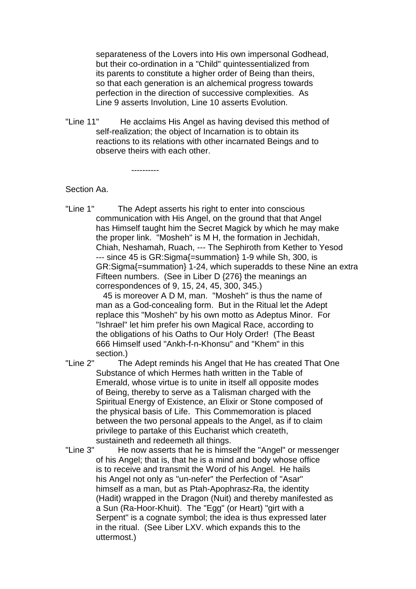separateness of the Lovers into His own impersonal Godhead, but their co-ordination in a "Child" quintessentialized from its parents to constitute a higher order of Being than theirs, so that each generation is an alchemical progress towards perfection in the direction of successive complexities. As Line 9 asserts Involution, Line 10 asserts Evolution.

"Line 11" He acclaims His Angel as having devised this method of self-realization; the object of Incarnation is to obtain its reactions to its relations with other incarnated Beings and to observe theirs with each other.

#### Section Aa.

----------

"Line 1" The Adept asserts his right to enter into conscious communication with His Angel, on the ground that that Angel has Himself taught him the Secret Magick by which he may make the proper link. "Mosheh" is M H, the formation in Jechidah, Chiah, Neshamah, Ruach, --- The Sephiroth from Kether to Yesod --- since 45 is GR:Sigma{=summation} 1-9 while Sh, 300, is GR:Sigma{=summation} 1-24, which superadds to these Nine an extra Fifteen numbers. (See in Liber D {276} the meanings an correspondences of 9, 15, 24, 45, 300, 345.)

> 45 is moreover A D M, man. "Mosheh" is thus the name of man as a God-concealing form. But in the Ritual let the Adept replace this "Mosheh" by his own motto as Adeptus Minor. For "Ishrael" let him prefer his own Magical Race, according to the obligations of his Oaths to Our Holy Order! (The Beast 666 Himself used "Ankh-f-n-Khonsu" and "Khem" in this section.)

- "Line 2" The Adept reminds his Angel that He has created That One Substance of which Hermes hath written in the Table of Emerald, whose virtue is to unite in itself all opposite modes of Being, thereby to serve as a Talisman charged with the Spiritual Energy of Existence, an Elixir or Stone composed of the physical basis of Life. This Commemoration is placed between the two personal appeals to the Angel, as if to claim privilege to partake of this Eucharist which createth, sustaineth and redeemeth all things.
- "Line 3" He now asserts that he is himself the "Angel" or messenger of his Angel; that is, that he is a mind and body whose office is to receive and transmit the Word of his Angel. He hails his Angel not only as "un-nefer" the Perfection of "Asar" himself as a man, but as Ptah-Apophrasz-Ra, the identity (Hadit) wrapped in the Dragon (Nuit) and thereby manifested as a Sun (Ra-Hoor-Khuit). The "Egg" (or Heart) "girt with a Serpent" is a cognate symbol; the idea is thus expressed later in the ritual. (See Liber LXV. which expands this to the uttermost.)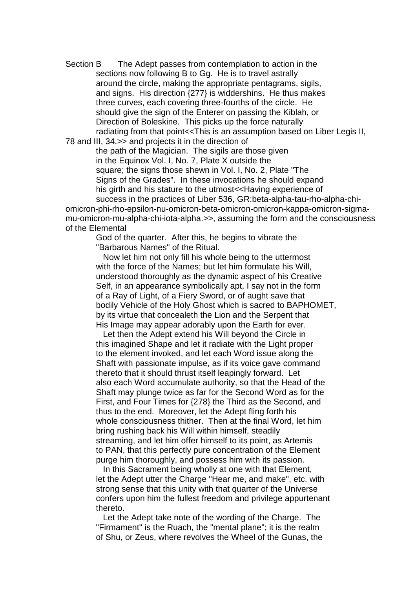Section B The Adept passes from contemplation to action in the sections now following B to Gg. He is to travel astrally around the circle, making the appropriate pentagrams, sigils, and signs. His direction {277} is widdershins. He thus makes three curves, each covering three-fourths of the circle. He should give the sign of the Enterer on passing the Kiblah, or Direction of Boleskine. This picks up the force naturally radiating from that point<<This is an assumption based on Liber Legis II,

78 and III, 34.>> and projects it in the direction of the path of the Magician. The sigils are those given in the Equinox Vol. I, No. 7, Plate X outside the square; the signs those shewn in Vol. I, No. 2, Plate "The Signs of the Grades". In these invocations he should expand his girth and his stature to the utmost<<Having experience of success in the practices of Liber 536, GR:beta-alpha-tau-rho-alpha-chiomicron-phi-rho-epsilon-nu-omicron-beta-omicron-omicron-kappa-omicron-sigmamu-omicron-mu-alpha-chi-iota-alpha.>>, assuming the form and the consciousness

of the Elemental

 God of the quarter. After this, he begins to vibrate the "Barbarous Names" of the Ritual.

 Now let him not only fill his whole being to the uttermost with the force of the Names; but let him formulate his Will, understood thoroughly as the dynamic aspect of his Creative Self, in an appearance symbolically apt, I say not in the form of a Ray of Light, of a Fiery Sword, or of aught save that bodily Vehicle of the Holy Ghost which is sacred to BAPHOMET, by its virtue that concealeth the Lion and the Serpent that His Image may appear adorably upon the Earth for ever.

 Let then the Adept extend his Will beyond the Circle in this imagined Shape and let it radiate with the Light proper to the element invoked, and let each Word issue along the Shaft with passionate impulse, as if its voice gave command thereto that it should thrust itself leapingly forward. Let also each Word accumulate authority, so that the Head of the Shaft may plunge twice as far for the Second Word as for the First, and Four Times for {278} the Third as the Second, and thus to the end. Moreover, let the Adept fling forth his whole consciousness thither. Then at the final Word, let him bring rushing back his Will within himself, steadily streaming, and let him offer himself to its point, as Artemis to PAN, that this perfectly pure concentration of the Element purge him thoroughly, and possess him with its passion.

 In this Sacrament being wholly at one with that Element, let the Adept utter the Charge "Hear me, and make", etc. with strong sense that this unity with that quarter of the Universe confers upon him the fullest freedom and privilege appurtenant thereto.

 Let the Adept take note of the wording of the Charge. The "Firmament" is the Ruach, the "mental plane"; it is the realm of Shu, or Zeus, where revolves the Wheel of the Gunas, the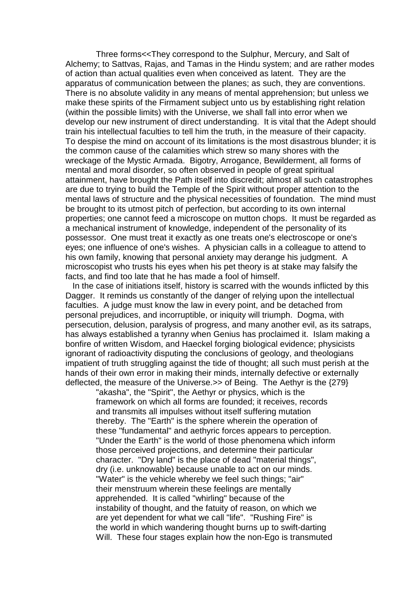Three forms<<They correspond to the Sulphur, Mercury, and Salt of Alchemy; to Sattvas, Rajas, and Tamas in the Hindu system; and are rather modes of action than actual qualities even when conceived as latent. They are the apparatus of communication between the planes; as such, they are conventions. There is no absolute validity in any means of mental apprehension; but unless we make these spirits of the Firmament subject unto us by establishing right relation (within the possible limits) with the Universe, we shall fall into error when we develop our new instrument of direct understanding. It is vital that the Adept should train his intellectual faculties to tell him the truth, in the measure of their capacity. To despise the mind on account of its limitations is the most disastrous blunder; it is the common cause of the calamities which strew so many shores with the wreckage of the Mystic Armada. Bigotry, Arrogance, Bewilderment, all forms of mental and moral disorder, so often observed in people of great spiritual attainment, have brought the Path itself into discredit; almost all such catastrophes are due to trying to build the Temple of the Spirit without proper attention to the mental laws of structure and the physical necessities of foundation. The mind must be brought to its utmost pitch of perfection, but according to its own internal properties; one cannot feed a microscope on mutton chops. It must be regarded as a mechanical instrument of knowledge, independent of the personality of its possessor. One must treat it exactly as one treats one's electroscope or one's eyes; one influence of one's wishes. A physician calls in a colleague to attend to his own family, knowing that personal anxiety may derange his judgment. A microscopist who trusts his eyes when his pet theory is at stake may falsify the facts, and find too late that he has made a fool of himself.

 In the case of initiations itself, history is scarred with the wounds inflicted by this Dagger. It reminds us constantly of the danger of relying upon the intellectual faculties. A judge must know the law in every point, and be detached from personal prejudices, and incorruptible, or iniquity will triumph. Dogma, with persecution, delusion, paralysis of progress, and many another evil, as its satraps, has always established a tyranny when Genius has proclaimed it. Islam making a bonfire of written Wisdom, and Haeckel forging biological evidence; physicists ignorant of radioactivity disputing the conclusions of geology, and theologians impatient of truth struggling against the tide of thought; all such must perish at the hands of their own error in making their minds, internally defective or externally deflected, the measure of the Universe. >> of Being. The Aethyr is the {279}

 "akasha", the "Spirit", the Aethyr or physics, which is the framework on which all forms are founded; it receives, records and transmits all impulses without itself suffering mutation thereby. The "Earth" is the sphere wherein the operation of these "fundamental" and aethyric forces appears to perception. "Under the Earth" is the world of those phenomena which inform those perceived projections, and determine their particular character. "Dry land" is the place of dead "material things", dry (i.e. unknowable) because unable to act on our minds. "Water" is the vehicle whereby we feel such things; "air" their menstruum wherein these feelings are mentally apprehended. It is called "whirling" because of the instability of thought, and the fatuity of reason, on which we are yet dependent for what we call "life". "Rushing Fire" is the world in which wandering thought burns up to swift-darting Will. These four stages explain how the non-Ego is transmuted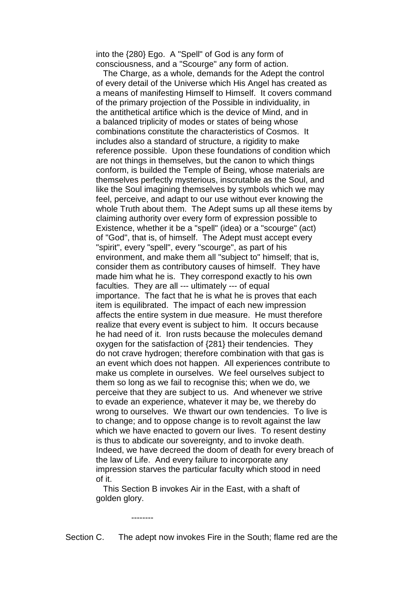into the {280} Ego. A "Spell" of God is any form of consciousness, and a "Scourge" any form of action.

 The Charge, as a whole, demands for the Adept the control of every detail of the Universe which His Angel has created as a means of manifesting Himself to Himself. It covers command of the primary projection of the Possible in individuality, in the antithetical artifice which is the device of Mind, and in a balanced triplicity of modes or states of being whose combinations constitute the characteristics of Cosmos. It includes also a standard of structure, a rigidity to make reference possible. Upon these foundations of condition which are not things in themselves, but the canon to which things conform, is builded the Temple of Being, whose materials are themselves perfectly mysterious, inscrutable as the Soul, and like the Soul imagining themselves by symbols which we may feel, perceive, and adapt to our use without ever knowing the whole Truth about them. The Adept sums up all these items by claiming authority over every form of expression possible to Existence, whether it be a "spell" (idea) or a "scourge" (act) of "God", that is, of himself. The Adept must accept every "spirit", every "spell", every "scourge", as part of his environment, and make them all "subject to" himself; that is, consider them as contributory causes of himself. They have made him what he is. They correspond exactly to his own faculties. They are all --- ultimately --- of equal importance. The fact that he is what he is proves that each item is equilibrated. The impact of each new impression affects the entire system in due measure. He must therefore realize that every event is subject to him. It occurs because he had need of it. Iron rusts because the molecules demand oxygen for the satisfaction of {281} their tendencies. They do not crave hydrogen; therefore combination with that gas is an event which does not happen. All experiences contribute to make us complete in ourselves. We feel ourselves subject to them so long as we fail to recognise this; when we do, we perceive that they are subject to us. And whenever we strive to evade an experience, whatever it may be, we thereby do wrong to ourselves. We thwart our own tendencies. To live is to change; and to oppose change is to revolt against the law which we have enacted to govern our lives. To resent destiny is thus to abdicate our sovereignty, and to invoke death. Indeed, we have decreed the doom of death for every breach of the law of Life. And every failure to incorporate any impression starves the particular faculty which stood in need of it.

 This Section B invokes Air in the East, with a shaft of golden glory.

--------

Section C. The adept now invokes Fire in the South; flame red are the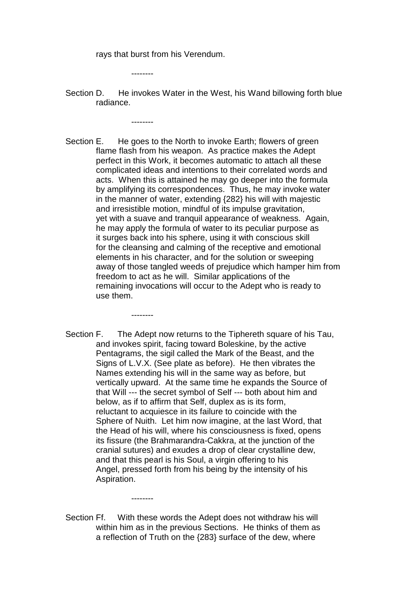rays that burst from his Verendum.

--------

--------

--------

Section D. He invokes Water in the West, his Wand billowing forth blue radiance.

Section E. He goes to the North to invoke Earth; flowers of green flame flash from his weapon. As practice makes the Adept perfect in this Work, it becomes automatic to attach all these complicated ideas and intentions to their correlated words and acts. When this is attained he may go deeper into the formula by amplifying its correspondences. Thus, he may invoke water in the manner of water, extending {282} his will with majestic and irresistible motion, mindful of its impulse gravitation, yet with a suave and tranquil appearance of weakness. Again, he may apply the formula of water to its peculiar purpose as it surges back into his sphere, using it with conscious skill for the cleansing and calming of the receptive and emotional elements in his character, and for the solution or sweeping away of those tangled weeds of prejudice which hamper him from freedom to act as he will. Similar applications of the remaining invocations will occur to the Adept who is ready to use them.

- Section F. The Adept now returns to the Tiphereth square of his Tau, and invokes spirit, facing toward Boleskine, by the active Pentagrams, the sigil called the Mark of the Beast, and the Signs of L.V.X. (See plate as before). He then vibrates the Names extending his will in the same way as before, but vertically upward. At the same time he expands the Source of that Will --- the secret symbol of Self --- both about him and below, as if to affirm that Self, duplex as is its form, reluctant to acquiesce in its failure to coincide with the Sphere of Nuith. Let him now imagine, at the last Word, that the Head of his will, where his consciousness is fixed, opens its fissure (the Brahmarandra-Cakkra, at the junction of the cranial sutures) and exudes a drop of clear crystalline dew, and that this pearl is his Soul, a virgin offering to his Angel, pressed forth from his being by the intensity of his Aspiration.
- Section Ff. With these words the Adept does not withdraw his will within him as in the previous Sections. He thinks of them as a reflection of Truth on the {283} surface of the dew, where

--------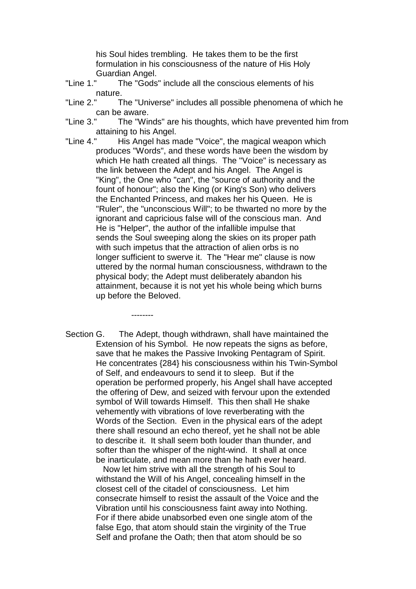his Soul hides trembling. He takes them to be the first formulation in his consciousness of the nature of His Holy Guardian Angel.

- "Line 1." The "Gods" include all the conscious elements of his nature.
- "Line 2." The "Universe" includes all possible phenomena of which he can be aware.<br>I ine 3." The "Wir"
- The "Winds" are his thoughts, which have prevented him from attaining to his Angel.<br>Line 4." His Angel has m"
- His Angel has made "Voice", the magical weapon which produces "Words", and these words have been the wisdom by which He hath created all things. The "Voice" is necessary as the link between the Adept and his Angel. The Angel is "King", the One who "can", the "source of authority and the fount of honour"; also the King (or King's Son) who delivers the Enchanted Princess, and makes her his Queen. He is "Ruler", the "unconscious Will"; to be thwarted no more by the ignorant and capricious false will of the conscious man. And He is "Helper", the author of the infallible impulse that sends the Soul sweeping along the skies on its proper path with such impetus that the attraction of alien orbs is no longer sufficient to swerve it. The "Hear me" clause is now uttered by the normal human consciousness, withdrawn to the physical body; the Adept must deliberately abandon his attainment, because it is not yet his whole being which burns up before the Beloved.

--------

Section G. The Adept, though withdrawn, shall have maintained the Extension of his Symbol. He now repeats the signs as before, save that he makes the Passive Invoking Pentagram of Spirit. He concentrates {284} his consciousness within his Twin-Symbol of Self, and endeavours to send it to sleep. But if the operation be performed properly, his Angel shall have accepted the offering of Dew, and seized with fervour upon the extended symbol of Will towards Himself. This then shall He shake vehemently with vibrations of love reverberating with the Words of the Section. Even in the physical ears of the adept there shall resound an echo thereof, yet he shall not be able to describe it. It shall seem both louder than thunder, and softer than the whisper of the night-wind. It shall at once be inarticulate, and mean more than he hath ever heard.

> Now let him strive with all the strength of his Soul to withstand the Will of his Angel, concealing himself in the closest cell of the citadel of consciousness. Let him consecrate himself to resist the assault of the Voice and the Vibration until his consciousness faint away into Nothing. For if there abide unabsorbed even one single atom of the false Ego, that atom should stain the virginity of the True Self and profane the Oath; then that atom should be so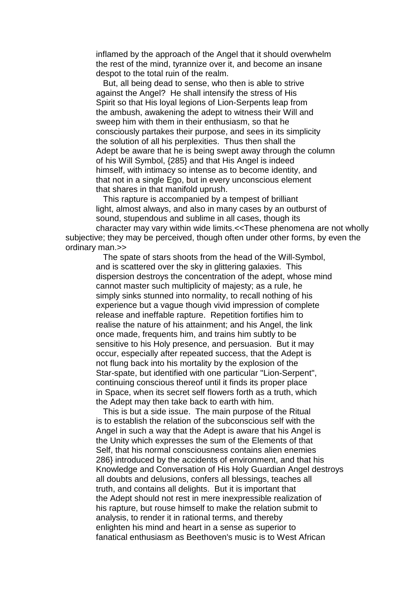inflamed by the approach of the Angel that it should overwhelm the rest of the mind, tyrannize over it, and become an insane despot to the total ruin of the realm.

 But, all being dead to sense, who then is able to strive against the Angel? He shall intensify the stress of His Spirit so that His loyal legions of Lion-Serpents leap from the ambush, awakening the adept to witness their Will and sweep him with them in their enthusiasm, so that he consciously partakes their purpose, and sees in its simplicity the solution of all his perplexities. Thus then shall the Adept be aware that he is being swept away through the column of his Will Symbol, {285} and that His Angel is indeed himself, with intimacy so intense as to become identity, and that not in a single Ego, but in every unconscious element that shares in that manifold uprush.

 This rapture is accompanied by a tempest of brilliant light, almost always, and also in many cases by an outburst of sound, stupendous and sublime in all cases, though its character may vary within wide limits.<<These phenomena are not wholly

subjective; they may be perceived, though often under other forms, by even the ordinary man.>>

 The spate of stars shoots from the head of the Will-Symbol, and is scattered over the sky in glittering galaxies. This dispersion destroys the concentration of the adept, whose mind cannot master such multiplicity of majesty; as a rule, he simply sinks stunned into normality, to recall nothing of his experience but a vague though vivid impression of complete release and ineffable rapture. Repetition fortifies him to realise the nature of his attainment; and his Angel, the link once made, frequents him, and trains him subtly to be sensitive to his Holy presence, and persuasion. But it may occur, especially after repeated success, that the Adept is not flung back into his mortality by the explosion of the Star-spate, but identified with one particular "Lion-Serpent", continuing conscious thereof until it finds its proper place in Space, when its secret self flowers forth as a truth, which the Adept may then take back to earth with him.

 This is but a side issue. The main purpose of the Ritual is to establish the relation of the subconscious self with the Angel in such a way that the Adept is aware that his Angel is the Unity which expresses the sum of the Elements of that Self, that his normal consciousness contains alien enemies 286} introduced by the accidents of environment, and that his Knowledge and Conversation of His Holy Guardian Angel destroys all doubts and delusions, confers all blessings, teaches all truth, and contains all delights. But it is important that the Adept should not rest in mere inexpressible realization of his rapture, but rouse himself to make the relation submit to analysis, to render it in rational terms, and thereby enlighten his mind and heart in a sense as superior to fanatical enthusiasm as Beethoven's music is to West African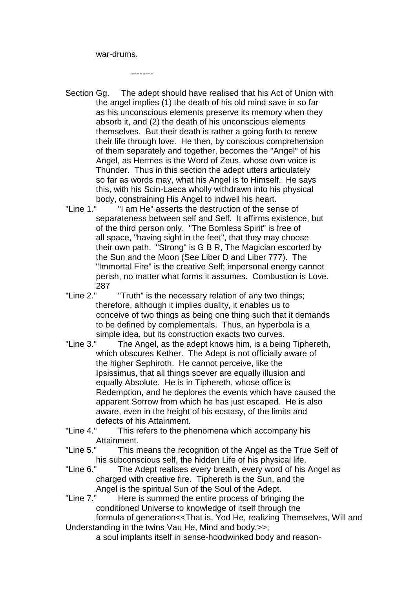war-drums.

--------

- Section Gg. The adept should have realised that his Act of Union with the angel implies (1) the death of his old mind save in so far as his unconscious elements preserve its memory when they absorb it, and (2) the death of his unconscious elements themselves. But their death is rather a going forth to renew their life through love. He then, by conscious comprehension of them separately and together, becomes the "Angel" of his Angel, as Hermes is the Word of Zeus, whose own voice is Thunder. Thus in this section the adept utters articulately so far as words may, what his Angel is to Himself. He says this, with his Scin-Laeca wholly withdrawn into his physical body, constraining His Angel to indwell his heart.
- "Line 1." "I am He" asserts the destruction of the sense of separateness between self and Self. It affirms existence, but of the third person only. "The Bornless Spirit" is free of all space, "having sight in the feet", that they may choose their own path. "Strong" is G B R, The Magician escorted by the Sun and the Moon (See Liber D and Liber 777). The "Immortal Fire" is the creative Self; impersonal energy cannot perish, no matter what forms it assumes. Combustion is Love. 287
- "Line 2." "Truth" is the necessary relation of any two things; therefore, although it implies duality, it enables us to conceive of two things as being one thing such that it demands to be defined by complementals. Thus, an hyperbola is a simple idea, but its construction exacts two curves.
- "Line 3." The Angel, as the adept knows him, is a being Tiphereth, which obscures Kether. The Adept is not officially aware of the higher Sephiroth. He cannot perceive, like the Ipsissimus, that all things soever are equally illusion and equally Absolute. He is in Tiphereth, whose office is Redemption, and he deplores the events which have caused the apparent Sorrow from which he has just escaped. He is also aware, even in the height of his ecstasy, of the limits and defects of his Attainment.
- "Line 4." This refers to the phenomena which accompany his Attainment.
- "Line 5." This means the recognition of the Angel as the True Self of his subconscious self, the hidden Life of his physical life.
- "Line 6." The Adept realises every breath, every word of his Angel as charged with creative fire. Tiphereth is the Sun, and the Angel is the spiritual Sun of the Soul of the Adept.
- "Line 7." Here is summed the entire process of bringing the conditioned Universe to knowledge of itself through the formula of generation<<That is, Yod He, realizing Themselves, Will and Understanding in the twins Vau He, Mind and body.>>;
	- a soul implants itself in sense-hoodwinked body and reason-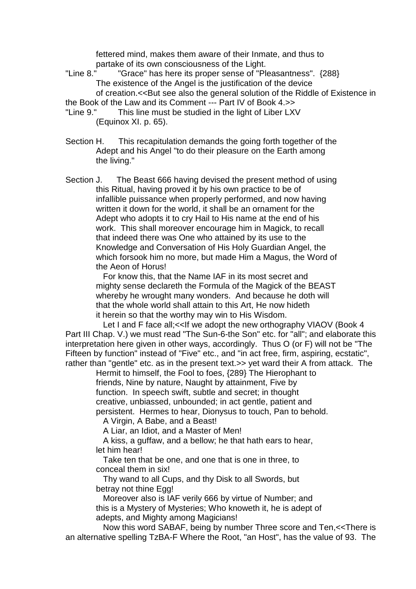fettered mind, makes them aware of their Inmate, and thus to partake of its own consciousness of the Light.

"Line 8." "Grace" has here its proper sense of "Pleasantness". {288} The existence of the Angel is the justification of the device of creation.<<But see also the general solution of the Riddle of Existence in the Book of the Law and its Comment --- Part IV of Book 4.>>

"Line 9." This line must be studied in the light of Liber LXV (Equinox XI. p. 65).

Section H. This recapitulation demands the going forth together of the Adept and his Angel "to do their pleasure on the Earth among the living."

Section J. The Beast 666 having devised the present method of using this Ritual, having proved it by his own practice to be of infallible puissance when properly performed, and now having written it down for the world, it shall be an ornament for the Adept who adopts it to cry Hail to His name at the end of his work. This shall moreover encourage him in Magick, to recall that indeed there was One who attained by its use to the Knowledge and Conversation of His Holy Guardian Angel, the which forsook him no more, but made Him a Magus, the Word of the Aeon of Horus!

> For know this, that the Name IAF in its most secret and mighty sense declareth the Formula of the Magick of the BEAST whereby he wrought many wonders. And because he doth will that the whole world shall attain to this Art, He now hideth it herein so that the worthy may win to His Wisdom.

Let I and F face all;<< If we adopt the new orthography VIAOV (Book 4 Part III Chap. V.) we must read "The Sun-6-the Son" etc. for "all"; and elaborate this interpretation here given in other ways, accordingly. Thus O (or F) will not be "The Fifteen by function" instead of "Five" etc., and "in act free, firm, aspiring, ecstatic", rather than "gentle" etc. as in the present text.>> yet ward their A from attack. The

 Hermit to himself, the Fool to foes, {289} The Hierophant to friends, Nine by nature, Naught by attainment, Five by function. In speech swift, subtle and secret; in thought creative, unbiassed, unbounded; in act gentle, patient and persistent. Hermes to hear, Dionysus to touch, Pan to behold.

A Virgin, A Babe, and a Beast!

A Liar, an Idiot, and a Master of Men!

 A kiss, a guffaw, and a bellow; he that hath ears to hear, let him hear!

 Take ten that be one, and one that is one in three, to conceal them in six!

 Thy wand to all Cups, and thy Disk to all Swords, but betray not thine Egg!

 Moreover also is IAF verily 666 by virtue of Number; and this is a Mystery of Mysteries; Who knoweth it, he is adept of adepts, and Mighty among Magicians!

 Now this word SABAF, being by number Three score and Ten,<<There is an alternative spelling TzBA-F Where the Root, "an Host", has the value of 93. The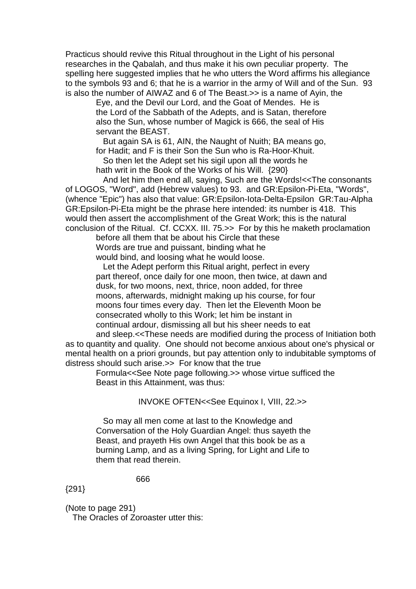Practicus should revive this Ritual throughout in the Light of his personal researches in the Qabalah, and thus make it his own peculiar property. The spelling here suggested implies that he who utters the Word affirms his allegiance to the symbols 93 and 6; that he is a warrior in the army of Will and of the Sun. 93 is also the number of AIWAZ and 6 of The Beast.>> is a name of Ayin, the

 Eye, and the Devil our Lord, and the Goat of Mendes. He is the Lord of the Sabbath of the Adepts, and is Satan, therefore also the Sun, whose number of Magick is 666, the seal of His servant the BEAST.

 But again SA is 61, AIN, the Naught of Nuith; BA means go, for Hadit; and F is their Son the Sun who is Ra-Hoor-Khuit. So then let the Adept set his sigil upon all the words he hath writ in the Book of the Works of his Will. {290}

 And let him then end all, saying, Such are the Words!<<The consonants of LOGOS, "Word", add (Hebrew values) to 93. and GR:Epsilon-Pi-Eta, "Words", (whence "Epic") has also that value: GR:Epsilon-Iota-Delta-Epsilon GR:Tau-Alpha GR:Epsilon-Pi-Eta might be the phrase here intended: its number is 418. This would then assert the accomplishment of the Great Work; this is the natural conclusion of the Ritual. Cf. CCXX. III. 75.>> For by this he maketh proclamation

 before all them that be about his Circle that these Words are true and puissant, binding what he would bind, and loosing what he would loose.

 Let the Adept perform this Ritual aright, perfect in every part thereof, once daily for one moon, then twice, at dawn and dusk, for two moons, next, thrice, noon added, for three moons, afterwards, midnight making up his course, for four moons four times every day. Then let the Eleventh Moon be consecrated wholly to this Work; let him be instant in continual ardour, dismissing all but his sheer needs to eat

 and sleep.<<These needs are modified during the process of Initiation both as to quantity and quality. One should not become anxious about one's physical or mental health on a priori grounds, but pay attention only to indubitable symptoms of distress should such arise. >> For know that the true

 Formula<<See Note page following.>> whose virtue sufficed the Beast in this Attainment, was thus:

INVOKE OFTEN<<See Equinox I, VIII, 22.>>

 So may all men come at last to the Knowledge and Conversation of the Holy Guardian Angel: thus sayeth the Beast, and prayeth His own Angel that this book be as a burning Lamp, and as a living Spring, for Light and Life to them that read therein.

666

{291}

(Note to page 291) The Oracles of Zoroaster utter this: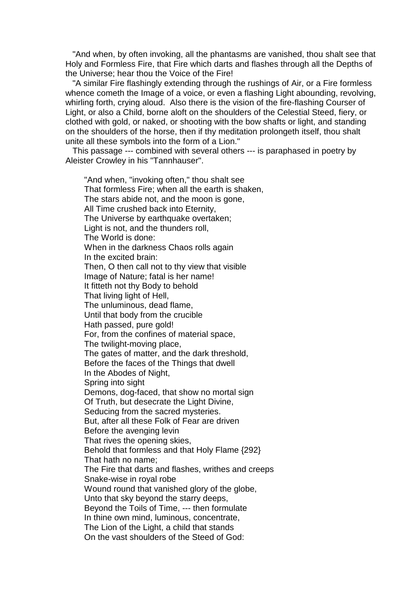"And when, by often invoking, all the phantasms are vanished, thou shalt see that Holy and Formless Fire, that Fire which darts and flashes through all the Depths of the Universe; hear thou the Voice of the Fire!

 "A similar Fire flashingly extending through the rushings of Air, or a Fire formless whence cometh the Image of a voice, or even a flashing Light abounding, revolving, whirling forth, crying aloud. Also there is the vision of the fire-flashing Courser of Light, or also a Child, borne aloft on the shoulders of the Celestial Steed, fiery, or clothed with gold, or naked, or shooting with the bow shafts or light, and standing on the shoulders of the horse, then if thy meditation prolongeth itself, thou shalt unite all these symbols into the form of a Lion."

 This passage --- combined with several others --- is paraphased in poetry by Aleister Crowley in his "Tannhauser".

 "And when, "invoking often," thou shalt see That formless Fire; when all the earth is shaken, The stars abide not, and the moon is gone, All Time crushed back into Eternity, The Universe by earthquake overtaken; Light is not, and the thunders roll, The World is done: When in the darkness Chaos rolls again In the excited brain: Then, O then call not to thy view that visible Image of Nature; fatal is her name! It fitteth not thy Body to behold That living light of Hell, The unluminous, dead flame, Until that body from the crucible Hath passed, pure gold! For, from the confines of material space, The twilight-moving place, The gates of matter, and the dark threshold, Before the faces of the Things that dwell In the Abodes of Night, Spring into sight Demons, dog-faced, that show no mortal sign Of Truth, but desecrate the Light Divine, Seducing from the sacred mysteries. But, after all these Folk of Fear are driven Before the avenging levin That rives the opening skies, Behold that formless and that Holy Flame {292} That hath no name; The Fire that darts and flashes, writhes and creeps Snake-wise in royal robe Wound round that vanished glory of the globe, Unto that sky beyond the starry deeps, Beyond the Toils of Time, --- then formulate In thine own mind, luminous, concentrate, The Lion of the Light, a child that stands On the vast shoulders of the Steed of God: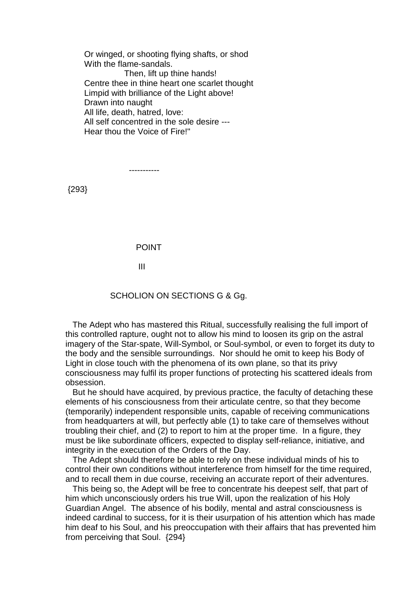Or winged, or shooting flying shafts, or shod With the flame-sandals. Then, lift up thine hands! Centre thee in thine heart one scarlet thought Limpid with brilliance of the Light above! Drawn into naught All life, death, hatred, love: All self concentred in the sole desire --- Hear thou the Voice of Fire!"

-----------

{293}

POINT

**III** and the state of the **III** 

#### SCHOLION ON SECTIONS G & Gg.

 The Adept who has mastered this Ritual, successfully realising the full import of this controlled rapture, ought not to allow his mind to loosen its grip on the astral imagery of the Star-spate, Will-Symbol, or Soul-symbol, or even to forget its duty to the body and the sensible surroundings. Nor should he omit to keep his Body of Light in close touch with the phenomena of its own plane, so that its privy consciousness may fulfil its proper functions of protecting his scattered ideals from obsession.

 But he should have acquired, by previous practice, the faculty of detaching these elements of his consciousness from their articulate centre, so that they become (temporarily) independent responsible units, capable of receiving communications from headquarters at will, but perfectly able (1) to take care of themselves without troubling their chief, and (2) to report to him at the proper time. In a figure, they must be like subordinate officers, expected to display self-reliance, initiative, and integrity in the execution of the Orders of the Day.

 The Adept should therefore be able to rely on these individual minds of his to control their own conditions without interference from himself for the time required, and to recall them in due course, receiving an accurate report of their adventures.

 This being so, the Adept will be free to concentrate his deepest self, that part of him which unconsciously orders his true Will, upon the realization of his Holy Guardian Angel. The absence of his bodily, mental and astral consciousness is indeed cardinal to success, for it is their usurpation of his attention which has made him deaf to his Soul, and his preoccupation with their affairs that has prevented him from perceiving that Soul. {294}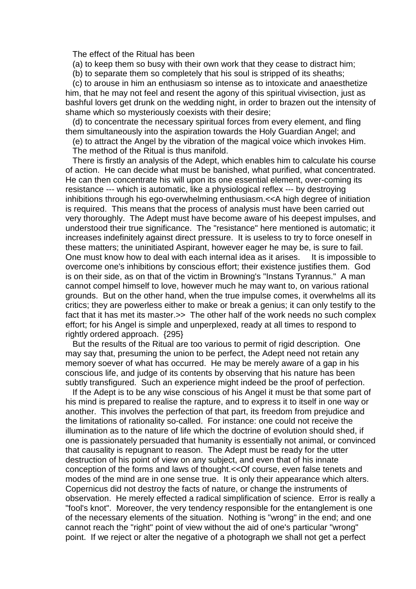The effect of the Ritual has been

(a) to keep them so busy with their own work that they cease to distract him;

(b) to separate them so completely that his soul is stripped of its sheaths;

 (c) to arouse in him an enthusiasm so intense as to intoxicate and anaesthetize him, that he may not feel and resent the agony of this spiritual vivisection, just as bashful lovers get drunk on the wedding night, in order to brazen out the intensity of shame which so mysteriously coexists with their desire;

 (d) to concentrate the necessary spiritual forces from every element, and fling them simultaneously into the aspiration towards the Holy Guardian Angel; and

 (e) to attract the Angel by the vibration of the magical voice which invokes Him. The method of the Ritual is thus manifold.

 There is firstly an analysis of the Adept, which enables him to calculate his course of action. He can decide what must be banished, what purified, what concentrated. He can then concentrate his will upon its one essential element, over-coming its resistance --- which is automatic, like a physiological reflex --- by destroying inhibitions through his ego-overwhelming enthusiasm.<<A high degree of initiation is required. This means that the process of analysis must have been carried out very thoroughly. The Adept must have become aware of his deepest impulses, and understood their true significance. The "resistance" here mentioned is automatic; it increases indefinitely against direct pressure. It is useless to try to force oneself in these matters; the uninitiated Aspirant, however eager he may be, is sure to fail. One must know how to deal with each internal idea as it arises. It is impossible to overcome one's inhibitions by conscious effort; their existence justifies them. God is on their side, as on that of the victim in Browning's "Instans Tyrannus." A man cannot compel himself to love, however much he may want to, on various rational grounds. But on the other hand, when the true impulse comes, it overwhelms all its critics; they are powerless either to make or break a genius; it can only testify to the fact that it has met its master.>> The other half of the work needs no such complex effort; for his Angel is simple and unperplexed, ready at all times to respond to rightly ordered approach. {295}

 But the results of the Ritual are too various to permit of rigid description. One may say that, presuming the union to be perfect, the Adept need not retain any memory soever of what has occurred. He may be merely aware of a gap in his conscious life, and judge of its contents by observing that his nature has been subtly transfigured. Such an experience might indeed be the proof of perfection.

 If the Adept is to be any wise conscious of his Angel it must be that some part of his mind is prepared to realise the rapture, and to express it to itself in one way or another. This involves the perfection of that part, its freedom from prejudice and the limitations of rationality so-called. For instance: one could not receive the illumination as to the nature of life which the doctrine of evolution should shed, if one is passionately persuaded that humanity is essentially not animal, or convinced that causality is repugnant to reason. The Adept must be ready for the utter destruction of his point of view on any subject, and even that of his innate conception of the forms and laws of thought.<<Of course, even false tenets and modes of the mind are in one sense true. It is only their appearance which alters. Copernicus did not destroy the facts of nature, or change the instruments of observation. He merely effected a radical simplification of science. Error is really a "fool's knot". Moreover, the very tendency responsible for the entanglement is one of the necessary elements of the situation. Nothing is "wrong" in the end; and one cannot reach the "right" point of view without the aid of one's particular "wrong" point. If we reject or alter the negative of a photograph we shall not get a perfect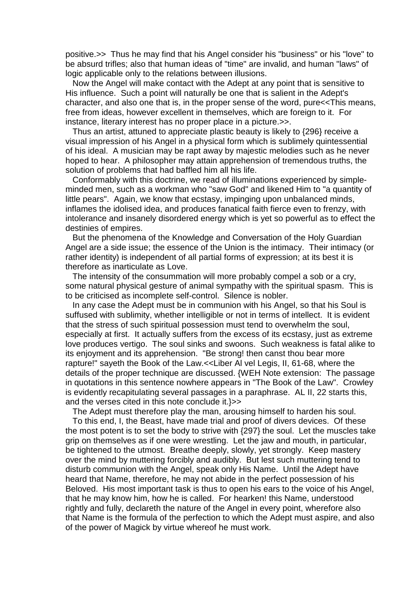positive.>> Thus he may find that his Angel consider his "business" or his "love" to be absurd trifles; also that human ideas of "time" are invalid, and human "laws" of logic applicable only to the relations between illusions.

 Now the Angel will make contact with the Adept at any point that is sensitive to His influence. Such a point will naturally be one that is salient in the Adept's character, and also one that is, in the proper sense of the word, pure<<This means, free from ideas, however excellent in themselves, which are foreign to it. For instance, literary interest has no proper place in a picture.>>.

 Thus an artist, attuned to appreciate plastic beauty is likely to {296} receive a visual impression of his Angel in a physical form which is sublimely quintessential of his ideal. A musician may be rapt away by majestic melodies such as he never hoped to hear. A philosopher may attain apprehension of tremendous truths, the solution of problems that had baffled him all his life.

 Conformably with this doctrine, we read of illuminations experienced by simpleminded men, such as a workman who "saw God" and likened Him to "a quantity of little pears". Again, we know that ecstasy, impinging upon unbalanced minds, inflames the idolised idea, and produces fanatical faith fierce even to frenzy, with intolerance and insanely disordered energy which is yet so powerful as to effect the destinies of empires.

 But the phenomena of the Knowledge and Conversation of the Holy Guardian Angel are a side issue; the essence of the Union is the intimacy. Their intimacy (or rather identity) is independent of all partial forms of expression; at its best it is therefore as inarticulate as Love.

 The intensity of the consummation will more probably compel a sob or a cry, some natural physical gesture of animal sympathy with the spiritual spasm. This is to be criticised as incomplete self-control. Silence is nobler.

 In any case the Adept must be in communion with his Angel, so that his Soul is suffused with sublimity, whether intelligible or not in terms of intellect. It is evident that the stress of such spiritual possession must tend to overwhelm the soul, especially at first. It actually suffers from the excess of its ecstasy, just as extreme love produces vertigo. The soul sinks and swoons. Such weakness is fatal alike to its enjoyment and its apprehension. "Be strong! then canst thou bear more rapture!" sayeth the Book of the Law.<<Liber Al vel Legis, II, 61-68, where the details of the proper technique are discussed. {WEH Note extension: The passage in quotations in this sentence nowhere appears in "The Book of the Law". Crowley is evidently recapitulating several passages in a paraphrase. AL II, 22 starts this, and the verses cited in this note conclude it.}>>

The Adept must therefore play the man, arousing himself to harden his soul.

 To this end, I, the Beast, have made trial and proof of divers devices. Of these the most potent is to set the body to strive with {297} the soul. Let the muscles take grip on themselves as if one were wrestling. Let the jaw and mouth, in particular, be tightened to the utmost. Breathe deeply, slowly, yet strongly. Keep mastery over the mind by muttering forcibly and audibly. But lest such muttering tend to disturb communion with the Angel, speak only His Name. Until the Adept have heard that Name, therefore, he may not abide in the perfect possession of his Beloved. His most important task is thus to open his ears to the voice of his Angel, that he may know him, how he is called. For hearken! this Name, understood rightly and fully, declareth the nature of the Angel in every point, wherefore also that Name is the formula of the perfection to which the Adept must aspire, and also of the power of Magick by virtue whereof he must work.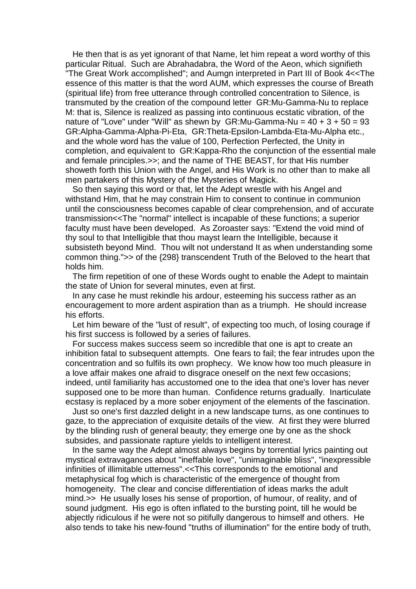He then that is as yet ignorant of that Name, let him repeat a word worthy of this particular Ritual. Such are Abrahadabra, the Word of the Aeon, which signifieth "The Great Work accomplished"; and Aumgn interpreted in Part III of Book 4<<The essence of this matter is that the word AUM, which expresses the course of Breath (spiritual life) from free utterance through controlled concentration to Silence, is transmuted by the creation of the compound letter GR:Mu-Gamma-Nu to replace M: that is, Silence is realized as passing into continuous ecstatic vibration, of the nature of "Love" under "Will" as shewn by  $GR:Mu-Gamma-Nu = 40 + 3 + 50 = 93$ GR:Alpha-Gamma-Alpha-Pi-Eta, GR:Theta-Epsilon-Lambda-Eta-Mu-Alpha etc., and the whole word has the value of 100, Perfection Perfected, the Unity in completion, and equivalent to GR:Kappa-Rho the conjunction of the essential male and female principles.>>; and the name of THE BEAST, for that His number showeth forth this Union with the Angel, and His Work is no other than to make all men partakers of this Mystery of the Mysteries of Magick.

 So then saying this word or that, let the Adept wrestle with his Angel and withstand Him, that he may constrain Him to consent to continue in communion until the consciousness becomes capable of clear comprehension, and of accurate transmission<<The "normal" intellect is incapable of these functions; a superior faculty must have been developed. As Zoroaster says: "Extend the void mind of thy soul to that Intelligible that thou mayst learn the Intelligible, because it subsisteth beyond Mind. Thou wilt not understand It as when understanding some common thing.">> of the {298} transcendent Truth of the Beloved to the heart that holds him.

 The firm repetition of one of these Words ought to enable the Adept to maintain the state of Union for several minutes, even at first.

 In any case he must rekindle his ardour, esteeming his success rather as an encouragement to more ardent aspiration than as a triumph. He should increase his efforts.

 Let him beware of the "lust of result", of expecting too much, of losing courage if his first success is followed by a series of failures.

 For success makes success seem so incredible that one is apt to create an inhibition fatal to subsequent attempts. One fears to fail; the fear intrudes upon the concentration and so fulfils its own prophecy. We know how too much pleasure in a love affair makes one afraid to disgrace oneself on the next few occasions; indeed, until familiarity has accustomed one to the idea that one's lover has never supposed one to be more than human. Confidence returns gradually. Inarticulate ecstasy is replaced by a more sober enjoyment of the elements of the fascination.

 Just so one's first dazzled delight in a new landscape turns, as one continues to gaze, to the appreciation of exquisite details of the view. At first they were blurred by the blinding rush of general beauty; they emerge one by one as the shock subsides, and passionate rapture yields to intelligent interest.

 In the same way the Adept almost always begins by torrential lyrics painting out mystical extravagances about "ineffable love", "unimaginable bliss", "inexpressible infinities of illimitable utterness".<<This corresponds to the emotional and metaphysical fog which is characteristic of the emergence of thought from homogeneity. The clear and concise differentiation of ideas marks the adult mind.>> He usually loses his sense of proportion, of humour, of reality, and of sound judgment. His ego is often inflated to the bursting point, till he would be abjectly ridiculous if he were not so pitifully dangerous to himself and others. He also tends to take his new-found "truths of illumination" for the entire body of truth,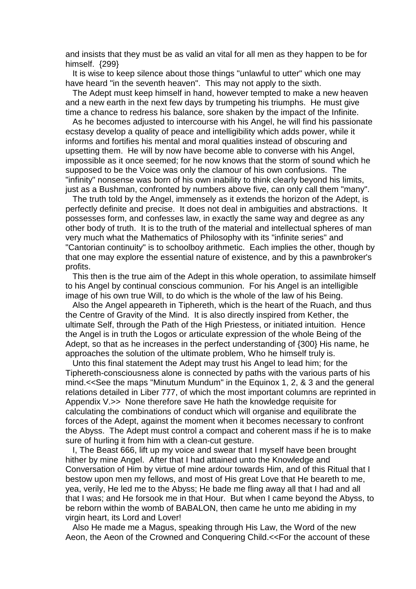and insists that they must be as valid an vital for all men as they happen to be for himself. {299}

 It is wise to keep silence about those things "unlawful to utter" which one may have heard "in the seventh heaven". This may not apply to the sixth.

 The Adept must keep himself in hand, however tempted to make a new heaven and a new earth in the next few days by trumpeting his triumphs. He must give time a chance to redress his balance, sore shaken by the impact of the Infinite.

 As he becomes adjusted to intercourse with his Angel, he will find his passionate ecstasy develop a quality of peace and intelligibility which adds power, while it informs and fortifies his mental and moral qualities instead of obscuring and upsetting them. He will by now have become able to converse with his Angel, impossible as it once seemed; for he now knows that the storm of sound which he supposed to be the Voice was only the clamour of his own confusions. The "infinity" nonsense was born of his own inability to think clearly beyond his limits, just as a Bushman, confronted by numbers above five, can only call them "many".

 The truth told by the Angel, immensely as it extends the horizon of the Adept, is perfectly definite and precise. It does not deal in ambiguities and abstractions. It possesses form, and confesses law, in exactly the same way and degree as any other body of truth. It is to the truth of the material and intellectual spheres of man very much what the Mathematics of Philosophy with its "infinite series" and "Cantorian continuity" is to schoolboy arithmetic. Each implies the other, though by that one may explore the essential nature of existence, and by this a pawnbroker's profits.

 This then is the true aim of the Adept in this whole operation, to assimilate himself to his Angel by continual conscious communion. For his Angel is an intelligible image of his own true Will, to do which is the whole of the law of his Being.

 Also the Angel appeareth in Tiphereth, which is the heart of the Ruach, and thus the Centre of Gravity of the Mind. It is also directly inspired from Kether, the ultimate Self, through the Path of the High Priestess, or initiated intuition. Hence the Angel is in truth the Logos or articulate expression of the whole Being of the Adept, so that as he increases in the perfect understanding of {300} His name, he approaches the solution of the ultimate problem, Who he himself truly is.

 Unto this final statement the Adept may trust his Angel to lead him; for the Tiphereth-consciousness alone is connected by paths with the various parts of his mind.<<See the maps "Minutum Mundum" in the Equinox 1, 2, & 3 and the general relations detailed in Liber 777, of which the most important columns are reprinted in Appendix V.>> None therefore save He hath the knowledge requisite for calculating the combinations of conduct which will organise and equilibrate the forces of the Adept, against the moment when it becomes necessary to confront the Abyss. The Adept must control a compact and coherent mass if he is to make sure of hurling it from him with a clean-cut gesture.

 I, The Beast 666, lift up my voice and swear that I myself have been brought hither by mine Angel. After that I had attained unto the Knowledge and Conversation of Him by virtue of mine ardour towards Him, and of this Ritual that I bestow upon men my fellows, and most of His great Love that He beareth to me, yea, verily, He led me to the Abyss; He bade me fling away all that I had and all that I was; and He forsook me in that Hour. But when I came beyond the Abyss, to be reborn within the womb of BABALON, then came he unto me abiding in my virgin heart, its Lord and Lover!

 Also He made me a Magus, speaking through His Law, the Word of the new Aeon, the Aeon of the Crowned and Conquering Child.<<For the account of these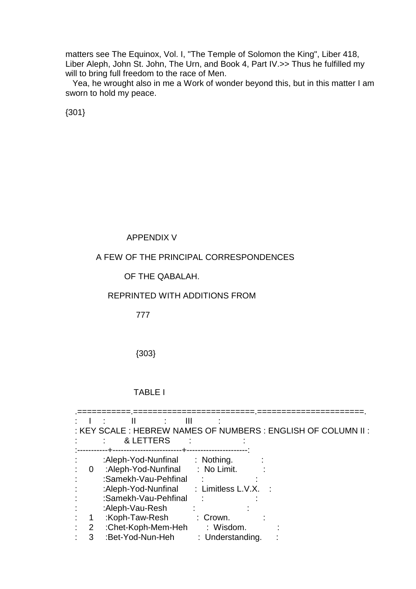matters see The Equinox, Vol. I, "The Temple of Solomon the King", Liber 418, Liber Aleph, John St. John, The Urn, and Book 4, Part IV.>> Thus he fulfilled my will to bring full freedom to the race of Men.

 Yea, he wrought also in me a Work of wonder beyond this, but in this matter I am sworn to hold my peace.

{301}

## APPENDIX V

## A FEW OF THE PRINCIPAL CORRESPONDENCES

## OF THE QABALAH.

## REPRINTED WITH ADDITIONS FROM

777

## {303}

## TABLE I

|                            | Ш                               |                                                                |
|----------------------------|---------------------------------|----------------------------------------------------------------|
|                            |                                 | : KEY SCALE : HEBREW NAMES OF NUMBERS : ENGLISH OF COLUMN II : |
|                            | <b>&amp; LETTERS</b>            |                                                                |
|                            |                                 |                                                                |
|                            | :Aleph-Yod-Nunfinal : Nothing.  |                                                                |
| - 0                        | :Aleph-Yod-Nunfinal : No Limit. |                                                                |
|                            | :Samekh-Vau-Pehfinal            |                                                                |
|                            | :Aleph-Yod-Nunfinal             | : Limitless L.V.X.                                             |
|                            | :Samekh-Vau-Pehfinal            |                                                                |
|                            | :Aleph-Vau-Resh                 |                                                                |
|                            | :Koph-Taw-Resh                  | : Crown.                                                       |
| $\overline{\phantom{0}}^2$ | :Chet-Koph-Mem-Heh              | : Wisdom.                                                      |
| 3                          | :Bet-Yod-Nun-Heh                | : Understanding.                                               |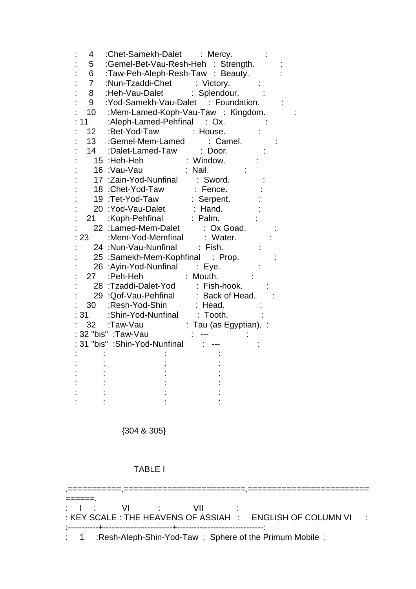| 4              | :Chet-Samekh-Dalet : Mercy.                                                                 |
|----------------|---------------------------------------------------------------------------------------------|
| 5 <sub>5</sub> | :Gemel-Bet-Vau-Resh-Heh : Strength.                                                         |
| $6\quad$       | :Taw-Peh-Aleph-Resh-Taw: Beauty.                                                            |
| $\overline{7}$ | :Nun-Tzaddi-Chet : Victory.                                                                 |
|                | 8 : Heh-Vau-Dalet : Splendour.                                                              |
|                | 9 :Yod-Samekh-Vau-Dalet : Foundation.                                                       |
|                | 10 :Mem-Lamed-Koph-Vau-Taw : Kingdom.                                                       |
| 11             | :Aleph-Lamed-Pehfinal : Ox.                                                                 |
|                | 12 :Bet-Yod-Taw : House.                                                                    |
|                | 13 : Gemel-Mem-Lamed : Camel.                                                               |
|                | 14 :Dalet-Lamed-Taw : Door.                                                                 |
|                | 15 :Heh-Heh : Window.<br>16 :Vau-Vau : Nail.                                                |
|                |                                                                                             |
|                | 17 : Zain-Yod-Nunfinal : Sword.                                                             |
|                | 18 : Chet-Yod-Taw : Fence.                                                                  |
|                | 19 : Tet-Yod-Taw : Serpent.                                                                 |
|                | 20 :Yod-Vau-Dalet : Hand.                                                                   |
|                | 21 :Koph-Pehfinal : Palm.                                                                   |
|                | 22 :Lamed-Mem-Dalet : Ox Goad.                                                              |
| 23             | :Mem-Yod-Memfinal : Water.                                                                  |
|                | 24 :Nun-Vau-Nunfinal : Fish.                                                                |
|                | 25 :Samekh-Mem-Kophfinal : Prop.                                                            |
|                | 26 : Ayin-Yod-Nunfinal : Eye.                                                               |
|                | 27 :Peh-Heh<br>: Mouth.                                                                     |
|                | 28 :Tzaddi-Dalet-Yod : Fish-hook.                                                           |
|                | 29 : Qof-Vau-Pehfinal<br>: Back of Head.                                                    |
|                | 30 :Resh-Yod-Shin<br>: Head.                                                                |
| 31             | : Shin-Yod-Nunfinal : Tooth.<br>2 :Taw-Vau : Tau (as Egyptian). :<br>'bis" :Taw-Vau : --- : |
|                | 32 :Taw-Vau                                                                                 |
|                | 32 "bis" :Taw-Vau                                                                           |
|                | 31 "bis" : Shin-Yod-Nunfinal                                                                |
|                |                                                                                             |
|                |                                                                                             |
|                |                                                                                             |
|                |                                                                                             |
|                |                                                                                             |
|                |                                                                                             |

{304 & 305}

## TABLE I

.===========.=========================.========================= ======. : I : VI : VII : : KEY SCALE : THE HEAVENS OF ASSIAH : ENGLISH OF COLUMN VI : :-----------+-------------------------+-------------------------------: : 1 :Resh-Aleph-Shin-Yod-Taw : Sphere of the Primum Mobile :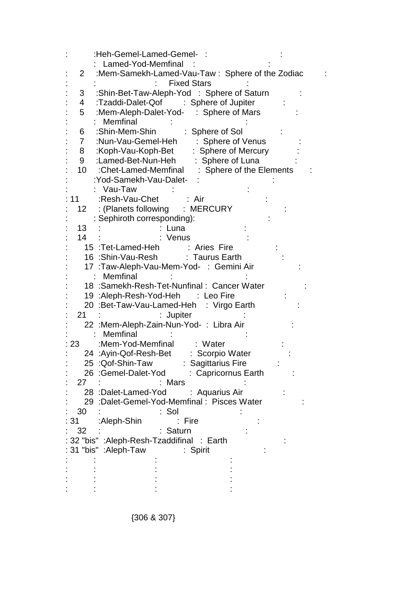: :Heh-Gemel-Lamed-Gemel- : : : Lamed-Yod-Memfinal : : 2 : Mem-Samekh-Lamed-Vau-Taw : Sphere of the Zodiac : : : : Fixed Stars : : : 3 :Shin-Bet-Taw-Aleph-Yod : Sphere of Saturn : 4 :Tzaddi-Dalet-Qof : Sphere of Jupiter 5 :Mem-Aleph-Dalet-Yod- : Sphere of Mars  $\therefore$  : Memfinal  $\therefore$  :  $\therefore$  : : 6 :Shin-Mem-Shin : Sphere of Sol : : 7 :Nun-Vau-Gemel-Heh : Sphere of Venus : : 8 :Koph-Vau-Koph-Bet : Sphere of Mercury : : 9 :Lamed-Bet-Nun-Heh : Sphere of Luna : : 10 :Chet-Lamed-Memfinal : Sphere of the Elements : : :Yod-Samekh-Vau-Dalet- : : : : Vau-Taw : : : 11 : Resh-Vau-Chet : Air : 0: : 12 : (Planets following : MERCURY : : : Sephiroth corresponding): : : 13 : : Luna : : 14 : : Venus : : 15 :Tet-Lamed-Heh : Aries Fire : : 16 :Shin-Vau-Resh : Taurus Earth : : 17 :Taw-Aleph-Vau-Mem-Yod- : Gemini Air : : : Memfinal : : : 18 :Samekh-Resh-Tet-Nunfinal : Cancer Water : 19 : Aleph-Resh-Yod-Heh : Leo Fire 20 :Bet-Taw-Vau-Lamed-Heh : Virgo Earth : 21 : : Jupiter : : 22 :Mem-Aleph-Zain-Nun-Yod- : Libra Air : : : Memfinal : : : 23 :Mem-Yod-Memfinal : Water : 24 : Ayin-Qof-Resh-Bet : Scorpio Water : 25 :Qof-Shin-Taw : Sagittarius Fire : : 26 :Gemel-Dalet-Yod : Capricornus Earth : : 27 : : Mars : 28 :Dalet-Lamed-Yod : Aquarius Air : 29 :Dalet-Gemel-Yod-Memfinal : Pisces Water : : 30 : : Sol : : 31 :Aleph-Shin : Fire 32 : Saturn : Saturn : 32 "bis" :Aleph-Resh-Tzaddifinal : Earth : : 31 "bis" :Aleph-Taw : Spirit : : : : : : : : : : : : : : : : :

{306 & 307}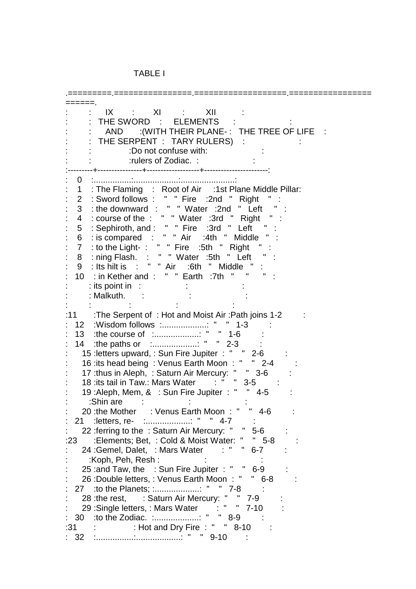TABLE I

| IX<br>XI<br>XII<br><b>Contractor</b><br>$\mathcal{L}^{\text{max}}$<br>THE SWORD :<br><b>ELEMENTS</b><br>:(WITH THEIR PLANE-: THE TREE OF LIFE :<br>AND<br>THE SERPENT : TARY RULERS) :<br>:Do not confuse with:<br>: rulers of Zodiac.:                                                                                                                                                                                                                                                                                                           |
|---------------------------------------------------------------------------------------------------------------------------------------------------------------------------------------------------------------------------------------------------------------------------------------------------------------------------------------------------------------------------------------------------------------------------------------------------------------------------------------------------------------------------------------------------|
| 0<br>: The Flaming : Root of Air : 1st Plane Middle Pillar:<br>$1 \quad$<br>2 : Sword follows : " " Fire : 2nd " Right<br>3 : the downward : " " Water : 2nd " Left<br>4 : course of the : " " Water : 3rd " Right<br>5 : Sephiroth, and : " " Fire :3rd " Left<br>6 : is compared : " " Air :4th "<br>Middle<br>: to the Light-: " " Fire : 5th " Right<br>7 <sup>7</sup><br>8 : ning Flash. : " " Water : 5th<br>" Left<br>9 : Its hilt is : " " Air : 6th "<br>Middle<br>10 : in Kether and : " " Earth :7th<br>: its point in :<br>: Malkuth. |
| : The Serpent of: Hot and Moist Air: Path joins 1-2<br>:11<br>$1 - 3$<br>13<br>14<br>15 : letters upward, : Sun Fire Jupiter : " " 2-6<br>16: its head being: Venus Earth Moon: " " 2-4<br>17: thus in Aleph, : Saturn Air Mercury: " " 3-6<br>18 : its tail in Taw.: Mars Water<br>$3 - 5$<br>19: Aleph, Mem, & : Sun Fire Jupiter : "<br>4-5<br>:Shin are<br>20:the Mother : Venus Earth Moon: " " 4-6<br>:letters, re- :: " " 4-7<br>21<br>22 :ferring to the : Saturn Air Mercury: " " 5-6                                                    |
| : Elements; Bet, : Cold & Moist Water: " " 5-8<br>:23 $-$<br>24: Gemel, Dalet, : Mars Water : " " 6-7<br>:Koph, Peh, Resh:<br>25:and Taw, the : Sun Fire Jupiter : " " 6-9<br>26: Double letters, : Venus Earth Moon : " " 6-8<br>28 : the rest, : Saturn Air Mercury: " " 7-9<br>29: Single letters, : Mars Water : " "7-10<br>30<br>:31 : Hot and Dry Fire : " " 8-10 :                                                                                                                                                                         |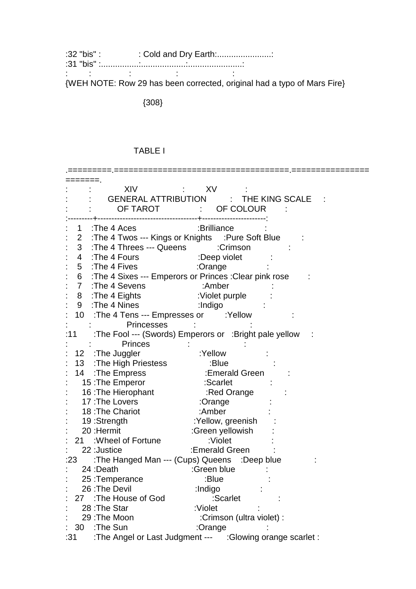:32 "bis" : : Cold and Dry Earth:.......................: :31 "bis" :................:...................:.......................:

: : : : :

{WEH NOTE: Row 29 has been corrected, original had a typo of Mars Fire}

{308}

## TABLE I

|      | XIV : XV                                             |                                                            |
|------|------------------------------------------------------|------------------------------------------------------------|
|      |                                                      | GENERAL ATTRIBUTION : THE KING SCALE :                     |
|      |                                                      | OF TAROT : OF COLOUR                                       |
|      |                                                      |                                                            |
|      | 1 :The 4 Aces                                        | Example: Brilliance                                        |
|      | 2 : The 4 Twos --- Kings or Knights : Pure Soft Blue |                                                            |
|      | 3 : The 4 Threes --- Queens                          | :Crimson                                                   |
|      | 4 :The 4 Fours                                       | :Deep violet                                               |
|      | 5 :The 4 Fives                                       | :Orange                                                    |
|      |                                                      | 6 :The 4 Sixes --- Emperors or Princes : Clear pink rose   |
|      | 7 :The 4 Sevens                                      | de a sua de :Amber                                         |
|      | 8 : The 4 Eights                                     | :Violet purple                                             |
|      | 9 :The 4 Nines                                       | :Indigo                                                    |
|      | 10 : The 4 Tens --- Empresses or : Yellow            |                                                            |
|      | <b>Princesses</b>                                    |                                                            |
| :11  |                                                      | :The Fool --- (Swords) Emperors or :Bright pale yellow     |
|      | <b>Princes</b>                                       |                                                            |
|      | 12 : The Juggler                                     | :Yellow                                                    |
|      | 13 : The High Priestess                              | :Blue                                                      |
|      | 14 : The Empress                                     | :Emerald Green                                             |
|      | 15: The Emperor                                      | :Scarlet                                                   |
|      | 16: The Hierophant                                   | Red Orange:                                                |
|      | 17 :The Lovers                                       | :Orange                                                    |
|      | 18:The Chariot                                       | :Amber                                                     |
|      | 19:Strength                                          | :Yellow, greenish                                          |
|      | 20 : Hermit                                          | :Green yellowish                                           |
|      | 21 : Wheel of Fortune                                | :Violet                                                    |
|      | 22: Justice                                          | :Emerald Green                                             |
|      | :23 :The Hanged Man --- (Cups) Queens :Deep blue     |                                                            |
|      | 24 :Death                                            | :Green blue                                                |
|      | 25: Temperance                                       | :Blue                                                      |
|      | 26 : The Devil                                       | :Indigo                                                    |
| 27   | :The House of God                                    | :Scarlet                                                   |
|      | 28 :The Star                                         | :Violet                                                    |
|      | 29 : The Moon                                        | :Crimson (ultra violet):                                   |
| - 30 | :The Sun                                             | :Orange                                                    |
| :31  |                                                      | : The Angel or Last Judgment --- : Glowing orange scarlet: |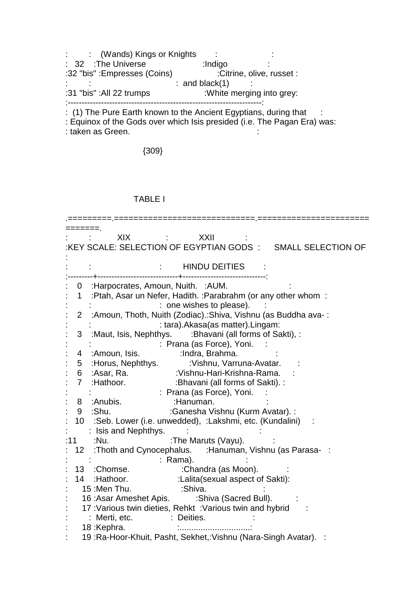| : (Wands) Kings or Knights    |                            |
|-------------------------------|----------------------------|
| : 32 : The Universe           | :Indigo                    |
| :32 "bis" : Empresses (Coins) | :Citrine, olive, russet:   |
|                               | : and black $(1)$          |
| :31 "bis" :All 22 trumps      | : White merging into grey: |
|                               |                            |

 $:$  (1) The Pure Earth known to the Ancient Egyptians, during that  $:$ 

: Equinox of the Gods over which Isis presided (i.e. The Pagan Era) was:

: taken as Green. The same state of the state of the state of the state of the state of the state of the state

{309}

# TABLE I

|                | XIX<br><b>XXII</b>                                             |
|----------------|----------------------------------------------------------------|
|                | :KEY SCALE: SELECTION OF EGYPTIAN GODS : SMALL SELECTION OF    |
|                |                                                                |
|                | : HINDU DEITIES                                                |
|                |                                                                |
|                | 0 :Harpocrates, Amoun, Nuith. : AUM.                           |
| $\mathbf 1$    | : Ptah, Asar un Nefer, Hadith. : Parabrahm (or any other whom: |
|                | : one wishes to please).                                       |
| $\overline{2}$ | :Amoun, Thoth, Nuith (Zodiac).: Shiva, Vishnu (as Buddha ava-: |
|                | : tara). Akasa (as matter). Lingam:                            |
| 3              | :Bhavani (all forms of Sakti), :<br>:Maut, Isis, Nephthys.     |
|                | : Prana (as Force), Yoni.                                      |
| 4              | :Indra, Brahma.<br>:Amoun, Isis.                               |
| 5              | :Horus, Nephthys. : Vishnu, Varruna-Avatar.                    |
| 6 <sup>1</sup> | :Vishnu-Hari-Krishna-Rama.<br>:Asar, Ra.                       |
| $\overline{7}$ | :Hathoor.<br>: Bhavani (all forms of Sakti).:                  |
|                | : Prana (as Force), Yoni.                                      |
|                | 8 :Anubis.<br>:Hanuman.                                        |
|                | 9 :Shu.<br>:Ganesha Vishnu (Kurm Avatar).:                     |
|                | 10 : Seb. Lower (i.e. unwedded), : Lakshmi, etc. (Kundalini) : |
|                | : Isis and Nephthys.                                           |
| :11            | : The Maruts (Vayu).<br>:Nu.                                   |
|                | 12 : Thoth and Cynocephalus. : Hanuman, Vishnu (as Parasa-:    |
|                | : Rama).                                                       |
|                | 13 :Chomse.<br>:Chandra (as Moon).                             |
|                | :Lalita(sexual aspect of Sakti):<br>14 :Hathoor.               |
|                | :Shiva.<br>15:Men Thu.                                         |
|                | 16: Asar Ameshet Apis. : Shiva (Sacred Bull).                  |
|                | 17: Various twin dieties, Rehkt: Various twin and hybrid       |
|                | : Merti, etc. : Deities.                                       |
|                | 18: Kephra.                                                    |
|                | 19: Ra-Hoor-Khuit, Pasht, Sekhet,: Vishnu (Nara-Singh Avatar). |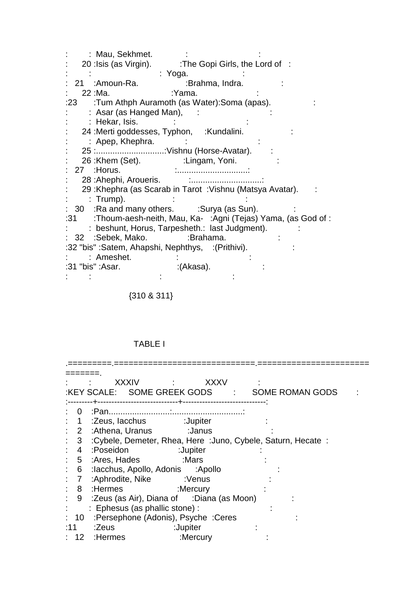: : Mau, Sekhmet. : : : 20 :Isis (as Virgin). :The Gopi Girls, the Lord of : : : : Yoga. : : 21 :Amoun-Ra. : Brahma, Indra. : 22 :Ma. :Yama. : :23 :Tum Athph Auramoth (as Water): Soma (apas).  $\cdot$  : : : Asar (as Hanged Man), : : : : Hekar, Isis. : : 24 : Merti goddesses, Typhon, : Kundalini. : : Apep, Khephra. : : : 25 :.............................:Vishnu (Horse-Avatar). : : 26 :Khem (Set). : Lingam, Yoni. : : : 27 :Horus. :..............................: : 28 :Ahephi, Aroueris. :..............................: : 29 :Khephra (as Scarab in Tarot :Vishnu (Matsya Avatar). : : : Trump). : : :  $30$  :Ra and many others.  $\qquad$ :Surya (as Sun).  $\qquad$ : :31 :Thoum-aesh-neith, Mau, Ka- :Agni (Tejas) Yama, (as God of : : beshunt, Horus, Tarpesheth.: last Judgment).  $\qquad \qquad$  : : 32 :Sebek, Mako. : Brahama. :32 "bis" :Satem, Ahapshi, Nephthys, :(Prithivi). : : : Ameshet. : : :31 "bis" :Asar. :(Akasa). :  $: \cdot \cdot \cdot$  :

{310 & 311}

#### TABLE I

.=========.=============================.======================= =======. : : XXXIV : XXXV : :KEY SCALE: SOME GREEK GODS : SOME ROMAN GODS : :---------+-----------------------------+------------------------------: : 0 :Pan..........................:..............................: : 1 :Zeus, lacchus : Jupiter : : : 2 :Athena, Uranus :Janus : : 3 :Cybele, Demeter, Rhea, Here :Juno, Cybele, Saturn, Hecate : : 4 :Poseidon : Jupiter : : 5 :Ares, Hades :Mars : : 6 :Iacchus, Apollo, Adonis :Apollo : : 7 :Aphrodite, Nike :Venus : : : 8 :Hermes : Mercury : 3 : 8 :Hermes : ...<br>: 9 :Zeus (as Air), Diana of :Diana (as Moon) : . : : Ephesus (as phallic stone) : : : 10 :Persephone (Adonis), Psyche :Ceres : :11 :Zeus :Jupiter : : 12 :Hermes : Mercury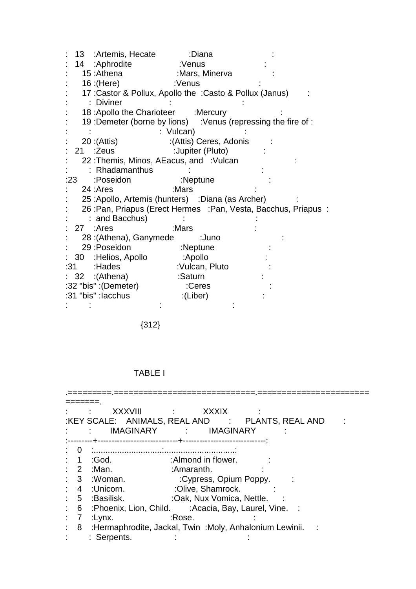| 13  | :Artemis, Hecate                        | :Diana                                                           |
|-----|-----------------------------------------|------------------------------------------------------------------|
| 14  | :Aphrodite                              | :Venus                                                           |
|     | 15:Athena                               | :Mars, Minerva                                                   |
|     | 16 : (Here)                             | :Venus                                                           |
|     |                                         | 17: Castor & Pollux, Apollo the : Casto & Pollux (Janus)         |
|     | : Diviner                               |                                                                  |
|     | 18: Apollo the Charioteer :Mercury      |                                                                  |
|     |                                         | 19: Demeter (borne by lions) : Venus (repressing the fire of :   |
|     |                                         | : Vulcan)                                                        |
|     | 20 : (Attis)                            | :(Attis) Ceres, Adonis                                           |
| 21  | :Zeus                                   | :Jupiter (Pluto)                                                 |
|     | 22: Themis, Minos, AEacus, and : Vulcan |                                                                  |
|     | : Rhadamanthus                          |                                                                  |
| :23 | :Poseidon                               | :Neptune                                                         |
|     | 24:Ares                                 | :Mars                                                            |
|     |                                         | 25 :Apollo, Artemis (hunters) :Diana (as Archer)                 |
|     |                                         | 26 : Pan, Priapus (Erect Hermes : Pan, Vesta, Bacchus, Priapus : |
|     | : and Bacchus)                          |                                                                  |
| 27  | :Ares                                   | :Mars                                                            |
|     | 28 : (Athena), Ganymede                 | :Juno                                                            |
|     | 29 : Poseidon                           | :Neptune                                                         |
|     | 30 : Helios, Apollo                     | :Apollo                                                          |
| :31 | :Hades                                  | :Vulcan, Pluto                                                   |
| 32  | :(Athena)                               | :Saturn                                                          |
|     | :32 "bis" : (Demeter)                   | :Ceres                                                           |
|     | :31 "bis" :lacchus                      | :(Liber)                                                         |
|     |                                         |                                                                  |
|     |                                         |                                                                  |

{312}

# TABLE I

|                |                  | =========================                                       |
|----------------|------------------|-----------------------------------------------------------------|
|                |                  |                                                                 |
|                | <b>XXXVIII</b>   | <b>XXXIX</b>                                                    |
|                |                  | :KEY SCALE: ANIMALS, REAL AND : PLANTS, REAL AND                |
|                | <b>IMAGINARY</b> | : IMAGINARY                                                     |
|                |                  |                                                                 |
| 0              |                  |                                                                 |
|                | $: 1$ :God.      | :Almond in flower.                                              |
|                | $: 2$ : Man.     | :Amaranth.                                                      |
|                | $: 3$ : Woman.   | :Cypress, Opium Poppy.                                          |
|                | $: 4$ : Unicorn. | :Olive, Shamrock.                                               |
|                | : 5 :Basilisk.   | :Oak, Nux Vomica, Nettle.                                       |
| $\therefore$ 6 |                  | : Phoenix, Lion, Child. : Acacia, Bay, Laurel, Vine. :          |
|                |                  | :Rose.                                                          |
|                | $: 7$ : Lynx.    |                                                                 |
|                |                  | : 8 : Hermaphrodite, Jackal, Twin : Moly, Anhalonium Lewinii. : |
|                | : Serpents.      |                                                                 |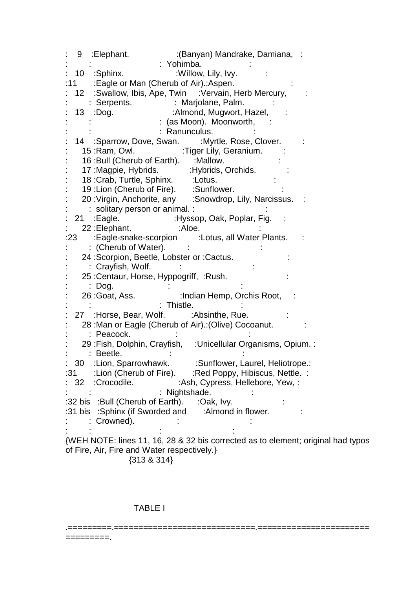| 9       | :Elephant.<br>: (Banyan) Mandrake, Damiana, :<br>: Yohimba.                                       |
|---------|---------------------------------------------------------------------------------------------------|
|         |                                                                                                   |
|         | : Willow, Lily, Ivy.<br>10 :Sphinx.<br>:11 :Eagle or Man (Cherub of Air).:Aspen.                  |
|         |                                                                                                   |
|         | 12 : Swallow, Ibis, Ape, Twin : Vervain, Herb Mercury,                                            |
|         | : Serpents.<br>: Marjolane, Palm.                                                                 |
| 13      | :Almond, Mugwort, Hazel,<br>:Dog.                                                                 |
|         | : (as Moon). Moonworth,                                                                           |
|         | : Ranunculus.                                                                                     |
|         | 14 : Sparrow, Dove, Swan. : Myrtle, Rose, Clover.                                                 |
|         | :Tiger Lily, Geranium.<br>15 : Ram, Owl.                                                          |
|         | 16: Bull (Cherub of Earth). :Mallow.                                                              |
|         | 17 : Magpie, Hybrids. : Hybrids, Orchids.                                                         |
|         | 18: Crab, Turtle, Sphinx. : Lotus.                                                                |
|         | 19: Lion (Cherub of Fire). : Sunflower.<br>20 :Virgin, Anchorite, any :Snowdrop, Lily, Narcissus. |
|         |                                                                                                   |
|         | : solitary person or animal. :                                                                    |
| 21      | :Eagle.<br>:Hyssop, Oak, Poplar, Fig.<br>22: Elephant.<br>:Aloe.                                  |
|         |                                                                                                   |
| :23     | :Eagle-snake-scorpion :Lotus, all Water Plants.                                                   |
|         | : (Cherub of Water).                                                                              |
|         | 24: Scorpion, Beetle, Lobster or : Cactus.                                                        |
|         | : Crayfish, Wolf.                                                                                 |
|         | 25 : Centaur, Horse, Hyppogriff, : Rush.                                                          |
|         | $:$ Dog.                                                                                          |
|         | :Indian Hemp, Orchis Root,<br>26 :Goat, Ass.<br>: Thistle.                                        |
| 27      | :Horse, Bear, Wolf. : Absinthe, Rue.                                                              |
|         | 28: Man or Eagle (Cherub of Air).: (Olive) Cocoanut.<br>: Peacock.                                |
|         | 29 : Fish, Dolphin, Crayfish, : Unicellular Organisms, Opium. :                                   |
|         | : Beetle.                                                                                         |
|         | 30 :Lion, Sparrowhawk.<br>:Sunflower, Laurel, Heliotrope.:                                        |
| :31     | :Lion (Cherub of Fire).<br>: Red Poppy, Hibiscus, Nettle.:                                        |
|         | 32 :Crocodile.<br>:Ash, Cypress, Hellebore, Yew, :                                                |
|         | : Nightshade.                                                                                     |
|         | :32 bis :Bull (Cherub of Earth).<br>:Oak, Ivy.                                                    |
| :31 bis | :Sphinx (if Sworded and<br>:Almond in flower.                                                     |
|         | Crowned).                                                                                         |
|         |                                                                                                   |
|         | {WEH NOTE: lines 11, 16, 28 & 32 bis corrected as to element; original had typos                  |
|         | of Fire, Air, Fire and Water respectively.}                                                       |
|         | {313 & 314}                                                                                       |

.=========.=============================.=======================

# TABLE I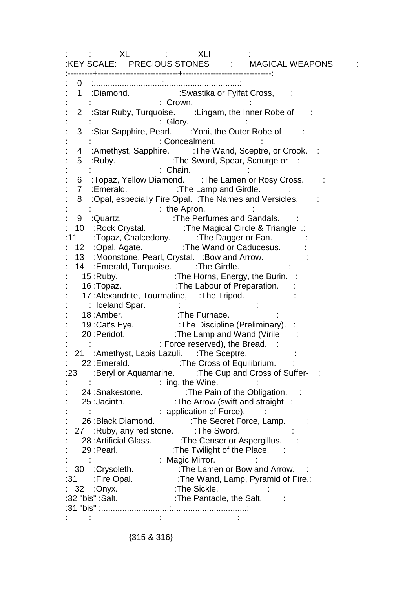: : XL : XLI : :KEY SCALE: PRECIOUS STONES : MAGICAL WEAPONS :---------+-----------------------------+--------------------------------: : 0 :.............................:................................: 1 :Diamond. : Swastika or Fylfat Cross, : : : Crown. : 2 : Star Ruby, Turquoise. : Lingam, the Inner Robe of : : : Glory. : 3 : Star Sapphire, Pearl. : Yoni, the Outer Robe of : Concealment. : The state of the state of the state of the state of the state of the state of the state of the state of the state of the state of the state of the state of the state of the state of the state of the state 4 : Amethyst, Sapphire. : :The Wand, Sceptre, or Crook. : : The Sword, Spear, Scourge or : 5 :Ruby. : : The Sy:<br>
: : : Chain. : 6 : Topaz, Yellow Diamond. : The Lamen or Rosy Cross. : 7 : Emerald. : The Lamp and Girdle. : 8 : Opal, especially Fire Opal. : The Names and Versicles, :  $\vdots$  :  $\vdots$  : the Apron.  $\vdots$  : : 9 :Quartz. : The Perfumes and Sandals. : : 10 :Rock Crystal. :The Magical Circle & Triangle .: :11 :Topaz, Chalcedony. : The Dagger or Fan. : : 12 :Opal, Agate. : :The Wand or Caducesus. : 13 : Moonstone, Pearl, Crystal. : Bow and Arrow. 14 : Emerald, Turquoise. : The Girdle. : 15 :Ruby. : The Horns, Energy, the Burin. : : 16 :Topaz. : The Labour of Preparation. : 17 : Alexandrite, Tourmaline, : The Tripod. : Iceland Spar. : 18 :Amber. :The Furnace. : : 19 :Cat's Eye. : The Discipline (Preliminary). : : 20 :Peridot. : The Lamp and Wand (Virile : : : : Force reserved), the Bread. : : 21 :Amethyst, Lapis Lazuli. :The Sceptre. : 22 : Emerald. : The Cross of Equilibrium. : :23 : Beryl or Aquamarine. : The Cup and Cross of Suffer-:  $\qquad \qquad : \qquad \qquad : \qquad \qquad : \qquad \qquad :$  ing, the Wine. : 24 :Snakestone. : :The Pain of the Obligation. : : 25 :Jacinth. : The Arrow (swift and straight : : in the set of the set of the set of the set of the set of  $\overline{F}$  application of  $\overline{F}$  orce). 26 :Black Diamond. : :The Secret Force, Lamp. :: 27 : Ruby, any red stone. : The Sword. : 28 :Artificial Glass. : The Censer or Aspergillus. : : 29 :Pearl. : The Twilight of the Place, : : : : Magic Mirror. : : 30 :Crysoleth. : The Lamen or Bow and Arrow. : :31 :Fire Opal. :The Wand, Lamp, Pyramid of Fire.: : 32 :Onyx. : The Sickle. : : : 32 :Onyx.<br>:32 "bis" :Salt. : :The Pantacle, the Salt. : :31 "bis" :.............................:................................: : : : :

{315 & 316}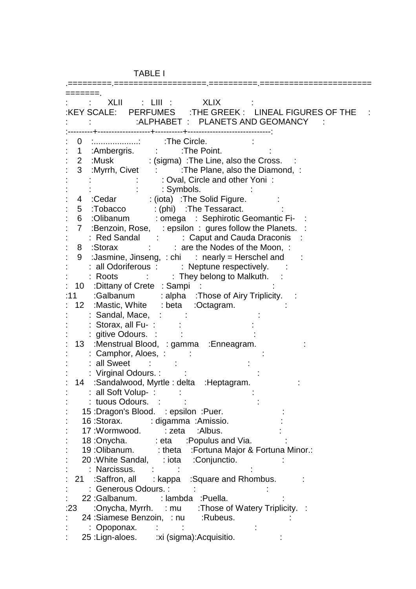TABLE I

| :The Circle.<br>0 ::<br>1 :Ambergris. : : The Point.<br>2 :Musk : (sigma) :The Line, also the Cross.<br>3<br>: Myrrh, Civet : $\qquad$ : The Plane, also the Diamond, :<br>: Oval, Circle and other Yoni:<br>: Symbols.<br>: (iota) : The Solid Figure.<br>:Cedar<br>4<br>:Tobacco<br>: $(\text{phi})$ : The Tessaract.<br>5<br>:Olibanum : omega : Sephirotic Geomantic Fi-<br>6<br>:Benzoin, Rose, : epsilon: gures follow the Planets.<br>$\overline{7}$<br>: Red Sandal : : : Caput and Cauda Draconis<br>8 :Storax : : : : are the Nodes of the Moon, :<br>9 : Jasmine, Jinseng, : chi : nearly = Herschel and<br>: all Odoriferous : : : Neptune respectively.<br>: Roots : : : : They belong to Malkuth. :<br>10 : Dittany of Crete : Sampi :<br>:Galbanum : alpha :Those of Airy Triplicity.<br>:11<br>12 : Mastic, White : beta : Octagram.<br>: Sandal, Mace, :<br>: Storax, all Fu- :<br>: gitive Odours. :<br>13 :Menstrual Blood, : gamma : Enneagram.<br>: Camphor, Aloes, :<br>all Sweet<br>: Virginal Odours. :<br>14 :Sandalwood, Myrtle : delta : Heptagram.<br>: all Soft Volup- :<br>tuous Odours. :<br>15: Dragon's Blood. : epsilon : Puer.<br>16:Storax.<br>: digamma : Amissio.<br>:Albus.<br>17: Wormwood.<br>: zeta<br>18:Onycha.<br>:Populus and Via.<br>: eta<br>19: Olibanum.<br>: theta<br>:Fortuna Major & Fortuna Minor.:<br>20 :White Sandal,<br>: iota<br>:Conjunctio.<br>: Narcissus.<br>:Saffron, all : kappa : Square and Rhombus.<br>21 <sup>°</sup><br>Generous Odours. : | XLII : LIII :<br><b>XLIX</b><br>:KEY SCALE: PERFUMES :THE GREEK: LINEAL FIGURES OF THE<br>:ALPHABET : PLANETS AND GEOMANCY |  |
|------------------------------------------------------------------------------------------------------------------------------------------------------------------------------------------------------------------------------------------------------------------------------------------------------------------------------------------------------------------------------------------------------------------------------------------------------------------------------------------------------------------------------------------------------------------------------------------------------------------------------------------------------------------------------------------------------------------------------------------------------------------------------------------------------------------------------------------------------------------------------------------------------------------------------------------------------------------------------------------------------------------------------------------------------------------------------------------------------------------------------------------------------------------------------------------------------------------------------------------------------------------------------------------------------------------------------------------------------------------------------------------------------------------------------------------------------------------------------------------------------------------|----------------------------------------------------------------------------------------------------------------------------|--|
|                                                                                                                                                                                                                                                                                                                                                                                                                                                                                                                                                                                                                                                                                                                                                                                                                                                                                                                                                                                                                                                                                                                                                                                                                                                                                                                                                                                                                                                                                                                  |                                                                                                                            |  |
|                                                                                                                                                                                                                                                                                                                                                                                                                                                                                                                                                                                                                                                                                                                                                                                                                                                                                                                                                                                                                                                                                                                                                                                                                                                                                                                                                                                                                                                                                                                  |                                                                                                                            |  |
|                                                                                                                                                                                                                                                                                                                                                                                                                                                                                                                                                                                                                                                                                                                                                                                                                                                                                                                                                                                                                                                                                                                                                                                                                                                                                                                                                                                                                                                                                                                  |                                                                                                                            |  |
|                                                                                                                                                                                                                                                                                                                                                                                                                                                                                                                                                                                                                                                                                                                                                                                                                                                                                                                                                                                                                                                                                                                                                                                                                                                                                                                                                                                                                                                                                                                  |                                                                                                                            |  |
|                                                                                                                                                                                                                                                                                                                                                                                                                                                                                                                                                                                                                                                                                                                                                                                                                                                                                                                                                                                                                                                                                                                                                                                                                                                                                                                                                                                                                                                                                                                  |                                                                                                                            |  |
|                                                                                                                                                                                                                                                                                                                                                                                                                                                                                                                                                                                                                                                                                                                                                                                                                                                                                                                                                                                                                                                                                                                                                                                                                                                                                                                                                                                                                                                                                                                  |                                                                                                                            |  |
|                                                                                                                                                                                                                                                                                                                                                                                                                                                                                                                                                                                                                                                                                                                                                                                                                                                                                                                                                                                                                                                                                                                                                                                                                                                                                                                                                                                                                                                                                                                  |                                                                                                                            |  |
| :Onycha, Myrrh. : mu : Those of Watery Triplicity.<br>:23<br>24: Siamese Benzoin, : nu : Rubeus.<br>: Opoponax.<br>25 : Lign-aloes.<br>:xi (sigma): Acquisitio.                                                                                                                                                                                                                                                                                                                                                                                                                                                                                                                                                                                                                                                                                                                                                                                                                                                                                                                                                                                                                                                                                                                                                                                                                                                                                                                                                  | : lambda : Puella.<br>22: Galbanum.                                                                                        |  |

.=========.===================.==========.=======================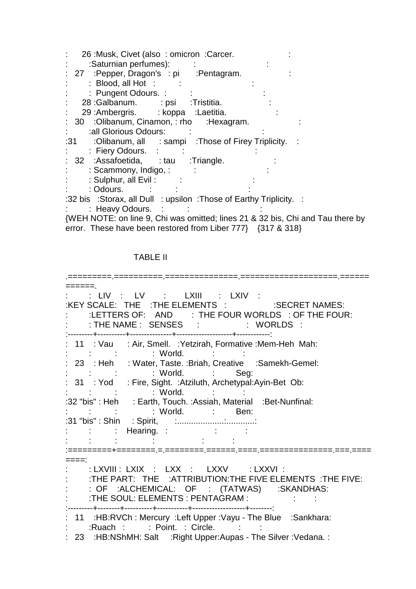| 26 : Musk, Civet (also: omicron: Carcer.                                       |
|--------------------------------------------------------------------------------|
| :Saturnian perfumes):                                                          |
| 27 : Pepper, Dragon's : pi : Pentagram.                                        |
| : Blood, all Hot :                                                             |
| : Pungent Odours. :                                                            |
| 28: Galbanum. : psi : Tristitia.                                               |
| 29: Ambergris. : koppa : Laetitia.                                             |
| : 30 : Olibanum, Cinamon, : rho : Hexagram.                                    |
| :all Glorious Odours:                                                          |
| :Olibanum, all : sampi : Those of Firey Triplicity.<br>:31                     |
| : Fiery Odours. :                                                              |
| : 32 :Assafoetida, : tau :Triangle.                                            |
| : Scammony, Indigo, :                                                          |
| : Sulphur, all Evil:                                                           |
| : Odours.                                                                      |
| :32 bis :Storax, all Dull : upsilon :Those of Earthy Triplicity. :             |
| : Heavy Odours.                                                                |
| {WEH NOTE: on line 9, Chi was omitted; lines 21 & 32 bis, Chi and Tau there by |

error. These have been restored from Liber 777} {317 & 318}

# TABLE II

| : LIV : LV : LXIII : LXIV :<br>:KEY SCALE: THE :THE ELEMENTS : : : SECRET NAMES:<br>:LETTERS OF: AND : THE FOUR WORLDS : OF THE FOUR:<br>: THE NAME : SENSES : WORLDS :                                                                                                                                                                                                                                                                                                                                                                                                                                                                                                                       |
|-----------------------------------------------------------------------------------------------------------------------------------------------------------------------------------------------------------------------------------------------------------------------------------------------------------------------------------------------------------------------------------------------------------------------------------------------------------------------------------------------------------------------------------------------------------------------------------------------------------------------------------------------------------------------------------------------|
| : 11 : Vau : Air, Smell. : Yetzirah, Formative : Mem-Heh Mah:<br>: World.<br>$\sim 10^{11}$ MeV and $\sim 10^{11}$<br>23 : Heh : Water, Taste. : Briah, Creative : Samekh-Gemel:<br>$\sim 10^{11}$ , $\sim 10^{11}$<br>: World. : : :<br>Seg:<br>: 31 : Yod : Fire, Sight. : Atziluth, Archetypal: Ayin-Bet Ob:<br>: World.<br>:32 "bis" : Heh : Earth, Touch. :Assiah, Material :Bet-Nunfinal:<br>: World. : Ben:<br>the state of the state<br>Hearing. : The state of the state of the state of the state of the state of the state of the state of the state of the state of the state of the state of the state of the state of the state of the state of the state of the<br>the company |
| ====:<br>: LXVIII : LXIX : LXX : LXXV : LXXVI :<br>:THE PART: THE :ATTRIBUTION:THE FIVE ELEMENTS :THE FIVE:<br>: OF :ALCHEMICAL: OF : (TATWAS) :SKANDHAS:<br>: THE SOUL: ELEMENTS : PENTAGRAM :<br>11 : HB: RVCh : Mercury : Left Upper : Vayu - The Blue : Sankhara:<br>:Ruach : : Point. : Circle.<br><b>Contract Contract</b><br>23 :HB:NShMH: Salt :Right Upper:Aupas - The Silver :Vedana. :                                                                                                                                                                                                                                                                                             |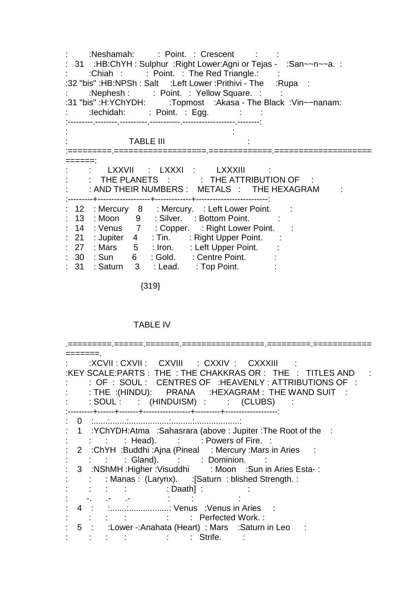: Neshamah: : Point. : Crescent : : : 31 :HB:ChYH : Sulphur :Right Lower:Agni or Tejas - :San~~n~~a. : : Chiah : : Point. : The Red Triangle.: : :32 "bis" :HB:NPSh : Salt :Left Lower :Prithivi - The :Rupa : : : Nephesh : : Point. : Yellow Square. : : :31 "bis" :H:YChYDH: :Topmost :Akasa - The Black :Vin~~nanam: : lechidah: : Point. : Egg. : : : :---------.--------.----------.-----------.-------------------.--------: : the set of the set of the set of the set of the set of the set of the set of the set of the set of the set of the set of the set of the set of the set of the set of the set of the set of the set of the set of the set of TABLE III :=========.===================.=============.==================== ======: : : LXXVII : LXXXI : LXXXIII : : THE PLANETS : : THE ATTRIBUTION OF : : AND THEIR NUMBERS : METALS : THE HEXAGRAM : :---------+-------------------+-------------+--------------------------: : 12 : Mercury 8 : Mercury. : Left Lower Point. : : 13 : Moon 9 : Silver. : Bottom Point. : : 14 : Venus 7 : Copper. : Right Lower Point. : : 21 : Jupiter 4 : Tin. : Right Upper Point. : : 27 : Mars  $5$  : Iron. : Left Upper Point. : : 30 : Sun 6 : Gold. : Centre Point. : : 31 : Saturn 3 : Lead. : Top Point. : :

{319}

#### TABLE IV

| ====== =================                                                                                                                                                                                                                                                                                                                    |
|---------------------------------------------------------------------------------------------------------------------------------------------------------------------------------------------------------------------------------------------------------------------------------------------------------------------------------------------|
|                                                                                                                                                                                                                                                                                                                                             |
| :XCVII: CXVII: CXVIII : CXXIV : CXXXIII :<br>:KEY SCALE:PARTS : THE : THE CHAKKRAS OR : THE : TITLES AND<br>: OF : SOUL : CENTRES OF : HEAVENLY : ATTRIBUTIONS OF :<br>: THE :(HINDU): PRANA : HEXAGRAM : THE WAND SUIT :<br>$:$ $:$ $SOUT:$ $:$ $(HINDUISM)$ $:$ $:$ $(CLUBS)$ $:$                                                         |
|                                                                                                                                                                                                                                                                                                                                             |
| $\vdots$ 0 $\vdots$ $\vdots$ $\vdots$ $\vdots$ $\vdots$ $\vdots$ $\vdots$ $\vdots$ $\vdots$ $\vdots$ $\vdots$ $\vdots$ $\vdots$ $\vdots$ $\vdots$ $\vdots$ $\vdots$ $\vdots$ $\vdots$ $\vdots$ $\vdots$ $\vdots$ $\vdots$ $\vdots$ $\vdots$ $\vdots$ $\vdots$ $\vdots$ $\vdots$ $\vdots$ $\vdots$ $\vdots$ $\vdots$ $\vdots$ $\vdots$ $\vd$ |
| : 1 :YChYDH:Atma :Sahasrara (above : Jupiter :The Root of the :                                                                                                                                                                                                                                                                             |
| $\therefore$ : $\therefore$ Head). $\therefore$ : Powers of Fire. :                                                                                                                                                                                                                                                                         |
| : 2 : ChYH : Buddhi : Ajna (Pineal : Mercury : Mars in Aries :                                                                                                                                                                                                                                                                              |
| $\vdots$ : $\vdots$ : Gland). $\vdots$ : Dominion.                                                                                                                                                                                                                                                                                          |
| : 3 :NShMH : Higher : Visuddhi : Moon : Sun in Aries Esta-:                                                                                                                                                                                                                                                                                 |
| : : : : Manas : (Larynx). : [Saturn : blished Strength. :                                                                                                                                                                                                                                                                                   |
| discussion of the control of the control of the control of the control of the control of the control of the co                                                                                                                                                                                                                              |
|                                                                                                                                                                                                                                                                                                                                             |
| -. .- .- .- .<br>4 : : Venus :Venus in Aries :                                                                                                                                                                                                                                                                                              |
|                                                                                                                                                                                                                                                                                                                                             |
| Entertainment of the contract of the contract of the contract of the contract of the contract of the contract of the contract of the contract of the contract of the contract of the contract of the contract of the contract                                                                                                               |
| 5 : Cower -: Anahata (Heart) : Mars : Saturn in Leo :                                                                                                                                                                                                                                                                                       |
| <u>and the set of the set of the set of the set of the set of the set of the set of the set of the set of the set of the set of the set of the set of the set of the set of the set of the set of the set of the set of the set </u>                                                                                                        |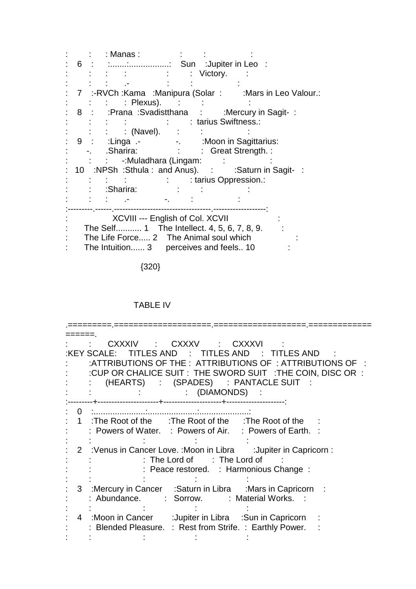|  | <b>Contractor</b> | : Manas :   |                                                                                                                      |      |  |                                                         |  |
|--|-------------------|-------------|----------------------------------------------------------------------------------------------------------------------|------|--|---------------------------------------------------------|--|
|  |                   |             |                                                                                                                      |      |  | 6 : ::: Sun :Jupiter in Leo :                           |  |
|  |                   |             | $\vdots$ $\vdots$ $\vdots$ $\vdots$ $\vdots$ $\vdots$ $\vdots$ $\vdots$ $\vdots$ $\vdots$ $\vdots$ $\vdots$ $\vdots$ |      |  |                                                         |  |
|  |                   |             |                                                                                                                      |      |  |                                                         |  |
|  |                   |             |                                                                                                                      |      |  | 7 :-RVCh :Kama :Manipura (Solar : :Mars in Leo Valour.: |  |
|  |                   |             | $\vdots$ : $\vdots$ : Plexus).                                                                                       | - 11 |  |                                                         |  |
|  |                   |             |                                                                                                                      |      |  | 8 : :Prana :Svadistthana : :Mercury in Sagit- :         |  |
|  |                   |             | EXAMPLE THE RESERVIT CONTROL CONTROL CONTROL CONTROL CONTROL CONTROL CONTROL CONTROL CONTROL CONTROL CONTROL C       |      |  |                                                         |  |
|  |                   |             | $\vdots$ $\vdots$ $\vdots$ (Navel). $\vdots$ $\vdots$                                                                |      |  |                                                         |  |
|  |                   |             |                                                                                                                      |      |  | 9 : : Linga .- Moon in Sagittarius:                     |  |
|  |                   |             | Sharira: : : :                                                                                                       |      |  | : Great Strength. :                                     |  |
|  |                   |             | : : : -:Muladhara (Lingam:                                                                                           |      |  |                                                         |  |
|  |                   |             |                                                                                                                      |      |  | 10 : NPSh : Sthula : and Anus). : Saturn in Sagit- :    |  |
|  |                   |             |                                                                                                                      |      |  |                                                         |  |
|  |                   | : :Sharira: |                                                                                                                      |      |  |                                                         |  |
|  | the theory        |             |                                                                                                                      |      |  |                                                         |  |
|  |                   |             |                                                                                                                      |      |  |                                                         |  |
|  |                   |             | XCVIII --- English of Col. XCVII                                                                                     |      |  |                                                         |  |
|  |                   |             |                                                                                                                      |      |  | The Self 1 The Intellect. 4, 5, 6, 7, 8, 9.             |  |
|  |                   |             | The Life Force 2 The Animal soul which                                                                               |      |  |                                                         |  |
|  |                   |             | The Intuition 3 perceives and feels 10                                                                               |      |  |                                                         |  |

{320}

# TABLE IV

| CXXXIV : CXXXV : CXXXVI<br>:KEY SCALE: TITLES AND : TITLES AND : TITLES AND<br>:ATTRIBUTIONS OF THE : ATTRIBUTIONS OF : ATTRIBUTIONS OF : |  |  |  |  |  |
|-------------------------------------------------------------------------------------------------------------------------------------------|--|--|--|--|--|
| : CUP OR CHALICE SUIT : THE SWORD SUIT : THE COIN, DISC OR :<br>(HEARTS) : (SPADES) : PANTACLE SUIT :<br>(DIAMONDS)                       |  |  |  |  |  |
|                                                                                                                                           |  |  |  |  |  |
| 1 :The Root of the :The Root of the :The Root of the<br>: Powers of Water. : Powers of Air. : Powers of Earth.                            |  |  |  |  |  |
| 2 :Venus in Cancer Love. :Moon in Libra :Jupiter in Capricorn :<br>: The Lord of : The Lord of<br>: Peace restored. : Harmonious Change : |  |  |  |  |  |
| :Mercury in Cancer :Saturn in Libra<br>: Mars in Capricorn :<br>3<br>: Abundance. : Sorrow. : Material Works.                             |  |  |  |  |  |
| :Jupiter in Libra : Sun in Capricorn<br>:Moon in Cancer<br>4<br>Blended Pleasure. : Rest from Strife. : Earthly Power.                    |  |  |  |  |  |
|                                                                                                                                           |  |  |  |  |  |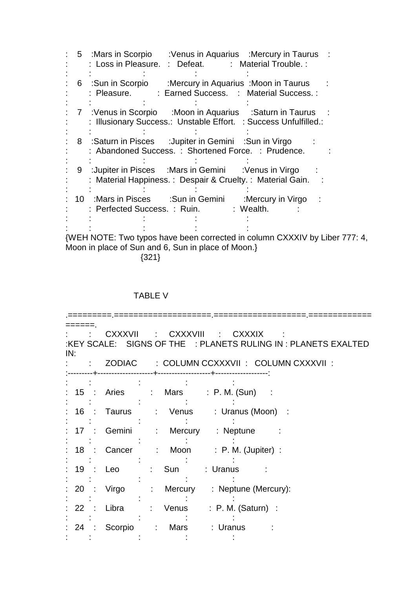| 5 <sup>5</sup> | :Mars in Scorpio<br>:Venus in Aquarius :Mercury in Taurus<br>: Loss in Pleasure. : Defeat. : Material Trouble. :            |
|----------------|-----------------------------------------------------------------------------------------------------------------------------|
|                | :Mercury in Aquarius : Moon in Taurus<br>6 :Sun in Scorpio<br>: Pleasure. : Earned Success. : Material Success. :           |
|                | 7 :Venus in Scorpio :Moon in Aquarius :Saturn in Taurus<br>: Illusionary Success.: Unstable Effort. : Success Unfulfilled.: |
| 8              | Saturn in Pisces :Jupiter in Gemini :Sun in Virgo:<br>: Abandoned Success. : Shortened Force. : Prudence.                   |
| 9              | :Jupiter in Pisces :Mars in Gemini :Venus in Virgo<br>: Material Happiness.: Despair & Cruelty.: Material Gain.             |
| 10             | : Mars in Pisces : Sun in Gemini : Mercury in Virgo:<br>: Perfected Success. : Ruin.<br>$:$ Wealth.                         |
|                |                                                                                                                             |

{WEH NOTE: Two typos have been corrected in column CXXXIV by Liber 777: 4, Moon in place of Sun and 6, Sun in place of Moon.}

{321}

#### TABLE V

.=========.====================.===================.============= ======. : : CXXXVII : CXXXVIII : CXXXIX : :KEY SCALE: SIGNS OF THE : PLANETS RULING IN : PLANETS EXALTED IN: : : ZODIAC : COLUMN CCXXXVII : COLUMN CXXXVII : :---------+--------------------+-------------------+-------------------: : : : : : 15 : Aries : Mars : P.M. (Sun) : : : : : : : 16 : Taurus : Venus : Uranus (Moon) : : : : : : 17 : Gemini : Mercury : Neptune : : : : : : 18 : Cancer : Moon : P.M. (Jupiter) : : : : : : 19 : Leo : Sun : Uranus : : : : : : 20 : Virgo : Mercury : Neptune (Mercury): : : : : : 22 : Libra : Venus : P. M. (Saturn) : : : : : : 24 : Scorpio : Mars : Uranus : : : : : :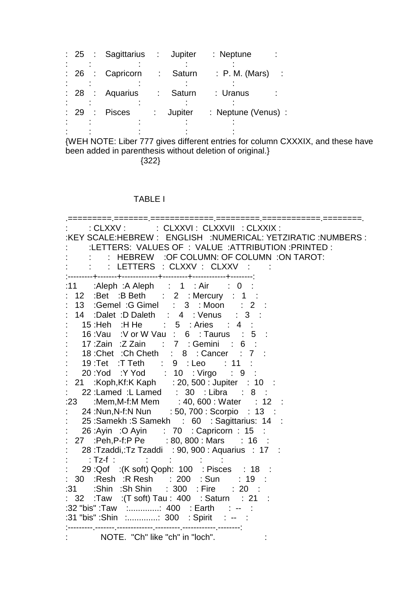| : 25 : |           | Sagittarius   | Jupiter | : Neptune           |  |
|--------|-----------|---------------|---------|---------------------|--|
| : 26   | $\sim$ 1. | Capricorn     | Saturn  | : P. M. (Mars)      |  |
| : 28   | - 11      | Aquarius      | Saturn  | : Uranus            |  |
|        |           |               |         |                     |  |
| 29     | ٠         | <b>Pisces</b> | Jupiter | : Neptune (Venus) : |  |
|        |           |               |         |                     |  |
|        |           |               |         |                     |  |

{WEH NOTE: Liber 777 gives different entries for column CXXXIX, and these have been added in parenthesis without deletion of original.}

 ${322}$ 

## TABLE I

| : CLXXV : : : CLXXVI : CLXXVII : CLXXIX :<br>:KEY SCALE:HEBREW : ENGLISH :NUMERICAL: YETZIRATIC :NUMBERS :<br>:LETTERS: VALUES OF : VALUE :ATTRIBUTION :PRINTED :<br>: : HEBREW : OF COLUMN: OF COLUMN : ON TAROT:<br>: : LETTERS : CLXXV : CLXXV :                                                                                                                                                                                                                                                                                                                                                                                                                                                                                                                                                                                                                                                                                                                                                                  |
|----------------------------------------------------------------------------------------------------------------------------------------------------------------------------------------------------------------------------------------------------------------------------------------------------------------------------------------------------------------------------------------------------------------------------------------------------------------------------------------------------------------------------------------------------------------------------------------------------------------------------------------------------------------------------------------------------------------------------------------------------------------------------------------------------------------------------------------------------------------------------------------------------------------------------------------------------------------------------------------------------------------------|
| :11 : Aleph : A Aleph : 1 : Air : 0 :<br>12 :Bet :B Beth : 2 :Mercury : 1 :<br>13 :Gemel :G Gimel : 3 :Moon : 2<br>14 : Dalet : D Daleth : 4 : Venus : 3 :<br>15:Heh :H He : 5 : Aries : 4 :<br>16:Vau :V or W Vau : 6 : Taurus : 5 :<br>17: Zain : Z Zain : 7 : Gemini<br>$\therefore$ 6 $\therefore$<br>18:Chet :Ch Cheth : 8 :Cancer : 7 :<br>19:Tet :T Teth : 9 : Leo : 11 :<br>20:Yod :Y Yod : 10 : Virgo : 9 :<br>: Koph, Kf: K Kaph : 20, 500 : Jupiter : 10 :<br>21<br>22 : Lamed : L Lamed : 30 : Libra : 8 :<br>: Mem, M-f: M Mem : 40, 600 : Water : 12 :<br>:23<br>24 :Nun, N-f:N Nun : 50, 700 : Scorpio : 13 :<br>25 :Samekh :S Samekh : 60 : Sagittarius: 14 :<br>26: Ayin : O Ayin : 70 : Capricorn : 15 :<br>27 : Peh, P-f: P Pe : 80, 800 : Mars : 16 :<br>28 : Tzaddi,: Tz Tzaddi : 90, 900 : Aquarius : 17 :<br>: Tz-f $\,$ : $\,$<br>30 : Resh : R Resh : 200 : Sun : 19 :<br>:31 :Shin :Sh Shin : 300 : Fire : 20 :<br>:32 "bis" :Taw :: 400 : Earth<br>:31 "bis" :Shin :: 300 : Spirit : -- : |
| NOTE. "Ch" like "ch" in "loch".                                                                                                                                                                                                                                                                                                                                                                                                                                                                                                                                                                                                                                                                                                                                                                                                                                                                                                                                                                                      |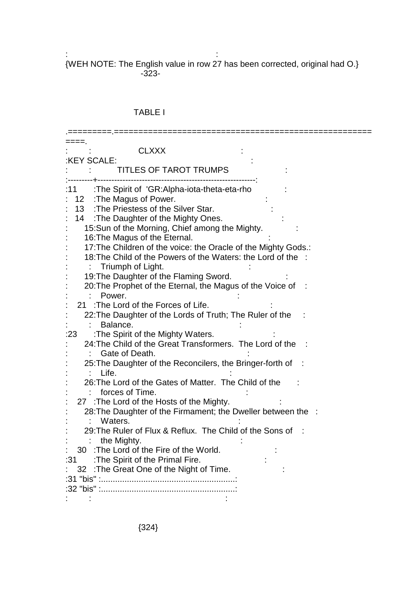### : the set of the set of the set of the set of the set of the set of the set of the set of the set of the set of the set of the set of the set of the set of the set of the set of the set of the set of the set of the set of {WEH NOTE: The English value in row 27 has been corrected, original had O.} -323-

## TABLE I

| <b>CLXXX</b><br>:KEY SCALE:<br><b>TITLES OF TAROT TRUMPS</b>                             |
|------------------------------------------------------------------------------------------|
|                                                                                          |
| :11<br>:The Spirit of 'GR:Alpha-iota-theta-eta-rho                                       |
| 12 : The Magus of Power.                                                                 |
| 13 : The Priestess of the Silver Star.                                                   |
| 14 : The Daughter of the Mighty Ones.<br>15: Sun of the Morning, Chief among the Mighty. |
| 16: The Magus of the Eternal.                                                            |
| 17: The Children of the voice: the Oracle of the Mighty Gods.:                           |
| 18: The Child of the Powers of the Waters: the Lord of the :                             |
| Triumph of Light.                                                                        |
| 19: The Daughter of the Flaming Sword.                                                   |
| 20: The Prophet of the Eternal, the Magus of the Voice of                                |
| Power.                                                                                   |
| 21 : The Lord of the Forces of Life.                                                     |
| 22: The Daughter of the Lords of Truth; The Ruler of the                                 |
| Balance.                                                                                 |
| : The Spirit of the Mighty Waters.<br>:23                                                |
| 24: The Child of the Great Transformers. The Lord of the                                 |
| Gate of Death.                                                                           |
| 25: The Daughter of the Reconcilers, the Bringer-forth of<br>Life.                       |
| 26: The Lord of the Gates of Matter. The Child of the                                    |
| forces of Time.                                                                          |
| 27 : The Lord of the Hosts of the Mighty.                                                |
| 28: The Daughter of the Firmament; the Dweller between the :                             |
| Waters.                                                                                  |
| 29: The Ruler of Flux & Reflux. The Child of the Sons of                                 |
| : the Mighty.                                                                            |
| 30<br>: The Lord of the Fire of the World.                                               |
| :The Spirit of the Primal Fire.<br>:31                                                   |
| : The Great One of the Night of Time.<br>32                                              |
|                                                                                          |
|                                                                                          |
|                                                                                          |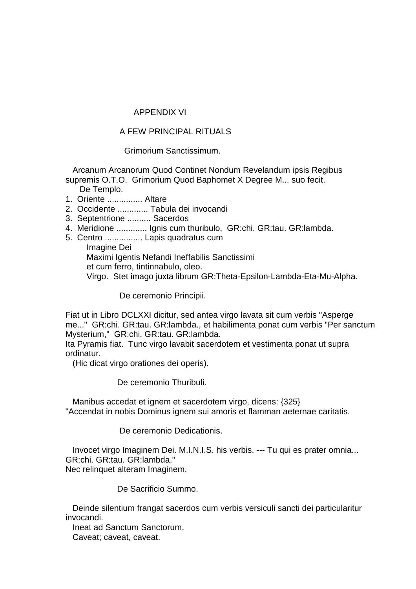### APPENDIX VI

### A FEW PRINCIPAL RITUALS

Grimorium Sanctissimum.

 Arcanum Arcanorum Quod Continet Nondum Revelandum ipsis Regibus supremis O.T.O. Grimorium Quod Baphomet X Degree M... suo fecit.

De Templo.

- 1. Oriente ............... Altare
- 2. Occidente ............. Tabula dei invocandi
- 3. Septentrione .......... Sacerdos
- 4. Meridione ............. Ignis cum thuribulo, GR:chi. GR:tau. GR:lambda.
- 5. Centro ................ Lapis quadratus cum Imagine Dei Maximi Igentis Nefandi Ineffabilis Sanctissimi et cum ferro, tintinnabulo, oleo. Virgo. Stet imago juxta librum GR:Theta-Epsilon-Lambda-Eta-Mu-Alpha.

De ceremonio Principii.

Fiat ut in Libro DCLXXI dicitur, sed antea virgo lavata sit cum verbis "Asperge me..." GR:chi. GR:tau. GR:lambda., et habilimenta ponat cum verbis "Per sanctum Mysterium," GR:chi. GR:tau. GR:lambda.

Ita Pyramis fiat. Tunc virgo lavabit sacerdotem et vestimenta ponat ut supra ordinatur.

(Hic dicat virgo orationes dei operis).

De ceremonio Thuribuli.

 Manibus accedat et ignem et sacerdotem virgo, dicens: {325} "Accendat in nobis Dominus ignem sui amoris et flamman aeternae caritatis.

De ceremonio Dedicationis.

 Invocet virgo Imaginem Dei. M.I.N.I.S. his verbis. --- Tu qui es prater omnia... GR:chi. GR:tau. GR:lambda." Nec relinquet alteram Imaginem.

De Sacrificio Summo.

 Deinde silentium frangat sacerdos cum verbis versiculi sancti dei particularitur invocandi.

 Ineat ad Sanctum Sanctorum. Caveat; caveat, caveat.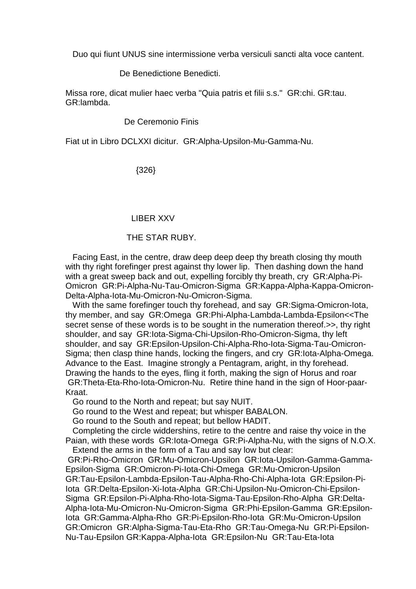Duo qui fiunt UNUS sine intermissione verba versiculi sancti alta voce cantent.

De Benedictione Benedicti.

Missa rore, dicat mulier haec verba "Quia patris et filii s.s." GR:chi. GR:tau. GR:lambda.

De Ceremonio Finis

Fiat ut in Libro DCLXXI dicitur. GR:Alpha-Upsilon-Mu-Gamma-Nu.

{326}

#### LIBER XXV

#### THE STAR RUBY.

 Facing East, in the centre, draw deep deep deep thy breath closing thy mouth with thy right forefinger prest against thy lower lip. Then dashing down the hand with a great sweep back and out, expelling forcibly thy breath, cry GR:Alpha-Pi-Omicron GR:Pi-Alpha-Nu-Tau-Omicron-Sigma GR:Kappa-Alpha-Kappa-Omicron-Delta-Alpha-Iota-Mu-Omicron-Nu-Omicron-Sigma.

 With the same forefinger touch thy forehead, and say GR:Sigma-Omicron-Iota, thy member, and say GR:Omega GR:Phi-Alpha-Lambda-Lambda-Epsilon<<The secret sense of these words is to be sought in the numeration thereof.>>, thy right shoulder, and say GR:Iota-Sigma-Chi-Upsilon-Rho-Omicron-Sigma, thy left shoulder, and say GR:Epsilon-Upsilon-Chi-Alpha-Rho-Iota-Sigma-Tau-Omicron-Sigma; then clasp thine hands, locking the fingers, and cry GR:Iota-Alpha-Omega. Advance to the East. Imagine strongly a Pentagram, aright, in thy forehead. Drawing the hands to the eyes, fling it forth, making the sign of Horus and roar GR:Theta-Eta-Rho-Iota-Omicron-Nu. Retire thine hand in the sign of Hoor-paar-Kraat.

Go round to the North and repeat; but say NUIT.

Go round to the West and repeat; but whisper BABALON.

Go round to the South and repeat; but bellow HADIT.

 Completing the circle widdershins, retire to the centre and raise thy voice in the Paian, with these words GR:Iota-Omega GR:Pi-Alpha-Nu, with the signs of N.O.X. Extend the arms in the form of a Tau and say low but clear:

 GR:Pi-Rho-Omicron GR:Mu-Omicron-Upsilon GR:Iota-Upsilon-Gamma-Gamma-Epsilon-Sigma GR:Omicron-Pi-Iota-Chi-Omega GR:Mu-Omicron-Upsilon GR:Tau-Epsilon-Lambda-Epsilon-Tau-Alpha-Rho-Chi-Alpha-Iota GR:Epsilon-Pi-Iota GR:Delta-Epsilon-Xi-Iota-Alpha GR:Chi-Upsilon-Nu-Omicron-Chi-Epsilon-Sigma GR:Epsilon-Pi-Alpha-Rho-Iota-Sigma-Tau-Epsilon-Rho-Alpha GR:Delta-Alpha-Iota-Mu-Omicron-Nu-Omicron-Sigma GR:Phi-Epsilon-Gamma GR:Epsilon-Iota GR:Gamma-Alpha-Rho GR:Pi-Epsilon-Rho-Iota GR:Mu-Omicron-Upsilon GR:Omicron GR:Alpha-Sigma-Tau-Eta-Rho GR:Tau-Omega-Nu GR:Pi-Epsilon-Nu-Tau-Epsilon GR:Kappa-Alpha-Iota GR:Epsilon-Nu GR:Tau-Eta-Iota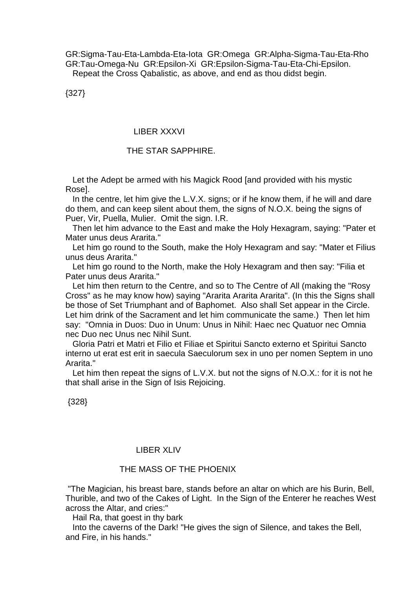GR:Sigma-Tau-Eta-Lambda-Eta-Iota GR:Omega GR:Alpha-Sigma-Tau-Eta-Rho GR:Tau-Omega-Nu GR:Epsilon-Xi GR:Epsilon-Sigma-Tau-Eta-Chi-Epsilon. Repeat the Cross Qabalistic, as above, and end as thou didst begin.

{327}

### LIBER XXXVI

### THE STAR SAPPHIRE.

 Let the Adept be armed with his Magick Rood [and provided with his mystic Rose].

In the centre, let him give the L.V.X. signs; or if he know them, if he will and dare do them, and can keep silent about them, the signs of N.O.X. being the signs of Puer, Vir, Puella, Mulier. Omit the sign. I.R.

 Then let him advance to the East and make the Holy Hexagram, saying: "Pater et Mater unus deus Ararita."

 Let him go round to the South, make the Holy Hexagram and say: "Mater et Filius unus deus Ararita."

 Let him go round to the North, make the Holy Hexagram and then say: "Filia et Pater unus deus Ararita."

 Let him then return to the Centre, and so to The Centre of All (making the "Rosy Cross" as he may know how) saying "Ararita Ararita Ararita". (In this the Signs shall be those of Set Triumphant and of Baphomet. Also shall Set appear in the Circle. Let him drink of the Sacrament and let him communicate the same.) Then let him say: "Omnia in Duos: Duo in Unum: Unus in Nihil: Haec nec Quatuor nec Omnia nec Duo nec Unus nec Nihil Sunt.

 Gloria Patri et Matri et Filio et Filiae et Spiritui Sancto externo et Spiritui Sancto interno ut erat est erit in saecula Saeculorum sex in uno per nomen Septem in uno Ararita."

 Let him then repeat the signs of L.V.X. but not the signs of N.O.X.: for it is not he that shall arise in the Sign of Isis Rejoicing.

{328}

### LIBER XLIV

### THE MASS OF THE PHOENIX

 "The Magician, his breast bare, stands before an altar on which are his Burin, Bell, Thurible, and two of the Cakes of Light. In the Sign of the Enterer he reaches West across the Altar, and cries:"

Hail Ra, that goest in thy bark

 Into the caverns of the Dark! "He gives the sign of Silence, and takes the Bell, and Fire, in his hands."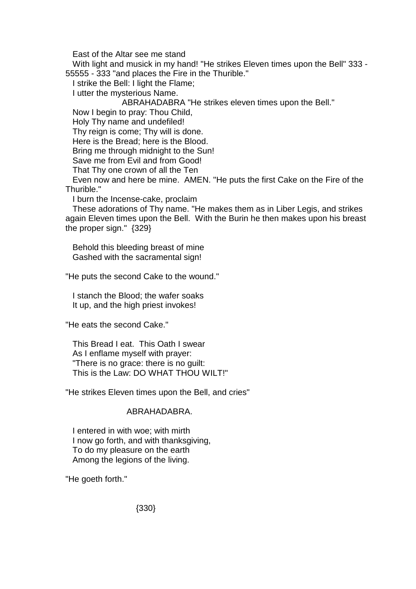East of the Altar see me stand

 With light and musick in my hand! "He strikes Eleven times upon the Bell" 333 - 55555 - 333 "and places the Fire in the Thurible."

I strike the Bell: I light the Flame;

I utter the mysterious Name.

ABRAHADABRA "He strikes eleven times upon the Bell."

Now I begin to pray: Thou Child,

Holy Thy name and undefiled!

Thy reign is come; Thy will is done.

Here is the Bread; here is the Blood.

Bring me through midnight to the Sun!

Save me from Evil and from Good!

That Thy one crown of all the Ten

 Even now and here be mine. AMEN. "He puts the first Cake on the Fire of the Thurible."

I burn the Incense-cake, proclaim

 These adorations of Thy name. "He makes them as in Liber Legis, and strikes again Eleven times upon the Bell. With the Burin he then makes upon his breast the proper sign." {329}

 Behold this bleeding breast of mine Gashed with the sacramental sign!

"He puts the second Cake to the wound."

 I stanch the Blood; the wafer soaks It up, and the high priest invokes!

"He eats the second Cake."

 This Bread I eat. This Oath I swear As I enflame myself with prayer: "There is no grace: there is no guilt: This is the Law: DO WHAT THOU WILT!"

"He strikes Eleven times upon the Bell, and cries"

#### ABRAHADABRA.

 I entered in with woe; with mirth I now go forth, and with thanksgiving, To do my pleasure on the earth Among the legions of the living.

"He goeth forth."

{330}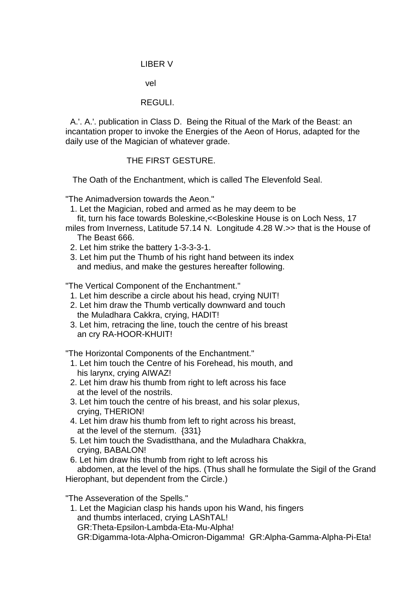### LIBER V

vel

### REGULI.

 A.'. A.'. publication in Class D. Being the Ritual of the Mark of the Beast: an incantation proper to invoke the Energies of the Aeon of Horus, adapted for the daily use of the Magician of whatever grade.

### THE FIRST GESTURE.

The Oath of the Enchantment, which is called The Elevenfold Seal.

"The Animadversion towards the Aeon."

- 1. Let the Magician, robed and armed as he may deem to be
- fit, turn his face towards Boleskine,<<Boleskine House is on Loch Ness, 17
- miles from Inverness, Latitude 57.14 N. Longitude 4.28 W.>> that is the House of The Beast 666.
	- 2. Let him strike the battery 1-3-3-3-1.
	- 3. Let him put the Thumb of his right hand between its index and medius, and make the gestures hereafter following.

"The Vertical Component of the Enchantment."

- 1. Let him describe a circle about his head, crying NUIT!
- 2. Let him draw the Thumb vertically downward and touch the Muladhara Cakkra, crying, HADIT!
- 3. Let him, retracing the line, touch the centre of his breast an cry RA-HOOR-KHUIT!

"The Horizontal Components of the Enchantment."

- 1. Let him touch the Centre of his Forehead, his mouth, and his larynx, crying AIWAZ!
- 2. Let him draw his thumb from right to left across his face at the level of the nostrils.
- 3. Let him touch the centre of his breast, and his solar plexus, crying, THERION!
- 4. Let him draw his thumb from left to right across his breast, at the level of the sternum. {331}
- 5. Let him touch the Svadistthana, and the Muladhara Chakkra, crying, BABALON!
- 6. Let him draw his thumb from right to left across his

 abdomen, at the level of the hips. (Thus shall he formulate the Sigil of the Grand Hierophant, but dependent from the Circle.)

"The Asseveration of the Spells."

 1. Let the Magician clasp his hands upon his Wand, his fingers and thumbs interlaced, crying LAShTAL! GR:Theta-Epsilon-Lambda-Eta-Mu-Alpha! GR:Digamma-Iota-Alpha-Omicron-Digamma! GR:Alpha-Gamma-Alpha-Pi-Eta!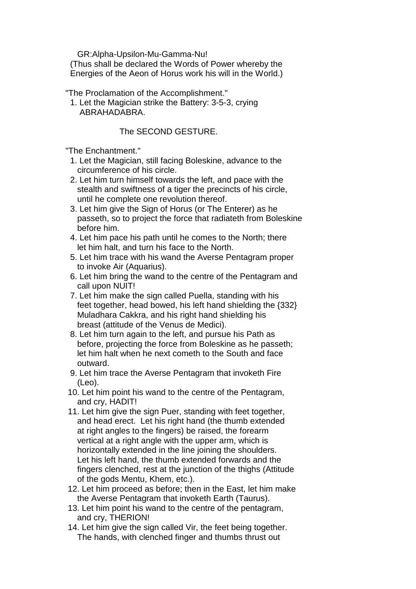GR:Alpha-Upsilon-Mu-Gamma-Nu!

 (Thus shall be declared the Words of Power whereby the Energies of the Aeon of Horus work his will in the World.)

"The Proclamation of the Accomplishment."

 1. Let the Magician strike the Battery: 3-5-3, crying ABRAHADABRA.

### The SECOND GESTURE.

"The Enchantment."

- 1. Let the Magician, still facing Boleskine, advance to the circumference of his circle.
- 2. Let him turn himself towards the left, and pace with the stealth and swiftness of a tiger the precincts of his circle, until he complete one revolution thereof.
- 3. Let him give the Sign of Horus (or The Enterer) as he passeth, so to project the force that radiateth from Boleskine before him.
- 4. Let him pace his path until he comes to the North; there let him halt, and turn his face to the North.
- 5. Let him trace with his wand the Averse Pentagram proper to invoke Air (Aquarius).
- 6. Let him bring the wand to the centre of the Pentagram and call upon NUIT!
- 7. Let him make the sign called Puella, standing with his feet together, head bowed, his left hand shielding the {332} Muladhara Cakkra, and his right hand shielding his breast (attitude of the Venus de Medici).
- 8. Let him turn again to the left, and pursue his Path as before, projecting the force from Boleskine as he passeth; let him halt when he next cometh to the South and face outward.
- 9. Let him trace the Averse Pentagram that invoketh Fire (Leo).
- 10. Let him point his wand to the centre of the Pentagram, and cry, HADIT!
- 11. Let him give the sign Puer, standing with feet together, and head erect. Let his right hand (the thumb extended at right angles to the fingers) be raised, the forearm vertical at a right angle with the upper arm, which is horizontally extended in the line joining the shoulders. Let his left hand, the thumb extended forwards and the fingers clenched, rest at the junction of the thighs (Attitude of the gods Mentu, Khem, etc.).
- 12. Let him proceed as before; then in the East, let him make the Averse Pentagram that invoketh Earth (Taurus).
- 13. Let him point his wand to the centre of the pentagram, and cry, THERION!
- 14. Let him give the sign called Vir, the feet being together. The hands, with clenched finger and thumbs thrust out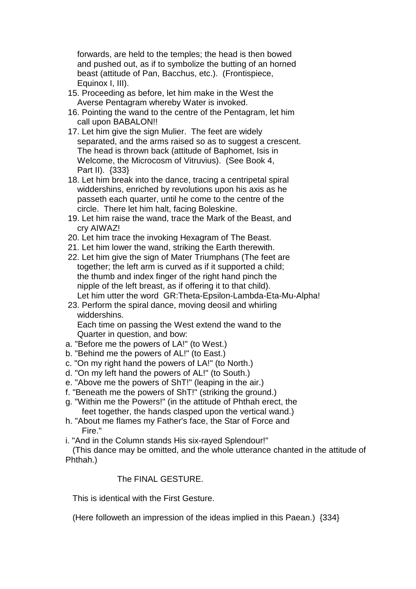forwards, are held to the temples; the head is then bowed and pushed out, as if to symbolize the butting of an horned beast (attitude of Pan, Bacchus, etc.). (Frontispiece, Equinox I, III).

- 15. Proceeding as before, let him make in the West the Averse Pentagram whereby Water is invoked.
- 16. Pointing the wand to the centre of the Pentagram, let him call upon BABALON!!
- 17. Let him give the sign Mulier. The feet are widely separated, and the arms raised so as to suggest a crescent. The head is thrown back (attitude of Baphomet, Isis in Welcome, the Microcosm of Vitruvius). (See Book 4, Part II). {333}
- 18. Let him break into the dance, tracing a centripetal spiral widdershins, enriched by revolutions upon his axis as he passeth each quarter, until he come to the centre of the circle. There let him halt, facing Boleskine.
- 19. Let him raise the wand, trace the Mark of the Beast, and cry AIWAZ!
- 20. Let him trace the invoking Hexagram of The Beast.
- 21. Let him lower the wand, striking the Earth therewith.
- 22. Let him give the sign of Mater Triumphans (The feet are together; the left arm is curved as if it supported a child; the thumb and index finger of the right hand pinch the nipple of the left breast, as if offering it to that child). Let him utter the word GR:Theta-Epsilon-Lambda-Eta-Mu-Alpha!
- 23. Perform the spiral dance, moving deosil and whirling widdershins.

 Each time on passing the West extend the wand to the Quarter in question, and bow:

- a. "Before me the powers of LA!" (to West.)
- b. "Behind me the powers of AL!" (to East.)
- c. "On my right hand the powers of LA!" (to North.)
- d. "On my left hand the powers of AL!" (to South.)
- e. "Above me the powers of ShT!" (leaping in the air.)
- f. "Beneath me the powers of ShT!" (striking the ground.)
- g. "Within me the Powers!" (in the attitude of Phthah erect, the feet together, the hands clasped upon the vertical wand.)
- h. "About me flames my Father's face, the Star of Force and Fire."
- i. "And in the Column stands His six-rayed Splendour!"

 (This dance may be omitted, and the whole utterance chanted in the attitude of Phthah.)

### The FINAL GESTURE.

This is identical with the First Gesture.

(Here followeth an impression of the ideas implied in this Paean.) {334}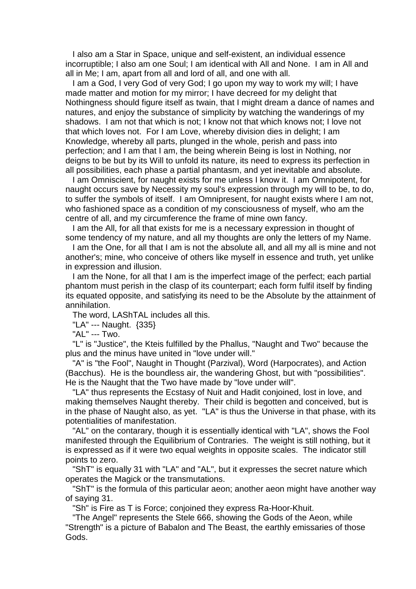I also am a Star in Space, unique and self-existent, an individual essence incorruptible; I also am one Soul; I am identical with All and None. I am in All and all in Me; I am, apart from all and lord of all, and one with all.

 I am a God, I very God of very God; I go upon my way to work my will; I have made matter and motion for my mirror; I have decreed for my delight that Nothingness should figure itself as twain, that I might dream a dance of names and natures, and enjoy the substance of simplicity by watching the wanderings of my shadows. I am not that which is not; I know not that which knows not; I love not that which loves not. For I am Love, whereby division dies in delight; I am Knowledge, whereby all parts, plunged in the whole, perish and pass into perfection; and I am that I am, the being wherein Being is lost in Nothing, nor deigns to be but by its Will to unfold its nature, its need to express its perfection in all possibilities, each phase a partial phantasm, and yet inevitable and absolute.

 I am Omniscient, for naught exists for me unless I know it. I am Omnipotent, for naught occurs save by Necessity my soul's expression through my will to be, to do, to suffer the symbols of itself. I am Omnipresent, for naught exists where I am not, who fashioned space as a condition of my consciousness of myself, who am the centre of all, and my circumference the frame of mine own fancy.

 I am the All, for all that exists for me is a necessary expression in thought of some tendency of my nature, and all my thoughts are only the letters of my Name.

 I am the One, for all that I am is not the absolute all, and all my all is mine and not another's; mine, who conceive of others like myself in essence and truth, yet unlike in expression and illusion.

 I am the None, for all that I am is the imperfect image of the perfect; each partial phantom must perish in the clasp of its counterpart; each form fulfil itself by finding its equated opposite, and satisfying its need to be the Absolute by the attainment of annihilation.

The word, LAShTAL includes all this.

"LA" --- Naught. {335}

"AL" --- Two.

 "L" is "Justice", the Kteis fulfilled by the Phallus, "Naught and Two" because the plus and the minus have united in "love under will."

 "A" is "the Fool", Naught in Thought (Parzival), Word (Harpocrates), and Action (Bacchus). He is the boundless air, the wandering Ghost, but with "possibilities". He is the Naught that the Two have made by "love under will".

 "LA" thus represents the Ecstasy of Nuit and Hadit conjoined, lost in love, and making themselves Naught thereby. Their child is begotten and conceived, but is in the phase of Naught also, as yet. "LA" is thus the Universe in that phase, with its potentialities of manifestation.

 "AL" on the contarary, though it is essentially identical with "LA", shows the Fool manifested through the Equilibrium of Contraries. The weight is still nothing, but it is expressed as if it were two equal weights in opposite scales. The indicator still points to zero.

 "ShT" is equally 31 with "LA" and "AL", but it expresses the secret nature which operates the Magick or the transmutations.

 "ShT" is the formula of this particular aeon; another aeon might have another way of saying 31.

"Sh" is Fire as T is Force; conjoined they express Ra-Hoor-Khuit.

 "The Angel" represents the Stele 666, showing the Gods of the Aeon, while "Strength" is a picture of Babalon and The Beast, the earthly emissaries of those Gods.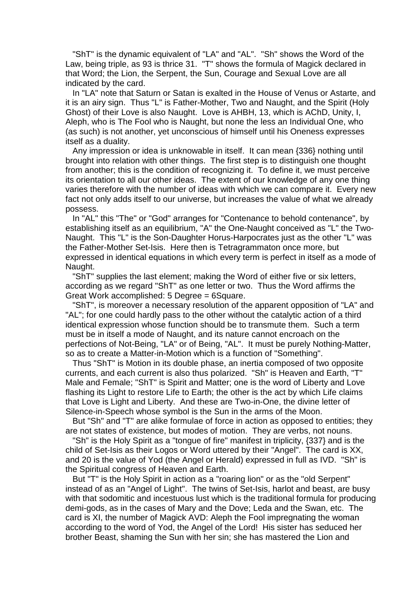"ShT" is the dynamic equivalent of "LA" and "AL". "Sh" shows the Word of the Law, being triple, as 93 is thrice 31. "T" shows the formula of Magick declared in that Word; the Lion, the Serpent, the Sun, Courage and Sexual Love are all indicated by the card.

 In "LA" note that Saturn or Satan is exalted in the House of Venus or Astarte, and it is an airy sign. Thus "L" is Father-Mother, Two and Naught, and the Spirit (Holy Ghost) of their Love is also Naught. Love is AHBH, 13, which is AChD, Unity, I, Aleph, who is The Fool who is Naught, but none the less an Individual One, who (as such) is not another, yet unconscious of himself until his Oneness expresses itself as a duality.

 Any impression or idea is unknowable in itself. It can mean {336} nothing until brought into relation with other things. The first step is to distinguish one thought from another; this is the condition of recognizing it. To define it, we must perceive its orientation to all our other ideas. The extent of our knowledge of any one thing varies therefore with the number of ideas with which we can compare it. Every new fact not only adds itself to our universe, but increases the value of what we already possess.

 In "AL" this "The" or "God" arranges for "Contenance to behold contenance", by establishing itself as an equilibrium, "A" the One-Naught conceived as "L" the Two-Naught. This "L" is the Son-Daughter Horus-Harpocrates just as the other "L" was the Father-Mother Set-Isis. Here then is Tetragrammaton once more, but expressed in identical equations in which every term is perfect in itself as a mode of Naught.

 "ShT" supplies the last element; making the Word of either five or six letters, according as we regard "ShT" as one letter or two. Thus the Word affirms the Great Work accomplished: 5 Degree = 6Square.

 "ShT", is moreover a necessary resolution of the apparent opposition of "LA" and "AL"; for one could hardly pass to the other without the catalytic action of a third identical expression whose function should be to transmute them. Such a term must be in itself a mode of Naught, and its nature cannot encroach on the perfections of Not-Being, "LA" or of Being, "AL". It must be purely Nothing-Matter, so as to create a Matter-in-Motion which is a function of "Something".

 Thus "ShT" is Motion in its double phase, an inertia composed of two opposite currents, and each current is also thus polarized. "Sh" is Heaven and Earth, "T" Male and Female; "ShT" is Spirit and Matter; one is the word of Liberty and Love flashing its Light to restore Life to Earth; the other is the act by which Life claims that Love is Light and Liberty. And these are Two-in-One, the divine letter of Silence-in-Speech whose symbol is the Sun in the arms of the Moon.

 But "Sh" and "T" are alike formulae of force in action as opposed to entities; they are not states of existence, but modes of motion. They are verbs, not nouns.

 "Sh" is the Holy Spirit as a "tongue of fire" manifest in triplicity, {337} and is the child of Set-Isis as their Logos or Word uttered by their "Angel". The card is XX, and 20 is the value of Yod (the Angel or Herald) expressed in full as IVD. "Sh" is the Spiritual congress of Heaven and Earth.

 But "T" is the Holy Spirit in action as a "roaring lion" or as the "old Serpent" instead of as an "Angel of Light". The twins of Set-Isis, harlot and beast, are busy with that sodomitic and incestuous lust which is the traditional formula for producing demi-gods, as in the cases of Mary and the Dove; Leda and the Swan, etc. The card is XI, the number of Magick AVD: Aleph the Fool impregnating the woman according to the word of Yod, the Angel of the Lord! His sister has seduced her brother Beast, shaming the Sun with her sin; she has mastered the Lion and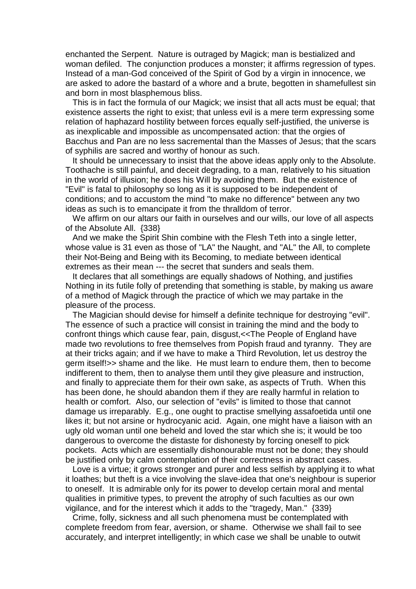enchanted the Serpent. Nature is outraged by Magick; man is bestialized and woman defiled. The conjunction produces a monster; it affirms regression of types. Instead of a man-God conceived of the Spirit of God by a virgin in innocence, we are asked to adore the bastard of a whore and a brute, begotten in shamefullest sin and born in most blasphemous bliss.

 This is in fact the formula of our Magick; we insist that all acts must be equal; that existence asserts the right to exist; that unless evil is a mere term expressing some relation of haphazard hostility between forces equally self-justified, the universe is as inexplicable and impossible as uncompensated action: that the orgies of Bacchus and Pan are no less sacremental than the Masses of Jesus; that the scars of syphilis are sacred and worthy of honour as such.

 It should be unnecessary to insist that the above ideas apply only to the Absolute. Toothache is still painful, and deceit degrading, to a man, relatively to his situation in the world of illusion; he does his Will by avoiding them. But the existence of "Evil" is fatal to philosophy so long as it is supposed to be independent of conditions; and to accustom the mind "to make no difference" between any two ideas as such is to emancipate it from the thralldom of terror.

 We affirm on our altars our faith in ourselves and our wills, our love of all aspects of the Absolute All. {338}

 And we make the Spirit Shin combine with the Flesh Teth into a single letter, whose value is 31 even as those of "LA" the Naught, and "AL" the All, to complete their Not-Being and Being with its Becoming, to mediate between identical extremes as their mean --- the secret that sunders and seals them.

 It declares that all somethings are equally shadows of Nothing, and justifies Nothing in its futile folly of pretending that something is stable, by making us aware of a method of Magick through the practice of which we may partake in the pleasure of the process.

 The Magician should devise for himself a definite technique for destroying "evil". The essence of such a practice will consist in training the mind and the body to confront things which cause fear, pain, disgust,<<The People of England have made two revolutions to free themselves from Popish fraud and tyranny. They are at their tricks again; and if we have to make a Third Revolution, let us destroy the germ itself!>> shame and the like. He must learn to endure them, then to become indifferent to them, then to analyse them until they give pleasure and instruction, and finally to appreciate them for their own sake, as aspects of Truth. When this has been done, he should abandon them if they are really harmful in relation to health or comfort. Also, our selection of "evils" is limited to those that cannot damage us irreparably. E.g., one ought to practise smellying assafoetida until one likes it; but not arsine or hydrocyanic acid. Again, one might have a liaison with an ugly old woman until one beheld and loved the star which she is; it would be too dangerous to overcome the distaste for dishonesty by forcing oneself to pick pockets. Acts which are essentially dishonourable must not be done; they should be justified only by calm contemplation of their correctness in abstract cases.

 Love is a virtue; it grows stronger and purer and less selfish by applying it to what it loathes; but theft is a vice involving the slave-idea that one's neighbour is superior to oneself. It is admirable only for its power to develop certain moral and mental qualities in primitive types, to prevent the atrophy of such faculties as our own vigilance, and for the interest which it adds to the "tragedy, Man." {339}

 Crime, folly, sickness and all such phenomena must be contemplated with complete freedom from fear, aversion, or shame. Otherwise we shall fail to see accurately, and interpret intelligently; in which case we shall be unable to outwit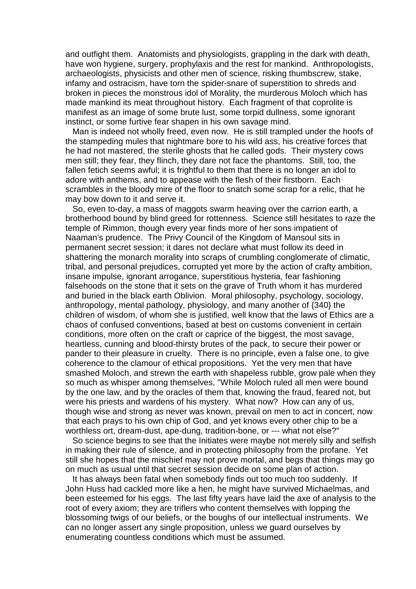and outfight them. Anatomists and physiologists, grappling in the dark with death, have won hygiene, surgery, prophylaxis and the rest for mankind. Anthropologists, archaeologists, physicists and other men of science, risking thumbscrew, stake, infamy and ostracism, have torn the spider-snare of superstition to shreds and broken in pieces the monstrous idol of Morality, the murderous Moloch which has made mankind its meat throughout history. Each fragment of that coprolite is manifest as an image of some brute lust, some torpid dullness, some ignorant instinct, or some furtive fear shapen in his own savage mind.

 Man is indeed not wholly freed, even now. He is still trampled under the hoofs of the stampeding mules that nightmare bore to his wild ass, his creative forces that he had not mastered, the sterile ghosts that he called gods. Their mystery cows men still; they fear, they flinch, they dare not face the phantoms. Still, too, the fallen fetich seems awful; it is frightful to them that there is no longer an idol to adore with anthems, and to appease with the flesh of their firstborn. Each scrambles in the bloody mire of the floor to snatch some scrap for a relic, that he may bow down to it and serve it.

 So, even to-day, a mass of maggots swarm heaving over the carrion earth, a brotherhood bound by blind greed for rottenness. Science still hesitates to raze the temple of Rimmon, though every year finds more of her sons impatient of Naaman's prudence. The Privy Council of the Kingdom of Mansoul sits in permanent secret session; it dares not declare what must follow its deed in shattering the monarch morality into scraps of crumbling conglomerate of climatic, tribal, and personal prejudices, corrupted yet more by the action of crafty ambition, insane impulse, ignorant arrogance, superstitious hysteria, fear fashioning falsehoods on the stone that it sets on the grave of Truth whom it has murdered and buried in the black earth Oblivion. Moral philosophy, psychology, sociology, anthropology, mental pathology, physiology, and many another of {340} the children of wisdom, of whom she is justified, well know that the laws of Ethics are a chaos of confused conventions, based at best on customs convenient in certain conditions, more often on the craft or caprice of the biggest, the most savage, heartless, cunning and blood-thirsty brutes of the pack, to secure their power or pander to their pleasure in cruelty. There is no principle, even a false one, to give coherence to the clamour of ethical propositions. Yet the very men that have smashed Moloch, and strewn the earth with shapeless rubble, grow pale when they so much as whisper among themselves, "While Moloch ruled all men were bound by the one law, and by the oracles of them that, knowing the fraud, feared not, but were his priests and wardens of his mystery. What now? How can any of us, though wise and strong as never was known, prevail on men to act in concert, now that each prays to his own chip of God, and yet knows every other chip to be a worthless ort, dream-dust, ape-dung, tradition-bone, or --- what not else?"

 So science begins to see that the Initiates were maybe not merely silly and selfish in making their rule of silence, and in protecting philosophy from the profane. Yet still she hopes that the mischief may not prove mortal, and begs that things may go on much as usual until that secret session decide on some plan of action.

 It has always been fatal when somebody finds out too much too suddenly. If John Huss had cackled more like a hen, he might have survived Michaelmas, and been esteemed for his eggs. The last fifty years have laid the axe of analysis to the root of every axiom; they are triflers who content themselves with lopping the blossoming twigs of our beliefs, or the boughs of our intellectual instruments. We can no longer assert any single proposition, unless we guard ourselves by enumerating countless conditions which must be assumed.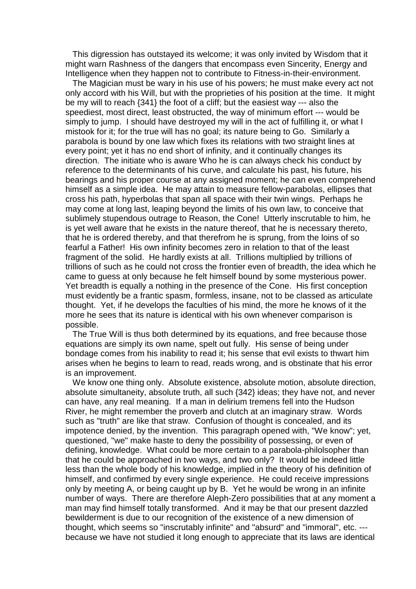This digression has outstayed its welcome; it was only invited by Wisdom that it might warn Rashness of the dangers that encompass even Sincerity, Energy and Intelligence when they happen not to contribute to Fitness-in-their-environment.

 The Magician must be wary in his use of his powers; he must make every act not only accord with his Will, but with the proprieties of his position at the time. It might be my will to reach {341} the foot of a cliff; but the easiest way --- also the speediest, most direct, least obstructed, the way of minimum effort --- would be simply to jump. I should have destroyed my will in the act of fulfilling it, or what I mistook for it; for the true will has no goal; its nature being to Go. Similarly a parabola is bound by one law which fixes its relations with two straight lines at every point; yet it has no end short of infinity, and it continually changes its direction. The initiate who is aware Who he is can always check his conduct by reference to the determinants of his curve, and calculate his past, his future, his bearings and his proper course at any assigned moment; he can even comprehend himself as a simple idea. He may attain to measure fellow-parabolas, ellipses that cross his path, hyperbolas that span all space with their twin wings. Perhaps he may come at long last, leaping beyond the limits of his own law, to conceive that sublimely stupendous outrage to Reason, the Cone! Utterly inscrutable to him, he is yet well aware that he exists in the nature thereof, that he is necessary thereto, that he is ordered thereby, and that therefrom he is sprung, from the loins of so fearful a Father! His own infinity becomes zero in relation to that of the least fragment of the solid. He hardly exists at all. Trillions multiplied by trillions of trillions of such as he could not cross the frontier even of breadth, the idea which he came to guess at only because he felt himself bound by some mysterious power. Yet breadth is equally a nothing in the presence of the Cone. His first conception must evidently be a frantic spasm, formless, insane, not to be classed as articulate thought. Yet, if he develops the faculties of his mind, the more he knows of it the more he sees that its nature is identical with his own whenever comparison is possible.

 The True Will is thus both determined by its equations, and free because those equations are simply its own name, spelt out fully. His sense of being under bondage comes from his inability to read it; his sense that evil exists to thwart him arises when he begins to learn to read, reads wrong, and is obstinate that his error is an improvement.

 We know one thing only. Absolute existence, absolute motion, absolute direction, absolute simultaneity, absolute truth, all such {342} ideas; they have not, and never can have, any real meaning. If a man in delirium tremens fell into the Hudson River, he might remember the proverb and clutch at an imaginary straw. Words such as "truth" are like that straw. Confusion of thought is concealed, and its impotence denied, by the invention. This paragraph opened with, "We know"; yet, questioned, "we" make haste to deny the possibility of possessing, or even of defining, knowledge. What could be more certain to a parabola-philolsopher than that he could be approached in two ways, and two only? It would be indeed little less than the whole body of his knowledge, implied in the theory of his definition of himself, and confirmed by every single experience. He could receive impressions only by meeting A, or being caught up by B. Yet he would be wrong in an infinite number of ways. There are therefore Aleph-Zero possibilities that at any moment a man may find himself totally transformed. And it may be that our present dazzled bewilderment is due to our recognition of the existence of a new dimension of thought, which seems so "inscrutably infinite" and "absurd" and "immoral", etc. -- because we have not studied it long enough to appreciate that its laws are identical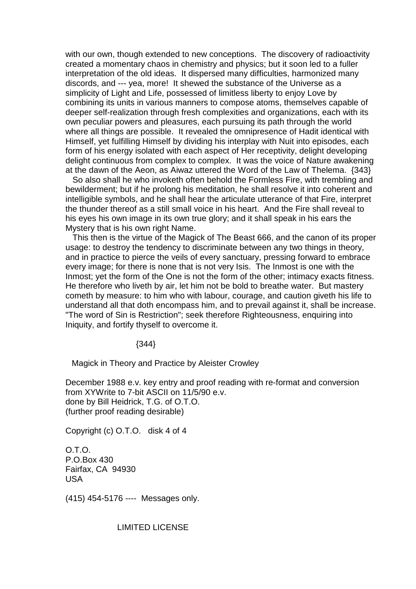with our own, though extended to new conceptions. The discovery of radioactivity created a momentary chaos in chemistry and physics; but it soon led to a fuller interpretation of the old ideas. It dispersed many difficulties, harmonized many discords, and --- yea, more! It shewed the substance of the Universe as a simplicity of Light and Life, possessed of limitless liberty to enjoy Love by combining its units in various manners to compose atoms, themselves capable of deeper self-realization through fresh complexities and organizations, each with its own peculiar powers and pleasures, each pursuing its path through the world where all things are possible. It revealed the omnipresence of Hadit identical with Himself, yet fulfilling Himself by dividing his interplay with Nuit into episodes, each form of his energy isolated with each aspect of Her receptivity, delight developing delight continuous from complex to complex. It was the voice of Nature awakening at the dawn of the Aeon, as Aiwaz uttered the Word of the Law of Thelema. {343}

 So also shall he who invoketh often behold the Formless Fire, with trembling and bewilderment; but if he prolong his meditation, he shall resolve it into coherent and intelligible symbols, and he shall hear the articulate utterance of that Fire, interpret the thunder thereof as a still small voice in his heart. And the Fire shall reveal to his eyes his own image in its own true glory; and it shall speak in his ears the Mystery that is his own right Name.

 This then is the virtue of the Magick of The Beast 666, and the canon of its proper usage: to destroy the tendency to discriminate between any two things in theory, and in practice to pierce the veils of every sanctuary, pressing forward to embrace every image; for there is none that is not very Isis. The Inmost is one with the Inmost; yet the form of the One is not the form of the other; intimacy exacts fitness. He therefore who liveth by air, let him not be bold to breathe water. But mastery cometh by measure: to him who with labour, courage, and caution giveth his life to understand all that doth encompass him, and to prevail against it, shall be increase. "The word of Sin is Restriction"; seek therefore Righteousness, enquiring into Iniquity, and fortify thyself to overcome it.

{344}

Magick in Theory and Practice by Aleister Crowley

December 1988 e.v. key entry and proof reading with re-format and conversion from XYWrite to 7-bit ASCII on 11/5/90 e.v. done by Bill Heidrick, T.G. of O.T.O. (further proof reading desirable)

Copyright (c) O.T.O. disk 4 of 4

O.T.O. P.O.Box 430 Fairfax, CA 94930 USA

(415) 454-5176 ---- Messages only.

LIMITED LICENSE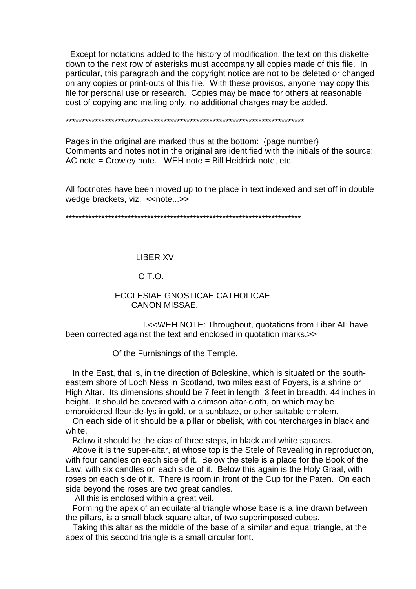Except for notations added to the history of modification, the text on this diskette down to the next row of asterisks must accompany all copies made of this file. In particular, this paragraph and the copyright notice are not to be deleted or changed on any copies or print-outs of this file. With these provisos, anyone may copy this file for personal use or research. Copies may be made for others at reasonable cost of copying and mailing only, no additional charges may be added.

\*\*\*\*\*\*\*\*\*\*\*\*\*\*\*\*\*\*\*\*\*\*\*\*\*\*\*\*\*\*\*\*\*\*\*\*\*\*\*\*\*\*\*\*\*\*\*\*\*\*\*\*\*\*\*\*\*\*\*\*\*\*\*\*\*\*\*\*\*\*\*\*\*

Pages in the original are marked thus at the bottom: {page number} Comments and notes not in the original are identified with the initials of the source: AC note = Crowley note. WEH note = Bill Heidrick note, etc.

All footnotes have been moved up to the place in text indexed and set off in double wedge brackets, viz. << note...>>

\*\*\*\*\*\*\*\*\*\*\*\*\*\*\*\*\*\*\*\*\*\*\*\*\*\*\*\*\*\*\*\*\*\*\*\*\*\*\*\*\*\*\*\*\*\*\*\*\*\*\*\*\*\*\*\*\*\*\*\*\*\*\*\*\*\*\*\*\*\*\*\*

#### LIBER XV

### O.T.O.

### ECCLESIAE GNOSTICAE CATHOLICAE CANON MISSAE.

 I.<<WEH NOTE: Throughout, quotations from Liber AL have been corrected against the text and enclosed in quotation marks.>>

Of the Furnishings of the Temple.

 In the East, that is, in the direction of Boleskine, which is situated on the southeastern shore of Loch Ness in Scotland, two miles east of Foyers, is a shrine or High Altar. Its dimensions should be 7 feet in length, 3 feet in breadth, 44 inches in height. It should be covered with a crimson altar-cloth, on which may be embroidered fleur-de-lys in gold, or a sunblaze, or other suitable emblem.

 On each side of it should be a pillar or obelisk, with countercharges in black and white.

Below it should be the dias of three steps, in black and white squares.

 Above it is the super-altar, at whose top is the Stele of Revealing in reproduction, with four candles on each side of it. Below the stele is a place for the Book of the Law, with six candles on each side of it. Below this again is the Holy Graal, with roses on each side of it. There is room in front of the Cup for the Paten. On each side beyond the roses are two great candles.

All this is enclosed within a great veil.

 Forming the apex of an equilateral triangle whose base is a line drawn between the pillars, is a small black square altar, of two superimposed cubes.

 Taking this altar as the middle of the base of a similar and equal triangle, at the apex of this second triangle is a small circular font.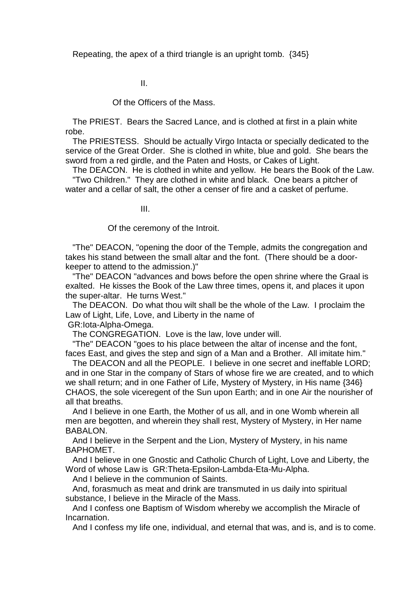Repeating, the apex of a third triangle is an upright tomb. {345}

**II. II.** 

Of the Officers of the Mass.

 The PRIEST. Bears the Sacred Lance, and is clothed at first in a plain white robe.

 The PRIESTESS. Should be actually Virgo Intacta or specially dedicated to the service of the Great Order. She is clothed in white, blue and gold. She bears the sword from a red girdle, and the Paten and Hosts, or Cakes of Light.

 The DEACON. He is clothed in white and yellow. He bears the Book of the Law. "Two Children." They are clothed in white and black. One bears a pitcher of water and a cellar of salt, the other a censer of fire and a casket of perfume.

III.

Of the ceremony of the Introit.

 "The" DEACON, "opening the door of the Temple, admits the congregation and takes his stand between the small altar and the font. (There should be a doorkeeper to attend to the admission.)"

 "The" DEACON "advances and bows before the open shrine where the Graal is exalted. He kisses the Book of the Law three times, opens it, and places it upon the super-altar. He turns West."

 The DEACON. Do what thou wilt shall be the whole of the Law. I proclaim the Law of Light, Life, Love, and Liberty in the name of

GR:Iota-Alpha-Omega.

The CONGREGATION. Love is the law, love under will.

 "The" DEACON "goes to his place between the altar of incense and the font, faces East, and gives the step and sign of a Man and a Brother. All imitate him."

 The DEACON and all the PEOPLE. I believe in one secret and ineffable LORD; and in one Star in the company of Stars of whose fire we are created, and to which we shall return; and in one Father of Life, Mystery of Mystery, in His name {346} CHAOS, the sole viceregent of the Sun upon Earth; and in one Air the nourisher of all that breaths.

 And I believe in one Earth, the Mother of us all, and in one Womb wherein all men are begotten, and wherein they shall rest, Mystery of Mystery, in Her name BABALON.

 And I believe in the Serpent and the Lion, Mystery of Mystery, in his name BAPHOMET.

 And I believe in one Gnostic and Catholic Church of Light, Love and Liberty, the Word of whose Law is GR:Theta-Epsilon-Lambda-Eta-Mu-Alpha.

And I believe in the communion of Saints.

 And, forasmuch as meat and drink are transmuted in us daily into spiritual substance, I believe in the Miracle of the Mass.

 And I confess one Baptism of Wisdom whereby we accomplish the Miracle of Incarnation.

And I confess my life one, individual, and eternal that was, and is, and is to come.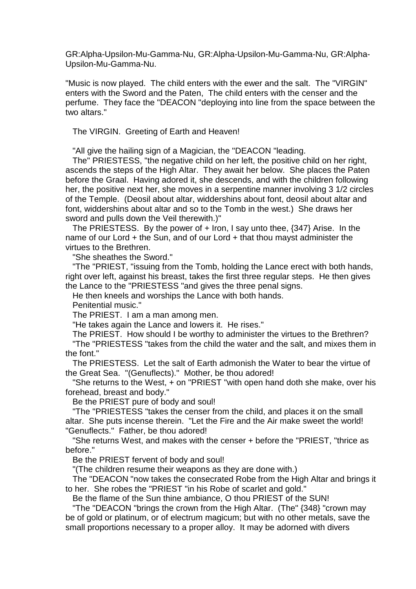GR:Alpha-Upsilon-Mu-Gamma-Nu, GR:Alpha-Upsilon-Mu-Gamma-Nu, GR:Alpha-Upsilon-Mu-Gamma-Nu.

"Music is now played. The child enters with the ewer and the salt. The "VIRGIN" enters with the Sword and the Paten, The child enters with the censer and the perfume. They face the "DEACON "deploying into line from the space between the two altars."

The VIRGIN. Greeting of Earth and Heaven!

"All give the hailing sign of a Magician, the "DEACON "leading.

 The" PRIESTESS, "the negative child on her left, the positive child on her right, ascends the steps of the High Altar. They await her below. She places the Paten before the Graal. Having adored it, she descends, and with the children following her, the positive next her, she moves in a serpentine manner involving 3 1/2 circles of the Temple. (Deosil about altar, widdershins about font, deosil about altar and font, widdershins about altar and so to the Tomb in the west.) She draws her sword and pulls down the Veil therewith.)"

 The PRIESTESS. By the power of + Iron, I say unto thee, {347} Arise. In the name of our Lord + the Sun, and of our Lord + that thou mayst administer the virtues to the Brethren.

"She sheathes the Sword."

 "The "PRIEST, "issuing from the Tomb, holding the Lance erect with both hands, right over left, against his breast, takes the first three regular steps. He then gives the Lance to the "PRIESTESS "and gives the three penal signs.

He then kneels and worships the Lance with both hands.

Penitential music."

The PRIEST. I am a man among men.

"He takes again the Lance and lowers it. He rises."

 The PRIEST. How should I be worthy to administer the virtues to the Brethren? "The "PRIESTESS "takes from the child the water and the salt, and mixes them in the font."

 The PRIESTESS. Let the salt of Earth admonish the Water to bear the virtue of the Great Sea. "(Genuflects)." Mother, be thou adored!

 "She returns to the West, + on "PRIEST "with open hand doth she make, over his forehead, breast and body."

Be the PRIEST pure of body and soul!

 "The "PRIESTESS "takes the censer from the child, and places it on the small altar. She puts incense therein. "Let the Fire and the Air make sweet the world! "Genuflects." Father, be thou adored!

 "She returns West, and makes with the censer + before the "PRIEST, "thrice as before."

Be the PRIEST fervent of body and soul!

"(The children resume their weapons as they are done with.)

 The "DEACON "now takes the consecrated Robe from the High Altar and brings it to her. She robes the "PRIEST "in his Robe of scarlet and gold."

Be the flame of the Sun thine ambiance, O thou PRIEST of the SUN!

 "The "DEACON "brings the crown from the High Altar. (The" {348} "crown may be of gold or platinum, or of electrum magicum; but with no other metals, save the small proportions necessary to a proper alloy. It may be adorned with divers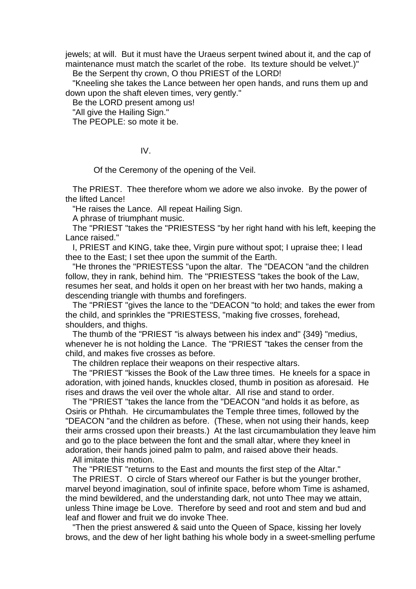jewels; at will. But it must have the Uraeus serpent twined about it, and the cap of maintenance must match the scarlet of the robe. Its texture should be velvet.)"

Be the Serpent thy crown, O thou PRIEST of the LORD!

 "Kneeling she takes the Lance between her open hands, and runs them up and down upon the shaft eleven times, very gently."

Be the LORD present among us!

"All give the Hailing Sign."

The PFOPLE: so mote it be.

IV.

Of the Ceremony of the opening of the Veil.

 The PRIEST. Thee therefore whom we adore we also invoke. By the power of the lifted Lance!

"He raises the Lance. All repeat Hailing Sign.

A phrase of triumphant music.

 The "PRIEST "takes the "PRIESTESS "by her right hand with his left, keeping the Lance raised."

 I, PRIEST and KING, take thee, Virgin pure without spot; I upraise thee; I lead thee to the East; I set thee upon the summit of the Earth.

 "He thrones the "PRIESTESS "upon the altar. The "DEACON "and the children follow, they in rank, behind him. The "PRIESTESS "takes the book of the Law, resumes her seat, and holds it open on her breast with her two hands, making a descending triangle with thumbs and forefingers.

 The "PRIEST "gives the lance to the "DEACON "to hold; and takes the ewer from the child, and sprinkles the "PRIESTESS, "making five crosses, forehead, shoulders, and thighs.

 The thumb of the "PRIEST "is always between his index and" {349} "medius, whenever he is not holding the Lance. The "PRIEST "takes the censer from the child, and makes five crosses as before.

The children replace their weapons on their respective altars.

 The "PRIEST "kisses the Book of the Law three times. He kneels for a space in adoration, with joined hands, knuckles closed, thumb in position as aforesaid. He rises and draws the veil over the whole altar. All rise and stand to order.

 The "PRIEST "takes the lance from the "DEACON "and holds it as before, as Osiris or Phthah. He circumambulates the Temple three times, followed by the "DEACON "and the children as before. (These, when not using their hands, keep their arms crossed upon their breasts.) At the last circumambulation they leave him and go to the place between the font and the small altar, where they kneel in adoration, their hands joined palm to palm, and raised above their heads.

All imitate this motion.

The "PRIEST "returns to the East and mounts the first step of the Altar."

 The PRIEST. O circle of Stars whereof our Father is but the younger brother, marvel beyond imagination, soul of infinite space, before whom Time is ashamed, the mind bewildered, and the understanding dark, not unto Thee may we attain, unless Thine image be Love. Therefore by seed and root and stem and bud and leaf and flower and fruit we do invoke Thee.

 "Then the priest answered & said unto the Queen of Space, kissing her lovely brows, and the dew of her light bathing his whole body in a sweet-smelling perfume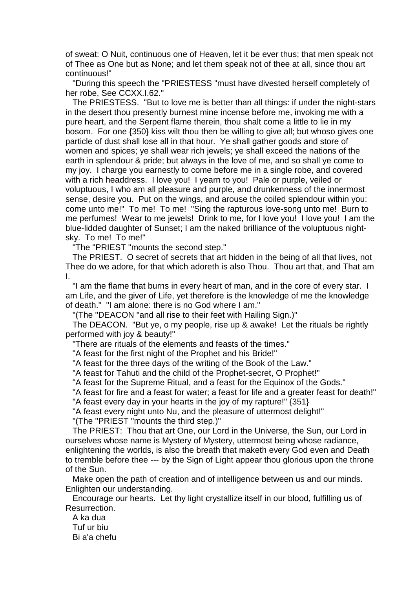of sweat: O Nuit, continuous one of Heaven, let it be ever thus; that men speak not of Thee as One but as None; and let them speak not of thee at all, since thou art continuous!"

 "During this speech the "PRIESTESS "must have divested herself completely of her robe, See CCXX.I.62."

 The PRIESTESS. "But to love me is better than all things: if under the night-stars in the desert thou presently burnest mine incense before me, invoking me with a pure heart, and the Serpent flame therein, thou shalt come a little to lie in my bosom. For one {350} kiss wilt thou then be willing to give all; but whoso gives one particle of dust shall lose all in that hour. Ye shall gather goods and store of women and spices; ye shall wear rich jewels; ye shall exceed the nations of the earth in splendour & pride; but always in the love of me, and so shall ye come to my joy. I charge you earnestly to come before me in a single robe, and covered with a rich headdress. I love you! I yearn to you! Pale or purple, veiled or voluptuous, I who am all pleasure and purple, and drunkenness of the innermost sense, desire you. Put on the wings, and arouse the coiled splendour within you: come unto me!" To me! To me! "Sing the rapturous love-song unto me! Burn to me perfumes! Wear to me jewels! Drink to me, for I love you! I love you! I am the blue-lidded daughter of Sunset; I am the naked brilliance of the voluptuous nightsky. To me! To me!"

"The "PRIEST "mounts the second step."

 The PRIEST. O secret of secrets that art hidden in the being of all that lives, not Thee do we adore, for that which adoreth is also Thou. Thou art that, and That am I.

 "I am the flame that burns in every heart of man, and in the core of every star. I am Life, and the giver of Life, yet therefore is the knowledge of me the knowledge of death." "I am alone: there is no God where I am."

"(The "DEACON "and all rise to their feet with Hailing Sign.)"

 The DEACON. "But ye, o my people, rise up & awake! Let the rituals be rightly performed with joy & beauty!"

"There are rituals of the elements and feasts of the times."

"A feast for the first night of the Prophet and his Bride!"

"A feast for the three days of the writing of the Book of the Law."

"A feast for Tahuti and the child of the Prophet-secret, O Prophet!"

"A feast for the Supreme Ritual, and a feast for the Equinox of the Gods."

 "A feast for fire and a feast for water; a feast for life and a greater feast for death!" "A feast every day in your hearts in the joy of my rapture!"  $\{351\}$ 

"A feast every night unto Nu, and the pleasure of uttermost delight!"

"(The "PRIEST "mounts the third step.)"

 The PRIEST: Thou that art One, our Lord in the Universe, the Sun, our Lord in ourselves whose name is Mystery of Mystery, uttermost being whose radiance, enlightening the worlds, is also the breath that maketh every God even and Death to tremble before thee --- by the Sign of Light appear thou glorious upon the throne of the Sun.

 Make open the path of creation and of intelligence between us and our minds. Enlighten our understanding.

 Encourage our hearts. Let thy light crystallize itself in our blood, fulfilling us of Resurrection.

 A ka dua Tuf ur biu Bi a'a chefu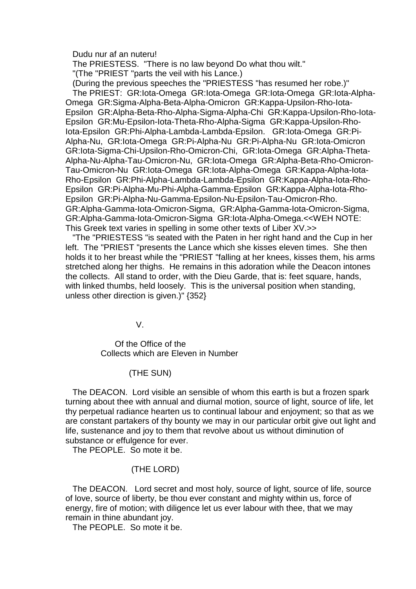#### Dudu nur af an nuteru!

The PRIESTESS. "There is no law beyond Do what thou wilt."

"(The "PRIEST "parts the veil with his Lance.)

 (During the previous speeches the "PRIESTESS "has resumed her robe.)" The PRIEST: GR:Iota-Omega GR:Iota-Omega GR:Iota-Omega GR:Iota-Alpha-Omega GR:Sigma-Alpha-Beta-Alpha-Omicron GR:Kappa-Upsilon-Rho-Iota-Epsilon GR:Alpha-Beta-Rho-Alpha-Sigma-Alpha-Chi GR:Kappa-Upsilon-Rho-Iota-Epsilon GR:Mu-Epsilon-Iota-Theta-Rho-Alpha-Sigma GR:Kappa-Upsilon-Rho-Iota-Epsilon GR:Phi-Alpha-Lambda-Lambda-Epsilon. GR:Iota-Omega GR:Pi-Alpha-Nu, GR:Iota-Omega GR:Pi-Alpha-Nu GR:Pi-Alpha-Nu GR:Iota-Omicron GR:Iota-Sigma-Chi-Upsilon-Rho-Omicron-Chi, GR:Iota-Omega GR:Alpha-Theta-Alpha-Nu-Alpha-Tau-Omicron-Nu, GR:Iota-Omega GR:Alpha-Beta-Rho-Omicron-Tau-Omicron-Nu GR:Iota-Omega GR:Iota-Alpha-Omega GR:Kappa-Alpha-Iota-Rho-Epsilon GR:Phi-Alpha-Lambda-Lambda-Epsilon GR:Kappa-Alpha-Iota-Rho-Epsilon GR:Pi-Alpha-Mu-Phi-Alpha-Gamma-Epsilon GR:Kappa-Alpha-Iota-Rho-Epsilon GR:Pi-Alpha-Nu-Gamma-Epsilon-Nu-Epsilon-Tau-Omicron-Rho. GR:Alpha-Gamma-Iota-Omicron-Sigma, GR:Alpha-Gamma-Iota-Omicron-Sigma, GR:Alpha-Gamma-Iota-Omicron-Sigma GR:Iota-Alpha-Omega.<<WEH NOTE: This Greek text varies in spelling in some other texts of Liber XV.>>

 "The "PRIESTESS "is seated with the Paten in her right hand and the Cup in her left. The "PRIEST "presents the Lance which she kisses eleven times. She then holds it to her breast while the "PRIEST "falling at her knees, kisses them, his arms stretched along her thighs. He remains in this adoration while the Deacon intones the collects. All stand to order, with the Dieu Garde, that is: feet square, hands, with linked thumbs, held loosely. This is the universal position when standing, unless other direction is given.)" {352}

V.

 Of the Office of the Collects which are Eleven in Number

(THE SUN)

 The DEACON. Lord visible an sensible of whom this earth is but a frozen spark turning about thee with annual and diurnal motion, source of light, source of life, let thy perpetual radiance hearten us to continual labour and enjoyment; so that as we are constant partakers of thy bounty we may in our particular orbit give out light and life, sustenance and joy to them that revolve about us without diminution of substance or effulgence for ever.

The PEOPLE. So mote it be.

#### (THE LORD)

 The DEACON. Lord secret and most holy, source of light, source of life, source of love, source of liberty, be thou ever constant and mighty within us, force of energy, fire of motion; with diligence let us ever labour with thee, that we may remain in thine abundant joy.

The PEOPLE. So mote it be.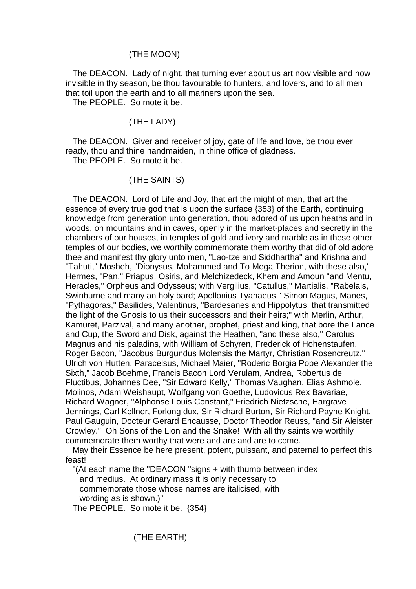### (THE MOON)

 The DEACON. Lady of night, that turning ever about us art now visible and now invisible in thy season, be thou favourable to hunters, and lovers, and to all men that toil upon the earth and to all mariners upon the sea.

The PEOPLE. So mote it be.

### (THE LADY)

 The DEACON. Giver and receiver of joy, gate of life and love, be thou ever ready, thou and thine handmaiden, in thine office of gladness.

The PEOPLE. So mote it be.

### (THE SAINTS)

 The DEACON. Lord of Life and Joy, that art the might of man, that art the essence of every true god that is upon the surface {353} of the Earth, continuing knowledge from generation unto generation, thou adored of us upon heaths and in woods, on mountains and in caves, openly in the market-places and secretly in the chambers of our houses, in temples of gold and ivory and marble as in these other temples of our bodies, we worthily commemorate them worthy that did of old adore thee and manifest thy glory unto men, "Lao-tze and Siddhartha" and Krishna and "Tahuti," Mosheh, "Dionysus, Mohammed and To Mega Therion, with these also," Hermes, "Pan," Priapus, Osiris, and Melchizedeck, Khem and Amoun "and Mentu, Heracles," Orpheus and Odysseus; with Vergilius, "Catullus," Martialis, "Rabelais, Swinburne and many an holy bard; Apollonius Tyanaeus," Simon Magus, Manes, "Pythagoras," Basilides, Valentinus, "Bardesanes and Hippolytus, that transmitted the light of the Gnosis to us their successors and their heirs;" with Merlin, Arthur, Kamuret, Parzival, and many another, prophet, priest and king, that bore the Lance and Cup, the Sword and Disk, against the Heathen, "and these also," Carolus Magnus and his paladins, with William of Schyren, Frederick of Hohenstaufen, Roger Bacon, "Jacobus Burgundus Molensis the Martyr, Christian Rosencreutz," Ulrich von Hutten, Paracelsus, Michael Maier, "Roderic Borgia Pope Alexander the Sixth," Jacob Boehme, Francis Bacon Lord Verulam, Andrea, Robertus de Fluctibus, Johannes Dee, "Sir Edward Kelly," Thomas Vaughan, Elias Ashmole, Molinos, Adam Weishaupt, Wolfgang von Goethe, Ludovicus Rex Bavariae, Richard Wagner, "Alphonse Louis Constant," Friedrich Nietzsche, Hargrave Jennings, Carl Kellner, Forlong dux, Sir Richard Burton, Sir Richard Payne Knight, Paul Gauguin, Docteur Gerard Encausse, Doctor Theodor Reuss, "and Sir Aleister Crowley." Oh Sons of the Lion and the Snake! With all thy saints we worthily commemorate them worthy that were and are and are to come.

 May their Essence be here present, potent, puissant, and paternal to perfect this feast!

 "(At each name the "DEACON "signs + with thumb between index and medius. At ordinary mass it is only necessary to commemorate those whose names are italicised, with wording as is shown.)"

The PEOPLE. So mote it be. {354}

(THE EARTH)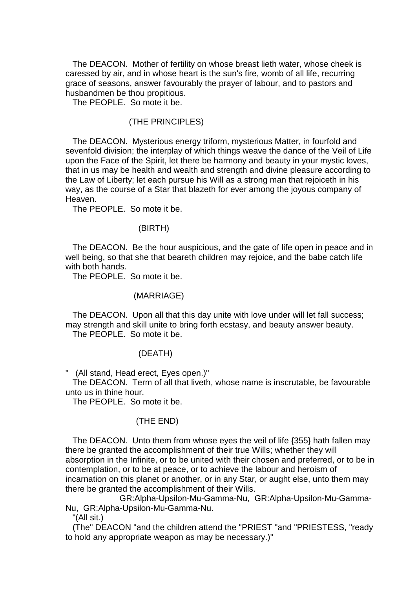The DEACON. Mother of fertility on whose breast lieth water, whose cheek is caressed by air, and in whose heart is the sun's fire, womb of all life, recurring grace of seasons, answer favourably the prayer of labour, and to pastors and husbandmen be thou propitious.

The PEOPLE. So mote it be.

#### (THE PRINCIPLES)

 The DEACON. Mysterious energy triform, mysterious Matter, in fourfold and sevenfold division; the interplay of which things weave the dance of the Veil of Life upon the Face of the Spirit, let there be harmony and beauty in your mystic loves, that in us may be health and wealth and strength and divine pleasure according to the Law of Liberty; let each pursue his Will as a strong man that rejoiceth in his way, as the course of a Star that blazeth for ever among the joyous company of Heaven.

The PEOPLE. So mote it be.

#### (BIRTH)

 The DEACON. Be the hour auspicious, and the gate of life open in peace and in well being, so that she that beareth children may rejoice, and the babe catch life with both hands.

The PEOPLE. So mote it be.

#### (MARRIAGE)

 The DEACON. Upon all that this day unite with love under will let fall success; may strength and skill unite to bring forth ecstasy, and beauty answer beauty. The PEOPLE. So mote it be.

#### (DEATH)

" (All stand, Head erect, Eyes open.)"

 The DEACON. Term of all that liveth, whose name is inscrutable, be favourable unto us in thine hour.

The PEOPLE. So mote it be.

### (THE END)

 The DEACON. Unto them from whose eyes the veil of life {355} hath fallen may there be granted the accomplishment of their true Wills; whether they will absorption in the Infinite, or to be united with their chosen and preferred, or to be in contemplation, or to be at peace, or to achieve the labour and heroism of incarnation on this planet or another, or in any Star, or aught else, unto them may there be granted the accomplishment of their Wills.

 GR:Alpha-Upsilon-Mu-Gamma-Nu, GR:Alpha-Upsilon-Mu-Gamma-Nu, GR:Alpha-Upsilon-Mu-Gamma-Nu.

"(All sit.)

 (The" DEACON "and the children attend the "PRIEST "and "PRIESTESS, "ready to hold any appropriate weapon as may be necessary.)"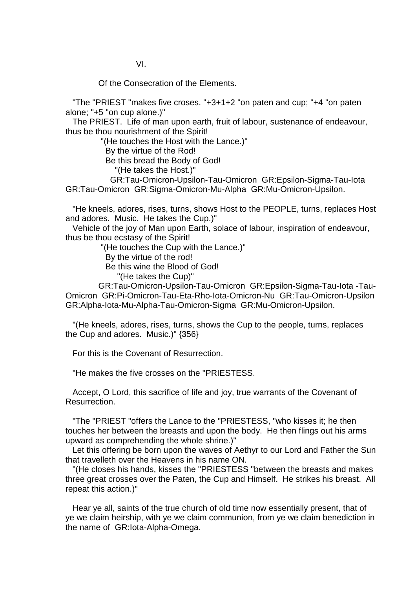VI.

Of the Consecration of the Elements.

 "The "PRIEST "makes five croses. "+3+1+2 "on paten and cup; "+4 "on paten alone; "+5 "on cup alone.)"

 The PRIEST. Life of man upon earth, fruit of labour, sustenance of endeavour, thus be thou nourishment of the Spirit!

"(He touches the Host with the Lance.)"

By the virtue of the Rod!

Be this bread the Body of God!

"(He takes the Host.)"

 GR:Tau-Omicron-Upsilon-Tau-Omicron GR:Epsilon-Sigma-Tau-Iota GR:Tau-Omicron GR:Sigma-Omicron-Mu-Alpha GR:Mu-Omicron-Upsilon.

 "He kneels, adores, rises, turns, shows Host to the PEOPLE, turns, replaces Host and adores. Music. He takes the Cup.)"

 Vehicle of the joy of Man upon Earth, solace of labour, inspiration of endeavour, thus be thou ecstasy of the Spirit!

"(He touches the Cup with the Lance.)"

By the virtue of the rod!

Be this wine the Blood of God!

"(He takes the Cup)"

 GR:Tau-Omicron-Upsilon-Tau-Omicron GR:Epsilon-Sigma-Tau-Iota -Tau-Omicron GR:Pi-Omicron-Tau-Eta-Rho-Iota-Omicron-Nu GR:Tau-Omicron-Upsilon GR:Alpha-Iota-Mu-Alpha-Tau-Omicron-Sigma GR:Mu-Omicron-Upsilon.

 "(He kneels, adores, rises, turns, shows the Cup to the people, turns, replaces the Cup and adores. Music.)" {356}

For this is the Covenant of Resurrection.

"He makes the five crosses on the "PRIESTESS.

 Accept, O Lord, this sacrifice of life and joy, true warrants of the Covenant of Resurrection.

 "The "PRIEST "offers the Lance to the "PRIESTESS, "who kisses it; he then touches her between the breasts and upon the body. He then flings out his arms upward as comprehending the whole shrine.)"

 Let this offering be born upon the waves of Aethyr to our Lord and Father the Sun that travelleth over the Heavens in his name ON.

 "(He closes his hands, kisses the "PRIESTESS "between the breasts and makes three great crosses over the Paten, the Cup and Himself. He strikes his breast. All repeat this action.)"

 Hear ye all, saints of the true church of old time now essentially present, that of ye we claim heirship, with ye we claim communion, from ye we claim benediction in the name of GR:Iota-Alpha-Omega.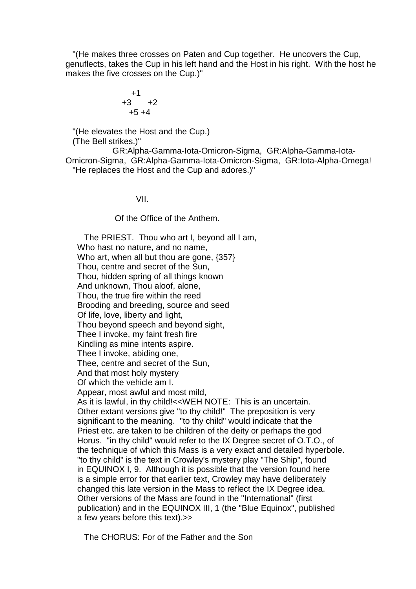"(He makes three crosses on Paten and Cup together. He uncovers the Cup, genuflects, takes the Cup in his left hand and the Host in his right. With the host he makes the five crosses on the Cup.)"

$$
+1
$$
  
 $+3$   $+2$   
 $+5$   $+4$ 

"(He elevates the Host and the Cup.)

(The Bell strikes.)"

 GR:Alpha-Gamma-Iota-Omicron-Sigma, GR:Alpha-Gamma-Iota-Omicron-Sigma, GR:Alpha-Gamma-Iota-Omicron-Sigma, GR:Iota-Alpha-Omega! "He replaces the Host and the Cup and adores.)"

VII.

Of the Office of the Anthem.

 The PRIEST. Thou who art I, beyond all I am, Who hast no nature, and no name, Who art, when all but thou are gone,  $\{357\}$  Thou, centre and secret of the Sun, Thou, hidden spring of all things known And unknown, Thou aloof, alone, Thou, the true fire within the reed Brooding and breeding, source and seed Of life, love, liberty and light, Thou beyond speech and beyond sight, Thee I invoke, my faint fresh fire Kindling as mine intents aspire. Thee I invoke, abiding one, Thee, centre and secret of the Sun, And that most holy mystery Of which the vehicle am I. Appear, most awful and most mild, As it is lawful, in thy child!<<WEH NOTE: This is an uncertain. Other extant versions give "to thy child!" The preposition is very significant to the meaning. "to thy child" would indicate that the Priest etc. are taken to be children of the deity or perhaps the god Horus. "in thy child" would refer to the IX Degree secret of O.T.O., of the technique of which this Mass is a very exact and detailed hyperbole. "to thy child" is the text in Crowley's mystery play "The Ship", found in EQUINOX I, 9. Although it is possible that the version found here is a simple error for that earlier text, Crowley may have deliberately changed this late version in the Mass to reflect the IX Degree idea. Other versions of the Mass are found in the "International" (first publication) and in the EQUINOX III, 1 (the "Blue Equinox", published a few years before this text).>>

The CHORUS: For of the Father and the Son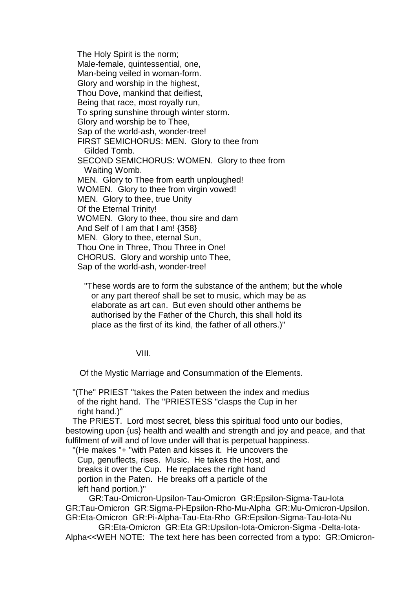The Holy Spirit is the norm; Male-female, quintessential, one, Man-being veiled in woman-form. Glory and worship in the highest, Thou Dove, mankind that deifiest, Being that race, most royally run, To spring sunshine through winter storm. Glory and worship be to Thee, Sap of the world-ash, wonder-tree! FIRST SEMICHORUS: MEN. Glory to thee from Gilded Tomb. SECOND SEMICHORUS: WOMEN. Glory to thee from Waiting Womb. MEN. Glory to Thee from earth unploughed! WOMEN. Glory to thee from virgin vowed! MEN. Glory to thee, true Unity Of the Eternal Trinity! WOMEN. Glory to thee, thou sire and dam And Self of I am that I am! {358} MEN. Glory to thee, eternal Sun, Thou One in Three, Thou Three in One! CHORUS. Glory and worship unto Thee, Sap of the world-ash, wonder-tree!

 "These words are to form the substance of the anthem; but the whole or any part thereof shall be set to music, which may be as elaborate as art can. But even should other anthems be authorised by the Father of the Church, this shall hold its place as the first of its kind, the father of all others.)"

VIII.

Of the Mystic Marriage and Consummation of the Elements.

 "(The" PRIEST "takes the Paten between the index and medius of the right hand. The "PRIESTESS "clasps the Cup in her right hand.)"

 The PRIEST. Lord most secret, bless this spiritual food unto our bodies, bestowing upon {us} health and wealth and strength and joy and peace, and that fulfilment of will and of love under will that is perpetual happiness.

 "(He makes "+ "with Paten and kisses it. He uncovers the Cup, genuflects, rises. Music. He takes the Host, and breaks it over the Cup. He replaces the right hand portion in the Paten. He breaks off a particle of the left hand portion.)"

 GR:Tau-Omicron-Upsilon-Tau-Omicron GR:Epsilon-Sigma-Tau-Iota GR:Tau-Omicron GR:Sigma-Pi-Epsilon-Rho-Mu-Alpha GR:Mu-Omicron-Upsilon. GR:Eta-Omicron GR:Pi-Alpha-Tau-Eta-Rho GR:Epsilon-Sigma-Tau-Iota-Nu

 GR:Eta-Omicron GR:Eta GR:Upsilon-Iota-Omicron-Sigma -Delta-Iota-Alpha<<WEH NOTE: The text here has been corrected from a typo: GR:Omicron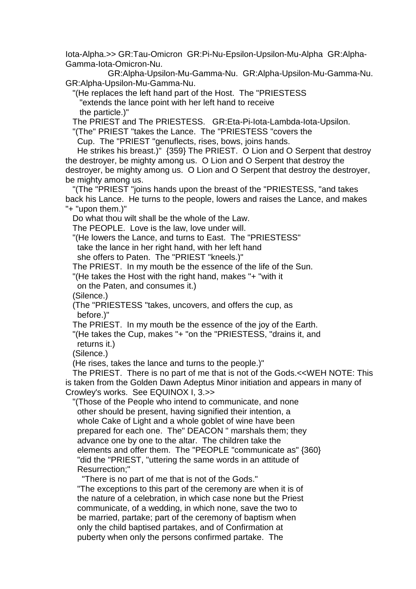Iota-Alpha.>> GR:Tau-Omicron GR:Pi-Nu-Epsilon-Upsilon-Mu-Alpha GR:Alpha-Gamma-Iota-Omicron-Nu.

 GR:Alpha-Upsilon-Mu-Gamma-Nu. GR:Alpha-Upsilon-Mu-Gamma-Nu. GR:Alpha-Upsilon-Mu-Gamma-Nu.

 "(He replaces the left hand part of the Host. The "PRIESTESS "extends the lance point with her left hand to receive the particle.)"

The PRIEST and The PRIESTESS. GR:Eta-Pi-Iota-Lambda-Iota-Upsilon.

"(The" PRIEST "takes the Lance. The "PRIESTESS "covers the

Cup. The "PRIEST "genuflects, rises, bows, joins hands.

 He strikes his breast.)" {359} The PRIEST. O Lion and O Serpent that destroy the destroyer, be mighty among us. O Lion and O Serpent that destroy the destroyer, be mighty among us. O Lion and O Serpent that destroy the destroyer, be mighty among us.

 "(The "PRIEST "joins hands upon the breast of the "PRIESTESS, "and takes back his Lance. He turns to the people, lowers and raises the Lance, and makes "+ "upon them.)"

Do what thou wilt shall be the whole of the Law.

The PEOPLE. Love is the law, love under will.

"(He lowers the Lance, and turns to East. The "PRIESTESS"

take the lance in her right hand, with her left hand

she offers to Paten. The "PRIEST "kneels.)"

The PRIEST. In my mouth be the essence of the life of the Sun.

"(He takes the Host with the right hand, makes "+ "with it

on the Paten, and consumes it.)

(Silence.)

 (The "PRIESTESS "takes, uncovers, and offers the cup, as before.)"

The PRIEST. In my mouth be the essence of the joy of the Earth.

 "(He takes the Cup, makes "+ "on the "PRIESTESS, "drains it, and returns it.)

(Silence.)

(He rises, takes the lance and turns to the people.)"

 The PRIEST. There is no part of me that is not of the Gods.<<WEH NOTE: This is taken from the Golden Dawn Adeptus Minor initiation and appears in many of Crowley's works. See EQUINOX I, 3.>>

 "(Those of the People who intend to communicate, and none other should be present, having signified their intention, a whole Cake of Light and a whole goblet of wine have been prepared for each one. The" DEACON " marshals them; they advance one by one to the altar. The children take the elements and offer them. The "PEOPLE "communicate as" {360} "did the "PRIEST, "uttering the same words in an attitude of Resurrection;"

"There is no part of me that is not of the Gods."

 "The exceptions to this part of the ceremony are when it is of the nature of a celebration, in which case none but the Priest communicate, of a wedding, in which none, save the two to be married, partake; part of the ceremony of baptism when only the child baptised partakes, and of Confirmation at puberty when only the persons confirmed partake. The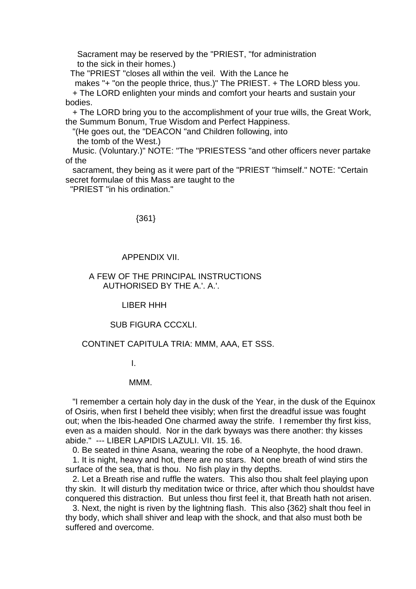Sacrament may be reserved by the "PRIEST, "for administration to the sick in their homes.)

The "PRIEST "closes all within the veil. With the Lance he

 makes "+ "on the people thrice, thus.)" The PRIEST. + The LORD bless you. + The LORD enlighten your minds and comfort your hearts and sustain your bodies.

 + The LORD bring you to the accomplishment of your true wills, the Great Work, the Summum Bonum, True Wisdom and Perfect Happiness.

"(He goes out, the "DEACON "and Children following, into

the tomb of the West.)

 Music. (Voluntary.)" NOTE: "The "PRIESTESS "and other officers never partake of the

 sacrament, they being as it were part of the "PRIEST "himself." NOTE: "Certain secret formulae of this Mass are taught to the

"PRIEST "in his ordination."

### {361}

### APPENDIX VII.

### A FEW OF THE PRINCIPAL INSTRUCTIONS AUTHORISED BY THE A.'. A.'.

LIBER HHH

SUB FIGURA CCCXLI.

### CONTINET CAPITULA TRIA: MMM, AAA, ET SSS.

I.

#### MMM.

 "I remember a certain holy day in the dusk of the Year, in the dusk of the Equinox of Osiris, when first I beheld thee visibly; when first the dreadful issue was fought out; when the Ibis-headed One charmed away the strife. I remember thy first kiss, even as a maiden should. Nor in the dark byways was there another: thy kisses abide." --- LIBER LAPIDIS LAZULI. VII. 15. 16.

0. Be seated in thine Asana, wearing the robe of a Neophyte, the hood drawn.

 1. It is night, heavy and hot, there are no stars. Not one breath of wind stirs the surface of the sea, that is thou. No fish play in thy depths.

 2. Let a Breath rise and ruffle the waters. This also thou shalt feel playing upon thy skin. It will disturb thy meditation twice or thrice, after which thou shouldst have conquered this distraction. But unless thou first feel it, that Breath hath not arisen.

 3. Next, the night is riven by the lightning flash. This also {362} shalt thou feel in thy body, which shall shiver and leap with the shock, and that also must both be suffered and overcome.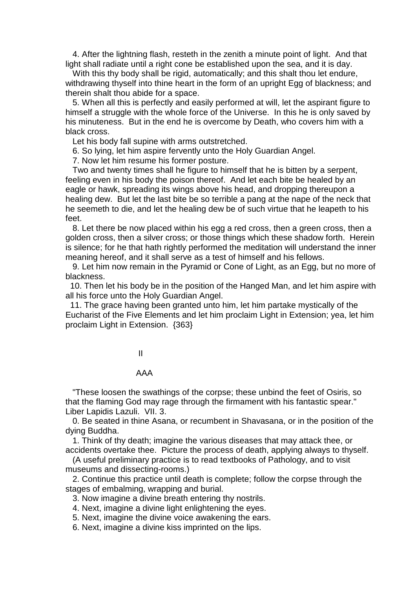4. After the lightning flash, resteth in the zenith a minute point of light. And that light shall radiate until a right cone be established upon the sea, and it is day.

With this thy body shall be rigid, automatically; and this shalt thou let endure, withdrawing thyself into thine heart in the form of an upright Egg of blackness; and therein shalt thou abide for a space.

 5. When all this is perfectly and easily performed at will, let the aspirant figure to himself a struggle with the whole force of the Universe. In this he is only saved by his minuteness. But in the end he is overcome by Death, who covers him with a black cross.

Let his body fall supine with arms outstretched.

6. So lying, let him aspire fervently unto the Holy Guardian Angel.

7. Now let him resume his former posture.

 Two and twenty times shall he figure to himself that he is bitten by a serpent, feeling even in his body the poison thereof. And let each bite be healed by an eagle or hawk, spreading its wings above his head, and dropping thereupon a healing dew. But let the last bite be so terrible a pang at the nape of the neck that he seemeth to die, and let the healing dew be of such virtue that he leapeth to his feet.

 8. Let there be now placed within his egg a red cross, then a green cross, then a golden cross, then a silver cross; or those things which these shadow forth. Herein is silence; for he that hath rightly performed the meditation will understand the inner meaning hereof, and it shall serve as a test of himself and his fellows.

 9. Let him now remain in the Pyramid or Cone of Light, as an Egg, but no more of blackness.

 10. Then let his body be in the position of the Hanged Man, and let him aspire with all his force unto the Holy Guardian Angel.

 11. The grace having been granted unto him, let him partake mystically of the Eucharist of the Five Elements and let him proclaim Light in Extension; yea, let him proclaim Light in Extension. {363}

**III** and the state of the state of

#### AAA

 "These loosen the swathings of the corpse; these unbind the feet of Osiris, so that the flaming God may rage through the firmament with his fantastic spear." Liber Lapidis Lazuli. VII. 3.

 0. Be seated in thine Asana, or recumbent in Shavasana, or in the position of the dying Buddha.

 1. Think of thy death; imagine the various diseases that may attack thee, or accidents overtake thee. Picture the process of death, applying always to thyself.

 (A useful preliminary practice is to read textbooks of Pathology, and to visit museums and dissecting-rooms.)

 2. Continue this practice until death is complete; follow the corpse through the stages of embalming, wrapping and burial.

3. Now imagine a divine breath entering thy nostrils.

4. Next, imagine a divine light enlightening the eyes.

5. Next, imagine the divine voice awakening the ears.

6. Next, imagine a divine kiss imprinted on the lips.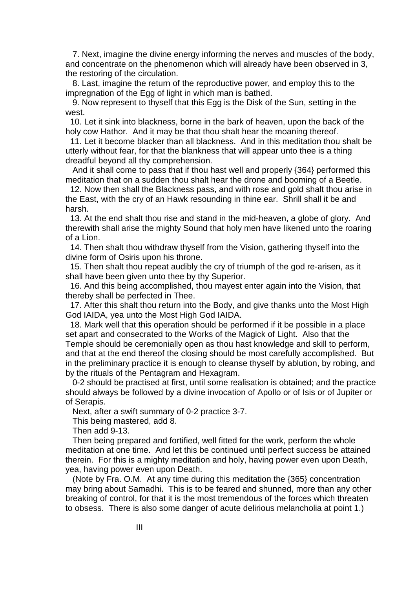7. Next, imagine the divine energy informing the nerves and muscles of the body, and concentrate on the phenomenon which will already have been observed in 3, the restoring of the circulation.

 8. Last, imagine the return of the reproductive power, and employ this to the impregnation of the Egg of light in which man is bathed.

 9. Now represent to thyself that this Egg is the Disk of the Sun, setting in the west.

 10. Let it sink into blackness, borne in the bark of heaven, upon the back of the holy cow Hathor. And it may be that thou shalt hear the moaning thereof.

 11. Let it become blacker than all blackness. And in this meditation thou shalt be utterly without fear, for that the blankness that will appear unto thee is a thing dreadful beyond all thy comprehension.

 And it shall come to pass that if thou hast well and properly {364} performed this meditation that on a sudden thou shalt hear the drone and booming of a Beetle.

 12. Now then shall the Blackness pass, and with rose and gold shalt thou arise in the East, with the cry of an Hawk resounding in thine ear. Shrill shall it be and harsh.

 13. At the end shalt thou rise and stand in the mid-heaven, a globe of glory. And therewith shall arise the mighty Sound that holy men have likened unto the roaring of a Lion.

 14. Then shalt thou withdraw thyself from the Vision, gathering thyself into the divine form of Osiris upon his throne.

 15. Then shalt thou repeat audibly the cry of triumph of the god re-arisen, as it shall have been given unto thee by thy Superior.

 16. And this being accomplished, thou mayest enter again into the Vision, that thereby shall be perfected in Thee.

 17. After this shalt thou return into the Body, and give thanks unto the Most High God IAIDA, yea unto the Most High God IAIDA.

 18. Mark well that this operation should be performed if it be possible in a place set apart and consecrated to the Works of the Magick of Light. Also that the Temple should be ceremonially open as thou hast knowledge and skill to perform, and that at the end thereof the closing should be most carefully accomplished. But in the preliminary practice it is enough to cleanse thyself by ablution, by robing, and by the rituals of the Pentagram and Hexagram.

 0-2 should be practised at first, until some realisation is obtained; and the practice should always be followed by a divine invocation of Apollo or of Isis or of Jupiter or of Serapis.

Next, after a swift summary of 0-2 practice 3-7.

This being mastered, add 8.

Then add 9-13.

 Then being prepared and fortified, well fitted for the work, perform the whole meditation at one time. And let this be continued until perfect success be attained therein. For this is a mighty meditation and holy, having power even upon Death, yea, having power even upon Death.

 (Note by Fra. O.M. At any time during this meditation the {365} concentration may bring about Samadhi. This is to be feared and shunned, more than any other breaking of control, for that it is the most tremendous of the forces which threaten to obsess. There is also some danger of acute delirious melancholia at point 1.)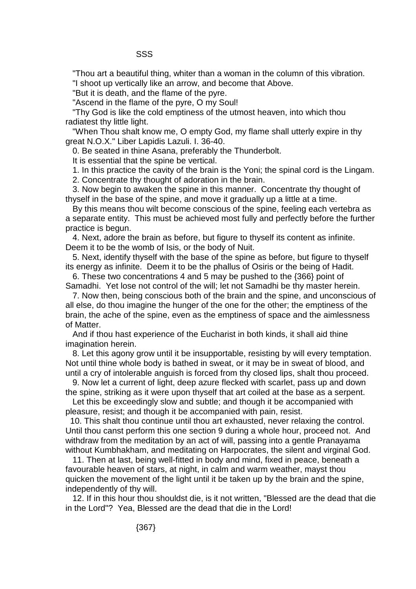"Thou art a beautiful thing, whiter than a woman in the column of this vibration. "I shoot up vertically like an arrow, and become that Above.

"But it is death, and the flame of the pyre.

"Ascend in the flame of the pyre, O my Soul!

 "Thy God is like the cold emptiness of the utmost heaven, into which thou radiatest thy little light.

 "When Thou shalt know me, O empty God, my flame shall utterly expire in thy great N.O.X." Liber Lapidis Lazuli. I. 36-40.

0. Be seated in thine Asana, preferably the Thunderbolt.

It is essential that the spine be vertical.

1. In this practice the cavity of the brain is the Yoni; the spinal cord is the Lingam.

2. Concentrate thy thought of adoration in the brain.

 3. Now begin to awaken the spine in this manner. Concentrate thy thought of thyself in the base of the spine, and move it gradually up a little at a time.

 By this means thou wilt become conscious of the spine, feeling each vertebra as a separate entity. This must be achieved most fully and perfectly before the further practice is begun.

 4. Next, adore the brain as before, but figure to thyself its content as infinite. Deem it to be the womb of Isis, or the body of Nuit.

 5. Next, identify thyself with the base of the spine as before, but figure to thyself its energy as infinite. Deem it to be the phallus of Osiris or the being of Hadit.

 6. These two concentrations 4 and 5 may be pushed to the {366} point of Samadhi. Yet lose not control of the will; let not Samadhi be thy master herein.

 7. Now then, being conscious both of the brain and the spine, and unconscious of all else, do thou imagine the hunger of the one for the other; the emptiness of the brain, the ache of the spine, even as the emptiness of space and the aimlessness of Matter.

 And if thou hast experience of the Eucharist in both kinds, it shall aid thine imagination herein.

 8. Let this agony grow until it be insupportable, resisting by will every temptation. Not until thine whole body is bathed in sweat, or it may be in sweat of blood, and until a cry of intolerable anguish is forced from thy closed lips, shalt thou proceed.

 9. Now let a current of light, deep azure flecked with scarlet, pass up and down the spine, striking as it were upon thyself that art coiled at the base as a serpent.

 Let this be exceedingly slow and subtle; and though it be accompanied with pleasure, resist; and though it be accompanied with pain, resist.

 10. This shalt thou continue until thou art exhausted, never relaxing the control. Until thou canst perform this one section 9 during a whole hour, proceed not. And withdraw from the meditation by an act of will, passing into a gentle Pranayama without Kumbhakham, and meditating on Harpocrates, the silent and virginal God.

 11. Then at last, being well-fitted in body and mind, fixed in peace, beneath a favourable heaven of stars, at night, in calm and warm weather, mayst thou quicken the movement of the light until it be taken up by the brain and the spine, independently of thy will.

 12. If in this hour thou shouldst die, is it not written, "Blessed are the dead that die in the Lord"? Yea, Blessed are the dead that die in the Lord!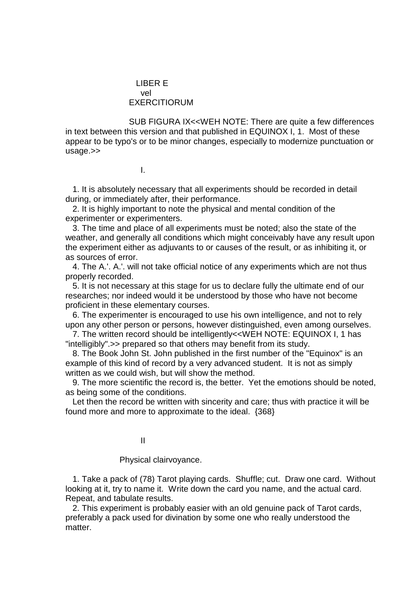#### LIBER E vel and the state of the state of the state of the state of the state of the state of the state of the state o EXERCITIORUM

 SUB FIGURA IX<<WEH NOTE: There are quite a few differences in text between this version and that published in EQUINOX I, 1. Most of these appear to be typo's or to be minor changes, especially to modernize punctuation or usage.>>

**I.** The contract of the contract of

 1. It is absolutely necessary that all experiments should be recorded in detail during, or immediately after, their performance.

 2. It is highly important to note the physical and mental condition of the experimenter or experimenters.

 3. The time and place of all experiments must be noted; also the state of the weather, and generally all conditions which might conceivably have any result upon the experiment either as adjuvants to or causes of the result, or as inhibiting it, or as sources of error.

 4. The A.'. A.'. will not take official notice of any experiments which are not thus properly recorded.

 5. It is not necessary at this stage for us to declare fully the ultimate end of our researches; nor indeed would it be understood by those who have not become proficient in these elementary courses.

 6. The experimenter is encouraged to use his own intelligence, and not to rely upon any other person or persons, however distinguished, even among ourselves.

 7. The written record should be intelligently<<WEH NOTE: EQUINOX I, 1 has "intelligibly".>> prepared so that others may benefit from its study.

 8. The Book John St. John published in the first number of the "Equinox" is an example of this kind of record by a very advanced student. It is not as simply written as we could wish, but will show the method.

 9. The more scientific the record is, the better. Yet the emotions should be noted, as being some of the conditions.

 Let then the record be written with sincerity and care; thus with practice it will be found more and more to approximate to the ideal. {368}

**III** and the state of the III

Physical clairvoyance.

 1. Take a pack of (78) Tarot playing cards. Shuffle; cut. Draw one card. Without looking at it, try to name it. Write down the card you name, and the actual card. Repeat, and tabulate results.

 2. This experiment is probably easier with an old genuine pack of Tarot cards, preferably a pack used for divination by some one who really understood the matter.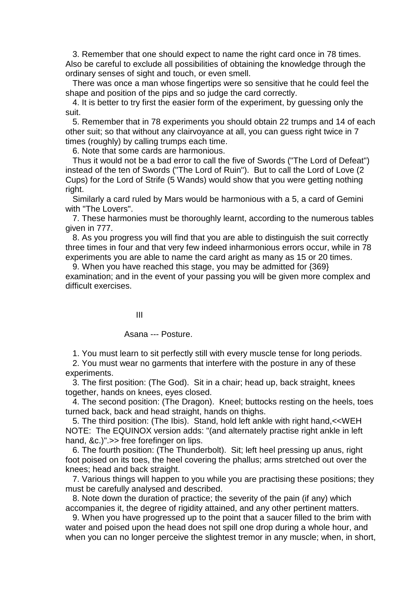3. Remember that one should expect to name the right card once in 78 times. Also be careful to exclude all possibilities of obtaining the knowledge through the ordinary senses of sight and touch, or even smell.

 There was once a man whose fingertips were so sensitive that he could feel the shape and position of the pips and so judge the card correctly.

 4. It is better to try first the easier form of the experiment, by guessing only the suit.

 5. Remember that in 78 experiments you should obtain 22 trumps and 14 of each other suit; so that without any clairvoyance at all, you can guess right twice in 7 times (roughly) by calling trumps each time.

6. Note that some cards are harmonious.

 Thus it would not be a bad error to call the five of Swords ("The Lord of Defeat") instead of the ten of Swords ("The Lord of Ruin"). But to call the Lord of Love (2 Cups) for the Lord of Strife (5 Wands) would show that you were getting nothing right.

 Similarly a card ruled by Mars would be harmonious with a 5, a card of Gemini with "The Lovers".

 7. These harmonies must be thoroughly learnt, according to the numerous tables given in 777.

 8. As you progress you will find that you are able to distinguish the suit correctly three times in four and that very few indeed inharmonious errors occur, while in 78 experiments you are able to name the card aright as many as 15 or 20 times.

 9. When you have reached this stage, you may be admitted for {369} examination; and in the event of your passing you will be given more complex and difficult exercises.

#### **III** and the state of the **III**

#### Asana --- Posture.

1. You must learn to sit perfectly still with every muscle tense for long periods.

 2. You must wear no garments that interfere with the posture in any of these experiments.

 3. The first position: (The God). Sit in a chair; head up, back straight, knees together, hands on knees, eyes closed.

 4. The second position: (The Dragon). Kneel; buttocks resting on the heels, toes turned back, back and head straight, hands on thighs.

 5. The third position: (The Ibis). Stand, hold left ankle with right hand,<<WEH NOTE: The EQUINOX version adds: "(and alternately practise right ankle in left hand, &c.)".>> free forefinger on lips.

 6. The fourth position: (The Thunderbolt). Sit; left heel pressing up anus, right foot poised on its toes, the heel covering the phallus; arms stretched out over the knees; head and back straight.

 7. Various things will happen to you while you are practising these positions; they must be carefully analysed and described.

 8. Note down the duration of practice; the severity of the pain (if any) which accompanies it, the degree of rigidity attained, and any other pertinent matters.

 9. When you have progressed up to the point that a saucer filled to the brim with water and poised upon the head does not spill one drop during a whole hour, and when you can no longer perceive the slightest tremor in any muscle; when, in short,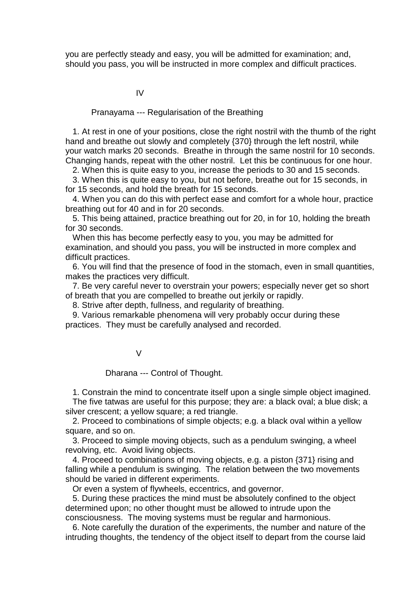you are perfectly steady and easy, you will be admitted for examination; and, should you pass, you will be instructed in more complex and difficult practices.

**IV IV** 

### Pranayama --- Regularisation of the Breathing

 1. At rest in one of your positions, close the right nostril with the thumb of the right hand and breathe out slowly and completely {370} through the left nostril, while your watch marks 20 seconds. Breathe in through the same nostril for 10 seconds. Changing hands, repeat with the other nostril. Let this be continuous for one hour.

2. When this is quite easy to you, increase the periods to 30 and 15 seconds.

 3. When this is quite easy to you, but not before, breathe out for 15 seconds, in for 15 seconds, and hold the breath for 15 seconds.

 4. When you can do this with perfect ease and comfort for a whole hour, practice breathing out for 40 and in for 20 seconds.

 5. This being attained, practice breathing out for 20, in for 10, holding the breath for 30 seconds.

 When this has become perfectly easy to you, you may be admitted for examination, and should you pass, you will be instructed in more complex and difficult practices.

 6. You will find that the presence of food in the stomach, even in small quantities, makes the practices very difficult.

 7. Be very careful never to overstrain your powers; especially never get so short of breath that you are compelled to breathe out jerkily or rapidly.

8. Strive after depth, fullness, and regularity of breathing.

 9. Various remarkable phenomena will very probably occur during these practices. They must be carefully analysed and recorded.

#### V

Dharana --- Control of Thought.

1. Constrain the mind to concentrate itself upon a single simple object imagined.

 The five tatwas are useful for this purpose; they are: a black oval; a blue disk; a silver crescent; a yellow square; a red triangle.

 2. Proceed to combinations of simple objects; e.g. a black oval within a yellow square, and so on.

 3. Proceed to simple moving objects, such as a pendulum swinging, a wheel revolving, etc. Avoid living objects.

 4. Proceed to combinations of moving objects, e.g. a piston {371} rising and falling while a pendulum is swinging. The relation between the two movements should be varied in different experiments.

Or even a system of flywheels, eccentrics, and governor.

 5. During these practices the mind must be absolutely confined to the object determined upon; no other thought must be allowed to intrude upon the consciousness. The moving systems must be regular and harmonious.

 6. Note carefully the duration of the experiments, the number and nature of the intruding thoughts, the tendency of the object itself to depart from the course laid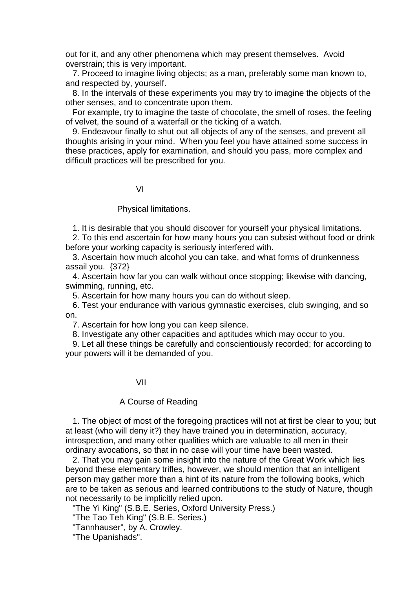out for it, and any other phenomena which may present themselves. Avoid overstrain; this is very important.

 7. Proceed to imagine living objects; as a man, preferably some man known to, and respected by, yourself.

 8. In the intervals of these experiments you may try to imagine the objects of the other senses, and to concentrate upon them.

 For example, try to imagine the taste of chocolate, the smell of roses, the feeling of velvet, the sound of a waterfall or the ticking of a watch.

 9. Endeavour finally to shut out all objects of any of the senses, and prevent all thoughts arising in your mind. When you feel you have attained some success in these practices, apply for examination, and should you pass, more complex and difficult practices will be prescribed for you.

### VI

#### Physical limitations.

1. It is desirable that you should discover for yourself your physical limitations.

 2. To this end ascertain for how many hours you can subsist without food or drink before your working capacity is seriously interfered with.

 3. Ascertain how much alcohol you can take, and what forms of drunkenness assail you. {372}

 4. Ascertain how far you can walk without once stopping; likewise with dancing, swimming, running, etc.

5. Ascertain for how many hours you can do without sleep.

 6. Test your endurance with various gymnastic exercises, club swinging, and so on.

7. Ascertain for how long you can keep silence.

8. Investigate any other capacities and aptitudes which may occur to you.

 9. Let all these things be carefully and conscientiously recorded; for according to your powers will it be demanded of you.

### VII

### A Course of Reading

 1. The object of most of the foregoing practices will not at first be clear to you; but at least (who will deny it?) they have trained you in determination, accuracy, introspection, and many other qualities which are valuable to all men in their ordinary avocations, so that in no case will your time have been wasted.

 2. That you may gain some insight into the nature of the Great Work which lies beyond these elementary trifles, however, we should mention that an intelligent person may gather more than a hint of its nature from the following books, which are to be taken as serious and learned contributions to the study of Nature, though not necessarily to be implicitly relied upon.

"The Yi King" (S.B.E. Series, Oxford University Press.)

"The Tao Teh King" (S.B.E. Series.)

"Tannhauser", by A. Crowley.

"The Upanishads".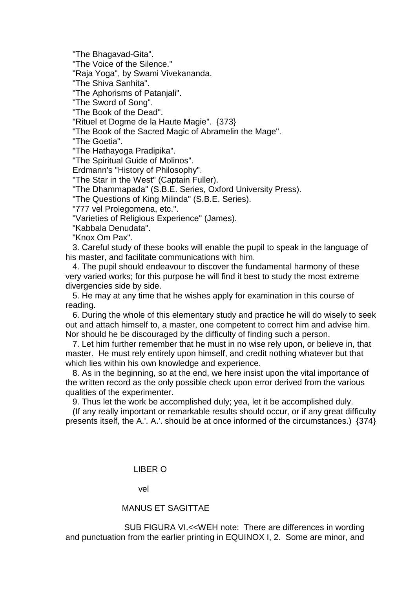"The Bhagavad-Gita".

"The Voice of the Silence."

"Raja Yoga", by Swami Vivekananda.

"The Shiva Sanhita".

"The Aphorisms of Patanjali".

"The Sword of Song".

"The Book of the Dead".

"Rituel et Dogme de la Haute Magie". {373}

"The Book of the Sacred Magic of Abramelin the Mage".

"The Goetia".

"The Hathayoga Pradipika".

"The Spiritual Guide of Molinos".

Erdmann's "History of Philosophy".

"The Star in the West" (Captain Fuller).

"The Dhammapada" (S.B.E. Series, Oxford University Press).

"The Questions of King Milinda" (S.B.E. Series).

"777 vel Prolegomena, etc.".

"Varieties of Religious Experience" (James).

"Kabbala Denudata".

"Knox Om Pax".

 3. Careful study of these books will enable the pupil to speak in the language of his master, and facilitate communications with him.

 4. The pupil should endeavour to discover the fundamental harmony of these very varied works; for this purpose he will find it best to study the most extreme divergencies side by side.

 5. He may at any time that he wishes apply for examination in this course of reading.

 6. During the whole of this elementary study and practice he will do wisely to seek out and attach himself to, a master, one competent to correct him and advise him. Nor should he be discouraged by the difficulty of finding such a person.

 7. Let him further remember that he must in no wise rely upon, or believe in, that master. He must rely entirely upon himself, and credit nothing whatever but that which lies within his own knowledge and experience.

 8. As in the beginning, so at the end, we here insist upon the vital importance of the written record as the only possible check upon error derived from the various qualities of the experimenter.

9. Thus let the work be accomplished duly; yea, let it be accomplished duly.

 (If any really important or remarkable results should occur, or if any great difficulty presents itself, the A.'. A.'. should be at once informed of the circumstances.) {374}

LIBER O

vel

# MANUS ET SAGITTAE

 SUB FIGURA VI.<<WEH note: There are differences in wording and punctuation from the earlier printing in EQUINOX I, 2. Some are minor, and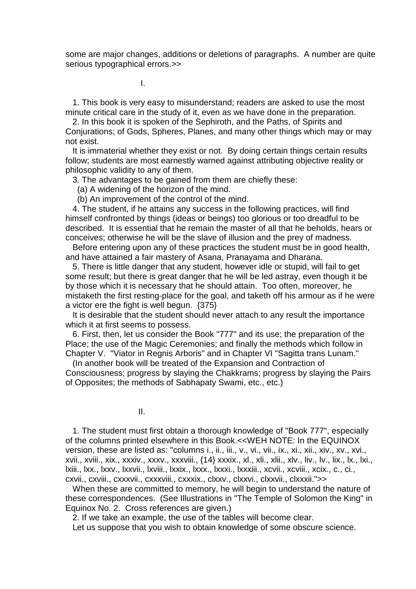some are major changes, additions or deletions of paragraphs. A number are quite serious typographical errors.>>

 1. This book is very easy to misunderstand; readers are asked to use the most minute critical care in the study of it, even as we have done in the preparation.

 2. In this book it is spoken of the Sephiroth, and the Paths, of Spirits and Conjurations; of Gods, Spheres, Planes, and many other things which may or may not exist.

 It is immaterial whether they exist or not. By doing certain things certain results follow; students are most earnestly warned against attributing objective reality or philosophic validity to any of them.

3. The advantages to be gained from them are chiefly these:

(a) A widening of the horizon of the mind.

**I.** The contract of the contract of

(b) An improvement of the control of the mind.

 4. The student, if he attains any success in the following practices, will find himself confronted by things (ideas or beings) too glorious or too dreadful to be described. It is essential that he remain the master of all that he beholds, hears or conceives; otherwise he will be the slave of illusion and the prey of madness.

 Before entering upon any of these practices the student must be in good health, and have attained a fair mastery of Asana, Pranayama and Dharana.

 5. There is little danger that any student, however idle or stupid, will fail to get some result; but there is great danger that he will be led astray, even though it be by those which it is necessary that he should attain. Too often, moreover, he mistaketh the first resting-place for the goal, and taketh off his armour as if he were a victor ere the fight is well begun. {375}

 It is desirable that the student should never attach to any result the importance which it at first seems to possess.

 6. First, then, let us consider the Book "777" and its use; the preparation of the Place; the use of the Magic Ceremonies; and finally the methods which follow in Chapter V. "Viator in Regnis Arboris" and in Chapter VI "Sagitta trans Lunam."

 (In another book will be treated of the Expansion and Contraction of Consciousness; progress by slaying the Chakkrams; progress by slaying the Pairs of Opposites; the methods of Sabhapaty Swami, etc., etc.)

II.

 1. The student must first obtain a thorough knowledge of "Book 777", especially of the columns printed elsewhere in this Book.<<WEH NOTE: In the EQUINOX version, these are listed as: "columns i., ii., iii., v., vi., vii., ix., xi., xii., xiv., xv., xvi., xvii., xviii., xix., xxxiv., xxxv., xxxviii., {14} xxxix., xl., xli., xlii., xlv., liv., lv., lix., lx., lxi., lxiii., lxx., lxxv., lxxvii., lxviii., lxxix., lxxx., lxxxi., lxxxiii., xcvii., xcviii., xcix., c., ci., cxvii., cxviii., cxxxvii., cxxxviii., cxxxix., clxxv., clxxvi., clxxvii., clxxxii.">>

 When these are committed to memory, he will begin to understand the nature of these correspondences. (See Illustrations in "The Temple of Solomon the King" in Equinox No. 2. Cross references are given.)

2. If we take an example, the use of the tables will become clear.

Let us suppose that you wish to obtain knowledge of some obscure science.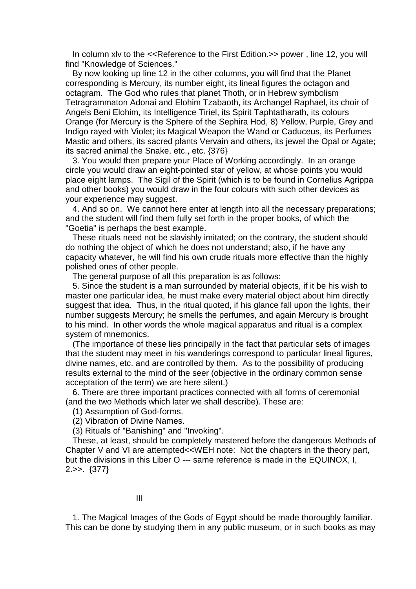In column xly to the <<Reference to the First Edition.>> power, line 12, you will find "Knowledge of Sciences."

 By now looking up line 12 in the other columns, you will find that the Planet corresponding is Mercury, its number eight, its lineal figures the octagon and octagram. The God who rules that planet Thoth, or in Hebrew symbolism Tetragrammaton Adonai and Elohim Tzabaoth, its Archangel Raphael, its choir of Angels Beni Elohim, its Intelligence Tiriel, its Spirit Taphtatharath, its colours Orange (for Mercury is the Sphere of the Sephira Hod, 8) Yellow, Purple, Grey and Indigo rayed with Violet; its Magical Weapon the Wand or Caduceus, its Perfumes Mastic and others, its sacred plants Vervain and others, its jewel the Opal or Agate; its sacred animal the Snake, etc., etc. {376}

 3. You would then prepare your Place of Working accordingly. In an orange circle you would draw an eight-pointed star of yellow, at whose points you would place eight lamps. The Sigil of the Spirit (which is to be found in Cornelius Agrippa and other books) you would draw in the four colours with such other devices as your experience may suggest.

 4. And so on. We cannot here enter at length into all the necessary preparations; and the student will find them fully set forth in the proper books, of which the "Goetia" is perhaps the best example.

 These rituals need not be slavishly imitated; on the contrary, the student should do nothing the object of which he does not understand; also, if he have any capacity whatever, he will find his own crude rituals more effective than the highly polished ones of other people.

The general purpose of all this preparation is as follows:

 5. Since the student is a man surrounded by material objects, if it be his wish to master one particular idea, he must make every material object about him directly suggest that idea. Thus, in the ritual quoted, if his glance fall upon the lights, their number suggests Mercury; he smells the perfumes, and again Mercury is brought to his mind. In other words the whole magical apparatus and ritual is a complex system of mnemonics.

 (The importance of these lies principally in the fact that particular sets of images that the student may meet in his wanderings correspond to particular lineal figures, divine names, etc. and are controlled by them. As to the possibility of producing results external to the mind of the seer (objective in the ordinary common sense acceptation of the term) we are here silent.)

 6. There are three important practices connected with all forms of ceremonial (and the two Methods which later we shall describe). These are:

(1) Assumption of God-forms.

(2) Vibration of Divine Names.

(3) Rituals of "Banishing" and "Invoking".

 These, at least, should be completely mastered before the dangerous Methods of Chapter V and VI are attempted<<WEH note: Not the chapters in the theory part, but the divisions in this Liber O --- same reference is made in the EQUINOX, I, 2.>>. {377}

#### **III** and the state of the **III**

 1. The Magical Images of the Gods of Egypt should be made thoroughly familiar. This can be done by studying them in any public museum, or in such books as may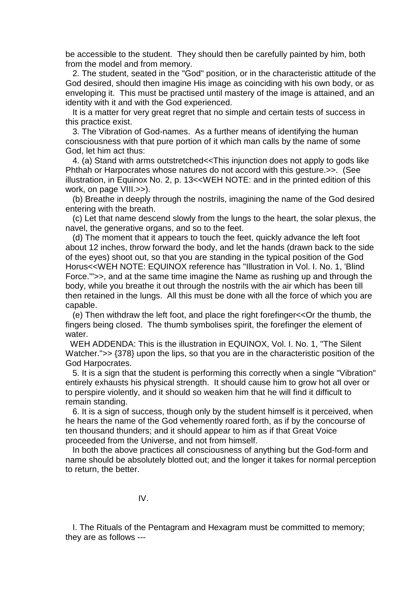be accessible to the student. They should then be carefully painted by him, both from the model and from memory.

 2. The student, seated in the "God" position, or in the characteristic attitude of the God desired, should then imagine His image as coinciding with his own body, or as enveloping it. This must be practised until mastery of the image is attained, and an identity with it and with the God experienced.

 It is a matter for very great regret that no simple and certain tests of success in this practice exist.

 3. The Vibration of God-names. As a further means of identifying the human consciousness with that pure portion of it which man calls by the name of some God, let him act thus:

 4. (a) Stand with arms outstretched<<This injunction does not apply to gods like Phthah or Harpocrates whose natures do not accord with this gesture.>>. (See illustration, in Equinox No. 2, p. 13<<WEH NOTE: and in the printed edition of this work, on page VIII.>>).

 (b) Breathe in deeply through the nostrils, imagining the name of the God desired entering with the breath.

 (c) Let that name descend slowly from the lungs to the heart, the solar plexus, the navel, the generative organs, and so to the feet.

 (d) The moment that it appears to touch the feet, quickly advance the left foot about 12 inches, throw forward the body, and let the hands (drawn back to the side of the eyes) shoot out, so that you are standing in the typical position of the God Horus<<WEH NOTE: EQUINOX reference has "Illustration in Vol. I. No. 1, 'Blind Force.'">>, and at the same time imagine the Name as rushing up and through the body, while you breathe it out through the nostrils with the air which has been till then retained in the lungs. All this must be done with all the force of which you are capable.

 (e) Then withdraw the left foot, and place the right forefinger<<Or the thumb, the fingers being closed. The thumb symbolises spirit, the forefinger the element of water.

 WEH ADDENDA: This is the illustration in EQUINOX, Vol. I. No. 1, "The Silent Watcher.">> {378} upon the lips, so that you are in the characteristic position of the God Harpocrates.

 5. It is a sign that the student is performing this correctly when a single "Vibration" entirely exhausts his physical strength. It should cause him to grow hot all over or to perspire violently, and it should so weaken him that he will find it difficult to remain standing.

 6. It is a sign of success, though only by the student himself is it perceived, when he hears the name of the God vehemently roared forth, as if by the concourse of ten thousand thunders; and it should appear to him as if that Great Voice proceeded from the Universe, and not from himself.

 In both the above practices all consciousness of anything but the God-form and name should be absolutely blotted out; and the longer it takes for normal perception to return, the better.

IV.

 I. The Rituals of the Pentagram and Hexagram must be committed to memory; they are as follows ---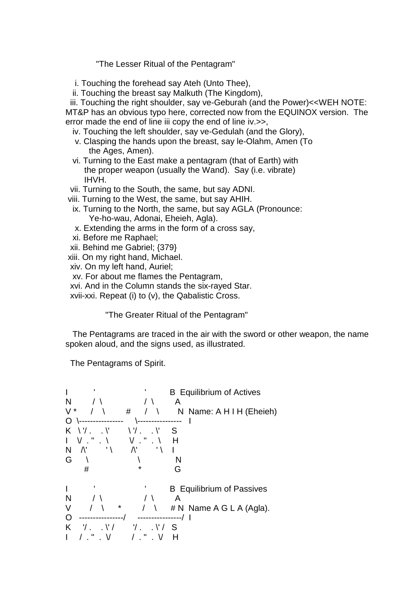# "The Lesser Ritual of the Pentagram"

- i. Touching the forehead say Ateh (Unto Thee),
- ii. Touching the breast say Malkuth (The Kingdom),

 iii. Touching the right shoulder, say ve-Geburah (and the Power)<<WEH NOTE: MT&P has an obvious typo here, corrected now from the EQUINOX version. The error made the end of line iii copy the end of line iv.>>,

- iv. Touching the left shoulder, say ve-Gedulah (and the Glory),
	- v. Clasping the hands upon the breast, say le-Olahm, Amen (To the Ages, Amen).
- vi. Turning to the East make a pentagram (that of Earth) with the proper weapon (usually the Wand). Say (i.e. vibrate) IHVH.
- vii. Turning to the South, the same, but say ADNI.
- viii. Turning to the West, the same, but say AHIH.
- ix. Turning to the North, the same, but say AGLA (Pronounce: Ye-ho-wau, Adonai, Eheieh, Agla).
- x. Extending the arms in the form of a cross say,
- xi. Before me Raphael;
- xii. Behind me Gabriel; {379}
- xiii. On my right hand, Michael.
- xiv. On my left hand, Auriel;
- xv. For about me flames the Pentagram,
- xvi. And in the Column stands the six-rayed Star.
- xvii-xxi. Repeat (i) to (v), the Qabalistic Cross.

"The Greater Ritual of the Pentagram"

 The Pentagrams are traced in the air with the sword or other weapon, the name spoken aloud, and the signs used, as illustrated.

The Pentagrams of Spirit.

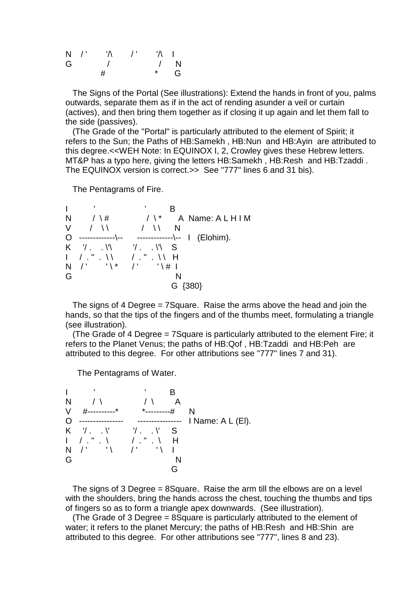|   | $N$ /' | $\Lambda$      | $\frac{1}{2}$ |         | 'A I           |
|---|--------|----------------|---------------|---------|----------------|
| G |        | $\overline{1}$ |               |         | / N            |
|   |        | #              |               | $\star$ | $\overline{G}$ |

 The Signs of the Portal (See illustrations): Extend the hands in front of you, palms outwards, separate them as if in the act of rending asunder a veil or curtain (actives), and then bring them together as if closing it up again and let them fall to the side (passives).

 (The Grade of the "Portal" is particularly attributed to the element of Spirit; it refers to the Sun; the Paths of HB:Samekh , HB:Nun and HB:Ayin are attributed to this degree.<<WEH Note: In EQUINOX I, 2, Crowley gives these Hebrew letters. MT&P has a typo here, giving the letters HB:Samekh , HB:Resh and HB:Tzaddi . The EQUINOX version is correct. > See "777" lines 6 and 31 bis).

The Pentagrams of Fire.

| I | ′                        | B                        |                   |    |   |
|---|--------------------------|--------------------------|-------------------|----|---|
| N | / \n $\frac{1}{4}$       | / \n $\frac{1}{1}$       | A Name: A L H I M |    |   |
| V | / \n $\frac{1}{1}$       | / \n $\frac{1}{1}$       | (Elohim).         |    |   |
| K | ′/.                      | ′/                       | ′/.               | ′/ | S |
| I | / . " . \n $\frac{1}{1}$ | / . " . \n $\frac{1}{1}$ | H                 |    |   |
| N | / ' ' ' * / ' ' ' # I    |                          |                   |    |   |
| G | M                        | G                        |                   |    |   |

 The signs of 4 Degree = 7Square. Raise the arms above the head and join the hands, so that the tips of the fingers and of the thumbs meet, formulating a triangle (see illustration).

 (The Grade of 4 Degree = 7Square is particularly attributed to the element Fire; it refers to the Planet Venus; the paths of HB:Qof , HB:Tzaddi and HB:Peh are attributed to this degree. For other attributions see "777" lines 7 and 31).

The Pentagrams of Water.



 The signs of 3 Degree = 8Square. Raise the arm till the elbows are on a level with the shoulders, bring the hands across the chest, touching the thumbs and tips of fingers so as to form a triangle apex downwards. (See illustration).

 (The Grade of 3 Degree = 8Square is particularly attributed to the element of water; it refers to the planet Mercury; the paths of HB:Resh and HB:Shin are attributed to this degree. For other attributions see "777", lines 8 and 23).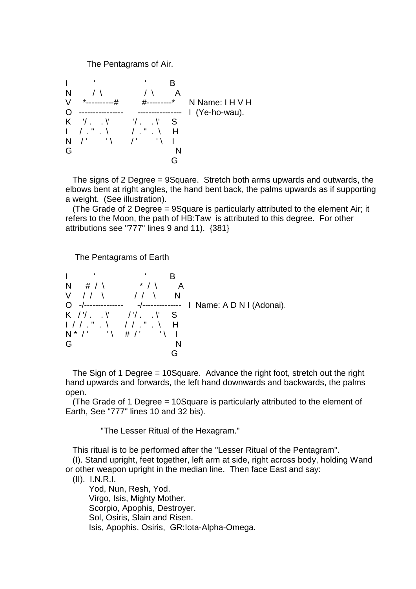



 The signs of 2 Degree = 9Square. Stretch both arms upwards and outwards, the elbows bent at right angles, the hand bent back, the palms upwards as if supporting a weight. (See illustration).

 (The Grade of 2 Degree = 9Square is particularly attributed to the element Air; it refers to the Moon, the path of HB:Taw is attributed to this degree. For other attributions see "777" lines 9 and 11). {381}

The Pentagrams of Earth

 $I \qquad \qquad$  ' B  $N$  # / \ \* / \ A V // \ // \ N O -/-------------- -/-------------- I Name: A D N I (Adonai). K / '/ . . \' / '/ . . \' S I / / . " . \ / / . " . \ H  $N^*$  / '  $\qquad \qquad$  ' \  $\qquad$  # / '  $\qquad$  ' \  $\qquad$  I G N **Graduate Contract Contract Contract Contract Contract Contract Contract Contract Contract Contract Contract Co** 

 The Sign of 1 Degree = 10Square. Advance the right foot, stretch out the right hand upwards and forwards, the left hand downwards and backwards, the palms open.

 (The Grade of 1 Degree = 10Square is particularly attributed to the element of Earth, See "777" lines 10 and 32 bis).

"The Lesser Ritual of the Hexagram."

This ritual is to be performed after the "Lesser Ritual of the Pentagram".

 (I). Stand upright, feet together, left arm at side, right across body, holding Wand or other weapon upright in the median line. Then face East and say:

(II). I.N.R.I.

 Yod, Nun, Resh, Yod. Virgo, Isis, Mighty Mother. Scorpio, Apophis, Destroyer. Sol, Osiris, Slain and Risen. Isis, Apophis, Osiris, GR:Iota-Alpha-Omega.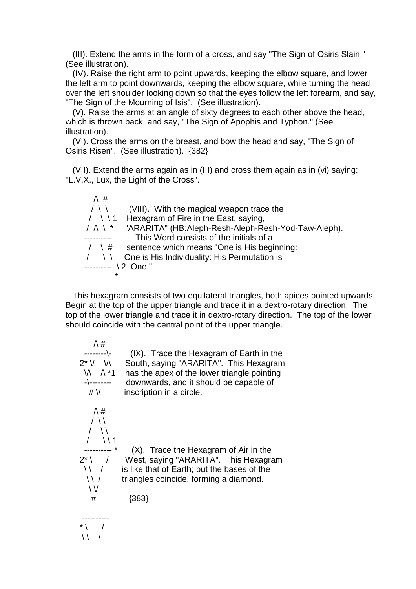(III). Extend the arms in the form of a cross, and say "The Sign of Osiris Slain." (See illustration).

 (IV). Raise the right arm to point upwards, keeping the elbow square, and lower the left arm to point downwards, keeping the elbow square, while turning the head over the left shoulder looking down so that the eyes follow the left forearm, and say, "The Sign of the Mourning of Isis". (See illustration).

 (V). Raise the arms at an angle of sixty degrees to each other above the head, which is thrown back, and say, "The Sign of Apophis and Typhon." (See illustration).

 (VI). Cross the arms on the breast, and bow the head and say, "The Sign of Osiris Risen". (See illustration). {382}

 (VII). Extend the arms again as in (III) and cross them again as in (vi) saying: "L.V.X., Lux, the Light of the Cross".

| Λ#               |                                                                    |
|------------------|--------------------------------------------------------------------|
| / \ \            | (VIII). With the magical weapon trace the                          |
|                  | $/$ \ \ 1 Hexagram of Fire in the East, saying,                    |
|                  | / $\wedge$ \ * "ARARITA" (HB:Aleph-Resh-Aleph-Resh-Yod-Taw-Aleph). |
|                  | This Word consists of the initials of a                            |
|                  | $/$ \ # sentence which means "One is His beginning:                |
| $1 \times 1$     | One is His Individuality: His Permutation is                       |
| $------ 2 One."$ |                                                                    |
| *                |                                                                    |

 This hexagram consists of two equilateral triangles, both apices pointed upwards. Begin at the top of the upper triangle and trace it in a dextro-rotary direction. The top of the lower triangle and trace it in dextro-rotary direction. The top of the lower should coincide with the central point of the upper triangle.

| Λ#<br>--------\-<br>$2^*V$ W<br>$M \wedge 1$<br>-\--------<br># V                                   | (IX). Trace the Hexagram of Earth in the<br>South, saying "ARARITA". This Hexagram<br>has the apex of the lower triangle pointing<br>downwards, and it should be capable of<br>inscription in a circle. |
|-----------------------------------------------------------------------------------------------------|---------------------------------------------------------------------------------------------------------------------------------------------------------------------------------------------------------|
| Λ#<br>$/ \setminus$<br>$/$ $\vee$<br>$\sqrt{11}$<br>$\binom{1}{1}$<br>$\binom{1}{\ell}$<br>\ V<br># | (X). Trace the Hexagram of Air in the<br>2 <sup>*</sup> \ / West, saying "ARARITA". This Hexagram<br>is like that of Earth; but the bases of the<br>triangles coincide, forming a diamond.<br>${383}$   |

 $\setminus$  /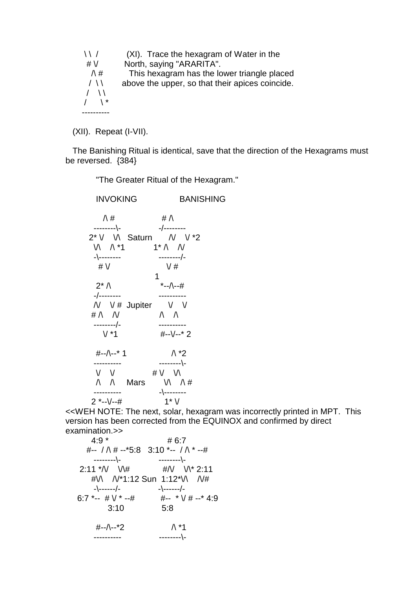| \\ /                           | (XI). Trace the hexagram of Water in the        |
|--------------------------------|-------------------------------------------------|
| #V                             | North, saying "ARARITA".                        |
| Λ#                             | This hexagram has the lower triangle placed     |
| $\left\langle \ \right\rangle$ | above the upper, so that their apices coincide. |
|                                |                                                 |
| $\sqrt{2}$                     |                                                 |
|                                |                                                 |

(XII). Repeat (I-VII).

 The Banishing Ritual is identical, save that the direction of the Hexagrams must be reversed. {384}

"The Greater Ritual of the Hexagram."

 INVOKING BANISHING  $\wedge$  #  $\wedge$  #  $\wedge$  --------\- -/--------  $2^* \vee \vee \vee$  Saturn  $\wedge \vee '2$  $\vee$   $\wedge$  \*1 1\*  $\wedge$  / $\vee$  -\-------- --------/-  $# V$   $V#$  1  $2^* \wedge$  \*-- $\wedge$ --# -/-------- ----------  $\sqrt{V}$  V # Jupiter  $\sqrt{V}$  V  $\#\wedge\wedge\vee\wedge\wedge\wedge$  --------/- ----------  $V * 1$  #-- $V - * 2$  $\#$ -- $\wedge$ --\* 1  $\wedge$  \*2 ---------- --------\-  $\# V \quad W$  $\wedge$   $\wedge$  Mars  $\wedge$   $\wedge$  # ---------- -\--------  $2 \div -\sqrt{-1}$  1\*  $\sqrt{1}$ 

<<WEH NOTE: The next, solar, hexagram was incorrectly printed in MPT. This version has been corrected from the EQUINOX and confirmed by direct examination.>>

 $4:9^*$  # 6:7 #--  $/ \Lambda$  # --\*5:8 3:10 \*--  $/ \Lambda$  \* --# --------\- --------\-2:11 \* $N$  \/\# #/\/ \/\\* 2:11 #\/\ /\/\*1:12 Sun 1:12\*\/\ /\/# -\------/- -\------/- 6:7 \*--  $\#\vee$  \* --#  $\qquad \qquad \#$ -- \*  $\vee$  # --\* 4:9 3:10 5:8 #--/\--\*2 /\ \*1 ---------- --------\-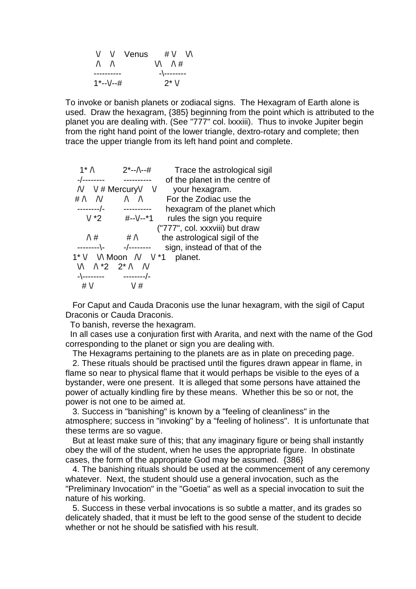|                      |                   | V Venus #V V  |         |               |  |
|----------------------|-------------------|---------------|---------|---------------|--|
|                      | $\wedge$ $\wedge$ |               |         | $M \Lambda #$ |  |
|                      |                   | $-\$ -------- |         |               |  |
| $1*$ -- $\sqrt{-}$ # |                   |               | $2^*$ V |               |  |

To invoke or banish planets or zodiacal signs. The Hexagram of Earth alone is used. Draw the hexagram, {385} beginning from the point which is attributed to the planet you are dealing with. (See "777" col. lxxxiii). Thus to invoke Jupiter begin from the right hand point of the lower triangle, dextro-rotary and complete; then trace the upper triangle from its left hand point and complete.

| $1^*$ $\wedge$      | 2*--^--#                              | Trace the astrological sigil   |
|---------------------|---------------------------------------|--------------------------------|
|                     |                                       | of the planet in the centre of |
|                     | $\mathcal{N}$ V # Mercury V<br>$\vee$ | your hexagram.                 |
| # $\wedge$ $\wedge$ | $\wedge$ $\wedge$                     | For the Zodiac use the         |
| --------/-          |                                       | hexagram of the planet which   |
| $V*2$               | #--V--*1                              | rules the sign you require     |
|                     |                                       | ("777", col. xxxviii) but draw |
| ∧ #                 | # $\wedge$                            | the astrological sigil of the  |
| --------\-          | -/--------                            | sign, instead of that of the   |
|                     | $1^*V$ \ Moon $N$ \ $V^*1$ planet.    |                                |
|                     | $V \wedge \uparrow 2$ 2 $\wedge$ N    |                                |
|                     | -\--------              --------/-    |                                |
| # V                 | #                                     |                                |

 For Caput and Cauda Draconis use the lunar hexagram, with the sigil of Caput Draconis or Cauda Draconis.

To banish, reverse the hexagram.

 In all cases use a conjuration first with Ararita, and next with the name of the God corresponding to the planet or sign you are dealing with.

The Hexagrams pertaining to the planets are as in plate on preceding page.

 2. These rituals should be practised until the figures drawn appear in flame, in flame so near to physical flame that it would perhaps be visible to the eyes of a bystander, were one present. It is alleged that some persons have attained the power of actually kindling fire by these means. Whether this be so or not, the power is not one to be aimed at.

 3. Success in "banishing" is known by a "feeling of cleanliness" in the atmosphere; success in "invoking" by a "feeling of holiness". It is unfortunate that these terms are so vague.

 But at least make sure of this; that any imaginary figure or being shall instantly obey the will of the student, when he uses the appropriate figure. In obstinate cases, the form of the appropriate God may be assumed. {386}

 4. The banishing rituals should be used at the commencement of any ceremony whatever. Next, the student should use a general invocation, such as the "Preliminary Invocation" in the "Goetia" as well as a special invocation to suit the nature of his working.

 5. Success in these verbal invocations is so subtle a matter, and its grades so delicately shaded, that it must be left to the good sense of the student to decide whether or not he should be satisfied with his result.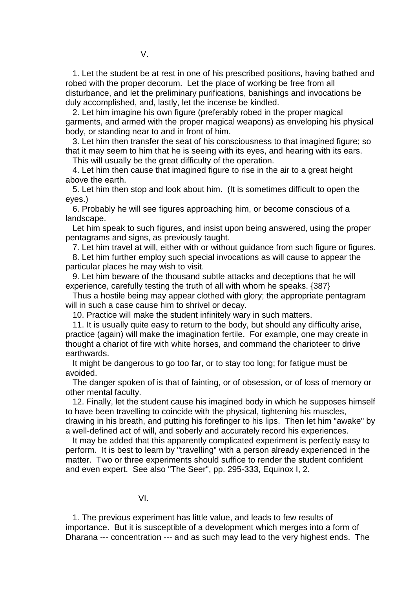1. Let the student be at rest in one of his prescribed positions, having bathed and robed with the proper decorum. Let the place of working be free from all disturbance, and let the preliminary purifications, banishings and invocations be duly accomplished, and, lastly, let the incense be kindled.

 2. Let him imagine his own figure (preferably robed in the proper magical garments, and armed with the proper magical weapons) as enveloping his physical body, or standing near to and in front of him.

 3. Let him then transfer the seat of his consciousness to that imagined figure; so that it may seem to him that he is seeing with its eyes, and hearing with its ears.

This will usually be the great difficulty of the operation.

 4. Let him then cause that imagined figure to rise in the air to a great height above the earth.

 5. Let him then stop and look about him. (It is sometimes difficult to open the eyes.)

 6. Probably he will see figures approaching him, or become conscious of a landscape.

Let him speak to such figures, and insist upon being answered, using the proper pentagrams and signs, as previously taught.

7. Let him travel at will, either with or without guidance from such figure or figures.

 8. Let him further employ such special invocations as will cause to appear the particular places he may wish to visit.

 9. Let him beware of the thousand subtle attacks and deceptions that he will experience, carefully testing the truth of all with whom he speaks. {387}

 Thus a hostile being may appear clothed with glory; the appropriate pentagram will in such a case cause him to shrivel or decay.

10. Practice will make the student infinitely wary in such matters.

 11. It is usually quite easy to return to the body, but should any difficulty arise, practice (again) will make the imagination fertile. For example, one may create in thought a chariot of fire with white horses, and command the charioteer to drive earthwards.

 It might be dangerous to go too far, or to stay too long; for fatigue must be avoided.

 The danger spoken of is that of fainting, or of obsession, or of loss of memory or other mental faculty.

 12. Finally, let the student cause his imagined body in which he supposes himself to have been travelling to coincide with the physical, tightening his muscles, drawing in his breath, and putting his forefinger to his lips. Then let him "awake" by a well-defined act of will, and soberly and accurately record his experiences.

 It may be added that this apparently complicated experiment is perfectly easy to perform. It is best to learn by "travelling" with a person already experienced in the matter. Two or three experiments should suffice to render the student confident and even expert. See also "The Seer", pp. 295-333, Equinox I, 2.

# VI.

 1. The previous experiment has little value, and leads to few results of importance. But it is susceptible of a development which merges into a form of Dharana --- concentration --- and as such may lead to the very highest ends. The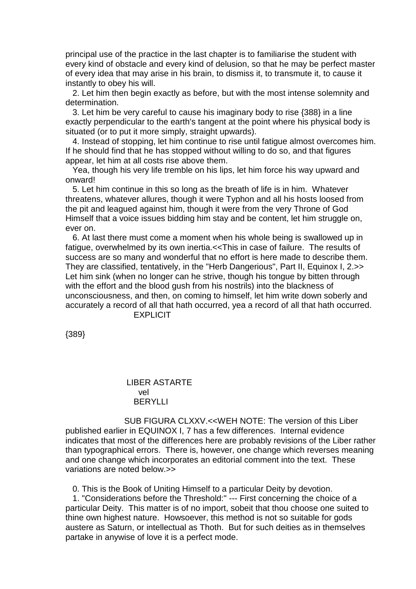principal use of the practice in the last chapter is to familiarise the student with every kind of obstacle and every kind of delusion, so that he may be perfect master of every idea that may arise in his brain, to dismiss it, to transmute it, to cause it instantly to obey his will.

 2. Let him then begin exactly as before, but with the most intense solemnity and determination.

 3. Let him be very careful to cause his imaginary body to rise {388} in a line exactly perpendicular to the earth's tangent at the point where his physical body is situated (or to put it more simply, straight upwards).

 4. Instead of stopping, let him continue to rise until fatigue almost overcomes him. If he should find that he has stopped without willing to do so, and that figures appear, let him at all costs rise above them.

 Yea, though his very life tremble on his lips, let him force his way upward and onward!

 5. Let him continue in this so long as the breath of life is in him. Whatever threatens, whatever allures, though it were Typhon and all his hosts loosed from the pit and leagued against him, though it were from the very Throne of God Himself that a voice issues bidding him stay and be content, let him struggle on, ever on.

 6. At last there must come a moment when his whole being is swallowed up in fatigue, overwhelmed by its own inertia.<<This in case of failure. The results of success are so many and wonderful that no effort is here made to describe them. They are classified, tentatively, in the "Herb Dangerious", Part II, Equinox I, 2.>> Let him sink (when no longer can he strive, though his tongue by bitten through with the effort and the blood gush from his nostrils) into the blackness of unconsciousness, and then, on coming to himself, let him write down soberly and accurately a record of all that hath occurred, yea a record of all that hath occurred. EXPLICIT

{389}

# LIBER ASTARTE vel BERYLLI

 SUB FIGURA CLXXV.<<WEH NOTE: The version of this Liber published earlier in EQUINOX I, 7 has a few differences. Internal evidence indicates that most of the differences here are probably revisions of the Liber rather than typographical errors. There is, however, one change which reverses meaning and one change which incorporates an editorial comment into the text. These variations are noted below.>>

0. This is the Book of Uniting Himself to a particular Deity by devotion.

 1. "Considerations before the Threshold:" --- First concerning the choice of a particular Deity. This matter is of no import, sobeit that thou choose one suited to thine own highest nature. Howsoever, this method is not so suitable for gods austere as Saturn, or intellectual as Thoth. But for such deities as in themselves partake in anywise of love it is a perfect mode.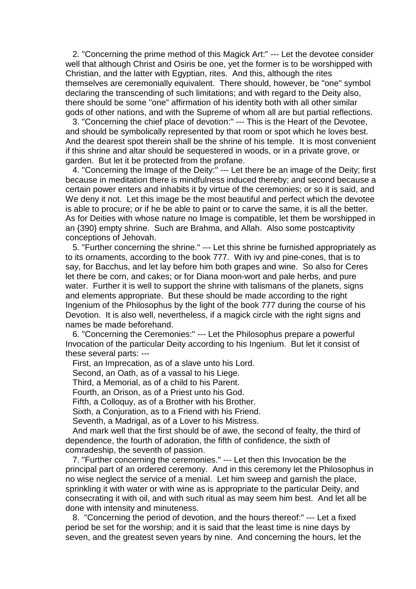2. "Concerning the prime method of this Magick Art:" --- Let the devotee consider well that although Christ and Osiris be one, yet the former is to be worshipped with Christian, and the latter with Egyptian, rites. And this, although the rites themselves are ceremonially equivalent. There should, however, be "one" symbol declaring the transcending of such limitations; and with regard to the Deity also, there should be some "one" affirmation of his identity both with all other similar gods of other nations, and with the Supreme of whom all are but partial reflections.

 3. "Concerning the chief place of devotion:" --- This is the Heart of the Devotee, and should be symbolically represented by that room or spot which he loves best. And the dearest spot therein shall be the shrine of his temple. It is most convenient if this shrine and altar should be sequestered in woods, or in a private grove, or garden. But let it be protected from the profane.

 4. "Concerning the Image of the Deity:" --- Let there be an image of the Deity; first because in meditation there is mindfulness induced thereby; and second because a certain power enters and inhabits it by virtue of the ceremonies; or so it is said, and We deny it not. Let this image be the most beautiful and perfect which the devotee is able to procure; or if he be able to paint or to carve the same, it is all the better. As for Deities with whose nature no Image is compatible, let them be worshipped in an {390} empty shrine. Such are Brahma, and Allah. Also some postcaptivity conceptions of Jehovah.

 5. "Further concerning the shrine." --- Let this shrine be furnished appropriately as to its ornaments, according to the book 777. With ivy and pine-cones, that is to say, for Bacchus, and let lay before him both grapes and wine. So also for Ceres let there be corn, and cakes; or for Diana moon-wort and pale herbs, and pure water. Further it is well to support the shrine with talismans of the planets, signs and elements appropriate. But these should be made according to the right Ingenium of the Philosophus by the light of the book 777 during the course of his Devotion. It is also well, nevertheless, if a magick circle with the right signs and names be made beforehand.

 6. "Concerning the Ceremonies:" --- Let the Philosophus prepare a powerful Invocation of the particular Deity according to his Ingenium. But let it consist of these several parts: ---

First, an Imprecation, as of a slave unto his Lord.

Second, an Oath, as of a vassal to his Liege.

Third, a Memorial, as of a child to his Parent.

Fourth, an Orison, as of a Priest unto his God.

Fifth, a Colloquy, as of a Brother with his Brother.

Sixth, a Conjuration, as to a Friend with his Friend.

Seventh, a Madrigal, as of a Lover to his Mistress.

 And mark well that the first should be of awe, the second of fealty, the third of dependence, the fourth of adoration, the fifth of confidence, the sixth of comradeship, the seventh of passion.

 7. "Further concerning the ceremonies." --- Let then this Invocation be the principal part of an ordered ceremony. And in this ceremony let the Philosophus in no wise neglect the service of a menial. Let him sweep and garnish the place, sprinkling it with water or with wine as is appropriate to the particular Deity, and consecrating it with oil, and with such ritual as may seem him best. And let all be done with intensity and minuteness.

 8. "Concerning the period of devotion, and the hours thereof:" --- Let a fixed period be set for the worship; and it is said that the least time is nine days by seven, and the greatest seven years by nine. And concerning the hours, let the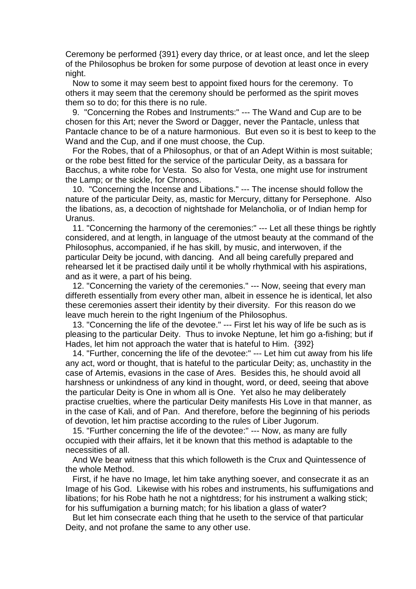Ceremony be performed {391} every day thrice, or at least once, and let the sleep of the Philosophus be broken for some purpose of devotion at least once in every night.

 Now to some it may seem best to appoint fixed hours for the ceremony. To others it may seem that the ceremony should be performed as the spirit moves them so to do; for this there is no rule.

 9. "Concerning the Robes and Instruments:" --- The Wand and Cup are to be chosen for this Art; never the Sword or Dagger, never the Pantacle, unless that Pantacle chance to be of a nature harmonious. But even so it is best to keep to the Wand and the Cup, and if one must choose, the Cup.

 For the Robes, that of a Philosophus, or that of an Adept Within is most suitable; or the robe best fitted for the service of the particular Deity, as a bassara for Bacchus, a white robe for Vesta. So also for Vesta, one might use for instrument the Lamp; or the sickle, for Chronos.

 10. "Concerning the Incense and Libations." --- The incense should follow the nature of the particular Deity, as, mastic for Mercury, dittany for Persephone. Also the libations, as, a decoction of nightshade for Melancholia, or of Indian hemp for Uranus.

 11. "Concerning the harmony of the ceremonies:" --- Let all these things be rightly considered, and at length, in language of the utmost beauty at the command of the Philosophus, accompanied, if he has skill, by music, and interwoven, if the particular Deity be jocund, with dancing. And all being carefully prepared and rehearsed let it be practised daily until it be wholly rhythmical with his aspirations, and as it were, a part of his being.

 12. "Concerning the variety of the ceremonies." --- Now, seeing that every man differeth essentially from every other man, albeit in essence he is identical, let also these ceremonies assert their identity by their diversity. For this reason do we leave much herein to the right Ingenium of the Philosophus.

 13. "Concerning the life of the devotee." --- First let his way of life be such as is pleasing to the particular Deity. Thus to invoke Neptune, let him go a-fishing; but if Hades, let him not approach the water that is hateful to Him. {392}

 14. "Further, concerning the life of the devotee:" --- Let him cut away from his life any act, word or thought, that is hateful to the particular Deity; as, unchastity in the case of Artemis, evasions in the case of Ares. Besides this, he should avoid all harshness or unkindness of any kind in thought, word, or deed, seeing that above the particular Deity is One in whom all is One. Yet also he may deliberately practise cruelties, where the particular Deity manifests His Love in that manner, as in the case of Kali, and of Pan. And therefore, before the beginning of his periods of devotion, let him practise according to the rules of Liber Jugorum.

 15. "Further concerning the life of the devotee:" --- Now, as many are fully occupied with their affairs, let it be known that this method is adaptable to the necessities of all.

 And We bear witness that this which followeth is the Crux and Quintessence of the whole Method.

 First, if he have no Image, let him take anything soever, and consecrate it as an Image of his God. Likewise with his robes and instruments, his suffumigations and libations; for his Robe hath he not a nightdress; for his instrument a walking stick; for his suffumigation a burning match; for his libation a glass of water?

 But let him consecrate each thing that he useth to the service of that particular Deity, and not profane the same to any other use.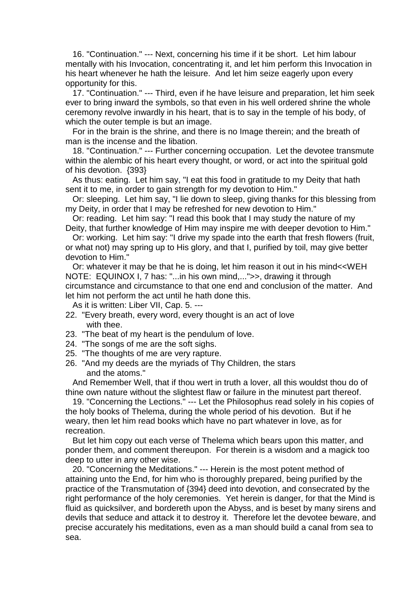16. "Continuation." --- Next, concerning his time if it be short. Let him labour mentally with his Invocation, concentrating it, and let him perform this Invocation in his heart whenever he hath the leisure. And let him seize eagerly upon every opportunity for this.

 17. "Continuation." --- Third, even if he have leisure and preparation, let him seek ever to bring inward the symbols, so that even in his well ordered shrine the whole ceremony revolve inwardly in his heart, that is to say in the temple of his body, of which the outer temple is but an image.

 For in the brain is the shrine, and there is no Image therein; and the breath of man is the incense and the libation.

 18. "Continuation." --- Further concerning occupation. Let the devotee transmute within the alembic of his heart every thought, or word, or act into the spiritual gold of his devotion. {393}

 As thus: eating. Let him say, "I eat this food in gratitude to my Deity that hath sent it to me, in order to gain strength for my devotion to Him."

 Or: sleeping. Let him say, "I lie down to sleep, giving thanks for this blessing from my Deity, in order that I may be refreshed for new devotion to Him."

 Or: reading. Let him say: "I read this book that I may study the nature of my Deity, that further knowledge of Him may inspire me with deeper devotion to Him."

 Or: working. Let him say: "I drive my spade into the earth that fresh flowers (fruit, or what not) may spring up to His glory, and that I, purified by toil, may give better devotion to Him."

 Or: whatever it may be that he is doing, let him reason it out in his mind<<WEH NOTE: EQUINOX I, 7 has: "...in his own mind,...">>, drawing it through circumstance and circumstance to that one end and conclusion of the matter. And let him not perform the act until he hath done this.

As it is written: Liber VII, Cap. 5. ---

- 22. "Every breath, every word, every thought is an act of love with thee.
- 23. "The beat of my heart is the pendulum of love.
- 24. "The songs of me are the soft sighs.
- 25. "The thoughts of me are very rapture.
- 26. "And my deeds are the myriads of Thy Children, the stars and the atoms."

 And Remember Well, that if thou wert in truth a lover, all this wouldst thou do of thine own nature without the slightest flaw or failure in the minutest part thereof.

 19. "Concerning the Lections." --- Let the Philosophus read solely in his copies of the holy books of Thelema, during the whole period of his devotion. But if he weary, then let him read books which have no part whatever in love, as for recreation.

 But let him copy out each verse of Thelema which bears upon this matter, and ponder them, and comment thereupon. For therein is a wisdom and a magick too deep to utter in any other wise.

 20. "Concerning the Meditations." --- Herein is the most potent method of attaining unto the End, for him who is thoroughly prepared, being purified by the practice of the Transmutation of {394} deed into devotion, and consecrated by the right performance of the holy ceremonies. Yet herein is danger, for that the Mind is fluid as quicksilver, and bordereth upon the Abyss, and is beset by many sirens and devils that seduce and attack it to destroy it. Therefore let the devotee beware, and precise accurately his meditations, even as a man should build a canal from sea to sea.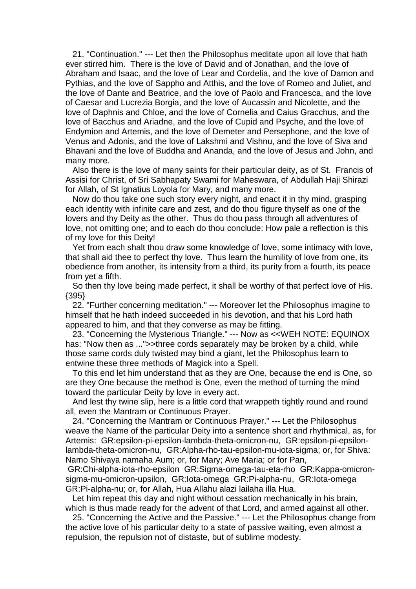21. "Continuation." --- Let then the Philosophus meditate upon all love that hath ever stirred him. There is the love of David and of Jonathan, and the love of Abraham and Isaac, and the love of Lear and Cordelia, and the love of Damon and Pythias, and the love of Sappho and Atthis, and the love of Romeo and Juliet, and the love of Dante and Beatrice, and the love of Paolo and Francesca, and the love of Caesar and Lucrezia Borgia, and the love of Aucassin and Nicolette, and the love of Daphnis and Chloe, and the love of Cornelia and Caius Gracchus, and the love of Bacchus and Ariadne, and the love of Cupid and Psyche, and the love of Endymion and Artemis, and the love of Demeter and Persephone, and the love of Venus and Adonis, and the love of Lakshmi and Vishnu, and the love of Siva and Bhavani and the love of Buddha and Ananda, and the love of Jesus and John, and many more.

 Also there is the love of many saints for their particular deity, as of St. Francis of Assisi for Christ, of Sri Sabhapaty Swami for Maheswara, of Abdullah Haji Shirazi for Allah, of St Ignatius Loyola for Mary, and many more.

 Now do thou take one such story every night, and enact it in thy mind, grasping each identity with infinite care and zest, and do thou figure thyself as one of the lovers and thy Deity as the other. Thus do thou pass through all adventures of love, not omitting one; and to each do thou conclude: How pale a reflection is this of my love for this Deity!

 Yet from each shalt thou draw some knowledge of love, some intimacy with love, that shall aid thee to perfect thy love. Thus learn the humility of love from one, its obedience from another, its intensity from a third, its purity from a fourth, its peace from yet a fifth.

 So then thy love being made perfect, it shall be worthy of that perfect love of His. {395}

 22. "Further concerning meditation." --- Moreover let the Philosophus imagine to himself that he hath indeed succeeded in his devotion, and that his Lord hath appeared to him, and that they converse as may be fitting.

 23. "Concerning the Mysterious Triangle." --- Now as <<WEH NOTE: EQUINOX has: "Now then as ...">>three cords separately may be broken by a child, while those same cords duly twisted may bind a giant, let the Philosophus learn to entwine these three methods of Magick into a Spell.

 To this end let him understand that as they are One, because the end is One, so are they One because the method is One, even the method of turning the mind toward the particular Deity by love in every act.

 And lest thy twine slip, here is a little cord that wrappeth tightly round and round all, even the Mantram or Continuous Prayer.

 24. "Concerning the Mantram or Continuous Prayer." --- Let the Philosophus weave the Name of the particular Deity into a sentence short and rhythmical, as, for Artemis: GR:epsilon-pi-epsilon-lambda-theta-omicron-nu, GR:epsilon-pi-epsilonlambda-theta-omicron-nu, GR:Alpha-rho-tau-epsilon-mu-iota-sigma; or, for Shiva: Namo Shivaya namaha Aum; or, for Mary; Ave Maria; or for Pan,

 GR:Chi-alpha-iota-rho-epsilon GR:Sigma-omega-tau-eta-rho GR:Kappa-omicronsigma-mu-omicron-upsilon, GR:Iota-omega GR:Pi-alpha-nu, GR:Iota-omega GR:Pi-alpha-nu; or, for Allah, Hua Allahu alazi lailaha illa Hua.

 Let him repeat this day and night without cessation mechanically in his brain, which is thus made ready for the advent of that Lord, and armed against all other.

 25. "Concerning the Active and the Passive." --- Let the Philosophus change from the active love of his particular deity to a state of passive waiting, even almost a repulsion, the repulsion not of distaste, but of sublime modesty.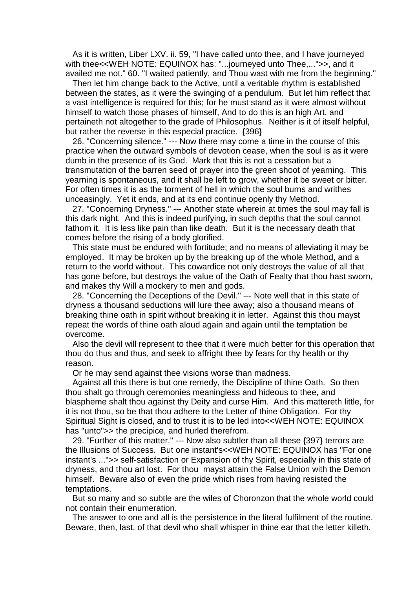As it is written, Liber LXV. ii. 59, "I have called unto thee, and I have journeyed with thee<<WEH NOTE: EQUINOX has: "...journeyed unto Thee,...">>, and it availed me not." 60. "I waited patiently, and Thou wast with me from the beginning."

 Then let him change back to the Active, until a veritable rhythm is established between the states, as it were the swinging of a pendulum. But let him reflect that a vast intelligence is required for this; for he must stand as it were almost without himself to watch those phases of himself, And to do this is an high Art, and pertaineth not altogether to the grade of Philosophus. Neither is it of itself helpful, but rather the reverse in this especial practice. {396}

 26. "Concerning silence." --- Now there may come a time in the course of this practice when the outward symbols of devotion cease, when the soul is as it were dumb in the presence of its God. Mark that this is not a cessation but a transmutation of the barren seed of prayer into the green shoot of yearning. This yearning is spontaneous, and it shall be left to grow, whether it be sweet or bitter. For often times it is as the torment of hell in which the soul burns and writhes unceasingly. Yet it ends, and at its end continue openly thy Method.

 27. "Concerning Dryness." --- Another state wherein at times the soul may fall is this dark night. And this is indeed purifying, in such depths that the soul cannot fathom it. It is less like pain than like death. But it is the necessary death that comes before the rising of a body glorified.

 This state must be endured with fortitude; and no means of alleviating it may be employed. It may be broken up by the breaking up of the whole Method, and a return to the world without. This cowardice not only destroys the value of all that has gone before, but destroys the value of the Oath of Fealty that thou hast sworn, and makes thy Will a mockery to men and gods.

 28. "Concerning the Deceptions of the Devil." --- Note well that in this state of dryness a thousand seductions will lure thee away; also a thousand means of breaking thine oath in spirit without breaking it in letter. Against this thou mayst repeat the words of thine oath aloud again and again until the temptation be overcome.

 Also the devil will represent to thee that it were much better for this operation that thou do thus and thus, and seek to affright thee by fears for thy health or thy reason.

Or he may send against thee visions worse than madness.

 Against all this there is but one remedy, the Discipline of thine Oath. So then thou shalt go through ceremonies meaningless and hideous to thee, and blaspheme shalt thou against thy Deity and curse Him. And this mattereth little, for it is not thou, so be that thou adhere to the Letter of thine Obligation. For thy Spiritual Sight is closed, and to trust it is to be led into<<WEH NOTE: EQUINOX has "unto">> the precipice, and hurled therefrom.

 29. "Further of this matter." --- Now also subtler than all these {397} terrors are the Illusions of Success. But one instant's<<WEH NOTE: EQUINOX has "For one instant's ...">> self-satisfaction or Expansion of thy Spirit, especially in this state of dryness, and thou art lost. For thou mayst attain the False Union with the Demon himself. Beware also of even the pride which rises from having resisted the temptations.

 But so many and so subtle are the wiles of Choronzon that the whole world could not contain their enumeration.

 The answer to one and all is the persistence in the literal fulfilment of the routine. Beware, then, last, of that devil who shall whisper in thine ear that the letter killeth,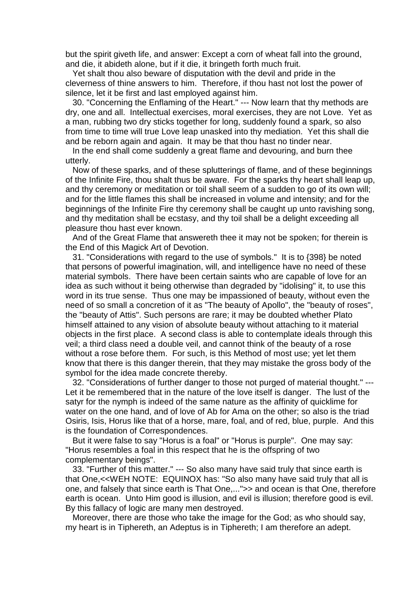but the spirit giveth life, and answer: Except a corn of wheat fall into the ground, and die, it abideth alone, but if it die, it bringeth forth much fruit.

 Yet shalt thou also beware of disputation with the devil and pride in the cleverness of thine answers to him. Therefore, if thou hast not lost the power of silence, let it be first and last employed against him.

 30. "Concerning the Enflaming of the Heart." --- Now learn that thy methods are dry, one and all. Intellectual exercises, moral exercises, they are not Love. Yet as a man, rubbing two dry sticks together for long, suddenly found a spark, so also from time to time will true Love leap unasked into thy mediation. Yet this shall die and be reborn again and again. It may be that thou hast no tinder near.

 In the end shall come suddenly a great flame and devouring, and burn thee utterly.

 Now of these sparks, and of these splutterings of flame, and of these beginnings of the Infinite Fire, thou shalt thus be aware. For the sparks thy heart shall leap up, and thy ceremony or meditation or toil shall seem of a sudden to go of its own will; and for the little flames this shall be increased in volume and intensity; and for the beginnings of the Infinite Fire thy ceremony shall be caught up unto ravishing song, and thy meditation shall be ecstasy, and thy toil shall be a delight exceeding all pleasure thou hast ever known.

 And of the Great Flame that answereth thee it may not be spoken; for therein is the End of this Magick Art of Devotion.

 31. "Considerations with regard to the use of symbols." It is to {398} be noted that persons of powerful imagination, will, and intelligence have no need of these material symbols. There have been certain saints who are capable of love for an idea as such without it being otherwise than degraded by "idolising" it, to use this word in its true sense. Thus one may be impassioned of beauty, without even the need of so small a concretion of it as "The beauty of Apollo", the "beauty of roses", the "beauty of Attis". Such persons are rare; it may be doubted whether Plato himself attained to any vision of absolute beauty without attaching to it material objects in the first place. A second class is able to contemplate ideals through this veil; a third class need a double veil, and cannot think of the beauty of a rose without a rose before them. For such, is this Method of most use; yet let them know that there is this danger therein, that they may mistake the gross body of the symbol for the idea made concrete thereby.

 32. "Considerations of further danger to those not purged of material thought." --- Let it be remembered that in the nature of the love itself is danger. The lust of the satyr for the nymph is indeed of the same nature as the affinity of quicklime for water on the one hand, and of love of Ab for Ama on the other; so also is the triad Osiris, Isis, Horus like that of a horse, mare, foal, and of red, blue, purple. And this is the foundation of Correspondences.

 But it were false to say "Horus is a foal" or "Horus is purple". One may say: "Horus resembles a foal in this respect that he is the offspring of two complementary beings".

 33. "Further of this matter." --- So also many have said truly that since earth is that One,<<WEH NOTE: EQUINOX has: "So also many have said truly that all is one, and falsely that since earth is That One,...">> and ocean is that One, therefore earth is ocean. Unto Him good is illusion, and evil is illusion; therefore good is evil. By this fallacy of logic are many men destroyed.

 Moreover, there are those who take the image for the God; as who should say, my heart is in Tiphereth, an Adeptus is in Tiphereth; I am therefore an adept.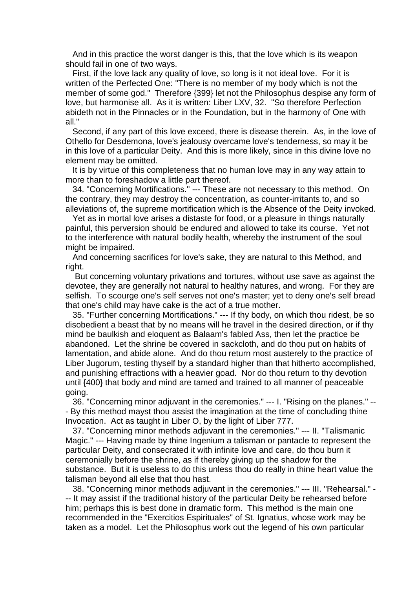And in this practice the worst danger is this, that the love which is its weapon should fail in one of two ways.

 First, if the love lack any quality of love, so long is it not ideal love. For it is written of the Perfected One: "There is no member of my body which is not the member of some god." Therefore {399} let not the Philosophus despise any form of love, but harmonise all. As it is written: Liber LXV, 32. "So therefore Perfection abideth not in the Pinnacles or in the Foundation, but in the harmony of One with all."

 Second, if any part of this love exceed, there is disease therein. As, in the love of Othello for Desdemona, love's jealousy overcame love's tenderness, so may it be in this love of a particular Deity. And this is more likely, since in this divine love no element may be omitted.

 It is by virtue of this completeness that no human love may in any way attain to more than to foreshadow a little part thereof.

 34. "Concerning Mortifications." --- These are not necessary to this method. On the contrary, they may destroy the concentration, as counter-irritants to, and so alleviations of, the supreme mortification which is the Absence of the Deity invoked.

 Yet as in mortal love arises a distaste for food, or a pleasure in things naturally painful, this perversion should be endured and allowed to take its course. Yet not to the interference with natural bodily health, whereby the instrument of the soul might be impaired.

 And concerning sacrifices for love's sake, they are natural to this Method, and right.

 But concerning voluntary privations and tortures, without use save as against the devotee, they are generally not natural to healthy natures, and wrong. For they are selfish. To scourge one's self serves not one's master; yet to deny one's self bread that one's child may have cake is the act of a true mother.

 35. "Further concerning Mortifications." --- If thy body, on which thou ridest, be so disobedient a beast that by no means will he travel in the desired direction, or if thy mind be baulkish and eloquent as Balaam's fabled Ass, then let the practice be abandoned. Let the shrine be covered in sackcloth, and do thou put on habits of lamentation, and abide alone. And do thou return most austerely to the practice of Liber Jugorum, testing thyself by a standard higher than that hitherto accomplished, and punishing effractions with a heavier goad. Nor do thou return to thy devotion until {400} that body and mind are tamed and trained to all manner of peaceable going.

 36. "Concerning minor adjuvant in the ceremonies." --- I. "Rising on the planes." -- - By this method mayst thou assist the imagination at the time of concluding thine Invocation. Act as taught in Liber O, by the light of Liber 777.

 37. "Concerning minor methods adjuvant in the ceremonies." --- II. "Talismanic Magic." --- Having made by thine Ingenium a talisman or pantacle to represent the particular Deity, and consecrated it with infinite love and care, do thou burn it ceremonially before the shrine, as if thereby giving up the shadow for the substance. But it is useless to do this unless thou do really in thine heart value the talisman beyond all else that thou hast.

 38. "Concerning minor methods adjuvant in the ceremonies." --- III. "Rehearsal." - -- It may assist if the traditional history of the particular Deity be rehearsed before him; perhaps this is best done in dramatic form. This method is the main one recommended in the "Exercitios Espirituales" of St. Ignatius, whose work may be taken as a model. Let the Philosophus work out the legend of his own particular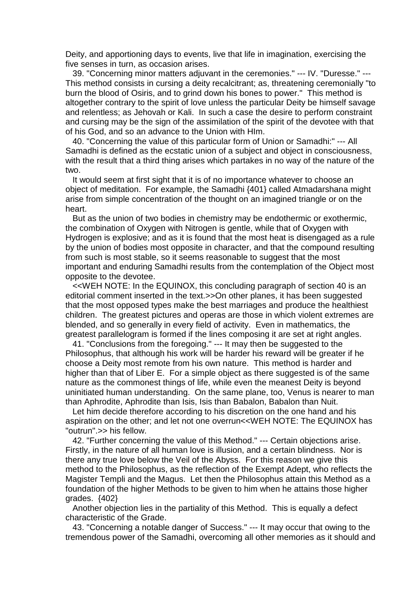Deity, and apportioning days to events, live that life in imagination, exercising the five senses in turn, as occasion arises.

 39. "Concerning minor matters adjuvant in the ceremonies." --- IV. "Duresse." --- This method consists in cursing a deity recalcitrant; as, threatening ceremonially "to burn the blood of Osiris, and to grind down his bones to power." This method is altogether contrary to the spirit of love unless the particular Deity be himself savage and relentless; as Jehovah or Kali. In such a case the desire to perform constraint and cursing may be the sign of the assimilation of the spirit of the devotee with that of his God, and so an advance to the Union with HIm.

 40. "Concerning the value of this particular form of Union or Samadhi:" --- All Samadhi is defined as the ecstatic union of a subject and object in consciousness, with the result that a third thing arises which partakes in no way of the nature of the two.

 It would seem at first sight that it is of no importance whatever to choose an object of meditation. For example, the Samadhi {401} called Atmadarshana might arise from simple concentration of the thought on an imagined triangle or on the heart.

 But as the union of two bodies in chemistry may be endothermic or exothermic, the combination of Oxygen with Nitrogen is gentle, while that of Oxygen with Hydrogen is explosive; and as it is found that the most heat is disengaged as a rule by the union of bodies most opposite in character, and that the compound resulting from such is most stable, so it seems reasonable to suggest that the most important and enduring Samadhi results from the contemplation of the Object most opposite to the devotee.

 <<WEH NOTE: In the EQUINOX, this concluding paragraph of section 40 is an editorial comment inserted in the text.>>On other planes, it has been suggested that the most opposed types make the best marriages and produce the healthiest children. The greatest pictures and operas are those in which violent extremes are blended, and so generally in every field of activity. Even in mathematics, the greatest parallelogram is formed if the lines composing it are set at right angles.

 41. "Conclusions from the foregoing." --- It may then be suggested to the Philosophus, that although his work will be harder his reward will be greater if he choose a Deity most remote from his own nature. This method is harder and higher than that of Liber E. For a simple object as there suggested is of the same nature as the commonest things of life, while even the meanest Deity is beyond uninitiated human understanding. On the same plane, too, Venus is nearer to man than Aphrodite, Aphrodite than Isis, Isis than Babalon, Babalon than Nuit.

 Let him decide therefore according to his discretion on the one hand and his aspiration on the other; and let not one overrun<<WEH NOTE: The EQUINOX has "outrun".>> his fellow.

 42. "Further concerning the value of this Method." --- Certain objections arise. Firstly, in the nature of all human love is illusion, and a certain blindness. Nor is there any true love below the Veil of the Abyss. For this reason we give this method to the Philosophus, as the reflection of the Exempt Adept, who reflects the Magister Templi and the Magus. Let then the Philosophus attain this Method as a foundation of the higher Methods to be given to him when he attains those higher grades. {402}

 Another objection lies in the partiality of this Method. This is equally a defect characteristic of the Grade.

 43. "Concerning a notable danger of Success." --- It may occur that owing to the tremendous power of the Samadhi, overcoming all other memories as it should and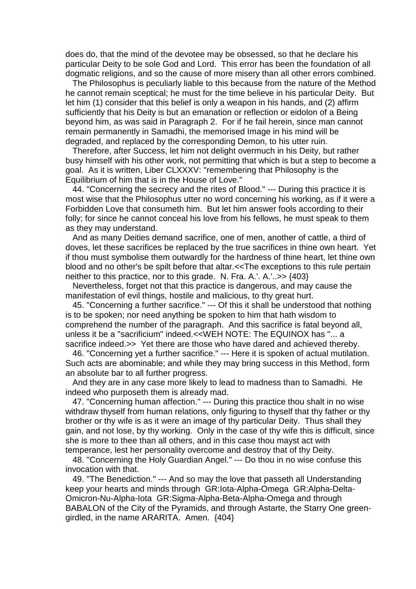does do, that the mind of the devotee may be obsessed, so that he declare his particular Deity to be sole God and Lord. This error has been the foundation of all dogmatic religions, and so the cause of more misery than all other errors combined.

 The Philosophus is peculiarly liable to this because from the nature of the Method he cannot remain sceptical; he must for the time believe in his particular Deity. But let him (1) consider that this belief is only a weapon in his hands, and (2) affirm sufficiently that his Deity is but an emanation or reflection or eidolon of a Being beyond him, as was said in Paragraph 2. For if he fail herein, since man cannot remain permanently in Samadhi, the memorised Image in his mind will be degraded, and replaced by the corresponding Demon, to his utter ruin.

 Therefore, after Success, let him not delight overmuch in his Deity, but rather busy himself with his other work, not permitting that which is but a step to become a goal. As it is written, Liber CLXXXV: "remembering that Philosophy is the Equilibrium of him that is in the House of Love."

 44. "Concerning the secrecy and the rites of Blood." --- During this practice it is most wise that the Philosophus utter no word concerning his working, as if it were a Forbidden Love that consumeth him. But let him answer fools according to their folly; for since he cannot conceal his love from his fellows, he must speak to them as they may understand.

 And as many Deities demand sacrifice, one of men, another of cattle, a third of doves, let these sacrifices be replaced by the true sacrifices in thine own heart. Yet if thou must symbolise them outwardly for the hardness of thine heart, let thine own blood and no other's be spilt before that altar.<<The exceptions to this rule pertain neither to this practice, nor to this grade. N. Fra. A.'. A.'..>> {403}

 Nevertheless, forget not that this practice is dangerous, and may cause the manifestation of evil things, hostile and malicious, to thy great hurt.

 45. "Concerning a further sacrifice." --- Of this it shall be understood that nothing is to be spoken; nor need anything be spoken to him that hath wisdom to comprehend the number of the paragraph. And this sacrifice is fatal beyond all, unless it be a "sacrificium" indeed.<<WEH NOTE: The EQUINOX has "... a sacrifice indeed.>> Yet there are those who have dared and achieved thereby.

 46. "Concerning yet a further sacrifice." --- Here it is spoken of actual mutilation. Such acts are abominable; and while they may bring success in this Method, form an absolute bar to all further progress.

 And they are in any case more likely to lead to madness than to Samadhi. He indeed who purposeth them is already mad.

 47. "Concerning human affection." --- During this practice thou shalt in no wise withdraw thyself from human relations, only figuring to thyself that thy father or thy brother or thy wife is as it were an image of thy particular Deity. Thus shall they gain, and not lose, by thy working. Only in the case of thy wife this is difficult, since she is more to thee than all others, and in this case thou mayst act with temperance, lest her personality overcome and destroy that of thy Deity.

 48. "Concerning the Holy Guardian Angel." --- Do thou in no wise confuse this invocation with that.

 49. "The Benediction." --- And so may the love that passeth all Understanding keep your hearts and minds through GR:Iota-Alpha-Omega GR:Alpha-Delta-Omicron-Nu-Alpha-Iota GR:Sigma-Alpha-Beta-Alpha-Omega and through BABALON of the City of the Pyramids, and through Astarte, the Starry One greengirdled, in the name ARARITA. Amen. {404}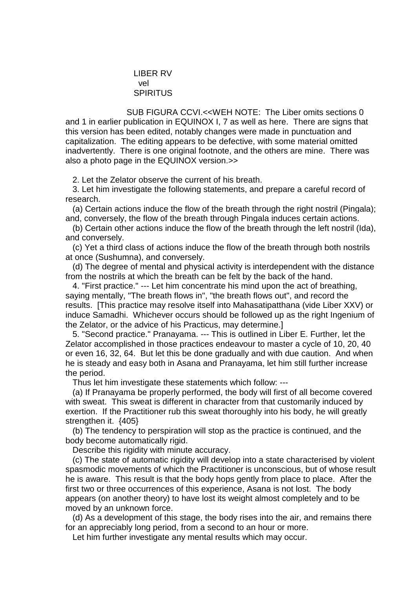## LIBER RV vel **SPIRITUS**

 SUB FIGURA CCVI.<<WEH NOTE: The Liber omits sections 0 and 1 in earlier publication in EQUINOX I, 7 as well as here. There are signs that this version has been edited, notably changes were made in punctuation and capitalization. The editing appears to be defective, with some material omitted inadvertently. There is one original footnote, and the others are mine. There was also a photo page in the EQUINOX version.>>

2. Let the Zelator observe the current of his breath.

 3. Let him investigate the following statements, and prepare a careful record of research.

 (a) Certain actions induce the flow of the breath through the right nostril (Pingala); and, conversely, the flow of the breath through Pingala induces certain actions.

 (b) Certain other actions induce the flow of the breath through the left nostril (Ida), and conversely.

 (c) Yet a third class of actions induce the flow of the breath through both nostrils at once (Sushumna), and conversely.

 (d) The degree of mental and physical activity is interdependent with the distance from the nostrils at which the breath can be felt by the back of the hand.

 4. "First practice." --- Let him concentrate his mind upon the act of breathing, saying mentally, "The breath flows in", "the breath flows out", and record the results. [This practice may resolve itself into Mahasatipatthana (vide Liber XXV) or induce Samadhi. Whichever occurs should be followed up as the right Ingenium of the Zelator, or the advice of his Practicus, may determine.]

 5. "Second practice." Pranayama. --- This is outlined in Liber E. Further, let the Zelator accomplished in those practices endeavour to master a cycle of 10, 20, 40 or even 16, 32, 64. But let this be done gradually and with due caution. And when he is steady and easy both in Asana and Pranayama, let him still further increase the period.

Thus let him investigate these statements which follow: ---

 (a) If Pranayama be properly performed, the body will first of all become covered with sweat. This sweat is different in character from that customarily induced by exertion. If the Practitioner rub this sweat thoroughly into his body, he will greatly strengthen it. {405}

 (b) The tendency to perspiration will stop as the practice is continued, and the body become automatically rigid.

Describe this rigidity with minute accuracy.

 (c) The state of automatic rigidity will develop into a state characterised by violent spasmodic movements of which the Practitioner is unconscious, but of whose result he is aware. This result is that the body hops gently from place to place. After the first two or three occurrences of this experience, Asana is not lost. The body appears (on another theory) to have lost its weight almost completely and to be moved by an unknown force.

 (d) As a development of this stage, the body rises into the air, and remains there for an appreciably long period, from a second to an hour or more.

Let him further investigate any mental results which may occur.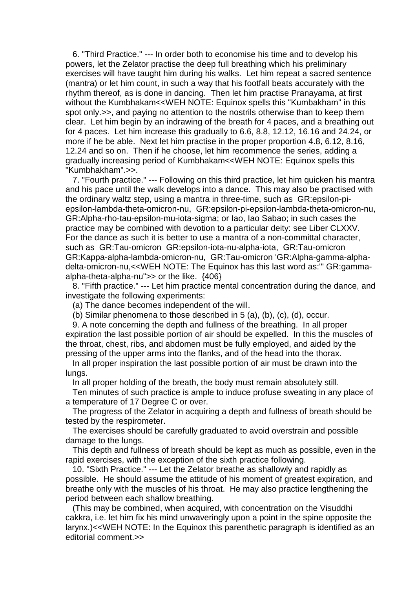6. "Third Practice." --- In order both to economise his time and to develop his powers, let the Zelator practise the deep full breathing which his preliminary exercises will have taught him during his walks. Let him repeat a sacred sentence (mantra) or let him count, in such a way that his footfall beats accurately with the rhythm thereof, as is done in dancing. Then let him practise Pranayama, at first without the Kumbhakam<<WEH NOTE: Equinox spells this "Kumbakham" in this spot only.>>, and paying no attention to the nostrils otherwise than to keep them clear. Let him begin by an indrawing of the breath for 4 paces, and a breathing out for 4 paces. Let him increase this gradually to 6.6, 8.8, 12.12, 16.16 and 24.24, or more if he be able. Next let him practise in the proper proportion 4.8, 6.12, 8.16, 12.24 and so on. Then if he choose, let him recommence the series, adding a gradually increasing period of Kumbhakam<<WEH NOTE: Equinox spells this "Kumbhakham".>>.

 7. "Fourth practice." --- Following on this third practice, let him quicken his mantra and his pace until the walk develops into a dance. This may also be practised with the ordinary waltz step, using a mantra in three-time, such as GR:epsilon-piepsilon-lambda-theta-omicron-nu, GR:epsilon-pi-epsilon-lambda-theta-omicron-nu, GR:Alpha-rho-tau-epsilon-mu-iota-sigma; or Iao, Iao Sabao; in such cases the practice may be combined with devotion to a particular deity: see Liber CLXXV. For the dance as such it is better to use a mantra of a non-committal character, such as GR:Tau-omicron GR:epsilon-iota-nu-alpha-iota, GR:Tau-omicron GR:Kappa-alpha-lambda-omicron-nu, GR:Tau-omicron 'GR:Alpha-gamma-alphadelta-omicron-nu,<<WEH NOTE: The Equinox has this last word as:"' GR:gammaalpha-theta-alpha-nu">> or the like. {406}

 8. "Fifth practice." --- Let him practice mental concentration during the dance, and investigate the following experiments:

(a) The dance becomes independent of the will.

(b) Similar phenomena to those described in 5 (a), (b), (c), (d), occur.

 9. A note concerning the depth and fullness of the breathing. In all proper expiration the last possible portion of air should be expelled. In this the muscles of the throat, chest, ribs, and abdomen must be fully employed, and aided by the pressing of the upper arms into the flanks, and of the head into the thorax.

 In all proper inspiration the last possible portion of air must be drawn into the lungs.

In all proper holding of the breath, the body must remain absolutely still.

 Ten minutes of such practice is ample to induce profuse sweating in any place of a temperature of 17 Degree C or over.

 The progress of the Zelator in acquiring a depth and fullness of breath should be tested by the respirometer.

 The exercises should be carefully graduated to avoid overstrain and possible damage to the lungs.

 This depth and fullness of breath should be kept as much as possible, even in the rapid exercises, with the exception of the sixth practice following.

 10. "Sixth Practice." --- Let the Zelator breathe as shallowly and rapidly as possible. He should assume the attitude of his moment of greatest expiration, and breathe only with the muscles of his throat. He may also practice lengthening the period between each shallow breathing.

 (This may be combined, when acquired, with concentration on the Visuddhi cakkra, i.e. let him fix his mind unwaveringly upon a point in the spine opposite the larynx.)<<WEH NOTE: In the Equinox this parenthetic paragraph is identified as an editorial comment.>>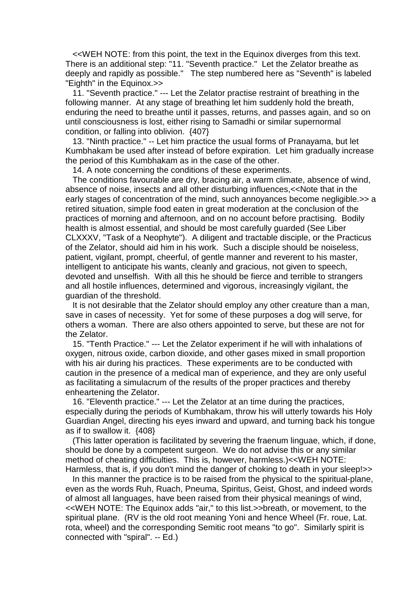<<WEH NOTE: from this point, the text in the Equinox diverges from this text. There is an additional step: "11. "Seventh practice." Let the Zelator breathe as deeply and rapidly as possible." The step numbered here as "Seventh" is labeled "Eighth" in the Equinox.>>

 11. "Seventh practice." --- Let the Zelator practise restraint of breathing in the following manner. At any stage of breathing let him suddenly hold the breath, enduring the need to breathe until it passes, returns, and passes again, and so on until consciousness is lost, either rising to Samadhi or similar supernormal condition, or falling into oblivion. {407}

 13. "Ninth practice." -- Let him practice the usual forms of Pranayama, but let Kumbhakam be used after instead of before expiration. Let him gradually increase the period of this Kumbhakam as in the case of the other.

14. A note concerning the conditions of these experiments.

 The conditions favourable are dry, bracing air, a warm climate, absence of wind, absence of noise, insects and all other disturbing influences,<<Note that in the early stages of concentration of the mind, such annoyances become negligible.>> a retired situation, simple food eaten in great moderation at the conclusion of the practices of morning and afternoon, and on no account before practising. Bodily health is almost essential, and should be most carefully guarded (See Liber CLXXXV, "Task of a Neophyte"). A diligent and tractable disciple, or the Practicus of the Zelator, should aid him in his work. Such a disciple should be noiseless, patient, vigilant, prompt, cheerful, of gentle manner and reverent to his master, intelligent to anticipate his wants, cleanly and gracious, not given to speech, devoted and unselfish. With all this he should be fierce and terrible to strangers and all hostile influences, determined and vigorous, increasingly vigilant, the guardian of the threshold.

 It is not desirable that the Zelator should employ any other creature than a man, save in cases of necessity. Yet for some of these purposes a dog will serve, for others a woman. There are also others appointed to serve, but these are not for the Zelator.

 15. "Tenth Practice." --- Let the Zelator experiment if he will with inhalations of oxygen, nitrous oxide, carbon dioxide, and other gases mixed in small proportion with his air during his practices. These experiments are to be conducted with caution in the presence of a medical man of experience, and they are only useful as facilitating a simulacrum of the results of the proper practices and thereby enheartening the Zelator.

 16. "Eleventh practice." --- Let the Zelator at an time during the practices, especially during the periods of Kumbhakam, throw his will utterly towards his Holy Guardian Angel, directing his eyes inward and upward, and turning back his tongue as if to swallow it. {408}

 (This latter operation is facilitated by severing the fraenum linguae, which, if done, should be done by a competent surgeon. We do not advise this or any similar method of cheating difficulties. This is, however, harmless.)<<WEH NOTE: Harmless, that is, if you don't mind the danger of choking to death in your sleep!>>

 In this manner the practice is to be raised from the physical to the spiritual-plane, even as the words Ruh, Ruach, Pneuma, Spiritus, Geist, Ghost, and indeed words of almost all languages, have been raised from their physical meanings of wind, <<WEH NOTE: The Equinox adds "air," to this list.>>breath, or movement, to the spiritual plane. (RV is the old root meaning Yoni and hence Wheel (Fr. roue, Lat. rota, wheel) and the corresponding Semitic root means "to go". Similarly spirit is connected with "spiral". -- Ed.)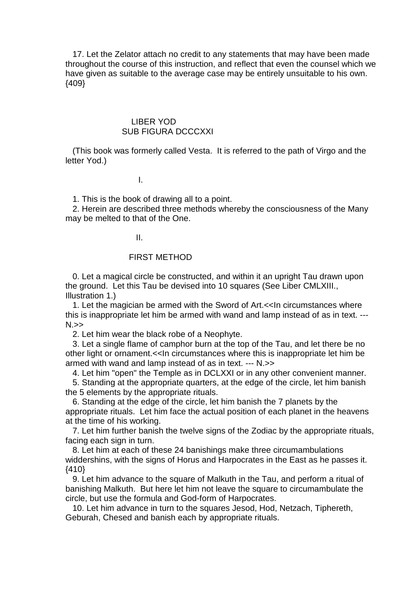17. Let the Zelator attach no credit to any statements that may have been made throughout the course of this instruction, and reflect that even the counsel which we have given as suitable to the average case may be entirely unsuitable to his own. {409}

## LIBER YOD SUB FIGURA DCCCXXI

 (This book was formerly called Vesta. It is referred to the path of Virgo and the letter Yod.)

**I.** The contract of the contract of

1. This is the book of drawing all to a point.

 2. Herein are described three methods whereby the consciousness of the Many may be melted to that of the One.

#### **II. II.**

# FIRST METHOD

 0. Let a magical circle be constructed, and within it an upright Tau drawn upon the ground. Let this Tau be devised into 10 squares (See Liber CMLXIII., Illustration 1.)

 1. Let the magician be armed with the Sword of Art.<<In circumstances where this is inappropriate let him be armed with wand and lamp instead of as in text. ---  $N.$ 

2. Let him wear the black robe of a Neophyte.

 3. Let a single flame of camphor burn at the top of the Tau, and let there be no other light or ornament.<<In circumstances where this is inappropriate let him be armed with wand and lamp instead of as in text. --- N.>>

4. Let him "open" the Temple as in DCLXXI or in any other convenient manner.

 5. Standing at the appropriate quarters, at the edge of the circle, let him banish the 5 elements by the appropriate rituals.

 6. Standing at the edge of the circle, let him banish the 7 planets by the appropriate rituals. Let him face the actual position of each planet in the heavens at the time of his working.

 7. Let him further banish the twelve signs of the Zodiac by the appropriate rituals, facing each sign in turn.

 8. Let him at each of these 24 banishings make three circumambulations widdershins, with the signs of Horus and Harpocrates in the East as he passes it. {410}

 9. Let him advance to the square of Malkuth in the Tau, and perform a ritual of banishing Malkuth. But here let him not leave the square to circumambulate the circle, but use the formula and God-form of Harpocrates.

 10. Let him advance in turn to the squares Jesod, Hod, Netzach, Tiphereth, Geburah, Chesed and banish each by appropriate rituals.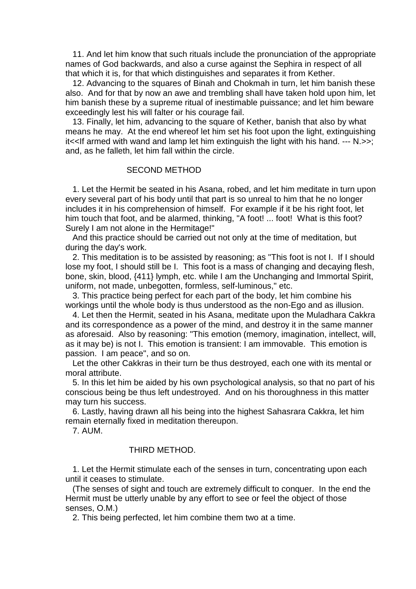11. And let him know that such rituals include the pronunciation of the appropriate names of God backwards, and also a curse against the Sephira in respect of all that which it is, for that which distinguishes and separates it from Kether.

 12. Advancing to the squares of Binah and Chokmah in turn, let him banish these also. And for that by now an awe and trembling shall have taken hold upon him, let him banish these by a supreme ritual of inestimable puissance; and let him beware exceedingly lest his will falter or his courage fail.

 13. Finally, let him, advancing to the square of Kether, banish that also by what means he may. At the end whereof let him set his foot upon the light, extinguishing it<<If armed with wand and lamp let him extinguish the light with his hand. --- N.>>; and, as he falleth, let him fall within the circle.

# SECOND METHOD

 1. Let the Hermit be seated in his Asana, robed, and let him meditate in turn upon every several part of his body until that part is so unreal to him that he no longer includes it in his comprehension of himself. For example if it be his right foot, let him touch that foot, and be alarmed, thinking, "A foot! ... foot! What is this foot? Surely I am not alone in the Hermitage!"

 And this practice should be carried out not only at the time of meditation, but during the day's work.

 2. This meditation is to be assisted by reasoning; as "This foot is not I. If I should lose my foot, I should still be I. This foot is a mass of changing and decaying flesh, bone, skin, blood, {411} lymph, etc. while I am the Unchanging and Immortal Spirit, uniform, not made, unbegotten, formless, self-luminous," etc.

 3. This practice being perfect for each part of the body, let him combine his workings until the whole body is thus understood as the non-Ego and as illusion.

 4. Let then the Hermit, seated in his Asana, meditate upon the Muladhara Cakkra and its correspondence as a power of the mind, and destroy it in the same manner as aforesaid. Also by reasoning: "This emotion (memory, imagination, intellect, will, as it may be) is not I. This emotion is transient: I am immovable. This emotion is passion. I am peace", and so on.

 Let the other Cakkras in their turn be thus destroyed, each one with its mental or moral attribute.

 5. In this let him be aided by his own psychological analysis, so that no part of his conscious being be thus left undestroyed. And on his thoroughness in this matter may turn his success.

 6. Lastly, having drawn all his being into the highest Sahasrara Cakkra, let him remain eternally fixed in meditation thereupon.

7. AUM.

#### THIRD METHOD.

 1. Let the Hermit stimulate each of the senses in turn, concentrating upon each until it ceases to stimulate.

 (The senses of sight and touch are extremely difficult to conquer. In the end the Hermit must be utterly unable by any effort to see or feel the object of those senses, O.M.)

2. This being perfected, let him combine them two at a time.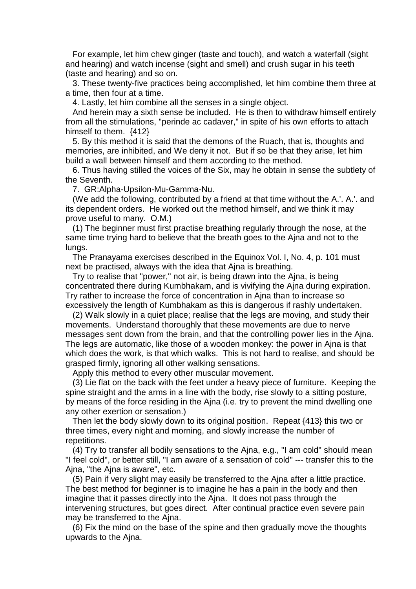For example, let him chew ginger (taste and touch), and watch a waterfall (sight and hearing) and watch incense (sight and smell) and crush sugar in his teeth (taste and hearing) and so on.

 3. These twenty-five practices being accomplished, let him combine them three at a time, then four at a time.

4. Lastly, let him combine all the senses in a single object.

 And herein may a sixth sense be included. He is then to withdraw himself entirely from all the stimulations, "perinde ac cadaver," in spite of his own efforts to attach himself to them.  $\{412\}$ 

 5. By this method it is said that the demons of the Ruach, that is, thoughts and memories, are inhibited, and We deny it not. But if so be that they arise, let him build a wall between himself and them according to the method.

 6. Thus having stilled the voices of the Six, may he obtain in sense the subtlety of the Seventh.

7. GR:Alpha-Upsilon-Mu-Gamma-Nu.

 (We add the following, contributed by a friend at that time without the A.'. A.'. and its dependent orders. He worked out the method himself, and we think it may prove useful to many. O.M.)

 (1) The beginner must first practise breathing regularly through the nose, at the same time trying hard to believe that the breath goes to the Ajna and not to the lungs.

 The Pranayama exercises described in the Equinox Vol. I, No. 4, p. 101 must next be practised, always with the idea that Ajna is breathing.

 Try to realise that "power," not air, is being drawn into the Ajna, is being concentrated there during Kumbhakam, and is vivifying the Ajna during expiration. Try rather to increase the force of concentration in Ajna than to increase so excessively the length of Kumbhakam as this is dangerous if rashly undertaken.

 (2) Walk slowly in a quiet place; realise that the legs are moving, and study their movements. Understand thoroughly that these movements are due to nerve messages sent down from the brain, and that the controlling power lies in the Ajna. The legs are automatic, like those of a wooden monkey: the power in Ajna is that which does the work, is that which walks. This is not hard to realise, and should be grasped firmly, ignoring all other walking sensations.

Apply this method to every other muscular movement.

 (3) Lie flat on the back with the feet under a heavy piece of furniture. Keeping the spine straight and the arms in a line with the body, rise slowly to a sitting posture, by means of the force residing in the Ajna (i.e. try to prevent the mind dwelling one any other exertion or sensation.)

 Then let the body slowly down to its original position. Repeat {413} this two or three times, every night and morning, and slowly increase the number of repetitions.

 (4) Try to transfer all bodily sensations to the Ajna, e.g., "I am cold" should mean "I feel cold", or better still, "I am aware of a sensation of cold" --- transfer this to the Ajna, "the Ajna is aware", etc.

 (5) Pain if very slight may easily be transferred to the Ajna after a little practice. The best method for beginner is to imagine he has a pain in the body and then imagine that it passes directly into the Ajna. It does not pass through the intervening structures, but goes direct. After continual practice even severe pain may be transferred to the Ajna.

 (6) Fix the mind on the base of the spine and then gradually move the thoughts upwards to the Ajna.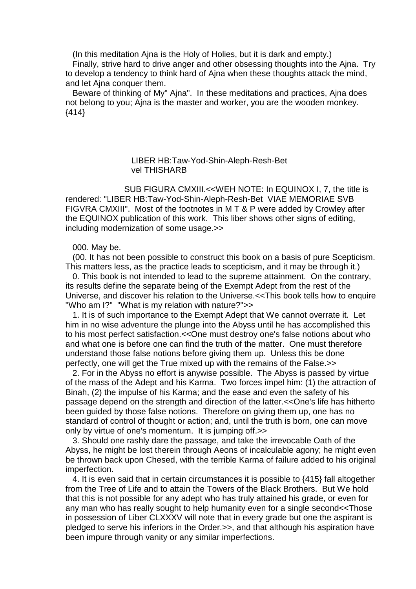(In this meditation Ajna is the Holy of Holies, but it is dark and empty.)

 Finally, strive hard to drive anger and other obsessing thoughts into the Ajna. Try to develop a tendency to think hard of Ajna when these thoughts attack the mind, and let Ajna conquer them.

 Beware of thinking of My" Ajna". In these meditations and practices, Ajna does not belong to you; Ajna is the master and worker, you are the wooden monkey. {414}

> LIBER HB:Taw-Yod-Shin-Aleph-Resh-Bet vel THISHARB

 SUB FIGURA CMXIII.<<WEH NOTE: In EQUINOX I, 7, the title is rendered: "LIBER HB:Taw-Yod-Shin-Aleph-Resh-Bet VIAE MEMORIAE SVB FIGVRA CMXIII". Most of the footnotes in M T & P were added by Crowley after the EQUINOX publication of this work. This liber shows other signs of editing, including modernization of some usage.>>

000. May be.

 (00. It has not been possible to construct this book on a basis of pure Scepticism. This matters less, as the practice leads to scepticism, and it may be through it.)

 0. This book is not intended to lead to the supreme attainment. On the contrary, its results define the separate being of the Exempt Adept from the rest of the Universe, and discover his relation to the Universe.<<This book tells how to enquire "Who am I?" "What is my relation with nature?">>

 1. It is of such importance to the Exempt Adept that We cannot overrate it. Let him in no wise adventure the plunge into the Abyss until he has accomplished this to his most perfect satisfaction.<< One must destroy one's false notions about who and what one is before one can find the truth of the matter. One must therefore understand those false notions before giving them up. Unless this be done perfectly, one will get the True mixed up with the remains of the False.>>

 2. For in the Abyss no effort is anywise possible. The Abyss is passed by virtue of the mass of the Adept and his Karma. Two forces impel him: (1) the attraction of Binah, (2) the impulse of his Karma; and the ease and even the safety of his passage depend on the strength and direction of the latter.<<One's life has hitherto been guided by those false notions. Therefore on giving them up, one has no standard of control of thought or action; and, until the truth is born, one can move only by virtue of one's momentum. It is jumping off.>>

 3. Should one rashly dare the passage, and take the irrevocable Oath of the Abyss, he might be lost therein through Aeons of incalculable agony; he might even be thrown back upon Chesed, with the terrible Karma of failure added to his original imperfection.

 4. It is even said that in certain circumstances it is possible to {415} fall altogether from the Tree of Life and to attain the Towers of the Black Brothers. But We hold that this is not possible for any adept who has truly attained his grade, or even for any man who has really sought to help humanity even for a single second<<Those in possession of Liber CLXXXV will note that in every grade but one the aspirant is pledged to serve his inferiors in the Order.>>, and that although his aspiration have been impure through vanity or any similar imperfections.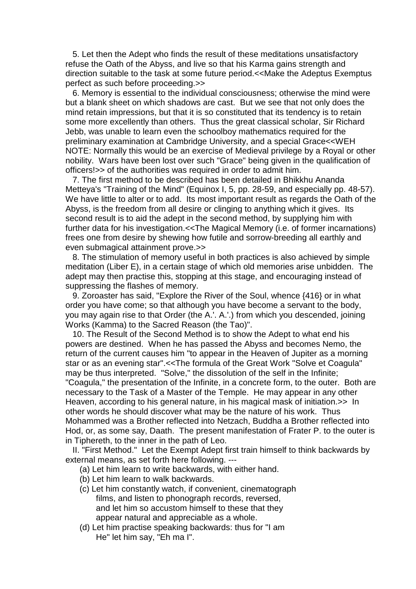5. Let then the Adept who finds the result of these meditations unsatisfactory refuse the Oath of the Abyss, and live so that his Karma gains strength and direction suitable to the task at some future period.<<Make the Adeptus Exemptus perfect as such before proceeding.>>

 6. Memory is essential to the individual consciousness; otherwise the mind were but a blank sheet on which shadows are cast. But we see that not only does the mind retain impressions, but that it is so constituted that its tendency is to retain some more excellently than others. Thus the great classical scholar, Sir Richard Jebb, was unable to learn even the schoolboy mathematics required for the preliminary examination at Cambridge University, and a special Grace<<WEH NOTE: Normally this would be an exercise of Medieval privilege by a Royal or other nobility. Wars have been lost over such "Grace" being given in the qualification of officers!>> of the authorities was required in order to admit him.

 7. The first method to be described has been detailed in Bhikkhu Ananda Metteya's "Training of the Mind" (Equinox I, 5, pp. 28-59, and especially pp. 48-57). We have little to alter or to add. Its most important result as regards the Oath of the Abyss, is the freedom from all desire or clinging to anything which it gives. Its second result is to aid the adept in the second method, by supplying him with further data for his investigation.<<The Magical Memory (i.e. of former incarnations) frees one from desire by shewing how futile and sorrow-breeding all earthly and even submagical attainment prove.>>

 8. The stimulation of memory useful in both practices is also achieved by simple meditation (Liber E), in a certain stage of which old memories arise unbidden. The adept may then practise this, stopping at this stage, and encouraging instead of suppressing the flashes of memory.

 9. Zoroaster has said, "Explore the River of the Soul, whence {416} or in what order you have come; so that although you have become a servant to the body, you may again rise to that Order (the A.'. A.'.) from which you descended, joining Works (Kamma) to the Sacred Reason (the Tao)".

 10. The Result of the Second Method is to show the Adept to what end his powers are destined. When he has passed the Abyss and becomes Nemo, the return of the current causes him "to appear in the Heaven of Jupiter as a morning star or as an evening star".<<The formula of the Great Work "Solve et Coagula" may be thus interpreted. "Solve," the dissolution of the self in the Infinite; "Coagula," the presentation of the Infinite, in a concrete form, to the outer. Both are necessary to the Task of a Master of the Temple. He may appear in any other Heaven, according to his general nature, in his magical mask of initiation.>> In other words he should discover what may be the nature of his work. Thus Mohammed was a Brother reflected into Netzach, Buddha a Brother reflected into Hod, or, as some say, Daath. The present manifestation of Frater P. to the outer is in Tiphereth, to the inner in the path of Leo.

 II. "First Method." Let the Exempt Adept first train himself to think backwards by external means, as set forth here following. ---

(a) Let him learn to write backwards, with either hand.

- (b) Let him learn to walk backwards.
- (c) Let him constantly watch, if convenient, cinematograph films, and listen to phonograph records, reversed, and let him so accustom himself to these that they appear natural and appreciable as a whole.
- (d) Let him practise speaking backwards: thus for "I am He" let him say, "Eh ma I".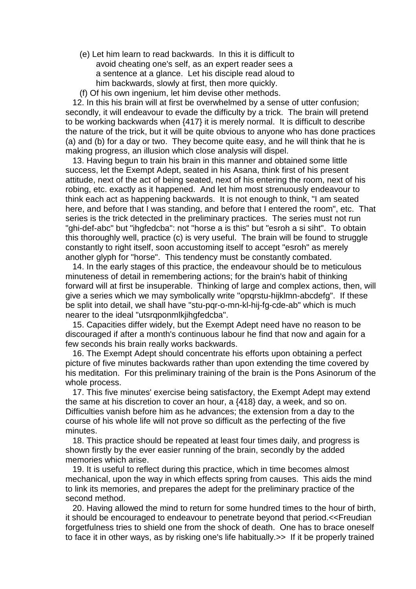- (e) Let him learn to read backwards. In this it is difficult to avoid cheating one's self, as an expert reader sees a a sentence at a glance. Let his disciple read aloud to him backwards, slowly at first, then more quickly.
- (f) Of his own ingenium, let him devise other methods.

 12. In this his brain will at first be overwhelmed by a sense of utter confusion; secondly, it will endeavour to evade the difficulty by a trick. The brain will pretend to be working backwards when {417} it is merely normal. It is difficult to describe the nature of the trick, but it will be quite obvious to anyone who has done practices (a) and (b) for a day or two. They become quite easy, and he will think that he is making progress, an illusion which close analysis will dispel.

 13. Having begun to train his brain in this manner and obtained some little success, let the Exempt Adept, seated in his Asana, think first of his present attitude, next of the act of being seated, next of his entering the room, next of his robing, etc. exactly as it happened. And let him most strenuously endeavour to think each act as happening backwards. It is not enough to think, "I am seated here, and before that I was standing, and before that I entered the room", etc. That series is the trick detected in the preliminary practices. The series must not run "ghi-def-abc" but "ihgfedcba": not "horse a is this" but "esroh a si siht". To obtain this thoroughly well, practice (c) is very useful. The brain will be found to struggle constantly to right itself, soon accustoming itself to accept "esroh" as merely another glyph for "horse". This tendency must be constantly combated.

 14. In the early stages of this practice, the endeavour should be to meticulous minuteness of detail in remembering actions; for the brain's habit of thinking forward will at first be insuperable. Thinking of large and complex actions, then, will give a series which we may symbolically write "opqrstu-hijklmn-abcdefg". If these be split into detail, we shall have "stu-pqr-o-mn-kl-hij-fg-cde-ab" which is much nearer to the ideal "utsrqponmlkjihgfedcba".

 15. Capacities differ widely, but the Exempt Adept need have no reason to be discouraged if after a month's continuous labour he find that now and again for a few seconds his brain really works backwards.

 16. The Exempt Adept should concentrate his efforts upon obtaining a perfect picture of five minutes backwards rather than upon extending the time covered by his meditation. For this preliminary training of the brain is the Pons Asinorum of the whole process.

 17. This five minutes' exercise being satisfactory, the Exempt Adept may extend the same at his discretion to cover an hour, a {418} day, a week, and so on. Difficulties vanish before him as he advances; the extension from a day to the course of his whole life will not prove so difficult as the perfecting of the five minutes.

 18. This practice should be repeated at least four times daily, and progress is shown firstly by the ever easier running of the brain, secondly by the added memories which arise.

 19. It is useful to reflect during this practice, which in time becomes almost mechanical, upon the way in which effects spring from causes. This aids the mind to link its memories, and prepares the adept for the preliminary practice of the second method.

 20. Having allowed the mind to return for some hundred times to the hour of birth, it should be encouraged to endeavour to penetrate beyond that period.<<Freudian forgetfulness tries to shield one from the shock of death. One has to brace oneself to face it in other ways, as by risking one's life habitually.>> If it be properly trained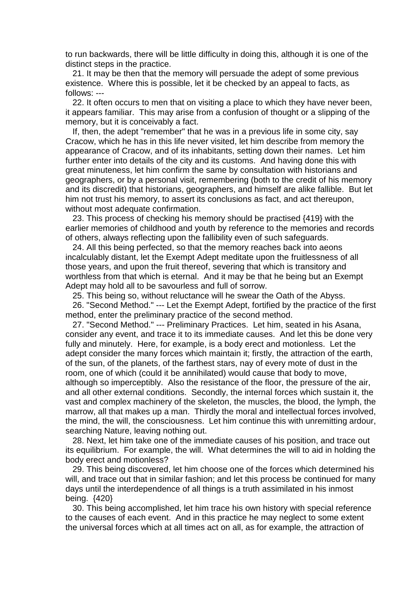to run backwards, there will be little difficulty in doing this, although it is one of the distinct steps in the practice.

 21. It may be then that the memory will persuade the adept of some previous existence. Where this is possible, let it be checked by an appeal to facts, as follows: ---

 22. It often occurs to men that on visiting a place to which they have never been, it appears familiar. This may arise from a confusion of thought or a slipping of the memory, but it is conceivably a fact.

 If, then, the adept "remember" that he was in a previous life in some city, say Cracow, which he has in this life never visited, let him describe from memory the appearance of Cracow, and of its inhabitants, setting down their names. Let him further enter into details of the city and its customs. And having done this with great minuteness, let him confirm the same by consultation with historians and geographers, or by a personal visit, remembering (both to the credit of his memory and its discredit) that historians, geographers, and himself are alike fallible. But let him not trust his memory, to assert its conclusions as fact, and act thereupon, without most adequate confirmation.

 23. This process of checking his memory should be practised {419} with the earlier memories of childhood and youth by reference to the memories and records of others, always reflecting upon the fallibility even of such safeguards.

 24. All this being perfected, so that the memory reaches back into aeons incalculably distant, let the Exempt Adept meditate upon the fruitlessness of all those years, and upon the fruit thereof, severing that which is transitory and worthless from that which is eternal. And it may be that he being but an Exempt Adept may hold all to be savourless and full of sorrow.

25. This being so, without reluctance will he swear the Oath of the Abyss.

 26. "Second Method." --- Let the Exempt Adept, fortified by the practice of the first method, enter the preliminary practice of the second method.

 27. "Second Method." --- Preliminary Practices. Let him, seated in his Asana, consider any event, and trace it to its immediate causes. And let this be done very fully and minutely. Here, for example, is a body erect and motionless. Let the adept consider the many forces which maintain it; firstly, the attraction of the earth, of the sun, of the planets, of the farthest stars, nay of every mote of dust in the room, one of which (could it be annihilated) would cause that body to move, although so imperceptibly. Also the resistance of the floor, the pressure of the air, and all other external conditions. Secondly, the internal forces which sustain it, the vast and complex machinery of the skeleton, the muscles, the blood, the lymph, the marrow, all that makes up a man. Thirdly the moral and intellectual forces involved, the mind, the will, the consciousness. Let him continue this with unremitting ardour, searching Nature, leaving nothing out.

 28. Next, let him take one of the immediate causes of his position, and trace out its equilibrium. For example, the will. What determines the will to aid in holding the body erect and motionless?

 29. This being discovered, let him choose one of the forces which determined his will, and trace out that in similar fashion; and let this process be continued for many days until the interdependence of all things is a truth assimilated in his inmost being. {420}

 30. This being accomplished, let him trace his own history with special reference to the causes of each event. And in this practice he may neglect to some extent the universal forces which at all times act on all, as for example, the attraction of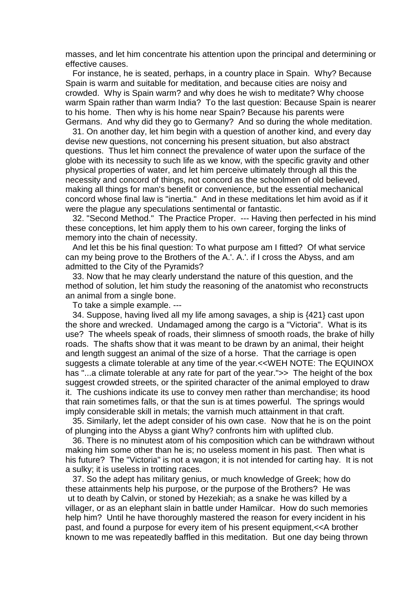masses, and let him concentrate his attention upon the principal and determining or effective causes.

 For instance, he is seated, perhaps, in a country place in Spain. Why? Because Spain is warm and suitable for meditation, and because cities are noisy and crowded. Why is Spain warm? and why does he wish to meditate? Why choose warm Spain rather than warm India? To the last question: Because Spain is nearer to his home. Then why is his home near Spain? Because his parents were Germans. And why did they go to Germany? And so during the whole meditation.

 31. On another day, let him begin with a question of another kind, and every day devise new questions, not concerning his present situation, but also abstract questions. Thus let him connect the prevalence of water upon the surface of the globe with its necessity to such life as we know, with the specific gravity and other physical properties of water, and let him perceive ultimately through all this the necessity and concord of things, not concord as the schoolmen of old believed, making all things for man's benefit or convenience, but the essential mechanical concord whose final law is "inertia." And in these meditations let him avoid as if it were the plague any speculations sentimental or fantastic.

 32. "Second Method." The Practice Proper. --- Having then perfected in his mind these conceptions, let him apply them to his own career, forging the links of memory into the chain of necessity.

 And let this be his final question: To what purpose am I fitted? Of what service can my being prove to the Brothers of the A.'. A.'. if I cross the Abyss, and am admitted to the City of the Pyramids?

 33. Now that he may clearly understand the nature of this question, and the method of solution, let him study the reasoning of the anatomist who reconstructs an animal from a single bone.

To take a simple example. ---

 34. Suppose, having lived all my life among savages, a ship is {421} cast upon the shore and wrecked. Undamaged among the cargo is a "Victoria". What is its use? The wheels speak of roads, their slimness of smooth roads, the brake of hilly roads. The shafts show that it was meant to be drawn by an animal, their height and length suggest an animal of the size of a horse. That the carriage is open suggests a climate tolerable at any time of the year.<<WEH NOTE: The EQUINOX has "...a climate tolerable at any rate for part of the year.">> The height of the box suggest crowded streets, or the spirited character of the animal employed to draw it. The cushions indicate its use to convey men rather than merchandise; its hood that rain sometimes falls, or that the sun is at times powerful. The springs would imply considerable skill in metals; the varnish much attainment in that craft.

 35. Similarly, let the adept consider of his own case. Now that he is on the point of plunging into the Abyss a giant Why? confronts him with uplifted club.

 36. There is no minutest atom of his composition which can be withdrawn without making him some other than he is; no useless moment in his past. Then what is his future? The "Victoria" is not a wagon; it is not intended for carting hay. It is not a sulky; it is useless in trotting races.

 37. So the adept has military genius, or much knowledge of Greek; how do these attainments help his purpose, or the purpose of the Brothers? He was ut to death by Calvin, or stoned by Hezekiah; as a snake he was killed by a villager, or as an elephant slain in battle under Hamilcar. How do such memories help him? Until he have thoroughly mastered the reason for every incident in his past, and found a purpose for every item of his present equipment,<<A brother known to me was repeatedly baffled in this meditation. But one day being thrown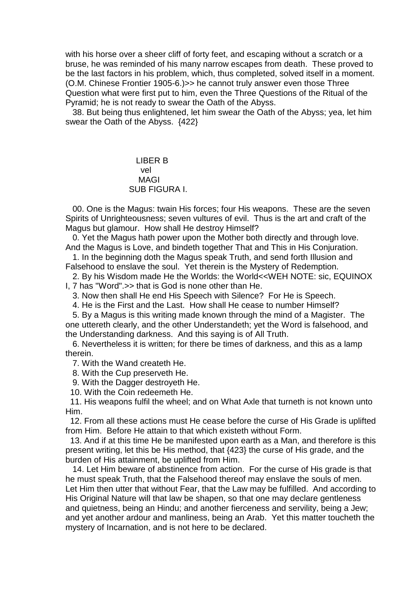with his horse over a sheer cliff of forty feet, and escaping without a scratch or a bruse, he was reminded of his many narrow escapes from death. These proved to be the last factors in his problem, which, thus completed, solved itself in a moment. (O.M. Chinese Frontier 1905-6.)>> he cannot truly answer even those Three Question what were first put to him, even the Three Questions of the Ritual of the Pyramid; he is not ready to swear the Oath of the Abyss.

 38. But being thus enlightened, let him swear the Oath of the Abyss; yea, let him swear the Oath of the Abyss. {422}

> LIBER B vel MAGI SUB FIGURA I.

 00. One is the Magus: twain His forces; four His weapons. These are the seven Spirits of Unrighteousness; seven vultures of evil. Thus is the art and craft of the Magus but glamour. How shall He destroy Himself?

 0. Yet the Magus hath power upon the Mother both directly and through love. And the Magus is Love, and bindeth together That and This in His Conjuration.

 1. In the beginning doth the Magus speak Truth, and send forth Illusion and Falsehood to enslave the soul. Yet therein is the Mystery of Redemption.

2. By his Wisdom made He the Worlds: the World<<WEH NOTE: sic, EQUINOX

I, 7 has "Word".>> that is God is none other than He.

3. Now then shall He end His Speech with Silence? For He is Speech.

4. He is the First and the Last. How shall He cease to number Himself?

 5. By a Magus is this writing made known through the mind of a Magister. The one uttereth clearly, and the other Understandeth; yet the Word is falsehood, and the Understanding darkness. And this saying is of All Truth.

 6. Nevertheless it is written; for there be times of darkness, and this as a lamp therein.

7. With the Wand createth He.

8. With the Cup preserveth He.

9. With the Dagger destroyeth He.

10. With the Coin redeemeth He.

 11. His weapons fulfil the wheel; and on What Axle that turneth is not known unto Him.

 12. From all these actions must He cease before the curse of His Grade is uplifted from Him. Before He attain to that which existeth without Form.

 13. And if at this time He be manifested upon earth as a Man, and therefore is this present writing, let this be His method, that {423} the curse of His grade, and the burden of His attainment, be uplifted from Him.

 14. Let Him beware of abstinence from action. For the curse of His grade is that he must speak Truth, that the Falsehood thereof may enslave the souls of men. Let Him then utter that without Fear, that the Law may be fulfilled. And according to His Original Nature will that law be shapen, so that one may declare gentleness and quietness, being an Hindu; and another fierceness and servility, being a Jew; and yet another ardour and manliness, being an Arab. Yet this matter toucheth the mystery of Incarnation, and is not here to be declared.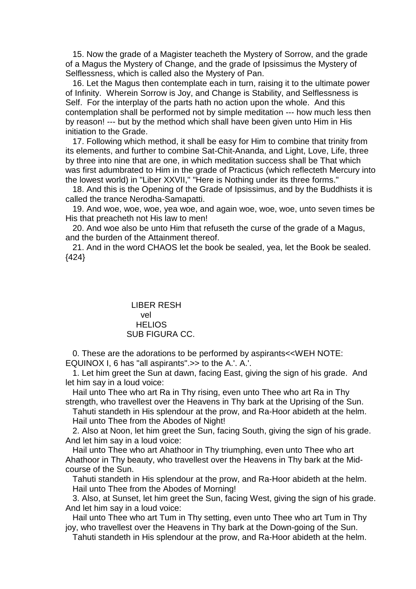15. Now the grade of a Magister teacheth the Mystery of Sorrow, and the grade of a Magus the Mystery of Change, and the grade of Ipsissimus the Mystery of Selflessness, which is called also the Mystery of Pan.

 16. Let the Magus then contemplate each in turn, raising it to the ultimate power of Infinity. Wherein Sorrow is Joy, and Change is Stability, and Selflessness is Self. For the interplay of the parts hath no action upon the whole. And this contemplation shall be performed not by simple meditation --- how much less then by reason! --- but by the method which shall have been given unto Him in His initiation to the Grade.

 17. Following which method, it shall be easy for Him to combine that trinity from its elements, and further to combine Sat-Chit-Ananda, and Light, Love, Life, three by three into nine that are one, in which meditation success shall be That which was first adumbrated to Him in the grade of Practicus (which reflecteth Mercury into the lowest world) in "Liber XXVII," "Here is Nothing under its three forms."

 18. And this is the Opening of the Grade of Ipsissimus, and by the Buddhists it is called the trance Nerodha-Samapatti.

 19. And woe, woe, woe, yea woe, and again woe, woe, woe, unto seven times be His that preacheth not His law to men!

 20. And woe also be unto Him that refuseth the curse of the grade of a Magus, and the burden of the Attainment thereof.

 21. And in the word CHAOS let the book be sealed, yea, let the Book be sealed. {424}

### LIBER RESH vel **HELIOS** SUB FIGURA CC.

 0. These are the adorations to be performed by aspirants<<WEH NOTE: EQUINOX I, 6 has "all aspirants".>> to the A.'. A.'.

 1. Let him greet the Sun at dawn, facing East, giving the sign of his grade. And let him say in a loud voice:

 Hail unto Thee who art Ra in Thy rising, even unto Thee who art Ra in Thy strength, who travellest over the Heavens in Thy bark at the Uprising of the Sun.

 Tahuti standeth in His splendour at the prow, and Ra-Hoor abideth at the helm. Hail unto Thee from the Abodes of Night!

 2. Also at Noon, let him greet the Sun, facing South, giving the sign of his grade. And let him say in a loud voice:

 Hail unto Thee who art Ahathoor in Thy triumphing, even unto Thee who art Ahathoor in Thy beauty, who travellest over the Heavens in Thy bark at the Midcourse of the Sun.

 Tahuti standeth in His splendour at the prow, and Ra-Hoor abideth at the helm. Hail unto Thee from the Abodes of Morning!

 3. Also, at Sunset, let him greet the Sun, facing West, giving the sign of his grade. And let him say in a loud voice:

 Hail unto Thee who art Tum in Thy setting, even unto Thee who art Tum in Thy joy, who travellest over the Heavens in Thy bark at the Down-going of the Sun.

Tahuti standeth in His splendour at the prow, and Ra-Hoor abideth at the helm.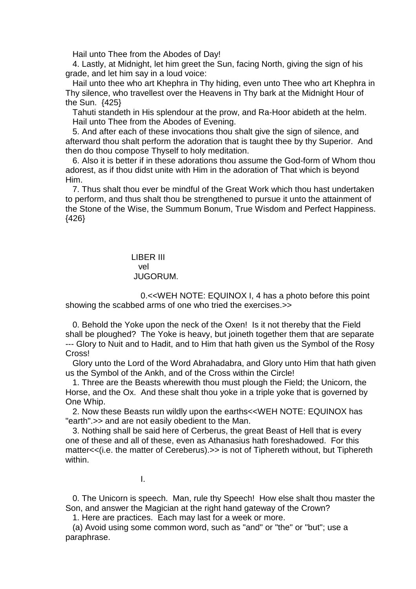Hail unto Thee from the Abodes of Day!

 4. Lastly, at Midnight, let him greet the Sun, facing North, giving the sign of his grade, and let him say in a loud voice:

 Hail unto thee who art Khephra in Thy hiding, even unto Thee who art Khephra in Thy silence, who travellest over the Heavens in Thy bark at the Midnight Hour of the Sun. {425}

 Tahuti standeth in His splendour at the prow, and Ra-Hoor abideth at the helm. Hail unto Thee from the Abodes of Evening.

 5. And after each of these invocations thou shalt give the sign of silence, and afterward thou shalt perform the adoration that is taught thee by thy Superior. And then do thou compose Thyself to holy meditation.

 6. Also it is better if in these adorations thou assume the God-form of Whom thou adorest, as if thou didst unite with Him in the adoration of That which is beyond Him.

 7. Thus shalt thou ever be mindful of the Great Work which thou hast undertaken to perform, and thus shalt thou be strengthened to pursue it unto the attainment of the Stone of the Wise, the Summum Bonum, True Wisdom and Perfect Happiness. {426}

# LIBER III vel JUGORUM.

 0.<<WEH NOTE: EQUINOX I, 4 has a photo before this point showing the scabbed arms of one who tried the exercises.>>

 0. Behold the Yoke upon the neck of the Oxen! Is it not thereby that the Field shall be ploughed? The Yoke is heavy, but joineth together them that are separate --- Glory to Nuit and to Hadit, and to Him that hath given us the Symbol of the Rosy Cross!

 Glory unto the Lord of the Word Abrahadabra, and Glory unto Him that hath given us the Symbol of the Ankh, and of the Cross within the Circle!

 1. Three are the Beasts wherewith thou must plough the Field; the Unicorn, the Horse, and the Ox. And these shalt thou yoke in a triple yoke that is governed by One Whip.

 2. Now these Beasts run wildly upon the earths<<WEH NOTE: EQUINOX has "earth".>> and are not easily obedient to the Man.

 3. Nothing shall be said here of Cerberus, the great Beast of Hell that is every one of these and all of these, even as Athanasius hath foreshadowed. For this matter<< (i.e. the matter of Cereberus).>> is not of Tiphereth without, but Tiphereth within.

**I.** The contract of the contract of

 0. The Unicorn is speech. Man, rule thy Speech! How else shalt thou master the Son, and answer the Magician at the right hand gateway of the Crown?

1. Here are practices. Each may last for a week or more.

 (a) Avoid using some common word, such as "and" or "the" or "but"; use a paraphrase.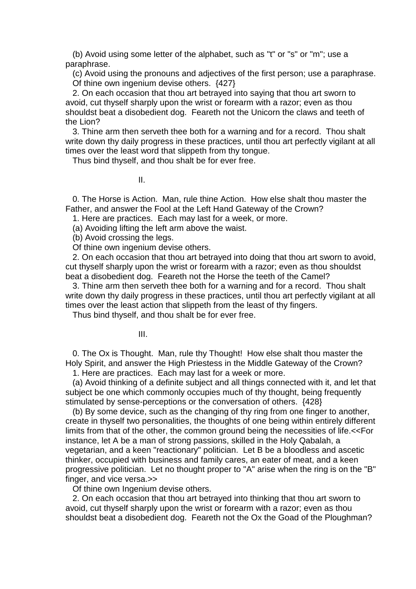(b) Avoid using some letter of the alphabet, such as "t" or "s" or "m"; use a paraphrase.

 (c) Avoid using the pronouns and adjectives of the first person; use a paraphrase. Of thine own ingenium devise others. {427}

 2. On each occasion that thou art betrayed into saying that thou art sworn to avoid, cut thyself sharply upon the wrist or forearm with a razor; even as thou shouldst beat a disobedient dog. Feareth not the Unicorn the claws and teeth of the Lion?

 3. Thine arm then serveth thee both for a warning and for a record. Thou shalt write down thy daily progress in these practices, until thou art perfectly vigilant at all times over the least word that slippeth from thy tongue.

Thus bind thyself, and thou shalt be for ever free.

**II. II.** 

 0. The Horse is Action. Man, rule thine Action. How else shalt thou master the Father, and answer the Fool at the Left Hand Gateway of the Crown?

1. Here are practices. Each may last for a week, or more.

(a) Avoiding lifting the left arm above the waist.

(b) Avoid crossing the legs.

Of thine own ingenium devise others.

 2. On each occasion that thou art betrayed into doing that thou art sworn to avoid, cut thyself sharply upon the wrist or forearm with a razor; even as thou shouldst beat a disobedient dog. Feareth not the Horse the teeth of the Camel?

 3. Thine arm then serveth thee both for a warning and for a record. Thou shalt write down thy daily progress in these practices, until thou art perfectly vigilant at all times over the least action that slippeth from the least of thy fingers.

Thus bind thyself, and thou shalt be for ever free.

**III. III.** 

 0. The Ox is Thought. Man, rule thy Thought! How else shalt thou master the Holy Spirit, and answer the High Priestess in the Middle Gateway of the Crown?

1. Here are practices. Each may last for a week or more.

 (a) Avoid thinking of a definite subject and all things connected with it, and let that subject be one which commonly occupies much of thy thought, being frequently stimulated by sense-perceptions or the conversation of others. {428}

 (b) By some device, such as the changing of thy ring from one finger to another, create in thyself two personalities, the thoughts of one being within entirely different limits from that of the other, the common ground being the necessities of life.<<For instance, let A be a man of strong passions, skilled in the Holy Qabalah, a vegetarian, and a keen "reactionary" politician. Let B be a bloodless and ascetic thinker, occupied with business and family cares, an eater of meat, and a keen progressive politician. Let no thought proper to "A" arise when the ring is on the "B" finger, and vice versa.>>

Of thine own Ingenium devise others.

 2. On each occasion that thou art betrayed into thinking that thou art sworn to avoid, cut thyself sharply upon the wrist or forearm with a razor; even as thou shouldst beat a disobedient dog. Feareth not the Ox the Goad of the Ploughman?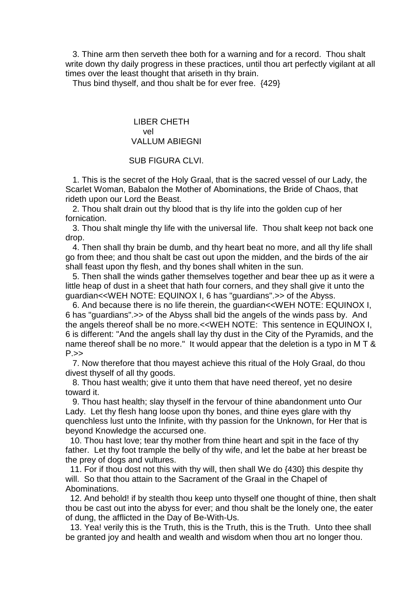3. Thine arm then serveth thee both for a warning and for a record. Thou shalt write down thy daily progress in these practices, until thou art perfectly vigilant at all times over the least thought that ariseth in thy brain.

Thus bind thyself, and thou shalt be for ever free. {429}

## LIBER CHETH vel VALLUM ABIEGNI

# SUB FIGURA CLVI.

 1. This is the secret of the Holy Graal, that is the sacred vessel of our Lady, the Scarlet Woman, Babalon the Mother of Abominations, the Bride of Chaos, that rideth upon our Lord the Beast.

 2. Thou shalt drain out thy blood that is thy life into the golden cup of her fornication.

 3. Thou shalt mingle thy life with the universal life. Thou shalt keep not back one drop.

 4. Then shall thy brain be dumb, and thy heart beat no more, and all thy life shall go from thee; and thou shalt be cast out upon the midden, and the birds of the air shall feast upon thy flesh, and thy bones shall whiten in the sun.

 5. Then shall the winds gather themselves together and bear thee up as it were a little heap of dust in a sheet that hath four corners, and they shall give it unto the guardian<<WEH NOTE: EQUINOX I, 6 has "guardians".>> of the Abyss.

 6. And because there is no life therein, the guardian<<WEH NOTE: EQUINOX I, 6 has "guardians".>> of the Abyss shall bid the angels of the winds pass by. And the angels thereof shall be no more.<<WEH NOTE: This sentence in EQUINOX I, 6 is different: "And the angels shall lay thy dust in the City of the Pyramids, and the name thereof shall be no more." It would appear that the deletion is a typo in M T &  $P_{.}>>$ 

 7. Now therefore that thou mayest achieve this ritual of the Holy Graal, do thou divest thyself of all thy goods.

 8. Thou hast wealth; give it unto them that have need thereof, yet no desire toward it.

 9. Thou hast health; slay thyself in the fervour of thine abandonment unto Our Lady. Let thy flesh hang loose upon thy bones, and thine eyes glare with thy quenchless lust unto the Infinite, with thy passion for the Unknown, for Her that is beyond Knowledge the accursed one.

 10. Thou hast love; tear thy mother from thine heart and spit in the face of thy father. Let thy foot trample the belly of thy wife, and let the babe at her breast be the prey of dogs and vultures.

 11. For if thou dost not this with thy will, then shall We do {430} this despite thy will. So that thou attain to the Sacrament of the Graal in the Chapel of Abominations.

 12. And behold! if by stealth thou keep unto thyself one thought of thine, then shalt thou be cast out into the abyss for ever; and thou shalt be the lonely one, the eater of dung, the afflicted in the Day of Be-With-Us.

 13. Yea! verily this is the Truth, this is the Truth, this is the Truth. Unto thee shall be granted joy and health and wealth and wisdom when thou art no longer thou.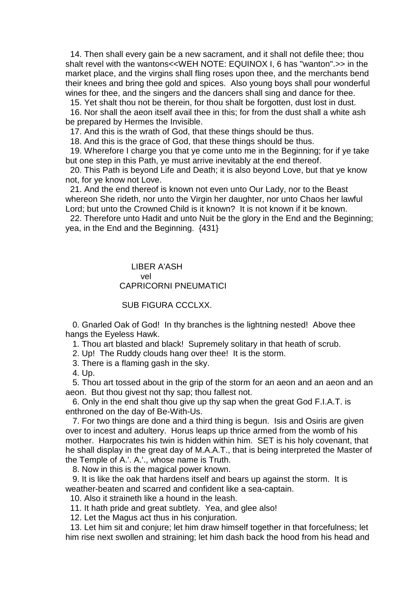14. Then shall every gain be a new sacrament, and it shall not defile thee; thou shalt revel with the wantons<<WEH NOTE: EQUINOX I, 6 has "wanton".>> in the market place, and the virgins shall fling roses upon thee, and the merchants bend their knees and bring thee gold and spices. Also young boys shall pour wonderful wines for thee, and the singers and the dancers shall sing and dance for thee.

15. Yet shalt thou not be therein, for thou shalt be forgotten, dust lost in dust.

 16. Nor shall the aeon itself avail thee in this; for from the dust shall a white ash be prepared by Hermes the Invisible.

17. And this is the wrath of God, that these things should be thus.

18. And this is the grace of God, that these things should be thus.

 19. Wherefore I charge you that ye come unto me in the Beginning; for if ye take but one step in this Path, ye must arrive inevitably at the end thereof.

 20. This Path is beyond Life and Death; it is also beyond Love, but that ye know not, for ye know not Love.

 21. And the end thereof is known not even unto Our Lady, nor to the Beast whereon She rideth, nor unto the Virgin her daughter, nor unto Chaos her lawful Lord; but unto the Crowned Child is it known? It is not known if it be known.

 22. Therefore unto Hadit and unto Nuit be the glory in the End and the Beginning; yea, in the End and the Beginning. {431}

# LIBER A'ASH vel and the state of the state of the state of the state of the state of the state of the state of the state o CAPRICORNI PNEUMATICI

### SUB FIGURA CCCLXX.

 0. Gnarled Oak of God! In thy branches is the lightning nested! Above thee hangs the Eyeless Hawk.

1. Thou art blasted and black! Supremely solitary in that heath of scrub.

2. Up! The Ruddy clouds hang over thee! It is the storm.

3. There is a flaming gash in the sky.

4. Up.

 5. Thou art tossed about in the grip of the storm for an aeon and an aeon and an aeon. But thou givest not thy sap; thou fallest not.

 6. Only in the end shalt thou give up thy sap when the great God F.I.A.T. is enthroned on the day of Be-With-Us.

 7. For two things are done and a third thing is begun. Isis and Osiris are given over to incest and adultery. Horus leaps up thrice armed from the womb of his mother. Harpocrates his twin is hidden within him. SET is his holy covenant, that he shall display in the great day of M.A.A.T., that is being interpreted the Master of the Temple of A.'. A.'., whose name is Truth.

8. Now in this is the magical power known.

 9. It is like the oak that hardens itself and bears up against the storm. It is weather-beaten and scarred and confident like a sea-captain.

10. Also it straineth like a hound in the leash.

11. It hath pride and great subtlety. Yea, and glee also!

12. Let the Magus act thus in his conjuration.

 13. Let him sit and conjure; let him draw himself together in that forcefulness; let him rise next swollen and straining; let him dash back the hood from his head and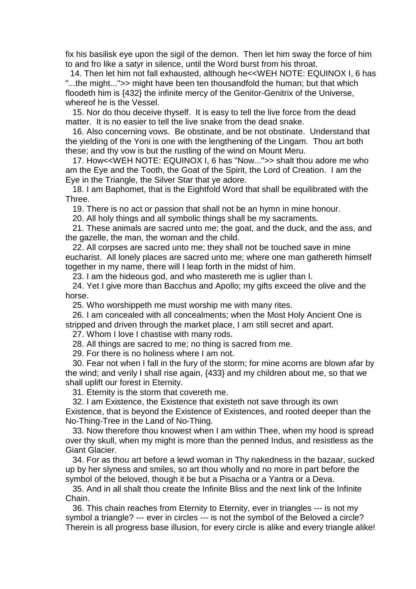fix his basilisk eye upon the sigil of the demon. Then let him sway the force of him to and fro like a satyr in silence, until the Word burst from his throat.

 14. Then let him not fall exhausted, although he<<WEH NOTE: EQUINOX I, 6 has "...the might...">> might have been ten thousandfold the human; but that which floodeth him is {432} the infinite mercy of the Genitor-Genitrix of the Universe, whereof he is the Vessel.

 15. Nor do thou deceive thyself. It is easy to tell the live force from the dead matter. It is no easier to tell the live snake from the dead snake.

 16. Also concerning vows. Be obstinate, and be not obstinate. Understand that the yielding of the Yoni is one with the lengthening of the Lingam. Thou art both these; and thy vow is but the rustling of the wind on Mount Meru.

 17. How<<WEH NOTE: EQUINOX I, 6 has "Now...">> shalt thou adore me who am the Eye and the Tooth, the Goat of the Spirit, the Lord of Creation. I am the Eye in the Triangle, the Silver Star that ye adore.

 18. I am Baphomet, that is the Eightfold Word that shall be equilibrated with the Three.

19. There is no act or passion that shall not be an hymn in mine honour.

20. All holy things and all symbolic things shall be my sacraments.

 21. These animals are sacred unto me; the goat, and the duck, and the ass, and the gazelle, the man, the woman and the child.

 22. All corpses are sacred unto me; they shall not be touched save in mine eucharist. All lonely places are sacred unto me; where one man gathereth himself together in my name, there will I leap forth in the midst of him.

23. I am the hideous god, and who mastereth me is uglier than I.

 24. Yet I give more than Bacchus and Apollo; my gifts exceed the olive and the horse.

25. Who worshippeth me must worship me with many rites.

 26. I am concealed with all concealments; when the Most Holy Ancient One is stripped and driven through the market place, I am still secret and apart.

27. Whom I love I chastise with many rods.

28. All things are sacred to me; no thing is sacred from me.

29. For there is no holiness where I am not.

 30. Fear not when I fall in the fury of the storm; for mine acorns are blown afar by the wind; and verily I shall rise again, {433} and my children about me, so that we shall uplift our forest in Eternity.

31. Eternity is the storm that covereth me.

 32. I am Existence, the Existence that existeth not save through its own Existence, that is beyond the Existence of Existences, and rooted deeper than the No-Thing-Tree in the Land of No-Thing.

 33. Now therefore thou knowest when I am within Thee, when my hood is spread over thy skull, when my might is more than the penned Indus, and resistless as the Giant Glacier.

 34. For as thou art before a lewd woman in Thy nakedness in the bazaar, sucked up by her slyness and smiles, so art thou wholly and no more in part before the symbol of the beloved, though it be but a Pisacha or a Yantra or a Deva.

 35. And in all shalt thou create the Infinite Bliss and the next link of the Infinite Chain.

 36. This chain reaches from Eternity to Eternity, ever in triangles --- is not my symbol a triangle? --- ever in circles --- is not the symbol of the Beloved a circle? Therein is all progress base illusion, for every circle is alike and every triangle alike!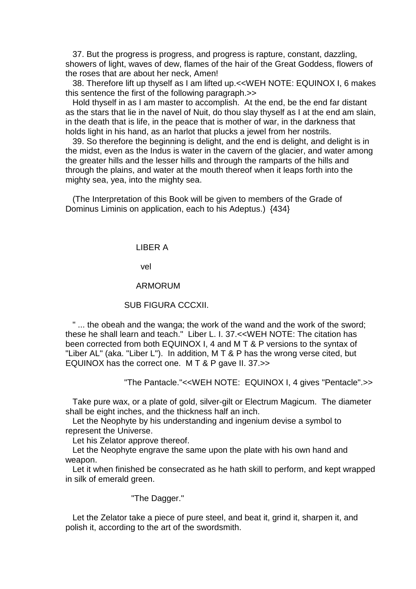37. But the progress is progress, and progress is rapture, constant, dazzling, showers of light, waves of dew, flames of the hair of the Great Goddess, flowers of the roses that are about her neck, Amen!

 38. Therefore lift up thyself as I am lifted up.<<WEH NOTE: EQUINOX I, 6 makes this sentence the first of the following paragraph.>>

 Hold thyself in as I am master to accomplish. At the end, be the end far distant as the stars that lie in the navel of Nuit, do thou slay thyself as I at the end am slain, in the death that is life, in the peace that is mother of war, in the darkness that holds light in his hand, as an harlot that plucks a jewel from her nostrils.

 39. So therefore the beginning is delight, and the end is delight, and delight is in the midst, even as the Indus is water in the cavern of the glacier, and water among the greater hills and the lesser hills and through the ramparts of the hills and through the plains, and water at the mouth thereof when it leaps forth into the mighty sea, yea, into the mighty sea.

 (The Interpretation of this Book will be given to members of the Grade of Dominus Liminis on application, each to his Adeptus.) {434}

### LIBER A

vel

#### ARMORUM

### SUB FIGURA CCCXII.

 " ... the obeah and the wanga; the work of the wand and the work of the sword; these he shall learn and teach." Liber L. I. 37.<<WEH NOTE: The citation has been corrected from both EQUINOX I, 4 and M T & P versions to the syntax of "Liber AL" (aka. "Liber L"). In addition, M T & P has the wrong verse cited, but EQUINOX has the correct one. M T & P gave II. 37.>>

"The Pantacle."<<WEH NOTE: EQUINOX I, 4 gives "Pentacle".>>

 Take pure wax, or a plate of gold, silver-gilt or Electrum Magicum. The diameter shall be eight inches, and the thickness half an inch.

 Let the Neophyte by his understanding and ingenium devise a symbol to represent the Universe.

Let his Zelator approve thereof.

 Let the Neophyte engrave the same upon the plate with his own hand and weapon.

 Let it when finished be consecrated as he hath skill to perform, and kept wrapped in silk of emerald green.

"The Dagger."

 Let the Zelator take a piece of pure steel, and beat it, grind it, sharpen it, and polish it, according to the art of the swordsmith.